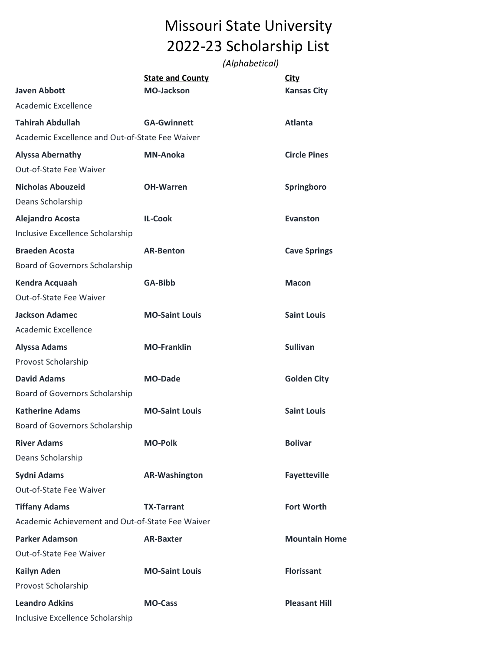## Missouri State University 2022-23 Scholarship List

*(Alphabetical)*

|                                                  | <b>State and County</b> | <b>City</b>          |
|--------------------------------------------------|-------------------------|----------------------|
| <b>Javen Abbott</b>                              | <b>MO-Jackson</b>       | <b>Kansas City</b>   |
| Academic Excellence                              |                         |                      |
| <b>Tahirah Abdullah</b>                          | <b>GA-Gwinnett</b>      | <b>Atlanta</b>       |
| Academic Excellence and Out-of-State Fee Waiver  |                         |                      |
| <b>Alyssa Abernathy</b>                          | <b>MN-Anoka</b>         | <b>Circle Pines</b>  |
| Out-of-State Fee Waiver                          |                         |                      |
| <b>Nicholas Abouzeid</b>                         | <b>OH-Warren</b>        | Springboro           |
| Deans Scholarship                                |                         |                      |
| <b>Alejandro Acosta</b>                          | <b>IL-Cook</b>          | <b>Evanston</b>      |
| Inclusive Excellence Scholarship                 |                         |                      |
| <b>Braeden Acosta</b>                            | <b>AR-Benton</b>        | <b>Cave Springs</b>  |
| Board of Governors Scholarship                   |                         |                      |
| Kendra Acquaah                                   | <b>GA-Bibb</b>          | <b>Macon</b>         |
| Out-of-State Fee Waiver                          |                         |                      |
| <b>Jackson Adamec</b>                            | <b>MO-Saint Louis</b>   | <b>Saint Louis</b>   |
| Academic Excellence                              |                         |                      |
| <b>Alyssa Adams</b>                              | <b>MO-Franklin</b>      | <b>Sullivan</b>      |
| Provost Scholarship                              |                         |                      |
| <b>David Adams</b>                               | <b>MO-Dade</b>          | <b>Golden City</b>   |
| Board of Governors Scholarship                   |                         |                      |
| <b>Katherine Adams</b>                           | <b>MO-Saint Louis</b>   | <b>Saint Louis</b>   |
| Board of Governors Scholarship                   |                         |                      |
| <b>River Adams</b>                               | <b>MO-Polk</b>          | <b>Bolivar</b>       |
| Deans Scholarship                                |                         |                      |
| <b>Sydni Adams</b>                               | <b>AR-Washington</b>    | <b>Fayetteville</b>  |
| Out-of-State Fee Waiver                          |                         |                      |
| <b>Tiffany Adams</b>                             | <b>TX-Tarrant</b>       | <b>Fort Worth</b>    |
| Academic Achievement and Out-of-State Fee Waiver |                         |                      |
| <b>Parker Adamson</b>                            | <b>AR-Baxter</b>        | <b>Mountain Home</b> |
| Out-of-State Fee Waiver                          |                         |                      |
| <b>Kailyn Aden</b>                               | <b>MO-Saint Louis</b>   | <b>Florissant</b>    |
| Provost Scholarship                              |                         |                      |
| <b>Leandro Adkins</b>                            | <b>MO-Cass</b>          | <b>Pleasant Hill</b> |
| Inclusive Excellence Scholarship                 |                         |                      |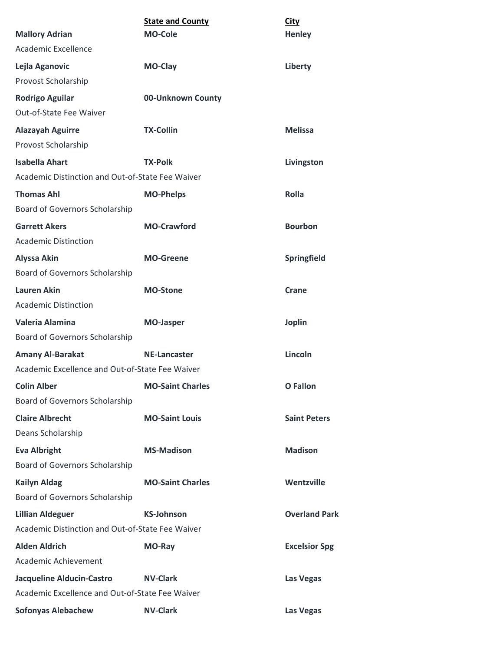| <b>Mallory Adrian</b>                               | <b>State and County</b><br><b>MO-Cole</b> | <b>City</b><br><b>Henley</b> |
|-----------------------------------------------------|-------------------------------------------|------------------------------|
| Academic Excellence                                 |                                           |                              |
| Lejla Aganovic<br>Provost Scholarship               | MO-Clay                                   | Liberty                      |
| <b>Rodrigo Aguilar</b><br>Out-of-State Fee Waiver   | 00-Unknown County                         |                              |
| <b>Alazayah Aguirre</b><br>Provost Scholarship      | <b>TX-Collin</b>                          | <b>Melissa</b>               |
| <b>Isabella Ahart</b>                               | <b>TX-Polk</b>                            | Livingston                   |
| Academic Distinction and Out-of-State Fee Waiver    |                                           |                              |
| <b>Thomas Ahl</b><br>Board of Governors Scholarship | <b>MO-Phelps</b>                          | Rolla                        |
| <b>Garrett Akers</b><br><b>Academic Distinction</b> | <b>MO-Crawford</b>                        | <b>Bourbon</b>               |
| <b>Alyssa Akin</b>                                  | <b>MO-Greene</b>                          | Springfield                  |
| Board of Governors Scholarship                      |                                           |                              |
| <b>Lauren Akin</b><br><b>Academic Distinction</b>   | <b>MO-Stone</b>                           | Crane                        |
| Valeria Alamina                                     | <b>MO-Jasper</b>                          | <b>Joplin</b>                |
| Board of Governors Scholarship                      |                                           |                              |
| <b>Amany Al-Barakat</b>                             | <b>NE-Lancaster</b>                       | Lincoln                      |
| Academic Excellence and Out-of-State Fee Waiver     |                                           |                              |
| <b>Colin Alber</b>                                  | <b>MO-Saint Charles</b>                   | <b>O</b> Fallon              |
| Board of Governors Scholarship                      |                                           |                              |
| <b>Claire Albrecht</b><br>Deans Scholarship         | <b>MO-Saint Louis</b>                     | <b>Saint Peters</b>          |
| <b>Eva Albright</b>                                 | <b>MS-Madison</b>                         | <b>Madison</b>               |
| Board of Governors Scholarship                      |                                           |                              |
| <b>Kailyn Aldag</b>                                 | <b>MO-Saint Charles</b>                   | Wentzville                   |
| Board of Governors Scholarship                      |                                           |                              |
| <b>Lillian Aldeguer</b>                             | <b>KS-Johnson</b>                         | <b>Overland Park</b>         |
| Academic Distinction and Out-of-State Fee Waiver    |                                           |                              |
| <b>Alden Aldrich</b>                                | MO-Ray                                    | <b>Excelsior Spg</b>         |
| Academic Achievement                                |                                           |                              |
| <b>Jacqueline Alducin-Castro</b>                    | <b>NV-Clark</b>                           | Las Vegas                    |
| Academic Excellence and Out-of-State Fee Waiver     |                                           |                              |
| <b>Sofonyas Alebachew</b>                           | <b>NV-Clark</b>                           | Las Vegas                    |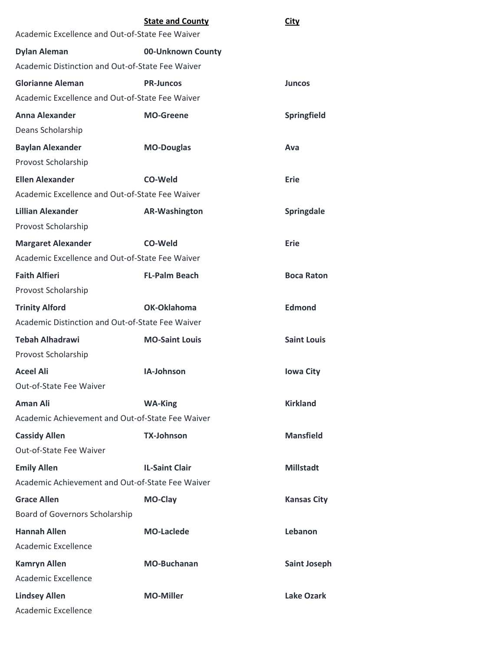|                                                  | <b>State and County</b> | <b>City</b>        |
|--------------------------------------------------|-------------------------|--------------------|
| Academic Excellence and Out-of-State Fee Waiver  |                         |                    |
| <b>Dylan Aleman</b>                              | 00-Unknown County       |                    |
| Academic Distinction and Out-of-State Fee Waiver |                         |                    |
| <b>Glorianne Aleman</b>                          | <b>PR-Juncos</b>        | <b>Juncos</b>      |
| Academic Excellence and Out-of-State Fee Waiver  |                         |                    |
| <b>Anna Alexander</b>                            | <b>MO-Greene</b>        | <b>Springfield</b> |
| Deans Scholarship                                |                         |                    |
| <b>Baylan Alexander</b>                          | <b>MO-Douglas</b>       | Ava                |
| Provost Scholarship                              |                         |                    |
| <b>Ellen Alexander</b>                           | CO-Weld                 | Erie               |
| Academic Excellence and Out-of-State Fee Waiver  |                         |                    |
| <b>Lillian Alexander</b>                         | <b>AR-Washington</b>    | Springdale         |
| Provost Scholarship                              |                         |                    |
| <b>Margaret Alexander</b>                        | CO-Weld                 | Erie               |
| Academic Excellence and Out-of-State Fee Waiver  |                         |                    |
| <b>Faith Alfieri</b>                             | <b>FL-Palm Beach</b>    | <b>Boca Raton</b>  |
| Provost Scholarship                              |                         |                    |
| <b>Trinity Alford</b>                            | OK-Oklahoma             | <b>Edmond</b>      |
| Academic Distinction and Out-of-State Fee Waiver |                         |                    |
| <b>Tebah Alhadrawi</b>                           | <b>MO-Saint Louis</b>   | <b>Saint Louis</b> |
| Provost Scholarship                              |                         |                    |
| <b>Aceel Ali</b>                                 | IA-Johnson              | <b>Iowa City</b>   |
| Out-of-State Fee Waiver                          |                         |                    |
| <b>Aman Ali</b>                                  | <b>WA-King</b>          | <b>Kirkland</b>    |
| Academic Achievement and Out-of-State Fee Waiver |                         |                    |
| <b>Cassidy Allen</b>                             | <b>TX-Johnson</b>       | <b>Mansfield</b>   |
| Out-of-State Fee Waiver                          |                         |                    |
| <b>Emily Allen</b>                               | <b>IL-Saint Clair</b>   | <b>Millstadt</b>   |
| Academic Achievement and Out-of-State Fee Waiver |                         |                    |
| <b>Grace Allen</b>                               | MO-Clay                 | <b>Kansas City</b> |
| Board of Governors Scholarship                   |                         |                    |
| <b>Hannah Allen</b>                              | <b>MO-Laclede</b>       | Lebanon            |
| Academic Excellence                              |                         |                    |
| <b>Kamryn Allen</b>                              | <b>MO-Buchanan</b>      | Saint Joseph       |
| Academic Excellence                              |                         |                    |
| <b>Lindsey Allen</b>                             | <b>MO-Miller</b>        | <b>Lake Ozark</b>  |
| Academic Excellence                              |                         |                    |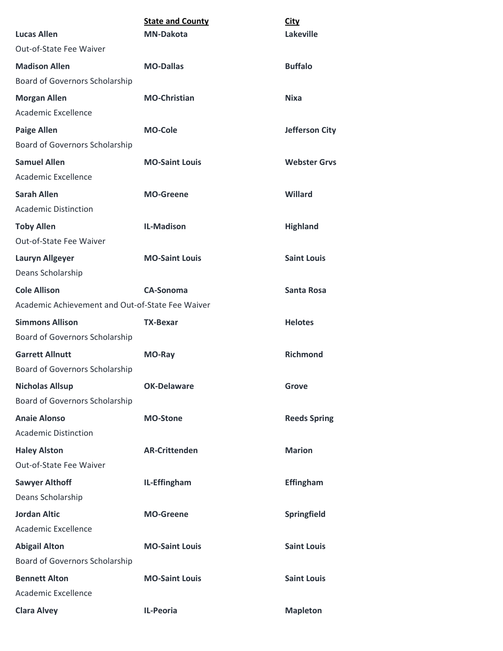|                                                  | <b>State and County</b> | <b>City</b>         |
|--------------------------------------------------|-------------------------|---------------------|
| <b>Lucas Allen</b>                               | <b>MN-Dakota</b>        | <b>Lakeville</b>    |
| Out-of-State Fee Waiver                          |                         |                     |
| <b>Madison Allen</b>                             | <b>MO-Dallas</b>        | <b>Buffalo</b>      |
| Board of Governors Scholarship                   |                         |                     |
| <b>Morgan Allen</b>                              | <b>MO-Christian</b>     | <b>Nixa</b>         |
| Academic Excellence                              |                         |                     |
| <b>Paige Allen</b>                               | <b>MO-Cole</b>          | Jefferson City      |
| Board of Governors Scholarship                   |                         |                     |
| <b>Samuel Allen</b>                              | <b>MO-Saint Louis</b>   | <b>Webster Grys</b> |
| Academic Excellence                              |                         |                     |
| <b>Sarah Allen</b>                               | <b>MO-Greene</b>        | <b>Willard</b>      |
| <b>Academic Distinction</b>                      |                         |                     |
| <b>Toby Allen</b>                                | <b>IL-Madison</b>       | <b>Highland</b>     |
| Out-of-State Fee Waiver                          |                         |                     |
| <b>Lauryn Allgeyer</b>                           | <b>MO-Saint Louis</b>   | <b>Saint Louis</b>  |
| Deans Scholarship                                |                         |                     |
| <b>Cole Allison</b>                              | <b>CA-Sonoma</b>        | <b>Santa Rosa</b>   |
| Academic Achievement and Out-of-State Fee Waiver |                         |                     |
| <b>Simmons Allison</b>                           | <b>TX-Bexar</b>         | <b>Helotes</b>      |
| Board of Governors Scholarship                   |                         |                     |
| <b>Garrett Allnutt</b>                           | MO-Ray                  | <b>Richmond</b>     |
| Board of Governors Scholarship                   |                         |                     |
| <b>Nicholas Allsup</b>                           | <b>OK-Delaware</b>      | <b>Grove</b>        |
| Board of Governors Scholarship                   |                         |                     |
| <b>Anaie Alonso</b>                              | <b>MO-Stone</b>         | <b>Reeds Spring</b> |
| <b>Academic Distinction</b>                      |                         |                     |
| <b>Haley Alston</b>                              | <b>AR-Crittenden</b>    | <b>Marion</b>       |
| Out-of-State Fee Waiver                          |                         |                     |
| <b>Sawyer Althoff</b>                            | IL-Effingham            | <b>Effingham</b>    |
| Deans Scholarship                                |                         |                     |
| <b>Jordan Altic</b>                              | <b>MO-Greene</b>        | Springfield         |
| Academic Excellence                              |                         |                     |
| <b>Abigail Alton</b>                             | <b>MO-Saint Louis</b>   | <b>Saint Louis</b>  |
| Board of Governors Scholarship                   |                         |                     |
| <b>Bennett Alton</b>                             | <b>MO-Saint Louis</b>   | <b>Saint Louis</b>  |
| Academic Excellence                              |                         |                     |
| <b>Clara Alvey</b>                               | <b>IL-Peoria</b>        | <b>Mapleton</b>     |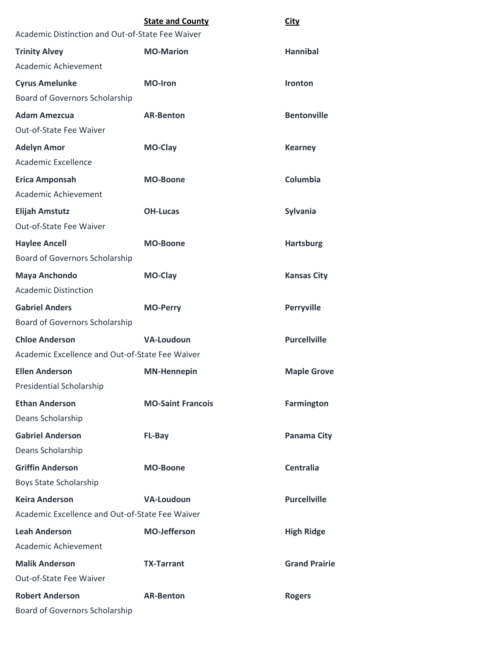|                                                  | <b>State and County</b>  | <b>City</b>          |
|--------------------------------------------------|--------------------------|----------------------|
| Academic Distinction and Out-of-State Fee Waiver |                          |                      |
| <b>Trinity Alvey</b>                             | <b>MO-Marion</b>         | <b>Hannibal</b>      |
| Academic Achievement                             |                          |                      |
| <b>Cyrus Amelunke</b>                            | <b>MO-Iron</b>           | <b>Ironton</b>       |
| Board of Governors Scholarship                   |                          |                      |
| <b>Adam Amezcua</b>                              | <b>AR-Benton</b>         | <b>Bentonville</b>   |
| Out-of-State Fee Waiver                          |                          |                      |
| <b>Adelyn Amor</b>                               | <b>MO-Clay</b>           | <b>Kearney</b>       |
| Academic Excellence                              |                          |                      |
| <b>Erica Amponsah</b>                            | <b>MO-Boone</b>          | Columbia             |
| Academic Achievement                             |                          |                      |
| <b>Elijah Amstutz</b>                            | <b>OH-Lucas</b>          | Sylvania             |
| Out-of-State Fee Waiver                          |                          |                      |
| <b>Haylee Ancell</b>                             | <b>MO-Boone</b>          | <b>Hartsburg</b>     |
| Board of Governors Scholarship                   |                          |                      |
| <b>Maya Anchondo</b>                             | <b>MO-Clay</b>           | <b>Kansas City</b>   |
| <b>Academic Distinction</b>                      |                          |                      |
| <b>Gabriel Anders</b>                            | <b>MO-Perry</b>          | <b>Perryville</b>    |
| Board of Governors Scholarship                   |                          |                      |
| <b>Chloe Anderson</b>                            | <b>VA-Loudoun</b>        | <b>Purcellville</b>  |
| Academic Excellence and Out-of-State Fee Waiver  |                          |                      |
| <b>Ellen Anderson</b>                            | <b>MN-Hennepin</b>       | <b>Maple Grove</b>   |
| Presidential Scholarship                         |                          |                      |
| <b>Ethan Anderson</b>                            | <b>MO-Saint Francois</b> | <b>Farmington</b>    |
| Deans Scholarship                                |                          |                      |
| <b>Gabriel Anderson</b>                          | <b>FL-Bay</b>            | Panama City          |
| Deans Scholarship                                |                          |                      |
| <b>Griffin Anderson</b>                          | <b>MO-Boone</b>          | Centralia            |
| Boys State Scholarship                           |                          |                      |
| <b>Keira Anderson</b>                            | <b>VA-Loudoun</b>        | <b>Purcellville</b>  |
| Academic Excellence and Out-of-State Fee Waiver  |                          |                      |
| <b>Leah Anderson</b>                             | <b>MO-Jefferson</b>      | <b>High Ridge</b>    |
| Academic Achievement                             |                          |                      |
| <b>Malik Anderson</b>                            | <b>TX-Tarrant</b>        | <b>Grand Prairie</b> |
| Out-of-State Fee Waiver                          |                          |                      |
| <b>Robert Anderson</b>                           | <b>AR-Benton</b>         | <b>Rogers</b>        |
| Board of Governors Scholarship                   |                          |                      |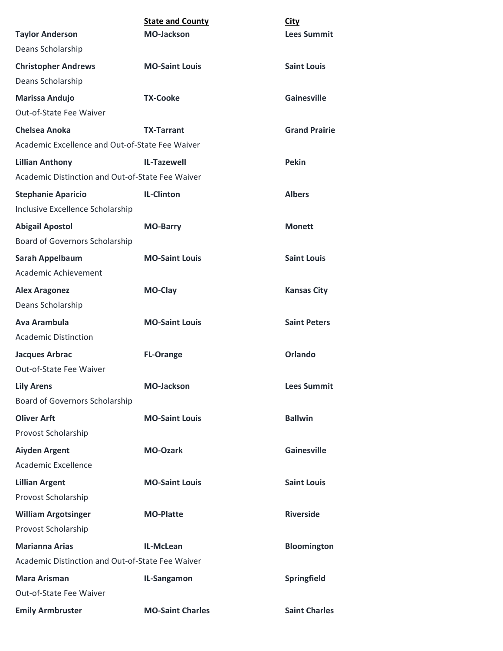|                                                  | <b>State and County</b> | <b>City</b>          |
|--------------------------------------------------|-------------------------|----------------------|
| <b>Taylor Anderson</b>                           | <b>MO-Jackson</b>       | <b>Lees Summit</b>   |
| Deans Scholarship                                |                         |                      |
| <b>Christopher Andrews</b>                       | <b>MO-Saint Louis</b>   | <b>Saint Louis</b>   |
| Deans Scholarship                                |                         |                      |
| Marissa Andujo                                   | <b>TX-Cooke</b>         | <b>Gainesville</b>   |
| Out-of-State Fee Waiver                          |                         |                      |
| Chelsea Anoka                                    | <b>TX-Tarrant</b>       | <b>Grand Prairie</b> |
| Academic Excellence and Out-of-State Fee Waiver  |                         |                      |
| <b>Lillian Anthony</b>                           | <b>IL-Tazewell</b>      | <b>Pekin</b>         |
| Academic Distinction and Out-of-State Fee Waiver |                         |                      |
| <b>Stephanie Aparicio</b>                        | <b>IL-Clinton</b>       | <b>Albers</b>        |
| Inclusive Excellence Scholarship                 |                         |                      |
| <b>Abigail Apostol</b>                           | <b>MO-Barry</b>         | <b>Monett</b>        |
| Board of Governors Scholarship                   |                         |                      |
| <b>Sarah Appelbaum</b>                           | <b>MO-Saint Louis</b>   | <b>Saint Louis</b>   |
| Academic Achievement                             |                         |                      |
| <b>Alex Aragonez</b>                             | <b>MO-Clay</b>          | <b>Kansas City</b>   |
| Deans Scholarship                                |                         |                      |
| <b>Ava Arambula</b>                              | <b>MO-Saint Louis</b>   | <b>Saint Peters</b>  |
| <b>Academic Distinction</b>                      |                         |                      |
| <b>Jacques Arbrac</b>                            | <b>FL-Orange</b>        | <b>Orlando</b>       |
| Out-of-State Fee Waiver                          |                         |                      |
| <b>Lily Arens</b>                                | <b>MO-Jackson</b>       | <b>Lees Summit</b>   |
| Board of Governors Scholarship                   |                         |                      |
| <b>Oliver Arft</b>                               | <b>MO-Saint Louis</b>   | <b>Ballwin</b>       |
| Provost Scholarship                              |                         |                      |
| <b>Aiyden Argent</b>                             | <b>MO-Ozark</b>         | <b>Gainesville</b>   |
| Academic Excellence                              |                         |                      |
| <b>Lillian Argent</b>                            | <b>MO-Saint Louis</b>   | <b>Saint Louis</b>   |
| Provost Scholarship                              |                         |                      |
| <b>William Argotsinger</b>                       | <b>MO-Platte</b>        | <b>Riverside</b>     |
| Provost Scholarship                              |                         |                      |
| <b>Marianna Arias</b>                            | IL-McLean               | Bloomington          |
| Academic Distinction and Out-of-State Fee Waiver |                         |                      |
| <b>Mara Arisman</b>                              | IL-Sangamon             | <b>Springfield</b>   |
| Out-of-State Fee Waiver                          |                         |                      |
| <b>Emily Armbruster</b>                          | <b>MO-Saint Charles</b> | <b>Saint Charles</b> |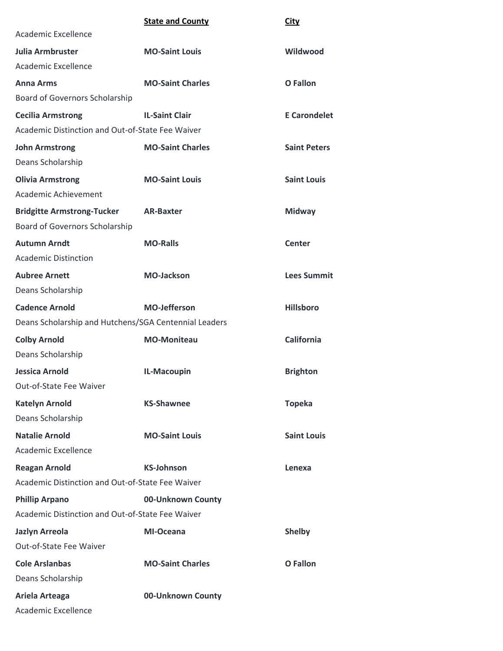|                                                       | <b>State and County</b> | <b>City</b>         |
|-------------------------------------------------------|-------------------------|---------------------|
| Academic Excellence                                   |                         |                     |
| <b>Julia Armbruster</b>                               | <b>MO-Saint Louis</b>   | Wildwood            |
| Academic Excellence                                   |                         |                     |
| <b>Anna Arms</b>                                      | <b>MO-Saint Charles</b> | <b>O</b> Fallon     |
| Board of Governors Scholarship                        |                         |                     |
| <b>Cecilia Armstrong</b>                              | <b>IL-Saint Clair</b>   | <b>E</b> Carondelet |
| Academic Distinction and Out-of-State Fee Waiver      |                         |                     |
| <b>John Armstrong</b>                                 | <b>MO-Saint Charles</b> | <b>Saint Peters</b> |
| Deans Scholarship                                     |                         |                     |
| <b>Olivia Armstrong</b>                               | <b>MO-Saint Louis</b>   | <b>Saint Louis</b>  |
| Academic Achievement                                  |                         |                     |
| <b>Bridgitte Armstrong-Tucker</b>                     | <b>AR-Baxter</b>        | <b>Midway</b>       |
| Board of Governors Scholarship                        |                         |                     |
| <b>Autumn Arndt</b>                                   | <b>MO-Ralls</b>         | <b>Center</b>       |
| <b>Academic Distinction</b>                           |                         |                     |
| <b>Aubree Arnett</b>                                  | <b>MO-Jackson</b>       | <b>Lees Summit</b>  |
| Deans Scholarship                                     |                         |                     |
| <b>Cadence Arnold</b>                                 | <b>MO-Jefferson</b>     | <b>Hillsboro</b>    |
| Deans Scholarship and Hutchens/SGA Centennial Leaders |                         |                     |
| <b>Colby Arnold</b>                                   | <b>MO-Moniteau</b>      | <b>California</b>   |
| Deans Scholarship                                     |                         |                     |
| <b>Jessica Arnold</b>                                 | IL-Macoupin             | <b>Brighton</b>     |
| Out-of-State Fee Waiver                               |                         |                     |
| <b>Katelyn Arnold</b>                                 | <b>KS-Shawnee</b>       | <b>Topeka</b>       |
| Deans Scholarship                                     |                         |                     |
| <b>Natalie Arnold</b>                                 | <b>MO-Saint Louis</b>   | <b>Saint Louis</b>  |
| Academic Excellence                                   |                         |                     |
| <b>Reagan Arnold</b>                                  | <b>KS-Johnson</b>       | Lenexa              |
| Academic Distinction and Out-of-State Fee Waiver      |                         |                     |
| <b>Phillip Arpano</b>                                 | 00-Unknown County       |                     |
| Academic Distinction and Out-of-State Fee Waiver      |                         |                     |
| <b>Jazlyn Arreola</b>                                 | <b>MI-Oceana</b>        | <b>Shelby</b>       |
| Out-of-State Fee Waiver                               |                         |                     |
| <b>Cole Arslanbas</b>                                 | <b>MO-Saint Charles</b> | <b>O</b> Fallon     |
| Deans Scholarship                                     |                         |                     |
| Ariela Arteaga                                        | 00-Unknown County       |                     |
| Academic Excellence                                   |                         |                     |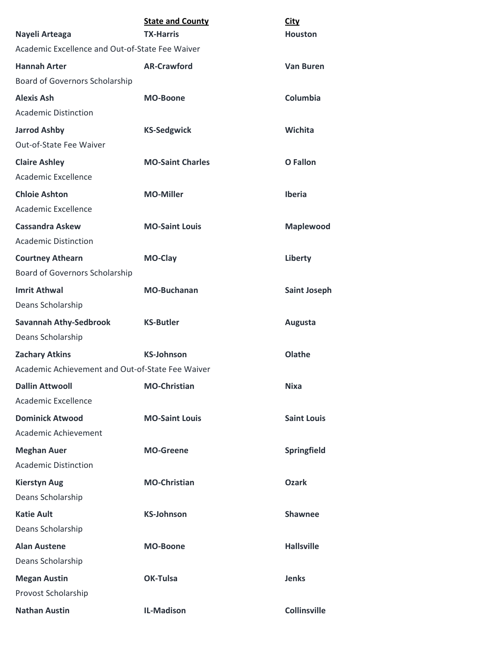| Nayeli Arteaga                                            | <b>State and County</b><br><b>TX-Harris</b> | <b>City</b><br><b>Houston</b> |  |
|-----------------------------------------------------------|---------------------------------------------|-------------------------------|--|
| Academic Excellence and Out-of-State Fee Waiver           |                                             |                               |  |
| <b>Hannah Arter</b>                                       | <b>AR-Crawford</b>                          | <b>Van Buren</b>              |  |
| Board of Governors Scholarship                            |                                             |                               |  |
| <b>Alexis Ash</b>                                         | <b>MO-Boone</b>                             | Columbia                      |  |
| <b>Academic Distinction</b>                               |                                             |                               |  |
| <b>Jarrod Ashby</b>                                       | <b>KS-Sedgwick</b>                          | Wichita                       |  |
| Out-of-State Fee Waiver                                   |                                             |                               |  |
| <b>Claire Ashley</b><br>Academic Excellence               | <b>MO-Saint Charles</b>                     | <b>O</b> Fallon               |  |
| <b>Chloie Ashton</b><br>Academic Excellence               | <b>MO-Miller</b>                            | <b>Iberia</b>                 |  |
| <b>Cassandra Askew</b><br><b>Academic Distinction</b>     | <b>MO-Saint Louis</b>                       | <b>Maplewood</b>              |  |
| <b>Courtney Athearn</b><br>Board of Governors Scholarship | MO-Clay                                     | Liberty                       |  |
| <b>Imrit Athwal</b><br>Deans Scholarship                  | <b>MO-Buchanan</b>                          | <b>Saint Joseph</b>           |  |
| <b>Savannah Athy-Sedbrook</b>                             | <b>KS-Butler</b>                            | Augusta                       |  |
| Deans Scholarship                                         |                                             |                               |  |
| <b>Zachary Atkins</b>                                     | <b>KS-Johnson</b>                           | Olathe                        |  |
| Academic Achievement and Out-of-State Fee Waiver          |                                             |                               |  |
| <b>Dallin Attwooll</b>                                    | <b>MO-Christian</b>                         | <b>Nixa</b>                   |  |
| Academic Excellence                                       |                                             |                               |  |
| <b>Dominick Atwood</b><br>Academic Achievement            | <b>MO-Saint Louis</b>                       | <b>Saint Louis</b>            |  |
| <b>Meghan Auer</b>                                        | <b>MO-Greene</b>                            | Springfield                   |  |
| <b>Academic Distinction</b>                               |                                             |                               |  |
| <b>Kierstyn Aug</b>                                       | <b>MO-Christian</b>                         | <b>Ozark</b>                  |  |
| Deans Scholarship                                         |                                             |                               |  |
| <b>Katie Ault</b>                                         | <b>KS-Johnson</b>                           | <b>Shawnee</b>                |  |
| Deans Scholarship                                         |                                             |                               |  |
| <b>Alan Austene</b>                                       | <b>MO-Boone</b>                             | <b>Hallsville</b>             |  |
| Deans Scholarship                                         |                                             |                               |  |
| <b>Megan Austin</b>                                       | <b>OK-Tulsa</b>                             | <b>Jenks</b>                  |  |
| Provost Scholarship                                       |                                             |                               |  |
| <b>Nathan Austin</b>                                      | <b>IL-Madison</b>                           | <b>Collinsville</b>           |  |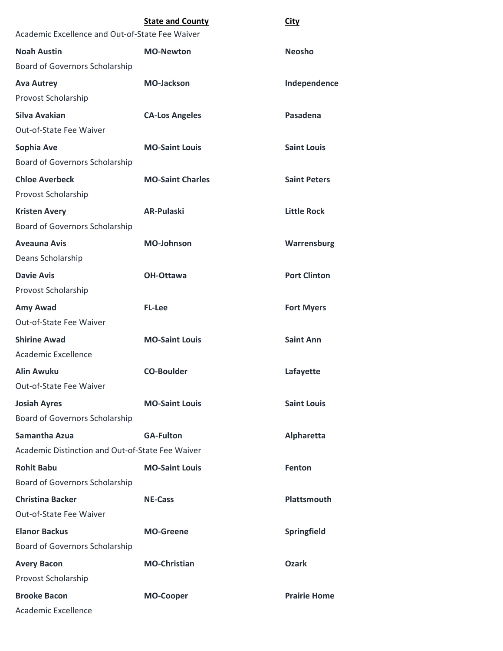|                                                  | <b>State and County</b> | City                |
|--------------------------------------------------|-------------------------|---------------------|
| Academic Excellence and Out-of-State Fee Waiver  |                         |                     |
| <b>Noah Austin</b>                               | <b>MO-Newton</b>        | <b>Neosho</b>       |
| Board of Governors Scholarship                   |                         |                     |
| <b>Ava Autrey</b>                                | <b>MO-Jackson</b>       | Independence        |
| Provost Scholarship                              |                         |                     |
| <b>Silva Avakian</b>                             | <b>CA-Los Angeles</b>   | Pasadena            |
| Out-of-State Fee Waiver                          |                         |                     |
| Sophia Ave                                       | <b>MO-Saint Louis</b>   | <b>Saint Louis</b>  |
| Board of Governors Scholarship                   |                         |                     |
| <b>Chloe Averbeck</b>                            | <b>MO-Saint Charles</b> | <b>Saint Peters</b> |
| Provost Scholarship                              |                         |                     |
| <b>Kristen Avery</b>                             | <b>AR-Pulaski</b>       | <b>Little Rock</b>  |
| Board of Governors Scholarship                   |                         |                     |
| <b>Aveauna Avis</b>                              | <b>MO-Johnson</b>       | Warrensburg         |
| Deans Scholarship                                |                         |                     |
| <b>Davie Avis</b>                                | <b>OH-Ottawa</b>        | <b>Port Clinton</b> |
| Provost Scholarship                              |                         |                     |
| Amy Awad                                         | <b>FL-Lee</b>           | <b>Fort Myers</b>   |
| Out-of-State Fee Waiver                          |                         |                     |
| <b>Shirine Awad</b>                              | <b>MO-Saint Louis</b>   | <b>Saint Ann</b>    |
| <b>Academic Excellence</b>                       |                         |                     |
| <b>Alin Awuku</b>                                | <b>CO-Boulder</b>       | Lafayette           |
| Out-of-State Fee Waiver                          |                         |                     |
| <b>Josiah Ayres</b>                              | <b>MO-Saint Louis</b>   | <b>Saint Louis</b>  |
| Board of Governors Scholarship                   |                         |                     |
| <b>Samantha Azua</b>                             | <b>GA-Fulton</b>        | <b>Alpharetta</b>   |
| Academic Distinction and Out-of-State Fee Waiver |                         |                     |
| <b>Rohit Babu</b>                                | <b>MO-Saint Louis</b>   | Fenton              |
| Board of Governors Scholarship                   |                         |                     |
| <b>Christina Backer</b>                          | <b>NE-Cass</b>          | Plattsmouth         |
| Out-of-State Fee Waiver                          |                         |                     |
| <b>Elanor Backus</b>                             | <b>MO-Greene</b>        | Springfield         |
| Board of Governors Scholarship                   |                         |                     |
| <b>Avery Bacon</b>                               | <b>MO-Christian</b>     | <b>Ozark</b>        |
| Provost Scholarship                              |                         |                     |
| <b>Brooke Bacon</b>                              | <b>MO-Cooper</b>        | <b>Prairie Home</b> |
| Academic Excellence                              |                         |                     |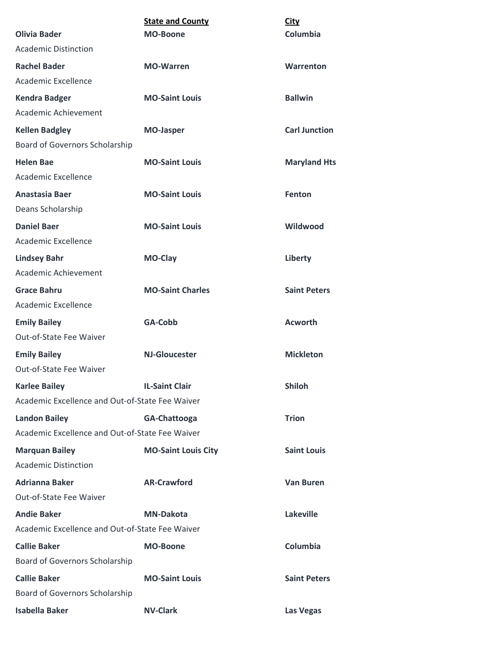|                                                 | <b>State and County</b>    | <b>City</b>          |
|-------------------------------------------------|----------------------------|----------------------|
| <b>Olivia Bader</b>                             | <b>MO-Boone</b>            | Columbia             |
| <b>Academic Distinction</b>                     |                            |                      |
| <b>Rachel Bader</b>                             | <b>MO-Warren</b>           | Warrenton            |
| Academic Excellence                             |                            |                      |
| <b>Kendra Badger</b>                            | <b>MO-Saint Louis</b>      | <b>Ballwin</b>       |
| Academic Achievement                            |                            |                      |
| <b>Kellen Badgley</b>                           | <b>MO-Jasper</b>           | <b>Carl Junction</b> |
| Board of Governors Scholarship                  |                            |                      |
| <b>Helen Bae</b>                                | <b>MO-Saint Louis</b>      | <b>Maryland Hts</b>  |
| Academic Excellence                             |                            |                      |
| Anastasia Baer                                  | <b>MO-Saint Louis</b>      | <b>Fenton</b>        |
| Deans Scholarship                               |                            |                      |
| <b>Daniel Baer</b>                              | <b>MO-Saint Louis</b>      | Wildwood             |
| Academic Excellence                             |                            |                      |
| <b>Lindsey Bahr</b>                             | <b>MO-Clay</b>             | Liberty              |
| Academic Achievement                            |                            |                      |
| <b>Grace Bahru</b>                              | <b>MO-Saint Charles</b>    | <b>Saint Peters</b>  |
| Academic Excellence                             |                            |                      |
| <b>Emily Bailey</b>                             | GA-Cobb                    | <b>Acworth</b>       |
| Out-of-State Fee Waiver                         |                            |                      |
| <b>Emily Bailey</b>                             | <b>NJ-Gloucester</b>       | <b>Mickleton</b>     |
| Out-of-State Fee Waiver                         |                            |                      |
| <b>Karlee Bailey</b>                            | <b>IL-Saint Clair</b>      | <b>Shiloh</b>        |
| Academic Excellence and Out-of-State Fee Waiver |                            |                      |
| <b>Landon Bailey</b>                            | GA-Chattooga               | <b>Trion</b>         |
| Academic Excellence and Out-of-State Fee Waiver |                            |                      |
| <b>Marquan Bailey</b>                           | <b>MO-Saint Louis City</b> | <b>Saint Louis</b>   |
| <b>Academic Distinction</b>                     |                            |                      |
| <b>Adrianna Baker</b>                           | <b>AR-Crawford</b>         | <b>Van Buren</b>     |
| Out-of-State Fee Waiver                         |                            |                      |
| <b>Andie Baker</b>                              | <b>MN-Dakota</b>           | <b>Lakeville</b>     |
| Academic Excellence and Out-of-State Fee Waiver |                            |                      |
| <b>Callie Baker</b>                             | <b>MO-Boone</b>            | Columbia             |
| Board of Governors Scholarship                  |                            |                      |
| <b>Callie Baker</b>                             | <b>MO-Saint Louis</b>      | <b>Saint Peters</b>  |
| Board of Governors Scholarship                  |                            |                      |
| <b>Isabella Baker</b>                           | <b>NV-Clark</b>            | Las Vegas            |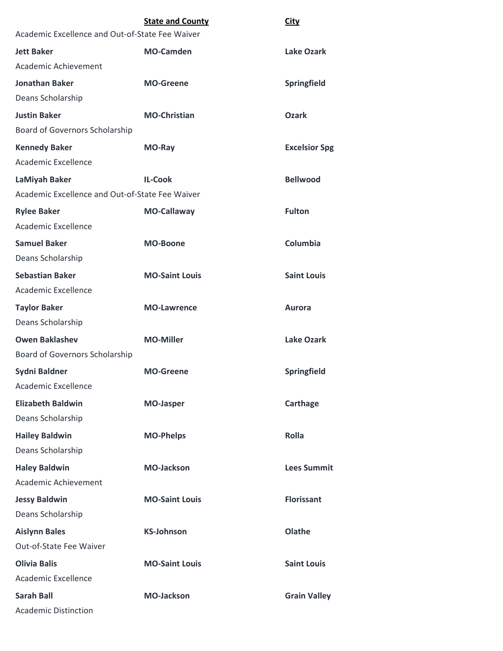|                                                 | <b>State and County</b> | <b>City</b>          |
|-------------------------------------------------|-------------------------|----------------------|
| Academic Excellence and Out-of-State Fee Waiver |                         |                      |
| <b>Jett Baker</b>                               | <b>MO-Camden</b>        | Lake Ozark           |
| Academic Achievement                            |                         |                      |
| <b>Jonathan Baker</b>                           | <b>MO-Greene</b>        | Springfield          |
| Deans Scholarship                               |                         |                      |
| <b>Justin Baker</b>                             | <b>MO-Christian</b>     | <b>Ozark</b>         |
| Board of Governors Scholarship                  |                         |                      |
| <b>Kennedy Baker</b>                            | MO-Ray                  | <b>Excelsior Spg</b> |
| Academic Excellence                             |                         |                      |
| LaMiyah Baker                                   | <b>IL-Cook</b>          | <b>Bellwood</b>      |
| Academic Excellence and Out-of-State Fee Waiver |                         |                      |
| <b>Rylee Baker</b>                              | <b>MO-Callaway</b>      | <b>Fulton</b>        |
| Academic Excellence                             |                         |                      |
| <b>Samuel Baker</b>                             | <b>MO-Boone</b>         | Columbia             |
| Deans Scholarship                               |                         |                      |
| <b>Sebastian Baker</b>                          | <b>MO-Saint Louis</b>   | <b>Saint Louis</b>   |
| Academic Excellence                             |                         |                      |
| <b>Taylor Baker</b>                             | <b>MO-Lawrence</b>      | <b>Aurora</b>        |
| Deans Scholarship                               |                         |                      |
| <b>Owen Baklashev</b>                           | <b>MO-Miller</b>        | <b>Lake Ozark</b>    |
| Board of Governors Scholarship                  |                         |                      |
| <b>Sydni Baldner</b>                            | <b>MO-Greene</b>        | Springfield          |
| Academic Excellence                             |                         |                      |
| <b>Elizabeth Baldwin</b>                        | <b>MO-Jasper</b>        | Carthage             |
| Deans Scholarship                               |                         |                      |
| <b>Hailey Baldwin</b>                           | <b>MO-Phelps</b>        | <b>Rolla</b>         |
| Deans Scholarship                               |                         |                      |
| <b>Haley Baldwin</b>                            | <b>MO-Jackson</b>       | <b>Lees Summit</b>   |
| Academic Achievement                            |                         |                      |
| <b>Jessy Baldwin</b>                            | <b>MO-Saint Louis</b>   | <b>Florissant</b>    |
| Deans Scholarship                               |                         |                      |
| <b>Aislynn Bales</b>                            | <b>KS-Johnson</b>       | Olathe               |
| Out-of-State Fee Waiver                         |                         |                      |
| <b>Olivia Balis</b>                             | <b>MO-Saint Louis</b>   | <b>Saint Louis</b>   |
| Academic Excellence                             |                         |                      |
| <b>Sarah Ball</b>                               | <b>MO-Jackson</b>       | <b>Grain Valley</b>  |
| <b>Academic Distinction</b>                     |                         |                      |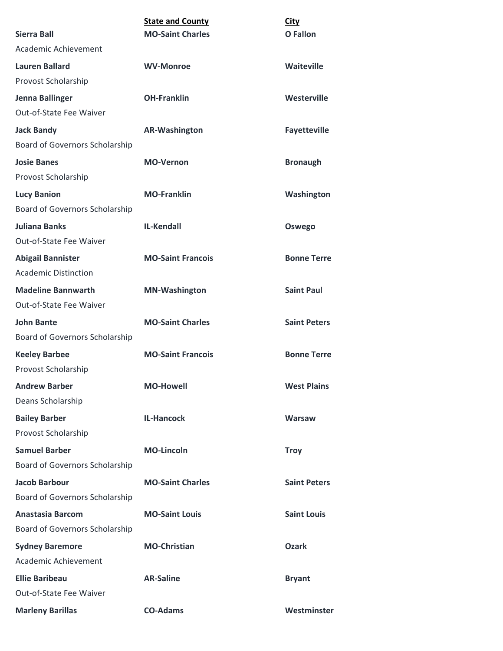|                                       | <b>State and County</b>  | <b>City</b>         |
|---------------------------------------|--------------------------|---------------------|
| <b>Sierra Ball</b>                    | <b>MO-Saint Charles</b>  | <b>O</b> Fallon     |
| Academic Achievement                  |                          |                     |
| <b>Lauren Ballard</b>                 | <b>WV-Monroe</b>         | <b>Waiteville</b>   |
| Provost Scholarship                   |                          |                     |
| Jenna Ballinger                       | <b>OH-Franklin</b>       | Westerville         |
| Out-of-State Fee Waiver               |                          |                     |
| <b>Jack Bandy</b>                     | <b>AR-Washington</b>     | <b>Fayetteville</b> |
| Board of Governors Scholarship        |                          |                     |
| <b>Josie Banes</b>                    | <b>MO-Vernon</b>         | <b>Bronaugh</b>     |
| Provost Scholarship                   |                          |                     |
| <b>Lucy Banion</b>                    | <b>MO-Franklin</b>       | Washington          |
| Board of Governors Scholarship        |                          |                     |
| <b>Juliana Banks</b>                  | <b>IL-Kendall</b>        | Oswego              |
| Out-of-State Fee Waiver               |                          |                     |
| <b>Abigail Bannister</b>              | <b>MO-Saint Francois</b> | <b>Bonne Terre</b>  |
| <b>Academic Distinction</b>           |                          |                     |
| <b>Madeline Bannwarth</b>             | <b>MN-Washington</b>     | <b>Saint Paul</b>   |
| Out-of-State Fee Waiver               |                          |                     |
| <b>John Bante</b>                     | <b>MO-Saint Charles</b>  | <b>Saint Peters</b> |
| Board of Governors Scholarship        |                          |                     |
| <b>Keeley Barbee</b>                  | <b>MO-Saint Francois</b> | <b>Bonne Terre</b>  |
| Provost Scholarship                   |                          |                     |
| <b>Andrew Barber</b>                  | <b>MO-Howell</b>         | <b>West Plains</b>  |
| Deans Scholarship                     |                          |                     |
| <b>Bailey Barber</b>                  | <b>IL-Hancock</b>        | <b>Warsaw</b>       |
| Provost Scholarship                   |                          |                     |
| <b>Samuel Barber</b>                  | <b>MO-Lincoln</b>        | <b>Troy</b>         |
| Board of Governors Scholarship        |                          |                     |
| <b>Jacob Barbour</b>                  | <b>MO-Saint Charles</b>  | <b>Saint Peters</b> |
| Board of Governors Scholarship        |                          |                     |
| <b>Anastasia Barcom</b>               | <b>MO-Saint Louis</b>    | <b>Saint Louis</b>  |
| <b>Board of Governors Scholarship</b> |                          |                     |
| <b>Sydney Baremore</b>                | <b>MO-Christian</b>      | <b>Ozark</b>        |
| Academic Achievement                  |                          |                     |
| <b>Ellie Baribeau</b>                 | <b>AR-Saline</b>         | <b>Bryant</b>       |
| Out-of-State Fee Waiver               |                          |                     |
| <b>Marleny Barillas</b>               | <b>CO-Adams</b>          | Westminster         |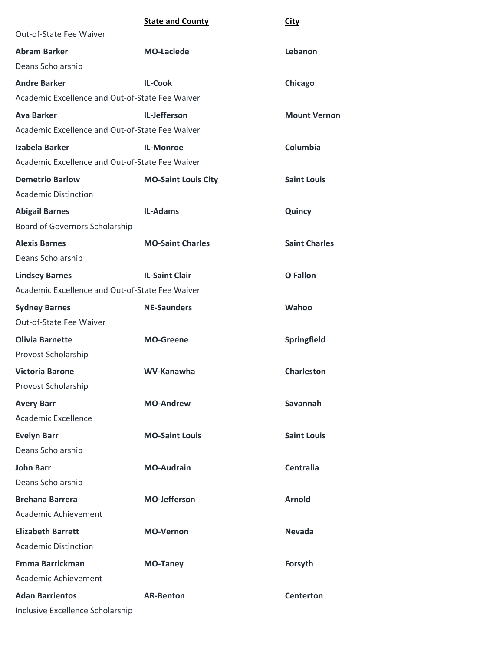| <b>State and County</b><br><b>City</b> |
|----------------------------------------|
|----------------------------------------|

| Out-of-State Fee Waiver                         |                            |                      |
|-------------------------------------------------|----------------------------|----------------------|
| <b>Abram Barker</b>                             | <b>MO-Laclede</b>          | Lebanon              |
| Deans Scholarship                               |                            |                      |
| <b>Andre Barker</b>                             | <b>IL-Cook</b>             | Chicago              |
| Academic Excellence and Out-of-State Fee Waiver |                            |                      |
| <b>Ava Barker</b>                               | IL-Jefferson               | <b>Mount Vernon</b>  |
| Academic Excellence and Out-of-State Fee Waiver |                            |                      |
| Izabela Barker                                  | <b>IL-Monroe</b>           | Columbia             |
| Academic Excellence and Out-of-State Fee Waiver |                            |                      |
| <b>Demetrio Barlow</b>                          | <b>MO-Saint Louis City</b> | <b>Saint Louis</b>   |
| <b>Academic Distinction</b>                     |                            |                      |
| <b>Abigail Barnes</b>                           | <b>IL-Adams</b>            | Quincy               |
| Board of Governors Scholarship                  |                            |                      |
| <b>Alexis Barnes</b>                            | <b>MO-Saint Charles</b>    | <b>Saint Charles</b> |
| Deans Scholarship                               |                            |                      |
| <b>Lindsey Barnes</b>                           | <b>IL-Saint Clair</b>      | <b>O</b> Fallon      |
| Academic Excellence and Out-of-State Fee Waiver |                            |                      |
| <b>Sydney Barnes</b>                            | <b>NE-Saunders</b>         | Wahoo                |
| Out-of-State Fee Waiver                         |                            |                      |
| <b>Olivia Barnette</b>                          | <b>MO-Greene</b>           | Springfield          |
| Provost Scholarship                             |                            |                      |
| <b>Victoria Barone</b>                          | WV-Kanawha                 | <b>Charleston</b>    |
| Provost Scholarship                             |                            |                      |
| <b>Avery Barr</b>                               | <b>MO-Andrew</b>           | Savannah             |
| Academic Excellence                             |                            |                      |
| <b>Evelyn Barr</b>                              | <b>MO-Saint Louis</b>      | <b>Saint Louis</b>   |
| Deans Scholarship                               |                            |                      |
| <b>John Barr</b>                                | <b>MO-Audrain</b>          | <b>Centralia</b>     |
| Deans Scholarship                               |                            |                      |
| <b>Brehana Barrera</b>                          | <b>MO-Jefferson</b>        | <b>Arnold</b>        |
| Academic Achievement                            |                            |                      |
| <b>Elizabeth Barrett</b>                        | <b>MO-Vernon</b>           | <b>Nevada</b>        |
| <b>Academic Distinction</b>                     |                            |                      |
| <b>Emma Barrickman</b>                          | <b>MO-Taney</b>            | Forsyth              |
| Academic Achievement                            |                            |                      |
| <b>Adan Barrientos</b>                          | <b>AR-Benton</b>           | <b>Centerton</b>     |
| Inclusive Excellence Scholarship                |                            |                      |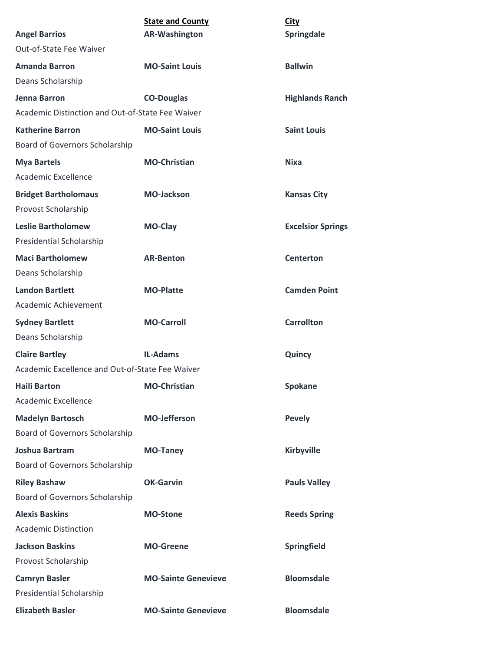|                                                  | <b>State and County</b>    | <b>City</b>              |
|--------------------------------------------------|----------------------------|--------------------------|
| <b>Angel Barrios</b>                             | <b>AR-Washington</b>       | Springdale               |
| Out-of-State Fee Waiver                          |                            |                          |
| <b>Amanda Barron</b>                             | <b>MO-Saint Louis</b>      | <b>Ballwin</b>           |
| Deans Scholarship                                |                            |                          |
| Jenna Barron                                     | <b>CO-Douglas</b>          | <b>Highlands Ranch</b>   |
| Academic Distinction and Out-of-State Fee Waiver |                            |                          |
| <b>Katherine Barron</b>                          | <b>MO-Saint Louis</b>      | <b>Saint Louis</b>       |
| Board of Governors Scholarship                   |                            |                          |
| <b>Mya Bartels</b>                               | <b>MO-Christian</b>        | <b>Nixa</b>              |
| Academic Excellence                              |                            |                          |
| <b>Bridget Bartholomaus</b>                      | <b>MO-Jackson</b>          | <b>Kansas City</b>       |
| Provost Scholarship                              |                            |                          |
| <b>Leslie Bartholomew</b>                        | <b>MO-Clay</b>             | <b>Excelsior Springs</b> |
| Presidential Scholarship                         |                            |                          |
| <b>Maci Bartholomew</b>                          | <b>AR-Benton</b>           | Centerton                |
| Deans Scholarship                                |                            |                          |
| <b>Landon Bartlett</b>                           | <b>MO-Platte</b>           | <b>Camden Point</b>      |
| Academic Achievement                             |                            |                          |
| <b>Sydney Bartlett</b>                           | <b>MO-Carroll</b>          | <b>Carrollton</b>        |
| Deans Scholarship                                |                            |                          |
| <b>Claire Bartley</b>                            | <b>IL-Adams</b>            | Quincy                   |
| Academic Excellence and Out-of-State Fee Waiver  |                            |                          |
| <b>Haili Barton</b>                              | <b>MO-Christian</b>        | Spokane                  |
| Academic Excellence                              |                            |                          |
| <b>Madelyn Bartosch</b>                          | <b>MO-Jefferson</b>        | <b>Pevely</b>            |
| Board of Governors Scholarship                   |                            |                          |
| <b>Joshua Bartram</b>                            | <b>MO-Taney</b>            | <b>Kirbyville</b>        |
| Board of Governors Scholarship                   |                            |                          |
| <b>Riley Bashaw</b>                              | <b>OK-Garvin</b>           | <b>Pauls Valley</b>      |
| Board of Governors Scholarship                   |                            |                          |
| <b>Alexis Baskins</b>                            | <b>MO-Stone</b>            | <b>Reeds Spring</b>      |
| <b>Academic Distinction</b>                      |                            |                          |
| <b>Jackson Baskins</b>                           | <b>MO-Greene</b>           | Springfield              |
| Provost Scholarship                              |                            |                          |
| <b>Camryn Basler</b>                             | <b>MO-Sainte Genevieve</b> | <b>Bloomsdale</b>        |
| Presidential Scholarship                         |                            |                          |
| <b>Elizabeth Basler</b>                          | <b>MO-Sainte Genevieve</b> | <b>Bloomsdale</b>        |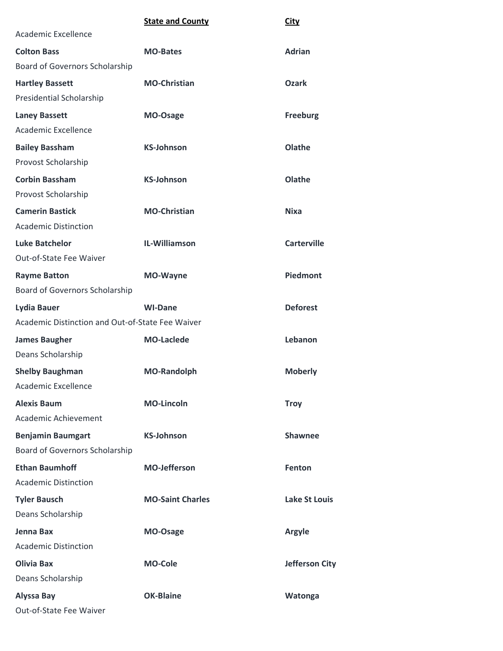|                                                  | <b>State and County</b> | <b>City</b>           |
|--------------------------------------------------|-------------------------|-----------------------|
| Academic Excellence                              |                         |                       |
| <b>Colton Bass</b>                               | <b>MO-Bates</b>         | <b>Adrian</b>         |
| Board of Governors Scholarship                   |                         |                       |
| <b>Hartley Bassett</b>                           | <b>MO-Christian</b>     | <b>Ozark</b>          |
| Presidential Scholarship                         |                         |                       |
| <b>Laney Bassett</b>                             | MO-Osage                | <b>Freeburg</b>       |
| Academic Excellence                              |                         |                       |
| <b>Bailey Bassham</b>                            | <b>KS-Johnson</b>       | Olathe                |
| Provost Scholarship                              |                         |                       |
| <b>Corbin Bassham</b>                            | <b>KS-Johnson</b>       | Olathe                |
| Provost Scholarship                              |                         |                       |
| <b>Camerin Bastick</b>                           | <b>MO-Christian</b>     | <b>Nixa</b>           |
| <b>Academic Distinction</b>                      |                         |                       |
| <b>Luke Batchelor</b>                            | IL-Williamson           | <b>Carterville</b>    |
| Out-of-State Fee Waiver                          |                         |                       |
| <b>Rayme Batton</b>                              | <b>MO-Wayne</b>         | Piedmont              |
| Board of Governors Scholarship                   |                         |                       |
| <b>Lydia Bauer</b>                               | <b>WI-Dane</b>          | <b>Deforest</b>       |
| Academic Distinction and Out-of-State Fee Waiver |                         |                       |
| <b>James Baugher</b>                             | <b>MO-Laclede</b>       | Lebanon               |
| Deans Scholarship                                |                         |                       |
| <b>Shelby Baughman</b>                           | <b>MO-Randolph</b>      | <b>Moberly</b>        |
| Academic Excellence                              |                         |                       |
| <b>Alexis Baum</b>                               | <b>MO-Lincoln</b>       | <b>Troy</b>           |
| Academic Achievement                             |                         |                       |
| <b>Benjamin Baumgart</b>                         | <b>KS-Johnson</b>       | <b>Shawnee</b>        |
| Board of Governors Scholarship                   |                         |                       |
| <b>Ethan Baumhoff</b>                            | <b>MO-Jefferson</b>     | <b>Fenton</b>         |
| <b>Academic Distinction</b>                      |                         |                       |
| <b>Tyler Bausch</b>                              | <b>MO-Saint Charles</b> | Lake St Louis         |
| Deans Scholarship                                |                         |                       |
| Jenna Bax                                        | MO-Osage                | <b>Argyle</b>         |
| <b>Academic Distinction</b>                      |                         |                       |
| <b>Olivia Bax</b>                                | <b>MO-Cole</b>          | <b>Jefferson City</b> |
| Deans Scholarship                                |                         |                       |
| <b>Alyssa Bay</b>                                | <b>OK-Blaine</b>        | Watonga               |
| Out-of-State Fee Waiver                          |                         |                       |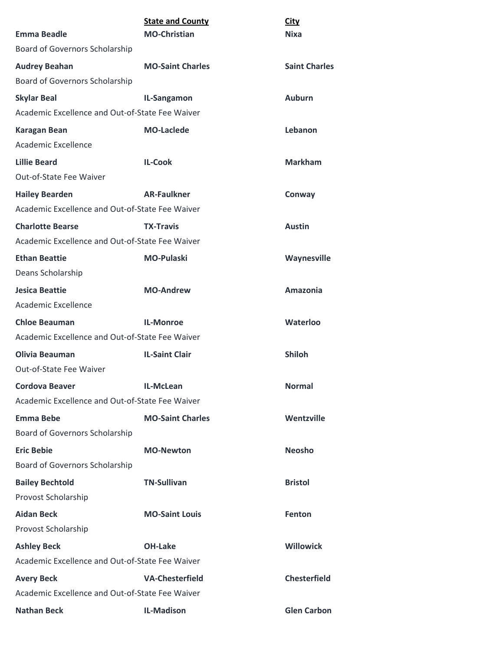| <b>Emma Beadle</b>                              | <b>State and County</b><br><b>MO-Christian</b> | <b>City</b><br><b>Nixa</b> |
|-------------------------------------------------|------------------------------------------------|----------------------------|
| Board of Governors Scholarship                  |                                                |                            |
| <b>Audrey Beahan</b>                            | <b>MO-Saint Charles</b>                        | <b>Saint Charles</b>       |
| Board of Governors Scholarship                  |                                                |                            |
| <b>Skylar Beal</b>                              | IL-Sangamon                                    | <b>Auburn</b>              |
| Academic Excellence and Out-of-State Fee Waiver |                                                |                            |
| <b>Karagan Bean</b>                             | <b>MO-Laclede</b>                              | Lebanon                    |
| Academic Excellence                             |                                                |                            |
| <b>Lillie Beard</b>                             | <b>IL-Cook</b>                                 | <b>Markham</b>             |
| <b>Out-of-State Fee Waiver</b>                  |                                                |                            |
| <b>Hailey Bearden</b>                           | <b>AR-Faulkner</b>                             | Conway                     |
| Academic Excellence and Out-of-State Fee Waiver |                                                |                            |
| <b>Charlotte Bearse</b>                         | <b>TX-Travis</b>                               | <b>Austin</b>              |
| Academic Excellence and Out-of-State Fee Waiver |                                                |                            |
| <b>Ethan Beattie</b>                            | <b>MO-Pulaski</b>                              | Waynesville                |
| Deans Scholarship                               |                                                |                            |
| <b>Jesica Beattie</b>                           | <b>MO-Andrew</b>                               | <b>Amazonia</b>            |
| Academic Excellence                             |                                                |                            |
| <b>Chloe Beauman</b>                            | <b>IL-Monroe</b>                               | <b>Waterloo</b>            |
| Academic Excellence and Out-of-State Fee Waiver |                                                |                            |
| Olivia Beauman                                  | <b>IL-Saint Clair</b>                          | <b>Shiloh</b>              |
| Out-of-State Fee Waiver                         |                                                |                            |
| <b>Cordova Beaver</b>                           | IL-McLean                                      | <b>Normal</b>              |
| Academic Excellence and Out-of-State Fee Waiver |                                                |                            |
| <b>Emma Bebe</b>                                | <b>MO-Saint Charles</b>                        | Wentzville                 |
| <b>Board of Governors Scholarship</b>           |                                                |                            |
| <b>Eric Bebie</b>                               | <b>MO-Newton</b>                               | <b>Neosho</b>              |
| <b>Board of Governors Scholarship</b>           |                                                |                            |
| <b>Bailey Bechtold</b>                          | <b>TN-Sullivan</b>                             | <b>Bristol</b>             |
| Provost Scholarship                             |                                                |                            |
| <b>Aidan Beck</b>                               | <b>MO-Saint Louis</b>                          | Fenton                     |
| Provost Scholarship                             |                                                |                            |
| <b>Ashley Beck</b>                              | <b>OH-Lake</b>                                 | <b>Willowick</b>           |
| Academic Excellence and Out-of-State Fee Waiver |                                                |                            |
| <b>Avery Beck</b>                               | <b>VA-Chesterfield</b>                         | <b>Chesterfield</b>        |
| Academic Excellence and Out-of-State Fee Waiver |                                                |                            |
| <b>Nathan Beck</b>                              | <b>IL-Madison</b>                              | <b>Glen Carbon</b>         |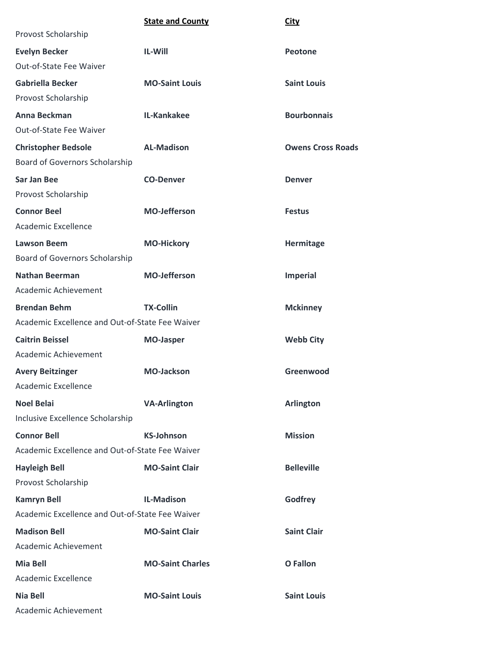|                                                 | <b>State and County</b> | <b>City</b>              |
|-------------------------------------------------|-------------------------|--------------------------|
| Provost Scholarship                             |                         |                          |
| <b>Evelyn Becker</b>                            | <b>IL-Will</b>          | Peotone                  |
| Out-of-State Fee Waiver                         |                         |                          |
| Gabriella Becker                                | <b>MO-Saint Louis</b>   | <b>Saint Louis</b>       |
| Provost Scholarship                             |                         |                          |
| Anna Beckman                                    | IL-Kankakee             | <b>Bourbonnais</b>       |
| Out-of-State Fee Waiver                         |                         |                          |
| <b>Christopher Bedsole</b>                      | <b>AL-Madison</b>       | <b>Owens Cross Roads</b> |
| Board of Governors Scholarship                  |                         |                          |
| <b>Sar Jan Bee</b>                              | <b>CO-Denver</b>        | <b>Denver</b>            |
| Provost Scholarship                             |                         |                          |
| <b>Connor Beel</b>                              | <b>MO-Jefferson</b>     | <b>Festus</b>            |
| Academic Excellence                             |                         |                          |
| <b>Lawson Beem</b>                              | <b>MO-Hickory</b>       | Hermitage                |
| Board of Governors Scholarship                  |                         |                          |
| <b>Nathan Beerman</b>                           | <b>MO-Jefferson</b>     | Imperial                 |
| Academic Achievement                            |                         |                          |
| <b>Brendan Behm</b>                             | <b>TX-Collin</b>        | <b>Mckinney</b>          |
| Academic Excellence and Out-of-State Fee Waiver |                         |                          |
| <b>Caitrin Beissel</b>                          | <b>MO-Jasper</b>        | <b>Webb City</b>         |
| Academic Achievement                            |                         |                          |
| <b>Avery Beitzinger</b>                         | <b>MO-Jackson</b>       | Greenwood                |
| Academic Excellence                             |                         |                          |
| <b>Noel Belai</b>                               | <b>VA-Arlington</b>     | <b>Arlington</b>         |
| Inclusive Excellence Scholarship                |                         |                          |
| <b>Connor Bell</b>                              | <b>KS-Johnson</b>       | <b>Mission</b>           |
| Academic Excellence and Out-of-State Fee Waiver |                         |                          |
| <b>Hayleigh Bell</b>                            | <b>MO-Saint Clair</b>   | <b>Belleville</b>        |
| Provost Scholarship                             |                         |                          |
| <b>Kamryn Bell</b>                              | <b>IL-Madison</b>       | Godfrey                  |
| Academic Excellence and Out-of-State Fee Waiver |                         |                          |
| <b>Madison Bell</b>                             | <b>MO-Saint Clair</b>   | <b>Saint Clair</b>       |
| Academic Achievement                            |                         |                          |
| <b>Mia Bell</b>                                 | <b>MO-Saint Charles</b> | <b>O</b> Fallon          |
| Academic Excellence                             |                         |                          |
| Nia Bell                                        | <b>MO-Saint Louis</b>   | <b>Saint Louis</b>       |
| Academic Achievement                            |                         |                          |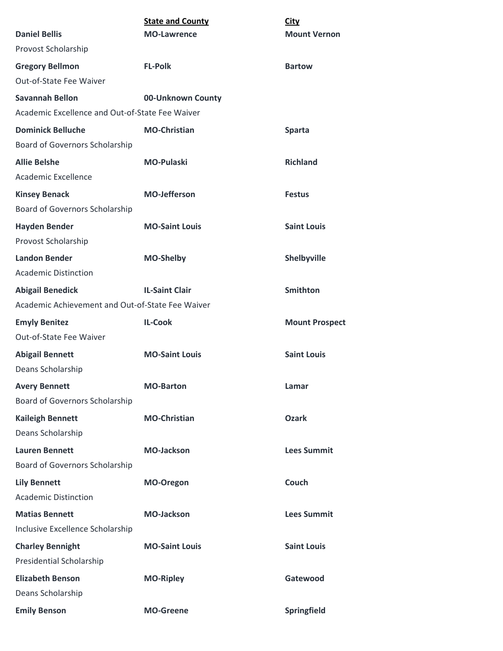|                                                  | <b>State and County</b> | <b>City</b>           |
|--------------------------------------------------|-------------------------|-----------------------|
| <b>Daniel Bellis</b>                             | <b>MO-Lawrence</b>      | <b>Mount Vernon</b>   |
| Provost Scholarship                              |                         |                       |
| <b>Gregory Bellmon</b>                           | <b>FL-Polk</b>          | <b>Bartow</b>         |
| Out-of-State Fee Waiver                          |                         |                       |
| <b>Savannah Bellon</b>                           | 00-Unknown County       |                       |
| Academic Excellence and Out-of-State Fee Waiver  |                         |                       |
| <b>Dominick Belluche</b>                         | <b>MO-Christian</b>     | <b>Sparta</b>         |
| Board of Governors Scholarship                   |                         |                       |
| <b>Allie Belshe</b>                              | <b>MO-Pulaski</b>       | <b>Richland</b>       |
| Academic Excellence                              |                         |                       |
| <b>Kinsey Benack</b>                             | <b>MO-Jefferson</b>     | <b>Festus</b>         |
| Board of Governors Scholarship                   |                         |                       |
| <b>Hayden Bender</b>                             | <b>MO-Saint Louis</b>   | <b>Saint Louis</b>    |
| Provost Scholarship                              |                         |                       |
| <b>Landon Bender</b>                             | <b>MO-Shelby</b>        | Shelbyville           |
| <b>Academic Distinction</b>                      |                         |                       |
| <b>Abigail Benedick</b>                          | <b>IL-Saint Clair</b>   | <b>Smithton</b>       |
| Academic Achievement and Out-of-State Fee Waiver |                         |                       |
| <b>Emyly Benitez</b>                             | <b>IL-Cook</b>          | <b>Mount Prospect</b> |
| Out-of-State Fee Waiver                          |                         |                       |
| <b>Abigail Bennett</b>                           | <b>MO-Saint Louis</b>   | <b>Saint Louis</b>    |
| Deans Scholarship                                |                         |                       |
| <b>Avery Bennett</b>                             | <b>MO-Barton</b>        | Lamar                 |
| <b>Board of Governors Scholarship</b>            |                         |                       |
| <b>Kaileigh Bennett</b>                          | <b>MO-Christian</b>     | <b>Ozark</b>          |
| Deans Scholarship                                |                         |                       |
| <b>Lauren Bennett</b>                            | <b>MO-Jackson</b>       | <b>Lees Summit</b>    |
| Board of Governors Scholarship                   |                         |                       |
|                                                  |                         |                       |
| <b>Lily Bennett</b>                              | MO-Oregon               | Couch                 |
| <b>Academic Distinction</b>                      |                         |                       |
| <b>Matias Bennett</b>                            | <b>MO-Jackson</b>       | <b>Lees Summit</b>    |
| Inclusive Excellence Scholarship                 |                         |                       |
| <b>Charley Bennight</b>                          | <b>MO-Saint Louis</b>   | <b>Saint Louis</b>    |
| Presidential Scholarship                         |                         |                       |
| <b>Elizabeth Benson</b>                          | <b>MO-Ripley</b>        | Gatewood              |
| Deans Scholarship                                |                         |                       |
| <b>Emily Benson</b>                              | <b>MO-Greene</b>        | Springfield           |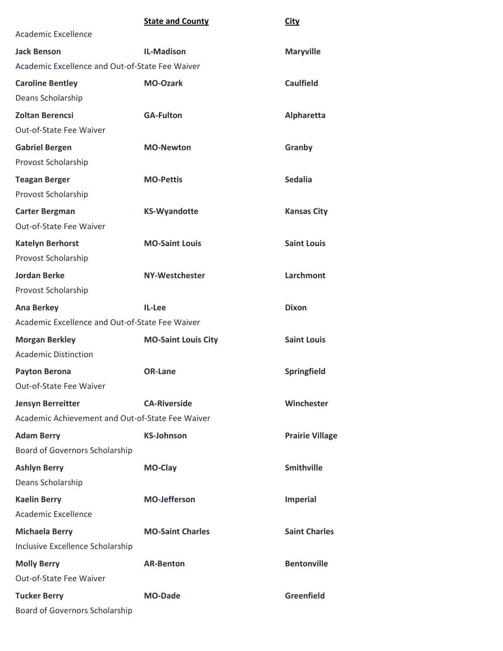|                                                  | <b>State and County</b>    | <b>City</b>            |
|--------------------------------------------------|----------------------------|------------------------|
| Academic Excellence                              |                            |                        |
| <b>Jack Benson</b>                               | <b>IL-Madison</b>          | <b>Maryville</b>       |
| Academic Excellence and Out-of-State Fee Waiver  |                            |                        |
| <b>Caroline Bentley</b>                          | <b>MO-Ozark</b>            | <b>Caulfield</b>       |
| Deans Scholarship                                |                            |                        |
| <b>Zoltan Berencsi</b>                           | <b>GA-Fulton</b>           | Alpharetta             |
| Out-of-State Fee Waiver                          |                            |                        |
| <b>Gabriel Bergen</b>                            | <b>MO-Newton</b>           | Granby                 |
| Provost Scholarship                              |                            |                        |
| <b>Teagan Berger</b>                             | <b>MO-Pettis</b>           | <b>Sedalia</b>         |
| Provost Scholarship                              |                            |                        |
| <b>Carter Bergman</b>                            | <b>KS-Wyandotte</b>        | <b>Kansas City</b>     |
| <b>Out-of-State Fee Waiver</b>                   |                            |                        |
| <b>Katelyn Berhorst</b>                          | <b>MO-Saint Louis</b>      | <b>Saint Louis</b>     |
| Provost Scholarship                              |                            |                        |
| <b>Jordan Berke</b>                              | <b>NY-Westchester</b>      | <b>Larchmont</b>       |
| Provost Scholarship                              |                            |                        |
| <b>Ana Berkey</b>                                | IL-Lee                     | <b>Dixon</b>           |
| Academic Excellence and Out-of-State Fee Waiver  |                            |                        |
| <b>Morgan Berkley</b>                            | <b>MO-Saint Louis City</b> | <b>Saint Louis</b>     |
| <b>Academic Distinction</b>                      |                            |                        |
| <b>Payton Berona</b>                             | <b>OR-Lane</b>             | <b>Springfield</b>     |
| Out-of-State Fee Waiver                          |                            |                        |
| <b>Jensyn Berreitter</b>                         | <b>CA-Riverside</b>        | Winchester             |
| Academic Achievement and Out-of-State Fee Waiver |                            |                        |
| <b>Adam Berry</b>                                | <b>KS-Johnson</b>          | <b>Prairie Village</b> |
| Board of Governors Scholarship                   |                            |                        |
| <b>Ashlyn Berry</b>                              | MO-Clay                    | <b>Smithville</b>      |
| Deans Scholarship                                |                            |                        |
| <b>Kaelin Berry</b>                              | <b>MO-Jefferson</b>        | <b>Imperial</b>        |
| Academic Excellence                              |                            |                        |
| <b>Michaela Berry</b>                            | <b>MO-Saint Charles</b>    | <b>Saint Charles</b>   |
| Inclusive Excellence Scholarship                 |                            |                        |
| <b>Molly Berry</b>                               | <b>AR-Benton</b>           | <b>Bentonville</b>     |
| Out-of-State Fee Waiver                          |                            |                        |
| <b>Tucker Berry</b>                              | <b>MO-Dade</b>             | <b>Greenfield</b>      |
| Board of Governors Scholarship                   |                            |                        |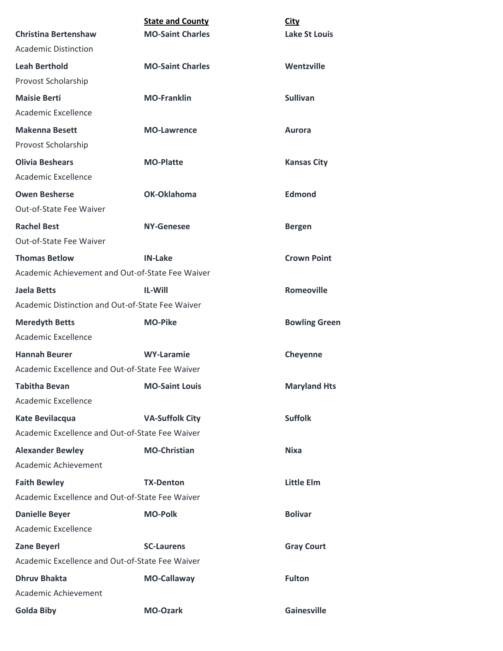|                                                  | <b>State and County</b> | <b>City</b>          |
|--------------------------------------------------|-------------------------|----------------------|
| <b>Christina Bertenshaw</b>                      | <b>MO-Saint Charles</b> | <b>Lake St Louis</b> |
| <b>Academic Distinction</b>                      |                         |                      |
| <b>Leah Berthold</b>                             | <b>MO-Saint Charles</b> | Wentzville           |
| Provost Scholarship                              |                         |                      |
| <b>Maisie Berti</b>                              | <b>MO-Franklin</b>      | <b>Sullivan</b>      |
| Academic Excellence                              |                         |                      |
| <b>Makenna Besett</b>                            | <b>MO-Lawrence</b>      | Aurora               |
| Provost Scholarship                              |                         |                      |
| <b>Olivia Beshears</b>                           | <b>MO-Platte</b>        | <b>Kansas City</b>   |
| Academic Excellence                              |                         |                      |
| <b>Owen Besherse</b>                             | OK-Oklahoma             | <b>Edmond</b>        |
| Out-of-State Fee Waiver                          |                         |                      |
| <b>Rachel Best</b>                               | NY-Genesee              | <b>Bergen</b>        |
| Out-of-State Fee Waiver                          |                         |                      |
| <b>Thomas Betlow</b>                             | <b>IN-Lake</b>          | <b>Crown Point</b>   |
| Academic Achievement and Out-of-State Fee Waiver |                         |                      |
| Jaela Betts                                      | <b>IL-Will</b>          | <b>Romeoville</b>    |
| Academic Distinction and Out-of-State Fee Waiver |                         |                      |
| <b>Meredyth Betts</b>                            | <b>MO-Pike</b>          | <b>Bowling Green</b> |
| Academic Excellence                              |                         |                      |
| <b>Hannah Beurer</b>                             | <b>WY-Laramie</b>       | Cheyenne             |
| Academic Excellence and Out-of-State Fee Waiver  |                         |                      |
| <b>Tabitha Bevan</b>                             | <b>MO-Saint Louis</b>   | <b>Maryland Hts</b>  |
| Academic Excellence                              |                         |                      |
| Kate Bevilacqua                                  | <b>VA-Suffolk City</b>  | <b>Suffolk</b>       |
| Academic Excellence and Out-of-State Fee Waiver  |                         |                      |
| <b>Alexander Bewley</b>                          | <b>MO-Christian</b>     | <b>Nixa</b>          |
| Academic Achievement                             |                         |                      |
| <b>Faith Bewley</b>                              | <b>TX-Denton</b>        | <b>Little Elm</b>    |
| Academic Excellence and Out-of-State Fee Waiver  |                         |                      |
| <b>Danielle Beyer</b>                            | <b>MO-Polk</b>          | <b>Bolivar</b>       |
| Academic Excellence                              |                         |                      |
| <b>Zane Beyerl</b>                               | <b>SC-Laurens</b>       | <b>Gray Court</b>    |
| Academic Excellence and Out-of-State Fee Waiver  |                         |                      |
| <b>Dhruv Bhakta</b>                              | <b>MO-Callaway</b>      | <b>Fulton</b>        |
| Academic Achievement                             |                         |                      |
| <b>Golda Biby</b>                                | <b>MO-Ozark</b>         | <b>Gainesville</b>   |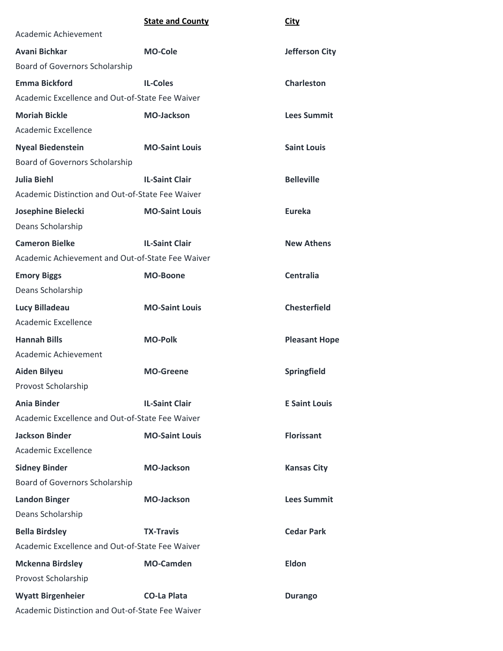| <b>State and County</b><br><b>City</b> |
|----------------------------------------|
|----------------------------------------|

| Academic Achievement                             |                       |                      |
|--------------------------------------------------|-----------------------|----------------------|
| Avani Bichkar                                    | <b>MO-Cole</b>        | Jefferson City       |
| Board of Governors Scholarship                   |                       |                      |
| <b>Emma Bickford</b>                             | <b>IL-Coles</b>       | <b>Charleston</b>    |
| Academic Excellence and Out-of-State Fee Waiver  |                       |                      |
| <b>Moriah Bickle</b>                             | <b>MO-Jackson</b>     | <b>Lees Summit</b>   |
| Academic Excellence                              |                       |                      |
| <b>Nyeal Biedenstein</b>                         | <b>MO-Saint Louis</b> | <b>Saint Louis</b>   |
| Board of Governors Scholarship                   |                       |                      |
| <b>Julia Biehl</b>                               | <b>IL-Saint Clair</b> | <b>Belleville</b>    |
| Academic Distinction and Out-of-State Fee Waiver |                       |                      |
| Josephine Bielecki                               | <b>MO-Saint Louis</b> | Eureka               |
| Deans Scholarship                                |                       |                      |
| <b>Cameron Bielke</b>                            | <b>IL-Saint Clair</b> | <b>New Athens</b>    |
| Academic Achievement and Out-of-State Fee Waiver |                       |                      |
| <b>Emory Biggs</b>                               | <b>MO-Boone</b>       | <b>Centralia</b>     |
| Deans Scholarship                                |                       |                      |
| Lucy Billadeau                                   | <b>MO-Saint Louis</b> | <b>Chesterfield</b>  |
| Academic Excellence                              |                       |                      |
| <b>Hannah Bills</b>                              | <b>MO-Polk</b>        | <b>Pleasant Hope</b> |
| Academic Achievement                             |                       |                      |
| <b>Aiden Bilyeu</b>                              | <b>MO-Greene</b>      | Springfield          |
| Provost Scholarship                              |                       |                      |
| <b>Ania Binder</b>                               | <b>IL-Saint Clair</b> | <b>E Saint Louis</b> |
| Academic Excellence and Out-of-State Fee Waiver  |                       |                      |
| <b>Jackson Binder</b>                            | <b>MO-Saint Louis</b> | <b>Florissant</b>    |
| <b>Academic Excellence</b>                       |                       |                      |
| <b>Sidney Binder</b>                             | <b>MO-Jackson</b>     | <b>Kansas City</b>   |
| Board of Governors Scholarship                   |                       |                      |
| <b>Landon Binger</b>                             | <b>MO-Jackson</b>     | <b>Lees Summit</b>   |
| Deans Scholarship                                |                       |                      |
| <b>Bella Birdsley</b>                            | <b>TX-Travis</b>      | <b>Cedar Park</b>    |
| Academic Excellence and Out-of-State Fee Waiver  |                       |                      |
| <b>Mckenna Birdsley</b>                          | <b>MO-Camden</b>      | <b>Eldon</b>         |
| Provost Scholarship                              |                       |                      |
| <b>Wyatt Birgenheier</b>                         | <b>CO-La Plata</b>    | <b>Durango</b>       |
| Academic Distinction and Out-of-State Fee Waiver |                       |                      |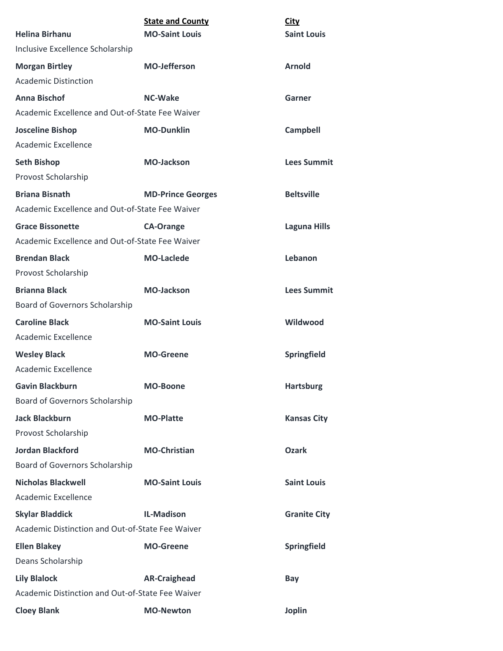|                                                  | <b>State and County</b>  | <b>City</b>         |
|--------------------------------------------------|--------------------------|---------------------|
| <b>Helina Birhanu</b>                            | <b>MO-Saint Louis</b>    | <b>Saint Louis</b>  |
| Inclusive Excellence Scholarship                 |                          |                     |
| <b>Morgan Birtley</b>                            | <b>MO-Jefferson</b>      | <b>Arnold</b>       |
| <b>Academic Distinction</b>                      |                          |                     |
| <b>Anna Bischof</b>                              | <b>NC-Wake</b>           | Garner              |
| Academic Excellence and Out-of-State Fee Waiver  |                          |                     |
| <b>Josceline Bishop</b>                          | <b>MO-Dunklin</b>        | <b>Campbell</b>     |
| Academic Excellence                              |                          |                     |
| <b>Seth Bishop</b>                               | <b>MO-Jackson</b>        | <b>Lees Summit</b>  |
| Provost Scholarship                              |                          |                     |
| <b>Briana Bisnath</b>                            | <b>MD-Prince Georges</b> | <b>Beltsville</b>   |
| Academic Excellence and Out-of-State Fee Waiver  |                          |                     |
| <b>Grace Bissonette</b>                          | <b>CA-Orange</b>         | <b>Laguna Hills</b> |
| Academic Excellence and Out-of-State Fee Waiver  |                          |                     |
| <b>Brendan Black</b>                             | <b>MO-Laclede</b>        | Lebanon             |
| Provost Scholarship                              |                          |                     |
| <b>Brianna Black</b>                             | <b>MO-Jackson</b>        | <b>Lees Summit</b>  |
| Board of Governors Scholarship                   |                          |                     |
| <b>Caroline Black</b>                            | <b>MO-Saint Louis</b>    | Wildwood            |
| Academic Excellence                              |                          |                     |
| <b>Wesley Black</b>                              | <b>MO-Greene</b>         | Springfield         |
| Academic Excellence                              |                          |                     |
| <b>Gavin Blackburn</b>                           | <b>MO-Boone</b>          | <b>Hartsburg</b>    |
| Board of Governors Scholarship                   |                          |                     |
| <b>Jack Blackburn</b>                            | <b>MO-Platte</b>         | <b>Kansas City</b>  |
| Provost Scholarship                              |                          |                     |
| <b>Jordan Blackford</b>                          | <b>MO-Christian</b>      | <b>Ozark</b>        |
| Board of Governors Scholarship                   |                          |                     |
| <b>Nicholas Blackwell</b>                        | <b>MO-Saint Louis</b>    | <b>Saint Louis</b>  |
| Academic Excellence                              |                          |                     |
| <b>Skylar Bladdick</b>                           | <b>IL-Madison</b>        | <b>Granite City</b> |
| Academic Distinction and Out-of-State Fee Waiver |                          |                     |
| <b>Ellen Blakey</b>                              | <b>MO-Greene</b>         | Springfield         |
| Deans Scholarship                                |                          |                     |
| <b>Lily Blalock</b>                              | <b>AR-Craighead</b>      | Bay                 |
| Academic Distinction and Out-of-State Fee Waiver |                          |                     |
| <b>Cloey Blank</b>                               | <b>MO-Newton</b>         | <b>Joplin</b>       |
|                                                  |                          |                     |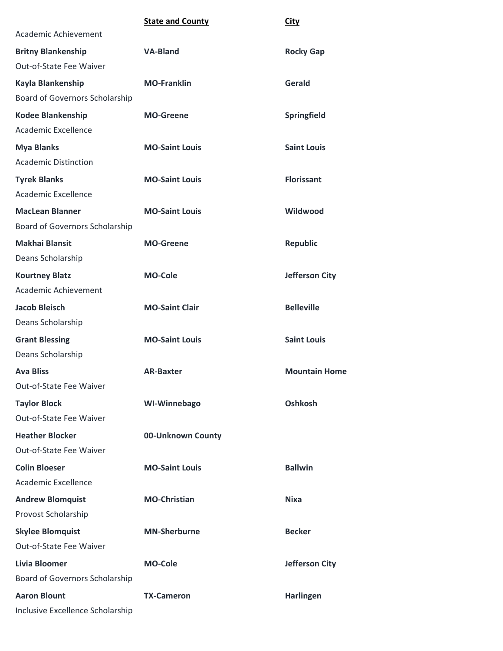|                                  | <b>State and County</b> | <b>City</b>           |
|----------------------------------|-------------------------|-----------------------|
| Academic Achievement             |                         |                       |
| <b>Britny Blankenship</b>        | <b>VA-Bland</b>         | <b>Rocky Gap</b>      |
| Out-of-State Fee Waiver          |                         |                       |
| Kayla Blankenship                | <b>MO-Franklin</b>      | Gerald                |
| Board of Governors Scholarship   |                         |                       |
| <b>Kodee Blankenship</b>         | <b>MO-Greene</b>        | Springfield           |
| Academic Excellence              |                         |                       |
| <b>Mya Blanks</b>                | <b>MO-Saint Louis</b>   | <b>Saint Louis</b>    |
| <b>Academic Distinction</b>      |                         |                       |
| <b>Tyrek Blanks</b>              | <b>MO-Saint Louis</b>   | <b>Florissant</b>     |
| Academic Excellence              |                         |                       |
| <b>MacLean Blanner</b>           | <b>MO-Saint Louis</b>   | Wildwood              |
| Board of Governors Scholarship   |                         |                       |
| <b>Makhai Blansit</b>            | <b>MO-Greene</b>        | <b>Republic</b>       |
| Deans Scholarship                |                         |                       |
| <b>Kourtney Blatz</b>            | <b>MO-Cole</b>          | <b>Jefferson City</b> |
| Academic Achievement             |                         |                       |
| Jacob Bleisch                    | <b>MO-Saint Clair</b>   | <b>Belleville</b>     |
| Deans Scholarship                |                         |                       |
| <b>Grant Blessing</b>            | <b>MO-Saint Louis</b>   | <b>Saint Louis</b>    |
| Deans Scholarship                |                         |                       |
| <b>Ava Bliss</b>                 | <b>AR-Baxter</b>        | <b>Mountain Home</b>  |
| Out-of-State Fee Waiver          |                         |                       |
| <b>Taylor Block</b>              | <b>WI-Winnebago</b>     | <b>Oshkosh</b>        |
| Out-of-State Fee Waiver          |                         |                       |
| <b>Heather Blocker</b>           | 00-Unknown County       |                       |
| Out-of-State Fee Waiver          |                         |                       |
| <b>Colin Bloeser</b>             | <b>MO-Saint Louis</b>   | <b>Ballwin</b>        |
| Academic Excellence              |                         |                       |
| <b>Andrew Blomquist</b>          | <b>MO-Christian</b>     | <b>Nixa</b>           |
| Provost Scholarship              |                         |                       |
| <b>Skylee Blomquist</b>          | <b>MN-Sherburne</b>     | <b>Becker</b>         |
| Out-of-State Fee Waiver          |                         |                       |
| <b>Livia Bloomer</b>             | <b>MO-Cole</b>          | <b>Jefferson City</b> |
| Board of Governors Scholarship   |                         |                       |
| <b>Aaron Blount</b>              | <b>TX-Cameron</b>       | <b>Harlingen</b>      |
| Inclusive Excellence Scholarship |                         |                       |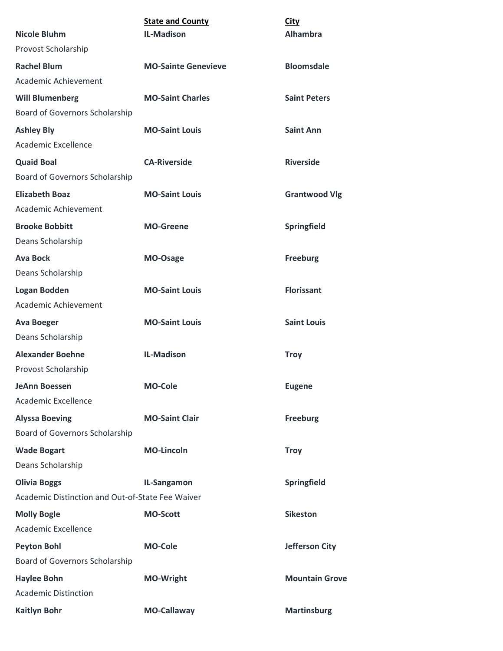| <b>Nicole Bluhm</b>                              | <b>State and County</b><br><b>IL-Madison</b> | <b>City</b><br><b>Alhambra</b> |
|--------------------------------------------------|----------------------------------------------|--------------------------------|
| Provost Scholarship                              |                                              |                                |
| <b>Rachel Blum</b>                               | <b>MO-Sainte Genevieve</b>                   | <b>Bloomsdale</b>              |
| Academic Achievement                             |                                              |                                |
| <b>Will Blumenberg</b>                           | <b>MO-Saint Charles</b>                      | <b>Saint Peters</b>            |
| Board of Governors Scholarship                   |                                              |                                |
| <b>Ashley Bly</b>                                | <b>MO-Saint Louis</b>                        | <b>Saint Ann</b>               |
| <b>Academic Excellence</b>                       |                                              |                                |
| <b>Quaid Boal</b>                                | <b>CA-Riverside</b>                          | <b>Riverside</b>               |
| Board of Governors Scholarship                   |                                              |                                |
| <b>Elizabeth Boaz</b>                            | <b>MO-Saint Louis</b>                        | <b>Grantwood Vlg</b>           |
| Academic Achievement                             |                                              |                                |
| <b>Brooke Bobbitt</b>                            | <b>MO-Greene</b>                             | Springfield                    |
| Deans Scholarship                                |                                              |                                |
| <b>Ava Bock</b>                                  | MO-Osage                                     | <b>Freeburg</b>                |
| Deans Scholarship                                |                                              |                                |
| Logan Bodden                                     | <b>MO-Saint Louis</b>                        | <b>Florissant</b>              |
| Academic Achievement                             |                                              |                                |
| <b>Ava Boeger</b>                                | <b>MO-Saint Louis</b>                        | <b>Saint Louis</b>             |
| Deans Scholarship                                |                                              |                                |
| <b>Alexander Boehne</b>                          | <b>IL-Madison</b>                            | <b>Troy</b>                    |
| Provost Scholarship                              |                                              |                                |
| <b>JeAnn Boessen</b>                             | <b>MO-Cole</b>                               | <b>Eugene</b>                  |
| <b>Academic Excellence</b>                       |                                              |                                |
| <b>Alyssa Boeving</b>                            | <b>MO-Saint Clair</b>                        | <b>Freeburg</b>                |
| Board of Governors Scholarship                   |                                              |                                |
| <b>Wade Bogart</b>                               | <b>MO-Lincoln</b>                            | <b>Troy</b>                    |
| Deans Scholarship                                |                                              |                                |
| <b>Olivia Boggs</b>                              | IL-Sangamon                                  | Springfield                    |
| Academic Distinction and Out-of-State Fee Waiver |                                              |                                |
| <b>Molly Bogle</b>                               | <b>MO-Scott</b>                              | <b>Sikeston</b>                |
| <b>Academic Excellence</b>                       |                                              |                                |
| <b>Peyton Bohl</b>                               | <b>MO-Cole</b>                               | <b>Jefferson City</b>          |
| Board of Governors Scholarship                   |                                              |                                |
| <b>Haylee Bohn</b>                               | <b>MO-Wright</b>                             | <b>Mountain Grove</b>          |
| <b>Academic Distinction</b>                      |                                              |                                |
| <b>Kaitlyn Bohr</b>                              | <b>MO-Callaway</b>                           | <b>Martinsburg</b>             |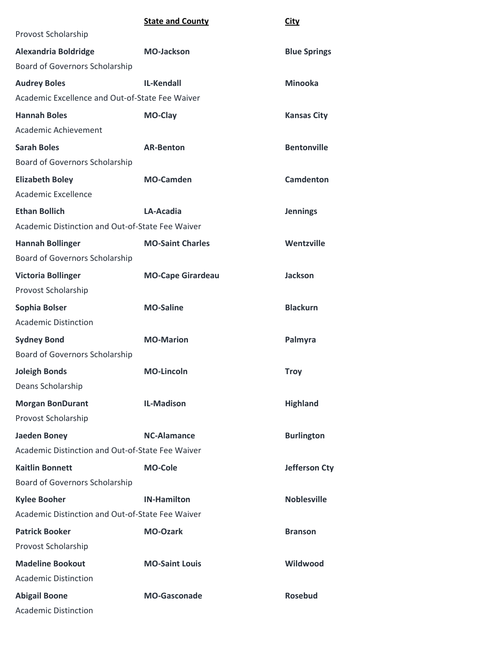|                                                  | <b>State and County</b>  | <b>City</b>          |
|--------------------------------------------------|--------------------------|----------------------|
| Provost Scholarship                              |                          |                      |
| <b>Alexandria Boldridge</b>                      | <b>MO-Jackson</b>        | <b>Blue Springs</b>  |
| Board of Governors Scholarship                   |                          |                      |
| <b>Audrey Boles</b>                              | <b>IL-Kendall</b>        | <b>Minooka</b>       |
| Academic Excellence and Out-of-State Fee Waiver  |                          |                      |
| <b>Hannah Boles</b>                              | MO-Clay                  | <b>Kansas City</b>   |
| Academic Achievement                             |                          |                      |
| <b>Sarah Boles</b>                               | <b>AR-Benton</b>         | <b>Bentonville</b>   |
| <b>Board of Governors Scholarship</b>            |                          |                      |
| <b>Elizabeth Boley</b>                           | <b>MO-Camden</b>         | <b>Camdenton</b>     |
| Academic Excellence                              |                          |                      |
| <b>Ethan Bollich</b>                             | LA-Acadia                | <b>Jennings</b>      |
| Academic Distinction and Out-of-State Fee Waiver |                          |                      |
| <b>Hannah Bollinger</b>                          | <b>MO-Saint Charles</b>  | Wentzville           |
| Board of Governors Scholarship                   |                          |                      |
| <b>Victoria Bollinger</b>                        | <b>MO-Cape Girardeau</b> | <b>Jackson</b>       |
| Provost Scholarship                              |                          |                      |
| Sophia Bolser                                    | <b>MO-Saline</b>         | <b>Blackurn</b>      |
| <b>Academic Distinction</b>                      |                          |                      |
| <b>Sydney Bond</b>                               | <b>MO-Marion</b>         | Palmyra              |
| Board of Governors Scholarship                   |                          |                      |
| <b>Joleigh Bonds</b>                             | <b>MO-Lincoln</b>        | <b>Troy</b>          |
| Deans Scholarship                                |                          |                      |
| <b>Morgan BonDurant</b>                          | <b>IL-Madison</b>        | <b>Highland</b>      |
| Provost Scholarship                              |                          |                      |
| <b>Jaeden Boney</b>                              | <b>NC-Alamance</b>       | <b>Burlington</b>    |
| Academic Distinction and Out-of-State Fee Waiver |                          |                      |
| <b>Kaitlin Bonnett</b>                           | <b>MO-Cole</b>           | <b>Jefferson Cty</b> |
| Board of Governors Scholarship                   |                          |                      |
| <b>Kylee Booher</b>                              | <b>IN-Hamilton</b>       | <b>Noblesville</b>   |
| Academic Distinction and Out-of-State Fee Waiver |                          |                      |
| <b>Patrick Booker</b>                            | <b>MO-Ozark</b>          | <b>Branson</b>       |
| Provost Scholarship                              |                          |                      |
| <b>Madeline Bookout</b>                          | <b>MO-Saint Louis</b>    | Wildwood             |
| <b>Academic Distinction</b>                      |                          |                      |
| <b>Abigail Boone</b>                             | <b>MO-Gasconade</b>      | <b>Rosebud</b>       |
| <b>Academic Distinction</b>                      |                          |                      |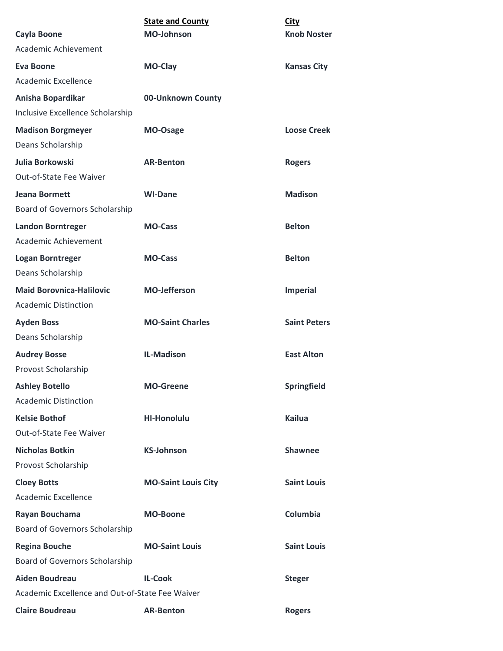|                                                 | <b>State and County</b>    | <b>City</b>         |
|-------------------------------------------------|----------------------------|---------------------|
| <b>Cayla Boone</b>                              | <b>MO-Johnson</b>          | <b>Knob Noster</b>  |
| Academic Achievement                            |                            |                     |
| <b>Eva Boone</b>                                | MO-Clay                    | <b>Kansas City</b>  |
| Academic Excellence                             |                            |                     |
| Anisha Bopardikar                               | 00-Unknown County          |                     |
| Inclusive Excellence Scholarship                |                            |                     |
| <b>Madison Borgmeyer</b>                        | MO-Osage                   | <b>Loose Creek</b>  |
| Deans Scholarship                               |                            |                     |
| Julia Borkowski                                 | <b>AR-Benton</b>           | <b>Rogers</b>       |
| Out-of-State Fee Waiver                         |                            |                     |
| <b>Jeana Bormett</b>                            | <b>WI-Dane</b>             | <b>Madison</b>      |
| Board of Governors Scholarship                  |                            |                     |
| <b>Landon Borntreger</b>                        | <b>MO-Cass</b>             | <b>Belton</b>       |
| Academic Achievement                            |                            |                     |
| <b>Logan Borntreger</b>                         | <b>MO-Cass</b>             | <b>Belton</b>       |
| Deans Scholarship                               |                            |                     |
| <b>Maid Borovnica-Halilovic</b>                 | <b>MO-Jefferson</b>        | <b>Imperial</b>     |
| <b>Academic Distinction</b>                     |                            |                     |
| <b>Ayden Boss</b>                               | <b>MO-Saint Charles</b>    | <b>Saint Peters</b> |
| Deans Scholarship                               |                            |                     |
| <b>Audrey Bosse</b>                             | <b>IL-Madison</b>          | <b>East Alton</b>   |
| Provost Scholarship                             |                            |                     |
| <b>Ashley Botello</b>                           | <b>MO-Greene</b>           | Springfield         |
| <b>Academic Distinction</b>                     |                            |                     |
| <b>Kelsie Bothof</b>                            | <b>HI-Honolulu</b>         | <b>Kailua</b>       |
| Out-of-State Fee Waiver                         |                            |                     |
| <b>Nicholas Botkin</b>                          | <b>KS-Johnson</b>          | <b>Shawnee</b>      |
| Provost Scholarship                             |                            |                     |
| <b>Cloey Botts</b>                              | <b>MO-Saint Louis City</b> | <b>Saint Louis</b>  |
| Academic Excellence                             |                            |                     |
| Rayan Bouchama                                  | <b>MO-Boone</b>            | Columbia            |
| Board of Governors Scholarship                  |                            |                     |
| <b>Regina Bouche</b>                            | <b>MO-Saint Louis</b>      | <b>Saint Louis</b>  |
| Board of Governors Scholarship                  |                            |                     |
| <b>Aiden Boudreau</b>                           | <b>IL-Cook</b>             | <b>Steger</b>       |
| Academic Excellence and Out-of-State Fee Waiver |                            |                     |
| <b>Claire Boudreau</b>                          | <b>AR-Benton</b>           | <b>Rogers</b>       |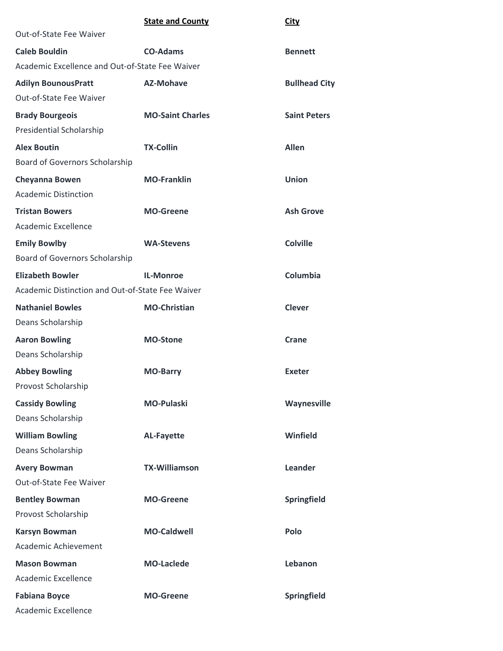|                                                  | <b>State and County</b> | <b>City</b>          |
|--------------------------------------------------|-------------------------|----------------------|
| Out-of-State Fee Waiver                          |                         |                      |
| <b>Caleb Bouldin</b>                             | <b>CO-Adams</b>         | <b>Bennett</b>       |
| Academic Excellence and Out-of-State Fee Waiver  |                         |                      |
| <b>Adilyn BounousPratt</b>                       | <b>AZ-Mohave</b>        | <b>Bullhead City</b> |
| Out-of-State Fee Waiver                          |                         |                      |
| <b>Brady Bourgeois</b>                           | <b>MO-Saint Charles</b> | <b>Saint Peters</b>  |
| Presidential Scholarship                         |                         |                      |
| <b>Alex Boutin</b>                               | <b>TX-Collin</b>        | <b>Allen</b>         |
| Board of Governors Scholarship                   |                         |                      |
| <b>Cheyanna Bowen</b>                            | <b>MO-Franklin</b>      | <b>Union</b>         |
| <b>Academic Distinction</b>                      |                         |                      |
| <b>Tristan Bowers</b>                            | <b>MO-Greene</b>        | <b>Ash Grove</b>     |
| Academic Excellence                              |                         |                      |
| <b>Emily Bowlby</b>                              | <b>WA-Stevens</b>       | <b>Colville</b>      |
| Board of Governors Scholarship                   |                         |                      |
| <b>Elizabeth Bowler</b>                          | <b>IL-Monroe</b>        | Columbia             |
| Academic Distinction and Out-of-State Fee Waiver |                         |                      |
| <b>Nathaniel Bowles</b>                          | <b>MO-Christian</b>     | <b>Clever</b>        |
| Deans Scholarship                                |                         |                      |
| <b>Aaron Bowling</b>                             | <b>MO-Stone</b>         | Crane                |
| Deans Scholarship                                |                         |                      |
| <b>Abbey Bowling</b>                             | <b>MO-Barry</b>         | <b>Exeter</b>        |
| Provost Scholarship                              |                         |                      |
| <b>Cassidy Bowling</b>                           | <b>MO-Pulaski</b>       | Waynesville          |
| Deans Scholarship                                |                         |                      |
| <b>William Bowling</b>                           | <b>AL-Fayette</b>       | Winfield             |
| Deans Scholarship                                |                         |                      |
| <b>Avery Bowman</b>                              | <b>TX-Williamson</b>    | Leander              |
| Out-of-State Fee Waiver                          |                         |                      |
| <b>Bentley Bowman</b>                            | <b>MO-Greene</b>        | Springfield          |
| Provost Scholarship                              |                         |                      |
| <b>Karsyn Bowman</b>                             | <b>MO-Caldwell</b>      | Polo                 |
| <b>Academic Achievement</b>                      |                         |                      |
| <b>Mason Bowman</b>                              | <b>MO-Laclede</b>       | Lebanon              |
| Academic Excellence                              |                         |                      |
| <b>Fabiana Boyce</b>                             | <b>MO-Greene</b>        | Springfield          |
| Academic Excellence                              |                         |                      |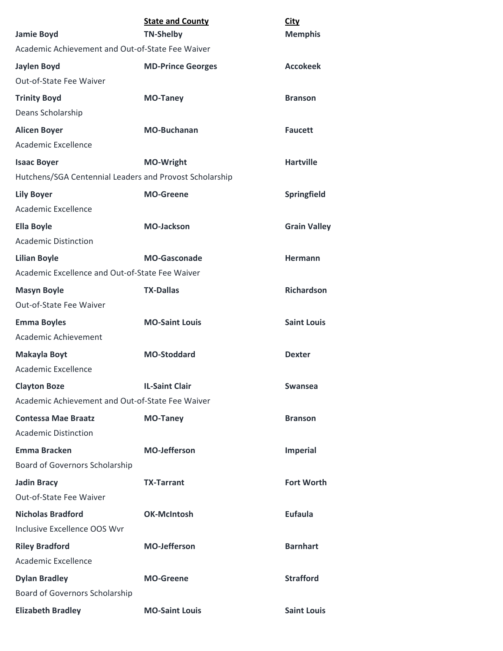|                                                         | <b>State and County</b>  | <b>City</b>         |
|---------------------------------------------------------|--------------------------|---------------------|
| <b>Jamie Boyd</b>                                       | <b>TN-Shelby</b>         | <b>Memphis</b>      |
| Academic Achievement and Out-of-State Fee Waiver        |                          |                     |
| <b>Jaylen Boyd</b>                                      | <b>MD-Prince Georges</b> | <b>Accokeek</b>     |
| Out-of-State Fee Waiver                                 |                          |                     |
| <b>Trinity Boyd</b>                                     | <b>MO-Taney</b>          | <b>Branson</b>      |
| Deans Scholarship                                       |                          |                     |
| <b>Alicen Boyer</b>                                     | <b>MO-Buchanan</b>       | <b>Faucett</b>      |
| Academic Excellence                                     |                          |                     |
| <b>Isaac Boyer</b>                                      | <b>MO-Wright</b>         | <b>Hartville</b>    |
| Hutchens/SGA Centennial Leaders and Provost Scholarship |                          |                     |
| <b>Lily Boyer</b>                                       | <b>MO-Greene</b>         | Springfield         |
| Academic Excellence                                     |                          |                     |
| <b>Ella Boyle</b>                                       | <b>MO-Jackson</b>        | <b>Grain Valley</b> |
| <b>Academic Distinction</b>                             |                          |                     |
| <b>Lilian Boyle</b>                                     | <b>MO-Gasconade</b>      | <b>Hermann</b>      |
| Academic Excellence and Out-of-State Fee Waiver         |                          |                     |
| <b>Masyn Boyle</b>                                      | <b>TX-Dallas</b>         | <b>Richardson</b>   |
| Out-of-State Fee Waiver                                 |                          |                     |
| <b>Emma Boyles</b>                                      | <b>MO-Saint Louis</b>    | <b>Saint Louis</b>  |
| Academic Achievement                                    |                          |                     |
| <b>Makayla Boyt</b>                                     | <b>MO-Stoddard</b>       | <b>Dexter</b>       |
| <b>Academic Excellence</b>                              |                          |                     |
| <b>Clayton Boze</b>                                     | <b>IL-Saint Clair</b>    | Swansea             |
| Academic Achievement and Out-of-State Fee Waiver        |                          |                     |
| <b>Contessa Mae Braatz</b>                              | <b>MO-Taney</b>          | <b>Branson</b>      |
| <b>Academic Distinction</b>                             |                          |                     |
| <b>Emma Bracken</b>                                     | <b>MO-Jefferson</b>      | <b>Imperial</b>     |
| Board of Governors Scholarship                          |                          |                     |
| <b>Jadin Bracy</b>                                      | <b>TX-Tarrant</b>        | <b>Fort Worth</b>   |
| Out-of-State Fee Waiver                                 |                          |                     |
| <b>Nicholas Bradford</b>                                | <b>OK-McIntosh</b>       | <b>Eufaula</b>      |
| Inclusive Excellence OOS Wvr                            |                          |                     |
| <b>Riley Bradford</b>                                   | <b>MO-Jefferson</b>      | <b>Barnhart</b>     |
| Academic Excellence                                     |                          |                     |
| <b>Dylan Bradley</b>                                    | <b>MO-Greene</b>         | <b>Strafford</b>    |
| Board of Governors Scholarship                          |                          |                     |
| <b>Elizabeth Bradley</b>                                | <b>MO-Saint Louis</b>    | <b>Saint Louis</b>  |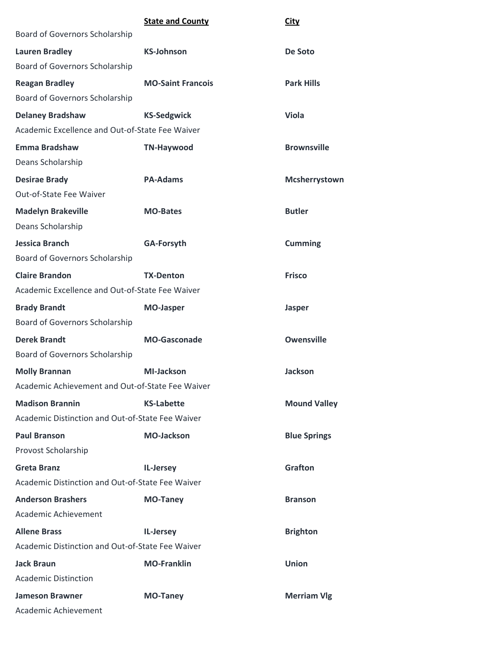|                                                  | <b>State and County</b>  | <b>City</b>         |
|--------------------------------------------------|--------------------------|---------------------|
| Board of Governors Scholarship                   |                          |                     |
| <b>Lauren Bradley</b>                            | <b>KS-Johnson</b>        | De Soto             |
| Board of Governors Scholarship                   |                          |                     |
| <b>Reagan Bradley</b>                            | <b>MO-Saint Francois</b> | <b>Park Hills</b>   |
| Board of Governors Scholarship                   |                          |                     |
| <b>Delaney Bradshaw</b>                          | <b>KS-Sedgwick</b>       | <b>Viola</b>        |
| Academic Excellence and Out-of-State Fee Waiver  |                          |                     |
| <b>Emma Bradshaw</b>                             | <b>TN-Haywood</b>        | <b>Brownsville</b>  |
| Deans Scholarship                                |                          |                     |
| <b>Desirae Brady</b>                             | <b>PA-Adams</b>          | Mcsherrystown       |
| <b>Out-of-State Fee Waiver</b>                   |                          |                     |
| <b>Madelyn Brakeville</b>                        | <b>MO-Bates</b>          | <b>Butler</b>       |
| Deans Scholarship                                |                          |                     |
| <b>Jessica Branch</b>                            | <b>GA-Forsyth</b>        | <b>Cumming</b>      |
| Board of Governors Scholarship                   |                          |                     |
| <b>Claire Brandon</b>                            | <b>TX-Denton</b>         | <b>Frisco</b>       |
| Academic Excellence and Out-of-State Fee Waiver  |                          |                     |
| <b>Brady Brandt</b>                              | <b>MO-Jasper</b>         | Jasper              |
| Board of Governors Scholarship                   |                          |                     |
| <b>Derek Brandt</b>                              | <b>MO-Gasconade</b>      | <b>Owensville</b>   |
| Board of Governors Scholarship                   |                          |                     |
| <b>Molly Brannan</b>                             | <b>MI-Jackson</b>        | <b>Jackson</b>      |
| Academic Achievement and Out-of-State Fee Waiver |                          |                     |
| <b>Madison Brannin</b>                           | <b>KS-Labette</b>        | <b>Mound Valley</b> |
| Academic Distinction and Out-of-State Fee Waiver |                          |                     |
| <b>Paul Branson</b>                              | <b>MO-Jackson</b>        | <b>Blue Springs</b> |
| Provost Scholarship                              |                          |                     |
| <b>Greta Branz</b>                               | IL-Jersey                | <b>Grafton</b>      |
| Academic Distinction and Out-of-State Fee Waiver |                          |                     |
| <b>Anderson Brashers</b>                         | <b>MO-Taney</b>          | <b>Branson</b>      |
| Academic Achievement                             |                          |                     |
| <b>Allene Brass</b>                              | IL-Jersey                | <b>Brighton</b>     |
| Academic Distinction and Out-of-State Fee Waiver |                          |                     |
| <b>Jack Braun</b>                                | <b>MO-Franklin</b>       | <b>Union</b>        |
| <b>Academic Distinction</b>                      |                          |                     |
| <b>Jameson Brawner</b>                           | <b>MO-Taney</b>          | <b>Merriam Vlg</b>  |
| Academic Achievement                             |                          |                     |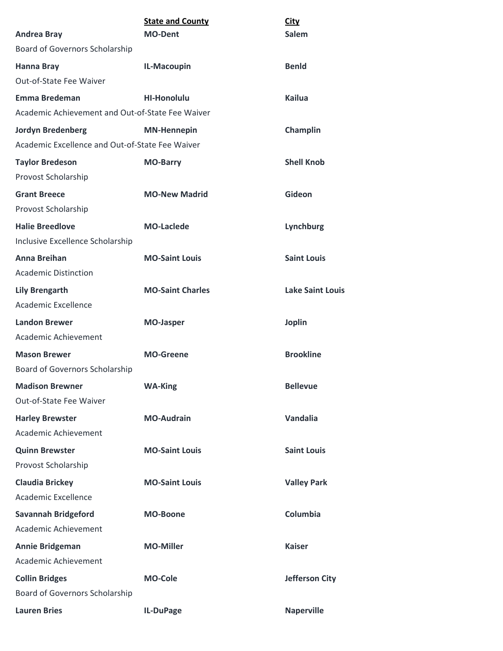| <b>Andrea Bray</b>                               | <b>State and County</b><br><b>MO-Dent</b> | <b>City</b><br><b>Salem</b> |
|--------------------------------------------------|-------------------------------------------|-----------------------------|
| Board of Governors Scholarship                   |                                           |                             |
| <b>Hanna Bray</b>                                | IL-Macoupin                               | <b>Benld</b>                |
| Out-of-State Fee Waiver                          |                                           |                             |
| <b>Emma Bredeman</b>                             | <b>HI-Honolulu</b>                        | <b>Kailua</b>               |
| Academic Achievement and Out-of-State Fee Waiver |                                           |                             |
| <b>Jordyn Bredenberg</b>                         | <b>MN-Hennepin</b>                        | Champlin                    |
| Academic Excellence and Out-of-State Fee Waiver  |                                           |                             |
| <b>Taylor Bredeson</b>                           | <b>MO-Barry</b>                           | <b>Shell Knob</b>           |
| Provost Scholarship                              |                                           |                             |
| <b>Grant Breece</b>                              | <b>MO-New Madrid</b>                      | Gideon                      |
| Provost Scholarship                              |                                           |                             |
| <b>Halie Breedlove</b>                           | <b>MO-Laclede</b>                         | Lynchburg                   |
| Inclusive Excellence Scholarship                 |                                           |                             |
| <b>Anna Breihan</b>                              | <b>MO-Saint Louis</b>                     | <b>Saint Louis</b>          |
| <b>Academic Distinction</b>                      |                                           |                             |
| <b>Lily Brengarth</b>                            | <b>MO-Saint Charles</b>                   | <b>Lake Saint Louis</b>     |
| <b>Academic Excellence</b>                       |                                           |                             |
| <b>Landon Brewer</b>                             | <b>MO-Jasper</b>                          | <b>Joplin</b>               |
| Academic Achievement                             |                                           |                             |
| <b>Mason Brewer</b>                              | <b>MO-Greene</b>                          | <b>Brookline</b>            |
| Board of Governors Scholarship                   |                                           |                             |
| <b>Madison Brewner</b>                           | <b>WA-King</b>                            | <b>Bellevue</b>             |
| Out-of-State Fee Waiver                          |                                           |                             |
| <b>Harley Brewster</b>                           | <b>MO-Audrain</b>                         | Vandalia                    |
| Academic Achievement                             |                                           |                             |
| <b>Quinn Brewster</b>                            | <b>MO-Saint Louis</b>                     | <b>Saint Louis</b>          |
| Provost Scholarship                              |                                           |                             |
| <b>Claudia Brickey</b>                           | <b>MO-Saint Louis</b>                     | <b>Valley Park</b>          |
| <b>Academic Excellence</b>                       |                                           |                             |
| <b>Savannah Bridgeford</b>                       | <b>MO-Boone</b>                           | Columbia                    |
| Academic Achievement                             |                                           |                             |
| <b>Annie Bridgeman</b>                           | <b>MO-Miller</b>                          | <b>Kaiser</b>               |
| Academic Achievement                             |                                           |                             |
| <b>Collin Bridges</b>                            | <b>MO-Cole</b>                            | <b>Jefferson City</b>       |
| Board of Governors Scholarship                   |                                           |                             |
| <b>Lauren Bries</b>                              | IL-DuPage                                 | <b>Naperville</b>           |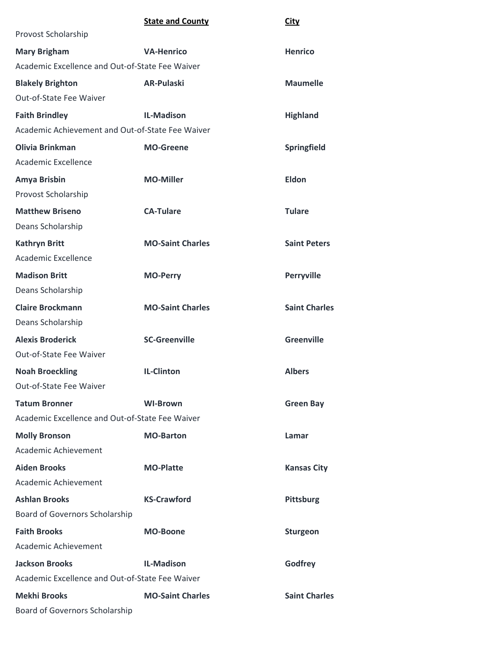|                                                  | <b>State and County</b> | <b>City</b>          |
|--------------------------------------------------|-------------------------|----------------------|
| Provost Scholarship                              |                         |                      |
| <b>Mary Brigham</b>                              | <b>VA-Henrico</b>       | <b>Henrico</b>       |
| Academic Excellence and Out-of-State Fee Waiver  |                         |                      |
| <b>Blakely Brighton</b>                          | <b>AR-Pulaski</b>       | <b>Maumelle</b>      |
| Out-of-State Fee Waiver                          |                         |                      |
| <b>Faith Brindley</b>                            | <b>IL-Madison</b>       | <b>Highland</b>      |
| Academic Achievement and Out-of-State Fee Waiver |                         |                      |
| <b>Olivia Brinkman</b>                           | <b>MO-Greene</b>        | Springfield          |
| Academic Excellence                              |                         |                      |
| Amya Brisbin                                     | <b>MO-Miller</b>        | <b>Eldon</b>         |
| Provost Scholarship                              |                         |                      |
| <b>Matthew Briseno</b>                           | <b>CA-Tulare</b>        | <b>Tulare</b>        |
| Deans Scholarship                                |                         |                      |
| <b>Kathryn Britt</b>                             | <b>MO-Saint Charles</b> | <b>Saint Peters</b>  |
| Academic Excellence                              |                         |                      |
| <b>Madison Britt</b>                             | <b>MO-Perry</b>         | Perryville           |
| Deans Scholarship                                |                         |                      |
| <b>Claire Brockmann</b>                          | <b>MO-Saint Charles</b> | <b>Saint Charles</b> |
| Deans Scholarship                                |                         |                      |
| <b>Alexis Broderick</b>                          | <b>SC-Greenville</b>    | Greenville           |
| Out-of-State Fee Waiver                          |                         |                      |
| <b>Noah Broeckling</b>                           | <b>IL-Clinton</b>       | <b>Albers</b>        |
| Out-of-State Fee Waiver                          |                         |                      |
| <b>Tatum Bronner</b>                             | <b>WI-Brown</b>         | <b>Green Bay</b>     |
| Academic Excellence and Out-of-State Fee Waiver  |                         |                      |
| <b>Molly Bronson</b>                             | <b>MO-Barton</b>        | Lamar                |
| <b>Academic Achievement</b>                      |                         |                      |
| <b>Aiden Brooks</b>                              | <b>MO-Platte</b>        | <b>Kansas City</b>   |
| Academic Achievement                             |                         |                      |
| <b>Ashlan Brooks</b>                             | <b>KS-Crawford</b>      | Pittsburg            |
| Board of Governors Scholarship                   |                         |                      |
| <b>Faith Brooks</b>                              | <b>MO-Boone</b>         | <b>Sturgeon</b>      |
| Academic Achievement                             |                         |                      |
| <b>Jackson Brooks</b>                            | <b>IL-Madison</b>       | Godfrey              |
| Academic Excellence and Out-of-State Fee Waiver  |                         |                      |
| <b>Mekhi Brooks</b>                              | <b>MO-Saint Charles</b> | <b>Saint Charles</b> |
| <b>Board of Governors Scholarship</b>            |                         |                      |
|                                                  |                         |                      |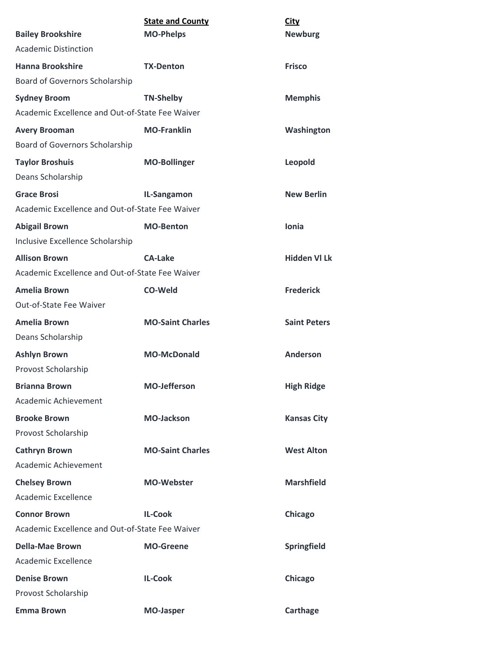| <b>Bailey Brookshire</b>                        | <b>State and County</b><br><b>MO-Phelps</b> | <b>City</b><br><b>Newburg</b> |
|-------------------------------------------------|---------------------------------------------|-------------------------------|
| <b>Academic Distinction</b>                     |                                             |                               |
| <b>Hanna Brookshire</b>                         | <b>TX-Denton</b>                            | <b>Frisco</b>                 |
| Board of Governors Scholarship                  |                                             |                               |
| <b>Sydney Broom</b>                             | <b>TN-Shelby</b>                            | <b>Memphis</b>                |
| Academic Excellence and Out-of-State Fee Waiver |                                             |                               |
| <b>Avery Brooman</b>                            | <b>MO-Franklin</b>                          | Washington                    |
| Board of Governors Scholarship                  |                                             |                               |
| <b>Taylor Broshuis</b>                          | <b>MO-Bollinger</b>                         | Leopold                       |
| Deans Scholarship                               |                                             |                               |
| <b>Grace Brosi</b>                              | IL-Sangamon                                 | <b>New Berlin</b>             |
| Academic Excellence and Out-of-State Fee Waiver |                                             |                               |
| <b>Abigail Brown</b>                            | <b>MO-Benton</b>                            | <b>Ionia</b>                  |
| Inclusive Excellence Scholarship                |                                             |                               |
| <b>Allison Brown</b>                            | <b>CA-Lake</b>                              | <b>Hidden VI Lk</b>           |
| Academic Excellence and Out-of-State Fee Waiver |                                             |                               |
| <b>Amelia Brown</b>                             | CO-Weld                                     | <b>Frederick</b>              |
| Out-of-State Fee Waiver                         |                                             |                               |
| <b>Amelia Brown</b>                             | <b>MO-Saint Charles</b>                     | <b>Saint Peters</b>           |
| Deans Scholarship                               |                                             |                               |
| <b>Ashlyn Brown</b>                             | <b>MO-McDonald</b>                          | Anderson                      |
| Provost Scholarship                             |                                             |                               |
| <b>Brianna Brown</b>                            | <b>MO-Jefferson</b>                         | <b>High Ridge</b>             |
| Academic Achievement                            |                                             |                               |
| <b>Brooke Brown</b>                             | <b>MO-Jackson</b>                           | <b>Kansas City</b>            |
| Provost Scholarship                             |                                             |                               |
| <b>Cathryn Brown</b>                            | <b>MO-Saint Charles</b>                     | <b>West Alton</b>             |
| Academic Achievement                            |                                             |                               |
| <b>Chelsey Brown</b>                            | <b>MO-Webster</b>                           | <b>Marshfield</b>             |
| Academic Excellence                             |                                             |                               |
| <b>Connor Brown</b>                             | <b>IL-Cook</b>                              | Chicago                       |
| Academic Excellence and Out-of-State Fee Waiver |                                             |                               |
| <b>Della-Mae Brown</b>                          | <b>MO-Greene</b>                            | Springfield                   |
| Academic Excellence                             |                                             |                               |
| <b>Denise Brown</b>                             | <b>IL-Cook</b>                              | Chicago                       |
| Provost Scholarship                             |                                             |                               |
| <b>Emma Brown</b>                               | <b>MO-Jasper</b>                            | <b>Carthage</b>               |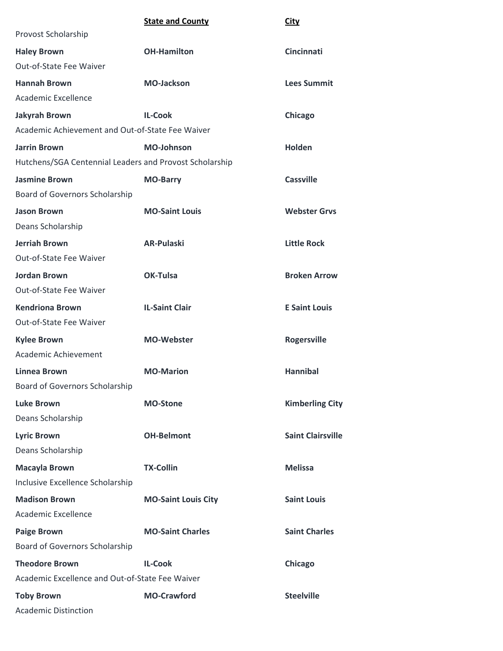|                                                         | <b>State and County</b>    | <b>City</b>              |
|---------------------------------------------------------|----------------------------|--------------------------|
| Provost Scholarship                                     |                            |                          |
| <b>Haley Brown</b>                                      | <b>OH-Hamilton</b>         | <b>Cincinnati</b>        |
| Out-of-State Fee Waiver                                 |                            |                          |
| <b>Hannah Brown</b>                                     | <b>MO-Jackson</b>          | <b>Lees Summit</b>       |
| <b>Academic Excellence</b>                              |                            |                          |
| <b>Jakyrah Brown</b>                                    | <b>IL-Cook</b>             | Chicago                  |
| Academic Achievement and Out-of-State Fee Waiver        |                            |                          |
| <b>Jarrin Brown</b>                                     | <b>MO-Johnson</b>          | <b>Holden</b>            |
| Hutchens/SGA Centennial Leaders and Provost Scholarship |                            |                          |
| <b>Jasmine Brown</b>                                    | <b>MO-Barry</b>            | <b>Cassville</b>         |
| Board of Governors Scholarship                          |                            |                          |
| <b>Jason Brown</b>                                      | <b>MO-Saint Louis</b>      | <b>Webster Grvs</b>      |
| Deans Scholarship                                       |                            |                          |
| <b>Jerriah Brown</b>                                    | <b>AR-Pulaski</b>          | <b>Little Rock</b>       |
| Out-of-State Fee Waiver                                 |                            |                          |
| <b>Jordan Brown</b>                                     | <b>OK-Tulsa</b>            | <b>Broken Arrow</b>      |
| Out-of-State Fee Waiver                                 |                            |                          |
| <b>Kendriona Brown</b>                                  | <b>IL-Saint Clair</b>      | <b>E Saint Louis</b>     |
| Out-of-State Fee Waiver                                 |                            |                          |
| <b>Kylee Brown</b>                                      | <b>MO-Webster</b>          | <b>Rogersville</b>       |
| Academic Achievement                                    |                            |                          |
| <b>Linnea Brown</b>                                     | <b>MO-Marion</b>           | <b>Hannibal</b>          |
| Board of Governors Scholarship                          |                            |                          |
| <b>Luke Brown</b>                                       | <b>MO-Stone</b>            | <b>Kimberling City</b>   |
| Deans Scholarship                                       |                            |                          |
| <b>Lyric Brown</b>                                      | <b>OH-Belmont</b>          | <b>Saint Clairsville</b> |
| Deans Scholarship                                       |                            |                          |
| <b>Macayla Brown</b>                                    | <b>TX-Collin</b>           | <b>Melissa</b>           |
| Inclusive Excellence Scholarship                        |                            |                          |
| <b>Madison Brown</b>                                    | <b>MO-Saint Louis City</b> | <b>Saint Louis</b>       |
| <b>Academic Excellence</b>                              |                            |                          |
| <b>Paige Brown</b>                                      | <b>MO-Saint Charles</b>    | <b>Saint Charles</b>     |
| Board of Governors Scholarship                          |                            |                          |
| <b>Theodore Brown</b>                                   | <b>IL-Cook</b>             | Chicago                  |
| Academic Excellence and Out-of-State Fee Waiver         |                            |                          |
| <b>Toby Brown</b>                                       | <b>MO-Crawford</b>         | <b>Steelville</b>        |
| <b>Academic Distinction</b>                             |                            |                          |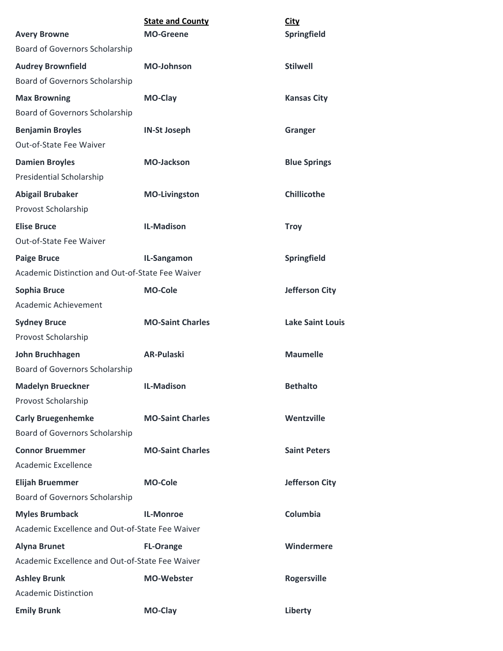|                                                          | <b>State and County</b> | <b>City</b>             |
|----------------------------------------------------------|-------------------------|-------------------------|
| <b>Avery Browne</b>                                      | <b>MO-Greene</b>        | Springfield             |
| Board of Governors Scholarship                           |                         |                         |
| <b>Audrey Brownfield</b>                                 | <b>MO-Johnson</b>       | <b>Stilwell</b>         |
| Board of Governors Scholarship                           |                         |                         |
| <b>Max Browning</b>                                      | MO-Clay                 | <b>Kansas City</b>      |
| Board of Governors Scholarship                           |                         |                         |
| <b>Benjamin Broyles</b>                                  | <b>IN-St Joseph</b>     | Granger                 |
| Out-of-State Fee Waiver                                  |                         |                         |
| <b>Damien Broyles</b><br><b>Presidential Scholarship</b> | <b>MO-Jackson</b>       | <b>Blue Springs</b>     |
| <b>Abigail Brubaker</b>                                  | <b>MO-Livingston</b>    | <b>Chillicothe</b>      |
| Provost Scholarship                                      |                         |                         |
| <b>Elise Bruce</b><br>Out-of-State Fee Waiver            | <b>IL-Madison</b>       | <b>Troy</b>             |
| <b>Paige Bruce</b>                                       | IL-Sangamon             | <b>Springfield</b>      |
| Academic Distinction and Out-of-State Fee Waiver         |                         |                         |
| Sophia Bruce                                             | <b>MO-Cole</b>          | <b>Jefferson City</b>   |
| Academic Achievement                                     |                         |                         |
| <b>Sydney Bruce</b>                                      | <b>MO-Saint Charles</b> | <b>Lake Saint Louis</b> |
| Provost Scholarship                                      |                         |                         |
| John Bruchhagen                                          | <b>AR-Pulaski</b>       | <b>Maumelle</b>         |
| Board of Governors Scholarship                           |                         |                         |
| <b>Madelyn Brueckner</b>                                 | <b>IL-Madison</b>       | <b>Bethalto</b>         |
| Provost Scholarship                                      |                         |                         |
| <b>Carly Bruegenhemke</b>                                | <b>MO-Saint Charles</b> | Wentzville              |
| Board of Governors Scholarship                           |                         |                         |
| <b>Connor Bruemmer</b>                                   | <b>MO-Saint Charles</b> | <b>Saint Peters</b>     |
| Academic Excellence                                      |                         |                         |
| <b>Elijah Bruemmer</b>                                   | <b>MO-Cole</b>          | <b>Jefferson City</b>   |
| <b>Board of Governors Scholarship</b>                    |                         |                         |
| <b>Myles Brumback</b>                                    | <b>IL-Monroe</b>        | Columbia                |
| Academic Excellence and Out-of-State Fee Waiver          |                         |                         |
| <b>Alyna Brunet</b>                                      | <b>FL-Orange</b>        | Windermere              |
| Academic Excellence and Out-of-State Fee Waiver          |                         |                         |
| <b>Ashley Brunk</b>                                      | <b>MO-Webster</b>       | Rogersville             |
| <b>Academic Distinction</b>                              |                         |                         |
| <b>Emily Brunk</b>                                       | MO-Clay                 | Liberty                 |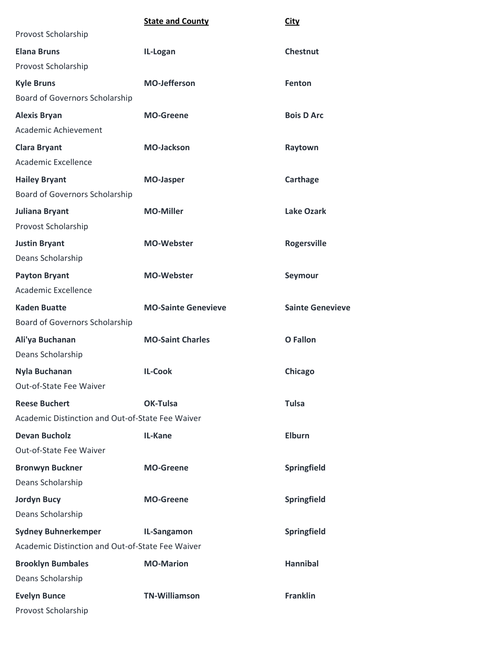|                                                  | <b>State and County</b>    | <b>City</b>             |
|--------------------------------------------------|----------------------------|-------------------------|
| Provost Scholarship                              |                            |                         |
| <b>Elana Bruns</b>                               | IL-Logan                   | <b>Chestnut</b>         |
| Provost Scholarship                              |                            |                         |
| <b>Kyle Bruns</b>                                | <b>MO-Jefferson</b>        | Fenton                  |
| Board of Governors Scholarship                   |                            |                         |
| <b>Alexis Bryan</b>                              | <b>MO-Greene</b>           | <b>Bois D Arc</b>       |
| Academic Achievement                             |                            |                         |
| <b>Clara Bryant</b>                              | <b>MO-Jackson</b>          | Raytown                 |
| Academic Excellence                              |                            |                         |
| <b>Hailey Bryant</b>                             | <b>MO-Jasper</b>           | Carthage                |
| Board of Governors Scholarship                   |                            |                         |
| <b>Juliana Bryant</b>                            | <b>MO-Miller</b>           | <b>Lake Ozark</b>       |
| Provost Scholarship                              |                            |                         |
| <b>Justin Bryant</b>                             | <b>MO-Webster</b>          | <b>Rogersville</b>      |
| Deans Scholarship                                |                            |                         |
| <b>Payton Bryant</b>                             | <b>MO-Webster</b>          | Seymour                 |
| Academic Excellence                              |                            |                         |
| <b>Kaden Buatte</b>                              | <b>MO-Sainte Genevieve</b> | <b>Sainte Genevieve</b> |
| Board of Governors Scholarship                   |                            |                         |
| Ali'ya Buchanan                                  | <b>MO-Saint Charles</b>    | <b>O</b> Fallon         |
| Deans Scholarship                                |                            |                         |
| Nyla Buchanan                                    | <b>IL-Cook</b>             | Chicago                 |
| Out-of-State Fee Waiver                          |                            |                         |
| <b>Reese Buchert</b>                             | OK-Tulsa                   | <b>Tulsa</b>            |
| Academic Distinction and Out-of-State Fee Waiver |                            |                         |
| <b>Devan Bucholz</b>                             | IL-Kane                    | <b>Elburn</b>           |
| Out-of-State Fee Waiver                          |                            |                         |
| <b>Bronwyn Buckner</b>                           | <b>MO-Greene</b>           | Springfield             |
| Deans Scholarship                                |                            |                         |
| <b>Jordyn Bucy</b>                               | <b>MO-Greene</b>           | Springfield             |
| Deans Scholarship                                |                            |                         |
| <b>Sydney Buhnerkemper</b>                       | IL-Sangamon                | <b>Springfield</b>      |
| Academic Distinction and Out-of-State Fee Waiver |                            |                         |
| <b>Brooklyn Bumbales</b>                         | <b>MO-Marion</b>           | <b>Hannibal</b>         |
| Deans Scholarship                                |                            |                         |
| <b>Evelyn Bunce</b>                              | <b>TN-Williamson</b>       | <b>Franklin</b>         |
| Provost Scholarship                              |                            |                         |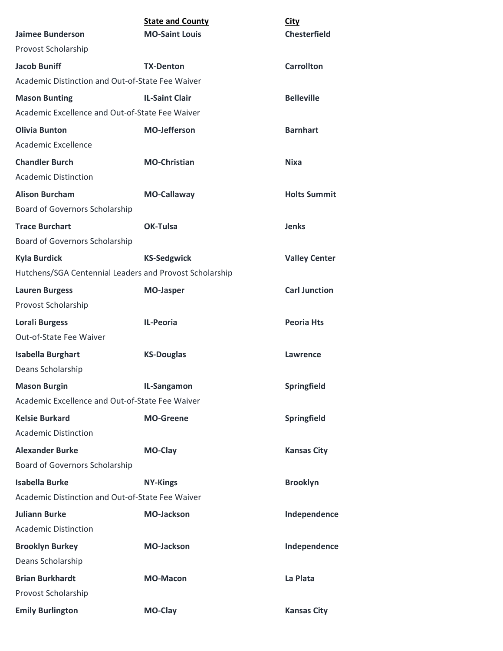|                                                         | <b>State and County</b> | <b>City</b>          |
|---------------------------------------------------------|-------------------------|----------------------|
| <b>Jaimee Bunderson</b>                                 | <b>MO-Saint Louis</b>   | <b>Chesterfield</b>  |
| Provost Scholarship                                     |                         |                      |
| <b>Jacob Buniff</b>                                     | <b>TX-Denton</b>        | <b>Carrollton</b>    |
| Academic Distinction and Out-of-State Fee Waiver        |                         |                      |
| <b>Mason Bunting</b>                                    | <b>IL-Saint Clair</b>   | <b>Belleville</b>    |
| Academic Excellence and Out-of-State Fee Waiver         |                         |                      |
| <b>Olivia Bunton</b>                                    | <b>MO-Jefferson</b>     | <b>Barnhart</b>      |
| Academic Excellence                                     |                         |                      |
| <b>Chandler Burch</b>                                   | <b>MO-Christian</b>     | <b>Nixa</b>          |
| <b>Academic Distinction</b>                             |                         |                      |
| <b>Alison Burcham</b>                                   | <b>MO-Callaway</b>      | <b>Holts Summit</b>  |
| Board of Governors Scholarship                          |                         |                      |
| <b>Trace Burchart</b>                                   | OK-Tulsa                | <b>Jenks</b>         |
| Board of Governors Scholarship                          |                         |                      |
| <b>Kyla Burdick</b>                                     | <b>KS-Sedgwick</b>      | <b>Valley Center</b> |
| Hutchens/SGA Centennial Leaders and Provost Scholarship |                         |                      |
| <b>Lauren Burgess</b>                                   | <b>MO-Jasper</b>        | <b>Carl Junction</b> |
| Provost Scholarship                                     |                         |                      |
| <b>Lorali Burgess</b>                                   | <b>IL-Peoria</b>        | <b>Peoria Hts</b>    |
| Out-of-State Fee Waiver                                 |                         |                      |
| <b>Isabella Burghart</b>                                | <b>KS-Douglas</b>       | Lawrence             |
| Deans Scholarship                                       |                         |                      |
| <b>Mason Burgin</b>                                     | IL-Sangamon             | Springfield          |
| Academic Excellence and Out-of-State Fee Waiver         |                         |                      |
| <b>Kelsie Burkard</b>                                   | <b>MO-Greene</b>        | Springfield          |
| <b>Academic Distinction</b>                             |                         |                      |
| <b>Alexander Burke</b>                                  | MO-Clay                 | <b>Kansas City</b>   |
| Board of Governors Scholarship                          |                         |                      |
| <b>Isabella Burke</b>                                   | <b>NY-Kings</b>         | <b>Brooklyn</b>      |
| Academic Distinction and Out-of-State Fee Waiver        |                         |                      |
| <b>Juliann Burke</b>                                    | <b>MO-Jackson</b>       | Independence         |
| <b>Academic Distinction</b>                             |                         |                      |
| <b>Brooklyn Burkey</b>                                  | <b>MO-Jackson</b>       | Independence         |
| Deans Scholarship                                       |                         |                      |
| <b>Brian Burkhardt</b>                                  | <b>MO-Macon</b>         | La Plata             |
| Provost Scholarship                                     |                         |                      |
| <b>Emily Burlington</b>                                 | MO-Clay                 | <b>Kansas City</b>   |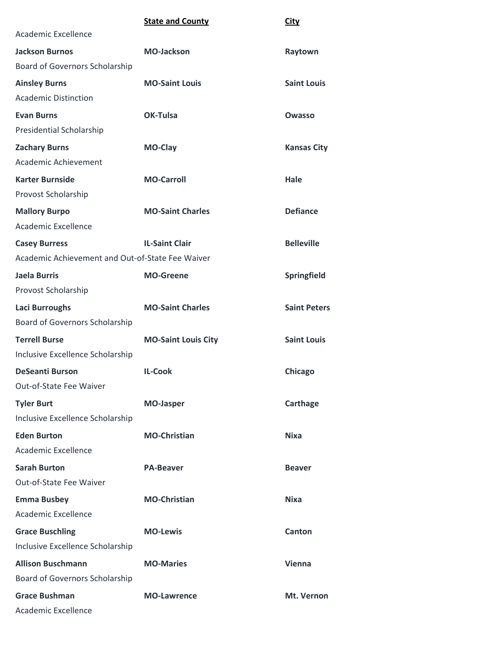|                                                  | <b>State and County</b>    | <b>City</b>         |
|--------------------------------------------------|----------------------------|---------------------|
| <b>Academic Excellence</b>                       |                            |                     |
| <b>Jackson Burnos</b>                            | <b>MO-Jackson</b>          | Raytown             |
| Board of Governors Scholarship                   |                            |                     |
| <b>Ainsley Burns</b>                             | <b>MO-Saint Louis</b>      | <b>Saint Louis</b>  |
| <b>Academic Distinction</b>                      |                            |                     |
| <b>Evan Burns</b>                                | <b>OK-Tulsa</b>            | Owasso              |
| Presidential Scholarship                         |                            |                     |
| <b>Zachary Burns</b>                             | MO-Clay                    | <b>Kansas City</b>  |
| Academic Achievement                             |                            |                     |
| <b>Karter Burnside</b>                           | <b>MO-Carroll</b>          | Hale                |
| Provost Scholarship                              |                            |                     |
| <b>Mallory Burpo</b>                             | <b>MO-Saint Charles</b>    | <b>Defiance</b>     |
| <b>Academic Excellence</b>                       |                            |                     |
| <b>Casey Burress</b>                             | <b>IL-Saint Clair</b>      | <b>Belleville</b>   |
| Academic Achievement and Out-of-State Fee Waiver |                            |                     |
| Jaela Burris                                     | <b>MO-Greene</b>           | Springfield         |
| Provost Scholarship                              |                            |                     |
| <b>Laci Burroughs</b>                            | <b>MO-Saint Charles</b>    | <b>Saint Peters</b> |
| Board of Governors Scholarship                   |                            |                     |
| <b>Terrell Burse</b>                             | <b>MO-Saint Louis City</b> | <b>Saint Louis</b>  |
| Inclusive Excellence Scholarship                 |                            |                     |
| <b>DeSeanti Burson</b>                           | <b>IL-Cook</b>             | Chicago             |
| Out-of-State Fee Waiver                          |                            |                     |
| <b>Tyler Burt</b>                                | <b>MO-Jasper</b>           | Carthage            |
| Inclusive Excellence Scholarship                 |                            |                     |
| <b>Eden Burton</b>                               | <b>MO-Christian</b>        | Nixa                |
| Academic Excellence                              |                            |                     |
| <b>Sarah Burton</b>                              | <b>PA-Beaver</b>           | <b>Beaver</b>       |
| Out-of-State Fee Waiver                          |                            |                     |
| <b>Emma Busbey</b>                               | <b>MO-Christian</b>        | <b>Nixa</b>         |
| <b>Academic Excellence</b>                       |                            |                     |
| <b>Grace Buschling</b>                           | <b>MO-Lewis</b>            | Canton              |
| Inclusive Excellence Scholarship                 |                            |                     |
| <b>Allison Buschmann</b>                         | <b>MO-Maries</b>           | <b>Vienna</b>       |
| Board of Governors Scholarship                   |                            |                     |
| <b>Grace Bushman</b>                             | <b>MO-Lawrence</b>         | Mt. Vernon          |
| Academic Excellence                              |                            |                     |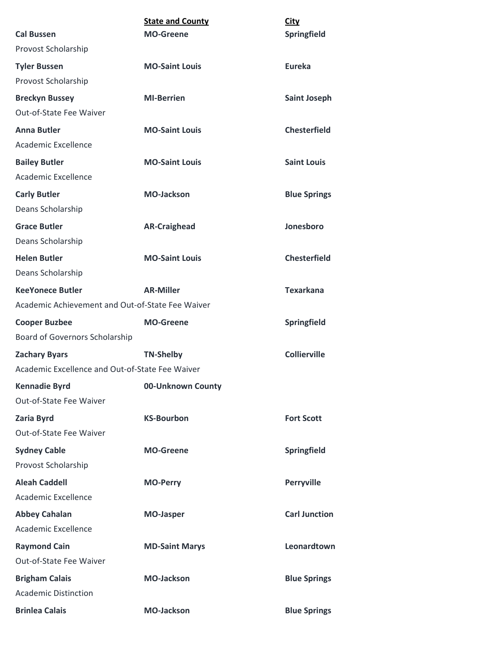|                                                  | <b>State and County</b> | <b>City</b>          |
|--------------------------------------------------|-------------------------|----------------------|
| <b>Cal Bussen</b>                                | <b>MO-Greene</b>        | Springfield          |
| Provost Scholarship                              |                         |                      |
| <b>Tyler Bussen</b>                              | <b>MO-Saint Louis</b>   | Eureka               |
| Provost Scholarship                              |                         |                      |
| <b>Breckyn Bussey</b>                            | <b>MI-Berrien</b>       | <b>Saint Joseph</b>  |
| Out-of-State Fee Waiver                          |                         |                      |
| <b>Anna Butler</b>                               | <b>MO-Saint Louis</b>   | <b>Chesterfield</b>  |
| Academic Excellence                              |                         |                      |
| <b>Bailey Butler</b>                             | <b>MO-Saint Louis</b>   | <b>Saint Louis</b>   |
| Academic Excellence                              |                         |                      |
| <b>Carly Butler</b>                              | <b>MO-Jackson</b>       | <b>Blue Springs</b>  |
| Deans Scholarship                                |                         |                      |
| <b>Grace Butler</b>                              | <b>AR-Craighead</b>     | Jonesboro            |
| Deans Scholarship                                |                         |                      |
| <b>Helen Butler</b>                              | <b>MO-Saint Louis</b>   | <b>Chesterfield</b>  |
| Deans Scholarship                                |                         |                      |
| <b>KeeYonece Butler</b>                          | <b>AR-Miller</b>        | <b>Texarkana</b>     |
| Academic Achievement and Out-of-State Fee Waiver |                         |                      |
| <b>Cooper Buzbee</b>                             | <b>MO-Greene</b>        | <b>Springfield</b>   |
| Board of Governors Scholarship                   |                         |                      |
| <b>Zachary Byars</b>                             | <b>TN-Shelby</b>        | <b>Collierville</b>  |
| Academic Excellence and Out-of-State Fee Waiver  |                         |                      |
| <b>Kennadie Byrd</b>                             | 00-Unknown County       |                      |
| Out-of-State Fee Waiver                          |                         |                      |
| Zaria Byrd                                       | <b>KS-Bourbon</b>       | <b>Fort Scott</b>    |
| Out-of-State Fee Waiver                          |                         |                      |
| <b>Sydney Cable</b>                              | <b>MO-Greene</b>        | Springfield          |
| Provost Scholarship                              |                         |                      |
| <b>Aleah Caddell</b>                             | <b>MO-Perry</b>         | Perryville           |
| Academic Excellence                              |                         |                      |
| <b>Abbey Cahalan</b>                             | <b>MO-Jasper</b>        | <b>Carl Junction</b> |
| Academic Excellence                              |                         |                      |
| <b>Raymond Cain</b>                              | <b>MD-Saint Marys</b>   | Leonardtown          |
| Out-of-State Fee Waiver                          |                         |                      |
| <b>Brigham Calais</b>                            | <b>MO-Jackson</b>       | <b>Blue Springs</b>  |
| <b>Academic Distinction</b>                      |                         |                      |
| <b>Brinlea Calais</b>                            | <b>MO-Jackson</b>       | <b>Blue Springs</b>  |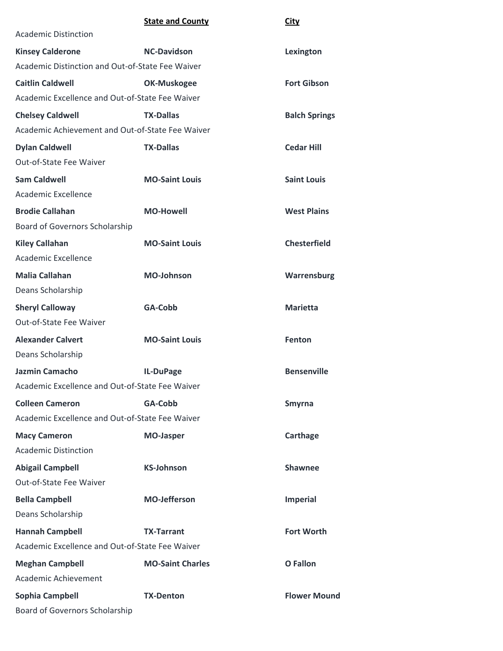**City** 

| <b>Academic Distinction</b>                      |                         |                      |
|--------------------------------------------------|-------------------------|----------------------|
| <b>Kinsey Calderone</b>                          | <b>NC-Davidson</b>      | Lexington            |
| Academic Distinction and Out-of-State Fee Waiver |                         |                      |
| <b>Caitlin Caldwell</b>                          | OK-Muskogee             | <b>Fort Gibson</b>   |
| Academic Excellence and Out-of-State Fee Waiver  |                         |                      |
| <b>Chelsey Caldwell</b>                          | <b>TX-Dallas</b>        | <b>Balch Springs</b> |
| Academic Achievement and Out-of-State Fee Waiver |                         |                      |
| <b>Dylan Caldwell</b>                            | <b>TX-Dallas</b>        | <b>Cedar Hill</b>    |
| Out-of-State Fee Waiver                          |                         |                      |
| <b>Sam Caldwell</b>                              | <b>MO-Saint Louis</b>   | <b>Saint Louis</b>   |
| Academic Excellence                              |                         |                      |
| <b>Brodie Callahan</b>                           | <b>MO-Howell</b>        | <b>West Plains</b>   |
| Board of Governors Scholarship                   |                         |                      |
| <b>Kiley Callahan</b>                            | <b>MO-Saint Louis</b>   | <b>Chesterfield</b>  |
| Academic Excellence                              |                         |                      |
| <b>Malia Callahan</b>                            | <b>MO-Johnson</b>       | Warrensburg          |
| Deans Scholarship                                |                         |                      |
| <b>Sheryl Calloway</b>                           | GA-Cobb                 | <b>Marietta</b>      |
| Out-of-State Fee Waiver                          |                         |                      |
| <b>Alexander Calvert</b>                         | <b>MO-Saint Louis</b>   | <b>Fenton</b>        |
| Deans Scholarship                                |                         |                      |
| <b>Jazmin Camacho</b>                            | IL-DuPage               | <b>Bensenville</b>   |
| Academic Excellence and Out-of-State Fee Waiver  |                         |                      |
| <b>Colleen Cameron</b>                           | GA-Cobb                 | Smyrna               |
| Academic Excellence and Out-of-State Fee Waiver  |                         |                      |
| <b>Macy Cameron</b>                              | <b>MO-Jasper</b>        | Carthage             |
| <b>Academic Distinction</b>                      |                         |                      |
| <b>Abigail Campbell</b>                          | <b>KS-Johnson</b>       | <b>Shawnee</b>       |
| Out-of-State Fee Waiver                          |                         |                      |
| <b>Bella Campbell</b>                            | <b>MO-Jefferson</b>     | <b>Imperial</b>      |
| Deans Scholarship                                |                         |                      |
| <b>Hannah Campbell</b>                           | <b>TX-Tarrant</b>       | <b>Fort Worth</b>    |
| Academic Excellence and Out-of-State Fee Waiver  |                         |                      |
| <b>Meghan Campbell</b>                           | <b>MO-Saint Charles</b> | <b>O</b> Fallon      |
| <b>Academic Achievement</b>                      |                         |                      |
| Sophia Campbell                                  | <b>TX-Denton</b>        | <b>Flower Mound</b>  |
| Board of Governors Scholarship                   |                         |                      |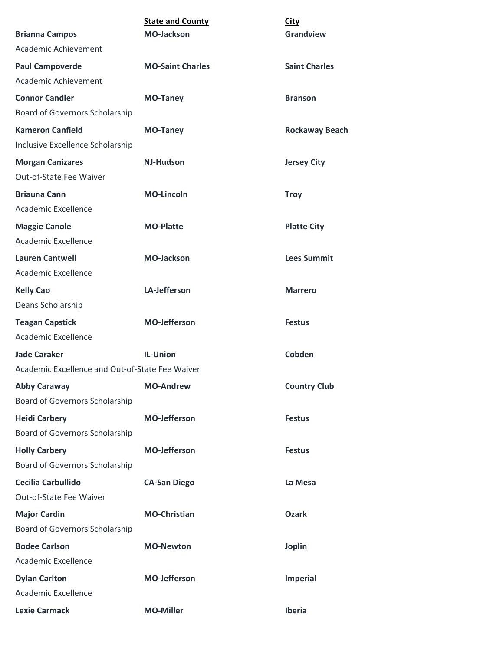| <b>State and County</b>                         | <b>City</b>           |
|-------------------------------------------------|-----------------------|
| <b>MO-Jackson</b>                               | Grandview             |
|                                                 |                       |
| <b>MO-Saint Charles</b>                         | <b>Saint Charles</b>  |
|                                                 |                       |
| <b>MO-Taney</b>                                 | <b>Branson</b>        |
|                                                 |                       |
| <b>MO-Taney</b>                                 | <b>Rockaway Beach</b> |
|                                                 |                       |
| <b>NJ-Hudson</b>                                | <b>Jersey City</b>    |
|                                                 |                       |
| <b>MO-Lincoln</b>                               | <b>Troy</b>           |
|                                                 |                       |
| <b>MO-Platte</b>                                | <b>Platte City</b>    |
|                                                 |                       |
| <b>MO-Jackson</b>                               | <b>Lees Summit</b>    |
|                                                 |                       |
| LA-Jefferson                                    | <b>Marrero</b>        |
|                                                 |                       |
| <b>MO-Jefferson</b>                             | <b>Festus</b>         |
|                                                 |                       |
| <b>IL-Union</b>                                 | <b>Cobden</b>         |
| Academic Excellence and Out-of-State Fee Waiver |                       |
| <b>MO-Andrew</b>                                | <b>Country Club</b>   |
|                                                 |                       |
| <b>MO-Jefferson</b>                             | <b>Festus</b>         |
|                                                 |                       |
| <b>MO-Jefferson</b>                             | <b>Festus</b>         |
|                                                 |                       |
| <b>CA-San Diego</b>                             | La Mesa               |
|                                                 |                       |
| <b>MO-Christian</b>                             | <b>Ozark</b>          |
|                                                 |                       |
| <b>MO-Newton</b>                                | <b>Joplin</b>         |
|                                                 |                       |
| <b>MO-Jefferson</b>                             | <b>Imperial</b>       |
|                                                 |                       |
| <b>MO-Miller</b>                                | Iberia                |
|                                                 |                       |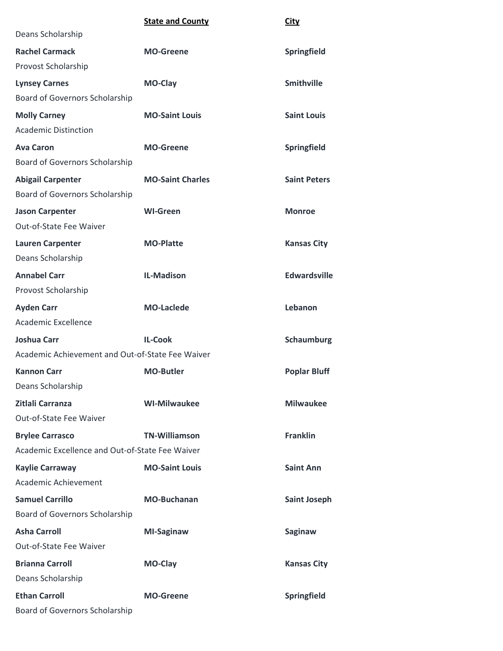|                                                  | <b>State and County</b> | <b>City</b>         |
|--------------------------------------------------|-------------------------|---------------------|
| Deans Scholarship                                |                         |                     |
| <b>Rachel Carmack</b>                            | <b>MO-Greene</b>        | <b>Springfield</b>  |
| Provost Scholarship                              |                         |                     |
| <b>Lynsey Carnes</b>                             | MO-Clay                 | <b>Smithville</b>   |
| Board of Governors Scholarship                   |                         |                     |
| <b>Molly Carney</b>                              | <b>MO-Saint Louis</b>   | <b>Saint Louis</b>  |
| <b>Academic Distinction</b>                      |                         |                     |
| <b>Ava Caron</b>                                 | <b>MO-Greene</b>        | Springfield         |
| Board of Governors Scholarship                   |                         |                     |
| <b>Abigail Carpenter</b>                         | <b>MO-Saint Charles</b> | <b>Saint Peters</b> |
| <b>Board of Governors Scholarship</b>            |                         |                     |
| <b>Jason Carpenter</b>                           | <b>WI-Green</b>         | <b>Monroe</b>       |
| Out-of-State Fee Waiver                          |                         |                     |
| <b>Lauren Carpenter</b>                          | <b>MO-Platte</b>        | <b>Kansas City</b>  |
| Deans Scholarship                                |                         |                     |
| <b>Annabel Carr</b>                              | <b>IL-Madison</b>       | Edwardsville        |
| Provost Scholarship                              |                         |                     |
| <b>Ayden Carr</b>                                | <b>MO-Laclede</b>       | Lebanon             |
| <b>Academic Excellence</b>                       |                         |                     |
| <b>Joshua Carr</b>                               | <b>IL-Cook</b>          | Schaumburg          |
| Academic Achievement and Out-of-State Fee Waiver |                         |                     |
| <b>Kannon Carr</b>                               | <b>MO-Butler</b>        | <b>Poplar Bluff</b> |
| Deans Scholarship                                |                         |                     |
| Zitlali Carranza                                 | <b>WI-Milwaukee</b>     | <b>Milwaukee</b>    |
| Out-of-State Fee Waiver                          |                         |                     |
| <b>Brylee Carrasco</b>                           | <b>TN-Williamson</b>    | <b>Franklin</b>     |
| Academic Excellence and Out-of-State Fee Waiver  |                         |                     |
| <b>Kaylie Carraway</b>                           | <b>MO-Saint Louis</b>   | <b>Saint Ann</b>    |
| Academic Achievement                             |                         |                     |
| <b>Samuel Carrillo</b>                           | <b>MO-Buchanan</b>      | <b>Saint Joseph</b> |
| Board of Governors Scholarship                   |                         |                     |
| <b>Asha Carroll</b>                              | MI-Saginaw              | Saginaw             |
| Out-of-State Fee Waiver                          |                         |                     |
| <b>Brianna Carroll</b>                           | MO-Clay                 | <b>Kansas City</b>  |
| Deans Scholarship                                |                         |                     |
| <b>Ethan Carroll</b>                             | <b>MO-Greene</b>        | Springfield         |

Board of Governors Scholarship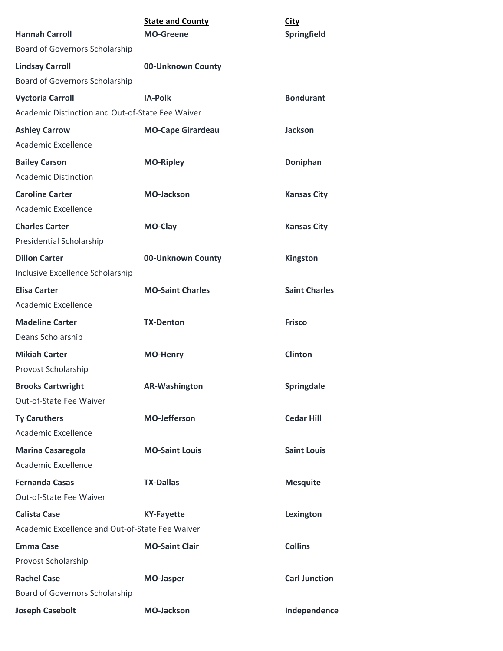|                                                  | <b>State and County</b>  | <b>City</b>          |  |
|--------------------------------------------------|--------------------------|----------------------|--|
| <b>Hannah Carroll</b>                            | <b>MO-Greene</b>         | Springfield          |  |
| Board of Governors Scholarship                   |                          |                      |  |
| <b>Lindsay Carroll</b>                           | 00-Unknown County        |                      |  |
| Board of Governors Scholarship                   |                          |                      |  |
| <b>Vyctoria Carroll</b>                          | <b>IA-Polk</b>           | <b>Bondurant</b>     |  |
| Academic Distinction and Out-of-State Fee Waiver |                          |                      |  |
| <b>Ashley Carrow</b>                             | <b>MO-Cape Girardeau</b> | <b>Jackson</b>       |  |
| Academic Excellence                              |                          |                      |  |
| <b>Bailey Carson</b>                             | <b>MO-Ripley</b>         | Doniphan             |  |
| <b>Academic Distinction</b>                      |                          |                      |  |
| <b>Caroline Carter</b>                           | <b>MO-Jackson</b>        | <b>Kansas City</b>   |  |
| Academic Excellence                              |                          |                      |  |
| <b>Charles Carter</b>                            | MO-Clay                  | <b>Kansas City</b>   |  |
| Presidential Scholarship                         |                          |                      |  |
| <b>Dillon Carter</b>                             | 00-Unknown County        | Kingston             |  |
| Inclusive Excellence Scholarship                 |                          |                      |  |
| <b>Elisa Carter</b>                              | <b>MO-Saint Charles</b>  | <b>Saint Charles</b> |  |
| <b>Academic Excellence</b>                       |                          |                      |  |
| <b>Madeline Carter</b>                           | <b>TX-Denton</b>         | <b>Frisco</b>        |  |
| Deans Scholarship                                |                          |                      |  |
| <b>Mikiah Carter</b>                             | <b>MO-Henry</b>          | <b>Clinton</b>       |  |
| Provost Scholarship                              |                          |                      |  |
| <b>Brooks Cartwright</b>                         | <b>AR-Washington</b>     | Springdale           |  |
| Out-of-State Fee Waiver                          |                          |                      |  |
| <b>Ty Caruthers</b>                              | <b>MO-Jefferson</b>      | <b>Cedar Hill</b>    |  |
| Academic Excellence                              |                          |                      |  |
| <b>Marina Casaregola</b>                         | <b>MO-Saint Louis</b>    | <b>Saint Louis</b>   |  |
| Academic Excellence                              |                          |                      |  |
| <b>Fernanda Casas</b>                            | <b>TX-Dallas</b>         | <b>Mesquite</b>      |  |
| Out-of-State Fee Waiver                          |                          |                      |  |
| <b>Calista Case</b>                              | <b>KY-Fayette</b>        | Lexington            |  |
| Academic Excellence and Out-of-State Fee Waiver  |                          |                      |  |
| <b>Emma Case</b>                                 | <b>MO-Saint Clair</b>    | <b>Collins</b>       |  |
| Provost Scholarship                              |                          |                      |  |
| <b>Rachel Case</b>                               | <b>MO-Jasper</b>         | <b>Carl Junction</b> |  |
| Board of Governors Scholarship                   |                          |                      |  |
| <b>Joseph Casebolt</b>                           | <b>MO-Jackson</b>        | Independence         |  |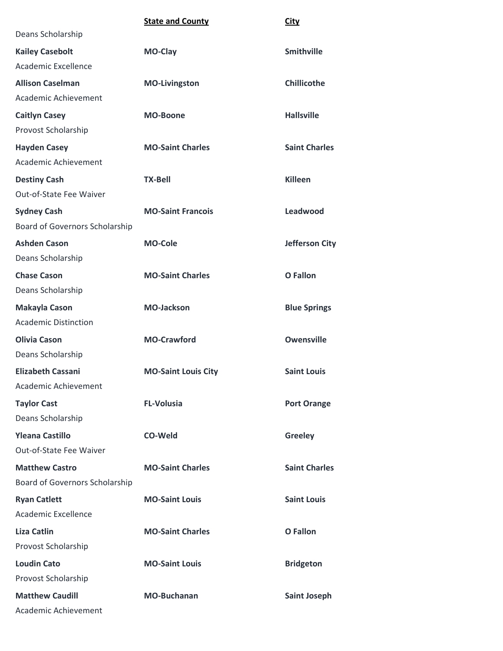|                                | <b>State and County</b>    | <b>City</b>           |
|--------------------------------|----------------------------|-----------------------|
| Deans Scholarship              |                            |                       |
| <b>Kailey Casebolt</b>         | <b>MO-Clay</b>             | <b>Smithville</b>     |
| Academic Excellence            |                            |                       |
| <b>Allison Caselman</b>        | <b>MO-Livingston</b>       | <b>Chillicothe</b>    |
| Academic Achievement           |                            |                       |
| <b>Caitlyn Casey</b>           | <b>MO-Boone</b>            | <b>Hallsville</b>     |
| Provost Scholarship            |                            |                       |
| <b>Hayden Casey</b>            | <b>MO-Saint Charles</b>    | <b>Saint Charles</b>  |
| Academic Achievement           |                            |                       |
| <b>Destiny Cash</b>            | <b>TX-Bell</b>             | <b>Killeen</b>        |
| Out-of-State Fee Waiver        |                            |                       |
| <b>Sydney Cash</b>             | <b>MO-Saint Francois</b>   | Leadwood              |
| Board of Governors Scholarship |                            |                       |
| <b>Ashden Cason</b>            | <b>MO-Cole</b>             | <b>Jefferson City</b> |
| Deans Scholarship              |                            |                       |
| <b>Chase Cason</b>             | <b>MO-Saint Charles</b>    | <b>O</b> Fallon       |
| Deans Scholarship              |                            |                       |
| <b>Makayla Cason</b>           | <b>MO-Jackson</b>          | <b>Blue Springs</b>   |
| <b>Academic Distinction</b>    |                            |                       |
| <b>Olivia Cason</b>            | <b>MO-Crawford</b>         | <b>Owensville</b>     |
| Deans Scholarship              |                            |                       |
| <b>Elizabeth Cassani</b>       | <b>MO-Saint Louis City</b> | <b>Saint Louis</b>    |
| Academic Achievement           |                            |                       |
| <b>Taylor Cast</b>             | <b>FL-Volusia</b>          | <b>Port Orange</b>    |
| Deans Scholarship              |                            |                       |
| <b>Yleana Castillo</b>         | <b>CO-Weld</b>             | <b>Greeley</b>        |
| Out-of-State Fee Waiver        |                            |                       |
| <b>Matthew Castro</b>          | <b>MO-Saint Charles</b>    | <b>Saint Charles</b>  |
| Board of Governors Scholarship |                            |                       |
| <b>Ryan Catlett</b>            | <b>MO-Saint Louis</b>      | <b>Saint Louis</b>    |
| Academic Excellence            |                            |                       |
| <b>Liza Catlin</b>             | <b>MO-Saint Charles</b>    | <b>O</b> Fallon       |
| Provost Scholarship            |                            |                       |
| <b>Loudin Cato</b>             | <b>MO-Saint Louis</b>      | <b>Bridgeton</b>      |
| Provost Scholarship            |                            |                       |
| <b>Matthew Caudill</b>         | <b>MO-Buchanan</b>         | <b>Saint Joseph</b>   |
| Academic Achievement           |                            |                       |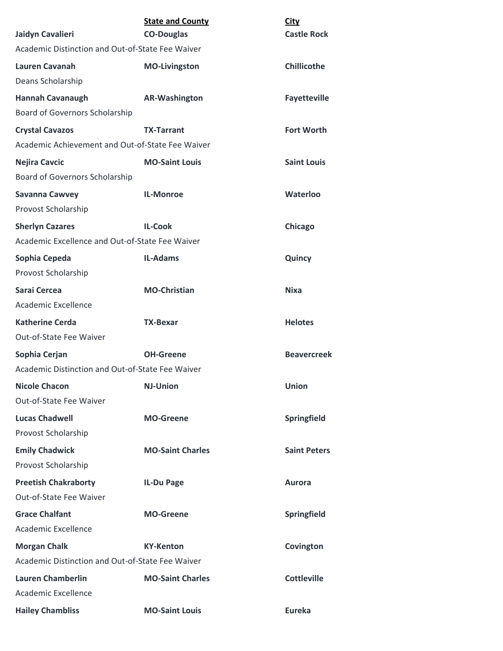|                                                        | <b>State and County</b> | <b>City</b>         |
|--------------------------------------------------------|-------------------------|---------------------|
| Jaidyn Cavalieri                                       | <b>CO-Douglas</b>       | <b>Castle Rock</b>  |
| Academic Distinction and Out-of-State Fee Waiver       |                         |                     |
| <b>Lauren Cavanah</b>                                  | <b>MO-Livingston</b>    | Chillicothe         |
| Deans Scholarship                                      |                         |                     |
| <b>Hannah Cavanaugh</b>                                | <b>AR-Washington</b>    | <b>Fayetteville</b> |
| Board of Governors Scholarship                         |                         |                     |
| <b>Crystal Cavazos</b>                                 | <b>TX-Tarrant</b>       | <b>Fort Worth</b>   |
| Academic Achievement and Out-of-State Fee Waiver       |                         |                     |
| <b>Nejira Cavcic</b><br>Board of Governors Scholarship | <b>MO-Saint Louis</b>   | <b>Saint Louis</b>  |
| <b>Savanna Cawvey</b>                                  | <b>IL-Monroe</b>        | Waterloo            |
| Provost Scholarship                                    |                         |                     |
| <b>Sherlyn Cazares</b>                                 | <b>IL-Cook</b>          | Chicago             |
| Academic Excellence and Out-of-State Fee Waiver        |                         |                     |
| Sophia Cepeda                                          | <b>IL-Adams</b>         | Quincy              |
| Provost Scholarship                                    |                         |                     |
| Sarai Cercea                                           | <b>MO-Christian</b>     | <b>Nixa</b>         |
| Academic Excellence                                    |                         |                     |
| <b>Katherine Cerda</b>                                 | <b>TX-Bexar</b>         | <b>Helotes</b>      |
| Out-of-State Fee Waiver                                |                         |                     |
| Sophia Cerjan                                          | <b>OH-Greene</b>        | <b>Beavercreek</b>  |
| Academic Distinction and Out-of-State Fee Waiver       |                         |                     |
| <b>Nicole Chacon</b>                                   | <b>NJ-Union</b>         | <b>Union</b>        |
| Out-of-State Fee Waiver                                |                         |                     |
| <b>Lucas Chadwell</b>                                  | <b>MO-Greene</b>        | Springfield         |
| Provost Scholarship                                    |                         |                     |
| <b>Emily Chadwick</b>                                  | <b>MO-Saint Charles</b> | <b>Saint Peters</b> |
| Provost Scholarship                                    |                         |                     |
| <b>Preetish Chakraborty</b>                            | IL-Du Page              | <b>Aurora</b>       |
| Out-of-State Fee Waiver                                |                         |                     |
| <b>Grace Chalfant</b>                                  | <b>MO-Greene</b>        | Springfield         |
| Academic Excellence                                    |                         |                     |
| <b>Morgan Chalk</b>                                    | <b>KY-Kenton</b>        | Covington           |
| Academic Distinction and Out-of-State Fee Waiver       |                         |                     |
| <b>Lauren Chamberlin</b>                               | <b>MO-Saint Charles</b> | <b>Cottleville</b>  |
| Academic Excellence                                    |                         |                     |
| <b>Hailey Chambliss</b>                                | <b>MO-Saint Louis</b>   | <b>Eureka</b>       |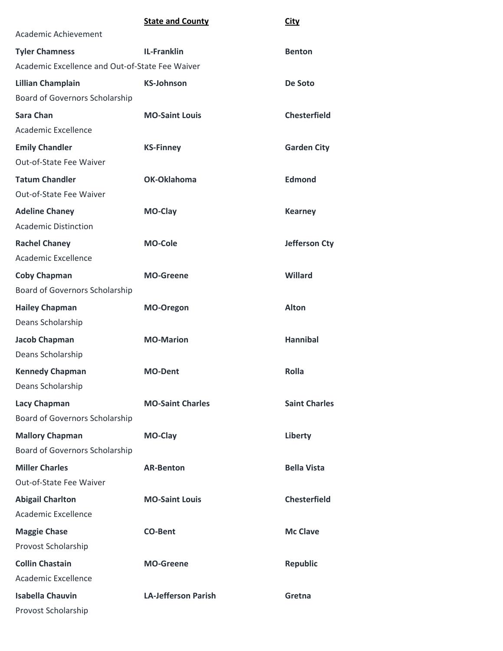|                                                 | <b>State and County</b>    | <b>City</b>          |
|-------------------------------------------------|----------------------------|----------------------|
| Academic Achievement                            |                            |                      |
| <b>Tyler Chamness</b>                           | <b>IL-Franklin</b>         | <b>Benton</b>        |
| Academic Excellence and Out-of-State Fee Waiver |                            |                      |
| <b>Lillian Champlain</b>                        | <b>KS-Johnson</b>          | De Soto              |
| Board of Governors Scholarship                  |                            |                      |
| <b>Sara Chan</b>                                | <b>MO-Saint Louis</b>      | <b>Chesterfield</b>  |
| Academic Excellence                             |                            |                      |
| <b>Emily Chandler</b>                           | <b>KS-Finney</b>           | <b>Garden City</b>   |
| Out-of-State Fee Waiver                         |                            |                      |
| <b>Tatum Chandler</b>                           | OK-Oklahoma                | <b>Edmond</b>        |
| Out-of-State Fee Waiver                         |                            |                      |
| <b>Adeline Chaney</b>                           | MO-Clay                    | <b>Kearney</b>       |
| <b>Academic Distinction</b>                     |                            |                      |
| <b>Rachel Chaney</b>                            | <b>MO-Cole</b>             | Jefferson Cty        |
| Academic Excellence                             |                            |                      |
| <b>Coby Chapman</b>                             | <b>MO-Greene</b>           | Willard              |
| Board of Governors Scholarship                  |                            |                      |
| <b>Hailey Chapman</b>                           | MO-Oregon                  | <b>Alton</b>         |
| Deans Scholarship                               |                            |                      |
| <b>Jacob Chapman</b>                            | <b>MO-Marion</b>           | <b>Hannibal</b>      |
| Deans Scholarship                               |                            |                      |
| <b>Kennedy Chapman</b>                          | <b>MO-Dent</b>             | <b>Rolla</b>         |
| Deans Scholarship                               |                            |                      |
| <b>Lacy Chapman</b>                             | <b>MO-Saint Charles</b>    | <b>Saint Charles</b> |
| Board of Governors Scholarship                  |                            |                      |
| <b>Mallory Chapman</b>                          | MO-Clay                    | Liberty              |
| Board of Governors Scholarship                  |                            |                      |
| <b>Miller Charles</b>                           | <b>AR-Benton</b>           | <b>Bella Vista</b>   |
| Out-of-State Fee Waiver                         |                            |                      |
| <b>Abigail Charlton</b>                         | <b>MO-Saint Louis</b>      | <b>Chesterfield</b>  |
| Academic Excellence                             |                            |                      |
| <b>Maggie Chase</b>                             | <b>CO-Bent</b>             | <b>Mc Clave</b>      |
| Provost Scholarship                             |                            |                      |
| <b>Collin Chastain</b>                          | <b>MO-Greene</b>           | <b>Republic</b>      |
| Academic Excellence                             |                            |                      |
| <b>Isabella Chauvin</b>                         | <b>LA-Jefferson Parish</b> | Gretna               |
| Provost Scholarship                             |                            |                      |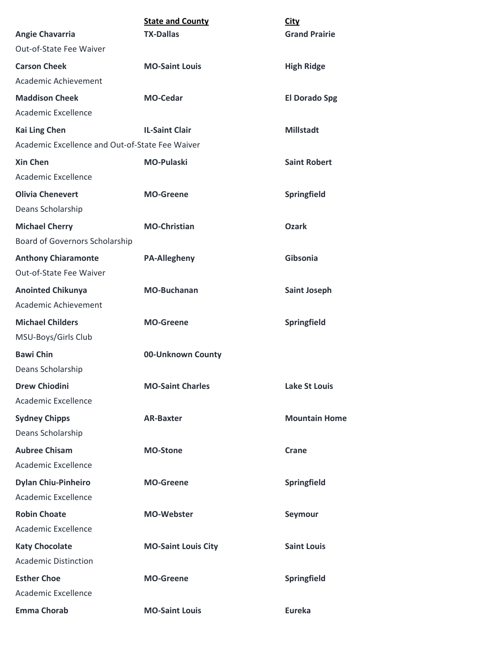|                                                 | <b>State and County</b>    | <b>City</b>          |
|-------------------------------------------------|----------------------------|----------------------|
| <b>Angie Chavarria</b>                          | <b>TX-Dallas</b>           | <b>Grand Prairie</b> |
| Out-of-State Fee Waiver                         |                            |                      |
| <b>Carson Cheek</b>                             | <b>MO-Saint Louis</b>      | <b>High Ridge</b>    |
| Academic Achievement                            |                            |                      |
| <b>Maddison Cheek</b>                           | <b>MO-Cedar</b>            | <b>El Dorado Spg</b> |
| Academic Excellence                             |                            |                      |
| <b>Kai Ling Chen</b>                            | <b>IL-Saint Clair</b>      | <b>Millstadt</b>     |
| Academic Excellence and Out-of-State Fee Waiver |                            |                      |
| <b>Xin Chen</b>                                 | <b>MO-Pulaski</b>          | <b>Saint Robert</b>  |
| Academic Excellence                             |                            |                      |
| <b>Olivia Chenevert</b>                         | <b>MO-Greene</b>           | Springfield          |
| Deans Scholarship                               |                            |                      |
| <b>Michael Cherry</b>                           | <b>MO-Christian</b>        | <b>Ozark</b>         |
| Board of Governors Scholarship                  |                            |                      |
| <b>Anthony Chiaramonte</b>                      | <b>PA-Allegheny</b>        | Gibsonia             |
| Out-of-State Fee Waiver                         |                            |                      |
| <b>Anointed Chikunya</b>                        | <b>MO-Buchanan</b>         | <b>Saint Joseph</b>  |
| Academic Achievement                            |                            |                      |
| <b>Michael Childers</b>                         | <b>MO-Greene</b>           | Springfield          |
| MSU-Boys/Girls Club                             |                            |                      |
| <b>Bawi Chin</b>                                | 00-Unknown County          |                      |
| Deans Scholarship                               |                            |                      |
| <b>Drew Chiodini</b>                            | <b>MO-Saint Charles</b>    | <b>Lake St Louis</b> |
| Academic Excellence                             |                            |                      |
| <b>Sydney Chipps</b>                            | <b>AR-Baxter</b>           | <b>Mountain Home</b> |
| Deans Scholarship                               |                            |                      |
| <b>Aubree Chisam</b>                            | <b>MO-Stone</b>            | <b>Crane</b>         |
| Academic Excellence                             |                            |                      |
| <b>Dylan Chiu-Pinheiro</b>                      | <b>MO-Greene</b>           | Springfield          |
| Academic Excellence                             |                            |                      |
| <b>Robin Choate</b>                             | <b>MO-Webster</b>          | Seymour              |
| Academic Excellence                             |                            |                      |
| <b>Katy Chocolate</b>                           | <b>MO-Saint Louis City</b> | <b>Saint Louis</b>   |
| <b>Academic Distinction</b>                     |                            |                      |
| <b>Esther Choe</b>                              | <b>MO-Greene</b>           | Springfield          |
| Academic Excellence                             |                            |                      |
| <b>Emma Chorab</b>                              | <b>MO-Saint Louis</b>      | <b>Eureka</b>        |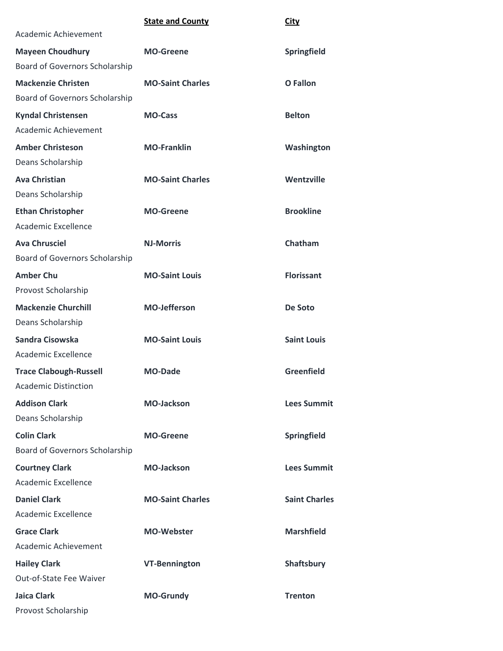|                                | <b>State and County</b> | <b>City</b>          |
|--------------------------------|-------------------------|----------------------|
| Academic Achievement           |                         |                      |
| <b>Mayeen Choudhury</b>        | <b>MO-Greene</b>        | Springfield          |
| Board of Governors Scholarship |                         |                      |
| <b>Mackenzie Christen</b>      | <b>MO-Saint Charles</b> | <b>O</b> Fallon      |
| Board of Governors Scholarship |                         |                      |
| <b>Kyndal Christensen</b>      | <b>MO-Cass</b>          | <b>Belton</b>        |
| Academic Achievement           |                         |                      |
| <b>Amber Christeson</b>        | <b>MO-Franklin</b>      | Washington           |
| Deans Scholarship              |                         |                      |
| <b>Ava Christian</b>           | <b>MO-Saint Charles</b> | Wentzville           |
| Deans Scholarship              |                         |                      |
| <b>Ethan Christopher</b>       | <b>MO-Greene</b>        | <b>Brookline</b>     |
| Academic Excellence            |                         |                      |
| <b>Ava Chrusciel</b>           | <b>NJ-Morris</b>        | Chatham              |
| Board of Governors Scholarship |                         |                      |
| <b>Amber Chu</b>               | <b>MO-Saint Louis</b>   | <b>Florissant</b>    |
| Provost Scholarship            |                         |                      |
| <b>Mackenzie Churchill</b>     | <b>MO-Jefferson</b>     | De Soto              |
| Deans Scholarship              |                         |                      |
| Sandra Cisowska                | <b>MO-Saint Louis</b>   | <b>Saint Louis</b>   |
| Academic Excellence            |                         |                      |
| <b>Trace Clabough-Russell</b>  | <b>MO-Dade</b>          | <b>Greenfield</b>    |
| <b>Academic Distinction</b>    |                         |                      |
| <b>Addison Clark</b>           | <b>MO-Jackson</b>       | <b>Lees Summit</b>   |
| Deans Scholarship              |                         |                      |
| <b>Colin Clark</b>             | <b>MO-Greene</b>        | Springfield          |
| Board of Governors Scholarship |                         |                      |
| <b>Courtney Clark</b>          | <b>MO-Jackson</b>       | <b>Lees Summit</b>   |
| Academic Excellence            |                         |                      |
| <b>Daniel Clark</b>            | <b>MO-Saint Charles</b> | <b>Saint Charles</b> |
| Academic Excellence            |                         |                      |
| <b>Grace Clark</b>             | <b>MO-Webster</b>       | <b>Marshfield</b>    |
| Academic Achievement           |                         |                      |
| <b>Hailey Clark</b>            | <b>VT-Bennington</b>    | Shaftsbury           |
| Out-of-State Fee Waiver        |                         |                      |
| Jaica Clark                    | <b>MO-Grundy</b>        | <b>Trenton</b>       |
| Provost Scholarship            |                         |                      |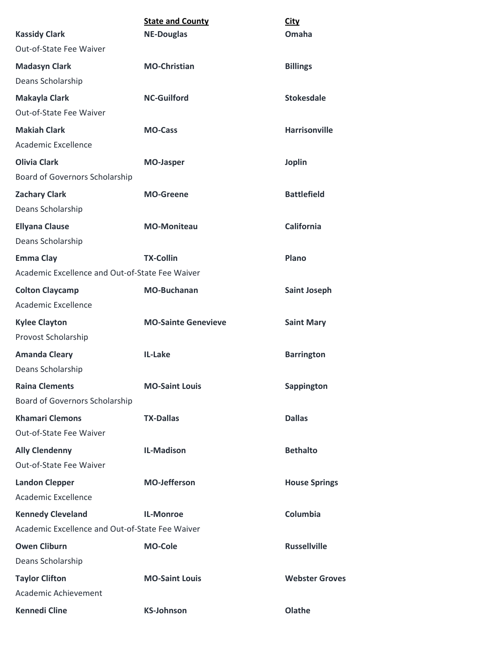|                                                 | <b>State and County</b>    | <b>City</b>           |
|-------------------------------------------------|----------------------------|-----------------------|
| <b>Kassidy Clark</b>                            | <b>NE-Douglas</b>          | Omaha                 |
| Out-of-State Fee Waiver                         |                            |                       |
| <b>Madasyn Clark</b>                            | <b>MO-Christian</b>        | <b>Billings</b>       |
| Deans Scholarship                               |                            |                       |
| <b>Makayla Clark</b>                            | <b>NC-Guilford</b>         | <b>Stokesdale</b>     |
| Out-of-State Fee Waiver                         |                            |                       |
| <b>Makiah Clark</b>                             | <b>MO-Cass</b>             | <b>Harrisonville</b>  |
| Academic Excellence                             |                            |                       |
| <b>Olivia Clark</b>                             | <b>MO-Jasper</b>           | <b>Joplin</b>         |
| Board of Governors Scholarship                  |                            |                       |
| <b>Zachary Clark</b>                            | <b>MO-Greene</b>           | <b>Battlefield</b>    |
| Deans Scholarship                               |                            |                       |
| <b>Ellyana Clause</b>                           | <b>MO-Moniteau</b>         | <b>California</b>     |
| Deans Scholarship                               |                            |                       |
| <b>Emma Clay</b>                                | <b>TX-Collin</b>           | Plano                 |
| Academic Excellence and Out-of-State Fee Waiver |                            |                       |
| <b>Colton Claycamp</b>                          | <b>MO-Buchanan</b>         | <b>Saint Joseph</b>   |
| Academic Excellence                             |                            |                       |
| <b>Kylee Clayton</b>                            | <b>MO-Sainte Genevieve</b> | <b>Saint Mary</b>     |
| Provost Scholarship                             |                            |                       |
| <b>Amanda Cleary</b>                            | IL-Lake                    | <b>Barrington</b>     |
| Deans Scholarship                               |                            |                       |
| <b>Raina Clements</b>                           | <b>MO-Saint Louis</b>      | Sappington            |
| Board of Governors Scholarship                  |                            |                       |
| <b>Khamari Clemons</b>                          | <b>TX-Dallas</b>           | <b>Dallas</b>         |
| Out-of-State Fee Waiver                         |                            |                       |
| <b>Ally Clendenny</b>                           | <b>IL-Madison</b>          | <b>Bethalto</b>       |
| Out-of-State Fee Waiver                         |                            |                       |
| <b>Landon Clepper</b>                           | <b>MO-Jefferson</b>        | <b>House Springs</b>  |
| Academic Excellence                             |                            |                       |
| <b>Kennedy Cleveland</b>                        | <b>IL-Monroe</b>           | Columbia              |
| Academic Excellence and Out-of-State Fee Waiver |                            |                       |
| <b>Owen Cliburn</b>                             | <b>MO-Cole</b>             | <b>Russellville</b>   |
| Deans Scholarship                               |                            |                       |
| <b>Taylor Clifton</b>                           | <b>MO-Saint Louis</b>      | <b>Webster Groves</b> |
| Academic Achievement                            |                            |                       |
| <b>Kennedi Cline</b>                            | <b>KS-Johnson</b>          | Olathe                |
|                                                 |                            |                       |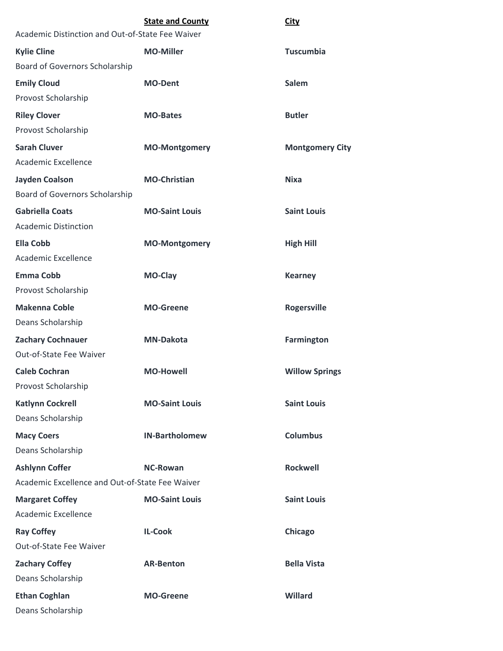|                                                  | <b>State and County</b> | <b>City</b>            |
|--------------------------------------------------|-------------------------|------------------------|
| Academic Distinction and Out-of-State Fee Waiver |                         |                        |
| <b>Kylie Cline</b>                               | <b>MO-Miller</b>        | <b>Tuscumbia</b>       |
| Board of Governors Scholarship                   |                         |                        |
| <b>Emily Cloud</b>                               | <b>MO-Dent</b>          | <b>Salem</b>           |
| Provost Scholarship                              |                         |                        |
| <b>Riley Clover</b>                              | <b>MO-Bates</b>         | <b>Butler</b>          |
| Provost Scholarship                              |                         |                        |
| <b>Sarah Cluver</b>                              | <b>MO-Montgomery</b>    | <b>Montgomery City</b> |
| Academic Excellence                              |                         |                        |
| <b>Jayden Coalson</b>                            | <b>MO-Christian</b>     | <b>Nixa</b>            |
| Board of Governors Scholarship                   |                         |                        |
| <b>Gabriella Coats</b>                           | <b>MO-Saint Louis</b>   | <b>Saint Louis</b>     |
| <b>Academic Distinction</b>                      |                         |                        |
| <b>Ella Cobb</b>                                 | <b>MO-Montgomery</b>    | <b>High Hill</b>       |
| Academic Excellence                              |                         |                        |
| <b>Emma Cobb</b>                                 | <b>MO-Clay</b>          | <b>Kearney</b>         |
| Provost Scholarship                              |                         |                        |
| <b>Makenna Coble</b>                             | <b>MO-Greene</b>        | <b>Rogersville</b>     |
| Deans Scholarship                                |                         |                        |
| <b>Zachary Cochnauer</b>                         | <b>MN-Dakota</b>        | <b>Farmington</b>      |
| Out-of-State Fee Waiver                          |                         |                        |
| <b>Caleb Cochran</b>                             | <b>MO-Howell</b>        | <b>Willow Springs</b>  |
| Provost Scholarship                              |                         |                        |
| <b>Katlynn Cockrell</b>                          | <b>MO-Saint Louis</b>   | <b>Saint Louis</b>     |
| Deans Scholarship                                |                         |                        |
| <b>Macy Coers</b>                                | <b>IN-Bartholomew</b>   | <b>Columbus</b>        |
| Deans Scholarship                                |                         |                        |
| <b>Ashlynn Coffer</b>                            | <b>NC-Rowan</b>         | <b>Rockwell</b>        |
| Academic Excellence and Out-of-State Fee Waiver  |                         |                        |
| <b>Margaret Coffey</b>                           | <b>MO-Saint Louis</b>   | <b>Saint Louis</b>     |
| Academic Excellence                              |                         |                        |
| <b>Ray Coffey</b>                                | <b>IL-Cook</b>          | Chicago                |
| Out-of-State Fee Waiver                          |                         |                        |
| <b>Zachary Coffey</b>                            | <b>AR-Benton</b>        | <b>Bella Vista</b>     |
| Deans Scholarship                                |                         |                        |
| <b>Ethan Coghlan</b>                             | <b>MO-Greene</b>        | Willard                |
| Deans Scholarship                                |                         |                        |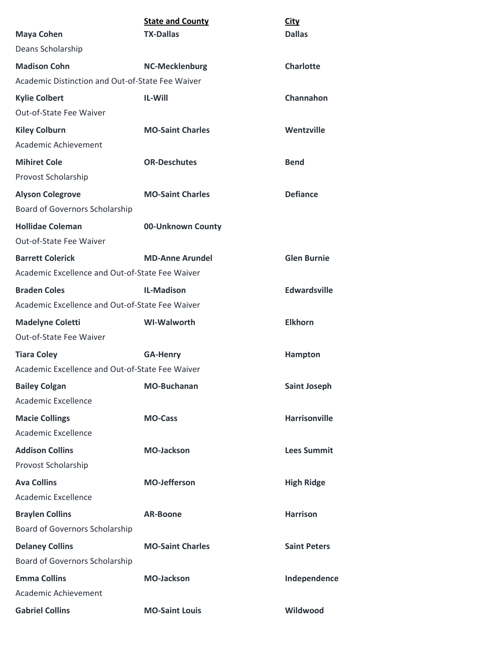|                                                  | <b>State and County</b> | <b>City</b>          |
|--------------------------------------------------|-------------------------|----------------------|
| <b>Maya Cohen</b>                                | <b>TX-Dallas</b>        | <b>Dallas</b>        |
| Deans Scholarship                                |                         |                      |
| <b>Madison Cohn</b>                              | <b>NC-Mecklenburg</b>   | <b>Charlotte</b>     |
| Academic Distinction and Out-of-State Fee Waiver |                         |                      |
| <b>Kylie Colbert</b>                             | IL-Will                 | Channahon            |
| Out-of-State Fee Waiver                          |                         |                      |
| <b>Kiley Colburn</b>                             | <b>MO-Saint Charles</b> | Wentzville           |
| Academic Achievement                             |                         |                      |
| <b>Mihiret Cole</b>                              | <b>OR-Deschutes</b>     | <b>Bend</b>          |
| Provost Scholarship                              |                         |                      |
| <b>Alyson Colegrove</b>                          | <b>MO-Saint Charles</b> | <b>Defiance</b>      |
| <b>Board of Governors Scholarship</b>            |                         |                      |
| <b>Hollidae Coleman</b>                          | 00-Unknown County       |                      |
| Out-of-State Fee Waiver                          |                         |                      |
| <b>Barrett Colerick</b>                          | <b>MD-Anne Arundel</b>  | <b>Glen Burnie</b>   |
| Academic Excellence and Out-of-State Fee Waiver  |                         |                      |
| <b>Braden Coles</b>                              | <b>IL-Madison</b>       | <b>Edwardsville</b>  |
| Academic Excellence and Out-of-State Fee Waiver  |                         |                      |
| <b>Madelyne Coletti</b>                          | <b>WI-Walworth</b>      | <b>Elkhorn</b>       |
| Out-of-State Fee Waiver                          |                         |                      |
| <b>Tiara Coley</b>                               | <b>GA-Henry</b>         | <b>Hampton</b>       |
| Academic Excellence and Out-of-State Fee Waiver  |                         |                      |
| <b>Bailey Colgan</b>                             | <b>MO-Buchanan</b>      | <b>Saint Joseph</b>  |
| Academic Excellence                              |                         |                      |
| <b>Macie Collings</b>                            | <b>MO-Cass</b>          | <b>Harrisonville</b> |
| Academic Excellence                              |                         |                      |
| <b>Addison Collins</b>                           | <b>MO-Jackson</b>       | <b>Lees Summit</b>   |
| Provost Scholarship                              |                         |                      |
| <b>Ava Collins</b>                               | <b>MO-Jefferson</b>     | <b>High Ridge</b>    |
| Academic Excellence                              |                         |                      |
| <b>Braylen Collins</b>                           | <b>AR-Boone</b>         | <b>Harrison</b>      |
| Board of Governors Scholarship                   |                         |                      |
| <b>Delaney Collins</b>                           | <b>MO-Saint Charles</b> | <b>Saint Peters</b>  |
| Board of Governors Scholarship                   |                         |                      |
| <b>Emma Collins</b>                              | <b>MO-Jackson</b>       | Independence         |
| Academic Achievement                             |                         |                      |
| <b>Gabriel Collins</b>                           | <b>MO-Saint Louis</b>   | Wildwood             |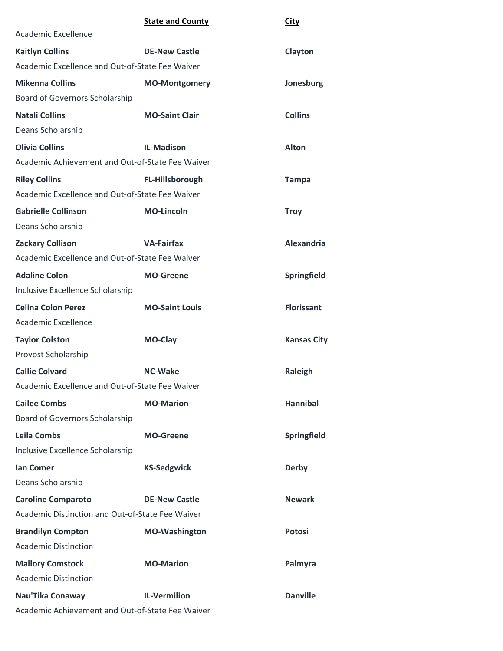|                                                  | <b>State and County</b> | <b>City</b>        |
|--------------------------------------------------|-------------------------|--------------------|
| Academic Excellence                              |                         |                    |
| <b>Kaitlyn Collins</b>                           | <b>DE-New Castle</b>    | Clayton            |
| Academic Excellence and Out-of-State Fee Waiver  |                         |                    |
| <b>Mikenna Collins</b>                           | <b>MO-Montgomery</b>    | Jonesburg          |
| Board of Governors Scholarship                   |                         |                    |
| <b>Natali Collins</b>                            | <b>MO-Saint Clair</b>   | <b>Collins</b>     |
| Deans Scholarship                                |                         |                    |
| <b>Olivia Collins</b>                            | <b>IL-Madison</b>       | <b>Alton</b>       |
| Academic Achievement and Out-of-State Fee Waiver |                         |                    |
| <b>Riley Collins</b>                             | <b>FL-Hillsborough</b>  | <b>Tampa</b>       |
| Academic Excellence and Out-of-State Fee Waiver  |                         |                    |
| <b>Gabrielle Collinson</b>                       | <b>MO-Lincoln</b>       | <b>Troy</b>        |
| Deans Scholarship                                |                         |                    |
| <b>Zackary Collison</b>                          | <b>VA-Fairfax</b>       | <b>Alexandria</b>  |
| Academic Excellence and Out-of-State Fee Waiver  |                         |                    |
| <b>Adaline Colon</b>                             | <b>MO-Greene</b>        | Springfield        |
| Inclusive Excellence Scholarship                 |                         |                    |
| <b>Celina Colon Perez</b>                        | <b>MO-Saint Louis</b>   | <b>Florissant</b>  |
| Academic Excellence                              |                         |                    |
| <b>Taylor Colston</b>                            | <b>MO-Clay</b>          | <b>Kansas City</b> |
| Provost Scholarship                              |                         |                    |
| <b>Callie Colvard</b>                            | <b>NC-Wake</b>          | Raleigh            |
| Academic Excellence and Out-of-State Fee Waiver  |                         |                    |
| <b>Cailee Combs</b>                              | <b>MO-Marion</b>        | <b>Hannibal</b>    |
| Board of Governors Scholarship                   |                         |                    |
| <b>Leila Combs</b>                               | <b>MO-Greene</b>        | Springfield        |
| Inclusive Excellence Scholarship                 |                         |                    |
| <b>Ian Comer</b>                                 | <b>KS-Sedgwick</b>      | <b>Derby</b>       |
| Deans Scholarship                                |                         |                    |
| <b>Caroline Comparoto</b>                        | <b>DE-New Castle</b>    | <b>Newark</b>      |
| Academic Distinction and Out-of-State Fee Waiver |                         |                    |
| <b>Brandilyn Compton</b>                         | <b>MO-Washington</b>    | <b>Potosi</b>      |
| <b>Academic Distinction</b>                      |                         |                    |
| <b>Mallory Comstock</b>                          | <b>MO-Marion</b>        | Palmyra            |
| <b>Academic Distinction</b>                      |                         |                    |
| Nau'Tika Conaway                                 | <b>IL-Vermilion</b>     | <b>Danville</b>    |
| Academic Achievement and Out-of-State Fee Waiver |                         |                    |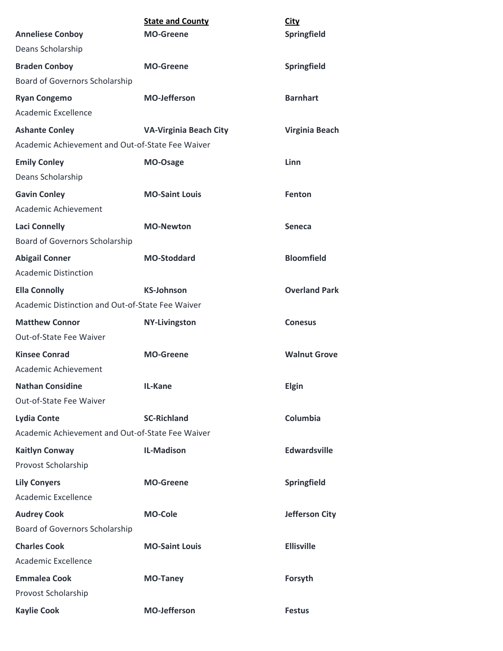|                                                  | <b>State and County</b>       | <b>City</b>           |
|--------------------------------------------------|-------------------------------|-----------------------|
| <b>Anneliese Conboy</b>                          | <b>MO-Greene</b>              | Springfield           |
| Deans Scholarship                                |                               |                       |
| <b>Braden Conboy</b>                             | <b>MO-Greene</b>              | Springfield           |
| Board of Governors Scholarship                   |                               |                       |
| <b>Ryan Congemo</b>                              | <b>MO-Jefferson</b>           | <b>Barnhart</b>       |
| Academic Excellence                              |                               |                       |
| <b>Ashante Conley</b>                            | <b>VA-Virginia Beach City</b> | <b>Virginia Beach</b> |
| Academic Achievement and Out-of-State Fee Waiver |                               |                       |
| <b>Emily Conley</b>                              | MO-Osage                      | Linn                  |
| Deans Scholarship                                |                               |                       |
| <b>Gavin Conley</b>                              | <b>MO-Saint Louis</b>         | Fenton                |
| Academic Achievement                             |                               |                       |
| <b>Laci Connelly</b>                             | <b>MO-Newton</b>              | <b>Seneca</b>         |
| Board of Governors Scholarship                   |                               |                       |
| <b>Abigail Conner</b>                            | <b>MO-Stoddard</b>            | <b>Bloomfield</b>     |
| <b>Academic Distinction</b>                      |                               |                       |
| <b>Ella Connolly</b>                             | <b>KS-Johnson</b>             | <b>Overland Park</b>  |
| Academic Distinction and Out-of-State Fee Waiver |                               |                       |
| <b>Matthew Connor</b>                            | <b>NY-Livingston</b>          | <b>Conesus</b>        |
| Out-of-State Fee Waiver                          |                               |                       |
| <b>Kinsee Conrad</b>                             | <b>MO-Greene</b>              | <b>Walnut Grove</b>   |
| Academic Achievement                             |                               |                       |
| <b>Nathan Considine</b>                          | IL-Kane                       | Elgin                 |
| Out-of-State Fee Waiver                          |                               |                       |
| <b>Lydia Conte</b>                               | <b>SC-Richland</b>            | Columbia              |
| Academic Achievement and Out-of-State Fee Waiver |                               |                       |
| <b>Kaitlyn Conway</b>                            | <b>IL-Madison</b>             | <b>Edwardsville</b>   |
| Provost Scholarship                              |                               |                       |
| <b>Lily Conyers</b>                              | <b>MO-Greene</b>              | Springfield           |
| Academic Excellence                              |                               |                       |
| <b>Audrey Cook</b>                               | <b>MO-Cole</b>                | <b>Jefferson City</b> |
| Board of Governors Scholarship                   |                               |                       |
| <b>Charles Cook</b>                              | <b>MO-Saint Louis</b>         | <b>Ellisville</b>     |
| Academic Excellence                              |                               |                       |
| <b>Emmalea Cook</b>                              | <b>MO-Taney</b>               | Forsyth               |
| Provost Scholarship                              |                               |                       |
| <b>Kaylie Cook</b>                               | <b>MO-Jefferson</b>           | <b>Festus</b>         |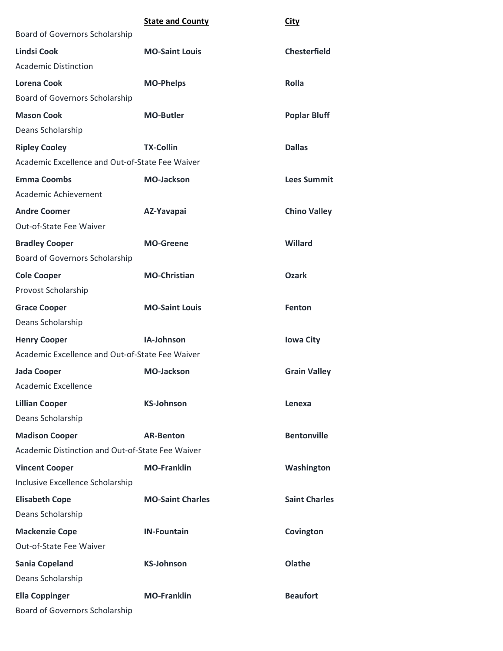|                                                  | <b>State and County</b> | <b>City</b>          |
|--------------------------------------------------|-------------------------|----------------------|
| Board of Governors Scholarship                   |                         |                      |
| <b>Lindsi Cook</b>                               | <b>MO-Saint Louis</b>   | <b>Chesterfield</b>  |
| <b>Academic Distinction</b>                      |                         |                      |
| <b>Lorena Cook</b>                               | <b>MO-Phelps</b>        | <b>Rolla</b>         |
| Board of Governors Scholarship                   |                         |                      |
| <b>Mason Cook</b>                                | <b>MO-Butler</b>        | <b>Poplar Bluff</b>  |
| Deans Scholarship                                |                         |                      |
| <b>Ripley Cooley</b>                             | <b>TX-Collin</b>        | <b>Dallas</b>        |
| Academic Excellence and Out-of-State Fee Waiver  |                         |                      |
| <b>Emma Coombs</b>                               | <b>MO-Jackson</b>       | <b>Lees Summit</b>   |
| Academic Achievement                             |                         |                      |
| <b>Andre Coomer</b>                              | AZ-Yavapai              | <b>Chino Valley</b>  |
| Out-of-State Fee Waiver                          |                         |                      |
| <b>Bradley Cooper</b>                            | <b>MO-Greene</b>        | Willard              |
| Board of Governors Scholarship                   |                         |                      |
| <b>Cole Cooper</b>                               | <b>MO-Christian</b>     | <b>Ozark</b>         |
| Provost Scholarship                              |                         |                      |
| <b>Grace Cooper</b>                              | <b>MO-Saint Louis</b>   | Fenton               |
| Deans Scholarship                                |                         |                      |
| <b>Henry Cooper</b>                              | IA-Johnson              | <b>Iowa City</b>     |
| Academic Excellence and Out-of-State Fee Waiver  |                         |                      |
| <b>Jada Cooper</b>                               | <b>MO-Jackson</b>       | <b>Grain Valley</b>  |
| <b>Academic Excellence</b>                       |                         |                      |
| <b>Lillian Cooper</b>                            | <b>KS-Johnson</b>       | Lenexa               |
| Deans Scholarship                                |                         |                      |
| <b>Madison Cooper</b>                            | <b>AR-Benton</b>        | <b>Bentonville</b>   |
| Academic Distinction and Out-of-State Fee Waiver |                         |                      |
| <b>Vincent Cooper</b>                            | <b>MO-Franklin</b>      | Washington           |
| Inclusive Excellence Scholarship                 |                         |                      |
| <b>Elisabeth Cope</b>                            | <b>MO-Saint Charles</b> | <b>Saint Charles</b> |
| Deans Scholarship                                |                         |                      |
| <b>Mackenzie Cope</b>                            | <b>IN-Fountain</b>      | Covington            |
| Out-of-State Fee Waiver                          |                         |                      |
| <b>Sania Copeland</b>                            | <b>KS-Johnson</b>       | Olathe               |
| Deans Scholarship                                |                         |                      |
| <b>Ella Coppinger</b>                            | <b>MO-Franklin</b>      | <b>Beaufort</b>      |
| Board of Governors Scholarship                   |                         |                      |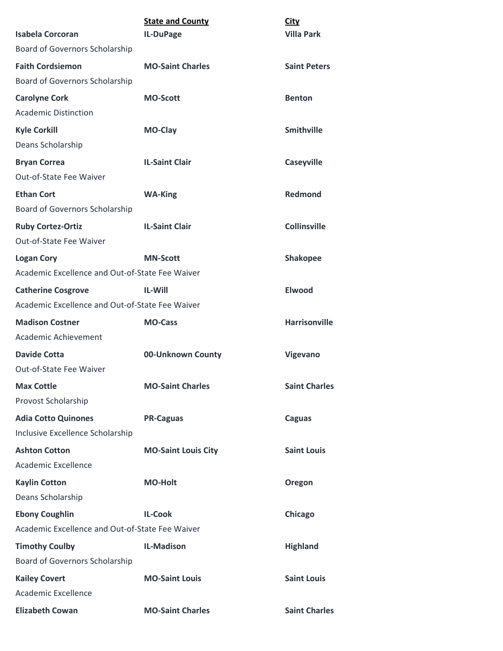| <b>Isabela Corcoran</b>                             | <b>State and County</b>    | <b>City</b><br><b>Villa Park</b> |
|-----------------------------------------------------|----------------------------|----------------------------------|
| Board of Governors Scholarship                      | IL-DuPage                  |                                  |
| <b>Faith Cordsiemon</b>                             | <b>MO-Saint Charles</b>    | <b>Saint Peters</b>              |
| Board of Governors Scholarship                      |                            |                                  |
|                                                     |                            |                                  |
| <b>Carolyne Cork</b><br><b>Academic Distinction</b> | <b>MO-Scott</b>            | <b>Benton</b>                    |
|                                                     |                            |                                  |
| <b>Kyle Corkill</b>                                 | MO-Clay                    | <b>Smithville</b>                |
| Deans Scholarship                                   |                            |                                  |
| <b>Bryan Correa</b>                                 | <b>IL-Saint Clair</b>      | <b>Caseyville</b>                |
| Out-of-State Fee Waiver                             |                            |                                  |
| <b>Ethan Cort</b>                                   | <b>WA-King</b>             | Redmond                          |
| Board of Governors Scholarship                      |                            |                                  |
| <b>Ruby Cortez-Ortiz</b>                            | <b>IL-Saint Clair</b>      | <b>Collinsville</b>              |
| Out-of-State Fee Waiver                             |                            |                                  |
| <b>Logan Cory</b>                                   | <b>MN-Scott</b>            | <b>Shakopee</b>                  |
| Academic Excellence and Out-of-State Fee Waiver     |                            |                                  |
| <b>Catherine Cosgrove</b>                           | <b>IL-Will</b>             | <b>Elwood</b>                    |
| Academic Excellence and Out-of-State Fee Waiver     |                            |                                  |
| <b>Madison Costner</b>                              | <b>MO-Cass</b>             | <b>Harrisonville</b>             |
| Academic Achievement                                |                            |                                  |
| Davide Cotta                                        | 00-Unknown County          | Vigevano                         |
| Out-of-State Fee Waiver                             |                            |                                  |
| <b>Max Cottle</b>                                   | <b>MO-Saint Charles</b>    | <b>Saint Charles</b>             |
| Provost Scholarship                                 |                            |                                  |
| <b>Adia Cotto Quinones</b>                          | <b>PR-Caguas</b>           | <b>Caguas</b>                    |
| Inclusive Excellence Scholarship                    |                            |                                  |
| <b>Ashton Cotton</b>                                | <b>MO-Saint Louis City</b> | <b>Saint Louis</b>               |
| <b>Academic Excellence</b>                          |                            |                                  |
| <b>Kaylin Cotton</b>                                | <b>MO-Holt</b>             | Oregon                           |
| Deans Scholarship                                   |                            |                                  |
| <b>Ebony Coughlin</b>                               | <b>IL-Cook</b>             | Chicago                          |
| Academic Excellence and Out-of-State Fee Waiver     |                            |                                  |
| <b>Timothy Coulby</b>                               | <b>IL-Madison</b>          | <b>Highland</b>                  |
| Board of Governors Scholarship                      |                            |                                  |
| <b>Kailey Covert</b>                                | <b>MO-Saint Louis</b>      | <b>Saint Louis</b>               |
| Academic Excellence                                 |                            |                                  |
| <b>Elizabeth Cowan</b>                              | <b>MO-Saint Charles</b>    | <b>Saint Charles</b>             |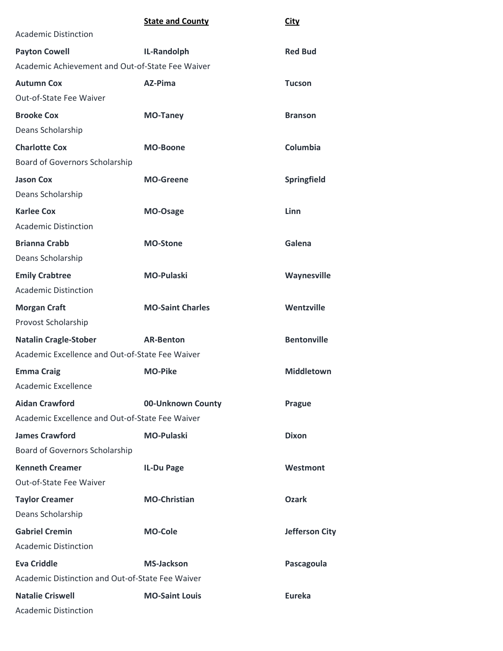|                                                  | <b>State and County</b> | <b>City</b>           |
|--------------------------------------------------|-------------------------|-----------------------|
| <b>Academic Distinction</b>                      |                         |                       |
| <b>Payton Cowell</b>                             | IL-Randolph             | <b>Red Bud</b>        |
| Academic Achievement and Out-of-State Fee Waiver |                         |                       |
| <b>Autumn Cox</b>                                | AZ-Pima                 | <b>Tucson</b>         |
| <b>Out-of-State Fee Waiver</b>                   |                         |                       |
| <b>Brooke Cox</b>                                | <b>MO-Taney</b>         | <b>Branson</b>        |
| Deans Scholarship                                |                         |                       |
| <b>Charlotte Cox</b>                             | <b>MO-Boone</b>         | Columbia              |
| Board of Governors Scholarship                   |                         |                       |
| <b>Jason Cox</b>                                 | <b>MO-Greene</b>        | Springfield           |
| Deans Scholarship                                |                         |                       |
| <b>Karlee Cox</b>                                | MO-Osage                | Linn                  |
| <b>Academic Distinction</b>                      |                         |                       |
| <b>Brianna Crabb</b>                             | <b>MO-Stone</b>         | Galena                |
| Deans Scholarship                                |                         |                       |
| <b>Emily Crabtree</b>                            | <b>MO-Pulaski</b>       | Waynesville           |
| <b>Academic Distinction</b>                      |                         |                       |
| <b>Morgan Craft</b>                              | <b>MO-Saint Charles</b> | Wentzville            |
| Provost Scholarship                              |                         |                       |
| <b>Natalin Cragle-Stober</b>                     | <b>AR-Benton</b>        | <b>Bentonville</b>    |
| Academic Excellence and Out-of-State Fee Waiver  |                         |                       |
| <b>Emma Craig</b>                                | <b>MO-Pike</b>          | <b>Middletown</b>     |
| Academic Excellence                              |                         |                       |
| <b>Aidan Crawford</b>                            | 00-Unknown County       | <b>Prague</b>         |
| Academic Excellence and Out-of-State Fee Waiver  |                         |                       |
| <b>James Crawford</b>                            | <b>MO-Pulaski</b>       | <b>Dixon</b>          |
| Board of Governors Scholarship                   |                         |                       |
| <b>Kenneth Creamer</b>                           | IL-Du Page              | Westmont              |
| Out-of-State Fee Waiver                          |                         |                       |
| <b>Taylor Creamer</b>                            | <b>MO-Christian</b>     | <b>Ozark</b>          |
| Deans Scholarship                                |                         |                       |
| <b>Gabriel Cremin</b>                            | <b>MO-Cole</b>          | <b>Jefferson City</b> |
| <b>Academic Distinction</b>                      |                         |                       |
| <b>Eva Criddle</b>                               | <b>MS-Jackson</b>       | Pascagoula            |
| Academic Distinction and Out-of-State Fee Waiver |                         |                       |
| <b>Natalie Criswell</b>                          | <b>MO-Saint Louis</b>   | <b>Eureka</b>         |
| <b>Academic Distinction</b>                      |                         |                       |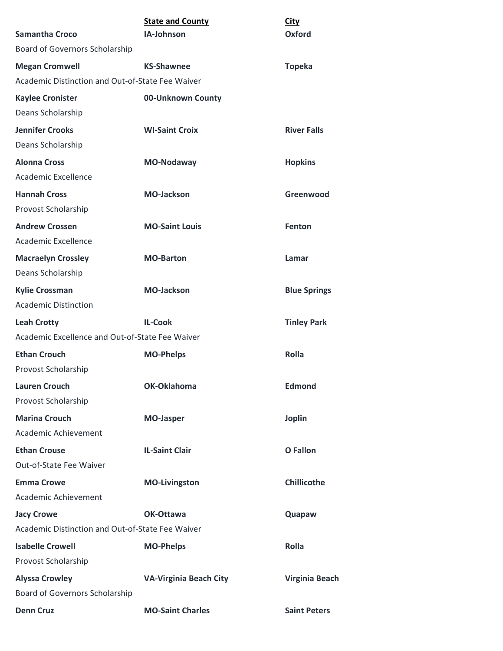| <b>Samantha Croco</b>                            | <b>State and County</b><br>IA-Johnson | <b>City</b><br>Oxford |
|--------------------------------------------------|---------------------------------------|-----------------------|
| Board of Governors Scholarship                   |                                       |                       |
| <b>Megan Cromwell</b>                            | <b>KS-Shawnee</b>                     | <b>Topeka</b>         |
| Academic Distinction and Out-of-State Fee Waiver |                                       |                       |
| <b>Kaylee Cronister</b>                          | 00-Unknown County                     |                       |
| Deans Scholarship                                |                                       |                       |
| <b>Jennifer Crooks</b>                           | <b>WI-Saint Croix</b>                 | <b>River Falls</b>    |
| Deans Scholarship                                |                                       |                       |
| <b>Alonna Cross</b>                              | MO-Nodaway                            | <b>Hopkins</b>        |
| Academic Excellence                              |                                       |                       |
| <b>Hannah Cross</b>                              | <b>MO-Jackson</b>                     | Greenwood             |
| Provost Scholarship                              |                                       |                       |
| <b>Andrew Crossen</b>                            | <b>MO-Saint Louis</b>                 | Fenton                |
| Academic Excellence                              |                                       |                       |
| <b>Macraelyn Crossley</b>                        | <b>MO-Barton</b>                      | Lamar                 |
| Deans Scholarship                                |                                       |                       |
| <b>Kylie Crossman</b>                            | <b>MO-Jackson</b>                     | <b>Blue Springs</b>   |
| <b>Academic Distinction</b>                      |                                       |                       |
| <b>Leah Crotty</b>                               | <b>IL-Cook</b>                        | <b>Tinley Park</b>    |
| Academic Excellence and Out-of-State Fee Waiver  |                                       |                       |
| <b>Ethan Crouch</b>                              | <b>MO-Phelps</b>                      | <b>Rolla</b>          |
| Provost Scholarship                              |                                       |                       |
| <b>Lauren Crouch</b>                             | OK-Oklahoma                           | <b>Edmond</b>         |
| Provost Scholarship                              |                                       |                       |
| <b>Marina Crouch</b>                             | <b>MO-Jasper</b>                      | <b>Joplin</b>         |
| Academic Achievement                             |                                       |                       |
| <b>Ethan Crouse</b>                              | <b>IL-Saint Clair</b>                 | O Fallon              |
| Out-of-State Fee Waiver                          |                                       |                       |
| <b>Emma Crowe</b>                                | <b>MO-Livingston</b>                  | <b>Chillicothe</b>    |
| Academic Achievement                             |                                       |                       |
| <b>Jacy Crowe</b>                                | OK-Ottawa                             | Quapaw                |
| Academic Distinction and Out-of-State Fee Waiver |                                       |                       |
| <b>Isabelle Crowell</b>                          | <b>MO-Phelps</b>                      | Rolla                 |
| Provost Scholarship                              |                                       |                       |
| <b>Alyssa Crowley</b>                            | <b>VA-Virginia Beach City</b>         | <b>Virginia Beach</b> |
| Board of Governors Scholarship                   |                                       |                       |
| <b>Denn Cruz</b>                                 | <b>MO-Saint Charles</b>               | <b>Saint Peters</b>   |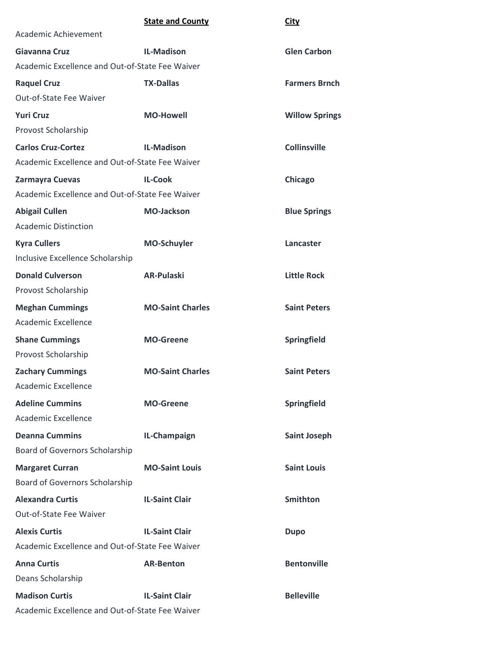|                                                 | <b>State and County</b> | <b>City</b>           |
|-------------------------------------------------|-------------------------|-----------------------|
| Academic Achievement                            |                         |                       |
| Giavanna Cruz                                   | <b>IL-Madison</b>       | <b>Glen Carbon</b>    |
| Academic Excellence and Out-of-State Fee Waiver |                         |                       |
| <b>Raquel Cruz</b>                              | <b>TX-Dallas</b>        | <b>Farmers Brnch</b>  |
| Out-of-State Fee Waiver                         |                         |                       |
| <b>Yuri Cruz</b>                                | <b>MO-Howell</b>        | <b>Willow Springs</b> |
| Provost Scholarship                             |                         |                       |
| <b>Carlos Cruz-Cortez</b>                       | <b>IL-Madison</b>       | <b>Collinsville</b>   |
| Academic Excellence and Out-of-State Fee Waiver |                         |                       |
| Zarmayra Cuevas                                 | <b>IL-Cook</b>          | Chicago               |
| Academic Excellence and Out-of-State Fee Waiver |                         |                       |
| <b>Abigail Cullen</b>                           | <b>MO-Jackson</b>       | <b>Blue Springs</b>   |
| <b>Academic Distinction</b>                     |                         |                       |
| <b>Kyra Cullers</b>                             | <b>MO-Schuyler</b>      | Lancaster             |
| Inclusive Excellence Scholarship                |                         |                       |
| <b>Donald Culverson</b>                         | <b>AR-Pulaski</b>       | <b>Little Rock</b>    |
| Provost Scholarship                             |                         |                       |
| <b>Meghan Cummings</b>                          | <b>MO-Saint Charles</b> | <b>Saint Peters</b>   |
| Academic Excellence                             |                         |                       |
| <b>Shane Cummings</b>                           | <b>MO-Greene</b>        | Springfield           |
| Provost Scholarship                             |                         |                       |
| <b>Zachary Cummings</b>                         | <b>MO-Saint Charles</b> | <b>Saint Peters</b>   |
| <b>Academic Excellence</b>                      |                         |                       |
| <b>Adeline Cummins</b>                          | <b>MO-Greene</b>        | Springfield           |
| Academic Excellence                             |                         |                       |
| <b>Deanna Cummins</b>                           | IL-Champaign            | <b>Saint Joseph</b>   |
| Board of Governors Scholarship                  |                         |                       |
| <b>Margaret Curran</b>                          | <b>MO-Saint Louis</b>   | <b>Saint Louis</b>    |
| Board of Governors Scholarship                  |                         |                       |
| <b>Alexandra Curtis</b>                         | <b>IL-Saint Clair</b>   | <b>Smithton</b>       |
| Out-of-State Fee Waiver                         |                         |                       |
| <b>Alexis Curtis</b>                            | <b>IL-Saint Clair</b>   | <b>Dupo</b>           |
| Academic Excellence and Out-of-State Fee Waiver |                         |                       |
| <b>Anna Curtis</b>                              | <b>AR-Benton</b>        | <b>Bentonville</b>    |
| Deans Scholarship                               |                         |                       |
| <b>Madison Curtis</b>                           | <b>IL-Saint Clair</b>   | <b>Belleville</b>     |
| Academic Excellence and Out-of-State Fee Waiver |                         |                       |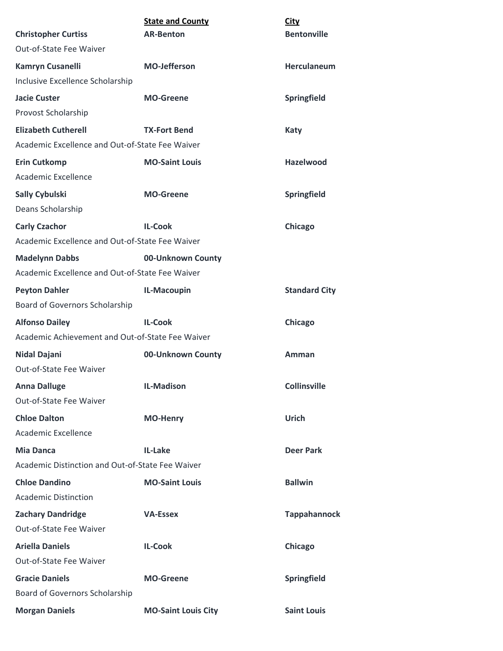| <b>Christopher Curtiss</b>                       | <b>State and County</b><br><b>AR-Benton</b> | <b>City</b><br><b>Bentonville</b> |
|--------------------------------------------------|---------------------------------------------|-----------------------------------|
| Out-of-State Fee Waiver                          |                                             |                                   |
| <b>Kamryn Cusanelli</b>                          | <b>MO-Jefferson</b>                         | <b>Herculaneum</b>                |
| Inclusive Excellence Scholarship                 |                                             |                                   |
| <b>Jacie Custer</b>                              | <b>MO-Greene</b>                            | Springfield                       |
| Provost Scholarship                              |                                             |                                   |
| <b>Elizabeth Cutherell</b>                       | <b>TX-Fort Bend</b>                         | Katy                              |
| Academic Excellence and Out-of-State Fee Waiver  |                                             |                                   |
| <b>Erin Cutkomp</b>                              | <b>MO-Saint Louis</b>                       | Hazelwood                         |
| Academic Excellence                              |                                             |                                   |
| <b>Sally Cybulski</b>                            | <b>MO-Greene</b>                            | Springfield                       |
| Deans Scholarship                                |                                             |                                   |
| <b>Carly Czachor</b>                             | <b>IL-Cook</b>                              | Chicago                           |
| Academic Excellence and Out-of-State Fee Waiver  |                                             |                                   |
| <b>Madelynn Dabbs</b>                            | 00-Unknown County                           |                                   |
| Academic Excellence and Out-of-State Fee Waiver  |                                             |                                   |
| <b>Peyton Dahler</b>                             | IL-Macoupin                                 | <b>Standard City</b>              |
| <b>Board of Governors Scholarship</b>            |                                             |                                   |
| <b>Alfonso Dailey</b>                            | <b>IL-Cook</b>                              | Chicago                           |
| Academic Achievement and Out-of-State Fee Waiver |                                             |                                   |
| <b>Nidal Dajani</b>                              | 00-Unknown County                           | Amman                             |
| <b>Out-of-State Fee Waiver</b>                   |                                             |                                   |
| <b>Anna Dalluge</b>                              | <b>IL-Madison</b>                           | <b>Collinsville</b>               |
| Out-of-State Fee Waiver                          |                                             |                                   |
| <b>Chloe Dalton</b>                              | <b>MO-Henry</b>                             | <b>Urich</b>                      |
| Academic Excellence                              |                                             |                                   |
| <b>Mia Danca</b>                                 | IL-Lake                                     | <b>Deer Park</b>                  |
| Academic Distinction and Out-of-State Fee Waiver |                                             |                                   |
| <b>Chloe Dandino</b>                             | <b>MO-Saint Louis</b>                       | <b>Ballwin</b>                    |
| <b>Academic Distinction</b>                      |                                             |                                   |
| <b>Zachary Dandridge</b>                         | <b>VA-Essex</b>                             | <b>Tappahannock</b>               |
| Out-of-State Fee Waiver                          |                                             |                                   |
| <b>Ariella Daniels</b>                           | <b>IL-Cook</b>                              | Chicago                           |
| Out-of-State Fee Waiver                          |                                             |                                   |
| <b>Gracie Daniels</b>                            | <b>MO-Greene</b>                            | Springfield                       |
| Board of Governors Scholarship                   |                                             |                                   |
| <b>Morgan Daniels</b>                            | <b>MO-Saint Louis City</b>                  | <b>Saint Louis</b>                |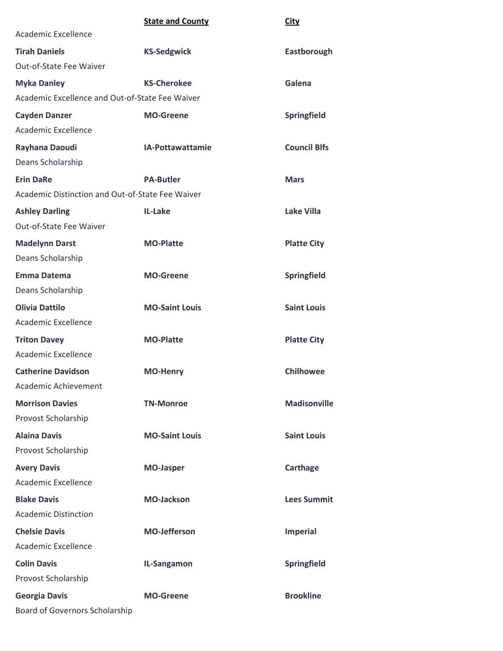|                                                  | <b>State and County</b> | City                |
|--------------------------------------------------|-------------------------|---------------------|
| Academic Excellence                              |                         |                     |
| <b>Tirah Daniels</b>                             | <b>KS-Sedgwick</b>      | Eastborough         |
| Out-of-State Fee Waiver                          |                         |                     |
| <b>Myka Danley</b>                               | <b>KS-Cherokee</b>      | Galena              |
| Academic Excellence and Out-of-State Fee Waiver  |                         |                     |
| <b>Cayden Danzer</b>                             | <b>MO-Greene</b>        | Springfield         |
| Academic Excellence                              |                         |                     |
| Rayhana Daoudi                                   | IA-Pottawattamie        | <b>Council Blfs</b> |
| Deans Scholarship                                |                         |                     |
| <b>Erin DaRe</b>                                 | <b>PA-Butler</b>        | <b>Mars</b>         |
| Academic Distinction and Out-of-State Fee Waiver |                         |                     |
| <b>Ashley Darling</b>                            | IL-Lake                 | Lake Villa          |
| Out-of-State Fee Waiver                          |                         |                     |
| <b>Madelynn Darst</b>                            | <b>MO-Platte</b>        | <b>Platte City</b>  |
| Deans Scholarship                                |                         |                     |
| <b>Emma Datema</b>                               | <b>MO-Greene</b>        | Springfield         |
| Deans Scholarship                                |                         |                     |
| <b>Olivia Dattilo</b>                            | <b>MO-Saint Louis</b>   | <b>Saint Louis</b>  |
| Academic Excellence                              |                         |                     |
| <b>Triton Davey</b>                              | <b>MO-Platte</b>        | <b>Platte City</b>  |
| Academic Excellence                              |                         |                     |
| <b>Catherine Davidson</b>                        | <b>MO-Henry</b>         | <b>Chilhowee</b>    |
| Academic Achievement                             |                         |                     |
| <b>Morrison Davies</b>                           | <b>TN-Monroe</b>        | <b>Madisonville</b> |
| Provost Scholarship                              |                         |                     |
| <b>Alaina Davis</b>                              | <b>MO-Saint Louis</b>   | <b>Saint Louis</b>  |
| Provost Scholarship                              |                         |                     |
| <b>Avery Davis</b>                               | <b>MO-Jasper</b>        | Carthage            |
| Academic Excellence                              |                         |                     |
| <b>Blake Davis</b>                               | <b>MO-Jackson</b>       | <b>Lees Summit</b>  |
| <b>Academic Distinction</b>                      |                         |                     |
| <b>Chelsie Davis</b>                             | <b>MO-Jefferson</b>     | <b>Imperial</b>     |
| Academic Excellence                              |                         |                     |
| <b>Colin Davis</b>                               | IL-Sangamon             | Springfield         |
| Provost Scholarship                              |                         |                     |
| <b>Georgia Davis</b>                             | <b>MO-Greene</b>        | <b>Brookline</b>    |
| Board of Governors Scholarship                   |                         |                     |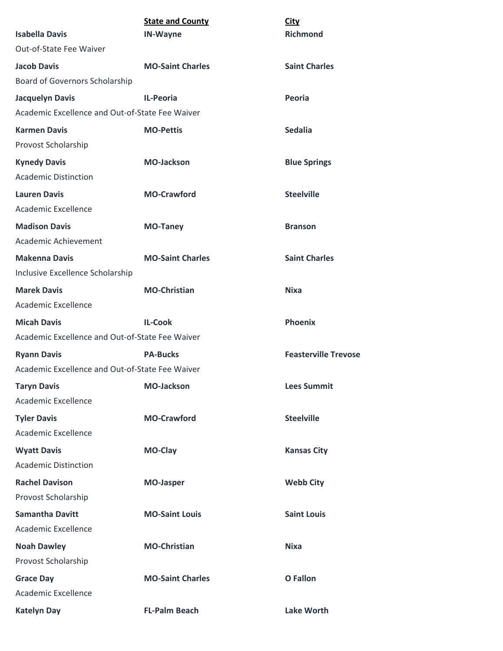| <b>Isabella Davis</b>                           | <b>State and County</b><br><b>IN-Wayne</b> | <b>City</b><br><b>Richmond</b> |
|-------------------------------------------------|--------------------------------------------|--------------------------------|
| Out-of-State Fee Waiver                         |                                            |                                |
| <b>Jacob Davis</b>                              | <b>MO-Saint Charles</b>                    | <b>Saint Charles</b>           |
| Board of Governors Scholarship                  |                                            |                                |
| <b>Jacquelyn Davis</b>                          | <b>IL-Peoria</b>                           | Peoria                         |
| Academic Excellence and Out-of-State Fee Waiver |                                            |                                |
| <b>Karmen Davis</b>                             | <b>MO-Pettis</b>                           | <b>Sedalia</b>                 |
| Provost Scholarship                             |                                            |                                |
| <b>Kynedy Davis</b>                             | <b>MO-Jackson</b>                          | <b>Blue Springs</b>            |
| <b>Academic Distinction</b>                     |                                            |                                |
| <b>Lauren Davis</b>                             | <b>MO-Crawford</b>                         | <b>Steelville</b>              |
| Academic Excellence                             |                                            |                                |
| <b>Madison Davis</b>                            | <b>MO-Taney</b>                            | <b>Branson</b>                 |
| Academic Achievement                            |                                            |                                |
| <b>Makenna Davis</b>                            | <b>MO-Saint Charles</b>                    | <b>Saint Charles</b>           |
| Inclusive Excellence Scholarship                |                                            |                                |
| <b>Marek Davis</b>                              | <b>MO-Christian</b>                        | <b>Nixa</b>                    |
| <b>Academic Excellence</b>                      |                                            |                                |
| <b>Micah Davis</b>                              | <b>IL-Cook</b>                             | <b>Phoenix</b>                 |
| Academic Excellence and Out-of-State Fee Waiver |                                            |                                |
| <b>Ryann Davis</b>                              | <b>PA-Bucks</b>                            | <b>Feasterville Trevose</b>    |
| Academic Excellence and Out-of-State Fee Waiver |                                            |                                |
| <b>Taryn Davis</b>                              | <b>MO-Jackson</b>                          | <b>Lees Summit</b>             |
| Academic Excellence                             |                                            |                                |
| <b>Tyler Davis</b>                              | <b>MO-Crawford</b>                         | <b>Steelville</b>              |
| Academic Excellence                             |                                            |                                |
| <b>Wyatt Davis</b>                              | MO-Clay                                    | <b>Kansas City</b>             |
| <b>Academic Distinction</b>                     |                                            |                                |
| <b>Rachel Davison</b>                           | <b>MO-Jasper</b>                           | <b>Webb City</b>               |
| Provost Scholarship                             |                                            |                                |
| <b>Samantha Davitt</b>                          | <b>MO-Saint Louis</b>                      | <b>Saint Louis</b>             |
| Academic Excellence                             |                                            |                                |
| <b>Noah Dawley</b>                              | <b>MO-Christian</b>                        | <b>Nixa</b>                    |
| Provost Scholarship                             |                                            |                                |
| <b>Grace Day</b>                                | <b>MO-Saint Charles</b>                    | <b>O</b> Fallon                |
| Academic Excellence                             |                                            |                                |
| <b>Katelyn Day</b>                              | <b>FL-Palm Beach</b>                       | <b>Lake Worth</b>              |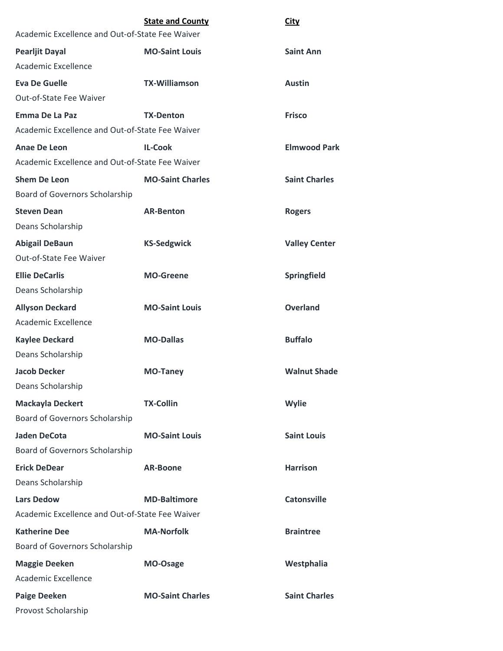|                                                 | <b>State and County</b> | City                 |
|-------------------------------------------------|-------------------------|----------------------|
| Academic Excellence and Out-of-State Fee Waiver |                         |                      |
| <b>Pearljit Dayal</b>                           | <b>MO-Saint Louis</b>   | <b>Saint Ann</b>     |
| Academic Excellence                             |                         |                      |
| <b>Eva De Guelle</b>                            | <b>TX-Williamson</b>    | <b>Austin</b>        |
| Out-of-State Fee Waiver                         |                         |                      |
| <b>Emma De La Paz</b>                           | <b>TX-Denton</b>        | <b>Frisco</b>        |
| Academic Excellence and Out-of-State Fee Waiver |                         |                      |
| Anae De Leon                                    | <b>IL-Cook</b>          | <b>Elmwood Park</b>  |
| Academic Excellence and Out-of-State Fee Waiver |                         |                      |
| <b>Shem De Leon</b>                             | <b>MO-Saint Charles</b> | <b>Saint Charles</b> |
| Board of Governors Scholarship                  |                         |                      |
| <b>Steven Dean</b>                              | <b>AR-Benton</b>        | <b>Rogers</b>        |
| Deans Scholarship                               |                         |                      |
| <b>Abigail DeBaun</b>                           | <b>KS-Sedgwick</b>      | <b>Valley Center</b> |
| Out-of-State Fee Waiver                         |                         |                      |
| <b>Ellie DeCarlis</b>                           | <b>MO-Greene</b>        | Springfield          |
| Deans Scholarship                               |                         |                      |
| <b>Allyson Deckard</b>                          | <b>MO-Saint Louis</b>   | <b>Overland</b>      |
| <b>Academic Excellence</b>                      |                         |                      |
| <b>Kaylee Deckard</b>                           | <b>MO-Dallas</b>        | <b>Buffalo</b>       |
| Deans Scholarship                               |                         |                      |
| <b>Jacob Decker</b>                             | <b>MO-Taney</b>         | <b>Walnut Shade</b>  |
| Deans Scholarship                               |                         |                      |
| <b>Mackayla Deckert</b>                         | <b>TX-Collin</b>        | Wylie                |
| Board of Governors Scholarship                  |                         |                      |
| <b>Jaden DeCota</b>                             | <b>MO-Saint Louis</b>   | <b>Saint Louis</b>   |
| Board of Governors Scholarship                  |                         |                      |
| <b>Erick DeDear</b>                             | <b>AR-Boone</b>         | <b>Harrison</b>      |
| Deans Scholarship                               |                         |                      |
| <b>Lars Dedow</b>                               | <b>MD-Baltimore</b>     | <b>Catonsville</b>   |
| Academic Excellence and Out-of-State Fee Waiver |                         |                      |
| <b>Katherine Dee</b>                            | <b>MA-Norfolk</b>       | <b>Braintree</b>     |
| Board of Governors Scholarship                  |                         |                      |
| <b>Maggie Deeken</b>                            | MO-Osage                | Westphalia           |
| Academic Excellence                             |                         |                      |
| <b>Paige Deeken</b>                             | <b>MO-Saint Charles</b> | <b>Saint Charles</b> |
| Provost Scholarship                             |                         |                      |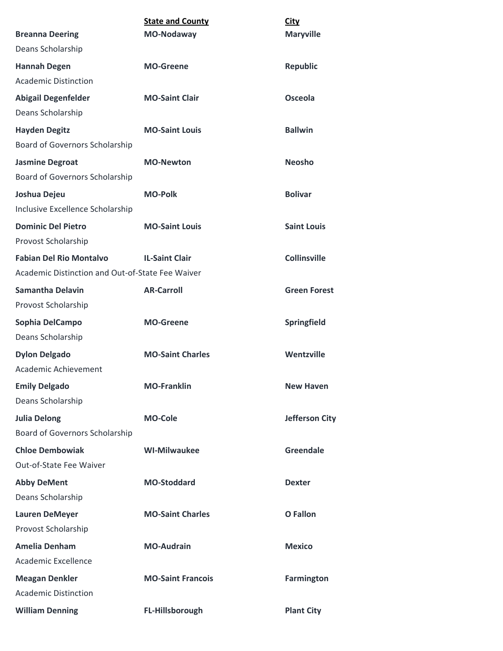|                                                  | <b>State and County</b>  | City                  |
|--------------------------------------------------|--------------------------|-----------------------|
| <b>Breanna Deering</b>                           | <b>MO-Nodaway</b>        | <b>Maryville</b>      |
| Deans Scholarship                                |                          |                       |
| <b>Hannah Degen</b>                              | <b>MO-Greene</b>         | <b>Republic</b>       |
| <b>Academic Distinction</b>                      |                          |                       |
| <b>Abigail Degenfelder</b>                       | <b>MO-Saint Clair</b>    | <b>Osceola</b>        |
| Deans Scholarship                                |                          |                       |
| <b>Hayden Degitz</b>                             | <b>MO-Saint Louis</b>    | <b>Ballwin</b>        |
| Board of Governors Scholarship                   |                          |                       |
| <b>Jasmine Degroat</b>                           | <b>MO-Newton</b>         | <b>Neosho</b>         |
| Board of Governors Scholarship                   |                          |                       |
| Joshua Dejeu                                     | <b>MO-Polk</b>           | <b>Bolivar</b>        |
| Inclusive Excellence Scholarship                 |                          |                       |
| <b>Dominic Del Pietro</b>                        | <b>MO-Saint Louis</b>    | <b>Saint Louis</b>    |
| Provost Scholarship                              |                          |                       |
| <b>Fabian Del Rio Montalvo</b>                   | <b>IL-Saint Clair</b>    | <b>Collinsville</b>   |
| Academic Distinction and Out-of-State Fee Waiver |                          |                       |
| <b>Samantha Delavin</b>                          | <b>AR-Carroll</b>        | <b>Green Forest</b>   |
| Provost Scholarship                              |                          |                       |
| Sophia DelCampo                                  | <b>MO-Greene</b>         | <b>Springfield</b>    |
| Deans Scholarship                                |                          |                       |
| <b>Dylon Delgado</b>                             | <b>MO-Saint Charles</b>  | Wentzville            |
| Academic Achievement                             |                          |                       |
| <b>Emily Delgado</b>                             | <b>MO-Franklin</b>       | <b>New Haven</b>      |
| Deans Scholarship                                |                          |                       |
| <b>Julia Delong</b>                              | <b>MO-Cole</b>           | <b>Jefferson City</b> |
| <b>Board of Governors Scholarship</b>            |                          |                       |
| <b>Chloe Dembowiak</b>                           | <b>WI-Milwaukee</b>      | <b>Greendale</b>      |
| Out-of-State Fee Waiver                          |                          |                       |
| <b>Abby DeMent</b>                               | <b>MO-Stoddard</b>       | <b>Dexter</b>         |
| Deans Scholarship                                |                          |                       |
| <b>Lauren DeMeyer</b>                            | <b>MO-Saint Charles</b>  | <b>O</b> Fallon       |
| Provost Scholarship                              |                          |                       |
| <b>Amelia Denham</b>                             | <b>MO-Audrain</b>        | <b>Mexico</b>         |
| Academic Excellence                              |                          |                       |
| <b>Meagan Denkler</b>                            | <b>MO-Saint Francois</b> | <b>Farmington</b>     |
| <b>Academic Distinction</b>                      |                          |                       |
| <b>William Denning</b>                           | FL-Hillsborough          | <b>Plant City</b>     |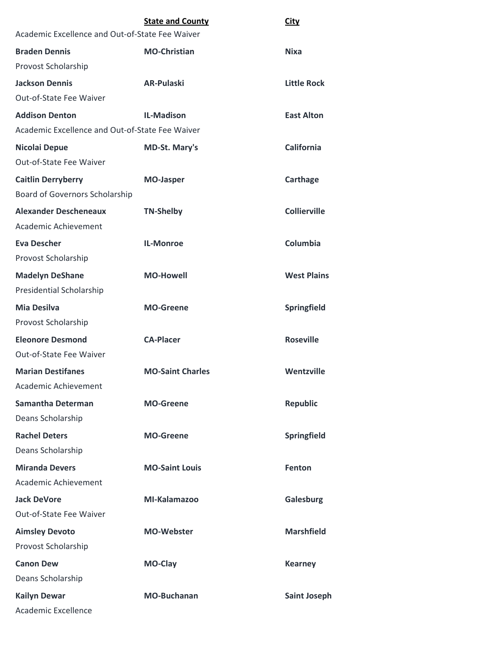| Academic Excellence and Out-of-State Fee Waiver | <b>State and County</b> | <b>City</b>         |
|-------------------------------------------------|-------------------------|---------------------|
| <b>Braden Dennis</b>                            | <b>MO-Christian</b>     | <b>Nixa</b>         |
| Provost Scholarship                             |                         |                     |
| <b>Jackson Dennis</b>                           | <b>AR-Pulaski</b>       | <b>Little Rock</b>  |
| Out-of-State Fee Waiver                         |                         |                     |
| <b>Addison Denton</b>                           | <b>IL-Madison</b>       | <b>East Alton</b>   |
| Academic Excellence and Out-of-State Fee Waiver |                         |                     |
| Nicolai Depue                                   | <b>MD-St. Mary's</b>    | <b>California</b>   |
| <b>Out-of-State Fee Waiver</b>                  |                         |                     |
| <b>Caitlin Derryberry</b>                       | <b>MO-Jasper</b>        | Carthage            |
| Board of Governors Scholarship                  |                         |                     |
| <b>Alexander Descheneaux</b>                    | <b>TN-Shelby</b>        | <b>Collierville</b> |
| Academic Achievement                            |                         |                     |
| <b>Eva Descher</b>                              | <b>IL-Monroe</b>        | Columbia            |
| Provost Scholarship                             |                         |                     |
| <b>Madelyn DeShane</b>                          | <b>MO-Howell</b>        | <b>West Plains</b>  |
| Presidential Scholarship                        |                         |                     |
| <b>Mia Desilva</b>                              | <b>MO-Greene</b>        | Springfield         |
| Provost Scholarship                             |                         |                     |
| <b>Eleonore Desmond</b>                         | <b>CA-Placer</b>        | <b>Roseville</b>    |
| <b>Out-of-State Fee Waiver</b>                  |                         |                     |
| <b>Marian Destifanes</b>                        | <b>MO-Saint Charles</b> | Wentzville          |
| <b>Academic Achievement</b>                     |                         |                     |
| <b>Samantha Determan</b>                        | <b>MO-Greene</b>        | <b>Republic</b>     |
| Deans Scholarship                               |                         |                     |
| <b>Rachel Deters</b>                            | <b>MO-Greene</b>        | Springfield         |
| Deans Scholarship                               |                         |                     |
| <b>Miranda Devers</b>                           | <b>MO-Saint Louis</b>   | <b>Fenton</b>       |
| Academic Achievement                            |                         |                     |
| <b>Jack DeVore</b>                              | MI-Kalamazoo            | Galesburg           |
| Out-of-State Fee Waiver                         |                         |                     |
| <b>Aimsley Devoto</b>                           | <b>MO-Webster</b>       | <b>Marshfield</b>   |
| Provost Scholarship                             |                         |                     |
| <b>Canon Dew</b>                                | MO-Clay                 | <b>Kearney</b>      |
| Deans Scholarship                               |                         |                     |
| <b>Kailyn Dewar</b>                             | <b>MO-Buchanan</b>      | <b>Saint Joseph</b> |
| Academic Excellence                             |                         |                     |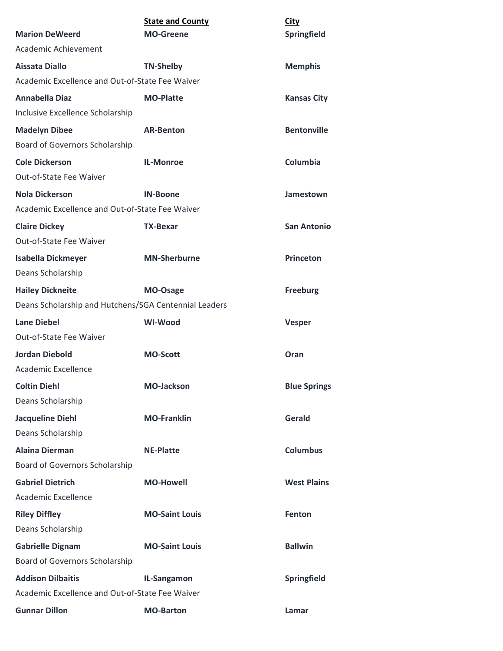|                                                       | <b>State and County</b> | <b>City</b>         |
|-------------------------------------------------------|-------------------------|---------------------|
| <b>Marion DeWeerd</b>                                 | <b>MO-Greene</b>        | Springfield         |
| Academic Achievement                                  |                         |                     |
| Aissata Diallo                                        | <b>TN-Shelby</b>        | <b>Memphis</b>      |
| Academic Excellence and Out-of-State Fee Waiver       |                         |                     |
| <b>Annabella Diaz</b>                                 | <b>MO-Platte</b>        | <b>Kansas City</b>  |
| Inclusive Excellence Scholarship                      |                         |                     |
| <b>Madelyn Dibee</b>                                  | <b>AR-Benton</b>        | <b>Bentonville</b>  |
| Board of Governors Scholarship                        |                         |                     |
| <b>Cole Dickerson</b>                                 | <b>IL-Monroe</b>        | Columbia            |
| Out-of-State Fee Waiver                               |                         |                     |
| <b>Nola Dickerson</b>                                 | <b>IN-Boone</b>         | Jamestown           |
| Academic Excellence and Out-of-State Fee Waiver       |                         |                     |
| <b>Claire Dickey</b>                                  | <b>TX-Bexar</b>         | <b>San Antonio</b>  |
| Out-of-State Fee Waiver                               |                         |                     |
| <b>Isabella Dickmeyer</b>                             | <b>MN-Sherburne</b>     | <b>Princeton</b>    |
| Deans Scholarship                                     |                         |                     |
| <b>Hailey Dickneite</b>                               | MO-Osage                | <b>Freeburg</b>     |
| Deans Scholarship and Hutchens/SGA Centennial Leaders |                         |                     |
| <b>Lane Diebel</b>                                    | <b>WI-Wood</b>          | <b>Vesper</b>       |
| Out-of-State Fee Waiver                               |                         |                     |
| <b>Jordan Diebold</b>                                 | <b>MO-Scott</b>         | Oran                |
| Academic Excellence                                   |                         |                     |
| <b>Coltin Diehl</b>                                   | <b>MO-Jackson</b>       | <b>Blue Springs</b> |
| Deans Scholarship                                     |                         |                     |
| <b>Jacqueline Diehl</b>                               | <b>MO-Franklin</b>      | Gerald              |
| Deans Scholarship                                     |                         |                     |
| <b>Alaina Dierman</b>                                 | <b>NE-Platte</b>        | <b>Columbus</b>     |
| <b>Board of Governors Scholarship</b>                 |                         |                     |
| <b>Gabriel Dietrich</b>                               | <b>MO-Howell</b>        | <b>West Plains</b>  |
| Academic Excellence                                   |                         |                     |
| <b>Riley Diffley</b>                                  | <b>MO-Saint Louis</b>   | <b>Fenton</b>       |
| Deans Scholarship                                     |                         |                     |
| <b>Gabrielle Dignam</b>                               | <b>MO-Saint Louis</b>   | <b>Ballwin</b>      |
| Board of Governors Scholarship                        |                         |                     |
| <b>Addison Dilbaitis</b>                              | IL-Sangamon             | Springfield         |
| Academic Excellence and Out-of-State Fee Waiver       |                         |                     |
| <b>Gunnar Dillon</b>                                  | <b>MO-Barton</b>        | Lamar               |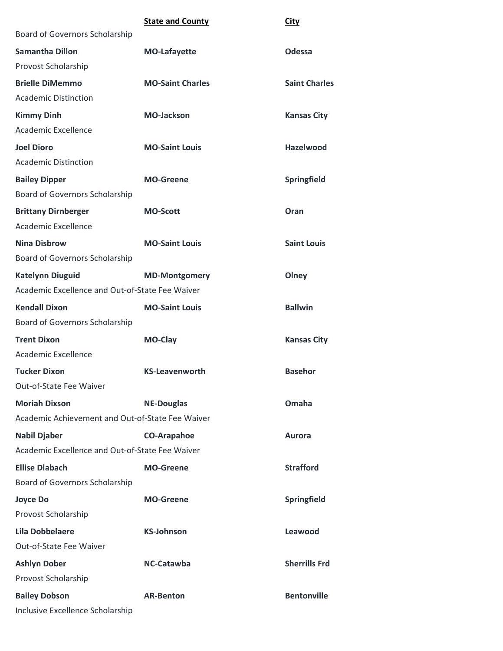|                                                  | <b>State and County</b> | City                 |
|--------------------------------------------------|-------------------------|----------------------|
| Board of Governors Scholarship                   |                         |                      |
| <b>Samantha Dillon</b>                           | <b>MO-Lafayette</b>     | <b>Odessa</b>        |
| Provost Scholarship                              |                         |                      |
| <b>Brielle DiMemmo</b>                           | <b>MO-Saint Charles</b> | <b>Saint Charles</b> |
| <b>Academic Distinction</b>                      |                         |                      |
| <b>Kimmy Dinh</b>                                | <b>MO-Jackson</b>       | <b>Kansas City</b>   |
| Academic Excellence                              |                         |                      |
| <b>Joel Dioro</b>                                | <b>MO-Saint Louis</b>   | <b>Hazelwood</b>     |
| <b>Academic Distinction</b>                      |                         |                      |
| <b>Bailey Dipper</b>                             | <b>MO-Greene</b>        | <b>Springfield</b>   |
| Board of Governors Scholarship                   |                         |                      |
| <b>Brittany Dirnberger</b>                       | <b>MO-Scott</b>         | Oran                 |
| <b>Academic Excellence</b>                       |                         |                      |
| <b>Nina Disbrow</b>                              | <b>MO-Saint Louis</b>   | <b>Saint Louis</b>   |
| Board of Governors Scholarship                   |                         |                      |
| <b>Katelynn Diuguid</b>                          | <b>MD-Montgomery</b>    | Olney                |
| Academic Excellence and Out-of-State Fee Waiver  |                         |                      |
| <b>Kendall Dixon</b>                             | <b>MO-Saint Louis</b>   | <b>Ballwin</b>       |
| Board of Governors Scholarship                   |                         |                      |
| <b>Trent Dixon</b>                               | <b>MO-Clay</b>          | <b>Kansas City</b>   |
| Academic Excellence                              |                         |                      |
| <b>Tucker Dixon</b>                              | <b>KS-Leavenworth</b>   | <b>Basehor</b>       |
| Out-of-State Fee Waiver                          |                         |                      |
| <b>Moriah Dixson</b>                             | <b>NE-Douglas</b>       | Omaha                |
| Academic Achievement and Out-of-State Fee Waiver |                         |                      |
| <b>Nabil Djaber</b>                              | <b>CO-Arapahoe</b>      | <b>Aurora</b>        |
| Academic Excellence and Out-of-State Fee Waiver  |                         |                      |
| <b>Ellise Dlabach</b>                            | <b>MO-Greene</b>        | <b>Strafford</b>     |
| Board of Governors Scholarship                   |                         |                      |
| <b>Joyce Do</b>                                  | <b>MO-Greene</b>        | Springfield          |
| Provost Scholarship                              |                         |                      |
| <b>Lila Dobbelaere</b>                           | <b>KS-Johnson</b>       | Leawood              |
| Out-of-State Fee Waiver                          |                         |                      |
| <b>Ashlyn Dober</b>                              | NC-Catawba              | <b>Sherrills Frd</b> |
| Provost Scholarship                              |                         |                      |
| <b>Bailey Dobson</b>                             | <b>AR-Benton</b>        | <b>Bentonville</b>   |
| Inclusive Excellence Scholarship                 |                         |                      |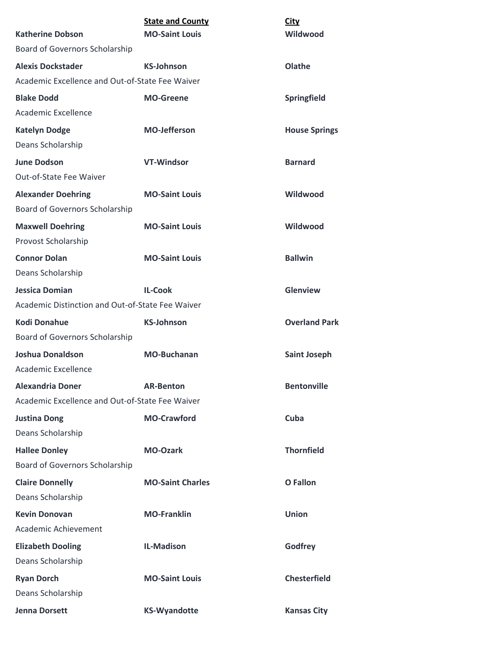| <b>Katherine Dobson</b>                                                     | <b>State and County</b><br><b>MO-Saint Louis</b> | <b>City</b><br>Wildwood |
|-----------------------------------------------------------------------------|--------------------------------------------------|-------------------------|
| Board of Governors Scholarship                                              |                                                  |                         |
|                                                                             |                                                  |                         |
| <b>Alexis Dockstader</b><br>Academic Excellence and Out-of-State Fee Waiver | <b>KS-Johnson</b>                                | Olathe                  |
|                                                                             |                                                  |                         |
| <b>Blake Dodd</b>                                                           | <b>MO-Greene</b>                                 | Springfield             |
| Academic Excellence                                                         |                                                  |                         |
| <b>Katelyn Dodge</b>                                                        | <b>MO-Jefferson</b>                              | <b>House Springs</b>    |
| Deans Scholarship                                                           |                                                  |                         |
| <b>June Dodson</b>                                                          | <b>VT-Windsor</b>                                | <b>Barnard</b>          |
| Out-of-State Fee Waiver                                                     |                                                  |                         |
| <b>Alexander Doehring</b>                                                   | <b>MO-Saint Louis</b>                            | Wildwood                |
| Board of Governors Scholarship                                              |                                                  |                         |
| <b>Maxwell Doehring</b>                                                     | <b>MO-Saint Louis</b>                            | Wildwood                |
| Provost Scholarship                                                         |                                                  |                         |
| <b>Connor Dolan</b>                                                         | <b>MO-Saint Louis</b>                            | <b>Ballwin</b>          |
| Deans Scholarship                                                           |                                                  |                         |
| <b>Jessica Domian</b>                                                       | <b>IL-Cook</b>                                   | Glenview                |
| Academic Distinction and Out-of-State Fee Waiver                            |                                                  |                         |
| <b>Kodi Donahue</b>                                                         | <b>KS-Johnson</b>                                | <b>Overland Park</b>    |
| Board of Governors Scholarship                                              |                                                  |                         |
| <b>Joshua Donaldson</b>                                                     | <b>MO-Buchanan</b>                               | <b>Saint Joseph</b>     |
| Academic Excellence                                                         |                                                  |                         |
| <b>Alexandria Doner</b>                                                     | <b>AR-Benton</b>                                 | <b>Bentonville</b>      |
| Academic Excellence and Out-of-State Fee Waiver                             |                                                  |                         |
| <b>Justina Dong</b>                                                         | <b>MO-Crawford</b>                               | Cuba                    |
| Deans Scholarship                                                           |                                                  |                         |
| <b>Hallee Donley</b>                                                        | <b>MO-Ozark</b>                                  | <b>Thornfield</b>       |
| Board of Governors Scholarship                                              |                                                  |                         |
| <b>Claire Donnelly</b>                                                      | <b>MO-Saint Charles</b>                          | O Fallon                |
| Deans Scholarship                                                           |                                                  |                         |
| <b>Kevin Donovan</b>                                                        | <b>MO-Franklin</b>                               | <b>Union</b>            |
| Academic Achievement                                                        |                                                  |                         |
| <b>Elizabeth Dooling</b>                                                    | <b>IL-Madison</b>                                | Godfrey                 |
| Deans Scholarship                                                           |                                                  |                         |
| <b>Ryan Dorch</b>                                                           | <b>MO-Saint Louis</b>                            | <b>Chesterfield</b>     |
| Deans Scholarship                                                           |                                                  |                         |
| Jenna Dorsett                                                               | <b>KS-Wyandotte</b>                              | <b>Kansas City</b>      |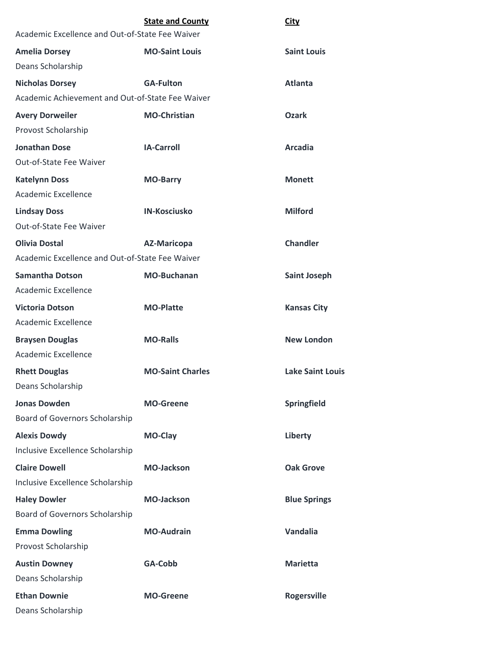| Academic Excellence and Out-of-State Fee Waiver  | <b>State and County</b> | <b>City</b>             |
|--------------------------------------------------|-------------------------|-------------------------|
| <b>Amelia Dorsey</b>                             | <b>MO-Saint Louis</b>   | <b>Saint Louis</b>      |
| Deans Scholarship                                |                         |                         |
| <b>Nicholas Dorsey</b>                           | <b>GA-Fulton</b>        | <b>Atlanta</b>          |
| Academic Achievement and Out-of-State Fee Waiver |                         |                         |
| <b>Avery Dorweiler</b>                           | <b>MO-Christian</b>     | Ozark                   |
| Provost Scholarship                              |                         |                         |
| <b>Jonathan Dose</b>                             | <b>IA-Carroll</b>       | <b>Arcadia</b>          |
| Out-of-State Fee Waiver                          |                         |                         |
| <b>Katelynn Doss</b>                             | <b>MO-Barry</b>         | <b>Monett</b>           |
| Academic Excellence                              |                         |                         |
| <b>Lindsay Doss</b>                              | <b>IN-Kosciusko</b>     | <b>Milford</b>          |
| Out-of-State Fee Waiver                          |                         |                         |
| <b>Olivia Dostal</b>                             | <b>AZ-Maricopa</b>      | <b>Chandler</b>         |
| Academic Excellence and Out-of-State Fee Waiver  |                         |                         |
| <b>Samantha Dotson</b>                           | <b>MO-Buchanan</b>      | <b>Saint Joseph</b>     |
| <b>Academic Excellence</b>                       |                         |                         |
| <b>Victoria Dotson</b>                           | <b>MO-Platte</b>        | <b>Kansas City</b>      |
| Academic Excellence                              |                         |                         |
| <b>Braysen Douglas</b>                           | <b>MO-Ralls</b>         | <b>New London</b>       |
| Academic Excellence                              |                         |                         |
| <b>Rhett Douglas</b>                             | <b>MO-Saint Charles</b> | <b>Lake Saint Louis</b> |
| Deans Scholarship                                |                         |                         |
| <b>Jonas Dowden</b>                              | <b>MO-Greene</b>        | Springfield             |
| Board of Governors Scholarship                   |                         |                         |
| <b>Alexis Dowdy</b>                              | MO-Clay                 | Liberty                 |
| Inclusive Excellence Scholarship                 |                         |                         |
| <b>Claire Dowell</b>                             | <b>MO-Jackson</b>       | <b>Oak Grove</b>        |
| Inclusive Excellence Scholarship                 |                         |                         |
| <b>Haley Dowler</b>                              | <b>MO-Jackson</b>       | <b>Blue Springs</b>     |
| Board of Governors Scholarship                   |                         |                         |
| <b>Emma Dowling</b>                              | <b>MO-Audrain</b>       | Vandalia                |
| Provost Scholarship                              |                         |                         |
| <b>Austin Downey</b>                             | GA-Cobb                 | <b>Marietta</b>         |
| Deans Scholarship                                |                         |                         |
| <b>Ethan Downie</b>                              | <b>MO-Greene</b>        | <b>Rogersville</b>      |
| Deans Scholarship                                |                         |                         |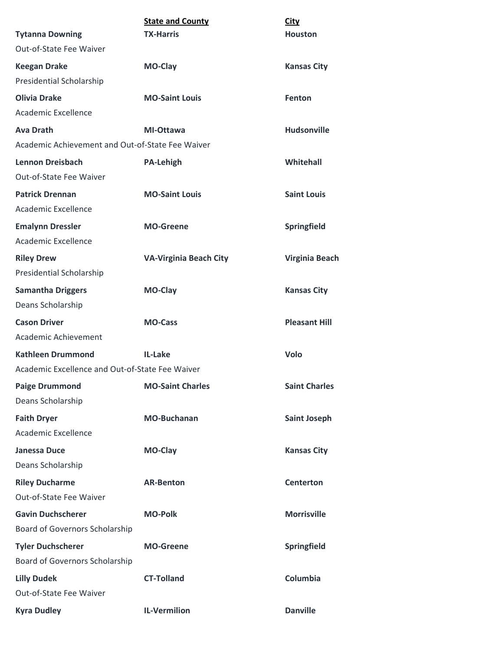|                                                  | <b>State and County</b>       | <b>City</b>           |
|--------------------------------------------------|-------------------------------|-----------------------|
| <b>Tytanna Downing</b>                           | <b>TX-Harris</b>              | <b>Houston</b>        |
| <b>Out-of-State Fee Waiver</b>                   |                               |                       |
| <b>Keegan Drake</b>                              | <b>MO-Clay</b>                | <b>Kansas City</b>    |
| <b>Presidential Scholarship</b>                  |                               |                       |
| <b>Olivia Drake</b>                              | <b>MO-Saint Louis</b>         | Fenton                |
| Academic Excellence                              |                               |                       |
| <b>Ava Drath</b>                                 | MI-Ottawa                     | <b>Hudsonville</b>    |
| Academic Achievement and Out-of-State Fee Waiver |                               |                       |
| Lennon Dreisbach                                 | <b>PA-Lehigh</b>              | Whitehall             |
| Out-of-State Fee Waiver                          |                               |                       |
| <b>Patrick Drennan</b>                           | <b>MO-Saint Louis</b>         | <b>Saint Louis</b>    |
| Academic Excellence                              |                               |                       |
| <b>Emalynn Dressler</b>                          | <b>MO-Greene</b>              | <b>Springfield</b>    |
| Academic Excellence                              |                               |                       |
| <b>Riley Drew</b>                                | <b>VA-Virginia Beach City</b> | <b>Virginia Beach</b> |
| <b>Presidential Scholarship</b>                  |                               |                       |
| <b>Samantha Driggers</b>                         | MO-Clay                       | <b>Kansas City</b>    |
| Deans Scholarship                                |                               |                       |
| <b>Cason Driver</b>                              | <b>MO-Cass</b>                | <b>Pleasant Hill</b>  |
| Academic Achievement                             |                               |                       |
| <b>Kathleen Drummond</b>                         | <b>IL-Lake</b>                | Volo                  |
| Academic Excellence and Out-of-State Fee Waiver  |                               |                       |
| <b>Paige Drummond</b>                            | <b>MO-Saint Charles</b>       | <b>Saint Charles</b>  |
| Deans Scholarship                                |                               |                       |
| <b>Faith Dryer</b>                               | <b>MO-Buchanan</b>            | <b>Saint Joseph</b>   |
| Academic Excellence                              |                               |                       |
| <b>Janessa Duce</b>                              | <b>MO-Clay</b>                | <b>Kansas City</b>    |
| Deans Scholarship                                |                               |                       |
| <b>Riley Ducharme</b>                            | <b>AR-Benton</b>              | <b>Centerton</b>      |
| Out-of-State Fee Waiver                          |                               |                       |
| <b>Gavin Duchscherer</b>                         | <b>MO-Polk</b>                | <b>Morrisville</b>    |
| Board of Governors Scholarship                   |                               |                       |
| <b>Tyler Duchscherer</b>                         | <b>MO-Greene</b>              | Springfield           |
| Board of Governors Scholarship                   |                               |                       |
| <b>Lilly Dudek</b>                               | <b>CT-Tolland</b>             | Columbia              |
| Out-of-State Fee Waiver                          |                               |                       |
| <b>Kyra Dudley</b>                               | <b>IL-Vermilion</b>           | <b>Danville</b>       |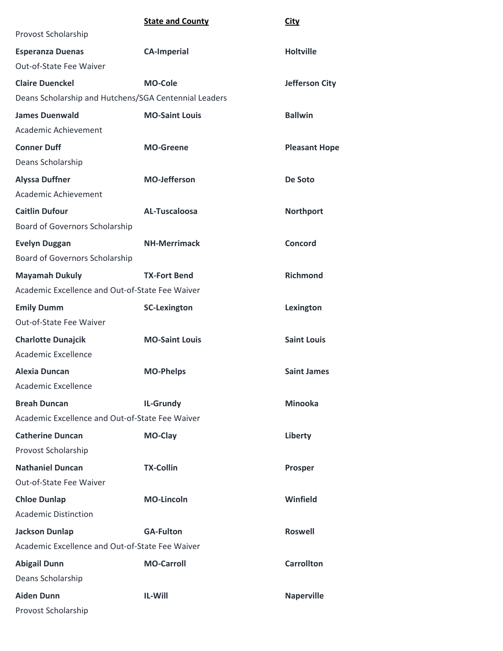|                                                       | <b>State and County</b> | <b>City</b>           |
|-------------------------------------------------------|-------------------------|-----------------------|
| Provost Scholarship                                   |                         |                       |
| <b>Esperanza Duenas</b>                               | <b>CA-Imperial</b>      | <b>Holtville</b>      |
| Out-of-State Fee Waiver                               |                         |                       |
| <b>Claire Duenckel</b>                                | <b>MO-Cole</b>          | <b>Jefferson City</b> |
| Deans Scholarship and Hutchens/SGA Centennial Leaders |                         |                       |
| <b>James Duenwald</b>                                 | <b>MO-Saint Louis</b>   | <b>Ballwin</b>        |
| Academic Achievement                                  |                         |                       |
| <b>Conner Duff</b>                                    | <b>MO-Greene</b>        | <b>Pleasant Hope</b>  |
| Deans Scholarship                                     |                         |                       |
| <b>Alyssa Duffner</b>                                 | <b>MO-Jefferson</b>     | De Soto               |
| Academic Achievement                                  |                         |                       |
| <b>Caitlin Dufour</b>                                 | <b>AL-Tuscaloosa</b>    | <b>Northport</b>      |
| Board of Governors Scholarship                        |                         |                       |
| <b>Evelyn Duggan</b>                                  | <b>NH-Merrimack</b>     | <b>Concord</b>        |
| Board of Governors Scholarship                        |                         |                       |
| <b>Mayamah Dukuly</b>                                 | <b>TX-Fort Bend</b>     | <b>Richmond</b>       |
| Academic Excellence and Out-of-State Fee Waiver       |                         |                       |
| <b>Emily Dumm</b>                                     | <b>SC-Lexington</b>     | Lexington             |
| Out-of-State Fee Waiver                               |                         |                       |
| <b>Charlotte Dunajcik</b>                             | <b>MO-Saint Louis</b>   | <b>Saint Louis</b>    |
| Academic Excellence                                   |                         |                       |
| <b>Alexia Duncan</b>                                  | <b>MO-Phelps</b>        | <b>Saint James</b>    |
| Academic Excellence                                   |                         |                       |
| <b>Breah Duncan</b>                                   | <b>IL-Grundy</b>        | <b>Minooka</b>        |
| Academic Excellence and Out-of-State Fee Waiver       |                         |                       |
| <b>Catherine Duncan</b>                               | MO-Clay                 | Liberty               |
| Provost Scholarship                                   |                         |                       |
| <b>Nathaniel Duncan</b>                               | <b>TX-Collin</b>        | Prosper               |
| Out-of-State Fee Waiver                               |                         |                       |
| <b>Chloe Dunlap</b>                                   | <b>MO-Lincoln</b>       | Winfield              |
| <b>Academic Distinction</b>                           |                         |                       |
| <b>Jackson Dunlap</b>                                 | <b>GA-Fulton</b>        | <b>Roswell</b>        |
| Academic Excellence and Out-of-State Fee Waiver       |                         |                       |
| <b>Abigail Dunn</b>                                   | <b>MO-Carroll</b>       | <b>Carrollton</b>     |
| Deans Scholarship                                     |                         |                       |
| <b>Aiden Dunn</b>                                     | IL-Will                 | <b>Naperville</b>     |
| Provost Scholarship                                   |                         |                       |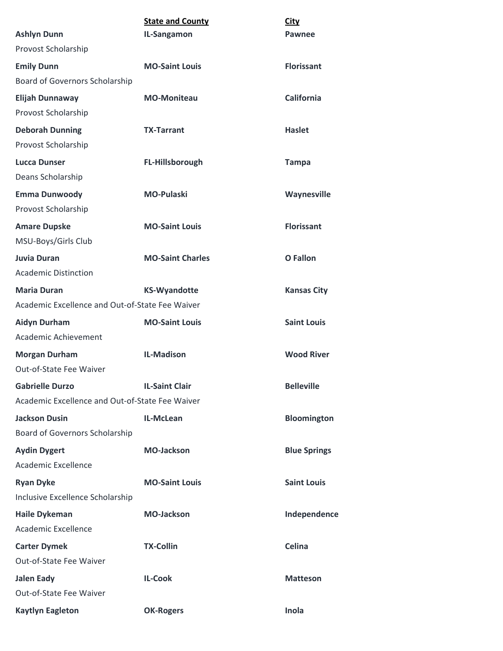|                                                 | <b>State and County</b> | <b>City</b>         |
|-------------------------------------------------|-------------------------|---------------------|
| <b>Ashlyn Dunn</b>                              | IL-Sangamon             | Pawnee              |
| Provost Scholarship                             |                         |                     |
| <b>Emily Dunn</b>                               | <b>MO-Saint Louis</b>   | <b>Florissant</b>   |
| Board of Governors Scholarship                  |                         |                     |
| <b>Elijah Dunnaway</b>                          | <b>MO-Moniteau</b>      | <b>California</b>   |
| Provost Scholarship                             |                         |                     |
| <b>Deborah Dunning</b>                          | <b>TX-Tarrant</b>       | <b>Haslet</b>       |
| Provost Scholarship                             |                         |                     |
| <b>Lucca Dunser</b>                             | FL-Hillsborough         | <b>Tampa</b>        |
| Deans Scholarship                               |                         |                     |
| <b>Emma Dunwoody</b>                            | <b>MO-Pulaski</b>       | Waynesville         |
| Provost Scholarship                             |                         |                     |
| <b>Amare Dupske</b>                             | <b>MO-Saint Louis</b>   | <b>Florissant</b>   |
| MSU-Boys/Girls Club                             |                         |                     |
| Juvia Duran                                     | <b>MO-Saint Charles</b> | <b>O</b> Fallon     |
| <b>Academic Distinction</b>                     |                         |                     |
| <b>Maria Duran</b>                              | <b>KS-Wyandotte</b>     | <b>Kansas City</b>  |
| Academic Excellence and Out-of-State Fee Waiver |                         |                     |
| <b>Aidyn Durham</b>                             | <b>MO-Saint Louis</b>   | <b>Saint Louis</b>  |
| Academic Achievement                            |                         |                     |
| <b>Morgan Durham</b>                            | <b>IL-Madison</b>       | <b>Wood River</b>   |
| <b>Out-of-State Fee Waiver</b>                  |                         |                     |
| <b>Gabrielle Durzo</b>                          | <b>IL-Saint Clair</b>   | <b>Belleville</b>   |
| Academic Excellence and Out-of-State Fee Waiver |                         |                     |
| <b>Jackson Dusin</b>                            | IL-McLean               | <b>Bloomington</b>  |
| Board of Governors Scholarship                  |                         |                     |
| <b>Aydin Dygert</b>                             | <b>MO-Jackson</b>       | <b>Blue Springs</b> |
| Academic Excellence                             |                         |                     |
| <b>Ryan Dyke</b>                                | <b>MO-Saint Louis</b>   | <b>Saint Louis</b>  |
| Inclusive Excellence Scholarship                |                         |                     |
| <b>Haile Dykeman</b>                            | <b>MO-Jackson</b>       | Independence        |
| Academic Excellence                             |                         |                     |
| <b>Carter Dymek</b>                             | <b>TX-Collin</b>        | Celina              |
| Out-of-State Fee Waiver                         |                         |                     |
| <b>Jalen Eady</b>                               | <b>IL-Cook</b>          | <b>Matteson</b>     |
| Out-of-State Fee Waiver                         |                         |                     |
| <b>Kaytlyn Eagleton</b>                         | <b>OK-Rogers</b>        | Inola               |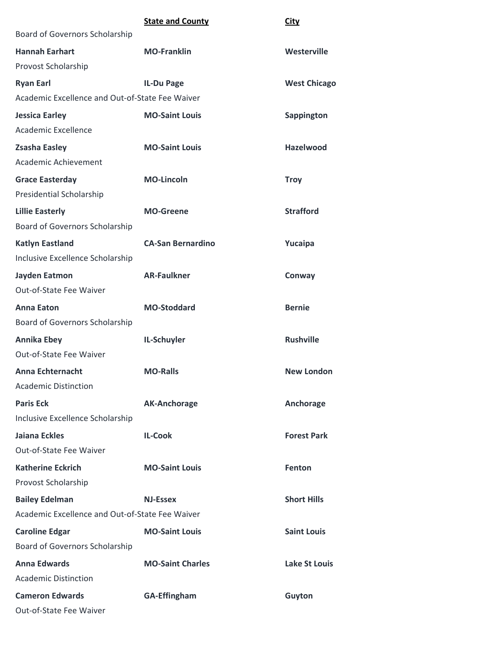|                                                 | <b>State and County</b>  | City                 |
|-------------------------------------------------|--------------------------|----------------------|
| Board of Governors Scholarship                  |                          |                      |
| <b>Hannah Earhart</b>                           | <b>MO-Franklin</b>       | Westerville          |
| Provost Scholarship                             |                          |                      |
| <b>Ryan Earl</b>                                | <b>IL-Du Page</b>        | <b>West Chicago</b>  |
| Academic Excellence and Out-of-State Fee Waiver |                          |                      |
| <b>Jessica Earley</b>                           | <b>MO-Saint Louis</b>    | <b>Sappington</b>    |
| Academic Excellence                             |                          |                      |
| <b>Zsasha Easley</b>                            | <b>MO-Saint Louis</b>    | <b>Hazelwood</b>     |
| Academic Achievement                            |                          |                      |
| <b>Grace Easterday</b>                          | <b>MO-Lincoln</b>        | <b>Troy</b>          |
| Presidential Scholarship                        |                          |                      |
| <b>Lillie Easterly</b>                          | <b>MO-Greene</b>         | <b>Strafford</b>     |
| Board of Governors Scholarship                  |                          |                      |
| <b>Katlyn Eastland</b>                          | <b>CA-San Bernardino</b> | Yucaipa              |
| Inclusive Excellence Scholarship                |                          |                      |
| Jayden Eatmon                                   | <b>AR-Faulkner</b>       | Conway               |
| Out-of-State Fee Waiver                         |                          |                      |
| <b>Anna Eaton</b>                               | <b>MO-Stoddard</b>       | <b>Bernie</b>        |
| Board of Governors Scholarship                  |                          |                      |
| <b>Annika Ebey</b>                              | IL-Schuyler              | <b>Rushville</b>     |
| Out-of-State Fee Waiver                         |                          |                      |
| <b>Anna Echternacht</b>                         | <b>MO-Ralls</b>          | <b>New London</b>    |
| <b>Academic Distinction</b>                     |                          |                      |
| <b>Paris Eck</b>                                | <b>AK-Anchorage</b>      | Anchorage            |
| Inclusive Excellence Scholarship                |                          |                      |
| Jaiana Eckles                                   | <b>IL-Cook</b>           | <b>Forest Park</b>   |
| Out-of-State Fee Waiver                         |                          |                      |
| <b>Katherine Eckrich</b>                        | <b>MO-Saint Louis</b>    | Fenton               |
| Provost Scholarship                             |                          |                      |
| <b>Bailey Edelman</b>                           | <b>NJ-Essex</b>          | <b>Short Hills</b>   |
| Academic Excellence and Out-of-State Fee Waiver |                          |                      |
| <b>Caroline Edgar</b>                           | <b>MO-Saint Louis</b>    | <b>Saint Louis</b>   |
| Board of Governors Scholarship                  |                          |                      |
| <b>Anna Edwards</b>                             | <b>MO-Saint Charles</b>  | <b>Lake St Louis</b> |
| <b>Academic Distinction</b>                     |                          |                      |
| <b>Cameron Edwards</b>                          | <b>GA-Effingham</b>      | Guyton               |
| Out-of-State Fee Waiver                         |                          |                      |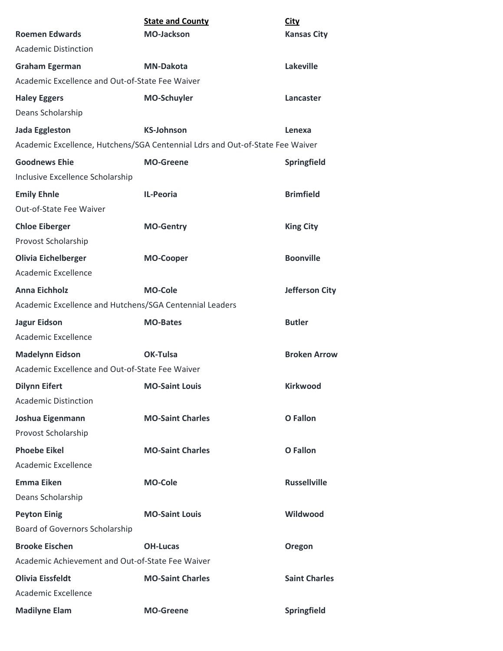|                                                                               | <b>State and County</b> | <b>City</b>           |
|-------------------------------------------------------------------------------|-------------------------|-----------------------|
| <b>Roemen Edwards</b>                                                         | <b>MO-Jackson</b>       | <b>Kansas City</b>    |
| <b>Academic Distinction</b>                                                   |                         |                       |
| <b>Graham Egerman</b>                                                         | <b>MN-Dakota</b>        | <b>Lakeville</b>      |
| Academic Excellence and Out-of-State Fee Waiver                               |                         |                       |
| <b>Haley Eggers</b>                                                           | <b>MO-Schuyler</b>      | Lancaster             |
| Deans Scholarship                                                             |                         |                       |
| <b>Jada Eggleston</b>                                                         | <b>KS-Johnson</b>       | Lenexa                |
| Academic Excellence, Hutchens/SGA Centennial Ldrs and Out-of-State Fee Waiver |                         |                       |
| <b>Goodnews Ehie</b>                                                          | <b>MO-Greene</b>        | Springfield           |
| Inclusive Excellence Scholarship                                              |                         |                       |
| <b>Emily Ehnle</b>                                                            | <b>IL-Peoria</b>        | <b>Brimfield</b>      |
| Out-of-State Fee Waiver                                                       |                         |                       |
| <b>Chloe Eiberger</b>                                                         | <b>MO-Gentry</b>        | <b>King City</b>      |
| Provost Scholarship                                                           |                         |                       |
| <b>Olivia Eichelberger</b>                                                    | <b>MO-Cooper</b>        | <b>Boonville</b>      |
| <b>Academic Excellence</b>                                                    |                         |                       |
| <b>Anna Eichholz</b>                                                          | <b>MO-Cole</b>          | <b>Jefferson City</b> |
| Academic Excellence and Hutchens/SGA Centennial Leaders                       |                         |                       |
| <b>Jagur Eidson</b>                                                           | <b>MO-Bates</b>         | <b>Butler</b>         |
| Academic Excellence                                                           |                         |                       |
| <b>Madelynn Eidson</b>                                                        | OK-Tulsa                | <b>Broken Arrow</b>   |
| Academic Excellence and Out-of-State Fee Waiver                               |                         |                       |
| <b>Dilynn Eifert</b>                                                          | <b>MO-Saint Louis</b>   | <b>Kirkwood</b>       |
| <b>Academic Distinction</b>                                                   |                         |                       |
| Joshua Eigenmann                                                              | <b>MO-Saint Charles</b> | <b>O</b> Fallon       |
| Provost Scholarship                                                           |                         |                       |
| <b>Phoebe Eikel</b>                                                           | <b>MO-Saint Charles</b> | <b>O</b> Fallon       |
| Academic Excellence                                                           |                         |                       |
| <b>Emma Eiken</b>                                                             | <b>MO-Cole</b>          | <b>Russellville</b>   |
| Deans Scholarship                                                             |                         |                       |
| <b>Peyton Einig</b>                                                           | <b>MO-Saint Louis</b>   | Wildwood              |
| Board of Governors Scholarship                                                |                         |                       |
| <b>Brooke Eischen</b>                                                         | <b>OH-Lucas</b>         | <b>Oregon</b>         |
| Academic Achievement and Out-of-State Fee Waiver                              |                         |                       |
| <b>Olivia Eissfeldt</b>                                                       | <b>MO-Saint Charles</b> | <b>Saint Charles</b>  |
| Academic Excellence                                                           |                         |                       |
| <b>Madilyne Elam</b>                                                          | <b>MO-Greene</b>        | Springfield           |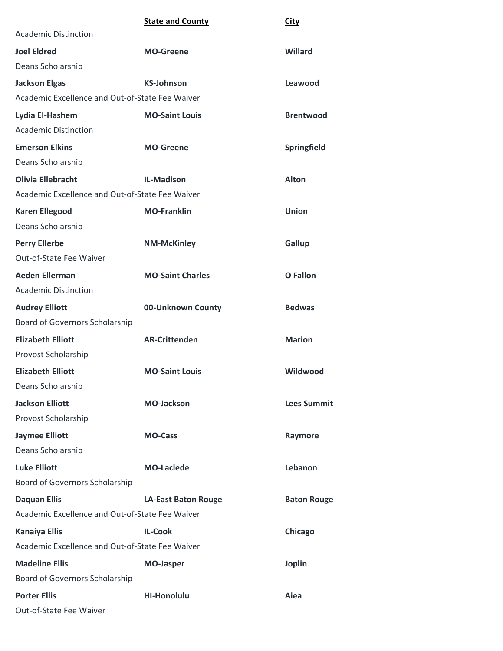|                                                 | <b>State and County</b>    | <b>City</b>        |
|-------------------------------------------------|----------------------------|--------------------|
| <b>Academic Distinction</b>                     |                            |                    |
| <b>Joel Eldred</b>                              | <b>MO-Greene</b>           | Willard            |
| Deans Scholarship                               |                            |                    |
| <b>Jackson Elgas</b>                            | <b>KS-Johnson</b>          | Leawood            |
| Academic Excellence and Out-of-State Fee Waiver |                            |                    |
| Lydia El-Hashem                                 | <b>MO-Saint Louis</b>      | <b>Brentwood</b>   |
| <b>Academic Distinction</b>                     |                            |                    |
| <b>Emerson Elkins</b>                           | <b>MO-Greene</b>           | Springfield        |
| Deans Scholarship                               |                            |                    |
| <b>Olivia Ellebracht</b>                        | <b>IL-Madison</b>          | <b>Alton</b>       |
| Academic Excellence and Out-of-State Fee Waiver |                            |                    |
| <b>Karen Ellegood</b>                           | <b>MO-Franklin</b>         | Union              |
| Deans Scholarship                               |                            |                    |
| <b>Perry Ellerbe</b>                            | <b>NM-McKinley</b>         | Gallup             |
| Out-of-State Fee Waiver                         |                            |                    |
| <b>Aeden Ellerman</b>                           | <b>MO-Saint Charles</b>    | O Fallon           |
| <b>Academic Distinction</b>                     |                            |                    |
| <b>Audrey Elliott</b>                           | 00-Unknown County          | <b>Bedwas</b>      |
| Board of Governors Scholarship                  |                            |                    |
| <b>Elizabeth Elliott</b>                        | <b>AR-Crittenden</b>       | <b>Marion</b>      |
| Provost Scholarship                             |                            |                    |
| <b>Elizabeth Elliott</b>                        | <b>MO-Saint Louis</b>      | Wildwood           |
| Deans Scholarship                               |                            |                    |
| <b>Jackson Elliott</b>                          | <b>MO-Jackson</b>          | <b>Lees Summit</b> |
| Provost Scholarship                             |                            |                    |
| <b>Jaymee Elliott</b>                           | <b>MO-Cass</b>             | Raymore            |
| Deans Scholarship                               |                            |                    |
| <b>Luke Elliott</b>                             | <b>MO-Laclede</b>          | Lebanon            |
| Board of Governors Scholarship                  |                            |                    |
| <b>Daquan Ellis</b>                             | <b>LA-East Baton Rouge</b> | <b>Baton Rouge</b> |
| Academic Excellence and Out-of-State Fee Waiver |                            |                    |
| <b>Kanaiya Ellis</b>                            | <b>IL-Cook</b>             | Chicago            |
| Academic Excellence and Out-of-State Fee Waiver |                            |                    |
| <b>Madeline Ellis</b>                           | <b>MO-Jasper</b>           | <b>Joplin</b>      |

Board of Governors Scholarship

**Porter Ellis HI-Honolulu Aiea** Out-of-State Fee Waiver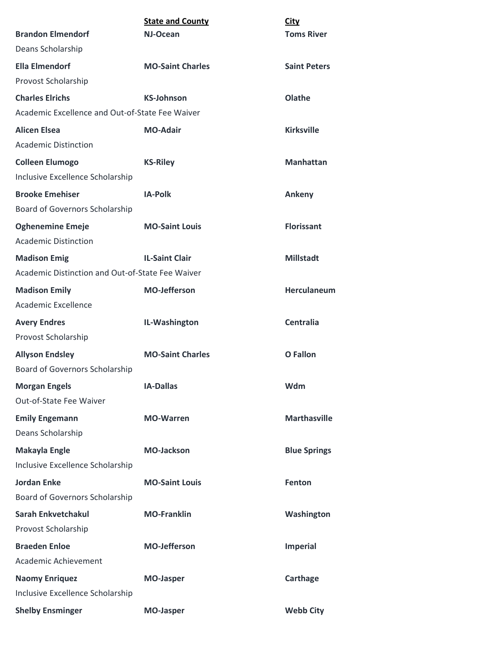|                                                  | <b>State and County</b> | <b>City</b>         |
|--------------------------------------------------|-------------------------|---------------------|
| <b>Brandon Elmendorf</b>                         | NJ-Ocean                | <b>Toms River</b>   |
| Deans Scholarship                                |                         |                     |
| <b>Ella Elmendorf</b>                            | <b>MO-Saint Charles</b> | <b>Saint Peters</b> |
| Provost Scholarship                              |                         |                     |
| <b>Charles Elrichs</b>                           | <b>KS-Johnson</b>       | Olathe              |
| Academic Excellence and Out-of-State Fee Waiver  |                         |                     |
| <b>Alicen Elsea</b>                              | <b>MO-Adair</b>         | <b>Kirksville</b>   |
| <b>Academic Distinction</b>                      |                         |                     |
| <b>Colleen Elumogo</b>                           | <b>KS-Riley</b>         | <b>Manhattan</b>    |
| Inclusive Excellence Scholarship                 |                         |                     |
| <b>Brooke Emehiser</b>                           | <b>IA-Polk</b>          | Ankeny              |
| Board of Governors Scholarship                   |                         |                     |
| <b>Oghenemine Emeje</b>                          | <b>MO-Saint Louis</b>   | <b>Florissant</b>   |
| <b>Academic Distinction</b>                      |                         |                     |
| <b>Madison Emig</b>                              | <b>IL-Saint Clair</b>   | <b>Millstadt</b>    |
| Academic Distinction and Out-of-State Fee Waiver |                         |                     |
| <b>Madison Emily</b>                             | <b>MO-Jefferson</b>     | <b>Herculaneum</b>  |
| Academic Excellence                              |                         |                     |
| <b>Avery Endres</b>                              | IL-Washington           | <b>Centralia</b>    |
| Provost Scholarship                              |                         |                     |
| <b>Allyson Endsley</b>                           | <b>MO-Saint Charles</b> | O Fallon            |
| Board of Governors Scholarship                   |                         |                     |
| <b>Morgan Engels</b>                             | <b>IA-Dallas</b>        | Wdm                 |
| Out-of-State Fee Waiver                          |                         |                     |
| <b>Emily Engemann</b>                            | <b>MO-Warren</b>        | <b>Marthasville</b> |
| Deans Scholarship                                |                         |                     |
| <b>Makayla Engle</b>                             | <b>MO-Jackson</b>       | <b>Blue Springs</b> |
| Inclusive Excellence Scholarship                 |                         |                     |
| <b>Jordan Enke</b>                               | <b>MO-Saint Louis</b>   | Fenton              |
| Board of Governors Scholarship                   |                         |                     |
| <b>Sarah Enkvetchakul</b>                        | <b>MO-Franklin</b>      | Washington          |
| Provost Scholarship                              |                         |                     |
| <b>Braeden Enloe</b>                             | <b>MO-Jefferson</b>     | <b>Imperial</b>     |
| Academic Achievement                             |                         |                     |
| <b>Naomy Enriquez</b>                            | <b>MO-Jasper</b>        | Carthage            |
| Inclusive Excellence Scholarship                 |                         |                     |
| <b>Shelby Ensminger</b>                          | <b>MO-Jasper</b>        | <b>Webb City</b>    |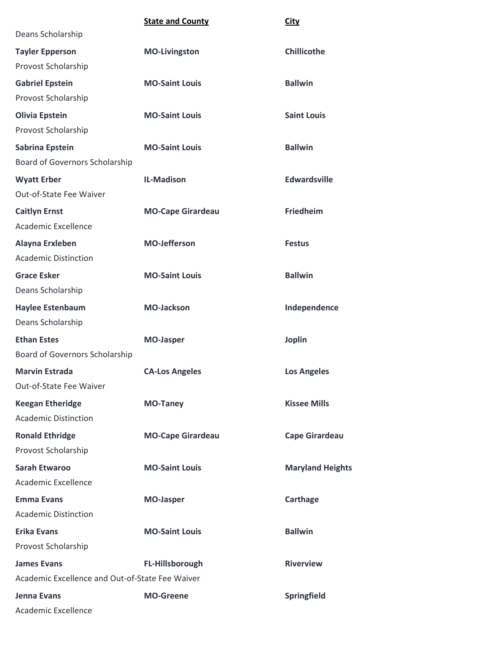|                                                 | <b>State and County</b>  | <b>City</b>             |
|-------------------------------------------------|--------------------------|-------------------------|
| Deans Scholarship                               |                          |                         |
| <b>Tayler Epperson</b>                          | <b>MO-Livingston</b>     | <b>Chillicothe</b>      |
| Provost Scholarship                             |                          |                         |
| <b>Gabriel Epstein</b>                          | <b>MO-Saint Louis</b>    | <b>Ballwin</b>          |
| Provost Scholarship                             |                          |                         |
| <b>Olivia Epstein</b>                           | <b>MO-Saint Louis</b>    | <b>Saint Louis</b>      |
| Provost Scholarship                             |                          |                         |
| Sabrina Epstein                                 | <b>MO-Saint Louis</b>    | <b>Ballwin</b>          |
| Board of Governors Scholarship                  |                          |                         |
| <b>Wyatt Erber</b>                              | <b>IL-Madison</b>        | <b>Edwardsville</b>     |
| Out-of-State Fee Waiver                         |                          |                         |
| <b>Caitlyn Ernst</b>                            | <b>MO-Cape Girardeau</b> | <b>Friedheim</b>        |
| Academic Excellence                             |                          |                         |
| Alayna Erxleben                                 | <b>MO-Jefferson</b>      | <b>Festus</b>           |
| <b>Academic Distinction</b>                     |                          |                         |
| <b>Grace Esker</b>                              | <b>MO-Saint Louis</b>    | <b>Ballwin</b>          |
| Deans Scholarship                               |                          |                         |
| <b>Haylee Estenbaum</b>                         | <b>MO-Jackson</b>        | Independence            |
| Deans Scholarship                               |                          |                         |
| <b>Ethan Estes</b>                              | <b>MO-Jasper</b>         | <b>Joplin</b>           |
| Board of Governors Scholarship                  |                          |                         |
| <b>Marvin Estrada</b>                           | <b>CA-Los Angeles</b>    | <b>Los Angeles</b>      |
| Out-of-State Fee Waiver                         |                          |                         |
| <b>Keegan Etheridge</b>                         | <b>MO-Taney</b>          | <b>Kissee Mills</b>     |
| <b>Academic Distinction</b>                     |                          |                         |
| <b>Ronald Ethridge</b>                          | <b>MO-Cape Girardeau</b> | <b>Cape Girardeau</b>   |
| Provost Scholarship                             |                          |                         |
| <b>Sarah Etwaroo</b>                            | <b>MO-Saint Louis</b>    | <b>Maryland Heights</b> |
| Academic Excellence                             |                          |                         |
| <b>Emma Evans</b>                               | <b>MO-Jasper</b>         | Carthage                |
| <b>Academic Distinction</b>                     |                          |                         |
| <b>Erika Evans</b>                              | <b>MO-Saint Louis</b>    | <b>Ballwin</b>          |
| Provost Scholarship                             |                          |                         |
| <b>James Evans</b>                              | FL-Hillsborough          | <b>Riverview</b>        |
| Academic Excellence and Out-of-State Fee Waiver |                          |                         |
| Jenna Evans                                     | <b>MO-Greene</b>         | Springfield             |
| Academic Excellence                             |                          |                         |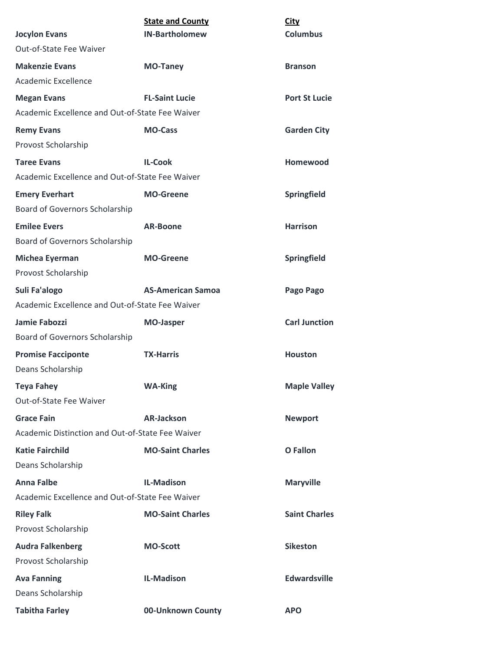| <b>Jocylon Evans</b>                             | <b>State and County</b><br><b>IN-Bartholomew</b> | City<br><b>Columbus</b> |
|--------------------------------------------------|--------------------------------------------------|-------------------------|
| Out-of-State Fee Waiver                          |                                                  |                         |
| <b>Makenzie Evans</b>                            | <b>MO-Taney</b>                                  | <b>Branson</b>          |
| Academic Excellence                              |                                                  |                         |
| <b>Megan Evans</b>                               | <b>FL-Saint Lucie</b>                            | <b>Port St Lucie</b>    |
| Academic Excellence and Out-of-State Fee Waiver  |                                                  |                         |
| <b>Remy Evans</b>                                | <b>MO-Cass</b>                                   | <b>Garden City</b>      |
| Provost Scholarship                              |                                                  |                         |
| <b>Taree Evans</b>                               | <b>IL-Cook</b>                                   | Homewood                |
| Academic Excellence and Out-of-State Fee Waiver  |                                                  |                         |
| <b>Emery Everhart</b>                            | <b>MO-Greene</b>                                 | Springfield             |
| Board of Governors Scholarship                   |                                                  |                         |
| <b>Emilee Evers</b>                              | <b>AR-Boone</b>                                  | <b>Harrison</b>         |
| Board of Governors Scholarship                   |                                                  |                         |
| <b>Michea Eyerman</b>                            | <b>MO-Greene</b>                                 | Springfield             |
| Provost Scholarship                              |                                                  |                         |
| Suli Fa'alogo                                    | <b>AS-American Samoa</b>                         | Pago Pago               |
| Academic Excellence and Out-of-State Fee Waiver  |                                                  |                         |
| Jamie Fabozzi                                    | <b>MO-Jasper</b>                                 | <b>Carl Junction</b>    |
| <b>Board of Governors Scholarship</b>            |                                                  |                         |
| <b>Promise Facciponte</b>                        | <b>TX-Harris</b>                                 | <b>Houston</b>          |
| Deans Scholarship                                |                                                  |                         |
| <b>Teya Fahey</b>                                | <b>WA-King</b>                                   | <b>Maple Valley</b>     |
| Out-of-State Fee Waiver                          |                                                  |                         |
| <b>Grace Fain</b>                                | <b>AR-Jackson</b>                                | <b>Newport</b>          |
| Academic Distinction and Out-of-State Fee Waiver |                                                  |                         |
| <b>Katie Fairchild</b>                           | <b>MO-Saint Charles</b>                          | <b>O</b> Fallon         |
| Deans Scholarship                                |                                                  |                         |
| <b>Anna Falbe</b>                                | <b>IL-Madison</b>                                | <b>Maryville</b>        |
| Academic Excellence and Out-of-State Fee Waiver  |                                                  |                         |
| <b>Riley Falk</b>                                | <b>MO-Saint Charles</b>                          | <b>Saint Charles</b>    |
| Provost Scholarship                              |                                                  |                         |
| <b>Audra Falkenberg</b>                          | <b>MO-Scott</b>                                  | <b>Sikeston</b>         |
| Provost Scholarship                              |                                                  |                         |
| <b>Ava Fanning</b>                               | <b>IL-Madison</b>                                | <b>Edwardsville</b>     |
| Deans Scholarship                                |                                                  |                         |
| <b>Tabitha Farley</b>                            | 00-Unknown County                                | <b>APO</b>              |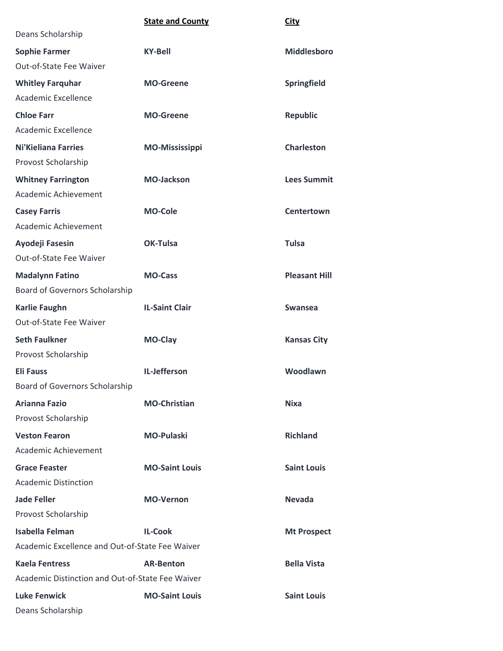|                                                  | <b>State and County</b> | <b>City</b>          |
|--------------------------------------------------|-------------------------|----------------------|
| Deans Scholarship                                |                         |                      |
| <b>Sophie Farmer</b>                             | <b>KY-Bell</b>          | <b>Middlesboro</b>   |
| Out-of-State Fee Waiver                          |                         |                      |
| <b>Whitley Farquhar</b>                          | <b>MO-Greene</b>        | Springfield          |
| Academic Excellence                              |                         |                      |
| <b>Chloe Farr</b>                                | <b>MO-Greene</b>        | <b>Republic</b>      |
| Academic Excellence                              |                         |                      |
| <b>Ni'Kieliana Farries</b>                       | <b>MO-Mississippi</b>   | <b>Charleston</b>    |
| Provost Scholarship                              |                         |                      |
| <b>Whitney Farrington</b>                        | <b>MO-Jackson</b>       | <b>Lees Summit</b>   |
| Academic Achievement                             |                         |                      |
| <b>Casey Farris</b>                              | <b>MO-Cole</b>          | <b>Centertown</b>    |
| Academic Achievement                             |                         |                      |
| Ayodeji Fasesin                                  | <b>OK-Tulsa</b>         | <b>Tulsa</b>         |
| Out-of-State Fee Waiver                          |                         |                      |
| <b>Madalynn Fatino</b>                           | <b>MO-Cass</b>          | <b>Pleasant Hill</b> |
| Board of Governors Scholarship                   |                         |                      |
| <b>Karlie Faughn</b>                             | <b>IL-Saint Clair</b>   | <b>Swansea</b>       |
| Out-of-State Fee Waiver                          |                         |                      |
| <b>Seth Faulkner</b>                             | <b>MO-Clay</b>          | <b>Kansas City</b>   |
| Provost Scholarship                              |                         |                      |
| <b>Eli Fauss</b>                                 | IL-Jefferson            | Woodlawn             |
| <b>Board of Governors Scholarship</b>            |                         |                      |
| <b>Arianna Fazio</b>                             | <b>MO-Christian</b>     | <b>Nixa</b>          |
| Provost Scholarship                              |                         |                      |
| <b>Veston Fearon</b>                             | <b>MO-Pulaski</b>       | <b>Richland</b>      |
| Academic Achievement                             |                         |                      |
| <b>Grace Feaster</b>                             | <b>MO-Saint Louis</b>   | <b>Saint Louis</b>   |
| <b>Academic Distinction</b>                      |                         |                      |
| <b>Jade Feller</b>                               | <b>MO-Vernon</b>        | <b>Nevada</b>        |
| Provost Scholarship                              |                         |                      |
| <b>Isabella Felman</b>                           | <b>IL-Cook</b>          | <b>Mt Prospect</b>   |
| Academic Excellence and Out-of-State Fee Waiver  |                         |                      |
| <b>Kaela Fentress</b>                            | <b>AR-Benton</b>        | <b>Bella Vista</b>   |
| Academic Distinction and Out-of-State Fee Waiver |                         |                      |
| <b>Luke Fenwick</b>                              | <b>MO-Saint Louis</b>   | <b>Saint Louis</b>   |
| Deans Scholarship                                |                         |                      |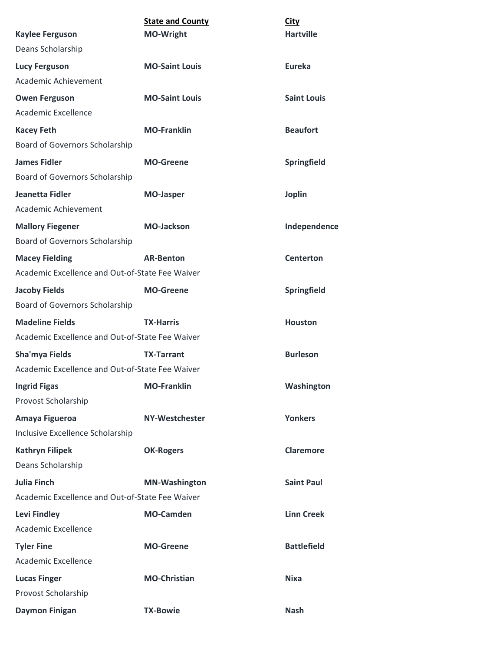|                                                 | <b>State and County</b> | <b>City</b>        |
|-------------------------------------------------|-------------------------|--------------------|
| <b>Kaylee Ferguson</b>                          | <b>MO-Wright</b>        | <b>Hartville</b>   |
| Deans Scholarship                               |                         |                    |
| <b>Lucy Ferguson</b>                            | <b>MO-Saint Louis</b>   | <b>Eureka</b>      |
| Academic Achievement                            |                         |                    |
| <b>Owen Ferguson</b>                            | <b>MO-Saint Louis</b>   | <b>Saint Louis</b> |
| Academic Excellence                             |                         |                    |
| <b>Kacey Feth</b>                               | <b>MO-Franklin</b>      | <b>Beaufort</b>    |
| Board of Governors Scholarship                  |                         |                    |
| <b>James Fidler</b>                             | <b>MO-Greene</b>        | Springfield        |
| <b>Board of Governors Scholarship</b>           |                         |                    |
| Jeanetta Fidler                                 | <b>MO-Jasper</b>        | <b>Joplin</b>      |
| Academic Achievement                            |                         |                    |
| <b>Mallory Fiegener</b>                         | <b>MO-Jackson</b>       | Independence       |
| <b>Board of Governors Scholarship</b>           |                         |                    |
| <b>Macey Fielding</b>                           | <b>AR-Benton</b>        | <b>Centerton</b>   |
| Academic Excellence and Out-of-State Fee Waiver |                         |                    |
| <b>Jacoby Fields</b>                            | <b>MO-Greene</b>        | Springfield        |
| <b>Board of Governors Scholarship</b>           |                         |                    |
| <b>Madeline Fields</b>                          | <b>TX-Harris</b>        | <b>Houston</b>     |
| Academic Excellence and Out-of-State Fee Waiver |                         |                    |
| Sha'mya Fields                                  | <b>TX-Tarrant</b>       | <b>Burleson</b>    |
| Academic Excellence and Out-of-State Fee Waiver |                         |                    |
| <b>Ingrid Figas</b>                             | <b>MO-Franklin</b>      | Washington         |
| Provost Scholarship                             |                         |                    |
| Amaya Figueroa                                  | <b>NY-Westchester</b>   | <b>Yonkers</b>     |
| Inclusive Excellence Scholarship                |                         |                    |
| <b>Kathryn Filipek</b>                          | <b>OK-Rogers</b>        | <b>Claremore</b>   |
| Deans Scholarship                               |                         |                    |
| <b>Julia Finch</b>                              | <b>MN-Washington</b>    | <b>Saint Paul</b>  |
| Academic Excellence and Out-of-State Fee Waiver |                         |                    |
| <b>Levi Findley</b>                             | <b>MO-Camden</b>        | <b>Linn Creek</b>  |
| Academic Excellence                             |                         |                    |
| <b>Tyler Fine</b>                               | <b>MO-Greene</b>        | <b>Battlefield</b> |
| Academic Excellence                             |                         |                    |
| <b>Lucas Finger</b>                             | <b>MO-Christian</b>     | <b>Nixa</b>        |
| Provost Scholarship                             |                         |                    |
| <b>Daymon Finigan</b>                           | <b>TX-Bowie</b>         | <b>Nash</b>        |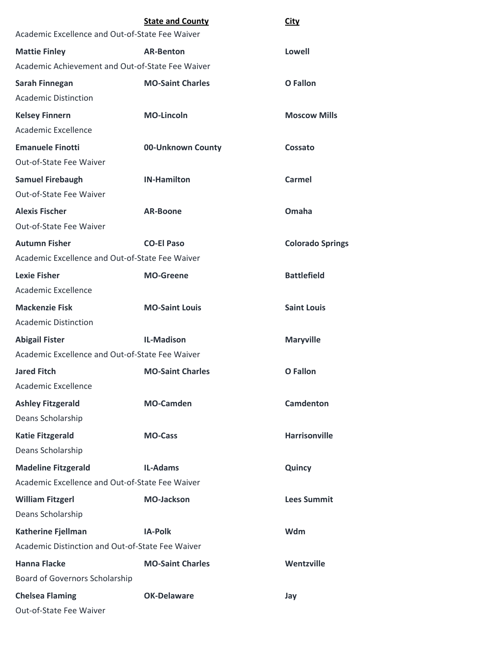|                                                  | <b>State and County</b> | <b>City</b>             |
|--------------------------------------------------|-------------------------|-------------------------|
| Academic Excellence and Out-of-State Fee Waiver  |                         |                         |
| <b>Mattie Finley</b>                             | <b>AR-Benton</b>        | Lowell                  |
| Academic Achievement and Out-of-State Fee Waiver |                         |                         |
| Sarah Finnegan                                   | <b>MO-Saint Charles</b> | O Fallon                |
| <b>Academic Distinction</b>                      |                         |                         |
| <b>Kelsey Finnern</b>                            | <b>MO-Lincoln</b>       | <b>Moscow Mills</b>     |
| Academic Excellence                              |                         |                         |
| <b>Emanuele Finotti</b>                          | 00-Unknown County       | Cossato                 |
| Out-of-State Fee Waiver                          |                         |                         |
| <b>Samuel Firebaugh</b>                          | <b>IN-Hamilton</b>      | Carmel                  |
| <b>Out-of-State Fee Waiver</b>                   |                         |                         |
| <b>Alexis Fischer</b>                            | <b>AR-Boone</b>         | Omaha                   |
| <b>Out-of-State Fee Waiver</b>                   |                         |                         |
| <b>Autumn Fisher</b>                             | <b>CO-El Paso</b>       | <b>Colorado Springs</b> |
| Academic Excellence and Out-of-State Fee Waiver  |                         |                         |
| <b>Lexie Fisher</b>                              | <b>MO-Greene</b>        | <b>Battlefield</b>      |
| Academic Excellence                              |                         |                         |
| <b>Mackenzie Fisk</b>                            | <b>MO-Saint Louis</b>   | <b>Saint Louis</b>      |
| <b>Academic Distinction</b>                      |                         |                         |
| <b>Abigail Fister</b>                            | <b>IL-Madison</b>       | <b>Maryville</b>        |
| Academic Excellence and Out-of-State Fee Waiver  |                         |                         |
| <b>Jared Fitch</b>                               | <b>MO-Saint Charles</b> | O Fallon                |
| Academic Excellence                              |                         |                         |
| <b>Ashley Fitzgerald</b>                         | <b>MO-Camden</b>        | <b>Camdenton</b>        |
| Deans Scholarship                                |                         |                         |
| <b>Katie Fitzgerald</b>                          | <b>MO-Cass</b>          | <b>Harrisonville</b>    |
| Deans Scholarship                                |                         |                         |
| <b>Madeline Fitzgerald</b>                       | <b>IL-Adams</b>         | Quincy                  |
| Academic Excellence and Out-of-State Fee Waiver  |                         |                         |
| <b>William Fitzgerl</b>                          | <b>MO-Jackson</b>       | <b>Lees Summit</b>      |
| Deans Scholarship                                |                         |                         |
| <b>Katherine Fjellman</b>                        | <b>IA-Polk</b>          | Wdm                     |
| Academic Distinction and Out-of-State Fee Waiver |                         |                         |
| <b>Hanna Flacke</b>                              | <b>MO-Saint Charles</b> | Wentzville              |
| Board of Governors Scholarship                   |                         |                         |
| <b>Chelsea Flaming</b>                           | <b>OK-Delaware</b>      | Jay                     |
| Out-of-State Fee Waiver                          |                         |                         |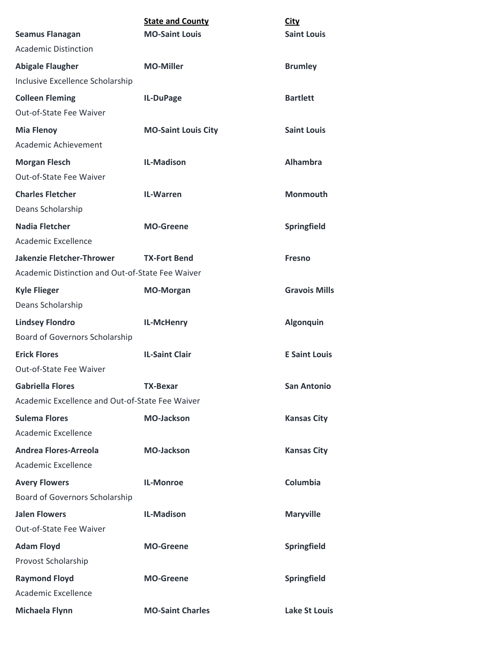|                                                  | <b>State and County</b>    | <b>City</b>          |
|--------------------------------------------------|----------------------------|----------------------|
| <b>Seamus Flanagan</b>                           | <b>MO-Saint Louis</b>      | <b>Saint Louis</b>   |
| <b>Academic Distinction</b>                      |                            |                      |
| <b>Abigale Flaugher</b>                          | <b>MO-Miller</b>           | <b>Brumley</b>       |
| Inclusive Excellence Scholarship                 |                            |                      |
| <b>Colleen Fleming</b>                           | IL-DuPage                  | <b>Bartlett</b>      |
| Out-of-State Fee Waiver                          |                            |                      |
| <b>Mia Flenoy</b>                                | <b>MO-Saint Louis City</b> | <b>Saint Louis</b>   |
| Academic Achievement                             |                            |                      |
| <b>Morgan Flesch</b>                             | <b>IL-Madison</b>          | <b>Alhambra</b>      |
| Out-of-State Fee Waiver                          |                            |                      |
| <b>Charles Fletcher</b>                          | <b>IL-Warren</b>           | <b>Monmouth</b>      |
| Deans Scholarship                                |                            |                      |
| <b>Nadia Fletcher</b>                            | <b>MO-Greene</b>           | Springfield          |
| Academic Excellence                              |                            |                      |
| <b>Jakenzie Fletcher-Thrower</b>                 | <b>TX-Fort Bend</b>        | <b>Fresno</b>        |
| Academic Distinction and Out-of-State Fee Waiver |                            |                      |
| <b>Kyle Flieger</b>                              | <b>MO-Morgan</b>           | <b>Gravois Mills</b> |
| Deans Scholarship                                |                            |                      |
| <b>Lindsey Flondro</b>                           | IL-McHenry                 | <b>Algonquin</b>     |
| Board of Governors Scholarship                   |                            |                      |
| <b>Erick Flores</b>                              | <b>IL-Saint Clair</b>      | <b>E</b> Saint Louis |
| <b>Out-of-State Fee Waiver</b>                   |                            |                      |
| <b>Gabriella Flores</b>                          | <b>TX-Bexar</b>            | <b>San Antonio</b>   |
| Academic Excellence and Out-of-State Fee Waiver  |                            |                      |
| <b>Sulema Flores</b>                             | <b>MO-Jackson</b>          | <b>Kansas City</b>   |
| Academic Excellence                              |                            |                      |
| <b>Andrea Flores-Arreola</b>                     | <b>MO-Jackson</b>          | <b>Kansas City</b>   |
| Academic Excellence                              |                            |                      |
| <b>Avery Flowers</b>                             | <b>IL-Monroe</b>           | Columbia             |
| Board of Governors Scholarship                   |                            |                      |
| <b>Jalen Flowers</b>                             | <b>IL-Madison</b>          | <b>Maryville</b>     |
| Out-of-State Fee Waiver                          |                            |                      |
| <b>Adam Floyd</b>                                | <b>MO-Greene</b>           | Springfield          |
| Provost Scholarship                              |                            |                      |
| <b>Raymond Floyd</b>                             | <b>MO-Greene</b>           | <b>Springfield</b>   |
| Academic Excellence                              |                            |                      |
| Michaela Flynn                                   | <b>MO-Saint Charles</b>    | <b>Lake St Louis</b> |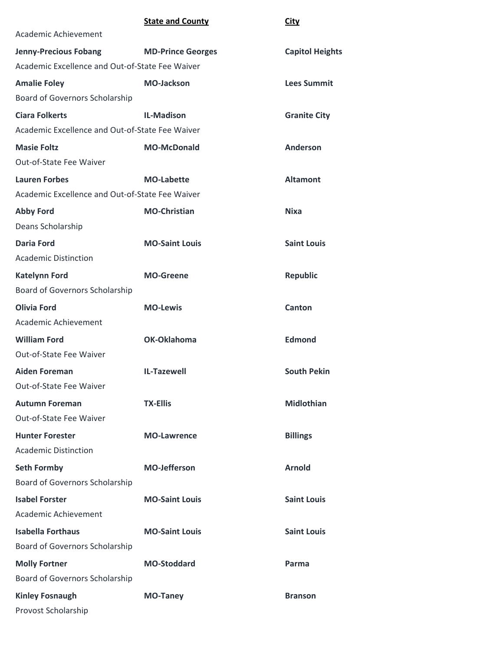## **State and County City**

| Academic Achievement                            |                          |                        |
|-------------------------------------------------|--------------------------|------------------------|
| <b>Jenny-Precious Fobang</b>                    | <b>MD-Prince Georges</b> | <b>Capitol Heights</b> |
| Academic Excellence and Out-of-State Fee Waiver |                          |                        |
| <b>Amalie Foley</b>                             | <b>MO-Jackson</b>        | <b>Lees Summit</b>     |
| Board of Governors Scholarship                  |                          |                        |
| <b>Ciara Folkerts</b>                           | <b>IL-Madison</b>        | <b>Granite City</b>    |
| Academic Excellence and Out-of-State Fee Waiver |                          |                        |
| <b>Masie Foltz</b>                              | <b>MO-McDonald</b>       | <b>Anderson</b>        |
| Out-of-State Fee Waiver                         |                          |                        |
| <b>Lauren Forbes</b>                            | <b>MO-Labette</b>        | <b>Altamont</b>        |
| Academic Excellence and Out-of-State Fee Waiver |                          |                        |
| <b>Abby Ford</b>                                | <b>MO-Christian</b>      | <b>Nixa</b>            |
| Deans Scholarship                               |                          |                        |
| <b>Daria Ford</b>                               | <b>MO-Saint Louis</b>    | <b>Saint Louis</b>     |
| <b>Academic Distinction</b>                     |                          |                        |
| <b>Katelynn Ford</b>                            | <b>MO-Greene</b>         | <b>Republic</b>        |
| Board of Governors Scholarship                  |                          |                        |
| <b>Olivia Ford</b>                              | <b>MO-Lewis</b>          | Canton                 |
| Academic Achievement                            |                          |                        |
| <b>William Ford</b>                             | OK-Oklahoma              | <b>Edmond</b>          |
| Out-of-State Fee Waiver                         |                          |                        |
| <b>Aiden Foreman</b>                            | <b>IL-Tazewell</b>       | <b>South Pekin</b>     |
| Out-of-State Fee Waiver                         |                          |                        |
| <b>Autumn Foreman</b>                           | <b>TX-Ellis</b>          | <b>Midlothian</b>      |
| Out-of-State Fee Waiver                         |                          |                        |
| <b>Hunter Forester</b>                          | <b>MO-Lawrence</b>       | <b>Billings</b>        |
| <b>Academic Distinction</b>                     |                          |                        |
| <b>Seth Formby</b>                              | <b>MO-Jefferson</b>      | <b>Arnold</b>          |
| <b>Board of Governors Scholarship</b>           |                          |                        |
| <b>Isabel Forster</b>                           | <b>MO-Saint Louis</b>    | <b>Saint Louis</b>     |
| Academic Achievement                            |                          |                        |
| <b>Isabella Forthaus</b>                        | <b>MO-Saint Louis</b>    | <b>Saint Louis</b>     |
| Board of Governors Scholarship                  |                          |                        |
| <b>Molly Fortner</b>                            | <b>MO-Stoddard</b>       | Parma                  |
| Board of Governors Scholarship                  |                          |                        |
| <b>Kinley Fosnaugh</b>                          | <b>MO-Taney</b>          | <b>Branson</b>         |
| Provost Scholarship                             |                          |                        |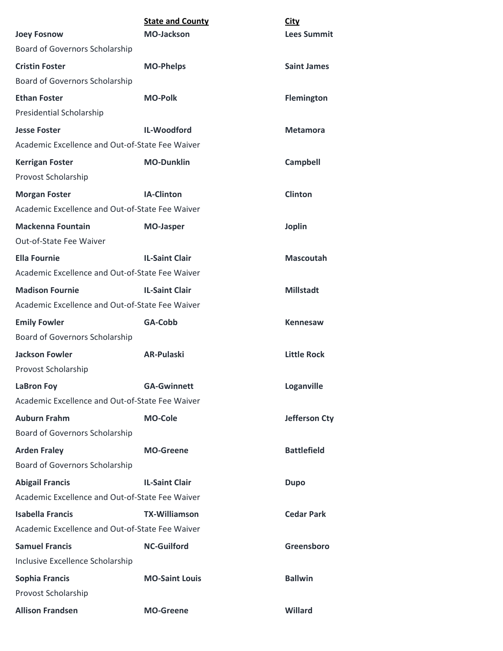| <b>Joey Fosnow</b>                                                        | <b>State and County</b><br><b>MO-Jackson</b> | <b>City</b><br><b>Lees Summit</b> |
|---------------------------------------------------------------------------|----------------------------------------------|-----------------------------------|
| Board of Governors Scholarship                                            |                                              |                                   |
| <b>Cristin Foster</b>                                                     | <b>MO-Phelps</b>                             | <b>Saint James</b>                |
| Board of Governors Scholarship                                            |                                              |                                   |
| <b>Ethan Foster</b>                                                       | <b>MO-Polk</b>                               | <b>Flemington</b>                 |
| <b>Presidential Scholarship</b>                                           |                                              |                                   |
| <b>Jesse Foster</b>                                                       | IL-Woodford                                  | Metamora                          |
| Academic Excellence and Out-of-State Fee Waiver                           |                                              |                                   |
| <b>Kerrigan Foster</b><br>Provost Scholarship                             | <b>MO-Dunklin</b>                            | <b>Campbell</b>                   |
| <b>Morgan Foster</b>                                                      | <b>IA-Clinton</b>                            | <b>Clinton</b>                    |
| Academic Excellence and Out-of-State Fee Waiver                           |                                              |                                   |
| <b>Mackenna Fountain</b><br>Out-of-State Fee Waiver                       | <b>MO-Jasper</b>                             | <b>Joplin</b>                     |
| <b>Ella Fournie</b>                                                       | <b>IL-Saint Clair</b>                        | <b>Mascoutah</b>                  |
| Academic Excellence and Out-of-State Fee Waiver                           |                                              |                                   |
| <b>Madison Fournie</b><br>Academic Excellence and Out-of-State Fee Waiver | <b>IL-Saint Clair</b>                        | <b>Millstadt</b>                  |
| <b>Emily Fowler</b>                                                       | GA-Cobb                                      | Kennesaw                          |
| Board of Governors Scholarship                                            |                                              |                                   |
| <b>Jackson Fowler</b><br>Provost Scholarship                              | <b>AR-Pulaski</b>                            | <b>Little Rock</b>                |
| <b>LaBron Foy</b>                                                         | <b>GA-Gwinnett</b>                           | Loganville                        |
| Academic Excellence and Out-of-State Fee Waiver                           |                                              |                                   |
| <b>Auburn Frahm</b><br>Board of Governors Scholarship                     | <b>MO-Cole</b>                               | Jefferson Cty                     |
| <b>Arden Fraley</b>                                                       | <b>MO-Greene</b>                             | <b>Battlefield</b>                |
| Board of Governors Scholarship                                            |                                              |                                   |
| <b>Abigail Francis</b>                                                    | <b>IL-Saint Clair</b>                        | <b>Dupo</b>                       |
| Academic Excellence and Out-of-State Fee Waiver                           |                                              |                                   |
| <b>Isabella Francis</b>                                                   | <b>TX-Williamson</b>                         | <b>Cedar Park</b>                 |
| Academic Excellence and Out-of-State Fee Waiver                           |                                              |                                   |
| <b>Samuel Francis</b>                                                     | <b>NC-Guilford</b>                           | Greensboro                        |
| Inclusive Excellence Scholarship                                          |                                              |                                   |
| <b>Sophia Francis</b>                                                     | <b>MO-Saint Louis</b>                        | <b>Ballwin</b>                    |
| Provost Scholarship                                                       |                                              |                                   |
| <b>Allison Frandsen</b>                                                   | <b>MO-Greene</b>                             | Willard                           |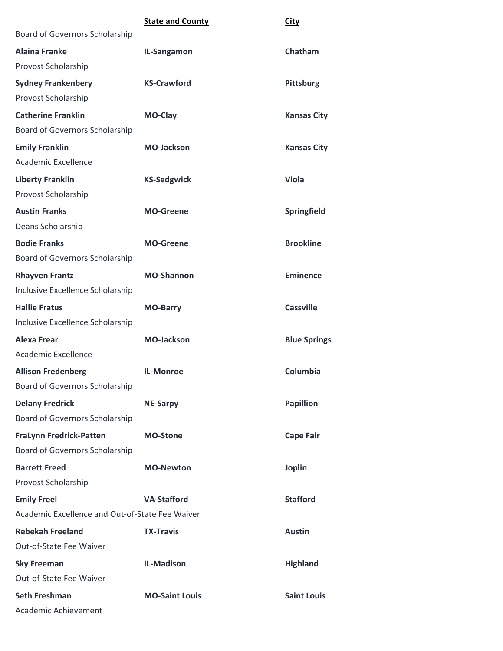|                                                 | <b>State and County</b> | <b>City</b>         |
|-------------------------------------------------|-------------------------|---------------------|
| Board of Governors Scholarship                  |                         |                     |
| <b>Alaina Franke</b>                            | IL-Sangamon             | Chatham             |
| Provost Scholarship                             |                         |                     |
| <b>Sydney Frankenbery</b>                       | <b>KS-Crawford</b>      | <b>Pittsburg</b>    |
| Provost Scholarship                             |                         |                     |
| <b>Catherine Franklin</b>                       | MO-Clay                 | <b>Kansas City</b>  |
| Board of Governors Scholarship                  |                         |                     |
| <b>Emily Franklin</b>                           | <b>MO-Jackson</b>       | <b>Kansas City</b>  |
| <b>Academic Excellence</b>                      |                         |                     |
| <b>Liberty Franklin</b>                         | <b>KS-Sedgwick</b>      | <b>Viola</b>        |
| Provost Scholarship                             |                         |                     |
| <b>Austin Franks</b>                            | <b>MO-Greene</b>        | Springfield         |
| Deans Scholarship                               |                         |                     |
| <b>Bodie Franks</b>                             | <b>MO-Greene</b>        | <b>Brookline</b>    |
| Board of Governors Scholarship                  |                         |                     |
| <b>Rhayven Frantz</b>                           | <b>MO-Shannon</b>       | <b>Eminence</b>     |
| Inclusive Excellence Scholarship                |                         |                     |
| <b>Hallie Fratus</b>                            | <b>MO-Barry</b>         | <b>Cassville</b>    |
| Inclusive Excellence Scholarship                |                         |                     |
| <b>Alexa Frear</b>                              | <b>MO-Jackson</b>       | <b>Blue Springs</b> |
| <b>Academic Excellence</b>                      |                         |                     |
| <b>Allison Fredenberg</b>                       | <b>IL-Monroe</b>        | Columbia            |
| <b>Board of Governors Scholarship</b>           |                         |                     |
| <b>Delany Fredrick</b>                          | <b>NE-Sarpy</b>         | <b>Papillion</b>    |
| Board of Governors Scholarship                  |                         |                     |
| <b>FraLynn Fredrick-Patten</b>                  | <b>MO-Stone</b>         | <b>Cape Fair</b>    |
| Board of Governors Scholarship                  |                         |                     |
| <b>Barrett Freed</b>                            | <b>MO-Newton</b>        | <b>Joplin</b>       |
| Provost Scholarship                             |                         |                     |
| <b>Emily Freel</b>                              | <b>VA-Stafford</b>      | <b>Stafford</b>     |
| Academic Excellence and Out-of-State Fee Waiver |                         |                     |
| <b>Rebekah Freeland</b>                         | <b>TX-Travis</b>        | <b>Austin</b>       |
| Out-of-State Fee Waiver                         |                         |                     |
| <b>Sky Freeman</b>                              | <b>IL-Madison</b>       | <b>Highland</b>     |
| Out-of-State Fee Waiver                         |                         |                     |
| <b>Seth Freshman</b>                            | <b>MO-Saint Louis</b>   | <b>Saint Louis</b>  |
| Academic Achievement                            |                         |                     |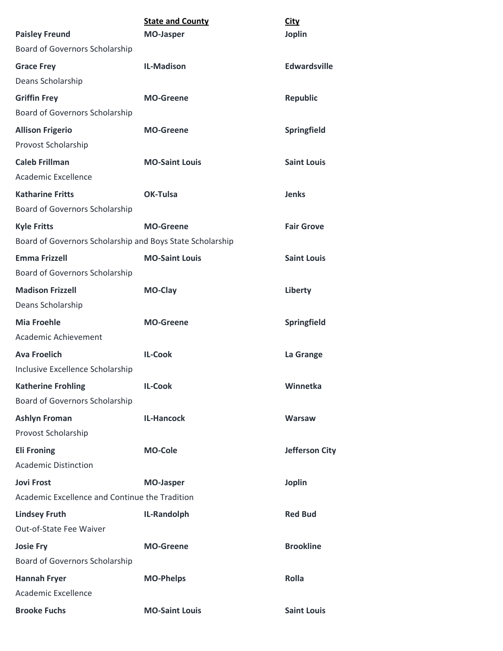| <b>Paisley Freund</b>                                     | <b>State and County</b><br><b>MO-Jasper</b> | <b>City</b><br><b>Joplin</b> |
|-----------------------------------------------------------|---------------------------------------------|------------------------------|
| <b>Board of Governors Scholarship</b>                     |                                             |                              |
| <b>Grace Frey</b>                                         | <b>IL-Madison</b>                           | <b>Edwardsville</b>          |
| Deans Scholarship                                         |                                             |                              |
| <b>Griffin Frey</b>                                       | <b>MO-Greene</b>                            | <b>Republic</b>              |
| Board of Governors Scholarship                            |                                             |                              |
| <b>Allison Frigerio</b>                                   | <b>MO-Greene</b>                            | Springfield                  |
| Provost Scholarship                                       |                                             |                              |
| <b>Caleb Frillman</b>                                     | <b>MO-Saint Louis</b>                       | <b>Saint Louis</b>           |
| <b>Academic Excellence</b>                                |                                             |                              |
| <b>Katharine Fritts</b>                                   | <b>OK-Tulsa</b>                             | <b>Jenks</b>                 |
| Board of Governors Scholarship                            |                                             |                              |
| <b>Kyle Fritts</b>                                        | <b>MO-Greene</b>                            | <b>Fair Grove</b>            |
| Board of Governors Scholarship and Boys State Scholarship |                                             |                              |
| <b>Emma Frizzell</b>                                      | <b>MO-Saint Louis</b>                       | <b>Saint Louis</b>           |
| Board of Governors Scholarship                            |                                             |                              |
| <b>Madison Frizzell</b>                                   | MO-Clay                                     | Liberty                      |
| Deans Scholarship                                         |                                             |                              |
| <b>Mia Froehle</b>                                        | <b>MO-Greene</b>                            | Springfield                  |
| Academic Achievement                                      |                                             |                              |
| <b>Ava Froelich</b>                                       | <b>IL-Cook</b>                              | La Grange                    |
| Inclusive Excellence Scholarship                          |                                             |                              |
| <b>Katherine Frohling</b>                                 | <b>IL-Cook</b>                              | Winnetka                     |
| Board of Governors Scholarship                            |                                             |                              |
| <b>Ashlyn Froman</b>                                      | <b>IL-Hancock</b>                           | <b>Warsaw</b>                |
| Provost Scholarship                                       |                                             |                              |
| <b>Eli Froning</b>                                        | <b>MO-Cole</b>                              | <b>Jefferson City</b>        |
| <b>Academic Distinction</b>                               |                                             |                              |
| <b>Jovi Frost</b>                                         | <b>MO-Jasper</b>                            | <b>Joplin</b>                |
| Academic Excellence and Continue the Tradition            |                                             |                              |
| <b>Lindsey Fruth</b>                                      | IL-Randolph                                 | <b>Red Bud</b>               |
| Out-of-State Fee Waiver                                   |                                             |                              |
| <b>Josie Fry</b>                                          | <b>MO-Greene</b>                            | <b>Brookline</b>             |
| Board of Governors Scholarship                            |                                             |                              |
| <b>Hannah Fryer</b>                                       | <b>MO-Phelps</b>                            | <b>Rolla</b>                 |
| Academic Excellence                                       |                                             |                              |
| <b>Brooke Fuchs</b>                                       | <b>MO-Saint Louis</b>                       | <b>Saint Louis</b>           |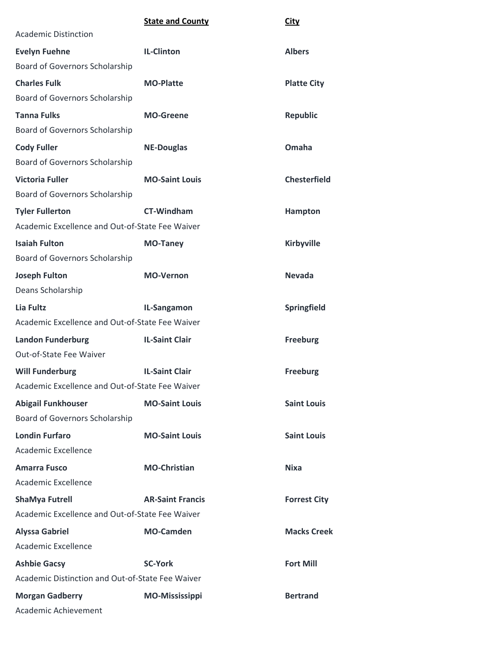|                                                  | <b>State and County</b> | <b>City</b>         |
|--------------------------------------------------|-------------------------|---------------------|
| <b>Academic Distinction</b>                      |                         |                     |
| <b>Evelyn Fuehne</b>                             | <b>IL-Clinton</b>       | <b>Albers</b>       |
| <b>Board of Governors Scholarship</b>            |                         |                     |
| <b>Charles Fulk</b>                              | <b>MO-Platte</b>        | <b>Platte City</b>  |
| <b>Board of Governors Scholarship</b>            |                         |                     |
| <b>Tanna Fulks</b>                               | <b>MO-Greene</b>        | <b>Republic</b>     |
| Board of Governors Scholarship                   |                         |                     |
| <b>Cody Fuller</b>                               | <b>NE-Douglas</b>       | Omaha               |
| Board of Governors Scholarship                   |                         |                     |
| <b>Victoria Fuller</b>                           | <b>MO-Saint Louis</b>   | <b>Chesterfield</b> |
| Board of Governors Scholarship                   |                         |                     |
| <b>Tyler Fullerton</b>                           | <b>CT-Windham</b>       | Hampton             |
| Academic Excellence and Out-of-State Fee Waiver  |                         |                     |
| <b>Isaiah Fulton</b>                             | <b>MO-Taney</b>         | <b>Kirbyville</b>   |
| Board of Governors Scholarship                   |                         |                     |
| <b>Joseph Fulton</b>                             | <b>MO-Vernon</b>        | <b>Nevada</b>       |
| Deans Scholarship                                |                         |                     |
| Lia Fultz                                        | IL-Sangamon             | Springfield         |
| Academic Excellence and Out-of-State Fee Waiver  |                         |                     |
| <b>Landon Funderburg</b>                         | <b>IL-Saint Clair</b>   | <b>Freeburg</b>     |
| Out-of-State Fee Waiver                          |                         |                     |
| <b>Will Funderburg</b>                           | <b>IL-Saint Clair</b>   | <b>Freeburg</b>     |
| Academic Excellence and Out-of-State Fee Waiver  |                         |                     |
| <b>Abigail Funkhouser</b>                        | <b>MO-Saint Louis</b>   | <b>Saint Louis</b>  |
| Board of Governors Scholarship                   |                         |                     |
| <b>Londin Furfaro</b>                            | <b>MO-Saint Louis</b>   | <b>Saint Louis</b>  |
| Academic Excellence                              |                         |                     |
| <b>Amarra Fusco</b>                              | <b>MO-Christian</b>     | <b>Nixa</b>         |
| Academic Excellence                              |                         |                     |
| <b>ShaMya Futrell</b>                            | <b>AR-Saint Francis</b> | <b>Forrest City</b> |
| Academic Excellence and Out-of-State Fee Waiver  |                         |                     |
| <b>Alyssa Gabriel</b>                            | <b>MO-Camden</b>        | <b>Macks Creek</b>  |
| Academic Excellence                              |                         |                     |
| <b>Ashbie Gacsy</b>                              | <b>SC-York</b>          | <b>Fort Mill</b>    |
| Academic Distinction and Out-of-State Fee Waiver |                         |                     |
| <b>Morgan Gadberry</b>                           | <b>MO-Mississippi</b>   | <b>Bertrand</b>     |
| Academic Achievement                             |                         |                     |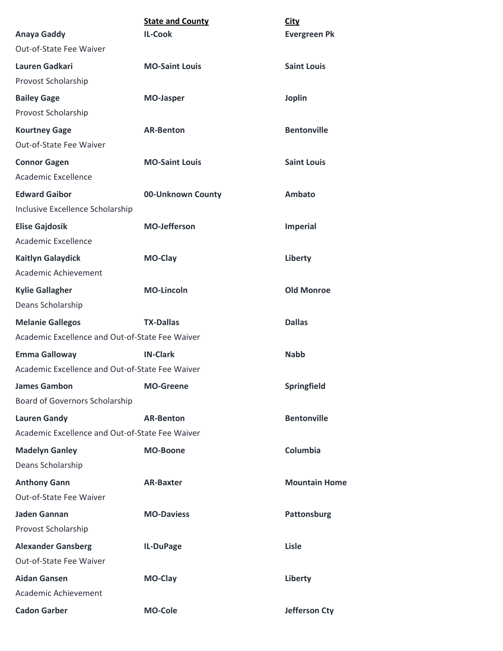| <b>Anaya Gaddy</b>                              | <b>State and County</b><br><b>IL-Cook</b> | <b>City</b><br><b>Evergreen Pk</b> |
|-------------------------------------------------|-------------------------------------------|------------------------------------|
| Out-of-State Fee Waiver                         |                                           |                                    |
| Lauren Gadkari                                  | <b>MO-Saint Louis</b>                     | <b>Saint Louis</b>                 |
| Provost Scholarship                             |                                           |                                    |
| <b>Bailey Gage</b>                              | <b>MO-Jasper</b>                          | <b>Joplin</b>                      |
| Provost Scholarship                             |                                           |                                    |
| <b>Kourtney Gage</b>                            | <b>AR-Benton</b>                          | <b>Bentonville</b>                 |
| Out-of-State Fee Waiver                         |                                           |                                    |
| <b>Connor Gagen</b>                             | <b>MO-Saint Louis</b>                     | <b>Saint Louis</b>                 |
| Academic Excellence                             |                                           |                                    |
| <b>Edward Gaibor</b>                            | 00-Unknown County                         | Ambato                             |
| Inclusive Excellence Scholarship                |                                           |                                    |
| <b>Elise Gajdosik</b>                           | <b>MO-Jefferson</b>                       | <b>Imperial</b>                    |
| Academic Excellence                             |                                           |                                    |
| <b>Kaitlyn Galaydick</b>                        | MO-Clay                                   | Liberty                            |
| Academic Achievement                            |                                           |                                    |
| <b>Kylie Gallagher</b>                          | <b>MO-Lincoln</b>                         | <b>Old Monroe</b>                  |
| Deans Scholarship                               |                                           |                                    |
| <b>Melanie Gallegos</b>                         | <b>TX-Dallas</b>                          | <b>Dallas</b>                      |
| Academic Excellence and Out-of-State Fee Waiver |                                           |                                    |
| <b>Emma Galloway</b>                            | <b>IN-Clark</b>                           | <b>Nabb</b>                        |
| Academic Excellence and Out-of-State Fee Waiver |                                           |                                    |
| <b>James Gambon</b>                             | <b>MO-Greene</b>                          | Springfield                        |
| Board of Governors Scholarship                  |                                           |                                    |
| <b>Lauren Gandy</b>                             | <b>AR-Benton</b>                          | <b>Bentonville</b>                 |
| Academic Excellence and Out-of-State Fee Waiver |                                           |                                    |
| <b>Madelyn Ganley</b>                           | <b>MO-Boone</b>                           | Columbia                           |
| Deans Scholarship                               |                                           |                                    |
| <b>Anthony Gann</b>                             | <b>AR-Baxter</b>                          | <b>Mountain Home</b>               |
| Out-of-State Fee Waiver                         |                                           |                                    |
| Jaden Gannan                                    | <b>MO-Daviess</b>                         | <b>Pattonsburg</b>                 |
| Provost Scholarship                             |                                           |                                    |
| <b>Alexander Gansberg</b>                       | IL-DuPage                                 | Lisle                              |
| Out-of-State Fee Waiver                         |                                           |                                    |
| <b>Aidan Gansen</b>                             | MO-Clay                                   | Liberty                            |
| Academic Achievement                            |                                           |                                    |
| <b>Cadon Garber</b>                             | <b>MO-Cole</b>                            | <b>Jefferson Cty</b>               |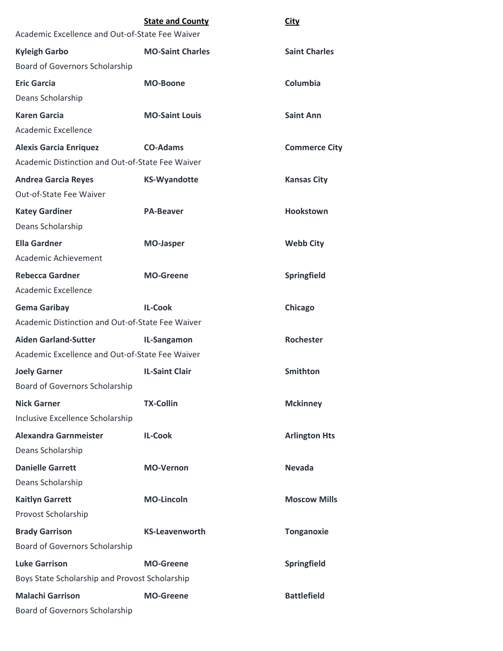| Academic Excellence and Out-of-State Fee Waiver  | <b>State and County</b> | <b>City</b>          |
|--------------------------------------------------|-------------------------|----------------------|
| <b>Kyleigh Garbo</b>                             | <b>MO-Saint Charles</b> | <b>Saint Charles</b> |
| Board of Governors Scholarship                   |                         |                      |
| <b>Eric Garcia</b>                               | <b>MO-Boone</b>         | Columbia             |
| Deans Scholarship                                |                         |                      |
| <b>Karen Garcia</b>                              | <b>MO-Saint Louis</b>   | <b>Saint Ann</b>     |
| Academic Excellence                              |                         |                      |
| <b>Alexis Garcia Enriquez</b>                    | <b>CO-Adams</b>         | <b>Commerce City</b> |
| Academic Distinction and Out-of-State Fee Waiver |                         |                      |
| <b>Andrea Garcia Reyes</b>                       | <b>KS-Wyandotte</b>     | <b>Kansas City</b>   |
| Out-of-State Fee Waiver                          |                         |                      |
| <b>Katey Gardiner</b>                            | <b>PA-Beaver</b>        | <b>Hookstown</b>     |
| Deans Scholarship                                |                         |                      |
| <b>Ella Gardner</b>                              | <b>MO-Jasper</b>        | <b>Webb City</b>     |
| Academic Achievement                             |                         |                      |
| <b>Rebecca Gardner</b>                           | <b>MO-Greene</b>        | Springfield          |
| Academic Excellence                              |                         |                      |
| <b>Gema Garibay</b>                              | <b>IL-Cook</b>          | Chicago              |
| Academic Distinction and Out-of-State Fee Waiver |                         |                      |
| <b>Aiden Garland-Sutter</b>                      | IL-Sangamon             | Rochester            |
| Academic Excellence and Out-of-State Fee Waiver  |                         |                      |
| <b>Joely Garner</b>                              | <b>IL-Saint Clair</b>   | <b>Smithton</b>      |
| <b>Board of Governors Scholarship</b>            |                         |                      |
| <b>Nick Garner</b>                               | <b>TX-Collin</b>        | <b>Mckinney</b>      |
| Inclusive Excellence Scholarship                 |                         |                      |
| <b>Alexandra Garnmeister</b>                     | <b>IL-Cook</b>          | <b>Arlington Hts</b> |
| Deans Scholarship                                |                         |                      |
| <b>Danielle Garrett</b>                          | <b>MO-Vernon</b>        | <b>Nevada</b>        |
| Deans Scholarship                                |                         |                      |
| <b>Kaitlyn Garrett</b>                           | <b>MO-Lincoln</b>       | <b>Moscow Mills</b>  |
| Provost Scholarship                              |                         |                      |
| <b>Brady Garrison</b>                            | <b>KS-Leavenworth</b>   | <b>Tonganoxie</b>    |
| Board of Governors Scholarship                   |                         |                      |
| <b>Luke Garrison</b>                             | <b>MO-Greene</b>        | Springfield          |
| Boys State Scholarship and Provost Scholarship   |                         |                      |
| <b>Malachi Garrison</b>                          | <b>MO-Greene</b>        | <b>Battlefield</b>   |
| Board of Governors Scholarship                   |                         |                      |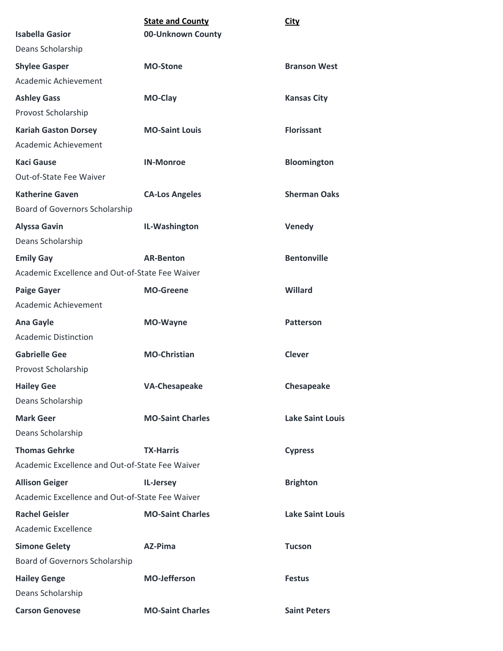|                                                 | <b>State and County</b> | <b>City</b>             |
|-------------------------------------------------|-------------------------|-------------------------|
| <b>Isabella Gasior</b>                          | 00-Unknown County       |                         |
| Deans Scholarship                               |                         |                         |
| <b>Shylee Gasper</b>                            | <b>MO-Stone</b>         | <b>Branson West</b>     |
| Academic Achievement                            |                         |                         |
| <b>Ashley Gass</b>                              | MO-Clay                 | <b>Kansas City</b>      |
| Provost Scholarship                             |                         |                         |
| <b>Kariah Gaston Dorsey</b>                     | <b>MO-Saint Louis</b>   | <b>Florissant</b>       |
| Academic Achievement                            |                         |                         |
| <b>Kaci Gause</b>                               | <b>IN-Monroe</b>        | <b>Bloomington</b>      |
| Out-of-State Fee Waiver                         |                         |                         |
| <b>Katherine Gaven</b>                          | <b>CA-Los Angeles</b>   | <b>Sherman Oaks</b>     |
| Board of Governors Scholarship                  |                         |                         |
| <b>Alyssa Gavin</b>                             | IL-Washington           | Venedy                  |
| Deans Scholarship                               |                         |                         |
| <b>Emily Gay</b>                                | <b>AR-Benton</b>        | <b>Bentonville</b>      |
| Academic Excellence and Out-of-State Fee Waiver |                         |                         |
| <b>Paige Gayer</b>                              | <b>MO-Greene</b>        | Willard                 |
| Academic Achievement                            |                         |                         |
| <b>Ana Gayle</b>                                | MO-Wayne                | <b>Patterson</b>        |
| <b>Academic Distinction</b>                     |                         |                         |
| <b>Gabrielle Gee</b>                            | <b>MO-Christian</b>     | <b>Clever</b>           |
| Provost Scholarship                             |                         |                         |
| <b>Hailey Gee</b>                               | <b>VA-Chesapeake</b>    | Chesapeake              |
| Deans Scholarship                               |                         |                         |
| <b>Mark Geer</b>                                | <b>MO-Saint Charles</b> | <b>Lake Saint Louis</b> |
| Deans Scholarship                               |                         |                         |
| <b>Thomas Gehrke</b>                            | <b>TX-Harris</b>        | <b>Cypress</b>          |
| Academic Excellence and Out-of-State Fee Waiver |                         |                         |
| <b>Allison Geiger</b>                           | IL-Jersey               | <b>Brighton</b>         |
| Academic Excellence and Out-of-State Fee Waiver |                         |                         |
| <b>Rachel Geisler</b>                           | <b>MO-Saint Charles</b> | <b>Lake Saint Louis</b> |
| Academic Excellence                             |                         |                         |
| <b>Simone Gelety</b>                            | AZ-Pima                 | <b>Tucson</b>           |
| Board of Governors Scholarship                  |                         |                         |
| <b>Hailey Genge</b>                             | <b>MO-Jefferson</b>     | <b>Festus</b>           |
| Deans Scholarship                               |                         |                         |
| <b>Carson Genovese</b>                          | <b>MO-Saint Charles</b> | <b>Saint Peters</b>     |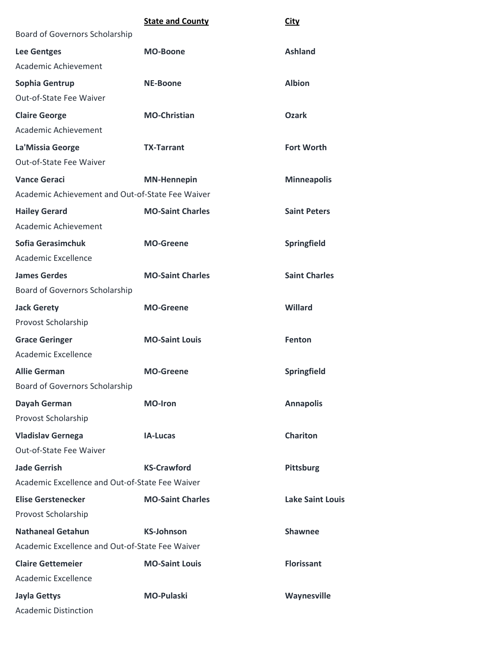|                                                  | <b>State and County</b> | <b>City</b>             |
|--------------------------------------------------|-------------------------|-------------------------|
| Board of Governors Scholarship                   |                         |                         |
| <b>Lee Gentges</b>                               | <b>MO-Boone</b>         | <b>Ashland</b>          |
| Academic Achievement                             |                         |                         |
| Sophia Gentrup                                   | <b>NE-Boone</b>         | <b>Albion</b>           |
| Out-of-State Fee Waiver                          |                         |                         |
| <b>Claire George</b>                             | <b>MO-Christian</b>     | <b>Ozark</b>            |
| Academic Achievement                             |                         |                         |
| La'Missia George                                 | <b>TX-Tarrant</b>       | <b>Fort Worth</b>       |
| Out-of-State Fee Waiver                          |                         |                         |
| <b>Vance Geraci</b>                              | <b>MN-Hennepin</b>      | <b>Minneapolis</b>      |
| Academic Achievement and Out-of-State Fee Waiver |                         |                         |
| <b>Hailey Gerard</b>                             | <b>MO-Saint Charles</b> | <b>Saint Peters</b>     |
| Academic Achievement                             |                         |                         |
| Sofia Gerasimchuk                                | <b>MO-Greene</b>        | Springfield             |
| Academic Excellence                              |                         |                         |
| <b>James Gerdes</b>                              | <b>MO-Saint Charles</b> | <b>Saint Charles</b>    |
| Board of Governors Scholarship                   |                         |                         |
| <b>Jack Gerety</b>                               | <b>MO-Greene</b>        | Willard                 |
| Provost Scholarship                              |                         |                         |
| <b>Grace Geringer</b>                            | <b>MO-Saint Louis</b>   | <b>Fenton</b>           |
| Academic Excellence                              |                         |                         |
| <b>Allie German</b>                              | <b>MO-Greene</b>        | Springfield             |
| <b>Board of Governors Scholarship</b>            |                         |                         |
| Dayah German                                     | <b>MO-Iron</b>          | <b>Annapolis</b>        |
| Provost Scholarship                              |                         |                         |
| <b>Vladislav Gernega</b>                         | <b>IA-Lucas</b>         | <b>Chariton</b>         |
| Out-of-State Fee Waiver                          |                         |                         |
| <b>Jade Gerrish</b>                              | <b>KS-Crawford</b>      | <b>Pittsburg</b>        |
| Academic Excellence and Out-of-State Fee Waiver  |                         |                         |
| <b>Elise Gerstenecker</b>                        | <b>MO-Saint Charles</b> | <b>Lake Saint Louis</b> |
| Provost Scholarship                              |                         |                         |
| <b>Nathaneal Getahun</b>                         | <b>KS-Johnson</b>       | <b>Shawnee</b>          |
| Academic Excellence and Out-of-State Fee Waiver  |                         |                         |
| <b>Claire Gettemeier</b>                         | <b>MO-Saint Louis</b>   | <b>Florissant</b>       |
| Academic Excellence                              |                         |                         |
| <b>Jayla Gettys</b>                              | <b>MO-Pulaski</b>       | Waynesville             |
| <b>Academic Distinction</b>                      |                         |                         |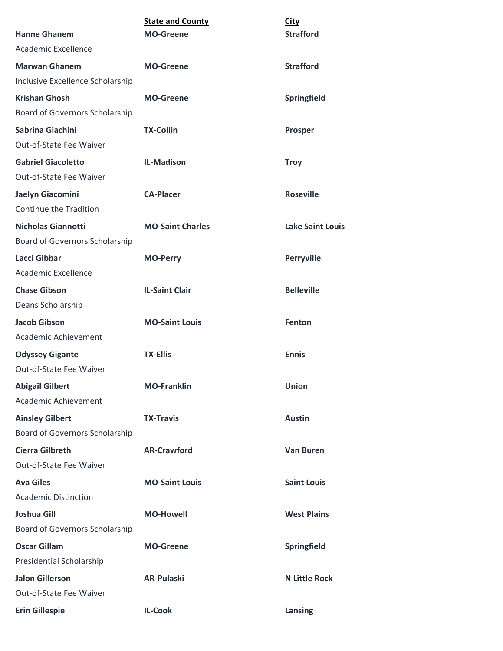| <b>Hanne Ghanem</b>                                         | <b>State and County</b><br><b>MO-Greene</b> | <b>City</b><br><b>Strafford</b> |
|-------------------------------------------------------------|---------------------------------------------|---------------------------------|
| Academic Excellence                                         |                                             |                                 |
| <b>Marwan Ghanem</b>                                        | <b>MO-Greene</b>                            | <b>Strafford</b>                |
| Inclusive Excellence Scholarship                            |                                             |                                 |
| <b>Krishan Ghosh</b>                                        |                                             |                                 |
| Board of Governors Scholarship                              | <b>MO-Greene</b>                            | Springfield                     |
|                                                             |                                             |                                 |
| Sabrina Giachini<br>Out-of-State Fee Waiver                 | <b>TX-Collin</b>                            | <b>Prosper</b>                  |
|                                                             |                                             |                                 |
| <b>Gabriel Giacoletto</b><br>Out-of-State Fee Waiver        | <b>IL-Madison</b>                           | <b>Troy</b>                     |
|                                                             |                                             |                                 |
| Jaelyn Giacomini<br>Continue the Tradition                  | <b>CA-Placer</b>                            | <b>Roseville</b>                |
|                                                             |                                             |                                 |
| <b>Nicholas Giannotti</b><br>Board of Governors Scholarship | <b>MO-Saint Charles</b>                     | <b>Lake Saint Louis</b>         |
| <b>Lacci Gibbar</b>                                         | <b>MO-Perry</b>                             | <b>Perryville</b>               |
| Academic Excellence                                         |                                             |                                 |
| <b>Chase Gibson</b>                                         | <b>IL-Saint Clair</b>                       | <b>Belleville</b>               |
| Deans Scholarship                                           |                                             |                                 |
| <b>Jacob Gibson</b>                                         | <b>MO-Saint Louis</b>                       | Fenton                          |
| Academic Achievement                                        |                                             |                                 |
| <b>Odyssey Gigante</b>                                      | <b>TX-Ellis</b>                             | <b>Ennis</b>                    |
| Out-of-State Fee Waiver                                     |                                             |                                 |
| <b>Abigail Gilbert</b>                                      | <b>MO-Franklin</b>                          | <b>Union</b>                    |
| Academic Achievement                                        |                                             |                                 |
| <b>Ainsley Gilbert</b>                                      | <b>TX-Travis</b>                            | <b>Austin</b>                   |
| <b>Board of Governors Scholarship</b>                       |                                             |                                 |
| <b>Cierra Gilbreth</b>                                      | <b>AR-Crawford</b>                          | <b>Van Buren</b>                |
| Out-of-State Fee Waiver                                     |                                             |                                 |
| <b>Ava Giles</b>                                            | <b>MO-Saint Louis</b>                       | <b>Saint Louis</b>              |
| <b>Academic Distinction</b>                                 |                                             |                                 |
| <b>Joshua Gill</b>                                          | <b>MO-Howell</b>                            | <b>West Plains</b>              |
| Board of Governors Scholarship                              |                                             |                                 |
| <b>Oscar Gillam</b>                                         | <b>MO-Greene</b>                            | Springfield                     |
| Presidential Scholarship                                    |                                             |                                 |
| <b>Jalon Gillerson</b>                                      | <b>AR-Pulaski</b>                           | <b>N Little Rock</b>            |
| Out-of-State Fee Waiver                                     |                                             |                                 |
| <b>Erin Gillespie</b>                                       | <b>IL-Cook</b>                              | Lansing                         |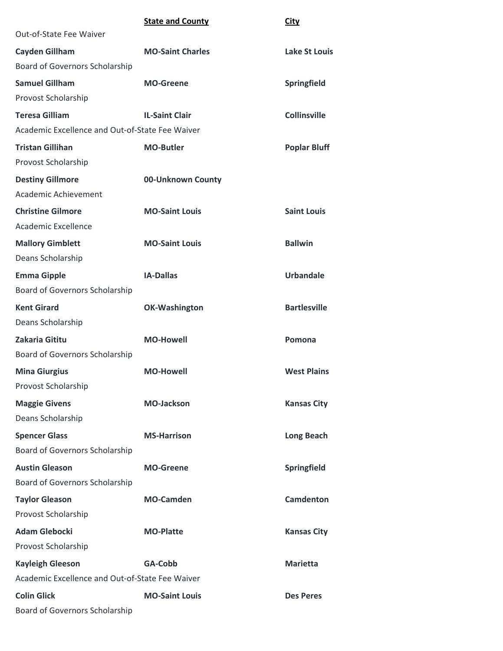|                                                 | <b>State and County</b> | <b>City</b>          |
|-------------------------------------------------|-------------------------|----------------------|
| Out-of-State Fee Waiver                         |                         |                      |
| <b>Cayden Gillham</b>                           | <b>MO-Saint Charles</b> | <b>Lake St Louis</b> |
| Board of Governors Scholarship                  |                         |                      |
| <b>Samuel Gillham</b>                           | <b>MO-Greene</b>        | Springfield          |
| Provost Scholarship                             |                         |                      |
| <b>Teresa Gilliam</b>                           | <b>IL-Saint Clair</b>   | <b>Collinsville</b>  |
| Academic Excellence and Out-of-State Fee Waiver |                         |                      |
| <b>Tristan Gillihan</b>                         | <b>MO-Butler</b>        | <b>Poplar Bluff</b>  |
| Provost Scholarship                             |                         |                      |
| <b>Destiny Gillmore</b>                         | 00-Unknown County       |                      |
| Academic Achievement                            |                         |                      |
| <b>Christine Gilmore</b>                        | <b>MO-Saint Louis</b>   | <b>Saint Louis</b>   |
| Academic Excellence                             |                         |                      |
| <b>Mallory Gimblett</b>                         | <b>MO-Saint Louis</b>   | <b>Ballwin</b>       |
| Deans Scholarship                               |                         |                      |
| <b>Emma Gipple</b>                              | <b>IA-Dallas</b>        | <b>Urbandale</b>     |
| Board of Governors Scholarship                  |                         |                      |
| <b>Kent Girard</b>                              | <b>OK-Washington</b>    | <b>Bartlesville</b>  |
| Deans Scholarship                               |                         |                      |
| Zakaria Gititu                                  | <b>MO-Howell</b>        | Pomona               |
| Board of Governors Scholarship                  |                         |                      |
| <b>Mina Giurgius</b>                            | <b>MO-Howell</b>        | <b>West Plains</b>   |
| Provost Scholarship                             |                         |                      |
| <b>Maggie Givens</b>                            | <b>MO-Jackson</b>       | <b>Kansas City</b>   |
| Deans Scholarship                               |                         |                      |
| <b>Spencer Glass</b>                            | <b>MS-Harrison</b>      | <b>Long Beach</b>    |
| Board of Governors Scholarship                  |                         |                      |
| <b>Austin Gleason</b>                           | <b>MO-Greene</b>        | Springfield          |
| Board of Governors Scholarship                  |                         |                      |
| <b>Taylor Gleason</b>                           | <b>MO-Camden</b>        | <b>Camdenton</b>     |
| Provost Scholarship                             |                         |                      |
| <b>Adam Glebocki</b>                            | <b>MO-Platte</b>        | <b>Kansas City</b>   |
| Provost Scholarship                             |                         |                      |
| <b>Kayleigh Gleeson</b>                         | GA-Cobb                 | <b>Marietta</b>      |
| Academic Excellence and Out-of-State Fee Waiver |                         |                      |
| <b>Colin Glick</b>                              | <b>MO-Saint Louis</b>   | <b>Des Peres</b>     |
| Board of Governors Scholarship                  |                         |                      |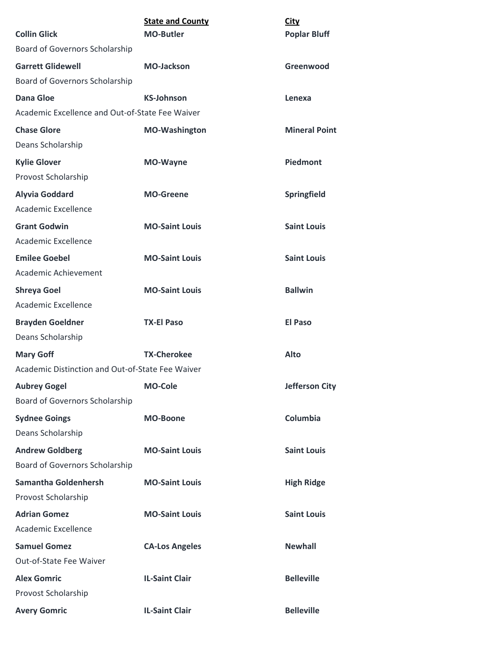| <b>Collin Glick</b>                              | <b>State and County</b><br><b>MO-Butler</b> | <b>City</b><br><b>Poplar Bluff</b> |
|--------------------------------------------------|---------------------------------------------|------------------------------------|
| Board of Governors Scholarship                   |                                             |                                    |
| <b>Garrett Glidewell</b>                         | <b>MO-Jackson</b>                           | Greenwood                          |
| Board of Governors Scholarship                   |                                             |                                    |
| <b>Dana Gloe</b>                                 | <b>KS-Johnson</b>                           | Lenexa                             |
| Academic Excellence and Out-of-State Fee Waiver  |                                             |                                    |
| <b>Chase Glore</b>                               | <b>MO-Washington</b>                        | <b>Mineral Point</b>               |
| Deans Scholarship                                |                                             |                                    |
| <b>Kylie Glover</b>                              | <b>MO-Wayne</b>                             | Piedmont                           |
| Provost Scholarship                              |                                             |                                    |
| <b>Alyvia Goddard</b>                            | <b>MO-Greene</b>                            | Springfield                        |
| Academic Excellence                              |                                             |                                    |
| <b>Grant Godwin</b>                              | <b>MO-Saint Louis</b>                       | <b>Saint Louis</b>                 |
| <b>Academic Excellence</b>                       |                                             |                                    |
| <b>Emilee Goebel</b>                             | <b>MO-Saint Louis</b>                       | <b>Saint Louis</b>                 |
| Academic Achievement                             |                                             |                                    |
| <b>Shreya Goel</b>                               | <b>MO-Saint Louis</b>                       | <b>Ballwin</b>                     |
| Academic Excellence                              |                                             |                                    |
| <b>Brayden Goeldner</b>                          | <b>TX-El Paso</b>                           | <b>El Paso</b>                     |
| Deans Scholarship                                |                                             |                                    |
| <b>Mary Goff</b>                                 | <b>TX-Cherokee</b>                          | <b>Alto</b>                        |
| Academic Distinction and Out-of-State Fee Waiver |                                             |                                    |
| <b>Aubrey Gogel</b>                              | <b>MO-Cole</b>                              | Jefferson City                     |
| <b>Board of Governors Scholarship</b>            |                                             |                                    |
| <b>Sydnee Goings</b>                             | <b>MO-Boone</b>                             | Columbia                           |
| Deans Scholarship                                |                                             |                                    |
| <b>Andrew Goldberg</b>                           | <b>MO-Saint Louis</b>                       | <b>Saint Louis</b>                 |
| Board of Governors Scholarship                   |                                             |                                    |
| <b>Samantha Goldenhersh</b>                      | <b>MO-Saint Louis</b>                       | <b>High Ridge</b>                  |
| Provost Scholarship                              |                                             |                                    |
| <b>Adrian Gomez</b>                              | <b>MO-Saint Louis</b>                       | <b>Saint Louis</b>                 |
| Academic Excellence                              |                                             |                                    |
| <b>Samuel Gomez</b>                              | <b>CA-Los Angeles</b>                       | <b>Newhall</b>                     |
| Out-of-State Fee Waiver                          |                                             |                                    |
| <b>Alex Gomric</b>                               | <b>IL-Saint Clair</b>                       | <b>Belleville</b>                  |
| Provost Scholarship                              |                                             |                                    |
| <b>Avery Gomric</b>                              | <b>IL-Saint Clair</b>                       | <b>Belleville</b>                  |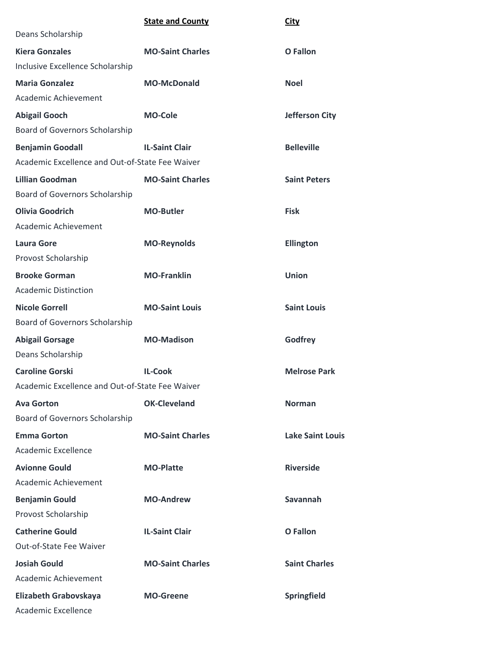|                                                 | <b>State and County</b> | <b>City</b>             |
|-------------------------------------------------|-------------------------|-------------------------|
| Deans Scholarship                               |                         |                         |
| <b>Kiera Gonzales</b>                           | <b>MO-Saint Charles</b> | O Fallon                |
| Inclusive Excellence Scholarship                |                         |                         |
| <b>Maria Gonzalez</b>                           | <b>MO-McDonald</b>      | <b>Noel</b>             |
| Academic Achievement                            |                         |                         |
| <b>Abigail Gooch</b>                            | <b>MO-Cole</b>          | <b>Jefferson City</b>   |
| Board of Governors Scholarship                  |                         |                         |
| <b>Benjamin Goodall</b>                         | <b>IL-Saint Clair</b>   | <b>Belleville</b>       |
| Academic Excellence and Out-of-State Fee Waiver |                         |                         |
| <b>Lillian Goodman</b>                          | <b>MO-Saint Charles</b> | <b>Saint Peters</b>     |
| Board of Governors Scholarship                  |                         |                         |
| <b>Olivia Goodrich</b>                          | <b>MO-Butler</b>        | <b>Fisk</b>             |
| Academic Achievement                            |                         |                         |
| <b>Laura Gore</b>                               | <b>MO-Reynolds</b>      | <b>Ellington</b>        |
| Provost Scholarship                             |                         |                         |
| <b>Brooke Gorman</b>                            | <b>MO-Franklin</b>      | <b>Union</b>            |
| <b>Academic Distinction</b>                     |                         |                         |
| <b>Nicole Gorrell</b>                           | <b>MO-Saint Louis</b>   | <b>Saint Louis</b>      |
| Board of Governors Scholarship                  |                         |                         |
| <b>Abigail Gorsage</b>                          | <b>MO-Madison</b>       | Godfrey                 |
| Deans Scholarship                               |                         |                         |
| <b>Caroline Gorski</b>                          | <b>IL-Cook</b>          | <b>Melrose Park</b>     |
| Academic Excellence and Out-of-State Fee Waiver |                         |                         |
| <b>Ava Gorton</b>                               | <b>OK-Cleveland</b>     | <b>Norman</b>           |
| Board of Governors Scholarship                  |                         |                         |
| <b>Emma Gorton</b>                              | <b>MO-Saint Charles</b> | <b>Lake Saint Louis</b> |
| Academic Excellence                             |                         |                         |
| <b>Avionne Gould</b>                            | <b>MO-Platte</b>        | <b>Riverside</b>        |
| Academic Achievement                            |                         |                         |
| <b>Benjamin Gould</b>                           | <b>MO-Andrew</b>        | Savannah                |
| Provost Scholarship                             |                         |                         |
| <b>Catherine Gould</b>                          | <b>IL-Saint Clair</b>   | O Fallon                |
| Out-of-State Fee Waiver                         |                         |                         |
| <b>Josiah Gould</b>                             | <b>MO-Saint Charles</b> | <b>Saint Charles</b>    |
| Academic Achievement                            |                         |                         |
| Elizabeth Grabovskaya                           | <b>MO-Greene</b>        | Springfield             |
| Academic Excellence                             |                         |                         |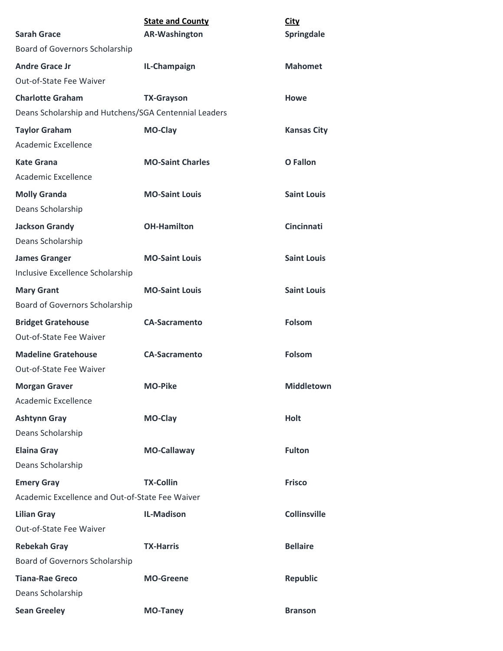| <b>Sarah Grace</b>                                    | <b>State and County</b><br><b>AR-Washington</b> | <b>City</b><br>Springdale |
|-------------------------------------------------------|-------------------------------------------------|---------------------------|
| Board of Governors Scholarship                        |                                                 |                           |
| <b>Andre Grace Jr</b>                                 | IL-Champaign                                    | <b>Mahomet</b>            |
| Out-of-State Fee Waiver                               |                                                 |                           |
| <b>Charlotte Graham</b>                               | <b>TX-Grayson</b>                               | <b>Howe</b>               |
| Deans Scholarship and Hutchens/SGA Centennial Leaders |                                                 |                           |
| <b>Taylor Graham</b>                                  | MO-Clay                                         | <b>Kansas City</b>        |
| Academic Excellence                                   |                                                 |                           |
| Kate Grana                                            | <b>MO-Saint Charles</b>                         | <b>O</b> Fallon           |
| Academic Excellence                                   |                                                 |                           |
| <b>Molly Granda</b>                                   | <b>MO-Saint Louis</b>                           | <b>Saint Louis</b>        |
| Deans Scholarship                                     |                                                 |                           |
| <b>Jackson Grandy</b>                                 | <b>OH-Hamilton</b>                              | <b>Cincinnati</b>         |
| Deans Scholarship                                     |                                                 |                           |
| <b>James Granger</b>                                  | <b>MO-Saint Louis</b>                           | <b>Saint Louis</b>        |
| Inclusive Excellence Scholarship                      |                                                 |                           |
| <b>Mary Grant</b>                                     | <b>MO-Saint Louis</b>                           | <b>Saint Louis</b>        |
| <b>Board of Governors Scholarship</b>                 |                                                 |                           |
| <b>Bridget Gratehouse</b>                             | <b>CA-Sacramento</b>                            | <b>Folsom</b>             |
| Out-of-State Fee Waiver                               |                                                 |                           |
| <b>Madeline Gratehouse</b>                            | <b>CA-Sacramento</b>                            | <b>Folsom</b>             |
| Out-of-State Fee Waiver                               |                                                 |                           |
| <b>Morgan Graver</b>                                  | <b>MO-Pike</b>                                  | Middletown                |
| Academic Excellence                                   |                                                 |                           |
| <b>Ashtynn Gray</b>                                   | MO-Clay                                         | <b>Holt</b>               |
| Deans Scholarship                                     |                                                 |                           |
| <b>Elaina Gray</b>                                    | <b>MO-Callaway</b>                              | <b>Fulton</b>             |
| Deans Scholarship                                     |                                                 |                           |
| <b>Emery Gray</b>                                     | <b>TX-Collin</b>                                | <b>Frisco</b>             |
| Academic Excellence and Out-of-State Fee Waiver       |                                                 |                           |
| <b>Lilian Gray</b>                                    | <b>IL-Madison</b>                               | <b>Collinsville</b>       |
| Out-of-State Fee Waiver                               |                                                 |                           |
| <b>Rebekah Gray</b>                                   | <b>TX-Harris</b>                                | <b>Bellaire</b>           |
| Board of Governors Scholarship                        |                                                 |                           |
| <b>Tiana-Rae Greco</b>                                | <b>MO-Greene</b>                                | <b>Republic</b>           |
| Deans Scholarship                                     |                                                 |                           |
| <b>Sean Greeley</b>                                   | <b>MO-Taney</b>                                 | <b>Branson</b>            |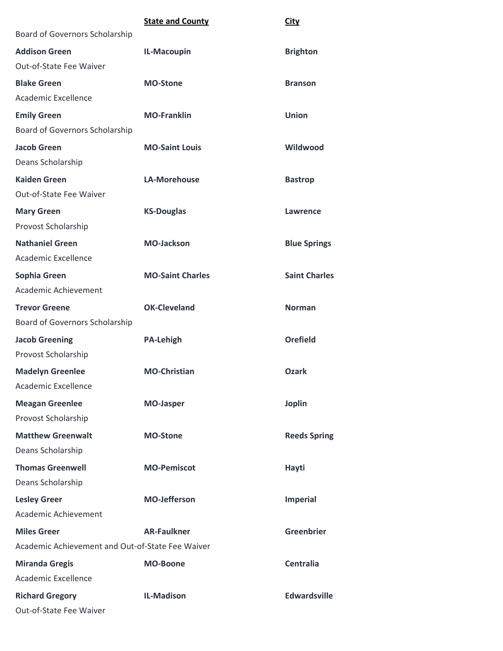|                                                  | <b>State and County</b> | <b>City</b>          |
|--------------------------------------------------|-------------------------|----------------------|
| Board of Governors Scholarship                   |                         |                      |
| <b>Addison Green</b>                             | IL-Macoupin             | <b>Brighton</b>      |
| Out-of-State Fee Waiver                          |                         |                      |
| <b>Blake Green</b>                               | <b>MO-Stone</b>         | <b>Branson</b>       |
| Academic Excellence                              |                         |                      |
| <b>Emily Green</b>                               | <b>MO-Franklin</b>      | <b>Union</b>         |
| Board of Governors Scholarship                   |                         |                      |
| <b>Jacob Green</b>                               | <b>MO-Saint Louis</b>   | Wildwood             |
| Deans Scholarship                                |                         |                      |
| <b>Kaiden Green</b>                              | <b>LA-Morehouse</b>     | <b>Bastrop</b>       |
| Out-of-State Fee Waiver                          |                         |                      |
| <b>Mary Green</b>                                | <b>KS-Douglas</b>       | <b>Lawrence</b>      |
| Provost Scholarship                              |                         |                      |
| <b>Nathaniel Green</b>                           | <b>MO-Jackson</b>       | <b>Blue Springs</b>  |
| Academic Excellence                              |                         |                      |
| Sophia Green                                     | <b>MO-Saint Charles</b> | <b>Saint Charles</b> |
| Academic Achievement                             |                         |                      |
| <b>Trevor Greene</b>                             | <b>OK-Cleveland</b>     | <b>Norman</b>        |
| Board of Governors Scholarship                   |                         |                      |
| <b>Jacob Greening</b>                            | <b>PA-Lehigh</b>        | <b>Orefield</b>      |
| Provost Scholarship                              |                         |                      |
| <b>Madelyn Greenlee</b>                          | <b>MO-Christian</b>     | <b>Ozark</b>         |
| Academic Excellence                              |                         |                      |
| <b>Meagan Greenlee</b>                           | <b>MO-Jasper</b>        | <b>Joplin</b>        |
| Provost Scholarship                              |                         |                      |
| <b>Matthew Greenwalt</b>                         | <b>MO-Stone</b>         | <b>Reeds Spring</b>  |
| Deans Scholarship                                |                         |                      |
| <b>Thomas Greenwell</b>                          | <b>MO-Pemiscot</b>      | Hayti                |
| Deans Scholarship                                |                         |                      |
| <b>Lesley Greer</b>                              | <b>MO-Jefferson</b>     | <b>Imperial</b>      |
| Academic Achievement                             |                         |                      |
| <b>Miles Greer</b>                               | <b>AR-Faulkner</b>      | <b>Greenbrier</b>    |
| Academic Achievement and Out-of-State Fee Waiver |                         |                      |
| <b>Miranda Gregis</b>                            | <b>MO-Boone</b>         | <b>Centralia</b>     |
| Academic Excellence                              |                         |                      |
| <b>Richard Gregory</b>                           | <b>IL-Madison</b>       | <b>Edwardsville</b>  |
| Out-of-State Fee Waiver                          |                         |                      |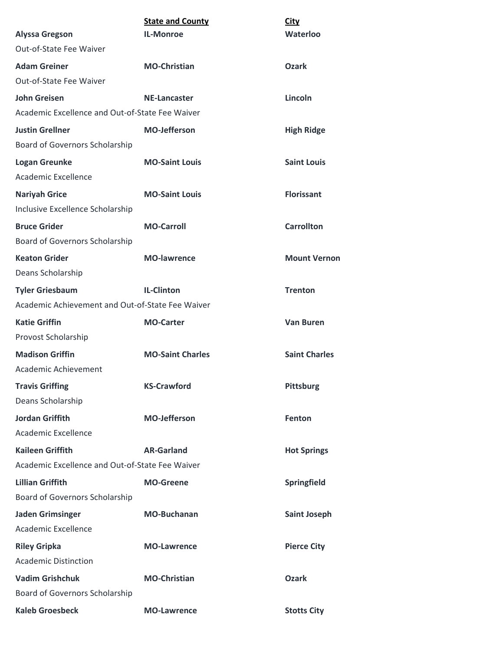| <b>Alyssa Gregson</b>                                                      | <b>State and County</b><br><b>IL-Monroe</b> | <b>City</b><br>Waterloo |
|----------------------------------------------------------------------------|---------------------------------------------|-------------------------|
| Out-of-State Fee Waiver                                                    |                                             |                         |
| <b>Adam Greiner</b>                                                        | <b>MO-Christian</b>                         | <b>Ozark</b>            |
| Out-of-State Fee Waiver                                                    |                                             |                         |
| <b>John Greisen</b>                                                        | <b>NE-Lancaster</b>                         | Lincoln                 |
| Academic Excellence and Out-of-State Fee Waiver                            |                                             |                         |
| <b>Justin Grellner</b>                                                     | <b>MO-Jefferson</b>                         |                         |
| Board of Governors Scholarship                                             |                                             | <b>High Ridge</b>       |
|                                                                            | <b>MO-Saint Louis</b>                       | <b>Saint Louis</b>      |
| <b>Logan Greunke</b><br>Academic Excellence                                |                                             |                         |
|                                                                            | <b>MO-Saint Louis</b>                       | <b>Florissant</b>       |
| <b>Nariyah Grice</b><br>Inclusive Excellence Scholarship                   |                                             |                         |
|                                                                            |                                             |                         |
| <b>Bruce Grider</b><br>Board of Governors Scholarship                      | <b>MO-Carroll</b>                           | <b>Carrollton</b>       |
| <b>Keaton Grider</b>                                                       | <b>MO-lawrence</b>                          | <b>Mount Vernon</b>     |
| Deans Scholarship                                                          |                                             |                         |
|                                                                            |                                             |                         |
| <b>Tyler Griesbaum</b><br>Academic Achievement and Out-of-State Fee Waiver | <b>IL-Clinton</b>                           | <b>Trenton</b>          |
|                                                                            |                                             |                         |
| <b>Katie Griffin</b><br>Provost Scholarship                                | <b>MO-Carter</b>                            | <b>Van Buren</b>        |
|                                                                            |                                             |                         |
| <b>Madison Griffin</b><br>Academic Achievement                             | <b>MO-Saint Charles</b>                     | <b>Saint Charles</b>    |
|                                                                            |                                             |                         |
| <b>Travis Griffing</b><br>Deans Scholarship                                | <b>KS-Crawford</b>                          | Pittsburg               |
|                                                                            |                                             |                         |
| <b>Jordan Griffith</b><br>Academic Excellence                              | <b>MO-Jefferson</b>                         | Fenton                  |
|                                                                            |                                             |                         |
| <b>Kaileen Griffith</b>                                                    | <b>AR-Garland</b>                           | <b>Hot Springs</b>      |
| Academic Excellence and Out-of-State Fee Waiver                            |                                             |                         |
| <b>Lillian Griffith</b>                                                    | <b>MO-Greene</b>                            | Springfield             |
| Board of Governors Scholarship                                             |                                             |                         |
| <b>Jaden Grimsinger</b>                                                    | <b>MO-Buchanan</b>                          | <b>Saint Joseph</b>     |
| <b>Academic Excellence</b>                                                 |                                             |                         |
| <b>Riley Gripka</b>                                                        | <b>MO-Lawrence</b>                          | <b>Pierce City</b>      |
| <b>Academic Distinction</b>                                                |                                             |                         |
| <b>Vadim Grishchuk</b>                                                     | <b>MO-Christian</b>                         | <b>Ozark</b>            |
| Board of Governors Scholarship                                             |                                             |                         |
| <b>Kaleb Groesbeck</b>                                                     | <b>MO-Lawrence</b>                          | <b>Stotts City</b>      |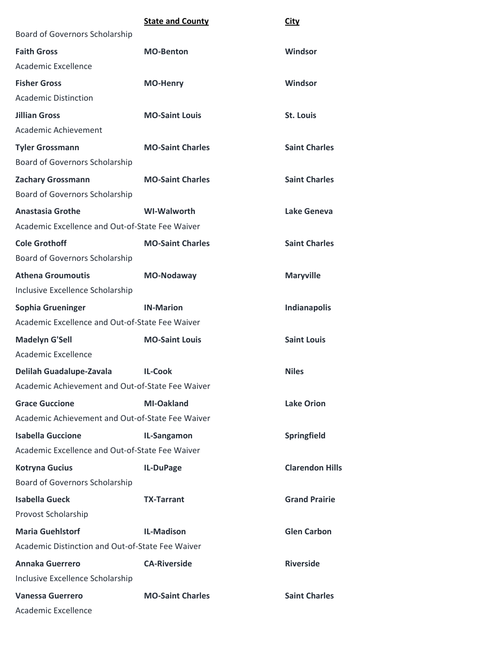|                                                  | <b>State and County</b> | <b>City</b>            |
|--------------------------------------------------|-------------------------|------------------------|
| Board of Governors Scholarship                   |                         |                        |
| <b>Faith Gross</b>                               | <b>MO-Benton</b>        | Windsor                |
| <b>Academic Excellence</b>                       |                         |                        |
| <b>Fisher Gross</b>                              | <b>MO-Henry</b>         | Windsor                |
| <b>Academic Distinction</b>                      |                         |                        |
| <b>Jillian Gross</b>                             | <b>MO-Saint Louis</b>   | <b>St. Louis</b>       |
| Academic Achievement                             |                         |                        |
| <b>Tyler Grossmann</b>                           | <b>MO-Saint Charles</b> | <b>Saint Charles</b>   |
| <b>Board of Governors Scholarship</b>            |                         |                        |
| <b>Zachary Grossmann</b>                         | <b>MO-Saint Charles</b> | <b>Saint Charles</b>   |
| Board of Governors Scholarship                   |                         |                        |
| <b>Anastasia Grothe</b>                          | <b>WI-Walworth</b>      | Lake Geneva            |
| Academic Excellence and Out-of-State Fee Waiver  |                         |                        |
| <b>Cole Grothoff</b>                             | <b>MO-Saint Charles</b> | <b>Saint Charles</b>   |
| Board of Governors Scholarship                   |                         |                        |
| <b>Athena Groumoutis</b>                         | <b>MO-Nodaway</b>       | <b>Maryville</b>       |
| Inclusive Excellence Scholarship                 |                         |                        |
| Sophia Grueninger                                | <b>IN-Marion</b>        | Indianapolis           |
| Academic Excellence and Out-of-State Fee Waiver  |                         |                        |
| <b>Madelyn G'Sell</b>                            | <b>MO-Saint Louis</b>   | <b>Saint Louis</b>     |
| Academic Excellence                              |                         |                        |
| Delilah Guadalupe-Zavala                         | <b>IL-Cook</b>          | <b>Niles</b>           |
| Academic Achievement and Out-of-State Fee Waiver |                         |                        |
| <b>Grace Guccione</b>                            | MI-Oakland              | <b>Lake Orion</b>      |
| Academic Achievement and Out-of-State Fee Waiver |                         |                        |
| <b>Isabella Guccione</b>                         | IL-Sangamon             | Springfield            |
| Academic Excellence and Out-of-State Fee Waiver  |                         |                        |
| <b>Kotryna Gucius</b>                            | IL-DuPage               | <b>Clarendon Hills</b> |
| Board of Governors Scholarship                   |                         |                        |
| <b>Isabella Gueck</b>                            | <b>TX-Tarrant</b>       | <b>Grand Prairie</b>   |
| Provost Scholarship                              |                         |                        |
| <b>Maria Guehlstorf</b>                          | <b>IL-Madison</b>       | <b>Glen Carbon</b>     |
| Academic Distinction and Out-of-State Fee Waiver |                         |                        |
| <b>Annaka Guerrero</b>                           | <b>CA-Riverside</b>     | <b>Riverside</b>       |
| Inclusive Excellence Scholarship                 |                         |                        |
| <b>Vanessa Guerrero</b>                          | <b>MO-Saint Charles</b> | <b>Saint Charles</b>   |
| Academic Excellence                              |                         |                        |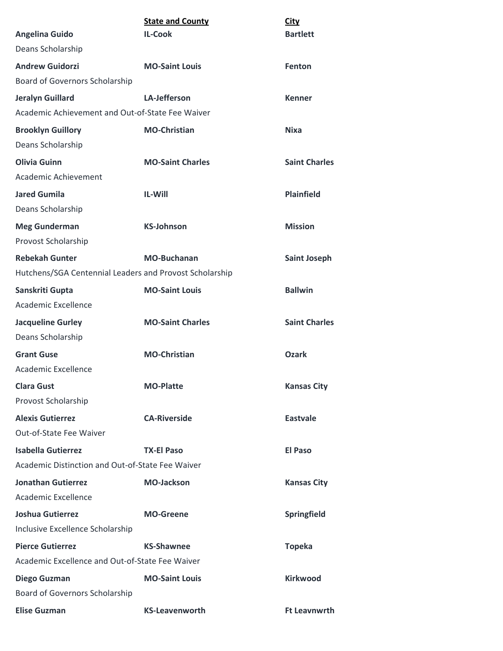|                                                         | <b>State and County</b> | <b>City</b>          |
|---------------------------------------------------------|-------------------------|----------------------|
| <b>Angelina Guido</b>                                   | <b>IL-Cook</b>          | <b>Bartlett</b>      |
| Deans Scholarship                                       |                         |                      |
| <b>Andrew Guidorzi</b>                                  | <b>MO-Saint Louis</b>   | <b>Fenton</b>        |
| Board of Governors Scholarship                          |                         |                      |
| <b>Jeralyn Guillard</b>                                 | <b>LA-Jefferson</b>     | <b>Kenner</b>        |
| Academic Achievement and Out-of-State Fee Waiver        |                         |                      |
| <b>Brooklyn Guillory</b>                                | <b>MO-Christian</b>     | <b>Nixa</b>          |
| Deans Scholarship                                       |                         |                      |
| <b>Olivia Guinn</b>                                     | <b>MO-Saint Charles</b> | <b>Saint Charles</b> |
| Academic Achievement                                    |                         |                      |
| <b>Jared Gumila</b>                                     | <b>IL-Will</b>          | <b>Plainfield</b>    |
| Deans Scholarship                                       |                         |                      |
| <b>Meg Gunderman</b>                                    | <b>KS-Johnson</b>       | <b>Mission</b>       |
| Provost Scholarship                                     |                         |                      |
| <b>Rebekah Gunter</b>                                   | <b>MO-Buchanan</b>      | <b>Saint Joseph</b>  |
| Hutchens/SGA Centennial Leaders and Provost Scholarship |                         |                      |
| Sanskriti Gupta                                         | <b>MO-Saint Louis</b>   | <b>Ballwin</b>       |
| Academic Excellence                                     |                         |                      |
| <b>Jacqueline Gurley</b>                                | <b>MO-Saint Charles</b> | <b>Saint Charles</b> |
| Deans Scholarship                                       |                         |                      |
| <b>Grant Guse</b>                                       | <b>MO-Christian</b>     | <b>Ozark</b>         |
| Academic Excellence                                     |                         |                      |
| <b>Clara Gust</b>                                       | <b>MO-Platte</b>        | <b>Kansas City</b>   |
| Provost Scholarship                                     |                         |                      |
| <b>Alexis Gutierrez</b>                                 | <b>CA-Riverside</b>     | <b>Eastvale</b>      |
| Out-of-State Fee Waiver                                 |                         |                      |
| <b>Isabella Gutierrez</b>                               | <b>TX-El Paso</b>       | <b>El Paso</b>       |
| Academic Distinction and Out-of-State Fee Waiver        |                         |                      |
| <b>Jonathan Gutierrez</b>                               | <b>MO-Jackson</b>       | <b>Kansas City</b>   |
| Academic Excellence                                     |                         |                      |
| Joshua Gutierrez                                        | <b>MO-Greene</b>        | Springfield          |
| Inclusive Excellence Scholarship                        |                         |                      |
| <b>Pierce Gutierrez</b>                                 | <b>KS-Shawnee</b>       | <b>Topeka</b>        |
| Academic Excellence and Out-of-State Fee Waiver         |                         |                      |
| <b>Diego Guzman</b>                                     | <b>MO-Saint Louis</b>   | <b>Kirkwood</b>      |
| Board of Governors Scholarship                          |                         |                      |
| <b>Elise Guzman</b>                                     | <b>KS-Leavenworth</b>   | <b>Ft Leavnwrth</b>  |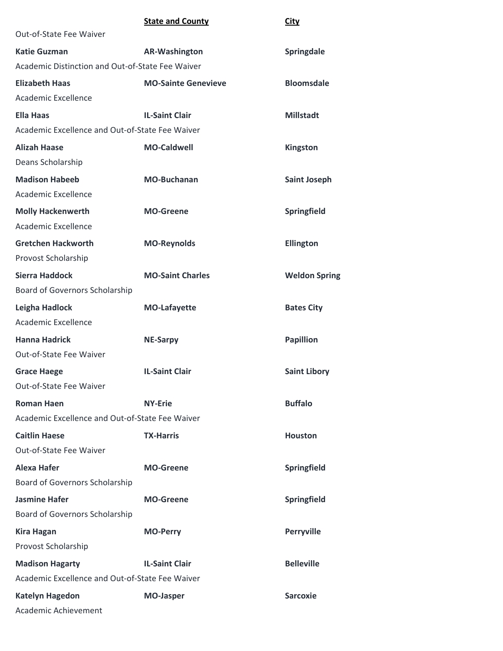|                                                  | <b>State and County</b>    | <b>City</b>          |
|--------------------------------------------------|----------------------------|----------------------|
| Out-of-State Fee Waiver                          |                            |                      |
| <b>Katie Guzman</b>                              | <b>AR-Washington</b>       | Springdale           |
| Academic Distinction and Out-of-State Fee Waiver |                            |                      |
| <b>Elizabeth Haas</b>                            | <b>MO-Sainte Genevieve</b> | <b>Bloomsdale</b>    |
| <b>Academic Excellence</b>                       |                            |                      |
| <b>Ella Haas</b>                                 | <b>IL-Saint Clair</b>      | <b>Millstadt</b>     |
| Academic Excellence and Out-of-State Fee Waiver  |                            |                      |
| <b>Alizah Haase</b>                              | <b>MO-Caldwell</b>         | Kingston             |
| Deans Scholarship                                |                            |                      |
| <b>Madison Habeeb</b>                            | <b>MO-Buchanan</b>         | <b>Saint Joseph</b>  |
| <b>Academic Excellence</b>                       |                            |                      |
| <b>Molly Hackenwerth</b>                         | <b>MO-Greene</b>           | Springfield          |
| Academic Excellence                              |                            |                      |
| <b>Gretchen Hackworth</b>                        | <b>MO-Reynolds</b>         | <b>Ellington</b>     |
| Provost Scholarship                              |                            |                      |
| <b>Sierra Haddock</b>                            | <b>MO-Saint Charles</b>    | <b>Weldon Spring</b> |
| Board of Governors Scholarship                   |                            |                      |
| Leigha Hadlock                                   | <b>MO-Lafayette</b>        | <b>Bates City</b>    |
| Academic Excellence                              |                            |                      |
| <b>Hanna Hadrick</b>                             | <b>NE-Sarpy</b>            | <b>Papillion</b>     |
| Out-of-State Fee Waiver                          |                            |                      |
| <b>Grace Haege</b>                               | <b>IL-Saint Clair</b>      | <b>Saint Libory</b>  |
| Out-of-State Fee Waiver                          |                            |                      |
| <b>Roman Haen</b>                                | <b>NY-Erie</b>             | <b>Buffalo</b>       |
| Academic Excellence and Out-of-State Fee Waiver  |                            |                      |
| <b>Caitlin Haese</b>                             | <b>TX-Harris</b>           | <b>Houston</b>       |
| Out-of-State Fee Waiver                          |                            |                      |
| Alexa Hafer                                      | <b>MO-Greene</b>           | Springfield          |
| <b>Board of Governors Scholarship</b>            |                            |                      |
| <b>Jasmine Hafer</b>                             | <b>MO-Greene</b>           | Springfield          |
| Board of Governors Scholarship                   |                            |                      |
| <b>Kira Hagan</b>                                | <b>MO-Perry</b>            | <b>Perryville</b>    |
| Provost Scholarship                              |                            |                      |
| <b>Madison Hagarty</b>                           | <b>IL-Saint Clair</b>      | <b>Belleville</b>    |
| Academic Excellence and Out-of-State Fee Waiver  |                            |                      |
| <b>Katelyn Hagedon</b>                           | <b>MO-Jasper</b>           | <b>Sarcoxie</b>      |
| Academic Achievement                             |                            |                      |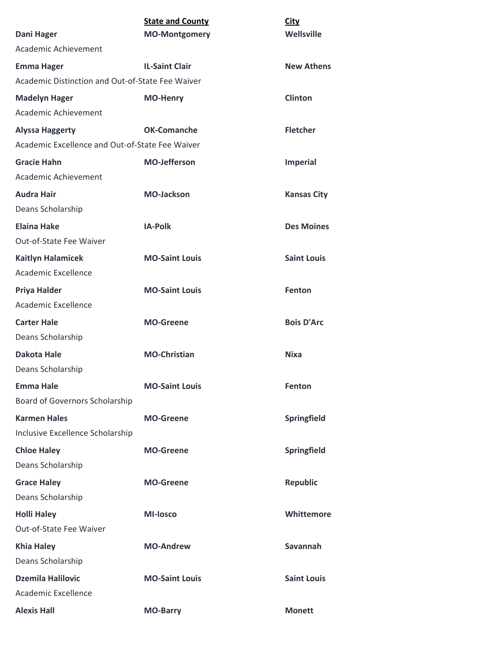|                                                  | <b>State and County</b> | <b>City</b>        |
|--------------------------------------------------|-------------------------|--------------------|
| Dani Hager                                       | <b>MO-Montgomery</b>    | Wellsville         |
| Academic Achievement                             |                         |                    |
| <b>Emma Hager</b>                                | <b>IL-Saint Clair</b>   | <b>New Athens</b>  |
| Academic Distinction and Out-of-State Fee Waiver |                         |                    |
| <b>Madelyn Hager</b>                             | <b>MO-Henry</b>         | <b>Clinton</b>     |
| Academic Achievement                             |                         |                    |
| <b>Alyssa Haggerty</b>                           | <b>OK-Comanche</b>      | <b>Fletcher</b>    |
| Academic Excellence and Out-of-State Fee Waiver  |                         |                    |
| <b>Gracie Hahn</b>                               | <b>MO-Jefferson</b>     | <b>Imperial</b>    |
| Academic Achievement                             |                         |                    |
| <b>Audra Hair</b>                                | <b>MO-Jackson</b>       | <b>Kansas City</b> |
| Deans Scholarship                                |                         |                    |
| <b>Elaina Hake</b>                               | <b>IA-Polk</b>          | <b>Des Moines</b>  |
| Out-of-State Fee Waiver                          |                         |                    |
| <b>Kaitlyn Halamicek</b>                         | <b>MO-Saint Louis</b>   | <b>Saint Louis</b> |
| Academic Excellence                              |                         |                    |
| <b>Priya Halder</b>                              | <b>MO-Saint Louis</b>   | Fenton             |
| Academic Excellence                              |                         |                    |
| <b>Carter Hale</b>                               | <b>MO-Greene</b>        | <b>Bois D'Arc</b>  |
| Deans Scholarship                                |                         |                    |
| <b>Dakota Hale</b>                               | <b>MO-Christian</b>     | Nixa               |
| Deans Scholarship                                |                         |                    |
| <b>Emma Hale</b>                                 | <b>MO-Saint Louis</b>   | <b>Fenton</b>      |
| Board of Governors Scholarship                   |                         |                    |
| <b>Karmen Hales</b>                              | <b>MO-Greene</b>        | Springfield        |
| Inclusive Excellence Scholarship                 |                         |                    |
| <b>Chloe Haley</b>                               | <b>MO-Greene</b>        | Springfield        |
| Deans Scholarship                                |                         |                    |
| <b>Grace Haley</b>                               | <b>MO-Greene</b>        | <b>Republic</b>    |
| Deans Scholarship                                |                         |                    |
| <b>Holli Haley</b>                               | <b>MI-losco</b>         | Whittemore         |
| Out-of-State Fee Waiver                          |                         |                    |
| <b>Khia Haley</b>                                | <b>MO-Andrew</b>        | Savannah           |
| Deans Scholarship                                |                         |                    |
| <b>Dzemila Halilovic</b>                         | <b>MO-Saint Louis</b>   | <b>Saint Louis</b> |
| Academic Excellence                              |                         |                    |
| <b>Alexis Hall</b>                               | <b>MO-Barry</b>         | <b>Monett</b>      |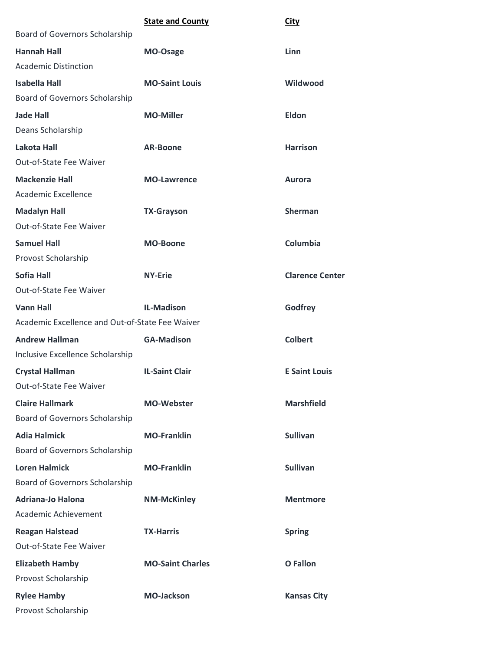|                                                 | <b>State and County</b> | City                   |
|-------------------------------------------------|-------------------------|------------------------|
| Board of Governors Scholarship                  |                         |                        |
| <b>Hannah Hall</b>                              | MO-Osage                | Linn                   |
| <b>Academic Distinction</b>                     |                         |                        |
| <b>Isabella Hall</b>                            | <b>MO-Saint Louis</b>   | Wildwood               |
| Board of Governors Scholarship                  |                         |                        |
| <b>Jade Hall</b>                                | <b>MO-Miller</b>        | Eldon                  |
| Deans Scholarship                               |                         |                        |
| <b>Lakota Hall</b>                              | <b>AR-Boone</b>         | <b>Harrison</b>        |
| Out-of-State Fee Waiver                         |                         |                        |
| <b>Mackenzie Hall</b>                           | <b>MO-Lawrence</b>      | <b>Aurora</b>          |
| Academic Excellence                             |                         |                        |
| <b>Madalyn Hall</b>                             | <b>TX-Grayson</b>       | <b>Sherman</b>         |
| Out-of-State Fee Waiver                         |                         |                        |
| <b>Samuel Hall</b>                              | <b>MO-Boone</b>         | Columbia               |
| Provost Scholarship                             |                         |                        |
| <b>Sofia Hall</b>                               | <b>NY-Erie</b>          | <b>Clarence Center</b> |
| Out-of-State Fee Waiver                         |                         |                        |
| <b>Vann Hall</b>                                | <b>IL-Madison</b>       | Godfrey                |
| Academic Excellence and Out-of-State Fee Waiver |                         |                        |
| <b>Andrew Hallman</b>                           | <b>GA-Madison</b>       | <b>Colbert</b>         |
| Inclusive Excellence Scholarship                |                         |                        |
| <b>Crystal Hallman</b>                          | <b>IL-Saint Clair</b>   | <b>E Saint Louis</b>   |
| Out-of-State Fee Waiver                         |                         |                        |
| <b>Claire Hallmark</b>                          | <b>MO-Webster</b>       | <b>Marshfield</b>      |
| Board of Governors Scholarship                  |                         |                        |
| <b>Adia Halmick</b>                             | <b>MO-Franklin</b>      | <b>Sullivan</b>        |
| Board of Governors Scholarship                  |                         |                        |
| <b>Loren Halmick</b>                            | <b>MO-Franklin</b>      | <b>Sullivan</b>        |
| Board of Governors Scholarship                  |                         |                        |
| <b>Adriana-Jo Halona</b>                        | <b>NM-McKinley</b>      | <b>Mentmore</b>        |
| Academic Achievement                            |                         |                        |
| <b>Reagan Halstead</b>                          | <b>TX-Harris</b>        | <b>Spring</b>          |
| Out-of-State Fee Waiver                         |                         |                        |
| <b>Elizabeth Hamby</b>                          | <b>MO-Saint Charles</b> | O Fallon               |
| Provost Scholarship                             |                         |                        |
| <b>Rylee Hamby</b>                              | <b>MO-Jackson</b>       | <b>Kansas City</b>     |
| Provost Scholarship                             |                         |                        |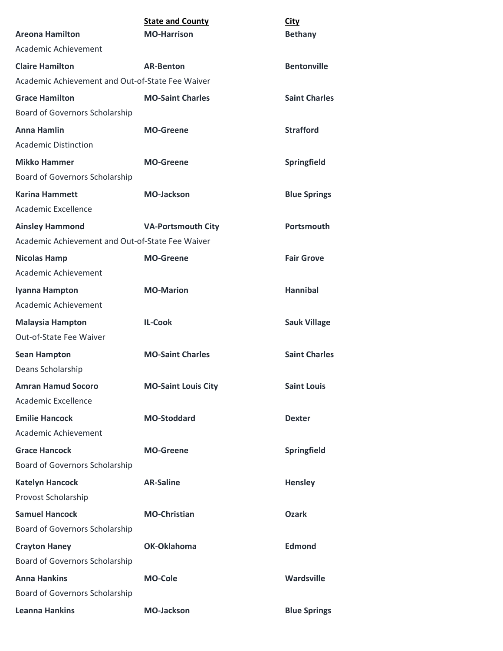|                                                  | <b>State and County</b>    | <b>City</b>          |
|--------------------------------------------------|----------------------------|----------------------|
| <b>Areona Hamilton</b>                           | <b>MO-Harrison</b>         | <b>Bethany</b>       |
| Academic Achievement                             |                            |                      |
| <b>Claire Hamilton</b>                           | <b>AR-Benton</b>           | <b>Bentonville</b>   |
| Academic Achievement and Out-of-State Fee Waiver |                            |                      |
| <b>Grace Hamilton</b>                            | <b>MO-Saint Charles</b>    | <b>Saint Charles</b> |
| Board of Governors Scholarship                   |                            |                      |
| <b>Anna Hamlin</b>                               | <b>MO-Greene</b>           | <b>Strafford</b>     |
| <b>Academic Distinction</b>                      |                            |                      |
| <b>Mikko Hammer</b>                              | <b>MO-Greene</b>           | Springfield          |
| <b>Board of Governors Scholarship</b>            |                            |                      |
| <b>Karina Hammett</b>                            | <b>MO-Jackson</b>          | <b>Blue Springs</b>  |
| Academic Excellence                              |                            |                      |
| <b>Ainsley Hammond</b>                           | <b>VA-Portsmouth City</b>  | Portsmouth           |
| Academic Achievement and Out-of-State Fee Waiver |                            |                      |
| <b>Nicolas Hamp</b>                              | <b>MO-Greene</b>           | <b>Fair Grove</b>    |
| Academic Achievement                             |                            |                      |
| Iyanna Hampton                                   | <b>MO-Marion</b>           | <b>Hannibal</b>      |
| Academic Achievement                             |                            |                      |
| <b>Malaysia Hampton</b>                          | <b>IL-Cook</b>             | <b>Sauk Village</b>  |
| Out-of-State Fee Waiver                          |                            |                      |
| <b>Sean Hampton</b>                              | <b>MO-Saint Charles</b>    | <b>Saint Charles</b> |
| Deans Scholarship                                |                            |                      |
| <b>Amran Hamud Socoro</b>                        | <b>MO-Saint Louis City</b> | <b>Saint Louis</b>   |
| Academic Excellence                              |                            |                      |
| <b>Emilie Hancock</b>                            | <b>MO-Stoddard</b>         | <b>Dexter</b>        |
| Academic Achievement                             |                            |                      |
| <b>Grace Hancock</b>                             | <b>MO-Greene</b>           | Springfield          |
| Board of Governors Scholarship                   |                            |                      |
| <b>Katelyn Hancock</b>                           | <b>AR-Saline</b>           | <b>Hensley</b>       |
| Provost Scholarship                              |                            |                      |
| <b>Samuel Hancock</b>                            | <b>MO-Christian</b>        | <b>Ozark</b>         |
| Board of Governors Scholarship                   |                            |                      |
| <b>Crayton Haney</b>                             | OK-Oklahoma                | <b>Edmond</b>        |
| Board of Governors Scholarship                   |                            |                      |
| <b>Anna Hankins</b>                              | <b>MO-Cole</b>             | Wardsville           |
| Board of Governors Scholarship                   |                            |                      |
| <b>Leanna Hankins</b>                            | <b>MO-Jackson</b>          | <b>Blue Springs</b>  |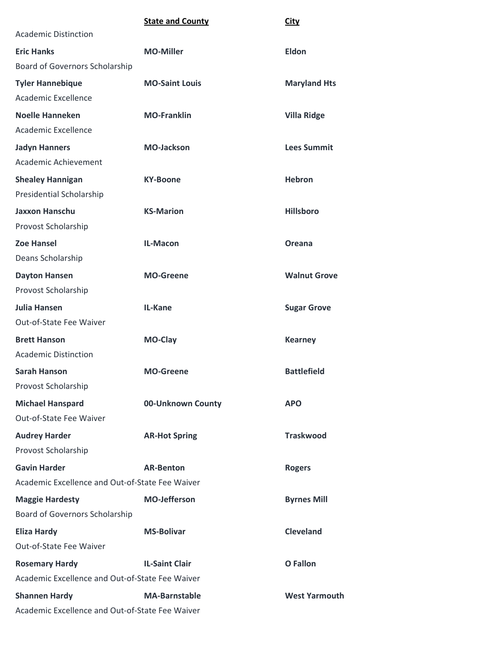|                                                 | <b>State and County</b> | <b>City</b>          |
|-------------------------------------------------|-------------------------|----------------------|
| <b>Academic Distinction</b>                     |                         |                      |
| <b>Eric Hanks</b>                               | <b>MO-Miller</b>        | <b>Eldon</b>         |
| Board of Governors Scholarship                  |                         |                      |
| <b>Tyler Hannebique</b>                         | <b>MO-Saint Louis</b>   | <b>Maryland Hts</b>  |
| Academic Excellence                             |                         |                      |
| <b>Noelle Hanneken</b>                          | <b>MO-Franklin</b>      | <b>Villa Ridge</b>   |
| Academic Excellence                             |                         |                      |
| <b>Jadyn Hanners</b>                            | <b>MO-Jackson</b>       | <b>Lees Summit</b>   |
| Academic Achievement                            |                         |                      |
| <b>Shealey Hannigan</b>                         | <b>KY-Boone</b>         | <b>Hebron</b>        |
| Presidential Scholarship                        |                         |                      |
| <b>Jaxxon Hanschu</b>                           | <b>KS-Marion</b>        | <b>Hillsboro</b>     |
| Provost Scholarship                             |                         |                      |
| <b>Zoe Hansel</b>                               | IL-Macon                | Oreana               |
| Deans Scholarship                               |                         |                      |
| <b>Dayton Hansen</b>                            | <b>MO-Greene</b>        | <b>Walnut Grove</b>  |
| Provost Scholarship                             |                         |                      |
| Julia Hansen                                    | IL-Kane                 | <b>Sugar Grove</b>   |
| Out-of-State Fee Waiver                         |                         |                      |
| <b>Brett Hanson</b>                             | MO-Clay                 | <b>Kearney</b>       |
| <b>Academic Distinction</b>                     |                         |                      |
| <b>Sarah Hanson</b>                             | <b>MO-Greene</b>        | <b>Battlefield</b>   |
| Provost Scholarship                             |                         |                      |
| <b>Michael Hanspard</b>                         | 00-Unknown County       | <b>APO</b>           |
| Out-of-State Fee Waiver                         |                         |                      |
| <b>Audrey Harder</b>                            | <b>AR-Hot Spring</b>    | <b>Traskwood</b>     |
| Provost Scholarship                             |                         |                      |
| <b>Gavin Harder</b>                             | <b>AR-Benton</b>        | <b>Rogers</b>        |
| Academic Excellence and Out-of-State Fee Waiver |                         |                      |
| <b>Maggie Hardesty</b>                          | <b>MO-Jefferson</b>     | <b>Byrnes Mill</b>   |
| Board of Governors Scholarship                  |                         |                      |
| <b>Eliza Hardy</b>                              | <b>MS-Bolivar</b>       | <b>Cleveland</b>     |
| Out-of-State Fee Waiver                         |                         |                      |
| <b>Rosemary Hardy</b>                           | <b>IL-Saint Clair</b>   | O Fallon             |
| Academic Excellence and Out-of-State Fee Waiver |                         |                      |
| <b>Shannen Hardy</b>                            | <b>MA-Barnstable</b>    | <b>West Yarmouth</b> |
| Academic Excellence and Out-of-State Fee Waiver |                         |                      |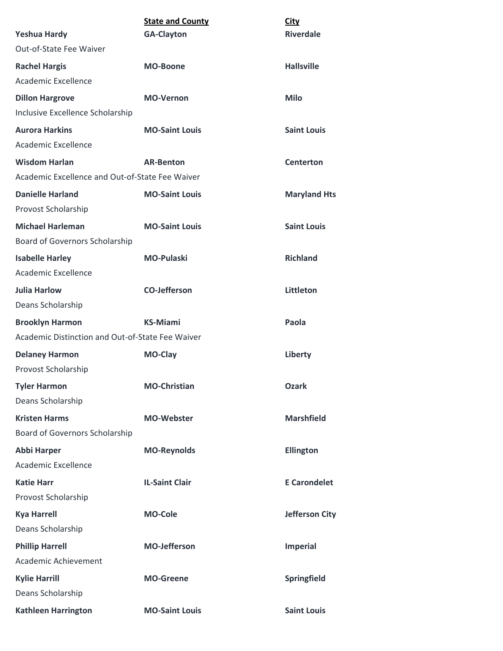| <b>Yeshua Hardy</b>                              | <b>State and County</b><br><b>GA-Clayton</b> | <b>City</b><br><b>Riverdale</b> |
|--------------------------------------------------|----------------------------------------------|---------------------------------|
| Out-of-State Fee Waiver                          |                                              |                                 |
| <b>Rachel Hargis</b>                             | <b>MO-Boone</b>                              | <b>Hallsville</b>               |
| Academic Excellence                              |                                              |                                 |
| <b>Dillon Hargrove</b>                           | <b>MO-Vernon</b>                             | <b>Milo</b>                     |
| Inclusive Excellence Scholarship                 |                                              |                                 |
| <b>Aurora Harkins</b>                            | <b>MO-Saint Louis</b>                        | <b>Saint Louis</b>              |
| Academic Excellence                              |                                              |                                 |
| <b>Wisdom Harlan</b>                             | <b>AR-Benton</b>                             | <b>Centerton</b>                |
| Academic Excellence and Out-of-State Fee Waiver  |                                              |                                 |
| <b>Danielle Harland</b>                          | <b>MO-Saint Louis</b>                        | <b>Maryland Hts</b>             |
| Provost Scholarship                              |                                              |                                 |
| <b>Michael Harleman</b>                          | <b>MO-Saint Louis</b>                        | <b>Saint Louis</b>              |
| Board of Governors Scholarship                   |                                              |                                 |
| <b>Isabelle Harley</b>                           | <b>MO-Pulaski</b>                            | <b>Richland</b>                 |
| Academic Excellence                              |                                              |                                 |
| <b>Julia Harlow</b>                              | <b>CO-Jefferson</b>                          | Littleton                       |
| Deans Scholarship                                |                                              |                                 |
| <b>Brooklyn Harmon</b>                           | <b>KS-Miami</b>                              | Paola                           |
| Academic Distinction and Out-of-State Fee Waiver |                                              |                                 |
| <b>Delaney Harmon</b>                            | <b>MO-Clay</b>                               | Liberty                         |
| Provost Scholarship                              |                                              |                                 |
| <b>Tyler Harmon</b>                              | <b>MO-Christian</b>                          | <b>Ozark</b>                    |
| Deans Scholarship                                |                                              |                                 |
| <b>Kristen Harms</b>                             | <b>MO-Webster</b>                            | <b>Marshfield</b>               |
| <b>Board of Governors Scholarship</b>            |                                              |                                 |
| <b>Abbi Harper</b>                               | <b>MO-Reynolds</b>                           | <b>Ellington</b>                |
| Academic Excellence                              |                                              |                                 |
| <b>Katie Harr</b>                                | <b>IL-Saint Clair</b>                        | <b>E</b> Carondelet             |
| Provost Scholarship                              |                                              |                                 |
| <b>Kya Harrell</b>                               | <b>MO-Cole</b>                               | <b>Jefferson City</b>           |
| Deans Scholarship                                |                                              |                                 |
| <b>Phillip Harrell</b>                           | <b>MO-Jefferson</b>                          | <b>Imperial</b>                 |
| Academic Achievement                             |                                              |                                 |
| <b>Kylie Harrill</b>                             | <b>MO-Greene</b>                             | Springfield                     |
| Deans Scholarship                                |                                              |                                 |
| <b>Kathleen Harrington</b>                       | <b>MO-Saint Louis</b>                        | <b>Saint Louis</b>              |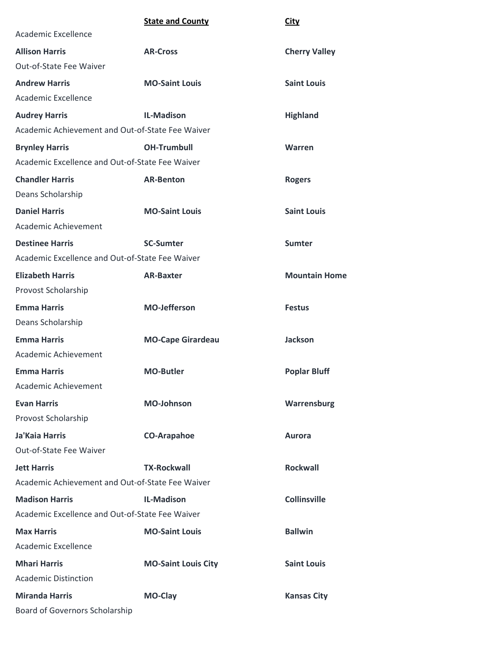|                                                  | <b>State and County</b>    | <b>City</b>          |
|--------------------------------------------------|----------------------------|----------------------|
| Academic Excellence                              |                            |                      |
| <b>Allison Harris</b>                            | <b>AR-Cross</b>            | <b>Cherry Valley</b> |
| Out-of-State Fee Waiver                          |                            |                      |
| <b>Andrew Harris</b>                             | <b>MO-Saint Louis</b>      | <b>Saint Louis</b>   |
| Academic Excellence                              |                            |                      |
| <b>Audrey Harris</b>                             | <b>IL-Madison</b>          | <b>Highland</b>      |
| Academic Achievement and Out-of-State Fee Waiver |                            |                      |
| <b>Brynley Harris</b>                            | <b>OH-Trumbull</b>         | Warren               |
| Academic Excellence and Out-of-State Fee Waiver  |                            |                      |
| <b>Chandler Harris</b>                           | <b>AR-Benton</b>           | <b>Rogers</b>        |
| Deans Scholarship                                |                            |                      |
| <b>Daniel Harris</b>                             | <b>MO-Saint Louis</b>      | <b>Saint Louis</b>   |
| Academic Achievement                             |                            |                      |
| <b>Destinee Harris</b>                           | <b>SC-Sumter</b>           | <b>Sumter</b>        |
| Academic Excellence and Out-of-State Fee Waiver  |                            |                      |
| <b>Elizabeth Harris</b>                          | <b>AR-Baxter</b>           | <b>Mountain Home</b> |
| Provost Scholarship                              |                            |                      |
| <b>Emma Harris</b>                               | <b>MO-Jefferson</b>        | <b>Festus</b>        |
| Deans Scholarship                                |                            |                      |
| <b>Emma Harris</b>                               | <b>MO-Cape Girardeau</b>   | <b>Jackson</b>       |
| Academic Achievement                             |                            |                      |
| <b>Emma Harris</b>                               | <b>MO-Butler</b>           | <b>Poplar Bluff</b>  |
| Academic Achievement                             |                            |                      |
| <b>Evan Harris</b>                               | <b>MO-Johnson</b>          | Warrensburg          |
| Provost Scholarship                              |                            |                      |
| Ja'Kaia Harris                                   | <b>CO-Arapahoe</b>         | <b>Aurora</b>        |
| Out-of-State Fee Waiver                          |                            |                      |
| <b>Jett Harris</b>                               | <b>TX-Rockwall</b>         | <b>Rockwall</b>      |
| Academic Achievement and Out-of-State Fee Waiver |                            |                      |
| <b>Madison Harris</b>                            | <b>IL-Madison</b>          | <b>Collinsville</b>  |
| Academic Excellence and Out-of-State Fee Waiver  |                            |                      |
| <b>Max Harris</b>                                | <b>MO-Saint Louis</b>      | <b>Ballwin</b>       |
| Academic Excellence                              |                            |                      |
| <b>Mhari Harris</b>                              | <b>MO-Saint Louis City</b> | <b>Saint Louis</b>   |
| <b>Academic Distinction</b>                      |                            |                      |
| <b>Miranda Harris</b>                            | MO-Clay                    | <b>Kansas City</b>   |
| Board of Governors Scholarship                   |                            |                      |
|                                                  |                            |                      |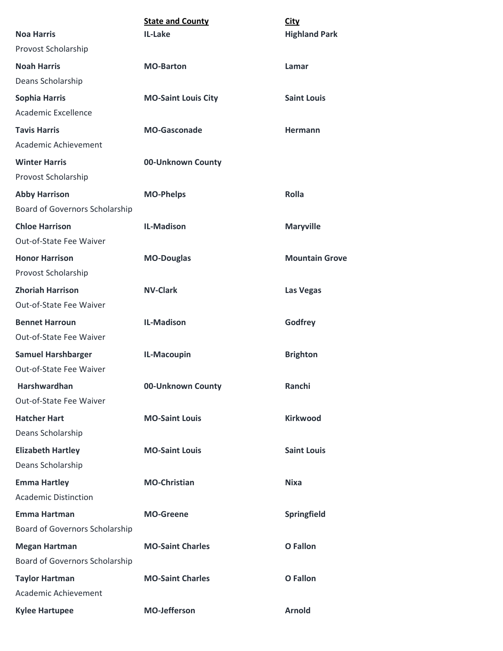| <b>State and County</b>    | <b>City</b>           |
|----------------------------|-----------------------|
| IL-Lake                    | <b>Highland Park</b>  |
|                            |                       |
| <b>MO-Barton</b>           | Lamar                 |
|                            |                       |
| <b>MO-Saint Louis City</b> | <b>Saint Louis</b>    |
|                            |                       |
| <b>MO-Gasconade</b>        | <b>Hermann</b>        |
|                            |                       |
| 00-Unknown County          |                       |
|                            |                       |
| <b>MO-Phelps</b>           | <b>Rolla</b>          |
|                            |                       |
| <b>IL-Madison</b>          | <b>Maryville</b>      |
|                            |                       |
| <b>MO-Douglas</b>          | <b>Mountain Grove</b> |
|                            |                       |
| <b>NV-Clark</b>            | <b>Las Vegas</b>      |
|                            |                       |
| <b>IL-Madison</b>          | Godfrey               |
|                            |                       |
| IL-Macoupin                | <b>Brighton</b>       |
|                            |                       |
| 00-Unknown County          | Ranchi                |
|                            |                       |
| <b>MO-Saint Louis</b>      | <b>Kirkwood</b>       |
|                            |                       |
| <b>MO-Saint Louis</b>      | <b>Saint Louis</b>    |
|                            |                       |
| <b>MO-Christian</b>        | <b>Nixa</b>           |
|                            |                       |
| <b>MO-Greene</b>           | Springfield           |
|                            |                       |
| <b>MO-Saint Charles</b>    | <b>O</b> Fallon       |
|                            |                       |
| <b>MO-Saint Charles</b>    | O Fallon              |
|                            |                       |
| <b>MO-Jefferson</b>        | <b>Arnold</b>         |
|                            |                       |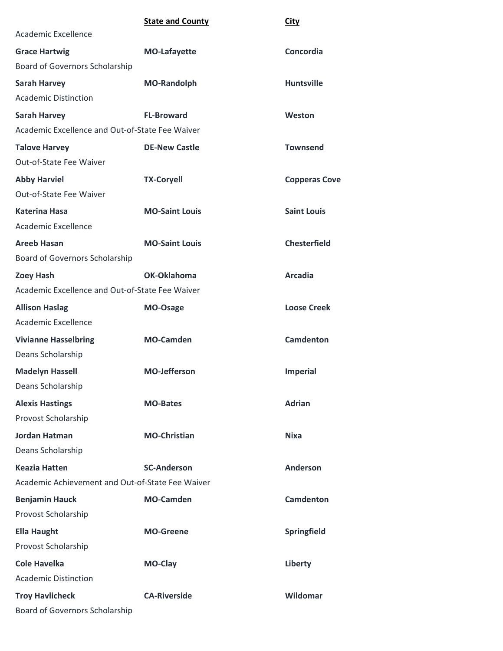|                                                  | <b>State and County</b> | <b>City</b>          |
|--------------------------------------------------|-------------------------|----------------------|
| Academic Excellence                              |                         |                      |
| <b>Grace Hartwig</b>                             | <b>MO-Lafayette</b>     | Concordia            |
| Board of Governors Scholarship                   |                         |                      |
| <b>Sarah Harvey</b>                              | <b>MO-Randolph</b>      | <b>Huntsville</b>    |
| <b>Academic Distinction</b>                      |                         |                      |
| <b>Sarah Harvey</b>                              | <b>FL-Broward</b>       | Weston               |
| Academic Excellence and Out-of-State Fee Waiver  |                         |                      |
| <b>Talove Harvey</b>                             | <b>DE-New Castle</b>    | <b>Townsend</b>      |
| Out-of-State Fee Waiver                          |                         |                      |
| <b>Abby Harviel</b>                              | <b>TX-Coryell</b>       | <b>Copperas Cove</b> |
| Out-of-State Fee Waiver                          |                         |                      |
| <b>Katerina Hasa</b>                             | <b>MO-Saint Louis</b>   | <b>Saint Louis</b>   |
| Academic Excellence                              |                         |                      |
| <b>Areeb Hasan</b>                               | <b>MO-Saint Louis</b>   | <b>Chesterfield</b>  |
| Board of Governors Scholarship                   |                         |                      |
| <b>Zoey Hash</b>                                 | OK-Oklahoma             | <b>Arcadia</b>       |
| Academic Excellence and Out-of-State Fee Waiver  |                         |                      |
| <b>Allison Haslag</b>                            | MO-Osage                | <b>Loose Creek</b>   |
| Academic Excellence                              |                         |                      |
| <b>Vivianne Hasselbring</b>                      | <b>MO-Camden</b>        | <b>Camdenton</b>     |
| Deans Scholarship                                |                         |                      |
| <b>Madelyn Hassell</b>                           | <b>MO-Jefferson</b>     | <b>Imperial</b>      |
| Deans Scholarship                                |                         |                      |
| <b>Alexis Hastings</b>                           | <b>MO-Bates</b>         | <b>Adrian</b>        |
| Provost Scholarship                              |                         |                      |
| <b>Jordan Hatman</b>                             | <b>MO-Christian</b>     | <b>Nixa</b>          |
| Deans Scholarship                                |                         |                      |
| <b>Keazia Hatten</b>                             | <b>SC-Anderson</b>      | <b>Anderson</b>      |
| Academic Achievement and Out-of-State Fee Waiver |                         |                      |
| <b>Benjamin Hauck</b>                            | <b>MO-Camden</b>        | <b>Camdenton</b>     |
| Provost Scholarship                              |                         |                      |
| <b>Ella Haught</b>                               | <b>MO-Greene</b>        | <b>Springfield</b>   |
| Provost Scholarship                              |                         |                      |
| <b>Cole Havelka</b>                              | <b>MO-Clay</b>          | Liberty              |
| <b>Academic Distinction</b>                      |                         |                      |
| <b>Troy Havlicheck</b>                           | <b>CA-Riverside</b>     | Wildomar             |
| Board of Governors Scholarship                   |                         |                      |
|                                                  |                         |                      |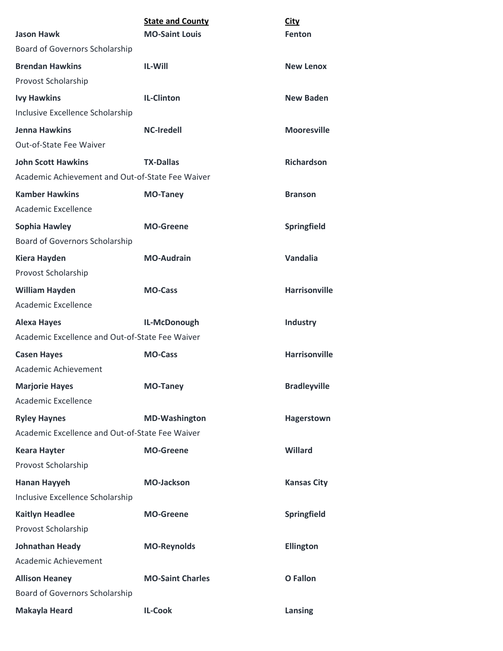| <b>Jason Hawk</b>                                                             | <b>State and County</b><br><b>MO-Saint Louis</b> | <b>City</b><br>Fenton |
|-------------------------------------------------------------------------------|--------------------------------------------------|-----------------------|
| Board of Governors Scholarship                                                |                                                  |                       |
| <b>Brendan Hawkins</b><br>Provost Scholarship                                 | <b>IL-Will</b>                                   | <b>New Lenox</b>      |
| <b>Ivy Hawkins</b><br>Inclusive Excellence Scholarship                        | <b>IL-Clinton</b>                                | <b>New Baden</b>      |
| <b>Jenna Hawkins</b><br>Out-of-State Fee Waiver                               | <b>NC-Iredell</b>                                | <b>Mooresville</b>    |
| <b>John Scott Hawkins</b><br>Academic Achievement and Out-of-State Fee Waiver | <b>TX-Dallas</b>                                 | <b>Richardson</b>     |
| <b>Kamber Hawkins</b><br>Academic Excellence                                  | <b>MO-Taney</b>                                  | <b>Branson</b>        |
| Sophia Hawley<br>Board of Governors Scholarship                               | <b>MO-Greene</b>                                 | <b>Springfield</b>    |
| <b>Kiera Hayden</b><br>Provost Scholarship                                    | <b>MO-Audrain</b>                                | <b>Vandalia</b>       |
| <b>William Hayden</b><br>Academic Excellence                                  | <b>MO-Cass</b>                                   | <b>Harrisonville</b>  |
| <b>Alexa Hayes</b><br>Academic Excellence and Out-of-State Fee Waiver         | IL-McDonough                                     | <b>Industry</b>       |
| <b>Casen Hayes</b><br><b>Academic Achievement</b>                             | <b>MO-Cass</b>                                   | <b>Harrisonville</b>  |
| <b>Marjorie Hayes</b><br>Academic Excellence                                  | <b>MO-Taney</b>                                  | <b>Bradleyville</b>   |
| <b>Ryley Haynes</b><br>Academic Excellence and Out-of-State Fee Waiver        | <b>MD-Washington</b>                             | Hagerstown            |
| <b>Keara Hayter</b><br>Provost Scholarship                                    | <b>MO-Greene</b>                                 | <b>Willard</b>        |
| <b>Hanan Hayyeh</b><br>Inclusive Excellence Scholarship                       | <b>MO-Jackson</b>                                | <b>Kansas City</b>    |
| <b>Kaitlyn Headlee</b><br>Provost Scholarship                                 | <b>MO-Greene</b>                                 | Springfield           |
| <b>Johnathan Heady</b><br>Academic Achievement                                | <b>MO-Reynolds</b>                               | <b>Ellington</b>      |
| <b>Allison Heaney</b><br>Board of Governors Scholarship                       | <b>MO-Saint Charles</b>                          | <b>O</b> Fallon       |
| Makayla Heard                                                                 | <b>IL-Cook</b>                                   | Lansing               |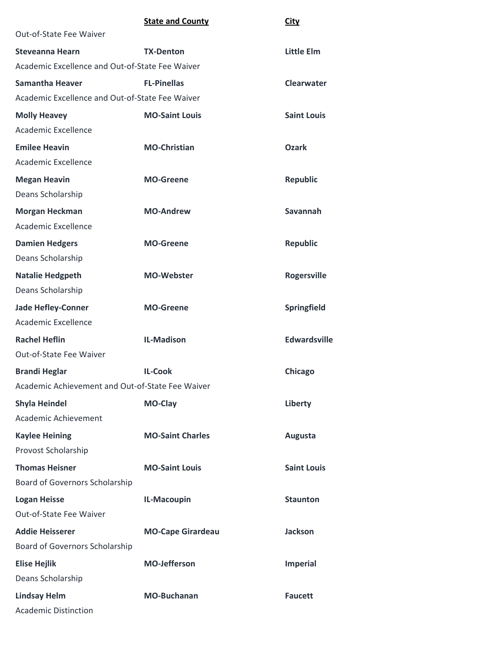| <b>City</b> |
|-------------|
|             |

| Out-of-State Fee Waiver                          |                          |                     |
|--------------------------------------------------|--------------------------|---------------------|
| <b>Steveanna Hearn</b>                           | <b>TX-Denton</b>         | <b>Little Elm</b>   |
| Academic Excellence and Out-of-State Fee Waiver  |                          |                     |
| <b>Samantha Heaver</b>                           | <b>FL-Pinellas</b>       | <b>Clearwater</b>   |
| Academic Excellence and Out-of-State Fee Waiver  |                          |                     |
| <b>Molly Heavey</b>                              | <b>MO-Saint Louis</b>    | <b>Saint Louis</b>  |
| Academic Excellence                              |                          |                     |
| <b>Emilee Heavin</b>                             | <b>MO-Christian</b>      | Ozark               |
| Academic Excellence                              |                          |                     |
| <b>Megan Heavin</b>                              | <b>MO-Greene</b>         | <b>Republic</b>     |
| Deans Scholarship                                |                          |                     |
| <b>Morgan Heckman</b>                            | <b>MO-Andrew</b>         | <b>Savannah</b>     |
| Academic Excellence                              |                          |                     |
| <b>Damien Hedgers</b>                            | <b>MO-Greene</b>         | <b>Republic</b>     |
| Deans Scholarship                                |                          |                     |
| <b>Natalie Hedgpeth</b>                          | <b>MO-Webster</b>        | <b>Rogersville</b>  |
| Deans Scholarship                                |                          |                     |
| <b>Jade Hefley-Conner</b>                        | <b>MO-Greene</b>         | Springfield         |
| Academic Excellence                              |                          |                     |
| <b>Rachel Heflin</b>                             | <b>IL-Madison</b>        | <b>Edwardsville</b> |
| Out-of-State Fee Waiver                          |                          |                     |
| <b>Brandi Heglar</b>                             | <b>IL-Cook</b>           | Chicago             |
| Academic Achievement and Out-of-State Fee Waiver |                          |                     |
| <b>Shyla Heindel</b>                             | MO-Clay                  | Liberty             |
| Academic Achievement                             |                          |                     |
| <b>Kaylee Heining</b>                            | <b>MO-Saint Charles</b>  | Augusta             |
| Provost Scholarship                              |                          |                     |
| <b>Thomas Heisner</b>                            | <b>MO-Saint Louis</b>    | <b>Saint Louis</b>  |
| Board of Governors Scholarship                   |                          |                     |
| <b>Logan Heisse</b>                              | IL-Macoupin              | <b>Staunton</b>     |
| Out-of-State Fee Waiver                          |                          |                     |
| <b>Addie Heisserer</b>                           | <b>MO-Cape Girardeau</b> | <b>Jackson</b>      |
| Board of Governors Scholarship                   |                          |                     |
| <b>Elise Hejlik</b>                              | <b>MO-Jefferson</b>      | <b>Imperial</b>     |
| Deans Scholarship                                |                          |                     |
| <b>Lindsay Helm</b>                              | <b>MO-Buchanan</b>       | <b>Faucett</b>      |
| <b>Academic Distinction</b>                      |                          |                     |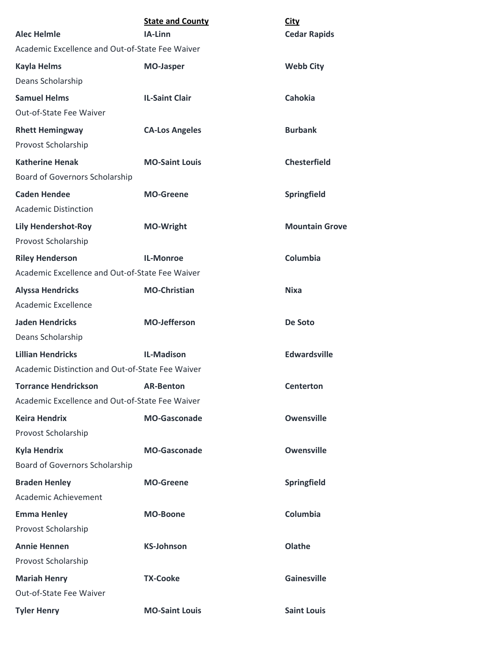| <b>Alec Helmle</b>                                                             | <b>State and County</b><br>IA-Linn | <b>City</b><br><b>Cedar Rapids</b> |
|--------------------------------------------------------------------------------|------------------------------------|------------------------------------|
| Academic Excellence and Out-of-State Fee Waiver                                |                                    |                                    |
| <b>Kayla Helms</b><br>Deans Scholarship                                        | <b>MO-Jasper</b>                   | <b>Webb City</b>                   |
| <b>Samuel Helms</b><br>Out-of-State Fee Waiver                                 | <b>IL-Saint Clair</b>              | <b>Cahokia</b>                     |
| <b>Rhett Hemingway</b><br>Provost Scholarship                                  | <b>CA-Los Angeles</b>              | <b>Burbank</b>                     |
| <b>Katherine Henak</b><br>Board of Governors Scholarship                       | <b>MO-Saint Louis</b>              | <b>Chesterfield</b>                |
| <b>Caden Hendee</b><br><b>Academic Distinction</b>                             | <b>MO-Greene</b>                   | Springfield                        |
| <b>Lily Hendershot-Roy</b><br>Provost Scholarship                              | <b>MO-Wright</b>                   | <b>Mountain Grove</b>              |
| <b>Riley Henderson</b><br>Academic Excellence and Out-of-State Fee Waiver      | <b>IL-Monroe</b>                   | Columbia                           |
| <b>Alyssa Hendricks</b><br>Academic Excellence                                 | <b>MO-Christian</b>                | <b>Nixa</b>                        |
| <b>Jaden Hendricks</b><br>Deans Scholarship                                    | <b>MO-Jefferson</b>                | De Soto                            |
| <b>Lillian Hendricks</b><br>Academic Distinction and Out-of-State Fee Waiver   | <b>IL-Madison</b>                  | <b>Edwardsville</b>                |
| <b>Torrance Hendrickson</b><br>Academic Excellence and Out-of-State Fee Waiver | <b>AR-Benton</b>                   | <b>Centerton</b>                   |
| <b>Keira Hendrix</b><br>Provost Scholarship                                    | <b>MO-Gasconade</b>                | <b>Owensville</b>                  |
| <b>Kyla Hendrix</b><br>Board of Governors Scholarship                          | <b>MO-Gasconade</b>                | <b>Owensville</b>                  |
| <b>Braden Henley</b><br>Academic Achievement                                   | <b>MO-Greene</b>                   | Springfield                        |
| <b>Emma Henley</b><br>Provost Scholarship                                      | <b>MO-Boone</b>                    | Columbia                           |
| <b>Annie Hennen</b><br>Provost Scholarship                                     | <b>KS-Johnson</b>                  | Olathe                             |
| <b>Mariah Henry</b><br>Out-of-State Fee Waiver                                 | <b>TX-Cooke</b>                    | <b>Gainesville</b>                 |
| <b>Tyler Henry</b>                                                             | <b>MO-Saint Louis</b>              | <b>Saint Louis</b>                 |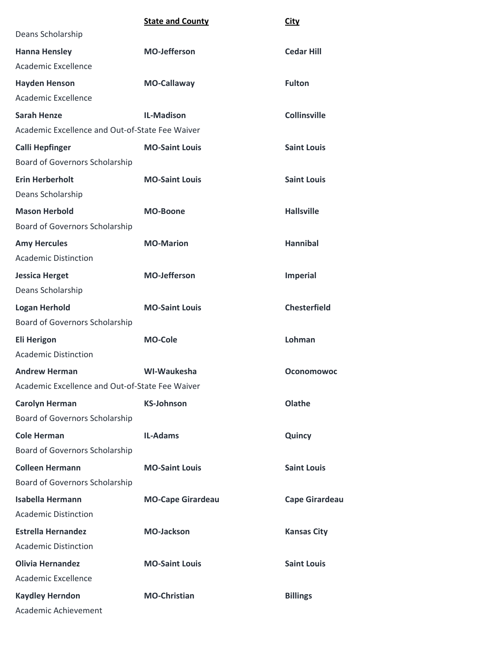|                                                 | <b>State and County</b>  | <b>City</b>           |
|-------------------------------------------------|--------------------------|-----------------------|
| Deans Scholarship                               |                          |                       |
| <b>Hanna Hensley</b>                            | <b>MO-Jefferson</b>      | <b>Cedar Hill</b>     |
| Academic Excellence                             |                          |                       |
| <b>Hayden Henson</b>                            | MO-Callaway              | <b>Fulton</b>         |
| Academic Excellence                             |                          |                       |
| <b>Sarah Henze</b>                              | <b>IL-Madison</b>        | <b>Collinsville</b>   |
| Academic Excellence and Out-of-State Fee Waiver |                          |                       |
| <b>Calli Hepfinger</b>                          | <b>MO-Saint Louis</b>    | <b>Saint Louis</b>    |
| <b>Board of Governors Scholarship</b>           |                          |                       |
| <b>Erin Herberholt</b>                          | <b>MO-Saint Louis</b>    | <b>Saint Louis</b>    |
| Deans Scholarship                               |                          |                       |
| <b>Mason Herbold</b>                            | <b>MO-Boone</b>          | <b>Hallsville</b>     |
| Board of Governors Scholarship                  |                          |                       |
| <b>Amy Hercules</b>                             | <b>MO-Marion</b>         | <b>Hannibal</b>       |
| <b>Academic Distinction</b>                     |                          |                       |
| <b>Jessica Herget</b>                           | <b>MO-Jefferson</b>      | <b>Imperial</b>       |
| Deans Scholarship                               |                          |                       |
| <b>Logan Herhold</b>                            | <b>MO-Saint Louis</b>    | <b>Chesterfield</b>   |
| Board of Governors Scholarship                  |                          |                       |
| <b>Eli Herigon</b>                              | <b>MO-Cole</b>           | Lohman                |
| <b>Academic Distinction</b>                     |                          |                       |
| <b>Andrew Herman</b>                            | WI-Waukesha              | <b>Oconomowoc</b>     |
| Academic Excellence and Out-of-State Fee Waiver |                          |                       |
| <b>Carolyn Herman</b>                           | <b>KS-Johnson</b>        | Olathe                |
| Board of Governors Scholarship                  |                          |                       |
| <b>Cole Herman</b>                              | <b>IL-Adams</b>          | Quincy                |
| Board of Governors Scholarship                  |                          |                       |
| <b>Colleen Hermann</b>                          | <b>MO-Saint Louis</b>    | <b>Saint Louis</b>    |
| Board of Governors Scholarship                  |                          |                       |
| <b>Isabella Hermann</b>                         | <b>MO-Cape Girardeau</b> | <b>Cape Girardeau</b> |
| <b>Academic Distinction</b>                     |                          |                       |
| <b>Estrella Hernandez</b>                       | <b>MO-Jackson</b>        | <b>Kansas City</b>    |
| <b>Academic Distinction</b>                     |                          |                       |
| <b>Olivia Hernandez</b>                         | <b>MO-Saint Louis</b>    | <b>Saint Louis</b>    |
| Academic Excellence                             |                          |                       |
| <b>Kaydley Herndon</b>                          | <b>MO-Christian</b>      | <b>Billings</b>       |
| Academic Achievement                            |                          |                       |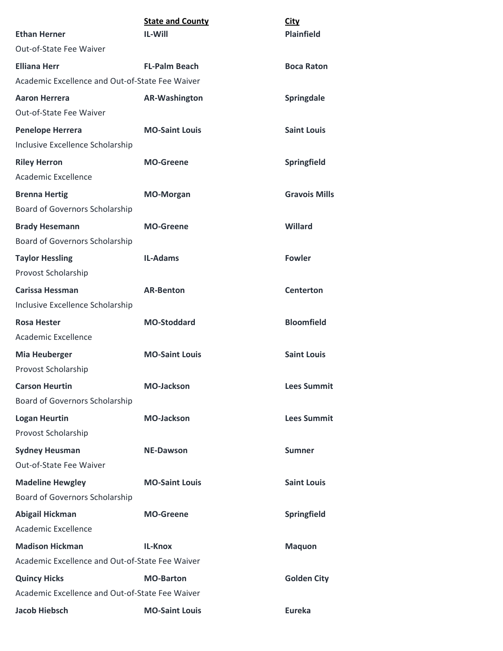|                                                 | <b>State and County</b> | City                 |
|-------------------------------------------------|-------------------------|----------------------|
| <b>Ethan Herner</b>                             | <b>IL-Will</b>          | <b>Plainfield</b>    |
| Out-of-State Fee Waiver                         |                         |                      |
| <b>Elliana Herr</b>                             | <b>FL-Palm Beach</b>    | <b>Boca Raton</b>    |
| Academic Excellence and Out-of-State Fee Waiver |                         |                      |
| <b>Aaron Herrera</b>                            | <b>AR-Washington</b>    | Springdale           |
| Out-of-State Fee Waiver                         |                         |                      |
| <b>Penelope Herrera</b>                         | <b>MO-Saint Louis</b>   | <b>Saint Louis</b>   |
| Inclusive Excellence Scholarship                |                         |                      |
| <b>Riley Herron</b>                             | <b>MO-Greene</b>        | Springfield          |
| Academic Excellence                             |                         |                      |
| <b>Brenna Hertig</b>                            | <b>MO-Morgan</b>        | <b>Gravois Mills</b> |
| Board of Governors Scholarship                  |                         |                      |
| <b>Brady Hesemann</b>                           | <b>MO-Greene</b>        | <b>Willard</b>       |
| Board of Governors Scholarship                  |                         |                      |
| <b>Taylor Hessling</b>                          | <b>IL-Adams</b>         | <b>Fowler</b>        |
| Provost Scholarship                             |                         |                      |
| <b>Carissa Hessman</b>                          | <b>AR-Benton</b>        | <b>Centerton</b>     |
| Inclusive Excellence Scholarship                |                         |                      |
| <b>Rosa Hester</b>                              | <b>MO-Stoddard</b>      | <b>Bloomfield</b>    |
| Academic Excellence                             |                         |                      |
| <b>Mia Heuberger</b>                            | <b>MO-Saint Louis</b>   | <b>Saint Louis</b>   |
| Provost Scholarship                             |                         |                      |
| <b>Carson Heurtin</b>                           | <b>MO-Jackson</b>       | <b>Lees Summit</b>   |
| Board of Governors Scholarship                  |                         |                      |
| <b>Logan Heurtin</b>                            | <b>MO-Jackson</b>       | <b>Lees Summit</b>   |
| Provost Scholarship                             |                         |                      |
| <b>Sydney Heusman</b>                           | <b>NE-Dawson</b>        | <b>Sumner</b>        |
| Out-of-State Fee Waiver                         |                         |                      |
| <b>Madeline Hewgley</b>                         | <b>MO-Saint Louis</b>   | <b>Saint Louis</b>   |
| Board of Governors Scholarship                  |                         |                      |
| Abigail Hickman                                 | <b>MO-Greene</b>        | Springfield          |
| Academic Excellence                             |                         |                      |
| <b>Madison Hickman</b>                          | <b>IL-Knox</b>          | <b>Maquon</b>        |
| Academic Excellence and Out-of-State Fee Waiver |                         |                      |
| <b>Quincy Hicks</b>                             | <b>MO-Barton</b>        | <b>Golden City</b>   |
| Academic Excellence and Out-of-State Fee Waiver |                         |                      |
| <b>Jacob Hiebsch</b>                            | <b>MO-Saint Louis</b>   | <b>Eureka</b>        |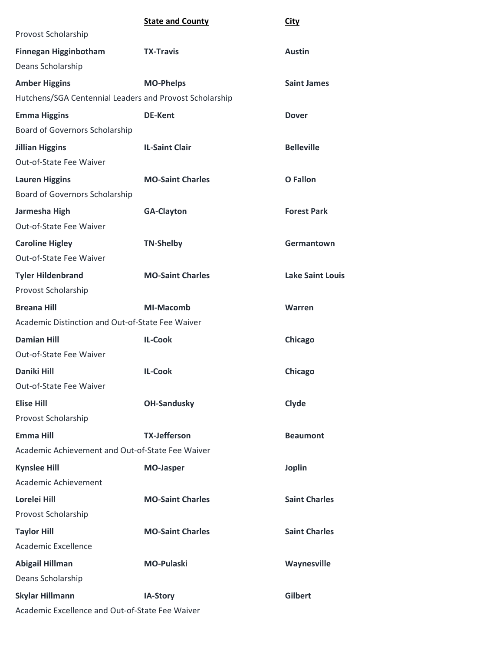|                                                         | <b>State and County</b> | <b>City</b>             |
|---------------------------------------------------------|-------------------------|-------------------------|
| Provost Scholarship                                     |                         |                         |
| <b>Finnegan Higginbotham</b>                            | <b>TX-Travis</b>        | <b>Austin</b>           |
| Deans Scholarship                                       |                         |                         |
| <b>Amber Higgins</b>                                    | <b>MO-Phelps</b>        | <b>Saint James</b>      |
| Hutchens/SGA Centennial Leaders and Provost Scholarship |                         |                         |
| <b>Emma Higgins</b>                                     | <b>DE-Kent</b>          | <b>Dover</b>            |
| Board of Governors Scholarship                          |                         |                         |
| <b>Jillian Higgins</b>                                  | <b>IL-Saint Clair</b>   | <b>Belleville</b>       |
| <b>Out-of-State Fee Waiver</b>                          |                         |                         |
| <b>Lauren Higgins</b>                                   | <b>MO-Saint Charles</b> | O Fallon                |
| Board of Governors Scholarship                          |                         |                         |
| Jarmesha High                                           | <b>GA-Clayton</b>       | <b>Forest Park</b>      |
| Out-of-State Fee Waiver                                 |                         |                         |
| <b>Caroline Higley</b>                                  | <b>TN-Shelby</b>        | Germantown              |
| <b>Out-of-State Fee Waiver</b>                          |                         |                         |
| <b>Tyler Hildenbrand</b>                                | <b>MO-Saint Charles</b> | <b>Lake Saint Louis</b> |
| Provost Scholarship                                     |                         |                         |
| <b>Breana Hill</b>                                      | <b>MI-Macomb</b>        | Warren                  |
| Academic Distinction and Out-of-State Fee Waiver        |                         |                         |
| <b>Damian Hill</b>                                      | <b>IL-Cook</b>          | Chicago                 |
| Out-of-State Fee Waiver                                 |                         |                         |
| <b>Daniki Hill</b>                                      | <b>IL-Cook</b>          | Chicago                 |
| Out-of-State Fee Waiver                                 |                         |                         |
| <b>Elise Hill</b>                                       | <b>OH-Sandusky</b>      | Clyde                   |
| Provost Scholarship                                     |                         |                         |
| <b>Emma Hill</b>                                        | <b>TX-Jefferson</b>     | <b>Beaumont</b>         |
| Academic Achievement and Out-of-State Fee Waiver        |                         |                         |
| <b>Kynslee Hill</b>                                     | <b>MO-Jasper</b>        | <b>Joplin</b>           |
| Academic Achievement                                    |                         |                         |
| Lorelei Hill                                            | <b>MO-Saint Charles</b> | <b>Saint Charles</b>    |
| Provost Scholarship                                     |                         |                         |
| <b>Taylor Hill</b>                                      | <b>MO-Saint Charles</b> | <b>Saint Charles</b>    |
| Academic Excellence                                     |                         |                         |
| Abigail Hillman                                         | <b>MO-Pulaski</b>       | Waynesville             |
| Deans Scholarship                                       |                         |                         |
| <b>Skylar Hillmann</b>                                  | IA-Story                | <b>Gilbert</b>          |
| Academic Excellence and Out-of-State Fee Waiver         |                         |                         |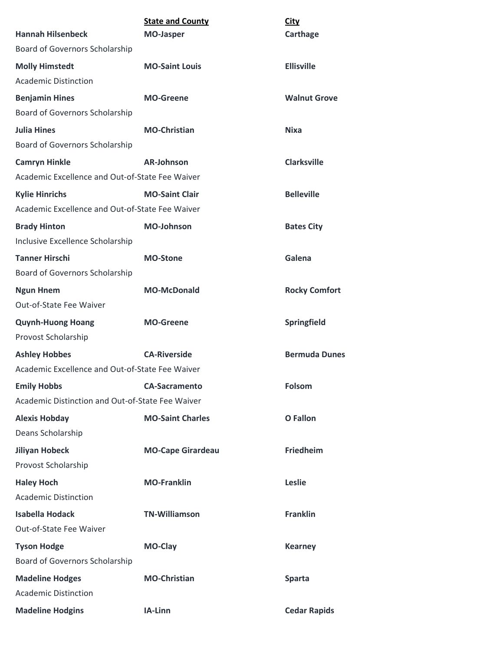|                                                  | <b>State and County</b>  | <b>City</b>          |
|--------------------------------------------------|--------------------------|----------------------|
| <b>Hannah Hilsenbeck</b>                         | <b>MO-Jasper</b>         | Carthage             |
| Board of Governors Scholarship                   |                          |                      |
| <b>Molly Himstedt</b>                            | <b>MO-Saint Louis</b>    | <b>Ellisville</b>    |
| <b>Academic Distinction</b>                      |                          |                      |
| <b>Benjamin Hines</b>                            | <b>MO-Greene</b>         | <b>Walnut Grove</b>  |
| Board of Governors Scholarship                   |                          |                      |
| <b>Julia Hines</b>                               | <b>MO-Christian</b>      | <b>Nixa</b>          |
| Board of Governors Scholarship                   |                          |                      |
| <b>Camryn Hinkle</b>                             | <b>AR-Johnson</b>        | <b>Clarksville</b>   |
| Academic Excellence and Out-of-State Fee Waiver  |                          |                      |
| <b>Kylie Hinrichs</b>                            | <b>MO-Saint Clair</b>    | <b>Belleville</b>    |
| Academic Excellence and Out-of-State Fee Waiver  |                          |                      |
| <b>Brady Hinton</b>                              | <b>MO-Johnson</b>        | <b>Bates City</b>    |
| Inclusive Excellence Scholarship                 |                          |                      |
| <b>Tanner Hirschi</b>                            | <b>MO-Stone</b>          | Galena               |
| Board of Governors Scholarship                   |                          |                      |
| <b>Ngun Hnem</b>                                 | <b>MO-McDonald</b>       | <b>Rocky Comfort</b> |
| <b>Out-of-State Fee Waiver</b>                   |                          |                      |
| <b>Quynh-Huong Hoang</b>                         | <b>MO-Greene</b>         | Springfield          |
| Provost Scholarship                              |                          |                      |
| <b>Ashley Hobbes</b>                             | <b>CA-Riverside</b>      | <b>Bermuda Dunes</b> |
| Academic Excellence and Out-of-State Fee Waiver  |                          |                      |
| <b>Emily Hobbs</b>                               | <b>CA-Sacramento</b>     | <b>Folsom</b>        |
| Academic Distinction and Out-of-State Fee Waiver |                          |                      |
| <b>Alexis Hobday</b>                             | <b>MO-Saint Charles</b>  | <b>O</b> Fallon      |
| Deans Scholarship                                |                          |                      |
| <b>Jiliyan Hobeck</b>                            | <b>MO-Cape Girardeau</b> | Friedheim            |
| Provost Scholarship                              |                          |                      |
| <b>Haley Hoch</b>                                | <b>MO-Franklin</b>       | Leslie               |
| <b>Academic Distinction</b>                      |                          |                      |
| <b>Isabella Hodack</b>                           | <b>TN-Williamson</b>     | <b>Franklin</b>      |
| Out-of-State Fee Waiver                          |                          |                      |
| <b>Tyson Hodge</b>                               | MO-Clay                  | <b>Kearney</b>       |
| Board of Governors Scholarship                   |                          |                      |
| <b>Madeline Hodges</b>                           | <b>MO-Christian</b>      | <b>Sparta</b>        |
| <b>Academic Distinction</b>                      |                          |                      |
| <b>Madeline Hodgins</b>                          | IA-Linn                  | <b>Cedar Rapids</b>  |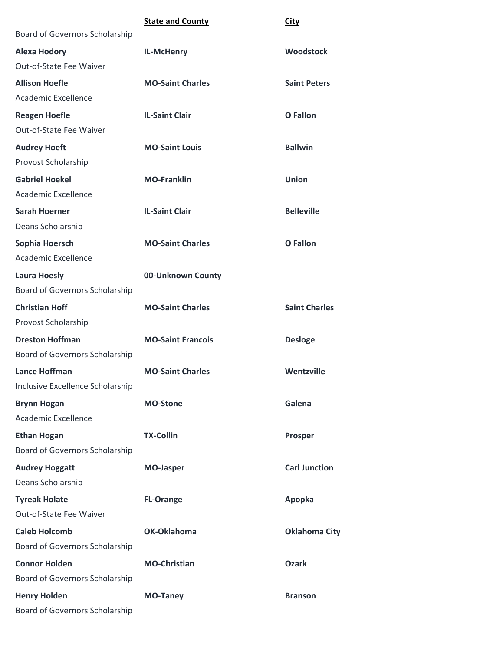|                                  | <b>State and County</b>  | City                 |
|----------------------------------|--------------------------|----------------------|
| Board of Governors Scholarship   |                          |                      |
| <b>Alexa Hodory</b>              | IL-McHenry               | <b>Woodstock</b>     |
| Out-of-State Fee Waiver          |                          |                      |
| <b>Allison Hoefle</b>            | <b>MO-Saint Charles</b>  | <b>Saint Peters</b>  |
| Academic Excellence              |                          |                      |
| <b>Reagen Hoefle</b>             | <b>IL-Saint Clair</b>    | <b>O</b> Fallon      |
| Out-of-State Fee Waiver          |                          |                      |
| <b>Audrey Hoeft</b>              | <b>MO-Saint Louis</b>    | <b>Ballwin</b>       |
| Provost Scholarship              |                          |                      |
| <b>Gabriel Hoekel</b>            | <b>MO-Franklin</b>       | Union                |
| Academic Excellence              |                          |                      |
| <b>Sarah Hoerner</b>             | <b>IL-Saint Clair</b>    | <b>Belleville</b>    |
| Deans Scholarship                |                          |                      |
| Sophia Hoersch                   | <b>MO-Saint Charles</b>  | <b>O</b> Fallon      |
| Academic Excellence              |                          |                      |
| <b>Laura Hoesly</b>              | 00-Unknown County        |                      |
| Board of Governors Scholarship   |                          |                      |
| <b>Christian Hoff</b>            | <b>MO-Saint Charles</b>  | <b>Saint Charles</b> |
| Provost Scholarship              |                          |                      |
| <b>Dreston Hoffman</b>           | <b>MO-Saint Francois</b> | <b>Desloge</b>       |
| Board of Governors Scholarship   |                          |                      |
| <b>Lance Hoffman</b>             | <b>MO-Saint Charles</b>  | Wentzville           |
| Inclusive Excellence Scholarship |                          |                      |
| <b>Brynn Hogan</b>               | <b>MO-Stone</b>          | Galena               |
| Academic Excellence              |                          |                      |
| <b>Ethan Hogan</b>               | <b>TX-Collin</b>         | <b>Prosper</b>       |
| Board of Governors Scholarship   |                          |                      |
| <b>Audrey Hoggatt</b>            | <b>MO-Jasper</b>         | <b>Carl Junction</b> |
| Deans Scholarship                |                          |                      |
| <b>Tyreak Holate</b>             | <b>FL-Orange</b>         | Apopka               |
| Out-of-State Fee Waiver          |                          |                      |
| <b>Caleb Holcomb</b>             | OK-Oklahoma              | <b>Oklahoma City</b> |
| Board of Governors Scholarship   |                          |                      |
| <b>Connor Holden</b>             | <b>MO-Christian</b>      | <b>Ozark</b>         |
| Board of Governors Scholarship   |                          |                      |
| <b>Henry Holden</b>              | <b>MO-Taney</b>          | <b>Branson</b>       |
| Board of Governors Scholarship   |                          |                      |
|                                  |                          |                      |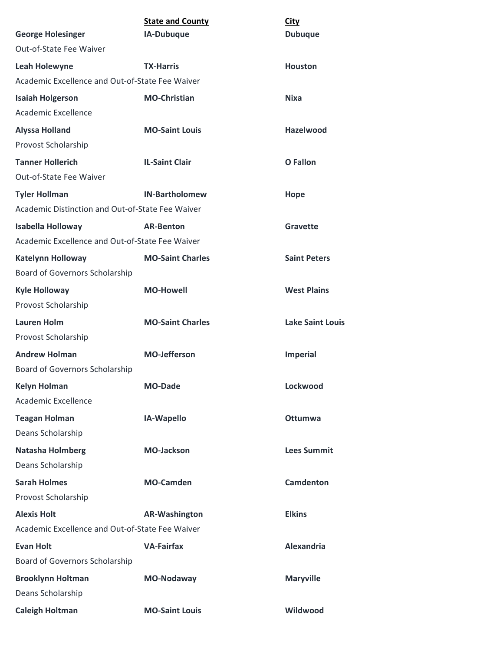| <b>George Holesinger</b>                         | <b>State and County</b><br>IA-Dubuque | <b>City</b><br><b>Dubuque</b> |
|--------------------------------------------------|---------------------------------------|-------------------------------|
| Out-of-State Fee Waiver                          |                                       |                               |
| <b>Leah Holewyne</b>                             | <b>TX-Harris</b>                      | <b>Houston</b>                |
| Academic Excellence and Out-of-State Fee Waiver  |                                       |                               |
| <b>Isaiah Holgerson</b>                          | <b>MO-Christian</b>                   | Nixa                          |
| Academic Excellence                              |                                       |                               |
| <b>Alyssa Holland</b>                            | <b>MO-Saint Louis</b>                 | <b>Hazelwood</b>              |
| Provost Scholarship                              |                                       |                               |
| <b>Tanner Hollerich</b>                          | <b>IL-Saint Clair</b>                 | <b>O</b> Fallon               |
| <b>Out-of-State Fee Waiver</b>                   |                                       |                               |
| <b>Tyler Hollman</b>                             | <b>IN-Bartholomew</b>                 | Hope                          |
| Academic Distinction and Out-of-State Fee Waiver |                                       |                               |
| <b>Isabella Holloway</b>                         | <b>AR-Benton</b>                      | Gravette                      |
| Academic Excellence and Out-of-State Fee Waiver  |                                       |                               |
| <b>Katelynn Holloway</b>                         | <b>MO-Saint Charles</b>               | <b>Saint Peters</b>           |
| Board of Governors Scholarship                   |                                       |                               |
| <b>Kyle Holloway</b>                             | <b>MO-Howell</b>                      | <b>West Plains</b>            |
| Provost Scholarship                              |                                       |                               |
| <b>Lauren Holm</b>                               | <b>MO-Saint Charles</b>               | <b>Lake Saint Louis</b>       |
| Provost Scholarship                              |                                       |                               |
| <b>Andrew Holman</b>                             | <b>MO-Jefferson</b>                   | <b>Imperial</b>               |
| <b>Board of Governors Scholarship</b>            |                                       |                               |
| <b>Kelyn Holman</b>                              | <b>MO-Dade</b>                        | Lockwood                      |
| Academic Excellence                              |                                       |                               |
| <b>Teagan Holman</b>                             | IA-Wapello                            | <b>Ottumwa</b>                |
| Deans Scholarship                                |                                       |                               |
| <b>Natasha Holmberg</b>                          | <b>MO-Jackson</b>                     | <b>Lees Summit</b>            |
| Deans Scholarship                                |                                       |                               |
| <b>Sarah Holmes</b>                              | <b>MO-Camden</b>                      | Camdenton                     |
| Provost Scholarship                              |                                       |                               |
| <b>Alexis Holt</b>                               | <b>AR-Washington</b>                  | <b>Elkins</b>                 |
| Academic Excellence and Out-of-State Fee Waiver  |                                       |                               |
| <b>Evan Holt</b>                                 | <b>VA-Fairfax</b>                     | <b>Alexandria</b>             |
| Board of Governors Scholarship                   |                                       |                               |
| <b>Brooklynn Holtman</b>                         | MO-Nodaway                            | <b>Maryville</b>              |
| Deans Scholarship                                |                                       |                               |
| <b>Caleigh Holtman</b>                           | <b>MO-Saint Louis</b>                 | Wildwood                      |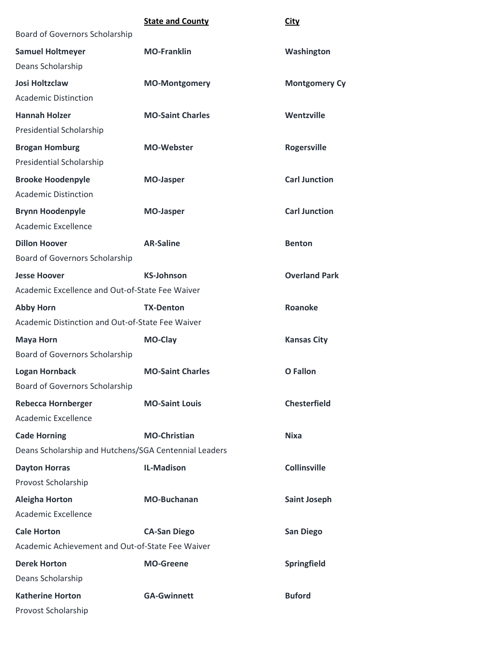|                                                       | <b>State and County</b> | City                 |
|-------------------------------------------------------|-------------------------|----------------------|
| Board of Governors Scholarship                        |                         |                      |
| <b>Samuel Holtmeyer</b>                               | <b>MO-Franklin</b>      | Washington           |
| Deans Scholarship                                     |                         |                      |
| <b>Josi Holtzclaw</b>                                 | <b>MO-Montgomery</b>    | <b>Montgomery Cy</b> |
| <b>Academic Distinction</b>                           |                         |                      |
| <b>Hannah Holzer</b>                                  | <b>MO-Saint Charles</b> | Wentzville           |
| Presidential Scholarship                              |                         |                      |
| <b>Brogan Homburg</b>                                 | <b>MO-Webster</b>       | <b>Rogersville</b>   |
| Presidential Scholarship                              |                         |                      |
| <b>Brooke Hoodenpyle</b>                              | <b>MO-Jasper</b>        | <b>Carl Junction</b> |
| <b>Academic Distinction</b>                           |                         |                      |
| <b>Brynn Hoodenpyle</b>                               | <b>MO-Jasper</b>        | <b>Carl Junction</b> |
| Academic Excellence                                   |                         |                      |
| <b>Dillon Hoover</b>                                  | <b>AR-Saline</b>        | <b>Benton</b>        |
| Board of Governors Scholarship                        |                         |                      |
| <b>Jesse Hoover</b>                                   | <b>KS-Johnson</b>       | <b>Overland Park</b> |
| Academic Excellence and Out-of-State Fee Waiver       |                         |                      |
| <b>Abby Horn</b>                                      | <b>TX-Denton</b>        | <b>Roanoke</b>       |
| Academic Distinction and Out-of-State Fee Waiver      |                         |                      |
| <b>Maya Horn</b>                                      | MO-Clay                 | <b>Kansas City</b>   |
| Board of Governors Scholarship                        |                         |                      |
| <b>Logan Hornback</b>                                 | <b>MO-Saint Charles</b> | <b>O</b> Fallon      |
| <b>Board of Governors Scholarship</b>                 |                         |                      |
| <b>Rebecca Hornberger</b>                             | <b>MO-Saint Louis</b>   | <b>Chesterfield</b>  |
| Academic Excellence                                   |                         |                      |
| <b>Cade Horning</b>                                   | <b>MO-Christian</b>     | <b>Nixa</b>          |
| Deans Scholarship and Hutchens/SGA Centennial Leaders |                         |                      |
| <b>Dayton Horras</b>                                  | <b>IL-Madison</b>       | <b>Collinsville</b>  |
| Provost Scholarship                                   |                         |                      |
| <b>Aleigha Horton</b>                                 | <b>MO-Buchanan</b>      | <b>Saint Joseph</b>  |
| Academic Excellence                                   |                         |                      |
| <b>Cale Horton</b>                                    | <b>CA-San Diego</b>     | <b>San Diego</b>     |
| Academic Achievement and Out-of-State Fee Waiver      |                         |                      |
| <b>Derek Horton</b>                                   | <b>MO-Greene</b>        | Springfield          |
| Deans Scholarship                                     |                         |                      |
| <b>Katherine Horton</b>                               | <b>GA-Gwinnett</b>      | <b>Buford</b>        |
| Provost Scholarship                                   |                         |                      |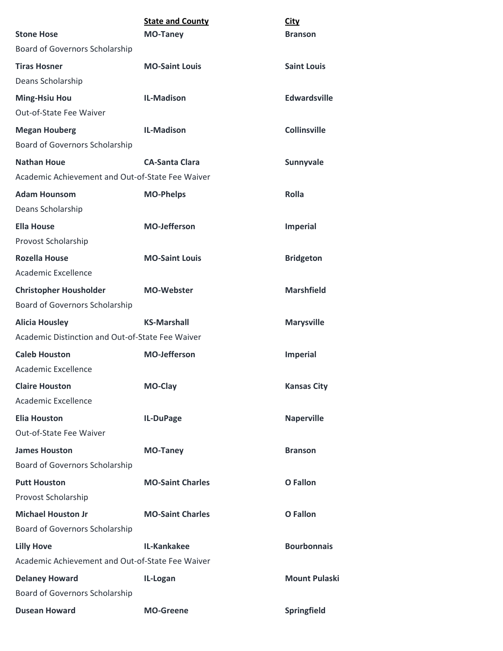|                                                  | <b>State and County</b> | <b>City</b>          |
|--------------------------------------------------|-------------------------|----------------------|
| <b>Stone Hose</b>                                | <b>MO-Taney</b>         | <b>Branson</b>       |
| Board of Governors Scholarship                   |                         |                      |
| <b>Tiras Hosner</b>                              | <b>MO-Saint Louis</b>   | <b>Saint Louis</b>   |
| Deans Scholarship                                |                         |                      |
| <b>Ming-Hsiu Hou</b>                             | <b>IL-Madison</b>       | <b>Edwardsville</b>  |
| Out-of-State Fee Waiver                          |                         |                      |
| <b>Megan Houberg</b>                             | <b>IL-Madison</b>       | <b>Collinsville</b>  |
| Board of Governors Scholarship                   |                         |                      |
| <b>Nathan Houe</b>                               | <b>CA-Santa Clara</b>   | Sunnyvale            |
| Academic Achievement and Out-of-State Fee Waiver |                         |                      |
| <b>Adam Hounsom</b>                              | <b>MO-Phelps</b>        | Rolla                |
| Deans Scholarship                                |                         |                      |
| <b>Ella House</b>                                | <b>MO-Jefferson</b>     | <b>Imperial</b>      |
| Provost Scholarship                              |                         |                      |
| <b>Rozella House</b>                             | <b>MO-Saint Louis</b>   | <b>Bridgeton</b>     |
| Academic Excellence                              |                         |                      |
| <b>Christopher Housholder</b>                    | <b>MO-Webster</b>       | <b>Marshfield</b>    |
| Board of Governors Scholarship                   |                         |                      |
| <b>Alicia Housley</b>                            | <b>KS-Marshall</b>      | <b>Marysville</b>    |
| Academic Distinction and Out-of-State Fee Waiver |                         |                      |
| <b>Caleb Houston</b>                             | <b>MO-Jefferson</b>     | <b>Imperial</b>      |
| Academic Excellence                              |                         |                      |
| <b>Claire Houston</b>                            | MO-Clay                 | <b>Kansas City</b>   |
| Academic Excellence                              |                         |                      |
| <b>Elia Houston</b>                              | IL-DuPage               | <b>Naperville</b>    |
| Out-of-State Fee Waiver                          |                         |                      |
| <b>James Houston</b>                             | <b>MO-Taney</b>         | <b>Branson</b>       |
| Board of Governors Scholarship                   |                         |                      |
| <b>Putt Houston</b>                              | <b>MO-Saint Charles</b> | <b>O</b> Fallon      |
| Provost Scholarship                              |                         |                      |
| <b>Michael Houston Jr</b>                        | <b>MO-Saint Charles</b> | <b>O</b> Fallon      |
| Board of Governors Scholarship                   |                         |                      |
| <b>Lilly Hove</b>                                | IL-Kankakee             | <b>Bourbonnais</b>   |
| Academic Achievement and Out-of-State Fee Waiver |                         |                      |
| <b>Delaney Howard</b>                            | IL-Logan                | <b>Mount Pulaski</b> |
| Board of Governors Scholarship                   |                         |                      |
| <b>Dusean Howard</b>                             | <b>MO-Greene</b>        | Springfield          |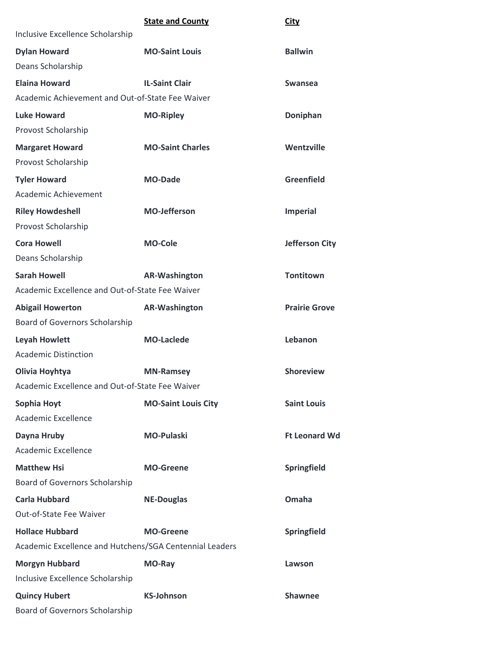|                                                         | <b>State and County</b>    | <b>City</b>           |
|---------------------------------------------------------|----------------------------|-----------------------|
| Inclusive Excellence Scholarship                        |                            |                       |
| <b>Dylan Howard</b>                                     | <b>MO-Saint Louis</b>      | <b>Ballwin</b>        |
| Deans Scholarship                                       |                            |                       |
| <b>Elaina Howard</b>                                    | <b>IL-Saint Clair</b>      | <b>Swansea</b>        |
| Academic Achievement and Out-of-State Fee Waiver        |                            |                       |
| <b>Luke Howard</b>                                      | <b>MO-Ripley</b>           | Doniphan              |
| Provost Scholarship                                     |                            |                       |
| <b>Margaret Howard</b>                                  | <b>MO-Saint Charles</b>    | Wentzville            |
| Provost Scholarship                                     |                            |                       |
| <b>Tyler Howard</b>                                     | <b>MO-Dade</b>             | <b>Greenfield</b>     |
| Academic Achievement                                    |                            |                       |
| <b>Riley Howdeshell</b>                                 | <b>MO-Jefferson</b>        | <b>Imperial</b>       |
| Provost Scholarship                                     |                            |                       |
| <b>Cora Howell</b>                                      | <b>MO-Cole</b>             | <b>Jefferson City</b> |
| Deans Scholarship                                       |                            |                       |
| <b>Sarah Howell</b>                                     | <b>AR-Washington</b>       | <b>Tontitown</b>      |
| Academic Excellence and Out-of-State Fee Waiver         |                            |                       |
| <b>Abigail Howerton</b>                                 | <b>AR-Washington</b>       | <b>Prairie Grove</b>  |
| Board of Governors Scholarship                          |                            |                       |
| <b>Leyah Howlett</b>                                    | <b>MO-Laclede</b>          | Lebanon               |
| <b>Academic Distinction</b>                             |                            |                       |
| Olivia Hoyhtya                                          | <b>MN-Ramsey</b>           | <b>Shoreview</b>      |
| Academic Excellence and Out-of-State Fee Waiver         |                            |                       |
| Sophia Hoyt                                             | <b>MO-Saint Louis City</b> | <b>Saint Louis</b>    |
| Academic Excellence                                     |                            |                       |
| Dayna Hruby                                             | <b>MO-Pulaski</b>          | <b>Ft Leonard Wd</b>  |
| Academic Excellence                                     |                            |                       |
| <b>Matthew Hsi</b>                                      | <b>MO-Greene</b>           | Springfield           |
| Board of Governors Scholarship                          |                            |                       |
| <b>Carla Hubbard</b>                                    | <b>NE-Douglas</b>          | Omaha                 |
| Out-of-State Fee Waiver                                 |                            |                       |
| <b>Hollace Hubbard</b>                                  | <b>MO-Greene</b>           | Springfield           |
| Academic Excellence and Hutchens/SGA Centennial Leaders |                            |                       |
| <b>Morgyn Hubbard</b>                                   | MO-Ray                     | Lawson                |
| Inclusive Excellence Scholarship                        |                            |                       |
| <b>Quincy Hubert</b>                                    | <b>KS-Johnson</b>          | <b>Shawnee</b>        |
| Board of Governors Scholarship                          |                            |                       |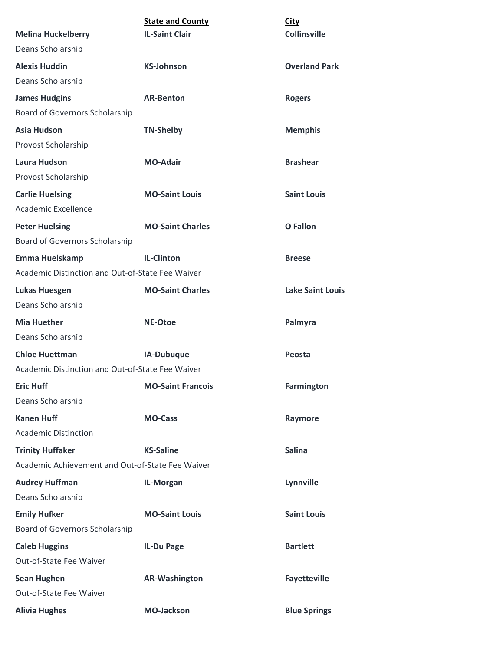|                                                  | <b>State and County</b>  | City                    |
|--------------------------------------------------|--------------------------|-------------------------|
| <b>Melina Huckelberry</b>                        | <b>IL-Saint Clair</b>    | <b>Collinsville</b>     |
| Deans Scholarship                                |                          |                         |
| <b>Alexis Huddin</b>                             | <b>KS-Johnson</b>        | <b>Overland Park</b>    |
| Deans Scholarship                                |                          |                         |
| <b>James Hudgins</b>                             | <b>AR-Benton</b>         | <b>Rogers</b>           |
| Board of Governors Scholarship                   |                          |                         |
| <b>Asia Hudson</b>                               | <b>TN-Shelby</b>         | <b>Memphis</b>          |
| Provost Scholarship                              |                          |                         |
| <b>Laura Hudson</b>                              | <b>MO-Adair</b>          | <b>Brashear</b>         |
| Provost Scholarship                              |                          |                         |
| <b>Carlie Huelsing</b>                           | <b>MO-Saint Louis</b>    | <b>Saint Louis</b>      |
| Academic Excellence                              |                          |                         |
| <b>Peter Huelsing</b>                            | <b>MO-Saint Charles</b>  | <b>O</b> Fallon         |
| Board of Governors Scholarship                   |                          |                         |
| Emma Huelskamp                                   | <b>IL-Clinton</b>        | <b>Breese</b>           |
| Academic Distinction and Out-of-State Fee Waiver |                          |                         |
| <b>Lukas Huesgen</b>                             | <b>MO-Saint Charles</b>  | <b>Lake Saint Louis</b> |
| Deans Scholarship                                |                          |                         |
| <b>Mia Huether</b>                               | <b>NE-Otoe</b>           | Palmyra                 |
| Deans Scholarship                                |                          |                         |
| <b>Chloe Huettman</b>                            | IA-Dubuque               | Peosta                  |
| Academic Distinction and Out-of-State Fee Waiver |                          |                         |
| <b>Eric Huff</b>                                 | <b>MO-Saint Francois</b> | Farmington              |
| Deans Scholarship                                |                          |                         |
| <b>Kanen Huff</b>                                | <b>MO-Cass</b>           | Raymore                 |
| <b>Academic Distinction</b>                      |                          |                         |
| <b>Trinity Huffaker</b>                          | <b>KS-Saline</b>         | <b>Salina</b>           |
| Academic Achievement and Out-of-State Fee Waiver |                          |                         |
| <b>Audrey Huffman</b>                            | IL-Morgan                | Lynnville               |
| Deans Scholarship                                |                          |                         |
| <b>Emily Hufker</b>                              | <b>MO-Saint Louis</b>    | <b>Saint Louis</b>      |
| Board of Governors Scholarship                   |                          |                         |
| <b>Caleb Huggins</b>                             | IL-Du Page               | <b>Bartlett</b>         |
| Out-of-State Fee Waiver                          |                          |                         |
| <b>Sean Hughen</b>                               | <b>AR-Washington</b>     | <b>Fayetteville</b>     |
| Out-of-State Fee Waiver                          |                          |                         |
| <b>Alivia Hughes</b>                             | <b>MO-Jackson</b>        | <b>Blue Springs</b>     |
|                                                  |                          |                         |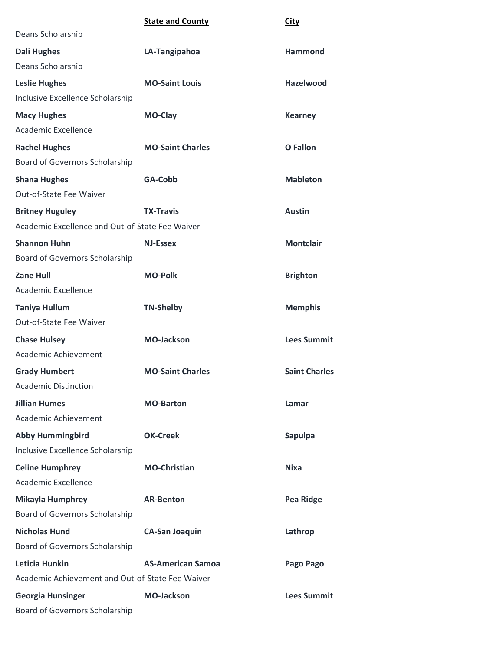|                                                  | <b>State and County</b>  | <b>City</b>          |
|--------------------------------------------------|--------------------------|----------------------|
| Deans Scholarship                                |                          |                      |
| <b>Dali Hughes</b>                               | LA-Tangipahoa            | <b>Hammond</b>       |
| Deans Scholarship                                |                          |                      |
| <b>Leslie Hughes</b>                             | <b>MO-Saint Louis</b>    | <b>Hazelwood</b>     |
| Inclusive Excellence Scholarship                 |                          |                      |
| <b>Macy Hughes</b>                               | <b>MO-Clay</b>           | <b>Kearney</b>       |
| Academic Excellence                              |                          |                      |
| <b>Rachel Hughes</b>                             | <b>MO-Saint Charles</b>  | <b>O</b> Fallon      |
| Board of Governors Scholarship                   |                          |                      |
| <b>Shana Hughes</b>                              | GA-Cobb                  | <b>Mableton</b>      |
| Out-of-State Fee Waiver                          |                          |                      |
| <b>Britney Huguley</b>                           | <b>TX-Travis</b>         | <b>Austin</b>        |
| Academic Excellence and Out-of-State Fee Waiver  |                          |                      |
| <b>Shannon Huhn</b>                              | <b>NJ-Essex</b>          | <b>Montclair</b>     |
| Board of Governors Scholarship                   |                          |                      |
| <b>Zane Hull</b>                                 | <b>MO-Polk</b>           | <b>Brighton</b>      |
| Academic Excellence                              |                          |                      |
| <b>Taniya Hullum</b>                             | <b>TN-Shelby</b>         | <b>Memphis</b>       |
| Out-of-State Fee Waiver                          |                          |                      |
| <b>Chase Hulsey</b>                              | <b>MO-Jackson</b>        | <b>Lees Summit</b>   |
| Academic Achievement                             |                          |                      |
| <b>Grady Humbert</b>                             | <b>MO-Saint Charles</b>  | <b>Saint Charles</b> |
| <b>Academic Distinction</b>                      |                          |                      |
| <b>Jillian Humes</b>                             | <b>MO-Barton</b>         | Lamar                |
| Academic Achievement                             |                          |                      |
| <b>Abby Hummingbird</b>                          | <b>OK-Creek</b>          | <b>Sapulpa</b>       |
| Inclusive Excellence Scholarship                 |                          |                      |
| <b>Celine Humphrey</b>                           | <b>MO-Christian</b>      | <b>Nixa</b>          |
| Academic Excellence                              |                          |                      |
| <b>Mikayla Humphrey</b>                          | <b>AR-Benton</b>         | <b>Pea Ridge</b>     |
| Board of Governors Scholarship                   |                          |                      |
| <b>Nicholas Hund</b>                             | <b>CA-San Joaquin</b>    | Lathrop              |
| <b>Board of Governors Scholarship</b>            |                          |                      |
| Leticia Hunkin                                   | <b>AS-American Samoa</b> | Pago Pago            |
| Academic Achievement and Out-of-State Fee Waiver |                          |                      |
| <b>Georgia Hunsinger</b>                         | <b>MO-Jackson</b>        | <b>Lees Summit</b>   |
| <b>Board of Governors Scholarship</b>            |                          |                      |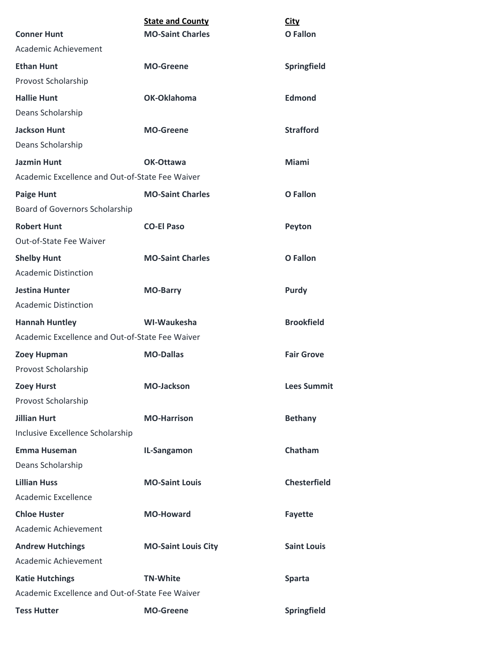|                                                 | <b>State and County</b>    | <b>City</b>         |
|-------------------------------------------------|----------------------------|---------------------|
| <b>Conner Hunt</b>                              | <b>MO-Saint Charles</b>    | O Fallon            |
| Academic Achievement                            |                            |                     |
| <b>Ethan Hunt</b>                               | <b>MO-Greene</b>           | Springfield         |
| Provost Scholarship                             |                            |                     |
| <b>Hallie Hunt</b>                              | OK-Oklahoma                | <b>Edmond</b>       |
| Deans Scholarship                               |                            |                     |
| <b>Jackson Hunt</b>                             | <b>MO-Greene</b>           | <b>Strafford</b>    |
| Deans Scholarship                               |                            |                     |
| <b>Jazmin Hunt</b>                              | OK-Ottawa                  | Miami               |
| Academic Excellence and Out-of-State Fee Waiver |                            |                     |
| <b>Paige Hunt</b>                               | <b>MO-Saint Charles</b>    | O Fallon            |
| Board of Governors Scholarship                  |                            |                     |
| <b>Robert Hunt</b>                              | <b>CO-El Paso</b>          | Peyton              |
| Out-of-State Fee Waiver                         |                            |                     |
| <b>Shelby Hunt</b>                              | <b>MO-Saint Charles</b>    | <b>O</b> Fallon     |
| <b>Academic Distinction</b>                     |                            |                     |
| <b>Jestina Hunter</b>                           | <b>MO-Barry</b>            | <b>Purdy</b>        |
| <b>Academic Distinction</b>                     |                            |                     |
| <b>Hannah Huntley</b>                           | WI-Waukesha                | <b>Brookfield</b>   |
| Academic Excellence and Out-of-State Fee Waiver |                            |                     |
| <b>Zoey Hupman</b>                              | <b>MO-Dallas</b>           | <b>Fair Grove</b>   |
| Provost Scholarship                             |                            |                     |
| <b>Zoey Hurst</b>                               | <b>MO-Jackson</b>          | <b>Lees Summit</b>  |
| Provost Scholarship                             |                            |                     |
| <b>Jillian Hurt</b>                             | <b>MO-Harrison</b>         | <b>Bethany</b>      |
| Inclusive Excellence Scholarship                |                            |                     |
| <b>Emma Huseman</b>                             | IL-Sangamon                | Chatham             |
| Deans Scholarship                               |                            |                     |
| <b>Lillian Huss</b>                             | <b>MO-Saint Louis</b>      | <b>Chesterfield</b> |
| Academic Excellence                             |                            |                     |
| <b>Chloe Huster</b>                             | <b>MO-Howard</b>           | <b>Fayette</b>      |
| Academic Achievement                            |                            |                     |
| <b>Andrew Hutchings</b>                         | <b>MO-Saint Louis City</b> | <b>Saint Louis</b>  |
| Academic Achievement                            |                            |                     |
| <b>Katie Hutchings</b>                          | <b>TN-White</b>            | <b>Sparta</b>       |
| Academic Excellence and Out-of-State Fee Waiver |                            |                     |
| <b>Tess Hutter</b>                              | <b>MO-Greene</b>           | Springfield         |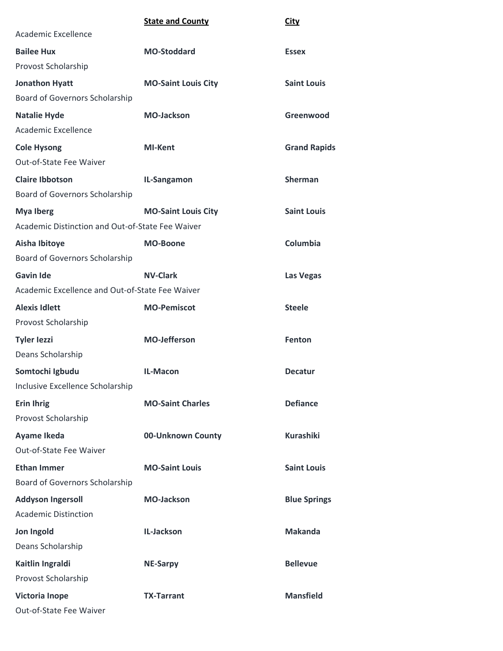|                                                  | <b>State and County</b>    | <b>City</b>         |
|--------------------------------------------------|----------------------------|---------------------|
| Academic Excellence                              |                            |                     |
| <b>Bailee Hux</b>                                | <b>MO-Stoddard</b>         | <b>Essex</b>        |
| Provost Scholarship                              |                            |                     |
| <b>Jonathon Hyatt</b>                            | <b>MO-Saint Louis City</b> | <b>Saint Louis</b>  |
| Board of Governors Scholarship                   |                            |                     |
| <b>Natalie Hyde</b>                              | <b>MO-Jackson</b>          | Greenwood           |
| Academic Excellence                              |                            |                     |
| <b>Cole Hysong</b>                               | <b>MI-Kent</b>             | <b>Grand Rapids</b> |
| Out-of-State Fee Waiver                          |                            |                     |
| <b>Claire Ibbotson</b>                           | IL-Sangamon                | <b>Sherman</b>      |
| Board of Governors Scholarship                   |                            |                     |
| <b>Mya Iberg</b>                                 | <b>MO-Saint Louis City</b> | <b>Saint Louis</b>  |
| Academic Distinction and Out-of-State Fee Waiver |                            |                     |
| Aisha Ibitoye                                    | <b>MO-Boone</b>            | Columbia            |
| Board of Governors Scholarship                   |                            |                     |
| <b>Gavin Ide</b>                                 | <b>NV-Clark</b>            | Las Vegas           |
| Academic Excellence and Out-of-State Fee Waiver  |                            |                     |
| <b>Alexis Idlett</b>                             | <b>MO-Pemiscot</b>         | <b>Steele</b>       |
| Provost Scholarship                              |                            |                     |
| <b>Tyler lezzi</b>                               | <b>MO-Jefferson</b>        | Fenton              |
| Deans Scholarship                                |                            |                     |
| Somtochi Igbudu                                  | IL-Macon                   | <b>Decatur</b>      |
| Inclusive Excellence Scholarship                 |                            |                     |
| <b>Erin Ihrig</b>                                | <b>MO-Saint Charles</b>    | <b>Defiance</b>     |
| Provost Scholarship                              |                            |                     |
| Ayame Ikeda                                      | 00-Unknown County          | <b>Kurashiki</b>    |
| Out-of-State Fee Waiver                          |                            |                     |
| <b>Ethan Immer</b>                               | <b>MO-Saint Louis</b>      | <b>Saint Louis</b>  |
| Board of Governors Scholarship                   |                            |                     |
| <b>Addyson Ingersoll</b>                         | <b>MO-Jackson</b>          | <b>Blue Springs</b> |
| <b>Academic Distinction</b>                      |                            |                     |
| Jon Ingold                                       | IL-Jackson                 | <b>Makanda</b>      |
| Deans Scholarship                                |                            |                     |
| Kaitlin Ingraldi                                 | <b>NE-Sarpy</b>            | <b>Bellevue</b>     |
| Provost Scholarship                              |                            |                     |
| <b>Victoria Inope</b>                            | <b>TX-Tarrant</b>          | <b>Mansfield</b>    |
| Out-of-State Fee Waiver                          |                            |                     |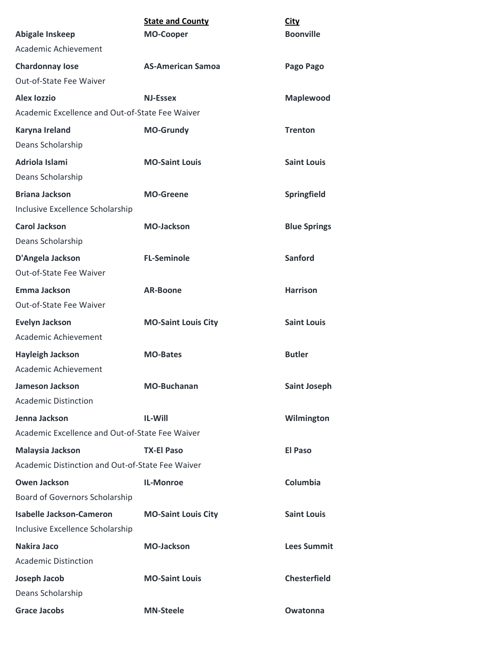| Abigale Inskeep                                  | <b>State and County</b><br><b>MO-Cooper</b> | <b>City</b><br><b>Boonville</b> |
|--------------------------------------------------|---------------------------------------------|---------------------------------|
| Academic Achievement                             |                                             |                                 |
| <b>Chardonnay lose</b>                           | <b>AS-American Samoa</b>                    | Pago Pago                       |
| Out-of-State Fee Waiver                          |                                             |                                 |
| <b>Alex lozzio</b>                               | <b>NJ-Essex</b>                             | <b>Maplewood</b>                |
| Academic Excellence and Out-of-State Fee Waiver  |                                             |                                 |
| Karyna Ireland                                   | <b>MO-Grundy</b>                            | <b>Trenton</b>                  |
| Deans Scholarship                                |                                             |                                 |
| Adriola Islami                                   | <b>MO-Saint Louis</b>                       | <b>Saint Louis</b>              |
| Deans Scholarship                                |                                             |                                 |
| <b>Briana Jackson</b>                            | <b>MO-Greene</b>                            | Springfield                     |
| Inclusive Excellence Scholarship                 |                                             |                                 |
| <b>Carol Jackson</b>                             | <b>MO-Jackson</b>                           | <b>Blue Springs</b>             |
| Deans Scholarship                                |                                             |                                 |
| D'Angela Jackson                                 | <b>FL-Seminole</b>                          | <b>Sanford</b>                  |
| Out-of-State Fee Waiver                          |                                             |                                 |
| Emma Jackson                                     | <b>AR-Boone</b>                             | <b>Harrison</b>                 |
| Out-of-State Fee Waiver                          |                                             |                                 |
| <b>Evelyn Jackson</b>                            | <b>MO-Saint Louis City</b>                  | <b>Saint Louis</b>              |
| Academic Achievement                             |                                             |                                 |
| <b>Hayleigh Jackson</b>                          | <b>MO-Bates</b>                             | <b>Butler</b>                   |
| Academic Achievement                             |                                             |                                 |
| <b>Jameson Jackson</b>                           | <b>MO-Buchanan</b>                          | <b>Saint Joseph</b>             |
| <b>Academic Distinction</b>                      |                                             |                                 |
| Jenna Jackson                                    | <b>IL-Will</b>                              | Wilmington                      |
| Academic Excellence and Out-of-State Fee Waiver  |                                             |                                 |
| Malaysia Jackson                                 | <b>TX-El Paso</b>                           | <b>El Paso</b>                  |
| Academic Distinction and Out-of-State Fee Waiver |                                             |                                 |
| <b>Owen Jackson</b>                              | <b>IL-Monroe</b>                            | Columbia                        |
| Board of Governors Scholarship                   |                                             |                                 |
| <b>Isabelle Jackson-Cameron</b>                  | <b>MO-Saint Louis City</b>                  | <b>Saint Louis</b>              |
| Inclusive Excellence Scholarship                 |                                             |                                 |
| <b>Nakira Jaco</b>                               | <b>MO-Jackson</b>                           | <b>Lees Summit</b>              |
| <b>Academic Distinction</b>                      |                                             |                                 |
| Joseph Jacob                                     | <b>MO-Saint Louis</b>                       | <b>Chesterfield</b>             |
| Deans Scholarship                                |                                             |                                 |
| <b>Grace Jacobs</b>                              | <b>MN-Steele</b>                            | Owatonna                        |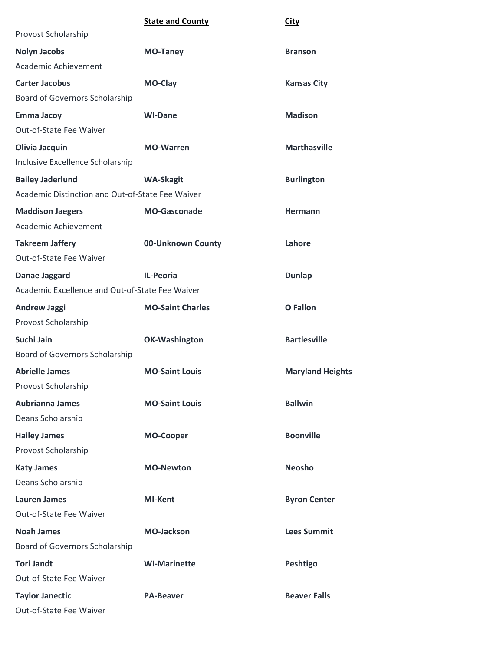|                                                  | <b>State and County</b> | <b>City</b>             |
|--------------------------------------------------|-------------------------|-------------------------|
| Provost Scholarship                              |                         |                         |
| <b>Nolyn Jacobs</b>                              | <b>MO-Taney</b>         | <b>Branson</b>          |
| Academic Achievement                             |                         |                         |
| <b>Carter Jacobus</b>                            | MO-Clay                 | <b>Kansas City</b>      |
| Board of Governors Scholarship                   |                         |                         |
| <b>Emma Jacoy</b>                                | <b>WI-Dane</b>          | <b>Madison</b>          |
| Out-of-State Fee Waiver                          |                         |                         |
| Olivia Jacquin                                   | <b>MO-Warren</b>        | <b>Marthasville</b>     |
| Inclusive Excellence Scholarship                 |                         |                         |
| <b>Bailey Jaderlund</b>                          | <b>WA-Skagit</b>        | <b>Burlington</b>       |
| Academic Distinction and Out-of-State Fee Waiver |                         |                         |
| <b>Maddison Jaegers</b>                          | <b>MO-Gasconade</b>     | Hermann                 |
| Academic Achievement                             |                         |                         |
| <b>Takreem Jaffery</b>                           | 00-Unknown County       | Lahore                  |
| Out-of-State Fee Waiver                          |                         |                         |
| Danae Jaggard                                    | <b>IL-Peoria</b>        | <b>Dunlap</b>           |
| Academic Excellence and Out-of-State Fee Waiver  |                         |                         |
| <b>Andrew Jaggi</b>                              | <b>MO-Saint Charles</b> | <b>O</b> Fallon         |
| Provost Scholarship                              |                         |                         |
| Suchi Jain                                       | <b>OK-Washington</b>    | <b>Bartlesville</b>     |
| Board of Governors Scholarship                   |                         |                         |
| <b>Abrielle James</b>                            | <b>MO-Saint Louis</b>   | <b>Maryland Heights</b> |
| Provost Scholarship                              |                         |                         |
| <b>Aubrianna James</b>                           | <b>MO-Saint Louis</b>   | <b>Ballwin</b>          |
| Deans Scholarship                                |                         |                         |
| <b>Hailey James</b>                              | <b>MO-Cooper</b>        | <b>Boonville</b>        |
| Provost Scholarship                              |                         |                         |
| <b>Katy James</b>                                | <b>MO-Newton</b>        | <b>Neosho</b>           |
| Deans Scholarship                                |                         |                         |
| <b>Lauren James</b>                              | <b>MI-Kent</b>          | <b>Byron Center</b>     |
| Out-of-State Fee Waiver                          |                         |                         |
| <b>Noah James</b>                                | <b>MO-Jackson</b>       | <b>Lees Summit</b>      |
| Board of Governors Scholarship                   |                         |                         |
| <b>Tori Jandt</b>                                | <b>WI-Marinette</b>     | Peshtigo                |
| Out-of-State Fee Waiver                          |                         |                         |
| <b>Taylor Janectic</b>                           | <b>PA-Beaver</b>        | <b>Beaver Falls</b>     |
| Out-of-State Fee Waiver                          |                         |                         |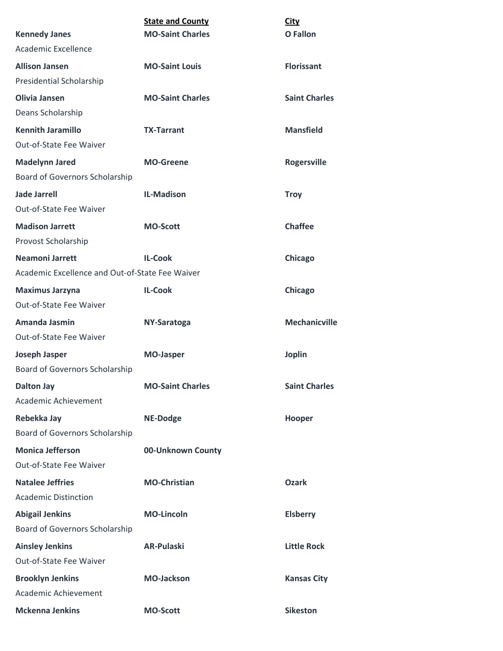|                                                 | <b>State and County</b> | <b>City</b>          |
|-------------------------------------------------|-------------------------|----------------------|
| <b>Kennedy Janes</b>                            | <b>MO-Saint Charles</b> | <b>O</b> Fallon      |
| Academic Excellence                             |                         |                      |
| <b>Allison Jansen</b>                           | <b>MO-Saint Louis</b>   | <b>Florissant</b>    |
| Presidential Scholarship                        |                         |                      |
| <b>Olivia Jansen</b>                            | <b>MO-Saint Charles</b> | <b>Saint Charles</b> |
| Deans Scholarship                               |                         |                      |
| <b>Kennith Jaramillo</b>                        | <b>TX-Tarrant</b>       | <b>Mansfield</b>     |
| Out-of-State Fee Waiver                         |                         |                      |
| <b>Madelynn Jared</b>                           | <b>MO-Greene</b>        | <b>Rogersville</b>   |
| Board of Governors Scholarship                  |                         |                      |
| <b>Jade Jarrell</b>                             | <b>IL-Madison</b>       | <b>Troy</b>          |
| Out-of-State Fee Waiver                         |                         |                      |
| <b>Madison Jarrett</b>                          | <b>MO-Scott</b>         | <b>Chaffee</b>       |
| Provost Scholarship                             |                         |                      |
| <b>Neamoni Jarrett</b>                          | <b>IL-Cook</b>          | Chicago              |
| Academic Excellence and Out-of-State Fee Waiver |                         |                      |
| <b>Maximus Jarzyna</b>                          | <b>IL-Cook</b>          | Chicago              |
| Out-of-State Fee Waiver                         |                         |                      |
| Amanda Jasmin                                   | NY-Saratoga             | <b>Mechanicville</b> |
| Out-of-State Fee Waiver                         |                         |                      |
| Joseph Jasper                                   | <b>MO-Jasper</b>        | <b>Joplin</b>        |
| Board of Governors Scholarship                  |                         |                      |
| <b>Dalton Jay</b>                               | <b>MO-Saint Charles</b> | <b>Saint Charles</b> |
| Academic Achievement                            |                         |                      |
| Rebekka Jay                                     | <b>NE-Dodge</b>         | Hooper               |
| Board of Governors Scholarship                  |                         |                      |
| <b>Monica Jefferson</b>                         | 00-Unknown County       |                      |
| Out-of-State Fee Waiver                         |                         |                      |
| <b>Natalee Jeffries</b>                         | <b>MO-Christian</b>     | <b>Ozark</b>         |
| <b>Academic Distinction</b>                     |                         |                      |
| <b>Abigail Jenkins</b>                          | <b>MO-Lincoln</b>       | <b>Elsberry</b>      |
| Board of Governors Scholarship                  |                         |                      |
| <b>Ainsley Jenkins</b>                          | <b>AR-Pulaski</b>       | <b>Little Rock</b>   |
| Out-of-State Fee Waiver                         |                         |                      |
| <b>Brooklyn Jenkins</b>                         | <b>MO-Jackson</b>       | <b>Kansas City</b>   |
| Academic Achievement                            |                         |                      |
| <b>Mckenna Jenkins</b>                          | <b>MO-Scott</b>         | <b>Sikeston</b>      |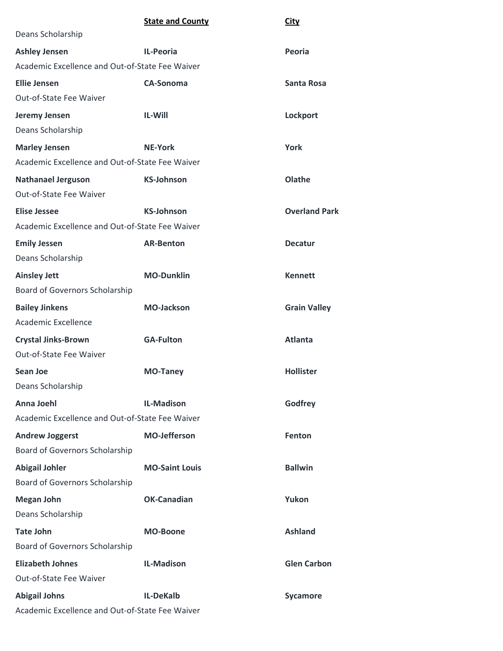|                                                 | <b>State and County</b> | <b>City</b>          |
|-------------------------------------------------|-------------------------|----------------------|
| Deans Scholarship                               |                         |                      |
| <b>Ashley Jensen</b>                            | IL-Peoria               | Peoria               |
| Academic Excellence and Out-of-State Fee Waiver |                         |                      |
| <b>Ellie Jensen</b>                             | <b>CA-Sonoma</b>        | Santa Rosa           |
| Out-of-State Fee Waiver                         |                         |                      |
| Jeremy Jensen                                   | <b>IL-Will</b>          | Lockport             |
| Deans Scholarship                               |                         |                      |
| <b>Marley Jensen</b>                            | <b>NE-York</b>          | York                 |
| Academic Excellence and Out-of-State Fee Waiver |                         |                      |
| <b>Nathanael Jerguson</b>                       | <b>KS-Johnson</b>       | Olathe               |
| Out-of-State Fee Waiver                         |                         |                      |
| <b>Elise Jessee</b>                             | <b>KS-Johnson</b>       | <b>Overland Park</b> |
| Academic Excellence and Out-of-State Fee Waiver |                         |                      |
| <b>Emily Jessen</b>                             | <b>AR-Benton</b>        | <b>Decatur</b>       |
| Deans Scholarship                               |                         |                      |
| <b>Ainsley Jett</b>                             | <b>MO-Dunklin</b>       | <b>Kennett</b>       |
| Board of Governors Scholarship                  |                         |                      |
| <b>Bailey Jinkens</b>                           | <b>MO-Jackson</b>       | <b>Grain Valley</b>  |
| Academic Excellence                             |                         |                      |
| <b>Crystal Jinks-Brown</b>                      | <b>GA-Fulton</b>        | <b>Atlanta</b>       |
| Out-of-State Fee Waiver                         |                         |                      |
| Sean Joe                                        | <b>MO-Taney</b>         | <b>Hollister</b>     |
| Deans Scholarship                               |                         |                      |
| <b>Anna Joehl</b>                               | <b>IL-Madison</b>       | Godfrey              |
| Academic Excellence and Out-of-State Fee Waiver |                         |                      |
| <b>Andrew Joggerst</b>                          | <b>MO-Jefferson</b>     | Fenton               |
| Board of Governors Scholarship                  |                         |                      |
| <b>Abigail Johler</b>                           | <b>MO-Saint Louis</b>   | <b>Ballwin</b>       |
| Board of Governors Scholarship                  |                         |                      |
| <b>Megan John</b>                               | <b>OK-Canadian</b>      | Yukon                |
| Deans Scholarship                               |                         |                      |
| <b>Tate John</b>                                | <b>MO-Boone</b>         | <b>Ashland</b>       |
| Board of Governors Scholarship                  |                         |                      |
| <b>Elizabeth Johnes</b>                         | <b>IL-Madison</b>       | <b>Glen Carbon</b>   |
| Out-of-State Fee Waiver                         |                         |                      |
| <b>Abigail Johns</b>                            | <b>IL-DeKalb</b>        | Sycamore             |
| Academic Excellence and Out-of-State Fee Waiver |                         |                      |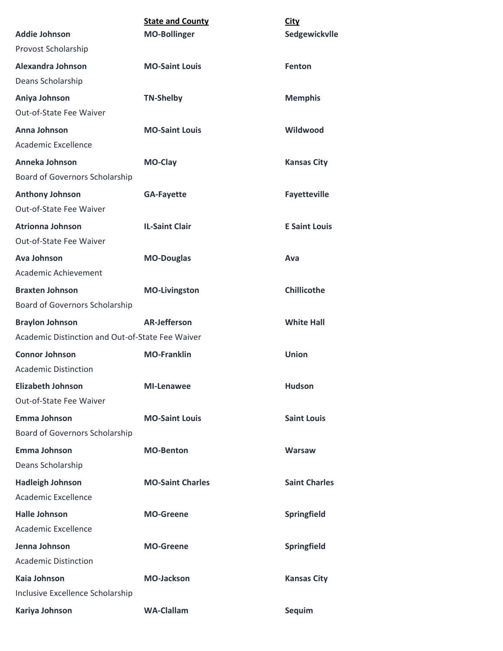| <b>Addie Johnson</b>                             | <b>State and County</b> | <b>City</b><br>Sedgewickvlle |
|--------------------------------------------------|-------------------------|------------------------------|
| Provost Scholarship                              | <b>MO-Bollinger</b>     |                              |
| Alexandra Johnson                                | <b>MO-Saint Louis</b>   |                              |
| Deans Scholarship                                |                         | <b>Fenton</b>                |
|                                                  |                         |                              |
| Aniya Johnson<br>Out-of-State Fee Waiver         | <b>TN-Shelby</b>        | <b>Memphis</b>               |
|                                                  |                         |                              |
| Anna Johnson<br>Academic Excellence              | <b>MO-Saint Louis</b>   | Wildwood                     |
|                                                  |                         |                              |
| Anneka Johnson                                   | <b>MO-Clay</b>          | <b>Kansas City</b>           |
| Board of Governors Scholarship                   |                         |                              |
| <b>Anthony Johnson</b>                           | <b>GA-Fayette</b>       | <b>Fayetteville</b>          |
| Out-of-State Fee Waiver                          |                         |                              |
| <b>Atrionna Johnson</b>                          | <b>IL-Saint Clair</b>   | <b>E Saint Louis</b>         |
| Out-of-State Fee Waiver                          |                         |                              |
| <b>Ava Johnson</b>                               | <b>MO-Douglas</b>       | Ava                          |
| Academic Achievement                             |                         |                              |
| <b>Braxten Johnson</b>                           | <b>MO-Livingston</b>    | <b>Chillicothe</b>           |
| Board of Governors Scholarship                   |                         |                              |
| <b>Braylon Johnson</b>                           | <b>AR-Jefferson</b>     | <b>White Hall</b>            |
| Academic Distinction and Out-of-State Fee Waiver |                         |                              |
| <b>Connor Johnson</b>                            | <b>MO-Franklin</b>      | <b>Union</b>                 |
| <b>Academic Distinction</b>                      |                         |                              |
| <b>Elizabeth Johnson</b>                         | <b>MI-Lenawee</b>       | <b>Hudson</b>                |
| Out-of-State Fee Waiver                          |                         |                              |
| <b>Emma Johnson</b>                              | <b>MO-Saint Louis</b>   | <b>Saint Louis</b>           |
| Board of Governors Scholarship                   |                         |                              |
| <b>Emma Johnson</b>                              | <b>MO-Benton</b>        | <b>Warsaw</b>                |
| Deans Scholarship                                |                         |                              |
| <b>Hadleigh Johnson</b>                          | <b>MO-Saint Charles</b> | <b>Saint Charles</b>         |
| Academic Excellence                              |                         |                              |
| <b>Halle Johnson</b>                             | <b>MO-Greene</b>        | Springfield                  |
| Academic Excellence                              |                         |                              |
| Jenna Johnson                                    | <b>MO-Greene</b>        | Springfield                  |
| <b>Academic Distinction</b>                      |                         |                              |
| <b>Kaia Johnson</b>                              | <b>MO-Jackson</b>       | <b>Kansas City</b>           |
| Inclusive Excellence Scholarship                 |                         |                              |
| Kariya Johnson                                   | <b>WA-Clallam</b>       | Sequim                       |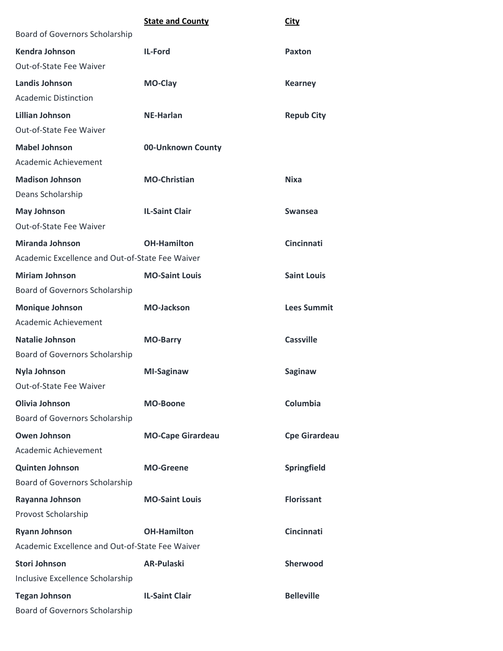|                                                 | <b>State and County</b>  | <b>City</b>          |
|-------------------------------------------------|--------------------------|----------------------|
| <b>Board of Governors Scholarship</b>           |                          |                      |
| Kendra Johnson                                  | IL-Ford                  | <b>Paxton</b>        |
| Out-of-State Fee Waiver                         |                          |                      |
| Landis Johnson                                  | MO-Clay                  | <b>Kearney</b>       |
| <b>Academic Distinction</b>                     |                          |                      |
| <b>Lillian Johnson</b>                          | <b>NE-Harlan</b>         | <b>Repub City</b>    |
| Out-of-State Fee Waiver                         |                          |                      |
| <b>Mabel Johnson</b>                            | 00-Unknown County        |                      |
| Academic Achievement                            |                          |                      |
| <b>Madison Johnson</b>                          | <b>MO-Christian</b>      | <b>Nixa</b>          |
| Deans Scholarship                               |                          |                      |
| <b>May Johnson</b>                              | <b>IL-Saint Clair</b>    | <b>Swansea</b>       |
| <b>Out-of-State Fee Waiver</b>                  |                          |                      |
| <b>Miranda Johnson</b>                          | <b>OH-Hamilton</b>       | <b>Cincinnati</b>    |
| Academic Excellence and Out-of-State Fee Waiver |                          |                      |
| <b>Miriam Johnson</b>                           | <b>MO-Saint Louis</b>    | <b>Saint Louis</b>   |
| <b>Board of Governors Scholarship</b>           |                          |                      |
| <b>Monique Johnson</b>                          | <b>MO-Jackson</b>        | <b>Lees Summit</b>   |
| Academic Achievement                            |                          |                      |
| Natalie Johnson                                 | <b>MO-Barry</b>          | <b>Cassville</b>     |
| Board of Governors Scholarship                  |                          |                      |
| <b>Nyla Johnson</b>                             | <b>MI-Saginaw</b>        | <b>Saginaw</b>       |
| Out-of-State Fee Waiver                         |                          |                      |
| <b>Olivia Johnson</b>                           | <b>MO-Boone</b>          | Columbia             |
| Board of Governors Scholarship                  |                          |                      |
| <b>Owen Johnson</b>                             | <b>MO-Cape Girardeau</b> | <b>Cpe Girardeau</b> |
| Academic Achievement                            |                          |                      |
| <b>Quinten Johnson</b>                          | <b>MO-Greene</b>         | Springfield          |
| Board of Governors Scholarship                  |                          |                      |
| Rayanna Johnson                                 | <b>MO-Saint Louis</b>    | <b>Florissant</b>    |
| Provost Scholarship                             |                          |                      |
| <b>Ryann Johnson</b>                            | <b>OH-Hamilton</b>       | <b>Cincinnati</b>    |
| Academic Excellence and Out-of-State Fee Waiver |                          |                      |
| <b>Stori Johnson</b>                            | <b>AR-Pulaski</b>        | Sherwood             |
| Inclusive Excellence Scholarship                |                          |                      |
| <b>Tegan Johnson</b>                            | <b>IL-Saint Clair</b>    | <b>Belleville</b>    |
| Board of Governors Scholarship                  |                          |                      |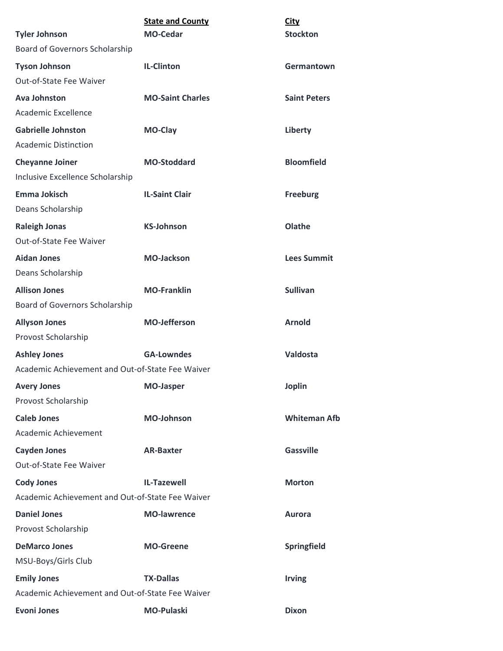|                                                            | <b>State and County</b> | <b>City</b>         |
|------------------------------------------------------------|-------------------------|---------------------|
| <b>Tyler Johnson</b>                                       | <b>MO-Cedar</b>         | <b>Stockton</b>     |
| Board of Governors Scholarship                             |                         |                     |
| <b>Tyson Johnson</b>                                       | <b>IL-Clinton</b>       | Germantown          |
| Out-of-State Fee Waiver                                    |                         |                     |
| <b>Ava Johnston</b>                                        | <b>MO-Saint Charles</b> | <b>Saint Peters</b> |
| Academic Excellence                                        |                         |                     |
| <b>Gabrielle Johnston</b>                                  | <b>MO-Clay</b>          | Liberty             |
| <b>Academic Distinction</b>                                |                         |                     |
| <b>Cheyanne Joiner</b><br>Inclusive Excellence Scholarship | <b>MO-Stoddard</b>      | <b>Bloomfield</b>   |
| Emma Jokisch                                               | <b>IL-Saint Clair</b>   | <b>Freeburg</b>     |
| Deans Scholarship                                          |                         |                     |
| <b>Raleigh Jonas</b>                                       | <b>KS-Johnson</b>       | Olathe              |
| Out-of-State Fee Waiver                                    |                         |                     |
| <b>Aidan Jones</b>                                         | <b>MO-Jackson</b>       | <b>Lees Summit</b>  |
| Deans Scholarship                                          |                         |                     |
| <b>Allison Jones</b>                                       | <b>MO-Franklin</b>      | <b>Sullivan</b>     |
| Board of Governors Scholarship                             |                         |                     |
| <b>Allyson Jones</b>                                       | <b>MO-Jefferson</b>     | <b>Arnold</b>       |
| Provost Scholarship                                        |                         |                     |
| <b>Ashley Jones</b>                                        | <b>GA-Lowndes</b>       | Valdosta            |
| Academic Achievement and Out-of-State Fee Waiver           |                         |                     |
| <b>Avery Jones</b>                                         | <b>MO-Jasper</b>        | Joplin              |
| Provost Scholarship                                        |                         |                     |
| <b>Caleb Jones</b>                                         | <b>MO-Johnson</b>       | <b>Whiteman Afb</b> |
| Academic Achievement                                       |                         |                     |
| <b>Cayden Jones</b>                                        | <b>AR-Baxter</b>        | <b>Gassville</b>    |
| Out-of-State Fee Waiver                                    |                         |                     |
| <b>Cody Jones</b>                                          | <b>IL-Tazewell</b>      | <b>Morton</b>       |
| Academic Achievement and Out-of-State Fee Waiver           |                         |                     |
| <b>Daniel Jones</b>                                        | <b>MO-lawrence</b>      | <b>Aurora</b>       |
| Provost Scholarship                                        |                         |                     |
| <b>DeMarco Jones</b>                                       | <b>MO-Greene</b>        | Springfield         |
| MSU-Boys/Girls Club                                        |                         |                     |
| <b>Emily Jones</b>                                         | <b>TX-Dallas</b>        | <b>Irving</b>       |
| Academic Achievement and Out-of-State Fee Waiver           |                         |                     |
| <b>Evoni Jones</b>                                         | <b>MO-Pulaski</b>       | <b>Dixon</b>        |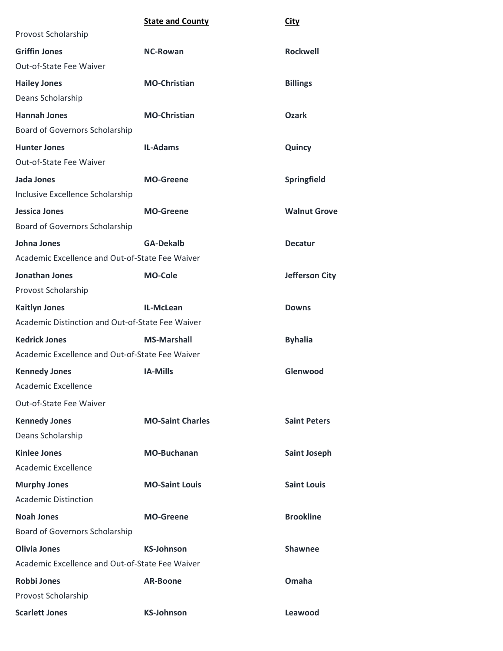|                                                  | <b>State and County</b> | <b>City</b>           |
|--------------------------------------------------|-------------------------|-----------------------|
| Provost Scholarship                              |                         |                       |
| <b>Griffin Jones</b>                             | <b>NC-Rowan</b>         | <b>Rockwell</b>       |
| Out-of-State Fee Waiver                          |                         |                       |
| <b>Hailey Jones</b>                              | <b>MO-Christian</b>     | <b>Billings</b>       |
| Deans Scholarship                                |                         |                       |
| <b>Hannah Jones</b>                              | <b>MO-Christian</b>     | <b>Ozark</b>          |
| Board of Governors Scholarship                   |                         |                       |
| <b>Hunter Jones</b>                              | <b>IL-Adams</b>         | Quincy                |
| Out-of-State Fee Waiver                          |                         |                       |
| Jada Jones                                       | <b>MO-Greene</b>        | Springfield           |
| Inclusive Excellence Scholarship                 |                         |                       |
| <b>Jessica Jones</b>                             | <b>MO-Greene</b>        | <b>Walnut Grove</b>   |
| Board of Governors Scholarship                   |                         |                       |
| <b>Johna Jones</b>                               | <b>GA-Dekalb</b>        | <b>Decatur</b>        |
| Academic Excellence and Out-of-State Fee Waiver  |                         |                       |
| <b>Jonathan Jones</b>                            | <b>MO-Cole</b>          | <b>Jefferson City</b> |
| Provost Scholarship                              |                         |                       |
| <b>Kaitlyn Jones</b>                             | IL-McLean               | <b>Downs</b>          |
| Academic Distinction and Out-of-State Fee Waiver |                         |                       |
| <b>Kedrick Jones</b>                             | <b>MS-Marshall</b>      | <b>Byhalia</b>        |
| Academic Excellence and Out-of-State Fee Waiver  |                         |                       |
| <b>Kennedy Jones</b>                             | <b>IA-Mills</b>         | Glenwood              |
| Academic Excellence                              |                         |                       |
| Out-of-State Fee Waiver                          |                         |                       |
| <b>Kennedy Jones</b>                             | <b>MO-Saint Charles</b> | <b>Saint Peters</b>   |
| Deans Scholarship                                |                         |                       |
| <b>Kinlee Jones</b>                              | <b>MO-Buchanan</b>      | <b>Saint Joseph</b>   |
| Academic Excellence                              |                         |                       |
| <b>Murphy Jones</b>                              | <b>MO-Saint Louis</b>   | <b>Saint Louis</b>    |
| <b>Academic Distinction</b>                      |                         |                       |
| <b>Noah Jones</b>                                | <b>MO-Greene</b>        | <b>Brookline</b>      |
| Board of Governors Scholarship                   |                         |                       |
| <b>Olivia Jones</b>                              | <b>KS-Johnson</b>       | <b>Shawnee</b>        |
| Academic Excellence and Out-of-State Fee Waiver  |                         |                       |
| <b>Robbi Jones</b>                               | <b>AR-Boone</b>         | Omaha                 |
| Provost Scholarship                              |                         |                       |
| <b>Scarlett Jones</b>                            | <b>KS-Johnson</b>       | Leawood               |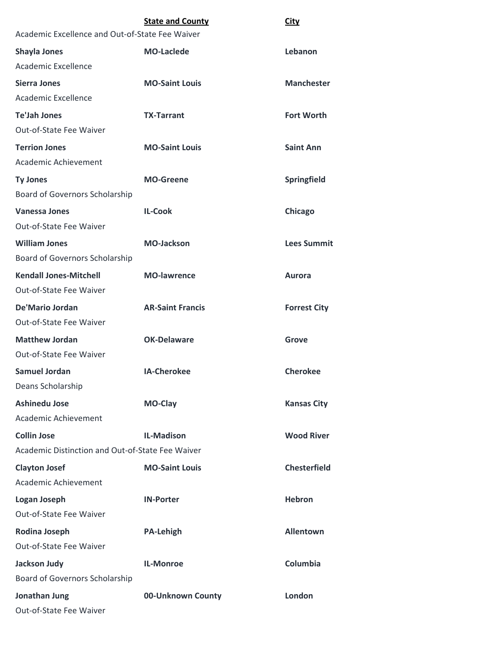|                                                  | <b>State and County</b> | <b>City</b>         |  |
|--------------------------------------------------|-------------------------|---------------------|--|
| Academic Excellence and Out-of-State Fee Waiver  |                         |                     |  |
| <b>Shayla Jones</b>                              | <b>MO-Laclede</b>       | Lebanon             |  |
| Academic Excellence                              |                         |                     |  |
| <b>Sierra Jones</b>                              | <b>MO-Saint Louis</b>   | <b>Manchester</b>   |  |
| Academic Excellence                              |                         |                     |  |
| <b>Te'Jah Jones</b>                              | <b>TX-Tarrant</b>       | <b>Fort Worth</b>   |  |
| <b>Out-of-State Fee Waiver</b>                   |                         |                     |  |
| <b>Terrion Jones</b>                             | <b>MO-Saint Louis</b>   | <b>Saint Ann</b>    |  |
| Academic Achievement                             |                         |                     |  |
| <b>Ty Jones</b>                                  | <b>MO-Greene</b>        | Springfield         |  |
| Board of Governors Scholarship                   |                         |                     |  |
| <b>Vanessa Jones</b>                             | <b>IL-Cook</b>          | Chicago             |  |
| <b>Out-of-State Fee Waiver</b>                   |                         |                     |  |
| <b>William Jones</b>                             | <b>MO-Jackson</b>       | <b>Lees Summit</b>  |  |
| Board of Governors Scholarship                   |                         |                     |  |
| <b>Kendall Jones-Mitchell</b>                    | <b>MO-lawrence</b>      | <b>Aurora</b>       |  |
| <b>Out-of-State Fee Waiver</b>                   |                         |                     |  |
| De'Mario Jordan                                  | <b>AR-Saint Francis</b> | <b>Forrest City</b> |  |
| Out-of-State Fee Waiver                          |                         |                     |  |
| <b>Matthew Jordan</b>                            | <b>OK-Delaware</b>      | Grove               |  |
| Out-of-State Fee Waiver                          |                         |                     |  |
| <b>Samuel Jordan</b>                             | <b>IA-Cherokee</b>      | <b>Cherokee</b>     |  |
| Deans Scholarship                                |                         |                     |  |
| <b>Ashinedu Jose</b>                             | MO-Clay                 | <b>Kansas City</b>  |  |
| Academic Achievement                             |                         |                     |  |
| <b>Collin Jose</b>                               | <b>IL-Madison</b>       | <b>Wood River</b>   |  |
| Academic Distinction and Out-of-State Fee Waiver |                         |                     |  |
| <b>Clayton Josef</b>                             | <b>MO-Saint Louis</b>   | <b>Chesterfield</b> |  |
| Academic Achievement                             |                         |                     |  |
| <b>Logan Joseph</b>                              | <b>IN-Porter</b>        | <b>Hebron</b>       |  |
| Out-of-State Fee Waiver                          |                         |                     |  |
| <b>Rodina Joseph</b>                             | <b>PA-Lehigh</b>        | <b>Allentown</b>    |  |
| Out-of-State Fee Waiver                          |                         |                     |  |
| <b>Jackson Judy</b>                              | <b>IL-Monroe</b>        | Columbia            |  |
| Board of Governors Scholarship                   |                         |                     |  |
| Jonathan Jung                                    | 00-Unknown County       | London              |  |
| Out-of-State Fee Waiver                          |                         |                     |  |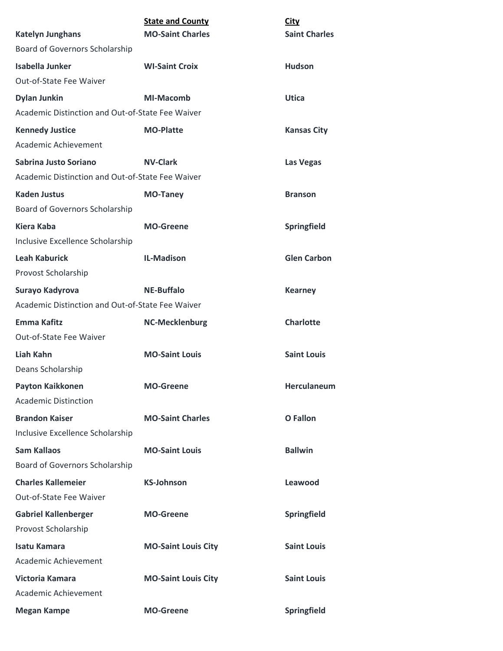| <b>Katelyn Junghans</b>                          | <b>State and County</b><br><b>MO-Saint Charles</b> | <b>City</b><br><b>Saint Charles</b> |
|--------------------------------------------------|----------------------------------------------------|-------------------------------------|
| Board of Governors Scholarship                   |                                                    |                                     |
| <b>Isabella Junker</b>                           | <b>WI-Saint Croix</b>                              | <b>Hudson</b>                       |
| Out-of-State Fee Waiver                          |                                                    |                                     |
| <b>Dylan Junkin</b>                              | <b>MI-Macomb</b>                                   | <b>Utica</b>                        |
| Academic Distinction and Out-of-State Fee Waiver |                                                    |                                     |
| <b>Kennedy Justice</b>                           | <b>MO-Platte</b>                                   | <b>Kansas City</b>                  |
| Academic Achievement                             |                                                    |                                     |
| Sabrina Justo Soriano                            | <b>NV-Clark</b>                                    | Las Vegas                           |
| Academic Distinction and Out-of-State Fee Waiver |                                                    |                                     |
| <b>Kaden Justus</b>                              | <b>MO-Taney</b>                                    | <b>Branson</b>                      |
| Board of Governors Scholarship                   |                                                    |                                     |
| <b>Kiera Kaba</b>                                | <b>MO-Greene</b>                                   | Springfield                         |
| Inclusive Excellence Scholarship                 |                                                    |                                     |
| <b>Leah Kaburick</b>                             | <b>IL-Madison</b>                                  | <b>Glen Carbon</b>                  |
| Provost Scholarship                              |                                                    |                                     |
| Surayo Kadyrova                                  | <b>NE-Buffalo</b>                                  | <b>Kearney</b>                      |
| Academic Distinction and Out-of-State Fee Waiver |                                                    |                                     |
| Emma Kafitz                                      | <b>NC-Mecklenburg</b>                              | <b>Charlotte</b>                    |
| Out-of-State Fee Waiver                          |                                                    |                                     |
| Liah Kahn                                        | <b>MO-Saint Louis</b>                              | <b>Saint Louis</b>                  |
| Deans Scholarship                                |                                                    |                                     |
| <b>Payton Kaikkonen</b>                          | <b>MO-Greene</b>                                   | Herculaneum                         |
| <b>Academic Distinction</b>                      |                                                    |                                     |
| <b>Brandon Kaiser</b>                            | <b>MO-Saint Charles</b>                            | <b>O</b> Fallon                     |
| Inclusive Excellence Scholarship                 |                                                    |                                     |
| <b>Sam Kallaos</b>                               | <b>MO-Saint Louis</b>                              | <b>Ballwin</b>                      |
| Board of Governors Scholarship                   |                                                    |                                     |
| <b>Charles Kallemeier</b>                        | <b>KS-Johnson</b>                                  | Leawood                             |
| Out-of-State Fee Waiver                          |                                                    |                                     |
| <b>Gabriel Kallenberger</b>                      | <b>MO-Greene</b>                                   | Springfield                         |
| Provost Scholarship                              |                                                    |                                     |
| <b>Isatu Kamara</b>                              | <b>MO-Saint Louis City</b>                         | <b>Saint Louis</b>                  |
| Academic Achievement                             |                                                    |                                     |
| Victoria Kamara                                  | <b>MO-Saint Louis City</b>                         | <b>Saint Louis</b>                  |
| Academic Achievement                             |                                                    |                                     |
| <b>Megan Kampe</b>                               | <b>MO-Greene</b>                                   | Springfield                         |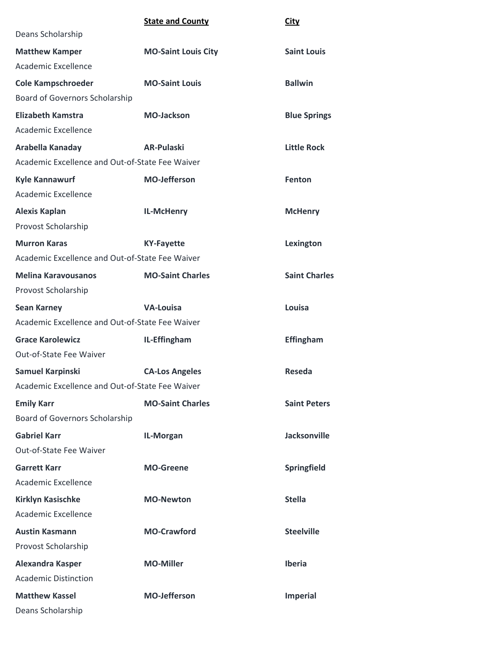|                                                 | <b>State and County</b>    | <b>City</b>          |  |
|-------------------------------------------------|----------------------------|----------------------|--|
| Deans Scholarship                               |                            |                      |  |
| <b>Matthew Kamper</b>                           | <b>MO-Saint Louis City</b> | <b>Saint Louis</b>   |  |
| Academic Excellence                             |                            |                      |  |
| <b>Cole Kampschroeder</b>                       | <b>MO-Saint Louis</b>      | <b>Ballwin</b>       |  |
| Board of Governors Scholarship                  |                            |                      |  |
| <b>Elizabeth Kamstra</b>                        | <b>MO-Jackson</b>          | <b>Blue Springs</b>  |  |
| Academic Excellence                             |                            |                      |  |
| Arabella Kanaday                                | <b>AR-Pulaski</b>          | <b>Little Rock</b>   |  |
| Academic Excellence and Out-of-State Fee Waiver |                            |                      |  |
| <b>Kyle Kannawurf</b>                           | <b>MO-Jefferson</b>        | <b>Fenton</b>        |  |
| Academic Excellence                             |                            |                      |  |
| <b>Alexis Kaplan</b>                            | IL-McHenry                 | <b>McHenry</b>       |  |
| Provost Scholarship                             |                            |                      |  |
| <b>Murron Karas</b>                             | <b>KY-Fayette</b>          | Lexington            |  |
| Academic Excellence and Out-of-State Fee Waiver |                            |                      |  |
| <b>Melina Karavousanos</b>                      | <b>MO-Saint Charles</b>    | <b>Saint Charles</b> |  |
| Provost Scholarship                             |                            |                      |  |
| <b>Sean Karney</b>                              | <b>VA-Louisa</b>           | Louisa               |  |
| Academic Excellence and Out-of-State Fee Waiver |                            |                      |  |
| <b>Grace Karolewicz</b>                         | IL-Effingham               | <b>Effingham</b>     |  |
| Out-of-State Fee Waiver                         |                            |                      |  |
| Samuel Karpinski                                | <b>CA-Los Angeles</b>      | Reseda               |  |
| Academic Excellence and Out-of-State Fee Waiver |                            |                      |  |
| <b>Emily Karr</b>                               | <b>MO-Saint Charles</b>    | <b>Saint Peters</b>  |  |
| Board of Governors Scholarship                  |                            |                      |  |
| <b>Gabriel Karr</b>                             | IL-Morgan                  | <b>Jacksonville</b>  |  |
| Out-of-State Fee Waiver                         |                            |                      |  |
| <b>Garrett Karr</b>                             | <b>MO-Greene</b>           | Springfield          |  |
| Academic Excellence                             |                            |                      |  |
| <b>Kirklyn Kasischke</b>                        | <b>MO-Newton</b>           | <b>Stella</b>        |  |
| Academic Excellence                             |                            |                      |  |
| <b>Austin Kasmann</b>                           | <b>MO-Crawford</b>         | <b>Steelville</b>    |  |
| Provost Scholarship                             |                            |                      |  |
| <b>Alexandra Kasper</b>                         | <b>MO-Miller</b>           | <b>Iberia</b>        |  |
| <b>Academic Distinction</b>                     |                            |                      |  |
| <b>Matthew Kassel</b>                           | <b>MO-Jefferson</b>        | <b>Imperial</b>      |  |
| Deans Scholarship                               |                            |                      |  |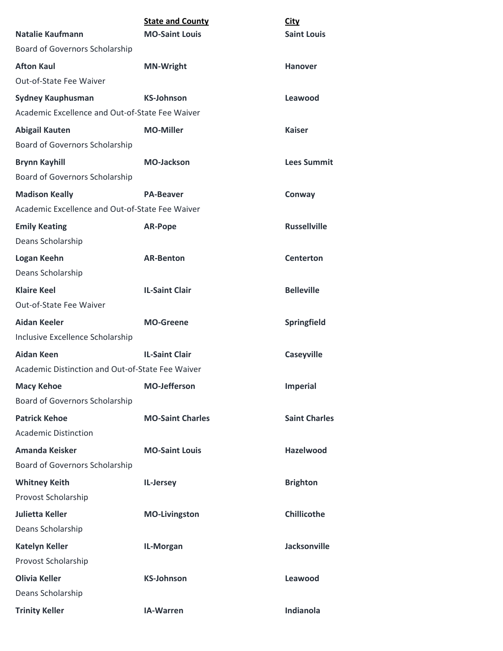| <b>Natalie Kaufmann</b>                          | <b>State and County</b><br><b>MO-Saint Louis</b> | <b>City</b><br><b>Saint Louis</b> |
|--------------------------------------------------|--------------------------------------------------|-----------------------------------|
| <b>Board of Governors Scholarship</b>            |                                                  |                                   |
| <b>Afton Kaul</b>                                | <b>MN-Wright</b>                                 | <b>Hanover</b>                    |
| Out-of-State Fee Waiver                          |                                                  |                                   |
| <b>Sydney Kauphusman</b>                         | <b>KS-Johnson</b>                                | Leawood                           |
| Academic Excellence and Out-of-State Fee Waiver  |                                                  |                                   |
| <b>Abigail Kauten</b>                            | <b>MO-Miller</b>                                 | <b>Kaiser</b>                     |
| Board of Governors Scholarship                   |                                                  |                                   |
| <b>Brynn Kayhill</b>                             | <b>MO-Jackson</b>                                | <b>Lees Summit</b>                |
| <b>Board of Governors Scholarship</b>            |                                                  |                                   |
| <b>Madison Keally</b>                            | <b>PA-Beaver</b>                                 | Conway                            |
| Academic Excellence and Out-of-State Fee Waiver  |                                                  |                                   |
| <b>Emily Keating</b>                             | <b>AR-Pope</b>                                   | <b>Russellville</b>               |
| Deans Scholarship                                |                                                  |                                   |
| Logan Keehn                                      | <b>AR-Benton</b>                                 | <b>Centerton</b>                  |
| Deans Scholarship                                |                                                  |                                   |
| <b>Klaire Keel</b>                               | <b>IL-Saint Clair</b>                            | <b>Belleville</b>                 |
| <b>Out-of-State Fee Waiver</b>                   |                                                  |                                   |
| Aidan Keeler                                     | <b>MO-Greene</b>                                 | Springfield                       |
| Inclusive Excellence Scholarship                 |                                                  |                                   |
| Aidan Keen                                       | <b>IL-Saint Clair</b>                            | <b>Caseyville</b>                 |
| Academic Distinction and Out-of-State Fee Waiver |                                                  |                                   |
| <b>Macy Kehoe</b>                                | <b>MO-Jefferson</b>                              | <b>Imperial</b>                   |
| Board of Governors Scholarship                   |                                                  |                                   |
| <b>Patrick Kehoe</b>                             | <b>MO-Saint Charles</b>                          | <b>Saint Charles</b>              |
| <b>Academic Distinction</b>                      |                                                  |                                   |
| <b>Amanda Keisker</b>                            | <b>MO-Saint Louis</b>                            | <b>Hazelwood</b>                  |
| Board of Governors Scholarship                   |                                                  |                                   |
| <b>Whitney Keith</b>                             | IL-Jersey                                        | <b>Brighton</b>                   |
| Provost Scholarship                              |                                                  |                                   |
| <b>Julietta Keller</b>                           | <b>MO-Livingston</b>                             | <b>Chillicothe</b>                |
| Deans Scholarship                                |                                                  |                                   |
| <b>Katelyn Keller</b>                            | IL-Morgan                                        | <b>Jacksonville</b>               |
| Provost Scholarship                              |                                                  |                                   |
| <b>Olivia Keller</b>                             | <b>KS-Johnson</b>                                | Leawood                           |
| Deans Scholarship                                |                                                  |                                   |
| <b>Trinity Keller</b>                            | IA-Warren                                        | <b>Indianola</b>                  |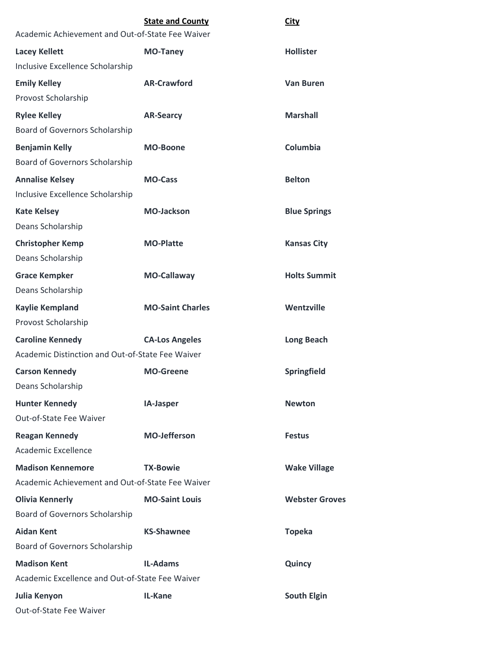| Academic Achievement and Out-of-State Fee Waiver | <b>State and County</b> | <b>City</b>           |
|--------------------------------------------------|-------------------------|-----------------------|
| <b>Lacey Kellett</b>                             | <b>MO-Taney</b>         | <b>Hollister</b>      |
| Inclusive Excellence Scholarship                 |                         |                       |
| <b>Emily Kelley</b>                              | <b>AR-Crawford</b>      | <b>Van Buren</b>      |
| Provost Scholarship                              |                         |                       |
| <b>Rylee Kelley</b>                              | <b>AR-Searcy</b>        | <b>Marshall</b>       |
| <b>Board of Governors Scholarship</b>            |                         |                       |
| <b>Benjamin Kelly</b>                            | <b>MO-Boone</b>         | Columbia              |
| Board of Governors Scholarship                   |                         |                       |
| <b>Annalise Kelsey</b>                           | <b>MO-Cass</b>          | <b>Belton</b>         |
| Inclusive Excellence Scholarship                 |                         |                       |
| <b>Kate Kelsey</b>                               | <b>MO-Jackson</b>       | <b>Blue Springs</b>   |
| Deans Scholarship                                |                         |                       |
| <b>Christopher Kemp</b>                          | <b>MO-Platte</b>        | <b>Kansas City</b>    |
| Deans Scholarship                                |                         |                       |
| <b>Grace Kempker</b>                             | <b>MO-Callaway</b>      | <b>Holts Summit</b>   |
| Deans Scholarship                                |                         |                       |
| <b>Kaylie Kempland</b>                           | <b>MO-Saint Charles</b> | Wentzville            |
| Provost Scholarship                              |                         |                       |
| <b>Caroline Kennedy</b>                          | <b>CA-Los Angeles</b>   | <b>Long Beach</b>     |
| Academic Distinction and Out-of-State Fee Waiver |                         |                       |
| <b>Carson Kennedy</b>                            | <b>MO-Greene</b>        | Springfield           |
| Deans Scholarship                                |                         |                       |
| <b>Hunter Kennedy</b>                            | IA-Jasper               | <b>Newton</b>         |
| Out-of-State Fee Waiver                          |                         |                       |
| <b>Reagan Kennedy</b>                            | <b>MO-Jefferson</b>     | <b>Festus</b>         |
| Academic Excellence                              |                         |                       |
| <b>Madison Kennemore</b>                         | <b>TX-Bowie</b>         | <b>Wake Village</b>   |
| Academic Achievement and Out-of-State Fee Waiver |                         |                       |
| <b>Olivia Kennerly</b>                           | <b>MO-Saint Louis</b>   | <b>Webster Groves</b> |
| Board of Governors Scholarship                   |                         |                       |
| <b>Aidan Kent</b>                                | <b>KS-Shawnee</b>       | <b>Topeka</b>         |
| Board of Governors Scholarship                   |                         |                       |
| <b>Madison Kent</b>                              | <b>IL-Adams</b>         | Quincy                |
| Academic Excellence and Out-of-State Fee Waiver  |                         |                       |
| Julia Kenyon                                     | <b>IL-Kane</b>          | <b>South Elgin</b>    |
| Out-of-State Fee Waiver                          |                         |                       |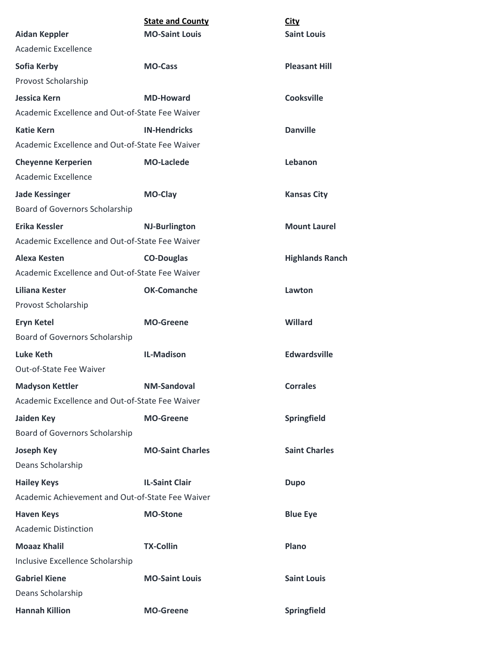|                                                  | <b>State and County</b> | City                   |
|--------------------------------------------------|-------------------------|------------------------|
| <b>Aidan Keppler</b>                             | <b>MO-Saint Louis</b>   | <b>Saint Louis</b>     |
| Academic Excellence                              |                         |                        |
| Sofia Kerby                                      | <b>MO-Cass</b>          | <b>Pleasant Hill</b>   |
| Provost Scholarship                              |                         |                        |
| <b>Jessica Kern</b>                              | <b>MD-Howard</b>        | <b>Cooksville</b>      |
| Academic Excellence and Out-of-State Fee Waiver  |                         |                        |
| <b>Katie Kern</b>                                | <b>IN-Hendricks</b>     | <b>Danville</b>        |
| Academic Excellence and Out-of-State Fee Waiver  |                         |                        |
| <b>Cheyenne Kerperien</b>                        | <b>MO-Laclede</b>       | Lebanon                |
| Academic Excellence                              |                         |                        |
| <b>Jade Kessinger</b>                            | MO-Clay                 | <b>Kansas City</b>     |
| Board of Governors Scholarship                   |                         |                        |
| <b>Erika Kessler</b>                             | <b>NJ-Burlington</b>    | <b>Mount Laurel</b>    |
| Academic Excellence and Out-of-State Fee Waiver  |                         |                        |
| Alexa Kesten                                     | <b>CO-Douglas</b>       | <b>Highlands Ranch</b> |
| Academic Excellence and Out-of-State Fee Waiver  |                         |                        |
| Liliana Kester                                   | <b>OK-Comanche</b>      | Lawton                 |
| Provost Scholarship                              |                         |                        |
| <b>Eryn Ketel</b>                                | <b>MO-Greene</b>        | <b>Willard</b>         |
| Board of Governors Scholarship                   |                         |                        |
| Luke Keth                                        | <b>IL-Madison</b>       | <b>Edwardsville</b>    |
| Out-of-State Fee Waiver                          |                         |                        |
| <b>Madyson Kettler</b>                           | <b>NM-Sandoval</b>      | <b>Corrales</b>        |
| Academic Excellence and Out-of-State Fee Waiver  |                         |                        |
| <b>Jaiden Key</b>                                | <b>MO-Greene</b>        | <b>Springfield</b>     |
| Board of Governors Scholarship                   |                         |                        |
| <b>Joseph Key</b>                                | <b>MO-Saint Charles</b> | <b>Saint Charles</b>   |
| Deans Scholarship                                |                         |                        |
| <b>Hailey Keys</b>                               | <b>IL-Saint Clair</b>   | <b>Dupo</b>            |
| Academic Achievement and Out-of-State Fee Waiver |                         |                        |
| <b>Haven Keys</b>                                | <b>MO-Stone</b>         | <b>Blue Eye</b>        |
| <b>Academic Distinction</b>                      |                         |                        |
| <b>Moaaz Khalil</b>                              | <b>TX-Collin</b>        | Plano                  |
| Inclusive Excellence Scholarship                 |                         |                        |
| <b>Gabriel Kiene</b>                             | <b>MO-Saint Louis</b>   | <b>Saint Louis</b>     |
| Deans Scholarship                                |                         |                        |
| <b>Hannah Killion</b>                            | <b>MO-Greene</b>        | Springfield            |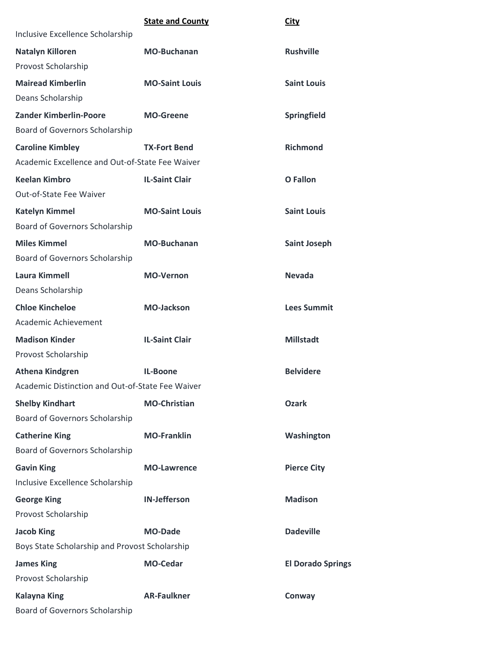|                                                  | <b>State and County</b> | <b>City</b>              |
|--------------------------------------------------|-------------------------|--------------------------|
| Inclusive Excellence Scholarship                 |                         |                          |
| <b>Natalyn Killoren</b>                          | <b>MO-Buchanan</b>      | <b>Rushville</b>         |
| Provost Scholarship                              |                         |                          |
| <b>Mairead Kimberlin</b>                         | <b>MO-Saint Louis</b>   | <b>Saint Louis</b>       |
| Deans Scholarship                                |                         |                          |
| Zander Kimberlin-Poore                           | <b>MO-Greene</b>        | Springfield              |
| Board of Governors Scholarship                   |                         |                          |
| <b>Caroline Kimbley</b>                          | <b>TX-Fort Bend</b>     | <b>Richmond</b>          |
| Academic Excellence and Out-of-State Fee Waiver  |                         |                          |
| <b>Keelan Kimbro</b>                             | <b>IL-Saint Clair</b>   | <b>O</b> Fallon          |
| Out-of-State Fee Waiver                          |                         |                          |
| <b>Katelyn Kimmel</b>                            | <b>MO-Saint Louis</b>   | <b>Saint Louis</b>       |
| Board of Governors Scholarship                   |                         |                          |
| <b>Miles Kimmel</b>                              | <b>MO-Buchanan</b>      | <b>Saint Joseph</b>      |
| Board of Governors Scholarship                   |                         |                          |
| <b>Laura Kimmell</b>                             | <b>MO-Vernon</b>        | <b>Nevada</b>            |
| Deans Scholarship                                |                         |                          |
| <b>Chloe Kincheloe</b>                           | <b>MO-Jackson</b>       | <b>Lees Summit</b>       |
| Academic Achievement                             |                         |                          |
| <b>Madison Kinder</b>                            | <b>IL-Saint Clair</b>   | <b>Millstadt</b>         |
| Provost Scholarship                              |                         |                          |
| <b>Athena Kindgren</b>                           | <b>IL-Boone</b>         | <b>Belvidere</b>         |
| Academic Distinction and Out-of-State Fee Waiver |                         |                          |
| <b>Shelby Kindhart</b>                           | <b>MO-Christian</b>     | <b>Ozark</b>             |
| Board of Governors Scholarship                   |                         |                          |
| <b>Catherine King</b>                            | <b>MO-Franklin</b>      | Washington               |
| Board of Governors Scholarship                   |                         |                          |
| <b>Gavin King</b>                                | <b>MO-Lawrence</b>      | <b>Pierce City</b>       |
| Inclusive Excellence Scholarship                 |                         |                          |
| <b>George King</b>                               | <b>IN-Jefferson</b>     | <b>Madison</b>           |
| Provost Scholarship                              |                         |                          |
| <b>Jacob King</b>                                | <b>MO-Dade</b>          | <b>Dadeville</b>         |
| Boys State Scholarship and Provost Scholarship   |                         |                          |
| <b>James King</b>                                | <b>MO-Cedar</b>         | <b>El Dorado Springs</b> |
| Provost Scholarship                              |                         |                          |
| <b>Kalayna King</b>                              | <b>AR-Faulkner</b>      | Conway                   |
| Board of Governors Scholarship                   |                         |                          |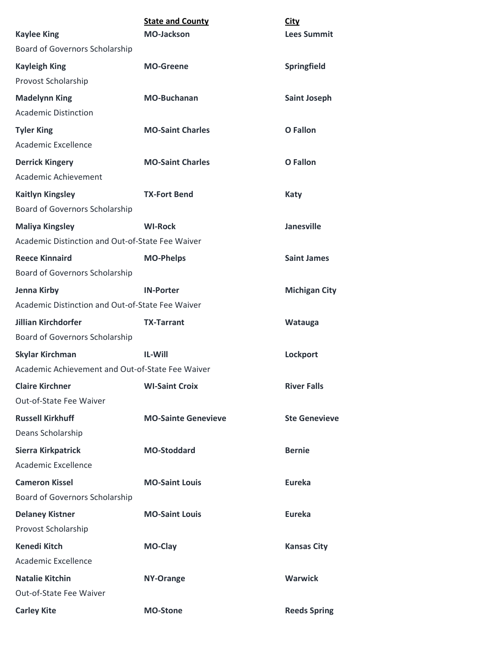| <b>Kaylee King</b>                               | <b>State and County</b><br><b>MO-Jackson</b> | <b>City</b><br><b>Lees Summit</b> |  |
|--------------------------------------------------|----------------------------------------------|-----------------------------------|--|
| Board of Governors Scholarship                   |                                              |                                   |  |
| <b>Kayleigh King</b>                             | <b>MO-Greene</b>                             | Springfield                       |  |
| Provost Scholarship                              |                                              |                                   |  |
| <b>Madelynn King</b>                             | <b>MO-Buchanan</b>                           | <b>Saint Joseph</b>               |  |
| <b>Academic Distinction</b>                      |                                              |                                   |  |
| <b>Tyler King</b>                                | <b>MO-Saint Charles</b>                      | <b>O</b> Fallon                   |  |
| Academic Excellence                              |                                              |                                   |  |
| <b>Derrick Kingery</b>                           | <b>MO-Saint Charles</b>                      | <b>O</b> Fallon                   |  |
| Academic Achievement                             |                                              |                                   |  |
| <b>Kaitlyn Kingsley</b>                          | <b>TX-Fort Bend</b>                          | <b>Katy</b>                       |  |
| Board of Governors Scholarship                   |                                              |                                   |  |
| <b>Maliya Kingsley</b>                           | <b>WI-Rock</b>                               | <b>Janesville</b>                 |  |
| Academic Distinction and Out-of-State Fee Waiver |                                              |                                   |  |
| <b>Reece Kinnaird</b>                            | <b>MO-Phelps</b>                             | <b>Saint James</b>                |  |
| Board of Governors Scholarship                   |                                              |                                   |  |
| Jenna Kirby                                      | <b>IN-Porter</b>                             | <b>Michigan City</b>              |  |
| Academic Distinction and Out-of-State Fee Waiver |                                              |                                   |  |
| Jillian Kirchdorfer                              | <b>TX-Tarrant</b>                            | Watauga                           |  |
| Board of Governors Scholarship                   |                                              |                                   |  |
| <b>Skylar Kirchman</b>                           | <b>IL-Will</b>                               | Lockport                          |  |
| Academic Achievement and Out-of-State Fee Waiver |                                              |                                   |  |
| <b>Claire Kirchner</b>                           | <b>WI-Saint Croix</b>                        | <b>River Falls</b>                |  |
| Out-of-State Fee Waiver                          |                                              |                                   |  |
| <b>Russell Kirkhuff</b>                          | <b>MO-Sainte Genevieve</b>                   | <b>Ste Genevieve</b>              |  |
| Deans Scholarship                                |                                              |                                   |  |
| <b>Sierra Kirkpatrick</b>                        | <b>MO-Stoddard</b>                           | <b>Bernie</b>                     |  |
| Academic Excellence                              |                                              |                                   |  |
| <b>Cameron Kissel</b>                            | <b>MO-Saint Louis</b>                        | <b>Eureka</b>                     |  |
| Board of Governors Scholarship                   |                                              |                                   |  |
| <b>Delaney Kistner</b>                           | <b>MO-Saint Louis</b>                        | <b>Eureka</b>                     |  |
| Provost Scholarship                              |                                              |                                   |  |
| <b>Kenedi Kitch</b>                              | <b>MO-Clay</b>                               | <b>Kansas City</b>                |  |
| <b>Academic Excellence</b>                       |                                              |                                   |  |
| <b>Natalie Kitchin</b>                           | <b>NY-Orange</b>                             | <b>Warwick</b>                    |  |
| Out-of-State Fee Waiver                          |                                              |                                   |  |
| <b>Carley Kite</b>                               | <b>MO-Stone</b>                              | <b>Reeds Spring</b>               |  |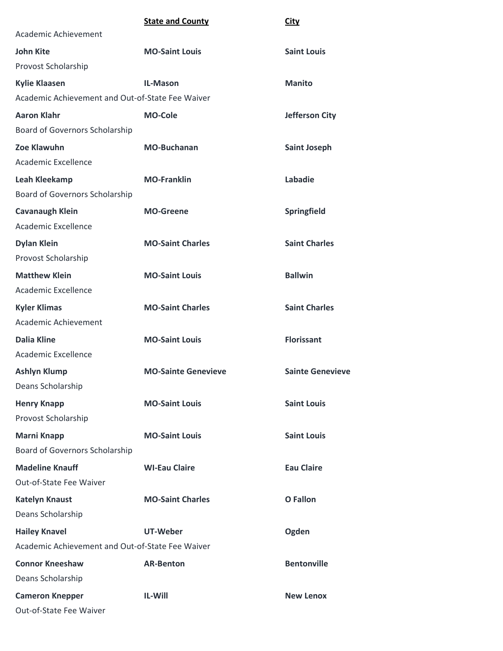## **State and County City**

| Academic Achievement                             |                            |                         |
|--------------------------------------------------|----------------------------|-------------------------|
| <b>John Kite</b>                                 | <b>MO-Saint Louis</b>      | <b>Saint Louis</b>      |
| Provost Scholarship                              |                            |                         |
| <b>Kylie Klaasen</b>                             | <b>IL-Mason</b>            | <b>Manito</b>           |
| Academic Achievement and Out-of-State Fee Waiver |                            |                         |
| <b>Aaron Klahr</b>                               | <b>MO-Cole</b>             | <b>Jefferson City</b>   |
| Board of Governors Scholarship                   |                            |                         |
| Zoe Klawuhn                                      | <b>MO-Buchanan</b>         | <b>Saint Joseph</b>     |
| Academic Excellence                              |                            |                         |
| Leah Kleekamp                                    | <b>MO-Franklin</b>         | Labadie                 |
| Board of Governors Scholarship                   |                            |                         |
| <b>Cavanaugh Klein</b>                           | <b>MO-Greene</b>           | Springfield             |
| Academic Excellence                              |                            |                         |
| <b>Dylan Klein</b>                               | <b>MO-Saint Charles</b>    | <b>Saint Charles</b>    |
| Provost Scholarship                              |                            |                         |
| <b>Matthew Klein</b>                             | <b>MO-Saint Louis</b>      | <b>Ballwin</b>          |
| Academic Excellence                              |                            |                         |
| <b>Kyler Klimas</b>                              | <b>MO-Saint Charles</b>    | <b>Saint Charles</b>    |
| Academic Achievement                             |                            |                         |
| <b>Dalia Kline</b>                               | <b>MO-Saint Louis</b>      | <b>Florissant</b>       |
| Academic Excellence                              |                            |                         |
| <b>Ashlyn Klump</b>                              | <b>MO-Sainte Genevieve</b> | <b>Sainte Genevieve</b> |
| Deans Scholarship                                |                            |                         |
| <b>Henry Knapp</b>                               | <b>MO-Saint Louis</b>      | <b>Saint Louis</b>      |
| Provost Scholarship                              |                            |                         |
| <b>Marni Knapp</b>                               | <b>MO-Saint Louis</b>      | <b>Saint Louis</b>      |
| Board of Governors Scholarship                   |                            |                         |
| <b>Madeline Knauff</b>                           | <b>WI-Eau Claire</b>       | <b>Eau Claire</b>       |
| Out-of-State Fee Waiver                          |                            |                         |
| <b>Katelyn Knaust</b>                            | <b>MO-Saint Charles</b>    | <b>O</b> Fallon         |
| Deans Scholarship                                |                            |                         |
| <b>Hailey Knavel</b>                             | UT-Weber                   | Ogden                   |
| Academic Achievement and Out-of-State Fee Waiver |                            |                         |
| <b>Connor Kneeshaw</b>                           | <b>AR-Benton</b>           | <b>Bentonville</b>      |
| Deans Scholarship                                |                            |                         |
| <b>Cameron Knepper</b>                           | IL-Will                    | <b>New Lenox</b>        |
| Out-of-State Fee Waiver                          |                            |                         |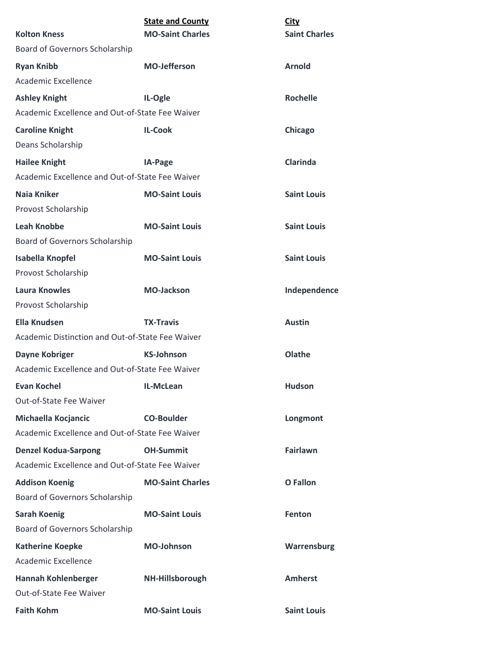|                                                  | <b>State and County</b> | <b>City</b>          |  |
|--------------------------------------------------|-------------------------|----------------------|--|
| <b>Kolton Kness</b>                              | <b>MO-Saint Charles</b> | <b>Saint Charles</b> |  |
| <b>Board of Governors Scholarship</b>            |                         |                      |  |
| <b>Ryan Knibb</b>                                | <b>MO-Jefferson</b>     | <b>Arnold</b>        |  |
| Academic Excellence                              |                         |                      |  |
| <b>Ashley Knight</b>                             | IL-Ogle                 | <b>Rochelle</b>      |  |
| Academic Excellence and Out-of-State Fee Waiver  |                         |                      |  |
| <b>Caroline Knight</b>                           | <b>IL-Cook</b>          | Chicago              |  |
| Deans Scholarship                                |                         |                      |  |
| <b>Hailee Knight</b>                             | IA-Page                 | <b>Clarinda</b>      |  |
| Academic Excellence and Out-of-State Fee Waiver  |                         |                      |  |
| <b>Naia Kniker</b>                               | <b>MO-Saint Louis</b>   | <b>Saint Louis</b>   |  |
| Provost Scholarship                              |                         |                      |  |
| <b>Leah Knobbe</b>                               | <b>MO-Saint Louis</b>   | <b>Saint Louis</b>   |  |
| <b>Board of Governors Scholarship</b>            |                         |                      |  |
| Isabella Knopfel                                 | <b>MO-Saint Louis</b>   | <b>Saint Louis</b>   |  |
| Provost Scholarship                              |                         |                      |  |
| <b>Laura Knowles</b>                             | <b>MO-Jackson</b>       | Independence         |  |
| Provost Scholarship                              |                         |                      |  |
| <b>Ella Knudsen</b>                              | <b>TX-Travis</b>        | <b>Austin</b>        |  |
| Academic Distinction and Out-of-State Fee Waiver |                         |                      |  |
| <b>Dayne Kobriger</b>                            | <b>KS-Johnson</b>       | Olathe               |  |
| Academic Excellence and Out-of-State Fee Waiver  |                         |                      |  |
| <b>Evan Kochel</b>                               | IL-McLean               | <b>Hudson</b>        |  |
| Out-of-State Fee Waiver                          |                         |                      |  |
| Michaella Kocjancic                              | <b>CO-Boulder</b>       | Longmont             |  |
| Academic Excellence and Out-of-State Fee Waiver  |                         |                      |  |
| <b>Denzel Kodua-Sarpong</b>                      | <b>OH-Summit</b>        | <b>Fairlawn</b>      |  |
| Academic Excellence and Out-of-State Fee Waiver  |                         |                      |  |
| <b>Addison Koenig</b>                            | <b>MO-Saint Charles</b> | O Fallon             |  |
| Board of Governors Scholarship                   |                         |                      |  |
| <b>Sarah Koenig</b>                              | <b>MO-Saint Louis</b>   | Fenton               |  |
| <b>Board of Governors Scholarship</b>            |                         |                      |  |
| <b>Katherine Koepke</b>                          | <b>MO-Johnson</b>       | Warrensburg          |  |
| Academic Excellence                              |                         |                      |  |
| <b>Hannah Kohlenberger</b>                       | NH-Hillsborough         | <b>Amherst</b>       |  |
| Out-of-State Fee Waiver                          |                         |                      |  |
| <b>Faith Kohm</b>                                | <b>MO-Saint Louis</b>   | <b>Saint Louis</b>   |  |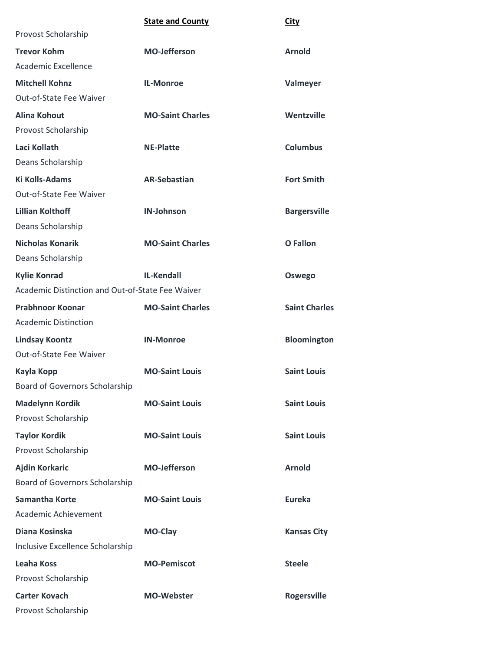|                                                  | <b>State and County</b> | <b>City</b>          |  |
|--------------------------------------------------|-------------------------|----------------------|--|
| Provost Scholarship                              |                         |                      |  |
| <b>Trevor Kohm</b>                               | <b>MO-Jefferson</b>     | <b>Arnold</b>        |  |
| Academic Excellence                              |                         |                      |  |
| <b>Mitchell Kohnz</b>                            | <b>IL-Monroe</b>        | Valmeyer             |  |
| Out-of-State Fee Waiver                          |                         |                      |  |
| Alina Kohout                                     | <b>MO-Saint Charles</b> | Wentzville           |  |
| Provost Scholarship                              |                         |                      |  |
| Laci Kollath                                     | <b>NE-Platte</b>        | <b>Columbus</b>      |  |
| Deans Scholarship                                |                         |                      |  |
| <b>Ki Kolls-Adams</b>                            | <b>AR-Sebastian</b>     | <b>Fort Smith</b>    |  |
| Out-of-State Fee Waiver                          |                         |                      |  |
| <b>Lillian Kolthoff</b>                          | <b>IN-Johnson</b>       | <b>Bargersville</b>  |  |
| Deans Scholarship                                |                         |                      |  |
| <b>Nicholas Konarik</b>                          | <b>MO-Saint Charles</b> | O Fallon             |  |
| Deans Scholarship                                |                         |                      |  |
| <b>Kylie Konrad</b>                              | <b>IL-Kendall</b>       | Oswego               |  |
| Academic Distinction and Out-of-State Fee Waiver |                         |                      |  |
| <b>Prabhnoor Koonar</b>                          | <b>MO-Saint Charles</b> | <b>Saint Charles</b> |  |
| <b>Academic Distinction</b>                      |                         |                      |  |
| <b>Lindsay Koontz</b>                            | <b>IN-Monroe</b>        | <b>Bloomington</b>   |  |
| Out-of-State Fee Waiver                          |                         |                      |  |
| Kayla Kopp                                       | <b>MO-Saint Louis</b>   | <b>Saint Louis</b>   |  |
| <b>Board of Governors Scholarship</b>            |                         |                      |  |
| <b>Madelynn Kordik</b>                           | <b>MO-Saint Louis</b>   | <b>Saint Louis</b>   |  |
| Provost Scholarship                              |                         |                      |  |
| <b>Taylor Kordik</b>                             | <b>MO-Saint Louis</b>   | <b>Saint Louis</b>   |  |
| Provost Scholarship                              |                         |                      |  |
| <b>Ajdin Korkaric</b>                            | <b>MO-Jefferson</b>     | <b>Arnold</b>        |  |
| Board of Governors Scholarship                   |                         |                      |  |
| <b>Samantha Korte</b>                            | <b>MO-Saint Louis</b>   | <b>Eureka</b>        |  |
| Academic Achievement                             |                         |                      |  |
| Diana Kosinska                                   | MO-Clay                 | <b>Kansas City</b>   |  |
| Inclusive Excellence Scholarship                 |                         |                      |  |
| <b>Leaha Koss</b>                                | <b>MO-Pemiscot</b>      | <b>Steele</b>        |  |
| Provost Scholarship                              |                         |                      |  |
| <b>Carter Kovach</b>                             | <b>MO-Webster</b>       | <b>Rogersville</b>   |  |
| Provost Scholarship                              |                         |                      |  |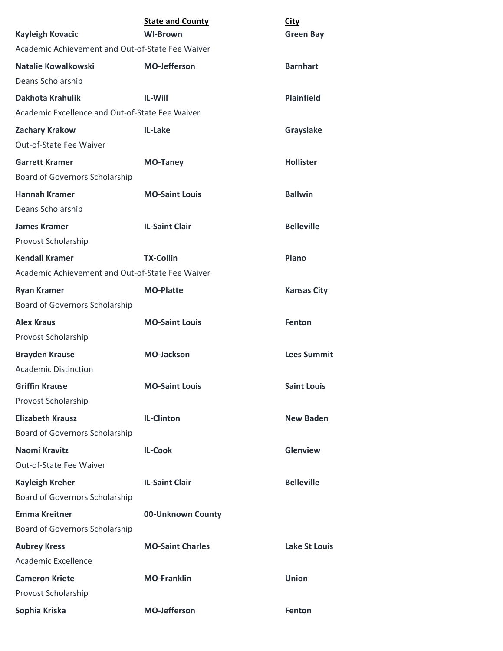|                                                  | <b>State and County</b> | <b>City</b>          |
|--------------------------------------------------|-------------------------|----------------------|
| <b>Kayleigh Kovacic</b>                          | <b>WI-Brown</b>         | <b>Green Bay</b>     |
| Academic Achievement and Out-of-State Fee Waiver |                         |                      |
| Natalie Kowalkowski                              | <b>MO-Jefferson</b>     | <b>Barnhart</b>      |
| Deans Scholarship                                |                         |                      |
| <b>Dakhota Krahulik</b>                          | <b>IL-Will</b>          | <b>Plainfield</b>    |
| Academic Excellence and Out-of-State Fee Waiver  |                         |                      |
| <b>Zachary Krakow</b>                            | IL-Lake                 | Grayslake            |
| Out-of-State Fee Waiver                          |                         |                      |
| <b>Garrett Kramer</b>                            | <b>MO-Taney</b>         | <b>Hollister</b>     |
| Board of Governors Scholarship                   |                         |                      |
| <b>Hannah Kramer</b>                             | <b>MO-Saint Louis</b>   | <b>Ballwin</b>       |
| Deans Scholarship                                |                         |                      |
| <b>James Kramer</b>                              | <b>IL-Saint Clair</b>   | <b>Belleville</b>    |
| Provost Scholarship                              |                         |                      |
| <b>Kendall Kramer</b>                            | <b>TX-Collin</b>        | Plano                |
| Academic Achievement and Out-of-State Fee Waiver |                         |                      |
| <b>Ryan Kramer</b>                               | <b>MO-Platte</b>        | <b>Kansas City</b>   |
| Board of Governors Scholarship                   |                         |                      |
| <b>Alex Kraus</b>                                | <b>MO-Saint Louis</b>   | Fenton               |
| Provost Scholarship                              |                         |                      |
| <b>Brayden Krause</b>                            | <b>MO-Jackson</b>       | <b>Lees Summit</b>   |
| <b>Academic Distinction</b>                      |                         |                      |
| <b>Griffin Krause</b>                            | <b>MO-Saint Louis</b>   | <b>Saint Louis</b>   |
| Provost Scholarship                              |                         |                      |
| <b>Elizabeth Krausz</b>                          | <b>IL-Clinton</b>       | <b>New Baden</b>     |
| Board of Governors Scholarship                   |                         |                      |
| Naomi Kravitz                                    | <b>IL-Cook</b>          | Glenview             |
| Out-of-State Fee Waiver                          |                         |                      |
| <b>Kayleigh Kreher</b>                           | <b>IL-Saint Clair</b>   | <b>Belleville</b>    |
| Board of Governors Scholarship                   |                         |                      |
| <b>Emma Kreitner</b>                             | 00-Unknown County       |                      |
| Board of Governors Scholarship                   |                         |                      |
| <b>Aubrey Kress</b>                              | <b>MO-Saint Charles</b> | <b>Lake St Louis</b> |
| Academic Excellence                              |                         |                      |
| <b>Cameron Kriete</b>                            | <b>MO-Franklin</b>      | <b>Union</b>         |
| Provost Scholarship                              |                         |                      |
| Sophia Kriska                                    | <b>MO-Jefferson</b>     | Fenton               |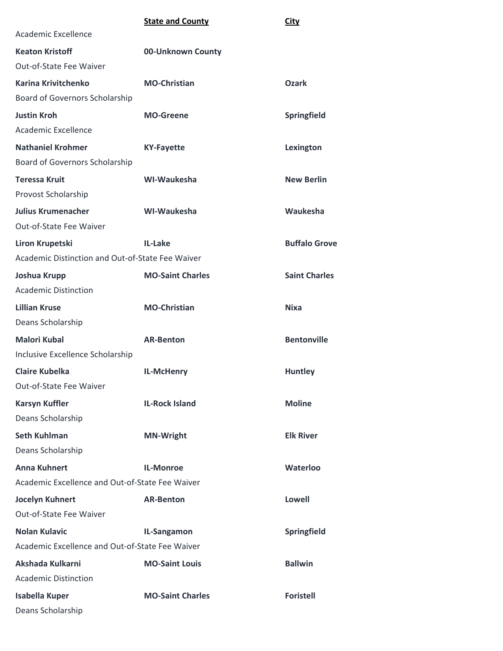|                                                  | <b>State and County</b> | City                 |
|--------------------------------------------------|-------------------------|----------------------|
| Academic Excellence                              |                         |                      |
| <b>Keaton Kristoff</b>                           | 00-Unknown County       |                      |
| Out-of-State Fee Waiver                          |                         |                      |
| Karina Krivitchenko                              | <b>MO-Christian</b>     | <b>Ozark</b>         |
| Board of Governors Scholarship                   |                         |                      |
| <b>Justin Kroh</b>                               | <b>MO-Greene</b>        | Springfield          |
| Academic Excellence                              |                         |                      |
| <b>Nathaniel Krohmer</b>                         | <b>KY-Fayette</b>       | Lexington            |
| Board of Governors Scholarship                   |                         |                      |
| <b>Teressa Kruit</b>                             | WI-Waukesha             | <b>New Berlin</b>    |
| Provost Scholarship                              |                         |                      |
| <b>Julius Krumenacher</b>                        | WI-Waukesha             | Waukesha             |
| Out-of-State Fee Waiver                          |                         |                      |
| Liron Krupetski                                  | IL-Lake                 | <b>Buffalo Grove</b> |
| Academic Distinction and Out-of-State Fee Waiver |                         |                      |
| Joshua Krupp                                     | <b>MO-Saint Charles</b> | <b>Saint Charles</b> |
| <b>Academic Distinction</b>                      |                         |                      |
| <b>Lillian Kruse</b>                             | <b>MO-Christian</b>     | <b>Nixa</b>          |
| Deans Scholarship                                |                         |                      |
| <b>Malori Kubal</b>                              | <b>AR-Benton</b>        | <b>Bentonville</b>   |
| Inclusive Excellence Scholarship                 |                         |                      |
| <b>Claire Kubelka</b>                            | IL-McHenry              | <b>Huntley</b>       |
| Out-of-State Fee Waiver                          |                         |                      |
| <b>Karsyn Kuffler</b>                            | <b>IL-Rock Island</b>   | <b>Moline</b>        |
| Deans Scholarship                                |                         |                      |
| <b>Seth Kuhlman</b>                              | <b>MN-Wright</b>        | <b>Elk River</b>     |
| Deans Scholarship                                |                         |                      |
| <b>Anna Kuhnert</b>                              | <b>IL-Monroe</b>        | Waterloo             |
| Academic Excellence and Out-of-State Fee Waiver  |                         |                      |
| Jocelyn Kuhnert                                  | <b>AR-Benton</b>        | <b>Lowell</b>        |
| Out-of-State Fee Waiver                          |                         |                      |
| <b>Nolan Kulavic</b>                             | IL-Sangamon             | <b>Springfield</b>   |
| Academic Excellence and Out-of-State Fee Waiver  |                         |                      |
| Akshada Kulkarni                                 | <b>MO-Saint Louis</b>   | <b>Ballwin</b>       |
| <b>Academic Distinction</b>                      |                         |                      |
| <b>Isabella Kuper</b>                            | <b>MO-Saint Charles</b> | <b>Foristell</b>     |
| Deans Scholarship                                |                         |                      |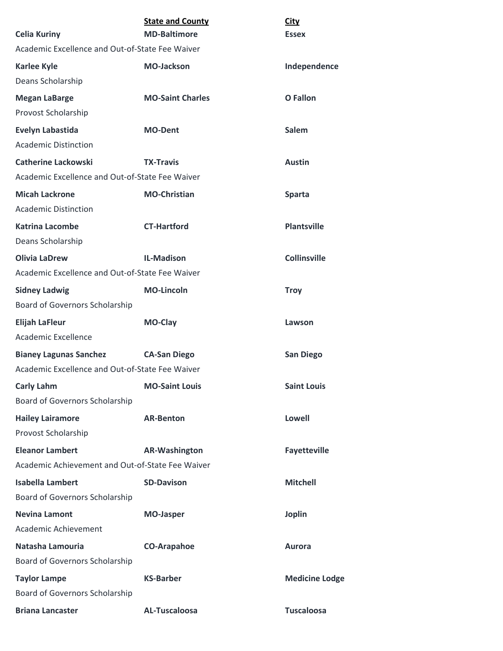| <b>Celia Kuriny</b>                              | <b>State and County</b><br><b>MD-Baltimore</b> | <b>City</b><br><b>Essex</b> |
|--------------------------------------------------|------------------------------------------------|-----------------------------|
| Academic Excellence and Out-of-State Fee Waiver  |                                                |                             |
| <b>Karlee Kyle</b>                               | <b>MO-Jackson</b>                              | Independence                |
| Deans Scholarship                                |                                                |                             |
| <b>Megan LaBarge</b>                             | <b>MO-Saint Charles</b>                        | <b>O</b> Fallon             |
| Provost Scholarship                              |                                                |                             |
| <b>Evelyn Labastida</b>                          | <b>MO-Dent</b>                                 | <b>Salem</b>                |
| <b>Academic Distinction</b>                      |                                                |                             |
| <b>Catherine Lackowski</b>                       | <b>TX-Travis</b>                               | <b>Austin</b>               |
| Academic Excellence and Out-of-State Fee Waiver  |                                                |                             |
| <b>Micah Lackrone</b>                            | <b>MO-Christian</b>                            | <b>Sparta</b>               |
| <b>Academic Distinction</b>                      |                                                |                             |
| <b>Katrina Lacombe</b>                           | <b>CT-Hartford</b>                             | <b>Plantsville</b>          |
| Deans Scholarship                                |                                                |                             |
| <b>Olivia LaDrew</b>                             | <b>IL-Madison</b>                              | <b>Collinsville</b>         |
| Academic Excellence and Out-of-State Fee Waiver  |                                                |                             |
| <b>Sidney Ladwig</b>                             | <b>MO-Lincoln</b>                              | <b>Troy</b>                 |
| Board of Governors Scholarship                   |                                                |                             |
| <b>Elijah LaFleur</b>                            | MO-Clay                                        | Lawson                      |
| Academic Excellence                              |                                                |                             |
| <b>Bianey Lagunas Sanchez</b>                    | <b>CA-San Diego</b>                            | <b>San Diego</b>            |
| Academic Excellence and Out-of-State Fee Waiver  |                                                |                             |
| <b>Carly Lahm</b>                                | <b>MO-Saint Louis</b>                          | <b>Saint Louis</b>          |
| Board of Governors Scholarship                   |                                                |                             |
| <b>Hailey Lairamore</b>                          | <b>AR-Benton</b>                               | <b>Lowell</b>               |
| Provost Scholarship                              |                                                |                             |
| <b>Eleanor Lambert</b>                           | <b>AR-Washington</b>                           | <b>Fayetteville</b>         |
| Academic Achievement and Out-of-State Fee Waiver |                                                |                             |
| <b>Isabella Lambert</b>                          | <b>SD-Davison</b>                              | <b>Mitchell</b>             |
| Board of Governors Scholarship                   |                                                |                             |
| <b>Nevina Lamont</b>                             | <b>MO-Jasper</b>                               | <b>Joplin</b>               |
| Academic Achievement                             |                                                |                             |
| Natasha Lamouria                                 | <b>CO-Arapahoe</b>                             | <b>Aurora</b>               |
| Board of Governors Scholarship                   |                                                |                             |
| <b>Taylor Lampe</b>                              | <b>KS-Barber</b>                               | <b>Medicine Lodge</b>       |
| Board of Governors Scholarship                   |                                                |                             |
| <b>Briana Lancaster</b>                          | <b>AL-Tuscaloosa</b>                           | <b>Tuscaloosa</b>           |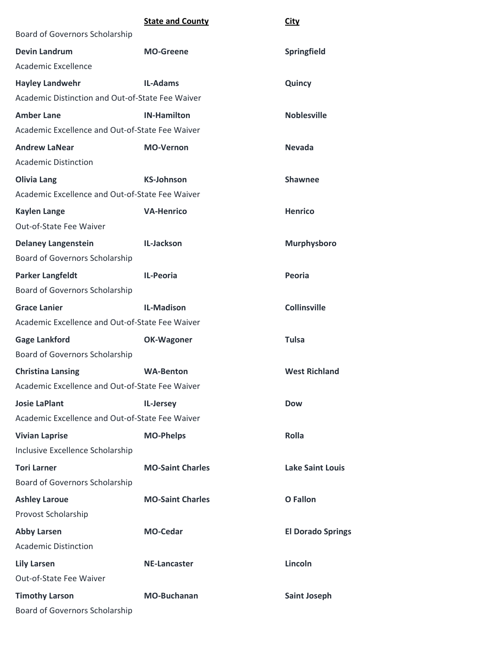|                                                  | <b>State and County</b> | <b>City</b>              |
|--------------------------------------------------|-------------------------|--------------------------|
| Board of Governors Scholarship                   |                         |                          |
| <b>Devin Landrum</b>                             | <b>MO-Greene</b>        | Springfield              |
| Academic Excellence                              |                         |                          |
| <b>Hayley Landwehr</b>                           | <b>IL-Adams</b>         | Quincy                   |
| Academic Distinction and Out-of-State Fee Waiver |                         |                          |
| <b>Amber Lane</b>                                | <b>IN-Hamilton</b>      | <b>Noblesville</b>       |
| Academic Excellence and Out-of-State Fee Waiver  |                         |                          |
| <b>Andrew LaNear</b>                             | <b>MO-Vernon</b>        | <b>Nevada</b>            |
| <b>Academic Distinction</b>                      |                         |                          |
| <b>Olivia Lang</b>                               | <b>KS-Johnson</b>       | <b>Shawnee</b>           |
| Academic Excellence and Out-of-State Fee Waiver  |                         |                          |
| <b>Kaylen Lange</b>                              | <b>VA-Henrico</b>       | <b>Henrico</b>           |
| Out-of-State Fee Waiver                          |                         |                          |
| <b>Delaney Langenstein</b>                       | IL-Jackson              | <b>Murphysboro</b>       |
| Board of Governors Scholarship                   |                         |                          |
| <b>Parker Langfeldt</b>                          | <b>IL-Peoria</b>        | Peoria                   |
| Board of Governors Scholarship                   |                         |                          |
| <b>Grace Lanier</b>                              | <b>IL-Madison</b>       | <b>Collinsville</b>      |
| Academic Excellence and Out-of-State Fee Waiver  |                         |                          |
| <b>Gage Lankford</b>                             | <b>OK-Wagoner</b>       | <b>Tulsa</b>             |
| Board of Governors Scholarship                   |                         |                          |
| <b>Christina Lansing</b>                         | <b>WA-Benton</b>        | <b>West Richland</b>     |
| Academic Excellence and Out-of-State Fee Waiver  |                         |                          |
| <b>Josie LaPlant</b>                             | IL-Jersey               | <b>Dow</b>               |
| Academic Excellence and Out-of-State Fee Waiver  |                         |                          |
| <b>Vivian Laprise</b>                            | <b>MO-Phelps</b>        | Rolla                    |
| Inclusive Excellence Scholarship                 |                         |                          |
| <b>Tori Larner</b>                               | <b>MO-Saint Charles</b> | <b>Lake Saint Louis</b>  |
| Board of Governors Scholarship                   |                         |                          |
| <b>Ashley Laroue</b>                             | <b>MO-Saint Charles</b> | <b>O</b> Fallon          |
| Provost Scholarship                              |                         |                          |
| <b>Abby Larsen</b>                               | <b>MO-Cedar</b>         | <b>El Dorado Springs</b> |
| <b>Academic Distinction</b>                      |                         |                          |
| <b>Lily Larsen</b>                               | <b>NE-Lancaster</b>     | Lincoln                  |
| Out-of-State Fee Waiver                          |                         |                          |
| <b>Timothy Larson</b>                            | <b>MO-Buchanan</b>      | <b>Saint Joseph</b>      |
| Board of Governors Scholarship                   |                         |                          |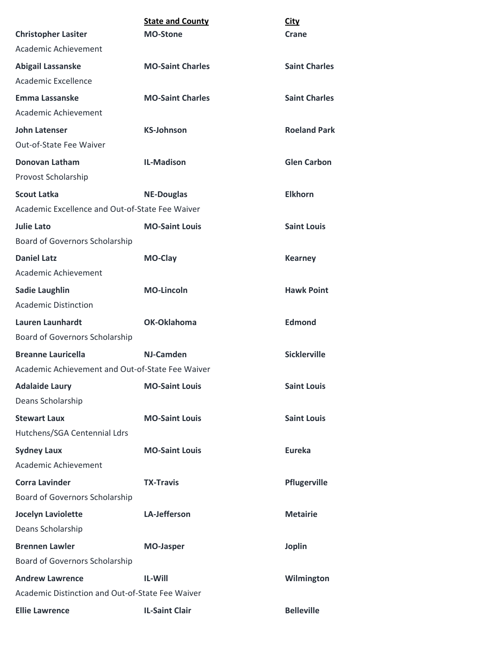|                                                  | <b>State and County</b> | <b>City</b>          |
|--------------------------------------------------|-------------------------|----------------------|
| <b>Christopher Lasiter</b>                       | <b>MO-Stone</b>         | Crane                |
| Academic Achievement                             |                         |                      |
| <b>Abigail Lassanske</b>                         | <b>MO-Saint Charles</b> | <b>Saint Charles</b> |
| Academic Excellence                              |                         |                      |
| Emma Lassanske                                   | <b>MO-Saint Charles</b> | <b>Saint Charles</b> |
| Academic Achievement                             |                         |                      |
| <b>John Latenser</b>                             | <b>KS-Johnson</b>       | <b>Roeland Park</b>  |
| Out-of-State Fee Waiver                          |                         |                      |
| Donovan Latham                                   | <b>IL-Madison</b>       | <b>Glen Carbon</b>   |
| Provost Scholarship                              |                         |                      |
| <b>Scout Latka</b>                               | <b>NE-Douglas</b>       | <b>Elkhorn</b>       |
| Academic Excellence and Out-of-State Fee Waiver  |                         |                      |
| <b>Julie Lato</b>                                | <b>MO-Saint Louis</b>   | <b>Saint Louis</b>   |
| Board of Governors Scholarship                   |                         |                      |
| <b>Daniel Latz</b>                               | MO-Clay                 | <b>Kearney</b>       |
| Academic Achievement                             |                         |                      |
| <b>Sadie Laughlin</b>                            | <b>MO-Lincoln</b>       | <b>Hawk Point</b>    |
| <b>Academic Distinction</b>                      |                         |                      |
| <b>Lauren Launhardt</b>                          | OK-Oklahoma             | <b>Edmond</b>        |
| <b>Board of Governors Scholarship</b>            |                         |                      |
| <b>Breanne Lauricella</b>                        | NJ-Camden               | <b>Sicklerville</b>  |
| Academic Achievement and Out-of-State Fee Waiver |                         |                      |
| <b>Adalaide Laury</b>                            | <b>MO-Saint Louis</b>   | <b>Saint Louis</b>   |
| Deans Scholarship                                |                         |                      |
| <b>Stewart Laux</b>                              | <b>MO-Saint Louis</b>   | <b>Saint Louis</b>   |
| Hutchens/SGA Centennial Ldrs                     |                         |                      |
| <b>Sydney Laux</b>                               | <b>MO-Saint Louis</b>   | <b>Eureka</b>        |
| Academic Achievement                             |                         |                      |
| <b>Corra Lavinder</b>                            | <b>TX-Travis</b>        | Pflugerville         |
| Board of Governors Scholarship                   |                         |                      |
| <b>Jocelyn Laviolette</b>                        | <b>LA-Jefferson</b>     | <b>Metairie</b>      |
| Deans Scholarship                                |                         |                      |
| <b>Brennen Lawler</b>                            | <b>MO-Jasper</b>        | <b>Joplin</b>        |
| Board of Governors Scholarship                   |                         |                      |
| <b>Andrew Lawrence</b>                           | <b>IL-Will</b>          | Wilmington           |
| Academic Distinction and Out-of-State Fee Waiver |                         |                      |
| <b>Ellie Lawrence</b>                            | <b>IL-Saint Clair</b>   | <b>Belleville</b>    |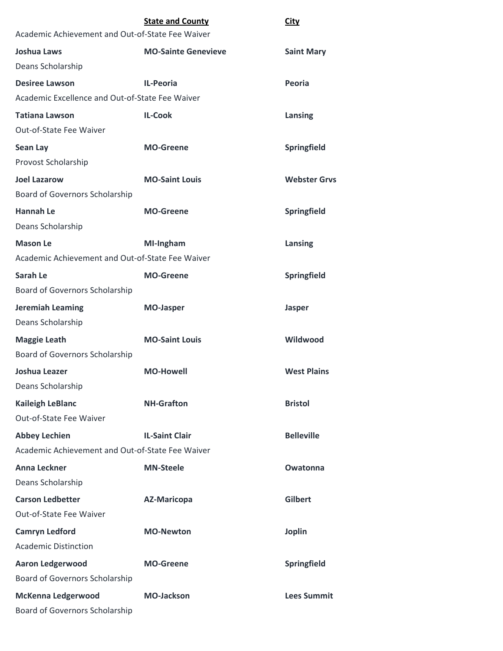|                                                  | <b>State and County</b>    | <u>City</u>         |
|--------------------------------------------------|----------------------------|---------------------|
| Academic Achievement and Out-of-State Fee Waiver |                            |                     |
| <b>Joshua Laws</b>                               | <b>MO-Sainte Genevieve</b> | <b>Saint Mary</b>   |
| Deans Scholarship                                |                            |                     |
| <b>Desiree Lawson</b>                            | <b>IL-Peoria</b>           | Peoria              |
| Academic Excellence and Out-of-State Fee Waiver  |                            |                     |
| <b>Tatiana Lawson</b>                            | <b>IL-Cook</b>             | Lansing             |
| Out-of-State Fee Waiver                          |                            |                     |
| <b>Sean Lay</b>                                  | <b>MO-Greene</b>           | Springfield         |
| Provost Scholarship                              |                            |                     |
| <b>Joel Lazarow</b>                              | <b>MO-Saint Louis</b>      | <b>Webster Grys</b> |
| Board of Governors Scholarship                   |                            |                     |
| <b>Hannah Le</b>                                 | <b>MO-Greene</b>           | Springfield         |
| Deans Scholarship                                |                            |                     |
| <b>Mason Le</b>                                  | MI-Ingham                  | Lansing             |
| Academic Achievement and Out-of-State Fee Waiver |                            |                     |
| Sarah Le                                         | <b>MO-Greene</b>           | Springfield         |
| Board of Governors Scholarship                   |                            |                     |
| <b>Jeremiah Leaming</b>                          | <b>MO-Jasper</b>           | <b>Jasper</b>       |
| Deans Scholarship                                |                            |                     |
| <b>Maggie Leath</b>                              | <b>MO-Saint Louis</b>      | Wildwood            |
| Board of Governors Scholarship                   |                            |                     |
| Joshua Leazer                                    | <b>MO-Howell</b>           | <b>West Plains</b>  |
| Deans Scholarship                                |                            |                     |
| <b>Kaileigh LeBlanc</b>                          | <b>NH-Grafton</b>          | <b>Bristol</b>      |
| Out-of-State Fee Waiver                          |                            |                     |
| <b>Abbey Lechien</b>                             | <b>IL-Saint Clair</b>      | <b>Belleville</b>   |
| Academic Achievement and Out-of-State Fee Waiver |                            |                     |
| <b>Anna Leckner</b>                              | <b>MN-Steele</b>           | <b>Owatonna</b>     |
| Deans Scholarship                                |                            |                     |
| <b>Carson Ledbetter</b>                          | <b>AZ-Maricopa</b>         | <b>Gilbert</b>      |
| Out-of-State Fee Waiver                          |                            |                     |
| <b>Camryn Ledford</b>                            | <b>MO-Newton</b>           | <b>Joplin</b>       |
| <b>Academic Distinction</b>                      |                            |                     |
| <b>Aaron Ledgerwood</b>                          | <b>MO-Greene</b>           | Springfield         |
| Board of Governors Scholarship                   |                            |                     |
| <b>McKenna Ledgerwood</b>                        | <b>MO-Jackson</b>          | <b>Lees Summit</b>  |
| Board of Governors Scholarship                   |                            |                     |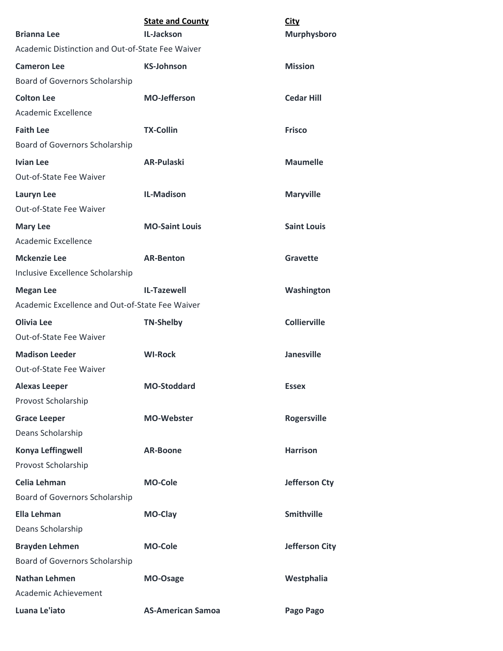| <b>Brianna Lee</b>                                                  | <b>State and County</b><br>IL-Jackson | <b>City</b><br><b>Murphysboro</b> |
|---------------------------------------------------------------------|---------------------------------------|-----------------------------------|
| Academic Distinction and Out-of-State Fee Waiver                    |                                       |                                   |
| <b>Cameron Lee</b><br>Board of Governors Scholarship                | <b>KS-Johnson</b>                     | <b>Mission</b>                    |
| <b>Colton Lee</b><br>Academic Excellence                            | <b>MO-Jefferson</b>                   | <b>Cedar Hill</b>                 |
| <b>Faith Lee</b><br>Board of Governors Scholarship                  | <b>TX-Collin</b>                      | <b>Frisco</b>                     |
| <b>Ivian Lee</b><br>Out-of-State Fee Waiver                         | <b>AR-Pulaski</b>                     | <b>Maumelle</b>                   |
| Lauryn Lee<br>Out-of-State Fee Waiver                               | <b>IL-Madison</b>                     | <b>Maryville</b>                  |
| <b>Mary Lee</b><br>Academic Excellence                              | <b>MO-Saint Louis</b>                 | <b>Saint Louis</b>                |
| <b>Mckenzie Lee</b><br>Inclusive Excellence Scholarship             | <b>AR-Benton</b>                      | Gravette                          |
| <b>Megan Lee</b><br>Academic Excellence and Out-of-State Fee Waiver | <b>IL-Tazewell</b>                    | Washington                        |
| <b>Olivia Lee</b><br>Out-of-State Fee Waiver                        | <b>TN-Shelby</b>                      | <b>Collierville</b>               |
| <b>Madison Leeder</b><br>Out-of-State Fee Waiver                    | <b>WI-Rock</b>                        | <b>Janesville</b>                 |
| <b>Alexas Leeper</b><br>Provost Scholarship                         | <b>MO-Stoddard</b>                    | <b>Essex</b>                      |
| <b>Grace Leeper</b><br>Deans Scholarship                            | <b>MO-Webster</b>                     | <b>Rogersville</b>                |
| Konya Leffingwell<br>Provost Scholarship                            | <b>AR-Boone</b>                       | <b>Harrison</b>                   |
| Celia Lehman<br>Board of Governors Scholarship                      | <b>MO-Cole</b>                        | <b>Jefferson Cty</b>              |
| <b>Ella Lehman</b>                                                  | MO-Clay                               | <b>Smithville</b>                 |
| Deans Scholarship                                                   |                                       |                                   |
| <b>Brayden Lehmen</b><br>Board of Governors Scholarship             | <b>MO-Cole</b>                        | <b>Jefferson City</b>             |
| <b>Nathan Lehmen</b><br>Academic Achievement                        | MO-Osage                              | Westphalia                        |
| Luana Le'iato                                                       | <b>AS-American Samoa</b>              | Pago Pago                         |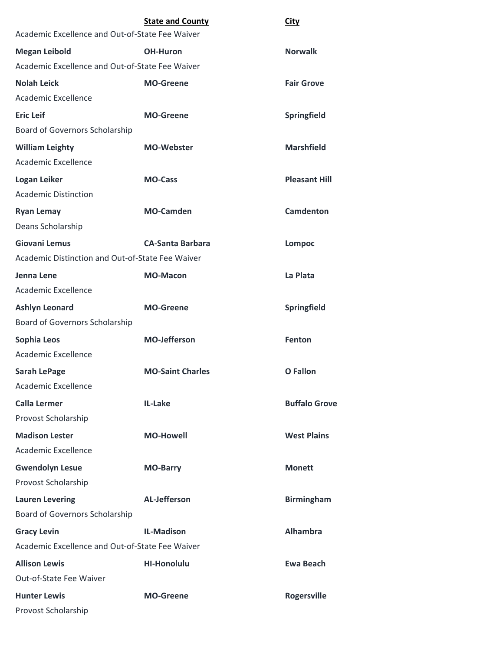|                                                  | <b>State and County</b> | City                 |
|--------------------------------------------------|-------------------------|----------------------|
| Academic Excellence and Out-of-State Fee Waiver  |                         |                      |
| <b>Megan Leibold</b>                             | <b>OH-Huron</b>         | <b>Norwalk</b>       |
| Academic Excellence and Out-of-State Fee Waiver  |                         |                      |
| <b>Nolah Leick</b>                               | <b>MO-Greene</b>        | <b>Fair Grove</b>    |
| Academic Excellence                              |                         |                      |
| <b>Eric Leif</b>                                 | <b>MO-Greene</b>        | <b>Springfield</b>   |
| Board of Governors Scholarship                   |                         |                      |
| <b>William Leighty</b>                           | <b>MO-Webster</b>       | <b>Marshfield</b>    |
| Academic Excellence                              |                         |                      |
| Logan Leiker                                     | <b>MO-Cass</b>          | <b>Pleasant Hill</b> |
| <b>Academic Distinction</b>                      |                         |                      |
| <b>Ryan Lemay</b>                                | <b>MO-Camden</b>        | <b>Camdenton</b>     |
| Deans Scholarship                                |                         |                      |
| <b>Giovani Lemus</b>                             | <b>CA-Santa Barbara</b> | <b>Lompoc</b>        |
| Academic Distinction and Out-of-State Fee Waiver |                         |                      |
| Jenna Lene                                       | <b>MO-Macon</b>         | La Plata             |
| Academic Excellence                              |                         |                      |
| <b>Ashlyn Leonard</b>                            | <b>MO-Greene</b>        | Springfield          |
| <b>Board of Governors Scholarship</b>            |                         |                      |
| Sophia Leos                                      | <b>MO-Jefferson</b>     | <b>Fenton</b>        |
| Academic Excellence                              |                         |                      |
| <b>Sarah LePage</b>                              | <b>MO-Saint Charles</b> | <b>O</b> Fallon      |
| Academic Excellence                              |                         |                      |
| <b>Calla Lermer</b>                              | IL-Lake                 | <b>Buffalo Grove</b> |
| Provost Scholarship                              |                         |                      |
| <b>Madison Lester</b>                            | <b>MO-Howell</b>        | <b>West Plains</b>   |
| Academic Excellence                              |                         |                      |
| <b>Gwendolyn Lesue</b>                           | <b>MO-Barry</b>         | <b>Monett</b>        |
| Provost Scholarship                              |                         |                      |
| <b>Lauren Levering</b>                           | <b>AL-Jefferson</b>     | <b>Birmingham</b>    |
| Board of Governors Scholarship                   |                         |                      |
| <b>Gracy Levin</b>                               | <b>IL-Madison</b>       | <b>Alhambra</b>      |
| Academic Excellence and Out-of-State Fee Waiver  |                         |                      |
| <b>Allison Lewis</b>                             | <b>HI-Honolulu</b>      | <b>Ewa Beach</b>     |
| Out-of-State Fee Waiver                          |                         |                      |
| <b>Hunter Lewis</b>                              | <b>MO-Greene</b>        | Rogersville          |
| Provost Scholarship                              |                         |                      |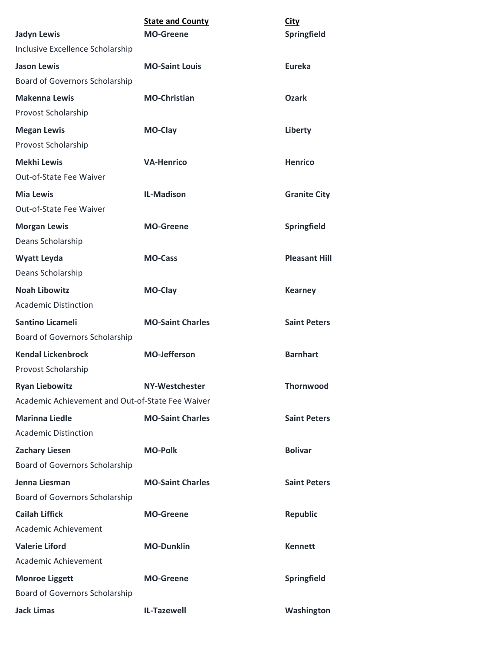| <b>Jadyn Lewis</b>                               | <b>State and County</b><br><b>MO-Greene</b> | <b>City</b><br>Springfield |
|--------------------------------------------------|---------------------------------------------|----------------------------|
| Inclusive Excellence Scholarship                 |                                             |                            |
| <b>Jason Lewis</b>                               | <b>MO-Saint Louis</b>                       | Eureka                     |
| Board of Governors Scholarship                   |                                             |                            |
| <b>Makenna Lewis</b>                             | <b>MO-Christian</b>                         | <b>Ozark</b>               |
| Provost Scholarship                              |                                             |                            |
| <b>Megan Lewis</b>                               | MO-Clay                                     | Liberty                    |
| Provost Scholarship                              |                                             |                            |
| <b>Mekhi Lewis</b>                               | <b>VA-Henrico</b>                           | <b>Henrico</b>             |
| Out-of-State Fee Waiver                          |                                             |                            |
| <b>Mia Lewis</b>                                 | <b>IL-Madison</b>                           | <b>Granite City</b>        |
| Out-of-State Fee Waiver                          |                                             |                            |
| <b>Morgan Lewis</b>                              | <b>MO-Greene</b>                            | <b>Springfield</b>         |
| Deans Scholarship                                |                                             |                            |
| <b>Wyatt Leyda</b>                               | <b>MO-Cass</b>                              | <b>Pleasant Hill</b>       |
| Deans Scholarship                                |                                             |                            |
| <b>Noah Libowitz</b>                             | MO-Clay                                     | <b>Kearney</b>             |
| <b>Academic Distinction</b>                      |                                             |                            |
| <b>Santino Licameli</b>                          | <b>MO-Saint Charles</b>                     | <b>Saint Peters</b>        |
| Board of Governors Scholarship                   |                                             |                            |
| <b>Kendal Lickenbrock</b>                        | <b>MO-Jefferson</b>                         | <b>Barnhart</b>            |
| Provost Scholarship                              |                                             |                            |
| <b>Ryan Liebowitz</b>                            | NY-Westchester                              | <b>Thornwood</b>           |
| Academic Achievement and Out-of-State Fee Waiver |                                             |                            |
| <b>Marinna Liedle</b>                            | <b>MO-Saint Charles</b>                     | <b>Saint Peters</b>        |
| <b>Academic Distinction</b>                      |                                             |                            |
| <b>Zachary Liesen</b>                            | <b>MO-Polk</b>                              | <b>Bolivar</b>             |
| Board of Governors Scholarship                   |                                             |                            |
| Jenna Liesman                                    | <b>MO-Saint Charles</b>                     | <b>Saint Peters</b>        |
| Board of Governors Scholarship                   |                                             |                            |
| <b>Cailah Liffick</b>                            | <b>MO-Greene</b>                            | <b>Republic</b>            |
| Academic Achievement                             |                                             |                            |
| <b>Valerie Liford</b>                            | <b>MO-Dunklin</b>                           | <b>Kennett</b>             |
| Academic Achievement                             |                                             |                            |
| <b>Monroe Liggett</b>                            | <b>MO-Greene</b>                            | Springfield                |
| Board of Governors Scholarship                   |                                             |                            |
| <b>Jack Limas</b>                                | IL-Tazewell                                 | Washington                 |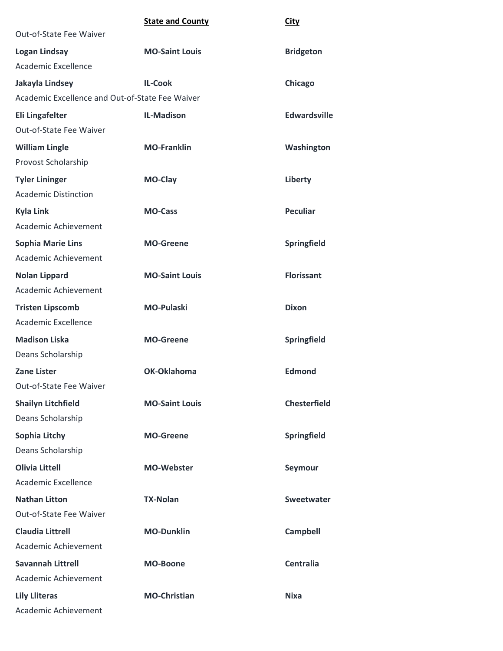## **State and County City**

| Out-of-State Fee Waiver                         |                       |                     |
|-------------------------------------------------|-----------------------|---------------------|
| <b>Logan Lindsay</b>                            | <b>MO-Saint Louis</b> | <b>Bridgeton</b>    |
| Academic Excellence                             |                       |                     |
| Jakayla Lindsey                                 | <b>IL-Cook</b>        | Chicago             |
| Academic Excellence and Out-of-State Fee Waiver |                       |                     |
| Eli Lingafelter                                 | <b>IL-Madison</b>     | <b>Edwardsville</b> |
| Out-of-State Fee Waiver                         |                       |                     |
| <b>William Lingle</b>                           | <b>MO-Franklin</b>    | Washington          |
| Provost Scholarship                             |                       |                     |
| <b>Tyler Lininger</b>                           | MO-Clay               | Liberty             |
| <b>Academic Distinction</b>                     |                       |                     |
| <b>Kyla Link</b>                                | <b>MO-Cass</b>        | <b>Peculiar</b>     |
| Academic Achievement                            |                       |                     |
| <b>Sophia Marie Lins</b>                        | <b>MO-Greene</b>      | Springfield         |
| Academic Achievement                            |                       |                     |
| <b>Nolan Lippard</b>                            | <b>MO-Saint Louis</b> | <b>Florissant</b>   |
| Academic Achievement                            |                       |                     |
| <b>Tristen Lipscomb</b>                         | <b>MO-Pulaski</b>     | <b>Dixon</b>        |
| Academic Excellence                             |                       |                     |
| <b>Madison Liska</b>                            | <b>MO-Greene</b>      | Springfield         |
| Deans Scholarship                               |                       |                     |
| <b>Zane Lister</b>                              | OK-Oklahoma           | <b>Edmond</b>       |
| Out-of-State Fee Waiver                         |                       |                     |
| <b>Shailyn Litchfield</b>                       | <b>MO-Saint Louis</b> | <b>Chesterfield</b> |
| Deans Scholarship                               |                       |                     |
| <b>Sophia Litchy</b>                            | <b>MO-Greene</b>      | Springfield         |
| Deans Scholarship                               |                       |                     |
| <b>Olivia Littell</b>                           | <b>MO-Webster</b>     | Seymour             |
| Academic Excellence                             |                       |                     |
| <b>Nathan Litton</b>                            | <b>TX-Nolan</b>       | Sweetwater          |
| Out-of-State Fee Waiver                         |                       |                     |
| <b>Claudia Littrell</b>                         | <b>MO-Dunklin</b>     | <b>Campbell</b>     |
| Academic Achievement                            |                       |                     |
| <b>Savannah Littrell</b>                        | <b>MO-Boone</b>       | <b>Centralia</b>    |
| <b>Academic Achievement</b>                     |                       |                     |
| <b>Lily Lliteras</b>                            | <b>MO-Christian</b>   | <b>Nixa</b>         |
| Academic Achievement                            |                       |                     |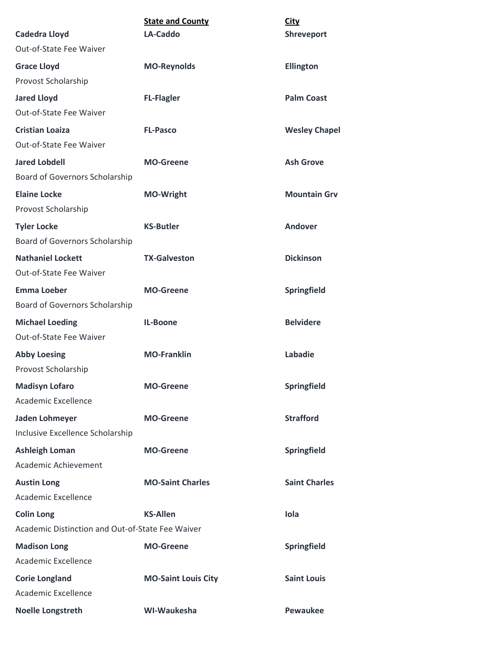| <b>Cadedra Lloyd</b>                             | <b>State and County</b><br>LA-Caddo | City<br>Shreveport   |
|--------------------------------------------------|-------------------------------------|----------------------|
| Out-of-State Fee Waiver                          |                                     |                      |
| <b>Grace Lloyd</b>                               | <b>MO-Reynolds</b>                  | <b>Ellington</b>     |
| Provost Scholarship                              |                                     |                      |
| <b>Jared Lloyd</b>                               | <b>FL-Flagler</b>                   | <b>Palm Coast</b>    |
| Out-of-State Fee Waiver                          |                                     |                      |
| <b>Cristian Loaiza</b>                           | <b>FL-Pasco</b>                     | <b>Wesley Chapel</b> |
| Out-of-State Fee Waiver                          |                                     |                      |
| <b>Jared Lobdell</b>                             | <b>MO-Greene</b>                    | <b>Ash Grove</b>     |
| Board of Governors Scholarship                   |                                     |                      |
| <b>Elaine Locke</b>                              | <b>MO-Wright</b>                    | <b>Mountain Grv</b>  |
| Provost Scholarship                              |                                     |                      |
| <b>Tyler Locke</b>                               | <b>KS-Butler</b>                    | Andover              |
| Board of Governors Scholarship                   |                                     |                      |
| <b>Nathaniel Lockett</b>                         | <b>TX-Galveston</b>                 | <b>Dickinson</b>     |
| Out-of-State Fee Waiver                          |                                     |                      |
| <b>Emma Loeber</b>                               | <b>MO-Greene</b>                    | Springfield          |
| Board of Governors Scholarship                   |                                     |                      |
| <b>Michael Loeding</b>                           | IL-Boone                            | <b>Belvidere</b>     |
| Out-of-State Fee Waiver                          |                                     |                      |
| <b>Abby Loesing</b>                              | <b>MO-Franklin</b>                  | Labadie              |
| Provost Scholarship                              |                                     |                      |
| <b>Madisyn Lofaro</b>                            | <b>MO-Greene</b>                    | Springfield          |
| Academic Excellence                              |                                     |                      |
| Jaden Lohmeyer                                   | <b>MO-Greene</b>                    | <b>Strafford</b>     |
| Inclusive Excellence Scholarship                 |                                     |                      |
| <b>Ashleigh Loman</b>                            | <b>MO-Greene</b>                    | Springfield          |
| Academic Achievement                             |                                     |                      |
| <b>Austin Long</b>                               | <b>MO-Saint Charles</b>             | <b>Saint Charles</b> |
| Academic Excellence                              |                                     |                      |
| <b>Colin Long</b>                                | <b>KS-Allen</b>                     | Iola                 |
| Academic Distinction and Out-of-State Fee Waiver |                                     |                      |
| <b>Madison Long</b>                              | <b>MO-Greene</b>                    | Springfield          |
| Academic Excellence                              |                                     |                      |
| <b>Corie Longland</b>                            | <b>MO-Saint Louis City</b>          | <b>Saint Louis</b>   |
| Academic Excellence                              |                                     |                      |
| <b>Noelle Longstreth</b>                         | WI-Waukesha                         | <b>Pewaukee</b>      |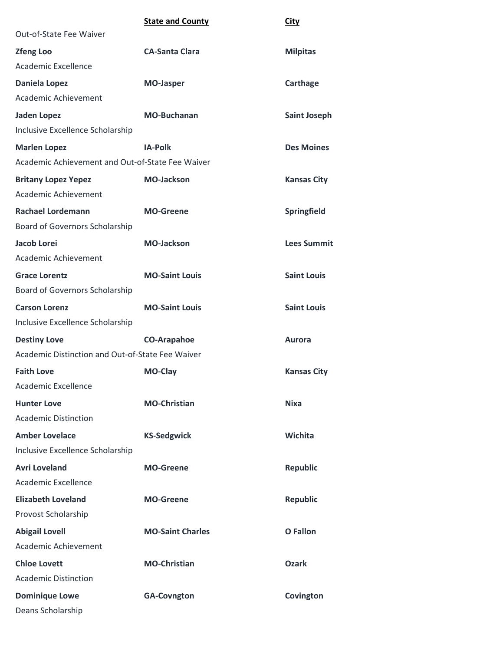|                                                  | <b>State and County</b> | <b>City</b>         |
|--------------------------------------------------|-------------------------|---------------------|
| Out-of-State Fee Waiver                          |                         |                     |
| <b>Zfeng Loo</b>                                 | <b>CA-Santa Clara</b>   | <b>Milpitas</b>     |
| Academic Excellence                              |                         |                     |
| <b>Daniela Lopez</b>                             | <b>MO-Jasper</b>        | Carthage            |
| Academic Achievement                             |                         |                     |
| <b>Jaden Lopez</b>                               | <b>MO-Buchanan</b>      | <b>Saint Joseph</b> |
| Inclusive Excellence Scholarship                 |                         |                     |
| <b>Marlen Lopez</b>                              | <b>IA-Polk</b>          | <b>Des Moines</b>   |
| Academic Achievement and Out-of-State Fee Waiver |                         |                     |
| <b>Britany Lopez Yepez</b>                       | <b>MO-Jackson</b>       | <b>Kansas City</b>  |
| Academic Achievement                             |                         |                     |
| <b>Rachael Lordemann</b>                         | <b>MO-Greene</b>        | Springfield         |
| Board of Governors Scholarship                   |                         |                     |
| Jacob Lorei                                      | <b>MO-Jackson</b>       | <b>Lees Summit</b>  |
| Academic Achievement                             |                         |                     |
| <b>Grace Lorentz</b>                             | <b>MO-Saint Louis</b>   | <b>Saint Louis</b>  |
| Board of Governors Scholarship                   |                         |                     |
| <b>Carson Lorenz</b>                             | <b>MO-Saint Louis</b>   | <b>Saint Louis</b>  |
| Inclusive Excellence Scholarship                 |                         |                     |
| <b>Destiny Love</b>                              | <b>CO-Arapahoe</b>      | <b>Aurora</b>       |
| Academic Distinction and Out-of-State Fee Waiver |                         |                     |
| <b>Faith Love</b>                                | <b>MO-Clay</b>          | <b>Kansas City</b>  |
| Academic Excellence                              |                         |                     |
| <b>Hunter Love</b>                               | <b>MO-Christian</b>     | <b>Nixa</b>         |
| <b>Academic Distinction</b>                      |                         |                     |
| <b>Amber Lovelace</b>                            | <b>KS-Sedgwick</b>      | Wichita             |
| Inclusive Excellence Scholarship                 |                         |                     |
| <b>Avri Loveland</b>                             | <b>MO-Greene</b>        | <b>Republic</b>     |
| Academic Excellence                              |                         |                     |
| <b>Elizabeth Loveland</b>                        | <b>MO-Greene</b>        | <b>Republic</b>     |
| Provost Scholarship                              |                         |                     |
| <b>Abigail Lovell</b>                            | <b>MO-Saint Charles</b> | <b>O</b> Fallon     |
| Academic Achievement                             |                         |                     |
| <b>Chloe Lovett</b>                              | <b>MO-Christian</b>     | <b>Ozark</b>        |
| <b>Academic Distinction</b>                      |                         |                     |
| <b>Dominique Lowe</b>                            | <b>GA-Covngton</b>      | Covington           |
| Deans Scholarship                                |                         |                     |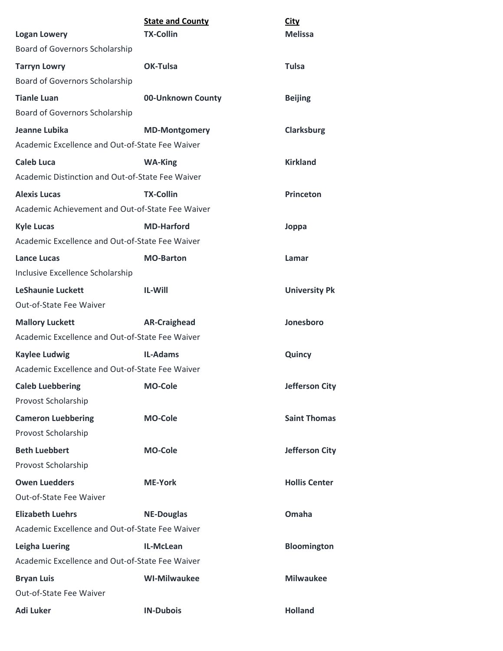|                                                  | <b>State and County</b> | <b>City</b>           |
|--------------------------------------------------|-------------------------|-----------------------|
| <b>Logan Lowery</b>                              | <b>TX-Collin</b>        | <b>Melissa</b>        |
| Board of Governors Scholarship                   |                         |                       |
| <b>Tarryn Lowry</b>                              | OK-Tulsa                | <b>Tulsa</b>          |
| Board of Governors Scholarship                   |                         |                       |
| <b>Tianle Luan</b>                               | 00-Unknown County       | <b>Beijing</b>        |
| Board of Governors Scholarship                   |                         |                       |
| Jeanne Lubika                                    | <b>MD-Montgomery</b>    | <b>Clarksburg</b>     |
| Academic Excellence and Out-of-State Fee Waiver  |                         |                       |
| <b>Caleb Luca</b>                                | <b>WA-King</b>          | <b>Kirkland</b>       |
| Academic Distinction and Out-of-State Fee Waiver |                         |                       |
| <b>Alexis Lucas</b>                              | <b>TX-Collin</b>        | <b>Princeton</b>      |
| Academic Achievement and Out-of-State Fee Waiver |                         |                       |
| <b>Kyle Lucas</b>                                | <b>MD-Harford</b>       | Joppa                 |
| Academic Excellence and Out-of-State Fee Waiver  |                         |                       |
| <b>Lance Lucas</b>                               | <b>MO-Barton</b>        | Lamar                 |
| Inclusive Excellence Scholarship                 |                         |                       |
| <b>LeShaunie Luckett</b>                         | <b>IL-Will</b>          | <b>University Pk</b>  |
| Out-of-State Fee Waiver                          |                         |                       |
| <b>Mallory Luckett</b>                           | <b>AR-Craighead</b>     | Jonesboro             |
| Academic Excellence and Out-of-State Fee Waiver  |                         |                       |
| <b>Kaylee Ludwig</b>                             | <b>IL-Adams</b>         | Quincy                |
| Academic Excellence and Out-of-State Fee Waiver  |                         |                       |
| <b>Caleb Luebbering</b>                          | <b>MO-Cole</b>          | <b>Jefferson City</b> |
| Provost Scholarship                              |                         |                       |
| <b>Cameron Luebbering</b>                        | <b>MO-Cole</b>          | <b>Saint Thomas</b>   |
| Provost Scholarship                              |                         |                       |
| <b>Beth Luebbert</b>                             | <b>MO-Cole</b>          | <b>Jefferson City</b> |
| Provost Scholarship                              |                         |                       |
| <b>Owen Luedders</b>                             | <b>ME-York</b>          | <b>Hollis Center</b>  |
| Out-of-State Fee Waiver                          |                         |                       |
| <b>Elizabeth Luehrs</b>                          | <b>NE-Douglas</b>       | Omaha                 |
| Academic Excellence and Out-of-State Fee Waiver  |                         |                       |
| Leigha Luering                                   | IL-McLean               | <b>Bloomington</b>    |
| Academic Excellence and Out-of-State Fee Waiver  |                         |                       |
| <b>Bryan Luis</b>                                | <b>WI-Milwaukee</b>     | <b>Milwaukee</b>      |
| Out-of-State Fee Waiver                          |                         |                       |
| <b>Adi Luker</b>                                 | <b>IN-Dubois</b>        | <b>Holland</b>        |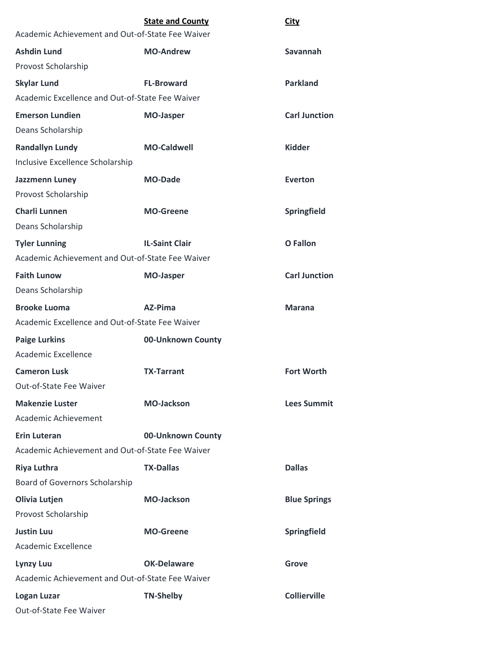|                                                  | <b>State and County</b> | City                 |
|--------------------------------------------------|-------------------------|----------------------|
| Academic Achievement and Out-of-State Fee Waiver |                         |                      |
| <b>Ashdin Lund</b>                               | <b>MO-Andrew</b>        | Savannah             |
| Provost Scholarship                              |                         |                      |
| <b>Skylar Lund</b>                               | <b>FL-Broward</b>       | <b>Parkland</b>      |
| Academic Excellence and Out-of-State Fee Waiver  |                         |                      |
| <b>Emerson Lundien</b>                           | <b>MO-Jasper</b>        | <b>Carl Junction</b> |
| Deans Scholarship                                |                         |                      |
| <b>Randallyn Lundy</b>                           | <b>MO-Caldwell</b>      | <b>Kidder</b>        |
| Inclusive Excellence Scholarship                 |                         |                      |
| Jazzmenn Luney                                   | <b>MO-Dade</b>          | Everton              |
| Provost Scholarship                              |                         |                      |
| <b>Charli Lunnen</b>                             | <b>MO-Greene</b>        | Springfield          |
| Deans Scholarship                                |                         |                      |
| <b>Tyler Lunning</b>                             | <b>IL-Saint Clair</b>   | <b>O</b> Fallon      |
| Academic Achievement and Out-of-State Fee Waiver |                         |                      |
| <b>Faith Lunow</b>                               | <b>MO-Jasper</b>        | <b>Carl Junction</b> |
| Deans Scholarship                                |                         |                      |
| <b>Brooke Luoma</b>                              | AZ-Pima                 | <b>Marana</b>        |
| Academic Excellence and Out-of-State Fee Waiver  |                         |                      |
| <b>Paige Lurkins</b>                             | 00-Unknown County       |                      |
| Academic Excellence                              |                         |                      |
| <b>Cameron Lusk</b>                              | <b>TX-Tarrant</b>       | <b>Fort Worth</b>    |
| Out-of-State Fee Waiver                          |                         |                      |
| <b>Makenzie Luster</b>                           | <b>MO-Jackson</b>       | <b>Lees Summit</b>   |
| Academic Achievement                             |                         |                      |
| <b>Erin Luteran</b>                              | 00-Unknown County       |                      |
| Academic Achievement and Out-of-State Fee Waiver |                         |                      |
| <b>Riya Luthra</b>                               | <b>TX-Dallas</b>        | <b>Dallas</b>        |
| <b>Board of Governors Scholarship</b>            |                         |                      |
| Olivia Lutjen                                    | <b>MO-Jackson</b>       | <b>Blue Springs</b>  |
| Provost Scholarship                              |                         |                      |
| <b>Justin Luu</b>                                | <b>MO-Greene</b>        | <b>Springfield</b>   |
| Academic Excellence                              |                         |                      |
| <b>Lynzy Luu</b>                                 | <b>OK-Delaware</b>      | <b>Grove</b>         |
| Academic Achievement and Out-of-State Fee Waiver |                         |                      |
| <b>Logan Luzar</b>                               | <b>TN-Shelby</b>        | <b>Collierville</b>  |
| Out-of-State Fee Waiver                          |                         |                      |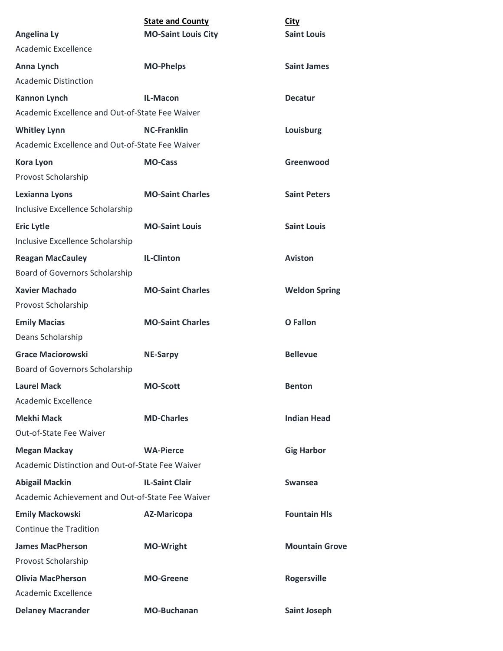|                                                  | <b>State and County</b>    | <b>City</b>           |
|--------------------------------------------------|----------------------------|-----------------------|
| <b>Angelina Ly</b><br><b>Academic Excellence</b> | <b>MO-Saint Louis City</b> | <b>Saint Louis</b>    |
|                                                  |                            |                       |
| Anna Lynch                                       | <b>MO-Phelps</b>           | <b>Saint James</b>    |
| <b>Academic Distinction</b>                      |                            |                       |
| <b>Kannon Lynch</b>                              | IL-Macon                   | <b>Decatur</b>        |
| Academic Excellence and Out-of-State Fee Waiver  |                            |                       |
| <b>Whitley Lynn</b>                              | <b>NC-Franklin</b>         | Louisburg             |
| Academic Excellence and Out-of-State Fee Waiver  |                            |                       |
| <b>Kora Lyon</b>                                 | <b>MO-Cass</b>             | Greenwood             |
| Provost Scholarship                              |                            |                       |
| Lexianna Lyons                                   | <b>MO-Saint Charles</b>    | <b>Saint Peters</b>   |
| Inclusive Excellence Scholarship                 |                            |                       |
| <b>Eric Lytle</b>                                | <b>MO-Saint Louis</b>      | <b>Saint Louis</b>    |
| Inclusive Excellence Scholarship                 |                            |                       |
| <b>Reagan MacCauley</b>                          | <b>IL-Clinton</b>          | <b>Aviston</b>        |
| Board of Governors Scholarship                   |                            |                       |
| <b>Xavier Machado</b>                            | <b>MO-Saint Charles</b>    | <b>Weldon Spring</b>  |
| Provost Scholarship                              |                            |                       |
| <b>Emily Macias</b>                              | <b>MO-Saint Charles</b>    | <b>O</b> Fallon       |
| Deans Scholarship                                |                            |                       |
| <b>Grace Maciorowski</b>                         | <b>NE-Sarpy</b>            | <b>Bellevue</b>       |
| Board of Governors Scholarship                   |                            |                       |
| <b>Laurel Mack</b>                               | <b>MO-Scott</b>            | <b>Benton</b>         |
| Academic Excellence                              |                            |                       |
| <b>Mekhi Mack</b>                                | <b>MD-Charles</b>          | <b>Indian Head</b>    |
| Out-of-State Fee Waiver                          |                            |                       |
| <b>Megan Mackay</b>                              | <b>WA-Pierce</b>           | <b>Gig Harbor</b>     |
| Academic Distinction and Out-of-State Fee Waiver |                            |                       |
| <b>Abigail Mackin</b>                            | <b>IL-Saint Clair</b>      | Swansea               |
| Academic Achievement and Out-of-State Fee Waiver |                            |                       |
| <b>Emily Mackowski</b>                           | <b>AZ-Maricopa</b>         | <b>Fountain Hls</b>   |
| Continue the Tradition                           |                            |                       |
| <b>James MacPherson</b>                          | <b>MO-Wright</b>           | <b>Mountain Grove</b> |
| Provost Scholarship                              |                            |                       |
| <b>Olivia MacPherson</b>                         | <b>MO-Greene</b>           | <b>Rogersville</b>    |
| Academic Excellence                              |                            |                       |
| <b>Delaney Macrander</b>                         | <b>MO-Buchanan</b>         | <b>Saint Joseph</b>   |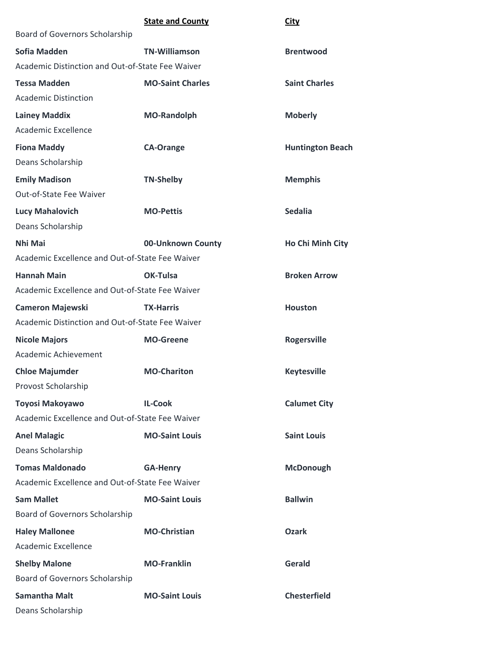|                                                  | <b>State and County</b> | <b>City</b>             |
|--------------------------------------------------|-------------------------|-------------------------|
| Board of Governors Scholarship                   |                         |                         |
| Sofia Madden                                     | <b>TN-Williamson</b>    | <b>Brentwood</b>        |
| Academic Distinction and Out-of-State Fee Waiver |                         |                         |
| <b>Tessa Madden</b>                              | <b>MO-Saint Charles</b> | <b>Saint Charles</b>    |
| <b>Academic Distinction</b>                      |                         |                         |
| <b>Lainey Maddix</b>                             | <b>MO-Randolph</b>      | <b>Moberly</b>          |
| Academic Excellence                              |                         |                         |
| <b>Fiona Maddy</b>                               | <b>CA-Orange</b>        | <b>Huntington Beach</b> |
| Deans Scholarship                                |                         |                         |
| <b>Emily Madison</b>                             | <b>TN-Shelby</b>        | <b>Memphis</b>          |
| Out-of-State Fee Waiver                          |                         |                         |
| <b>Lucy Mahalovich</b>                           | <b>MO-Pettis</b>        | <b>Sedalia</b>          |
| Deans Scholarship                                |                         |                         |
| Nhi Mai                                          | 00-Unknown County       | Ho Chi Minh City        |
| Academic Excellence and Out-of-State Fee Waiver  |                         |                         |
| <b>Hannah Main</b>                               | OK-Tulsa                | <b>Broken Arrow</b>     |
| Academic Excellence and Out-of-State Fee Waiver  |                         |                         |
| <b>Cameron Majewski</b>                          | <b>TX-Harris</b>        | <b>Houston</b>          |
| Academic Distinction and Out-of-State Fee Waiver |                         |                         |
| <b>Nicole Majors</b>                             | <b>MO-Greene</b>        | <b>Rogersville</b>      |
| Academic Achievement                             |                         |                         |
| <b>Chloe Majumder</b>                            | <b>MO-Chariton</b>      | <b>Keytesville</b>      |
| Provost Scholarship                              |                         |                         |
| Toyosi Makoyawo                                  | <b>IL-Cook</b>          | <b>Calumet City</b>     |
| Academic Excellence and Out-of-State Fee Waiver  |                         |                         |
| <b>Anel Malagic</b>                              | <b>MO-Saint Louis</b>   | <b>Saint Louis</b>      |
| Deans Scholarship                                |                         |                         |
| <b>Tomas Maldonado</b>                           | <b>GA-Henry</b>         | <b>McDonough</b>        |
| Academic Excellence and Out-of-State Fee Waiver  |                         |                         |
| <b>Sam Mallet</b>                                | <b>MO-Saint Louis</b>   | <b>Ballwin</b>          |
| Board of Governors Scholarship                   |                         |                         |
| <b>Haley Mallonee</b>                            | <b>MO-Christian</b>     | <b>Ozark</b>            |
| Academic Excellence                              |                         |                         |
| <b>Shelby Malone</b>                             | <b>MO-Franklin</b>      | Gerald                  |
| Board of Governors Scholarship                   |                         |                         |
| <b>Samantha Malt</b>                             | <b>MO-Saint Louis</b>   | <b>Chesterfield</b>     |
| Deans Scholarship                                |                         |                         |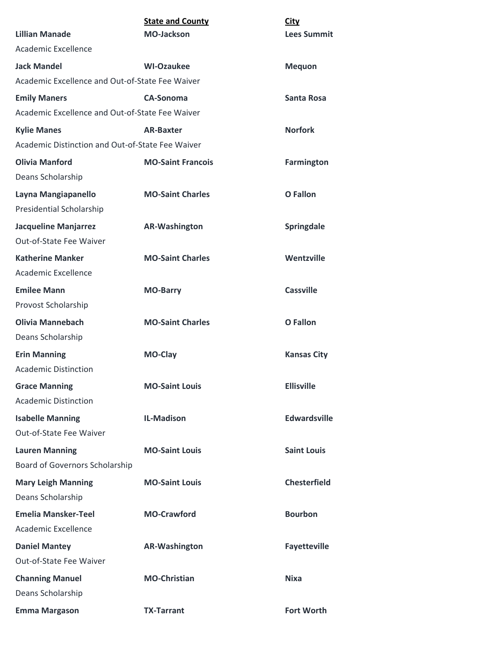|                                                  | <b>State and County</b>  | City                |
|--------------------------------------------------|--------------------------|---------------------|
| <b>Lillian Manade</b>                            | <b>MO-Jackson</b>        | <b>Lees Summit</b>  |
| Academic Excellence                              |                          |                     |
| <b>Jack Mandel</b>                               | <b>WI-Ozaukee</b>        | <b>Mequon</b>       |
| Academic Excellence and Out-of-State Fee Waiver  |                          |                     |
| <b>Emily Maners</b>                              | <b>CA-Sonoma</b>         | Santa Rosa          |
| Academic Excellence and Out-of-State Fee Waiver  |                          |                     |
| <b>Kylie Manes</b>                               | <b>AR-Baxter</b>         | <b>Norfork</b>      |
| Academic Distinction and Out-of-State Fee Waiver |                          |                     |
| <b>Olivia Manford</b>                            | <b>MO-Saint Francois</b> | <b>Farmington</b>   |
| Deans Scholarship                                |                          |                     |
| Layna Mangiapanello                              | <b>MO-Saint Charles</b>  | <b>O</b> Fallon     |
| Presidential Scholarship                         |                          |                     |
| <b>Jacqueline Manjarrez</b>                      | <b>AR-Washington</b>     | Springdale          |
| Out-of-State Fee Waiver                          |                          |                     |
| <b>Katherine Manker</b>                          | <b>MO-Saint Charles</b>  | Wentzville          |
| Academic Excellence                              |                          |                     |
| <b>Emilee Mann</b>                               | <b>MO-Barry</b>          | <b>Cassville</b>    |
| Provost Scholarship                              |                          |                     |
| <b>Olivia Mannebach</b>                          | <b>MO-Saint Charles</b>  | <b>O</b> Fallon     |
| Deans Scholarship                                |                          |                     |
| <b>Erin Manning</b>                              | <b>MO-Clay</b>           | <b>Kansas City</b>  |
| <b>Academic Distinction</b>                      |                          |                     |
| <b>Grace Manning</b>                             | <b>MO-Saint Louis</b>    | <b>Ellisville</b>   |
| <b>Academic Distinction</b>                      |                          |                     |
| <b>Isabelle Manning</b>                          | <b>IL-Madison</b>        | <b>Edwardsville</b> |
| Out-of-State Fee Waiver                          |                          |                     |
| <b>Lauren Manning</b>                            | <b>MO-Saint Louis</b>    | <b>Saint Louis</b>  |
| Board of Governors Scholarship                   |                          |                     |
| <b>Mary Leigh Manning</b>                        | <b>MO-Saint Louis</b>    | <b>Chesterfield</b> |
| Deans Scholarship                                |                          |                     |
| <b>Emelia Mansker-Teel</b>                       | <b>MO-Crawford</b>       | <b>Bourbon</b>      |
| Academic Excellence                              |                          |                     |
| <b>Daniel Mantey</b>                             | <b>AR-Washington</b>     | <b>Fayetteville</b> |
| Out-of-State Fee Waiver                          |                          |                     |
| <b>Channing Manuel</b>                           | <b>MO-Christian</b>      | <b>Nixa</b>         |
| Deans Scholarship                                |                          |                     |
| <b>Emma Margason</b>                             | <b>TX-Tarrant</b>        | <b>Fort Worth</b>   |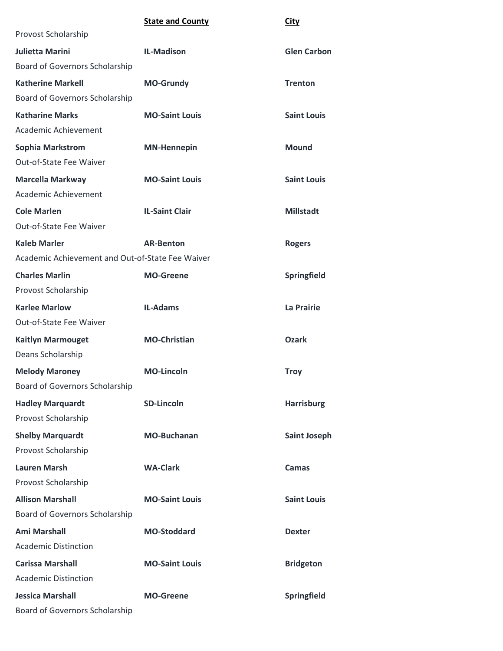|                                                  | <b>State and County</b> | City                |
|--------------------------------------------------|-------------------------|---------------------|
| Provost Scholarship                              |                         |                     |
| <b>Julietta Marini</b>                           | <b>IL-Madison</b>       | <b>Glen Carbon</b>  |
| Board of Governors Scholarship                   |                         |                     |
| <b>Katherine Markell</b>                         | <b>MO-Grundy</b>        | <b>Trenton</b>      |
| Board of Governors Scholarship                   |                         |                     |
| <b>Katharine Marks</b>                           | <b>MO-Saint Louis</b>   | <b>Saint Louis</b>  |
| Academic Achievement                             |                         |                     |
| <b>Sophia Markstrom</b>                          | <b>MN-Hennepin</b>      | <b>Mound</b>        |
| Out-of-State Fee Waiver                          |                         |                     |
| <b>Marcella Markway</b>                          | <b>MO-Saint Louis</b>   | <b>Saint Louis</b>  |
| Academic Achievement                             |                         |                     |
| <b>Cole Marlen</b>                               | <b>IL-Saint Clair</b>   | <b>Millstadt</b>    |
| Out-of-State Fee Waiver                          |                         |                     |
| <b>Kaleb Marler</b>                              | <b>AR-Benton</b>        | <b>Rogers</b>       |
| Academic Achievement and Out-of-State Fee Waiver |                         |                     |
| <b>Charles Marlin</b>                            | <b>MO-Greene</b>        | Springfield         |
| Provost Scholarship                              |                         |                     |
| <b>Karlee Marlow</b>                             | <b>IL-Adams</b>         | La Prairie          |
| Out-of-State Fee Waiver                          |                         |                     |
| <b>Kaitlyn Marmouget</b>                         | <b>MO-Christian</b>     | <b>Ozark</b>        |
| Deans Scholarship                                |                         |                     |
| <b>Melody Maroney</b>                            | <b>MO-Lincoln</b>       | <b>Troy</b>         |
| <b>Board of Governors Scholarship</b>            |                         |                     |
| <b>Hadley Marquardt</b>                          | <b>SD-Lincoln</b>       | <b>Harrisburg</b>   |
| Provost Scholarship                              |                         |                     |
| <b>Shelby Marquardt</b>                          | <b>MO-Buchanan</b>      | <b>Saint Joseph</b> |
| Provost Scholarship                              |                         |                     |
| <b>Lauren Marsh</b>                              | <b>WA-Clark</b>         | Camas               |
| Provost Scholarship                              |                         |                     |
| <b>Allison Marshall</b>                          | <b>MO-Saint Louis</b>   | <b>Saint Louis</b>  |
| Board of Governors Scholarship                   |                         |                     |
| <b>Ami Marshall</b>                              | <b>MO-Stoddard</b>      | <b>Dexter</b>       |
| <b>Academic Distinction</b>                      |                         |                     |
| <b>Carissa Marshall</b>                          | <b>MO-Saint Louis</b>   | <b>Bridgeton</b>    |
| <b>Academic Distinction</b>                      |                         |                     |
| <b>Jessica Marshall</b>                          | <b>MO-Greene</b>        | Springfield         |
| Board of Governors Scholarship                   |                         |                     |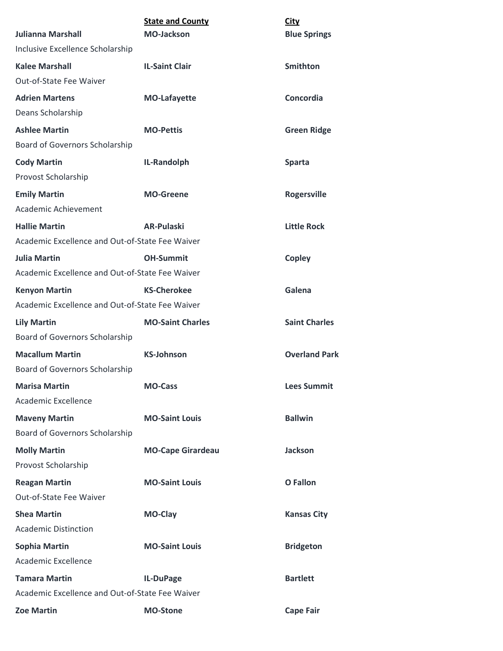|                                                 | <b>State and County</b>  | <b>City</b>          |  |
|-------------------------------------------------|--------------------------|----------------------|--|
| <b>Julianna Marshall</b>                        | <b>MO-Jackson</b>        | <b>Blue Springs</b>  |  |
| Inclusive Excellence Scholarship                |                          |                      |  |
| <b>Kalee Marshall</b>                           | <b>IL-Saint Clair</b>    | <b>Smithton</b>      |  |
| Out-of-State Fee Waiver                         |                          |                      |  |
| <b>Adrien Martens</b>                           | <b>MO-Lafayette</b>      | Concordia            |  |
| Deans Scholarship                               |                          |                      |  |
| <b>Ashlee Martin</b>                            | <b>MO-Pettis</b>         | <b>Green Ridge</b>   |  |
| <b>Board of Governors Scholarship</b>           |                          |                      |  |
| <b>Cody Martin</b>                              | IL-Randolph              | <b>Sparta</b>        |  |
| Provost Scholarship                             |                          |                      |  |
| <b>Emily Martin</b>                             | <b>MO-Greene</b>         | Rogersville          |  |
| Academic Achievement                            |                          |                      |  |
| <b>Hallie Martin</b>                            | <b>AR-Pulaski</b>        | <b>Little Rock</b>   |  |
| Academic Excellence and Out-of-State Fee Waiver |                          |                      |  |
| <b>Julia Martin</b>                             | <b>OH-Summit</b>         | <b>Copley</b>        |  |
| Academic Excellence and Out-of-State Fee Waiver |                          |                      |  |
| <b>Kenyon Martin</b>                            | <b>KS-Cherokee</b>       | Galena               |  |
| Academic Excellence and Out-of-State Fee Waiver |                          |                      |  |
| <b>Lily Martin</b>                              | <b>MO-Saint Charles</b>  | <b>Saint Charles</b> |  |
| Board of Governors Scholarship                  |                          |                      |  |
| <b>Macallum Martin</b>                          | <b>KS-Johnson</b>        | <b>Overland Park</b> |  |
| Board of Governors Scholarship                  |                          |                      |  |
| <b>Marisa Martin</b>                            | <b>MO-Cass</b>           | <b>Lees Summit</b>   |  |
| Academic Excellence                             |                          |                      |  |
| <b>Maveny Martin</b>                            | <b>MO-Saint Louis</b>    | <b>Ballwin</b>       |  |
| Board of Governors Scholarship                  |                          |                      |  |
| <b>Molly Martin</b>                             | <b>MO-Cape Girardeau</b> | <b>Jackson</b>       |  |
| Provost Scholarship                             |                          |                      |  |
| <b>Reagan Martin</b>                            | <b>MO-Saint Louis</b>    | <b>O</b> Fallon      |  |
| Out-of-State Fee Waiver                         |                          |                      |  |
| <b>Shea Martin</b>                              | MO-Clay                  | <b>Kansas City</b>   |  |
| <b>Academic Distinction</b>                     |                          |                      |  |
| <b>Sophia Martin</b>                            | <b>MO-Saint Louis</b>    | <b>Bridgeton</b>     |  |
| Academic Excellence                             |                          |                      |  |
| <b>Tamara Martin</b>                            | IL-DuPage                | <b>Bartlett</b>      |  |
| Academic Excellence and Out-of-State Fee Waiver |                          |                      |  |
| <b>Zoe Martin</b>                               | <b>MO-Stone</b>          | <b>Cape Fair</b>     |  |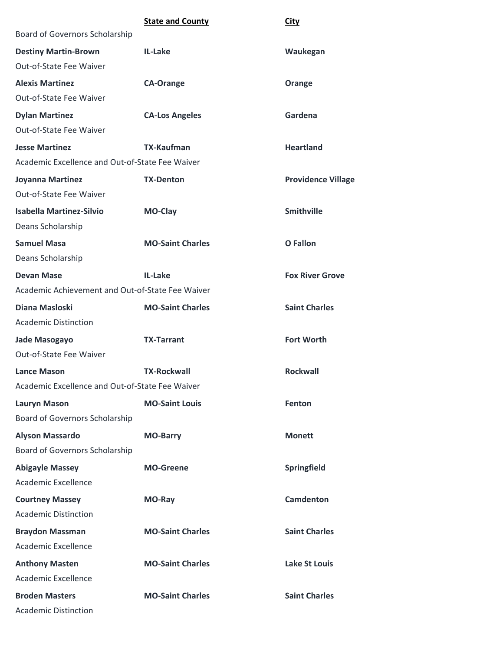|                                                  | <b>State and County</b> | <b>City</b>               |
|--------------------------------------------------|-------------------------|---------------------------|
| Board of Governors Scholarship                   |                         |                           |
| <b>Destiny Martin-Brown</b>                      | IL-Lake                 | Waukegan                  |
| Out-of-State Fee Waiver                          |                         |                           |
| <b>Alexis Martinez</b>                           | <b>CA-Orange</b>        | Orange                    |
| Out-of-State Fee Waiver                          |                         |                           |
| <b>Dylan Martinez</b>                            | <b>CA-Los Angeles</b>   | Gardena                   |
| Out-of-State Fee Waiver                          |                         |                           |
| <b>Jesse Martinez</b>                            | <b>TX-Kaufman</b>       | <b>Heartland</b>          |
| Academic Excellence and Out-of-State Fee Waiver  |                         |                           |
| Joyanna Martinez                                 | <b>TX-Denton</b>        | <b>Providence Village</b> |
| <b>Out-of-State Fee Waiver</b>                   |                         |                           |
| <b>Isabella Martinez-Silvio</b>                  | MO-Clay                 | <b>Smithville</b>         |
| Deans Scholarship                                |                         |                           |
| <b>Samuel Masa</b>                               | <b>MO-Saint Charles</b> | O Fallon                  |
| Deans Scholarship                                |                         |                           |
| <b>Devan Mase</b>                                | IL-Lake                 | <b>Fox River Grove</b>    |
| Academic Achievement and Out-of-State Fee Waiver |                         |                           |
| Diana Masloski                                   | <b>MO-Saint Charles</b> | <b>Saint Charles</b>      |
| <b>Academic Distinction</b>                      |                         |                           |
| Jade Masogayo                                    | <b>TX-Tarrant</b>       | <b>Fort Worth</b>         |
| <b>Out-of-State Fee Waiver</b>                   |                         |                           |
| <b>Lance Mason</b>                               | <b>TX-Rockwall</b>      | <b>Rockwall</b>           |
| Academic Excellence and Out-of-State Fee Waiver  |                         |                           |
| <b>Lauryn Mason</b>                              | <b>MO-Saint Louis</b>   | Fenton                    |
| Board of Governors Scholarship                   |                         |                           |
| <b>Alyson Massardo</b>                           | <b>MO-Barry</b>         | <b>Monett</b>             |
| Board of Governors Scholarship                   |                         |                           |
| <b>Abigayle Massey</b>                           | <b>MO-Greene</b>        | Springfield               |
| Academic Excellence                              |                         |                           |
| <b>Courtney Massey</b>                           | MO-Ray                  | <b>Camdenton</b>          |
| <b>Academic Distinction</b>                      |                         |                           |
| <b>Braydon Massman</b>                           | <b>MO-Saint Charles</b> | <b>Saint Charles</b>      |
| Academic Excellence                              |                         |                           |
| <b>Anthony Masten</b>                            | <b>MO-Saint Charles</b> | <b>Lake St Louis</b>      |
| Academic Excellence                              |                         |                           |
| <b>Broden Masters</b>                            | <b>MO-Saint Charles</b> | <b>Saint Charles</b>      |
| <b>Academic Distinction</b>                      |                         |                           |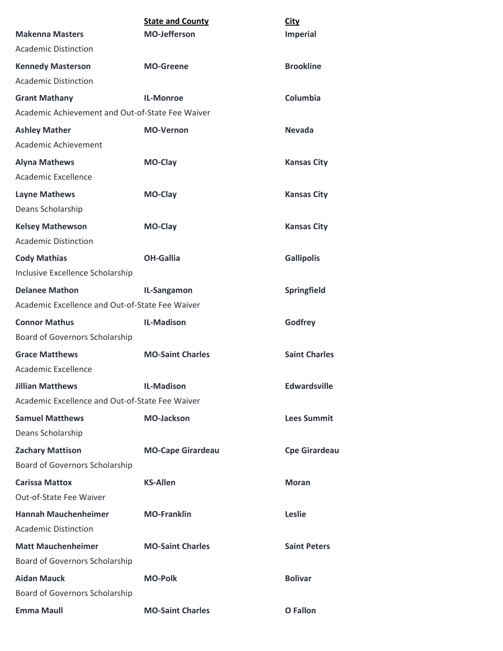|                                                  | <b>State and County</b>  | <b>City</b>          |
|--------------------------------------------------|--------------------------|----------------------|
| <b>Makenna Masters</b>                           | <b>MO-Jefferson</b>      | <b>Imperial</b>      |
| <b>Academic Distinction</b>                      |                          |                      |
| <b>Kennedy Masterson</b>                         | <b>MO-Greene</b>         | <b>Brookline</b>     |
| <b>Academic Distinction</b>                      |                          |                      |
| <b>Grant Mathany</b>                             | <b>IL-Monroe</b>         | Columbia             |
| Academic Achievement and Out-of-State Fee Waiver |                          |                      |
| <b>Ashley Mather</b>                             | <b>MO-Vernon</b>         | <b>Nevada</b>        |
| Academic Achievement                             |                          |                      |
| <b>Alyna Mathews</b>                             | MO-Clay                  | <b>Kansas City</b>   |
| Academic Excellence                              |                          |                      |
| <b>Layne Mathews</b>                             | MO-Clay                  | <b>Kansas City</b>   |
| Deans Scholarship                                |                          |                      |
| <b>Kelsey Mathewson</b>                          | <b>MO-Clay</b>           | <b>Kansas City</b>   |
| <b>Academic Distinction</b>                      |                          |                      |
| <b>Cody Mathias</b>                              | <b>OH-Gallia</b>         | <b>Gallipolis</b>    |
| Inclusive Excellence Scholarship                 |                          |                      |
| <b>Delanee Mathon</b>                            | IL-Sangamon              | Springfield          |
| Academic Excellence and Out-of-State Fee Waiver  |                          |                      |
| <b>Connor Mathus</b>                             | <b>IL-Madison</b>        | Godfrey              |
| Board of Governors Scholarship                   |                          |                      |
| <b>Grace Matthews</b>                            | <b>MO-Saint Charles</b>  | <b>Saint Charles</b> |
| <b>Academic Excellence</b>                       |                          |                      |
| <b>Jillian Matthews</b>                          | <b>IL-Madison</b>        | <b>Edwardsville</b>  |
| Academic Excellence and Out-of-State Fee Waiver  |                          |                      |
| <b>Samuel Matthews</b>                           | <b>MO-Jackson</b>        | <b>Lees Summit</b>   |
| Deans Scholarship                                |                          |                      |
| <b>Zachary Mattison</b>                          | <b>MO-Cape Girardeau</b> | <b>Cpe Girardeau</b> |
| Board of Governors Scholarship                   |                          |                      |
| <b>Carissa Mattox</b>                            | <b>KS-Allen</b>          | <b>Moran</b>         |
| Out-of-State Fee Waiver                          |                          |                      |
| <b>Hannah Mauchenheimer</b>                      | <b>MO-Franklin</b>       | <b>Leslie</b>        |
| <b>Academic Distinction</b>                      |                          |                      |
| <b>Matt Mauchenheimer</b>                        | <b>MO-Saint Charles</b>  | <b>Saint Peters</b>  |
| Board of Governors Scholarship                   |                          |                      |
| <b>Aidan Mauck</b>                               | <b>MO-Polk</b>           | <b>Bolivar</b>       |
| Board of Governors Scholarship                   |                          |                      |
| <b>Emma Maull</b>                                | <b>MO-Saint Charles</b>  | <b>O</b> Fallon      |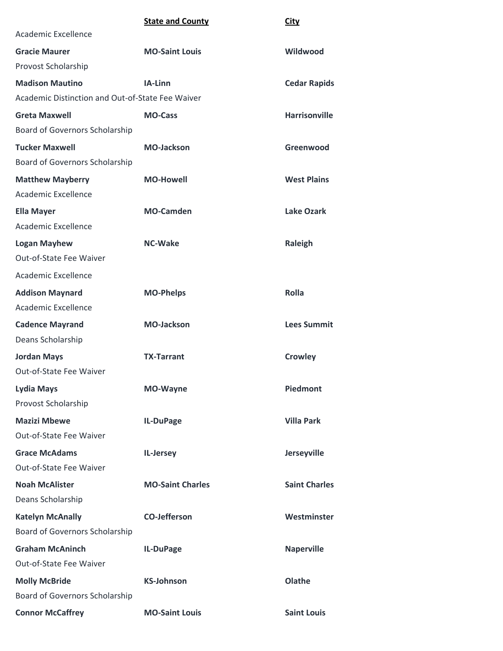## **State and County City**

| Academic Excellence                              |                         |                      |
|--------------------------------------------------|-------------------------|----------------------|
| <b>Gracie Maurer</b>                             | <b>MO-Saint Louis</b>   | Wildwood             |
| Provost Scholarship                              |                         |                      |
| <b>Madison Mautino</b>                           | IA-Linn                 | <b>Cedar Rapids</b>  |
| Academic Distinction and Out-of-State Fee Waiver |                         |                      |
| <b>Greta Maxwell</b>                             | <b>MO-Cass</b>          | <b>Harrisonville</b> |
| Board of Governors Scholarship                   |                         |                      |
| <b>Tucker Maxwell</b>                            | <b>MO-Jackson</b>       | Greenwood            |
| Board of Governors Scholarship                   |                         |                      |
| <b>Matthew Mayberry</b>                          | <b>MO-Howell</b>        | <b>West Plains</b>   |
| Academic Excellence                              |                         |                      |
| <b>Ella Mayer</b>                                | <b>MO-Camden</b>        | <b>Lake Ozark</b>    |
| Academic Excellence                              |                         |                      |
| <b>Logan Mayhew</b>                              | <b>NC-Wake</b>          | Raleigh              |
| Out-of-State Fee Waiver                          |                         |                      |
| Academic Excellence                              |                         |                      |
| <b>Addison Maynard</b>                           | <b>MO-Phelps</b>        | <b>Rolla</b>         |
| <b>Academic Excellence</b>                       |                         |                      |
| <b>Cadence Mayrand</b>                           | <b>MO-Jackson</b>       | <b>Lees Summit</b>   |
| Deans Scholarship                                |                         |                      |
| <b>Jordan Mays</b>                               | <b>TX-Tarrant</b>       | <b>Crowley</b>       |
| Out-of-State Fee Waiver                          |                         |                      |
| <b>Lydia Mays</b>                                | <b>MO-Wayne</b>         | <b>Piedmont</b>      |
| Provost Scholarship                              |                         |                      |
| <b>Mazizi Mbewe</b>                              | IL-DuPage               | <b>Villa Park</b>    |
| Out-of-State Fee Waiver                          |                         |                      |
| <b>Grace McAdams</b>                             | IL-Jersey               | Jerseyville          |
| Out-of-State Fee Waiver                          |                         |                      |
| <b>Noah McAlister</b>                            | <b>MO-Saint Charles</b> | <b>Saint Charles</b> |
| Deans Scholarship                                |                         |                      |
| <b>Katelyn McAnally</b>                          | <b>CO-Jefferson</b>     | Westminster          |
| Board of Governors Scholarship                   |                         |                      |
| <b>Graham McAninch</b>                           | IL-DuPage               | <b>Naperville</b>    |
| Out-of-State Fee Waiver                          |                         |                      |
| <b>Molly McBride</b>                             | <b>KS-Johnson</b>       | Olathe               |
| Board of Governors Scholarship                   |                         |                      |
| <b>Connor McCaffrey</b>                          | <b>MO-Saint Louis</b>   | <b>Saint Louis</b>   |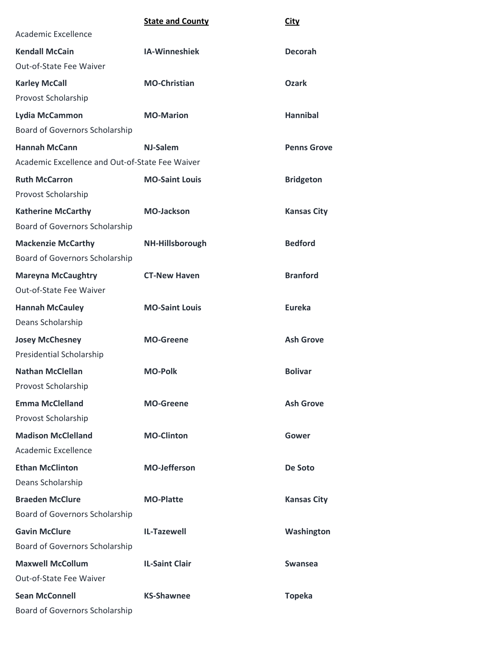|                                                 | <b>State and County</b> | <b>City</b>        |
|-------------------------------------------------|-------------------------|--------------------|
| Academic Excellence                             |                         |                    |
| <b>Kendall McCain</b>                           | <b>IA-Winneshiek</b>    | <b>Decorah</b>     |
| Out-of-State Fee Waiver                         |                         |                    |
| <b>Karley McCall</b>                            | <b>MO-Christian</b>     | <b>Ozark</b>       |
| Provost Scholarship                             |                         |                    |
| Lydia McCammon                                  | <b>MO-Marion</b>        | <b>Hannibal</b>    |
| Board of Governors Scholarship                  |                         |                    |
| <b>Hannah McCann</b>                            | NJ-Salem                | <b>Penns Grove</b> |
| Academic Excellence and Out-of-State Fee Waiver |                         |                    |
| <b>Ruth McCarron</b>                            | <b>MO-Saint Louis</b>   | <b>Bridgeton</b>   |
| Provost Scholarship                             |                         |                    |
| <b>Katherine McCarthy</b>                       | <b>MO-Jackson</b>       | <b>Kansas City</b> |
| Board of Governors Scholarship                  |                         |                    |
| <b>Mackenzie McCarthy</b>                       | NH-Hillsborough         | <b>Bedford</b>     |
| Board of Governors Scholarship                  |                         |                    |
| <b>Mareyna McCaughtry</b>                       | <b>CT-New Haven</b>     | <b>Branford</b>    |
| Out-of-State Fee Waiver                         |                         |                    |
| <b>Hannah McCauley</b>                          | <b>MO-Saint Louis</b>   | <b>Eureka</b>      |
| Deans Scholarship                               |                         |                    |
| <b>Josey McChesney</b>                          | <b>MO-Greene</b>        | <b>Ash Grove</b>   |
| <b>Presidential Scholarship</b>                 |                         |                    |
| <b>Nathan McClellan</b>                         | <b>MO-Polk</b>          | <b>Bolivar</b>     |
| Provost Scholarship                             |                         |                    |
| <b>Emma McClelland</b>                          | <b>MO-Greene</b>        | <b>Ash Grove</b>   |
| Provost Scholarship                             |                         |                    |
| <b>Madison McClelland</b>                       | <b>MO-Clinton</b>       | Gower              |
| Academic Excellence                             |                         |                    |
| <b>Ethan McClinton</b>                          | <b>MO-Jefferson</b>     | De Soto            |
| Deans Scholarship                               |                         |                    |
| <b>Braeden McClure</b>                          | <b>MO-Platte</b>        | <b>Kansas City</b> |
| <b>Board of Governors Scholarship</b>           |                         |                    |
| <b>Gavin McClure</b>                            | <b>IL-Tazewell</b>      | Washington         |
| <b>Board of Governors Scholarship</b>           |                         |                    |
| <b>Maxwell McCollum</b>                         | <b>IL-Saint Clair</b>   | <b>Swansea</b>     |
| Out-of-State Fee Waiver                         |                         |                    |
| <b>Sean McConnell</b>                           | <b>KS-Shawnee</b>       | <b>Topeka</b>      |
| Board of Governors Scholarship                  |                         |                    |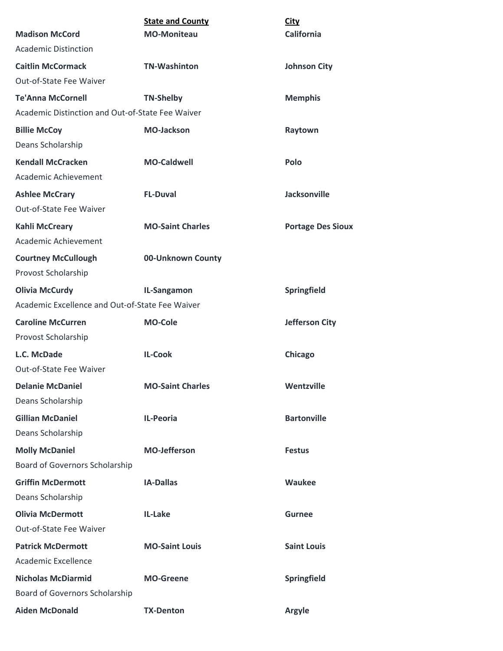| <b>Madison McCord</b>                                                        | <b>State and County</b><br><b>MO-Moniteau</b> | <b>City</b><br><b>California</b> |
|------------------------------------------------------------------------------|-----------------------------------------------|----------------------------------|
| <b>Academic Distinction</b>                                                  |                                               |                                  |
| <b>Caitlin McCormack</b>                                                     | <b>TN-Washinton</b>                           |                                  |
| Out-of-State Fee Waiver                                                      |                                               | <b>Johnson City</b>              |
|                                                                              |                                               |                                  |
| <b>Te'Anna McCornell</b><br>Academic Distinction and Out-of-State Fee Waiver | <b>TN-Shelby</b>                              | <b>Memphis</b>                   |
|                                                                              |                                               |                                  |
| <b>Billie McCoy</b>                                                          | <b>MO-Jackson</b>                             | Raytown                          |
| Deans Scholarship                                                            |                                               |                                  |
| <b>Kendall McCracken</b>                                                     | <b>MO-Caldwell</b>                            | Polo                             |
| Academic Achievement                                                         |                                               |                                  |
| <b>Ashlee McCrary</b>                                                        | <b>FL-Duval</b>                               | Jacksonville                     |
| Out-of-State Fee Waiver                                                      |                                               |                                  |
| <b>Kahli McCreary</b>                                                        | <b>MO-Saint Charles</b>                       | <b>Portage Des Sioux</b>         |
| Academic Achievement                                                         |                                               |                                  |
| <b>Courtney McCullough</b>                                                   | 00-Unknown County                             |                                  |
| Provost Scholarship                                                          |                                               |                                  |
| <b>Olivia McCurdy</b>                                                        | IL-Sangamon                                   | Springfield                      |
| Academic Excellence and Out-of-State Fee Waiver                              |                                               |                                  |
| <b>Caroline McCurren</b>                                                     | <b>MO-Cole</b>                                | <b>Jefferson City</b>            |
| Provost Scholarship                                                          |                                               |                                  |
| L.C. McDade                                                                  | <b>IL-Cook</b>                                | Chicago                          |
| Out-of-State Fee Waiver                                                      |                                               |                                  |
| <b>Delanie McDaniel</b>                                                      | <b>MO-Saint Charles</b>                       | Wentzville                       |
| Deans Scholarship                                                            |                                               |                                  |
| <b>Gillian McDaniel</b>                                                      | IL-Peoria                                     | <b>Bartonville</b>               |
| Deans Scholarship                                                            |                                               |                                  |
| <b>Molly McDaniel</b>                                                        | <b>MO-Jefferson</b>                           | <b>Festus</b>                    |
| Board of Governors Scholarship                                               |                                               |                                  |
| <b>Griffin McDermott</b>                                                     | <b>IA-Dallas</b>                              | Waukee                           |
| Deans Scholarship                                                            |                                               |                                  |
| <b>Olivia McDermott</b>                                                      | IL-Lake                                       | <b>Gurnee</b>                    |
| Out-of-State Fee Waiver                                                      |                                               |                                  |
| <b>Patrick McDermott</b>                                                     | <b>MO-Saint Louis</b>                         | <b>Saint Louis</b>               |
| Academic Excellence                                                          |                                               |                                  |
| <b>Nicholas McDiarmid</b>                                                    | <b>MO-Greene</b>                              | Springfield                      |
| Board of Governors Scholarship                                               |                                               |                                  |
| <b>Aiden McDonald</b>                                                        | <b>TX-Denton</b>                              | Argyle                           |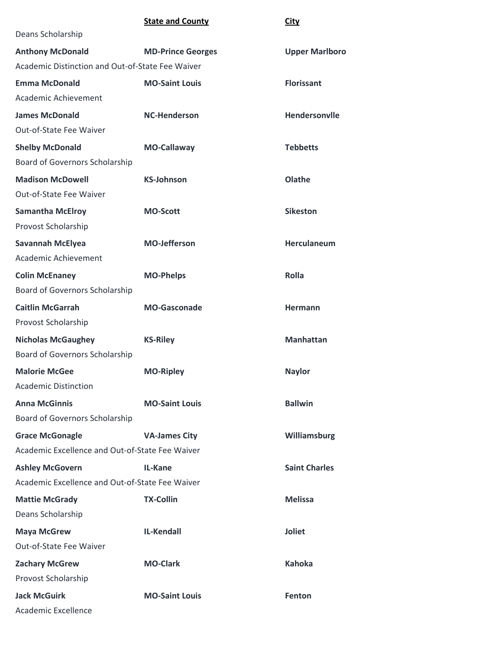## **State and County City**

| Deans Scholarship                                |                          |                       |
|--------------------------------------------------|--------------------------|-----------------------|
| <b>Anthony McDonald</b>                          | <b>MD-Prince Georges</b> | <b>Upper Marlboro</b> |
| Academic Distinction and Out-of-State Fee Waiver |                          |                       |
| <b>Emma McDonald</b>                             | <b>MO-Saint Louis</b>    | <b>Florissant</b>     |
| Academic Achievement                             |                          |                       |
| <b>James McDonald</b>                            | <b>NC-Henderson</b>      | Hendersonvile         |
| Out-of-State Fee Waiver                          |                          |                       |
| <b>Shelby McDonald</b>                           | <b>MO-Callaway</b>       | <b>Tebbetts</b>       |
| Board of Governors Scholarship                   |                          |                       |
| <b>Madison McDowell</b>                          | <b>KS-Johnson</b>        | Olathe                |
| Out-of-State Fee Waiver                          |                          |                       |
| <b>Samantha McElroy</b>                          | <b>MO-Scott</b>          | <b>Sikeston</b>       |
| Provost Scholarship                              |                          |                       |
| <b>Savannah McElyea</b>                          | <b>MO-Jefferson</b>      | Herculaneum           |
| Academic Achievement                             |                          |                       |
| <b>Colin McEnaney</b>                            | <b>MO-Phelps</b>         | <b>Rolla</b>          |
| Board of Governors Scholarship                   |                          |                       |
| <b>Caitlin McGarrah</b>                          | <b>MO-Gasconade</b>      | Hermann               |
| Provost Scholarship                              |                          |                       |
| <b>Nicholas McGaughey</b>                        | <b>KS-Riley</b>          | <b>Manhattan</b>      |
| Board of Governors Scholarship                   |                          |                       |
| <b>Malorie McGee</b>                             | <b>MO-Ripley</b>         | <b>Naylor</b>         |
| <b>Academic Distinction</b>                      |                          |                       |
| <b>Anna McGinnis</b>                             | <b>MO-Saint Louis</b>    | <b>Ballwin</b>        |
| Board of Governors Scholarship                   |                          |                       |
| <b>Grace McGonagle</b>                           | <b>VA-James City</b>     | Williamsburg          |
| Academic Excellence and Out-of-State Fee Waiver  |                          |                       |
| <b>Ashley McGovern</b>                           | <b>IL-Kane</b>           | <b>Saint Charles</b>  |
| Academic Excellence and Out-of-State Fee Waiver  |                          |                       |
| <b>Mattie McGrady</b>                            | <b>TX-Collin</b>         | <b>Melissa</b>        |
| Deans Scholarship                                |                          |                       |
| <b>Maya McGrew</b>                               | <b>IL-Kendall</b>        | <b>Joliet</b>         |
| Out-of-State Fee Waiver                          |                          |                       |
| <b>Zachary McGrew</b>                            | <b>MO-Clark</b>          | <b>Kahoka</b>         |
| Provost Scholarship                              |                          |                       |
| <b>Jack McGuirk</b>                              | <b>MO-Saint Louis</b>    | Fenton                |
| Academic Excellence                              |                          |                       |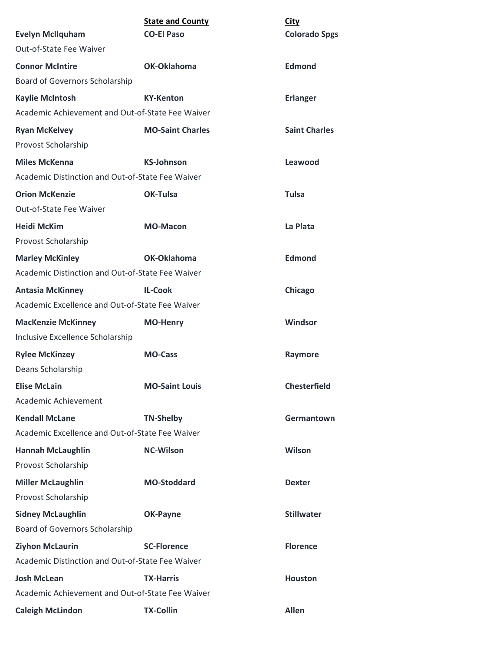| <b>Evelyn McIlquham</b>                          | <b>State and County</b><br><b>CO-El Paso</b> | <b>City</b><br><b>Colorado Spgs</b> |
|--------------------------------------------------|----------------------------------------------|-------------------------------------|
| Out-of-State Fee Waiver                          |                                              |                                     |
| <b>Connor McIntire</b>                           | OK-Oklahoma                                  | <b>Edmond</b>                       |
| <b>Board of Governors Scholarship</b>            |                                              |                                     |
| <b>Kaylie McIntosh</b>                           | <b>KY-Kenton</b>                             | <b>Erlanger</b>                     |
| Academic Achievement and Out-of-State Fee Waiver |                                              |                                     |
| <b>Ryan McKelvey</b>                             | <b>MO-Saint Charles</b>                      | <b>Saint Charles</b>                |
| Provost Scholarship                              |                                              |                                     |
| <b>Miles McKenna</b>                             | <b>KS-Johnson</b>                            | Leawood                             |
| Academic Distinction and Out-of-State Fee Waiver |                                              |                                     |
| <b>Orion McKenzie</b>                            | <b>OK-Tulsa</b>                              | <b>Tulsa</b>                        |
| Out-of-State Fee Waiver                          |                                              |                                     |
| <b>Heidi McKim</b>                               | <b>MO-Macon</b>                              | La Plata                            |
| Provost Scholarship                              |                                              |                                     |
| <b>Marley McKinley</b>                           | OK-Oklahoma                                  | <b>Edmond</b>                       |
| Academic Distinction and Out-of-State Fee Waiver |                                              |                                     |
| <b>Antasia McKinney</b>                          | <b>IL-Cook</b>                               | Chicago                             |
| Academic Excellence and Out-of-State Fee Waiver  |                                              |                                     |
| <b>MacKenzie McKinney</b>                        | <b>MO-Henry</b>                              | <b>Windsor</b>                      |
| Inclusive Excellence Scholarship                 |                                              |                                     |
| <b>Rylee McKinzey</b>                            | <b>MO-Cass</b>                               | Raymore                             |
| Deans Scholarship                                |                                              |                                     |
| <b>Elise McLain</b>                              | <b>MO-Saint Louis</b>                        | <b>Chesterfield</b>                 |
| Academic Achievement                             |                                              |                                     |
| <b>Kendall McLane</b>                            | <b>TN-Shelby</b>                             | Germantown                          |
| Academic Excellence and Out-of-State Fee Waiver  |                                              |                                     |
| <b>Hannah McLaughlin</b>                         | <b>NC-Wilson</b>                             | Wilson                              |
| Provost Scholarship                              |                                              |                                     |
| <b>Miller McLaughlin</b>                         | <b>MO-Stoddard</b>                           | <b>Dexter</b>                       |
| Provost Scholarship                              |                                              |                                     |
| <b>Sidney McLaughlin</b>                         | <b>OK-Payne</b>                              | <b>Stillwater</b>                   |
| Board of Governors Scholarship                   |                                              |                                     |
| <b>Ziyhon McLaurin</b>                           | <b>SC-Florence</b>                           | <b>Florence</b>                     |
| Academic Distinction and Out-of-State Fee Waiver |                                              |                                     |
| <b>Josh McLean</b>                               | <b>TX-Harris</b>                             | <b>Houston</b>                      |
| Academic Achievement and Out-of-State Fee Waiver |                                              |                                     |
| <b>Caleigh McLindon</b>                          | <b>TX-Collin</b>                             | <b>Allen</b>                        |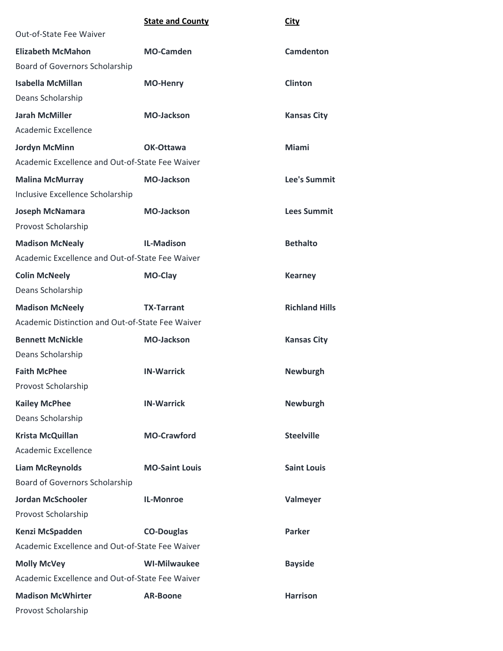|                                                  | <b>State and County</b> | <b>City</b>           |
|--------------------------------------------------|-------------------------|-----------------------|
| Out-of-State Fee Waiver                          |                         |                       |
| <b>Elizabeth McMahon</b>                         | <b>MO-Camden</b>        | <b>Camdenton</b>      |
| Board of Governors Scholarship                   |                         |                       |
| <b>Isabella McMillan</b>                         | <b>MO-Henry</b>         | <b>Clinton</b>        |
| Deans Scholarship                                |                         |                       |
| <b>Jarah McMiller</b>                            | <b>MO-Jackson</b>       | <b>Kansas City</b>    |
| Academic Excellence                              |                         |                       |
| <b>Jordyn McMinn</b>                             | OK-Ottawa               | <b>Miami</b>          |
| Academic Excellence and Out-of-State Fee Waiver  |                         |                       |
| <b>Malina McMurray</b>                           | <b>MO-Jackson</b>       | Lee's Summit          |
| Inclusive Excellence Scholarship                 |                         |                       |
| <b>Joseph McNamara</b>                           | <b>MO-Jackson</b>       | <b>Lees Summit</b>    |
| Provost Scholarship                              |                         |                       |
| <b>Madison McNealy</b>                           | <b>IL-Madison</b>       | <b>Bethalto</b>       |
| Academic Excellence and Out-of-State Fee Waiver  |                         |                       |
| <b>Colin McNeely</b>                             | MO-Clay                 | <b>Kearney</b>        |
| Deans Scholarship                                |                         |                       |
| <b>Madison McNeely</b>                           | <b>TX-Tarrant</b>       | <b>Richland Hills</b> |
| Academic Distinction and Out-of-State Fee Waiver |                         |                       |
| <b>Bennett McNickle</b>                          | <b>MO-Jackson</b>       | <b>Kansas City</b>    |
| Deans Scholarship                                |                         |                       |
| <b>Faith McPhee</b>                              | <b>IN-Warrick</b>       | <b>Newburgh</b>       |
| Provost Scholarship                              |                         |                       |
| <b>Kailey McPhee</b>                             | <b>IN-Warrick</b>       | <b>Newburgh</b>       |
| Deans Scholarship                                |                         |                       |
| <b>Krista McQuillan</b>                          | <b>MO-Crawford</b>      | <b>Steelville</b>     |
| <b>Academic Excellence</b>                       |                         |                       |
| <b>Liam McReynolds</b>                           | <b>MO-Saint Louis</b>   | <b>Saint Louis</b>    |
| Board of Governors Scholarship                   |                         |                       |
| <b>Jordan McSchooler</b>                         | <b>IL-Monroe</b>        | Valmeyer              |
| Provost Scholarship                              |                         |                       |
| Kenzi McSpadden                                  | <b>CO-Douglas</b>       | <b>Parker</b>         |
| Academic Excellence and Out-of-State Fee Waiver  |                         |                       |
| <b>Molly McVey</b>                               | <b>WI-Milwaukee</b>     | <b>Bayside</b>        |
| Academic Excellence and Out-of-State Fee Waiver  |                         |                       |
| <b>Madison McWhirter</b>                         | <b>AR-Boone</b>         | <b>Harrison</b>       |
| Provost Scholarship                              |                         |                       |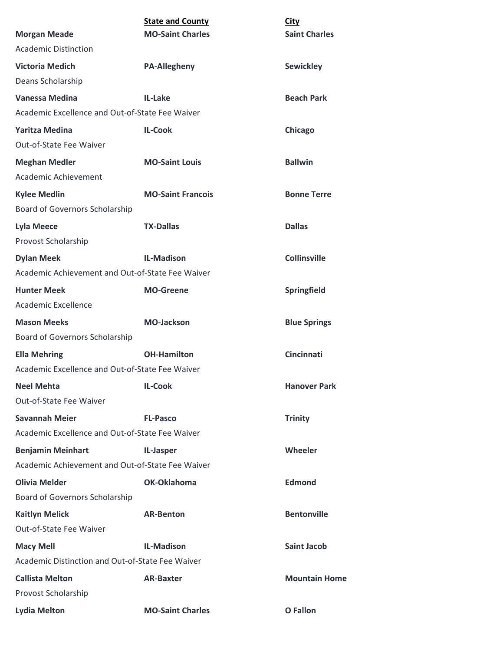| <b>Morgan Meade</b>                              | <b>State and County</b><br><b>MO-Saint Charles</b> | <b>City</b><br><b>Saint Charles</b> |
|--------------------------------------------------|----------------------------------------------------|-------------------------------------|
| <b>Academic Distinction</b>                      |                                                    |                                     |
| <b>Victoria Medich</b>                           | <b>PA-Allegheny</b>                                | <b>Sewickley</b>                    |
| Deans Scholarship                                |                                                    |                                     |
| Vanessa Medina                                   | <b>IL-Lake</b>                                     | <b>Beach Park</b>                   |
| Academic Excellence and Out-of-State Fee Waiver  |                                                    |                                     |
| <b>Yaritza Medina</b>                            | <b>IL-Cook</b>                                     | Chicago                             |
| <b>Out-of-State Fee Waiver</b>                   |                                                    |                                     |
| <b>Meghan Medler</b>                             | <b>MO-Saint Louis</b>                              | <b>Ballwin</b>                      |
| Academic Achievement                             |                                                    |                                     |
| <b>Kylee Medlin</b>                              | <b>MO-Saint Francois</b>                           | <b>Bonne Terre</b>                  |
| Board of Governors Scholarship                   |                                                    |                                     |
| <b>Lyla Meece</b>                                | <b>TX-Dallas</b>                                   | <b>Dallas</b>                       |
| Provost Scholarship                              |                                                    |                                     |
| <b>Dylan Meek</b>                                | <b>IL-Madison</b>                                  | <b>Collinsville</b>                 |
| Academic Achievement and Out-of-State Fee Waiver |                                                    |                                     |
| <b>Hunter Meek</b>                               | <b>MO-Greene</b>                                   | Springfield                         |
| Academic Excellence                              |                                                    |                                     |
| <b>Mason Meeks</b>                               | <b>MO-Jackson</b>                                  | <b>Blue Springs</b>                 |
| Board of Governors Scholarship                   |                                                    |                                     |
| <b>Ella Mehring</b>                              | <b>OH-Hamilton</b>                                 | <b>Cincinnati</b>                   |
| Academic Excellence and Out-of-State Fee Waiver  |                                                    |                                     |
| <b>Neel Mehta</b>                                | <b>IL-Cook</b>                                     | <b>Hanover Park</b>                 |
| Out-of-State Fee Waiver                          |                                                    |                                     |
| <b>Savannah Meier</b>                            | <b>FL-Pasco</b>                                    | <b>Trinity</b>                      |
| Academic Excellence and Out-of-State Fee Waiver  |                                                    |                                     |
| <b>Benjamin Meinhart</b>                         | IL-Jasper                                          | Wheeler                             |
| Academic Achievement and Out-of-State Fee Waiver |                                                    |                                     |
| <b>Olivia Melder</b>                             | OK-Oklahoma                                        | <b>Edmond</b>                       |
| Board of Governors Scholarship                   |                                                    |                                     |
| <b>Kaitlyn Melick</b>                            | <b>AR-Benton</b>                                   | <b>Bentonville</b>                  |
| Out-of-State Fee Waiver                          |                                                    |                                     |
| <b>Macy Mell</b>                                 | <b>IL-Madison</b>                                  | <b>Saint Jacob</b>                  |
| Academic Distinction and Out-of-State Fee Waiver |                                                    |                                     |
| <b>Callista Melton</b>                           | <b>AR-Baxter</b>                                   | <b>Mountain Home</b>                |
| Provost Scholarship                              |                                                    |                                     |
| <b>Lydia Melton</b>                              | <b>MO-Saint Charles</b>                            | <b>O</b> Fallon                     |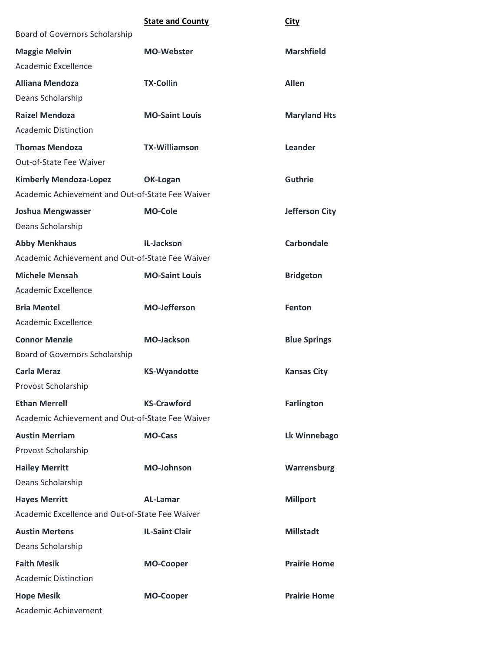|                                                  | <b>State and County</b> | City                  |
|--------------------------------------------------|-------------------------|-----------------------|
| Board of Governors Scholarship                   |                         |                       |
| <b>Maggie Melvin</b>                             | <b>MO-Webster</b>       | <b>Marshfield</b>     |
| <b>Academic Excellence</b>                       |                         |                       |
| <b>Alliana Mendoza</b>                           | <b>TX-Collin</b>        | <b>Allen</b>          |
| Deans Scholarship                                |                         |                       |
| <b>Raizel Mendoza</b>                            | <b>MO-Saint Louis</b>   | <b>Maryland Hts</b>   |
| <b>Academic Distinction</b>                      |                         |                       |
| <b>Thomas Mendoza</b>                            | <b>TX-Williamson</b>    | Leander               |
| Out-of-State Fee Waiver                          |                         |                       |
| <b>Kimberly Mendoza-Lopez</b>                    | <b>OK-Logan</b>         | <b>Guthrie</b>        |
| Academic Achievement and Out-of-State Fee Waiver |                         |                       |
| <b>Joshua Mengwasser</b>                         | <b>MO-Cole</b>          | <b>Jefferson City</b> |
| Deans Scholarship                                |                         |                       |
| <b>Abby Menkhaus</b>                             | IL-Jackson              | <b>Carbondale</b>     |
| Academic Achievement and Out-of-State Fee Waiver |                         |                       |
| <b>Michele Mensah</b>                            | <b>MO-Saint Louis</b>   | <b>Bridgeton</b>      |
| <b>Academic Excellence</b>                       |                         |                       |
| <b>Bria Mentel</b>                               | <b>MO-Jefferson</b>     | Fenton                |
| <b>Academic Excellence</b>                       |                         |                       |
| <b>Connor Menzie</b>                             | <b>MO-Jackson</b>       | <b>Blue Springs</b>   |
| Board of Governors Scholarship                   |                         |                       |
| <b>Carla Meraz</b>                               | <b>KS-Wyandotte</b>     | <b>Kansas City</b>    |
| Provost Scholarship                              |                         |                       |
| <b>Ethan Merrell</b>                             | <b>KS-Crawford</b>      | <b>Farlington</b>     |
| Academic Achievement and Out-of-State Fee Waiver |                         |                       |
| <b>Austin Merriam</b>                            | <b>MO-Cass</b>          | Lk Winnebago          |
| Provost Scholarship                              |                         |                       |
| <b>Hailey Merritt</b>                            | <b>MO-Johnson</b>       | Warrensburg           |
| Deans Scholarship                                |                         |                       |
| <b>Hayes Merritt</b>                             | <b>AL-Lamar</b>         | <b>Millport</b>       |
| Academic Excellence and Out-of-State Fee Waiver  |                         |                       |
| <b>Austin Mertens</b>                            | <b>IL-Saint Clair</b>   | <b>Millstadt</b>      |
| Deans Scholarship                                |                         |                       |
| <b>Faith Mesik</b>                               | <b>MO-Cooper</b>        | <b>Prairie Home</b>   |
| <b>Academic Distinction</b>                      |                         |                       |
| <b>Hope Mesik</b>                                | <b>MO-Cooper</b>        | <b>Prairie Home</b>   |
| Academic Achievement                             |                         |                       |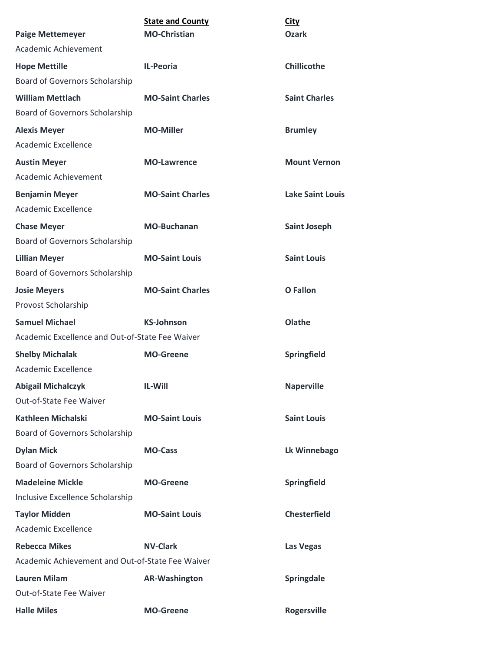|                                                  | <b>State and County</b> | <b>City</b>             |
|--------------------------------------------------|-------------------------|-------------------------|
| <b>Paige Mettemeyer</b>                          | <b>MO-Christian</b>     | <b>Ozark</b>            |
| Academic Achievement                             |                         |                         |
| <b>Hope Mettille</b>                             | <b>IL-Peoria</b>        | <b>Chillicothe</b>      |
| Board of Governors Scholarship                   |                         |                         |
| <b>William Mettlach</b>                          | <b>MO-Saint Charles</b> | <b>Saint Charles</b>    |
| Board of Governors Scholarship                   |                         |                         |
| <b>Alexis Meyer</b>                              | <b>MO-Miller</b>        | <b>Brumley</b>          |
| Academic Excellence                              |                         |                         |
| <b>Austin Meyer</b>                              | <b>MO-Lawrence</b>      | <b>Mount Vernon</b>     |
| Academic Achievement                             |                         |                         |
| <b>Benjamin Meyer</b>                            | <b>MO-Saint Charles</b> | <b>Lake Saint Louis</b> |
| Academic Excellence                              |                         |                         |
| <b>Chase Meyer</b>                               | <b>MO-Buchanan</b>      | <b>Saint Joseph</b>     |
| Board of Governors Scholarship                   |                         |                         |
| <b>Lillian Meyer</b>                             | <b>MO-Saint Louis</b>   | <b>Saint Louis</b>      |
| Board of Governors Scholarship                   |                         |                         |
| <b>Josie Meyers</b>                              | <b>MO-Saint Charles</b> | <b>O</b> Fallon         |
| Provost Scholarship                              |                         |                         |
| <b>Samuel Michael</b>                            | <b>KS-Johnson</b>       | Olathe                  |
| Academic Excellence and Out-of-State Fee Waiver  |                         |                         |
| <b>Shelby Michalak</b>                           | <b>MO-Greene</b>        | Springfield             |
| Academic Excellence                              |                         |                         |
| <b>Abigail Michalczyk</b>                        | IL-Will                 | <b>Naperville</b>       |
| Out-of-State Fee Waiver                          |                         |                         |
| <b>Kathleen Michalski</b>                        | <b>MO-Saint Louis</b>   | <b>Saint Louis</b>      |
| Board of Governors Scholarship                   |                         |                         |
| <b>Dylan Mick</b>                                | <b>MO-Cass</b>          | Lk Winnebago            |
| Board of Governors Scholarship                   |                         |                         |
| <b>Madeleine Mickle</b>                          | <b>MO-Greene</b>        | Springfield             |
| Inclusive Excellence Scholarship                 |                         |                         |
| <b>Taylor Midden</b>                             | <b>MO-Saint Louis</b>   | <b>Chesterfield</b>     |
| <b>Academic Excellence</b>                       |                         |                         |
| <b>Rebecca Mikes</b>                             | <b>NV-Clark</b>         | Las Vegas               |
| Academic Achievement and Out-of-State Fee Waiver |                         |                         |
| <b>Lauren Milam</b>                              | <b>AR-Washington</b>    | Springdale              |
| Out-of-State Fee Waiver                          |                         |                         |
| <b>Halle Miles</b>                               | <b>MO-Greene</b>        | <b>Rogersville</b>      |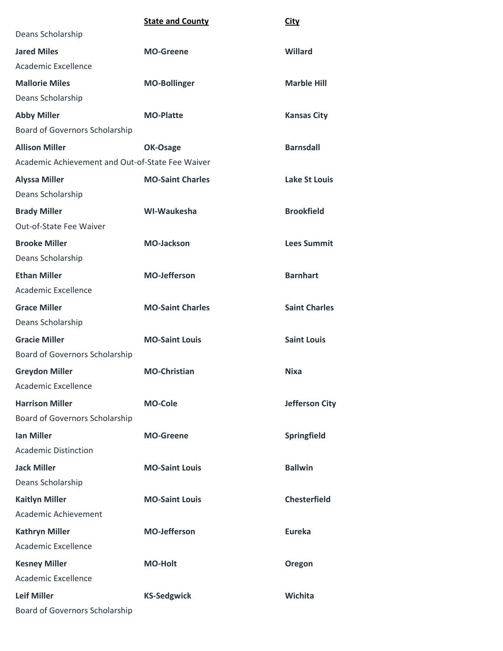|                                                  | <b>State and County</b> | <b>City</b>           |
|--------------------------------------------------|-------------------------|-----------------------|
| Deans Scholarship                                |                         |                       |
| <b>Jared Miles</b>                               | <b>MO-Greene</b>        | Willard               |
| Academic Excellence                              |                         |                       |
| <b>Mallorie Miles</b>                            | <b>MO-Bollinger</b>     | <b>Marble Hill</b>    |
| Deans Scholarship                                |                         |                       |
| <b>Abby Miller</b>                               | <b>MO-Platte</b>        | <b>Kansas City</b>    |
| Board of Governors Scholarship                   |                         |                       |
| <b>Allison Miller</b>                            | OK-Osage                | <b>Barnsdall</b>      |
| Academic Achievement and Out-of-State Fee Waiver |                         |                       |
| <b>Alyssa Miller</b>                             | <b>MO-Saint Charles</b> | <b>Lake St Louis</b>  |
| Deans Scholarship                                |                         |                       |
| <b>Brady Miller</b>                              | WI-Waukesha             | <b>Brookfield</b>     |
| Out-of-State Fee Waiver                          |                         |                       |
| <b>Brooke Miller</b>                             | <b>MO-Jackson</b>       | <b>Lees Summit</b>    |
| Deans Scholarship                                |                         |                       |
| <b>Ethan Miller</b>                              | <b>MO-Jefferson</b>     | <b>Barnhart</b>       |
| Academic Excellence                              |                         |                       |
| <b>Grace Miller</b>                              | <b>MO-Saint Charles</b> | <b>Saint Charles</b>  |
| Deans Scholarship                                |                         |                       |
| <b>Gracie Miller</b>                             | <b>MO-Saint Louis</b>   | <b>Saint Louis</b>    |
| Board of Governors Scholarship                   |                         |                       |
| <b>Greydon Miller</b>                            | <b>MO-Christian</b>     | <b>Nixa</b>           |
| Academic Excellence                              |                         |                       |
| <b>Harrison Miller</b>                           | <b>MO-Cole</b>          | <b>Jefferson City</b> |
| Board of Governors Scholarship                   |                         |                       |
| <b>Ian Miller</b>                                | <b>MO-Greene</b>        | Springfield           |
| <b>Academic Distinction</b>                      |                         |                       |
| <b>Jack Miller</b>                               | <b>MO-Saint Louis</b>   | <b>Ballwin</b>        |
| Deans Scholarship                                |                         |                       |
| <b>Kaitlyn Miller</b>                            | <b>MO-Saint Louis</b>   | <b>Chesterfield</b>   |
| Academic Achievement                             |                         |                       |
| <b>Kathryn Miller</b>                            | <b>MO-Jefferson</b>     | Eureka                |
| Academic Excellence                              |                         |                       |
| <b>Kesney Miller</b>                             | <b>MO-Holt</b>          | Oregon                |
| Academic Excellence                              |                         |                       |
| <b>Leif Miller</b>                               | <b>KS-Sedgwick</b>      | Wichita               |
| Board of Governors Scholarship                   |                         |                       |
|                                                  |                         |                       |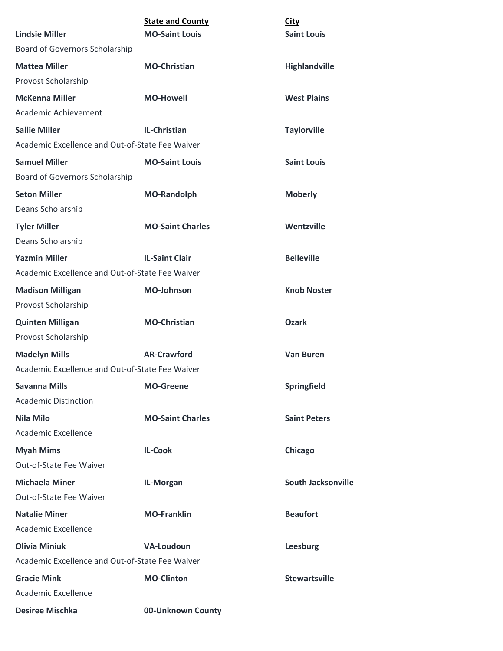|                                                 | <b>State and County</b> | <b>City</b>               |
|-------------------------------------------------|-------------------------|---------------------------|
| <b>Lindsie Miller</b>                           | <b>MO-Saint Louis</b>   | <b>Saint Louis</b>        |
| Board of Governors Scholarship                  |                         |                           |
| <b>Mattea Miller</b>                            | <b>MO-Christian</b>     | Highlandville             |
| Provost Scholarship                             |                         |                           |
| <b>McKenna Miller</b>                           | <b>MO-Howell</b>        | <b>West Plains</b>        |
| Academic Achievement                            |                         |                           |
| <b>Sallie Miller</b>                            | IL-Christian            | <b>Taylorville</b>        |
| Academic Excellence and Out-of-State Fee Waiver |                         |                           |
| <b>Samuel Miller</b>                            | <b>MO-Saint Louis</b>   | <b>Saint Louis</b>        |
| Board of Governors Scholarship                  |                         |                           |
| <b>Seton Miller</b>                             | <b>MO-Randolph</b>      | <b>Moberly</b>            |
| Deans Scholarship                               |                         |                           |
| <b>Tyler Miller</b>                             | <b>MO-Saint Charles</b> | Wentzville                |
| Deans Scholarship                               |                         |                           |
| <b>Yazmin Miller</b>                            | <b>IL-Saint Clair</b>   | <b>Belleville</b>         |
| Academic Excellence and Out-of-State Fee Waiver |                         |                           |
| <b>Madison Milligan</b>                         | <b>MO-Johnson</b>       | <b>Knob Noster</b>        |
| Provost Scholarship                             |                         |                           |
| <b>Quinten Milligan</b>                         | <b>MO-Christian</b>     | <b>Ozark</b>              |
| Provost Scholarship                             |                         |                           |
| <b>Madelyn Mills</b>                            | <b>AR-Crawford</b>      | <b>Van Buren</b>          |
| Academic Excellence and Out-of-State Fee Waiver |                         |                           |
| <b>Savanna Mills</b>                            | <b>MO-Greene</b>        | Springfield               |
| <b>Academic Distinction</b>                     |                         |                           |
| <b>Nila Milo</b>                                | <b>MO-Saint Charles</b> | <b>Saint Peters</b>       |
| <b>Academic Excellence</b>                      |                         |                           |
| <b>Myah Mims</b>                                | <b>IL-Cook</b>          | Chicago                   |
| Out-of-State Fee Waiver                         |                         |                           |
| <b>Michaela Miner</b>                           | IL-Morgan               | <b>South Jacksonville</b> |
| Out-of-State Fee Waiver                         |                         |                           |
| <b>Natalie Miner</b>                            | <b>MO-Franklin</b>      | <b>Beaufort</b>           |
| Academic Excellence                             |                         |                           |
| <b>Olivia Miniuk</b>                            | <b>VA-Loudoun</b>       | Leesburg                  |
| Academic Excellence and Out-of-State Fee Waiver |                         |                           |
| <b>Gracie Mink</b>                              | <b>MO-Clinton</b>       | <b>Stewartsville</b>      |
| Academic Excellence                             |                         |                           |
| <b>Desiree Mischka</b>                          | 00-Unknown County       |                           |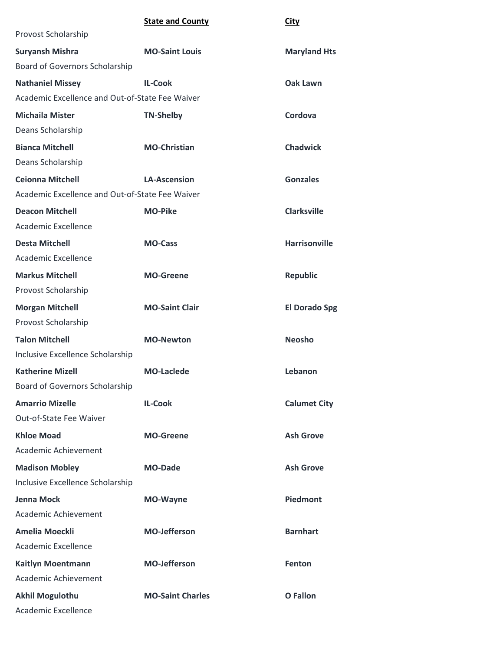| <b>State and County</b><br><b>City</b> |
|----------------------------------------|
|----------------------------------------|

| Provost Scholarship                             |                         |                      |
|-------------------------------------------------|-------------------------|----------------------|
| <b>Suryansh Mishra</b>                          | <b>MO-Saint Louis</b>   | <b>Maryland Hts</b>  |
| Board of Governors Scholarship                  |                         |                      |
| <b>Nathaniel Missey</b>                         | <b>IL-Cook</b>          | Oak Lawn             |
| Academic Excellence and Out-of-State Fee Waiver |                         |                      |
| <b>Michaila Mister</b>                          | <b>TN-Shelby</b>        | Cordova              |
| Deans Scholarship                               |                         |                      |
| <b>Bianca Mitchell</b>                          | <b>MO-Christian</b>     | <b>Chadwick</b>      |
| Deans Scholarship                               |                         |                      |
| <b>Ceionna Mitchell</b>                         | <b>LA-Ascension</b>     | <b>Gonzales</b>      |
| Academic Excellence and Out-of-State Fee Waiver |                         |                      |
| <b>Deacon Mitchell</b>                          | <b>MO-Pike</b>          | <b>Clarksville</b>   |
| <b>Academic Excellence</b>                      |                         |                      |
| <b>Desta Mitchell</b>                           | <b>MO-Cass</b>          | <b>Harrisonville</b> |
| Academic Excellence                             |                         |                      |
| <b>Markus Mitchell</b>                          | <b>MO-Greene</b>        | <b>Republic</b>      |
| Provost Scholarship                             |                         |                      |
| <b>Morgan Mitchell</b>                          | <b>MO-Saint Clair</b>   | <b>El Dorado Spg</b> |
| Provost Scholarship                             |                         |                      |
| <b>Talon Mitchell</b>                           | <b>MO-Newton</b>        | <b>Neosho</b>        |
| Inclusive Excellence Scholarship                |                         |                      |
| <b>Katherine Mizell</b>                         | <b>MO-Laclede</b>       | Lebanon              |
| Board of Governors Scholarship                  |                         |                      |
| <b>Amarrio Mizelle</b>                          | <b>IL-Cook</b>          | <b>Calumet City</b>  |
| Out-of-State Fee Waiver                         |                         |                      |
| <b>Khloe Moad</b>                               | <b>MO-Greene</b>        | <b>Ash Grove</b>     |
| Academic Achievement                            |                         |                      |
| <b>Madison Mobley</b>                           | <b>MO-Dade</b>          | <b>Ash Grove</b>     |
| Inclusive Excellence Scholarship                |                         |                      |
| <b>Jenna Mock</b>                               | <b>MO-Wayne</b>         | Piedmont             |
| Academic Achievement                            |                         |                      |
| <b>Amelia Moeckli</b>                           | <b>MO-Jefferson</b>     | <b>Barnhart</b>      |
| Academic Excellence                             |                         |                      |
| Kaitlyn Moentmann                               | <b>MO-Jefferson</b>     | Fenton               |
| Academic Achievement                            |                         |                      |
| <b>Akhil Mogulothu</b>                          | <b>MO-Saint Charles</b> | <b>O</b> Fallon      |
| Academic Excellence                             |                         |                      |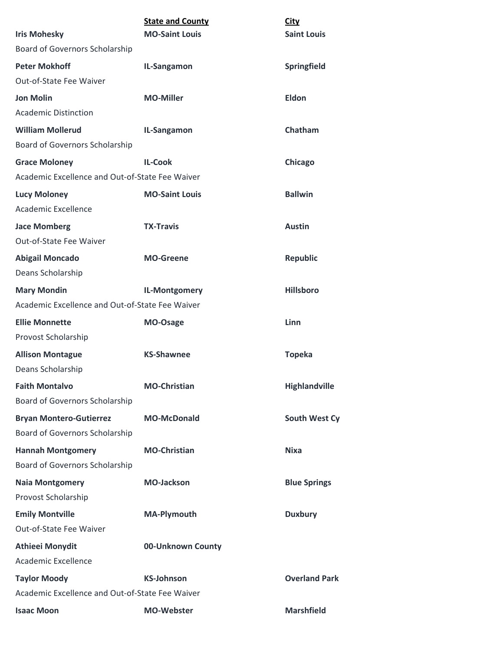|                                                 | <b>State and County</b> | <b>City</b>          |
|-------------------------------------------------|-------------------------|----------------------|
| <b>Iris Mohesky</b>                             | <b>MO-Saint Louis</b>   | <b>Saint Louis</b>   |
| Board of Governors Scholarship                  |                         |                      |
| <b>Peter Mokhoff</b>                            | IL-Sangamon             | Springfield          |
| Out-of-State Fee Waiver                         |                         |                      |
| <b>Jon Molin</b>                                | <b>MO-Miller</b>        | <b>Eldon</b>         |
| <b>Academic Distinction</b>                     |                         |                      |
| <b>William Mollerud</b>                         | IL-Sangamon             | Chatham              |
| Board of Governors Scholarship                  |                         |                      |
| <b>Grace Moloney</b>                            | <b>IL-Cook</b>          | Chicago              |
| Academic Excellence and Out-of-State Fee Waiver |                         |                      |
| <b>Lucy Moloney</b>                             | <b>MO-Saint Louis</b>   | <b>Ballwin</b>       |
| Academic Excellence                             |                         |                      |
| <b>Jace Momberg</b>                             | <b>TX-Travis</b>        | <b>Austin</b>        |
| Out-of-State Fee Waiver                         |                         |                      |
| <b>Abigail Moncado</b>                          | <b>MO-Greene</b>        | <b>Republic</b>      |
| Deans Scholarship                               |                         |                      |
| <b>Mary Mondin</b>                              | IL-Montgomery           | <b>Hillsboro</b>     |
| Academic Excellence and Out-of-State Fee Waiver |                         |                      |
| <b>Ellie Monnette</b>                           | MO-Osage                | <b>Linn</b>          |
| Provost Scholarship                             |                         |                      |
| <b>Allison Montague</b>                         | <b>KS-Shawnee</b>       | <b>Topeka</b>        |
| Deans Scholarship                               |                         |                      |
| <b>Faith Montalvo</b>                           | <b>MO-Christian</b>     | Highlandville        |
| <b>Board of Governors Scholarship</b>           |                         |                      |
| <b>Bryan Montero-Gutierrez</b>                  | <b>MO-McDonald</b>      | South West Cy        |
| Board of Governors Scholarship                  |                         |                      |
| <b>Hannah Montgomery</b>                        | <b>MO-Christian</b>     | <b>Nixa</b>          |
| Board of Governors Scholarship                  |                         |                      |
| <b>Naia Montgomery</b>                          | <b>MO-Jackson</b>       | <b>Blue Springs</b>  |
| Provost Scholarship                             |                         |                      |
| <b>Emily Montville</b>                          | <b>MA-Plymouth</b>      | <b>Duxbury</b>       |
| Out-of-State Fee Waiver                         |                         |                      |
| <b>Athieei Monydit</b>                          | 00-Unknown County       |                      |
| Academic Excellence                             |                         |                      |
| <b>Taylor Moody</b>                             | <b>KS-Johnson</b>       | <b>Overland Park</b> |
| Academic Excellence and Out-of-State Fee Waiver |                         |                      |
| <b>Isaac Moon</b>                               | <b>MO-Webster</b>       | <b>Marshfield</b>    |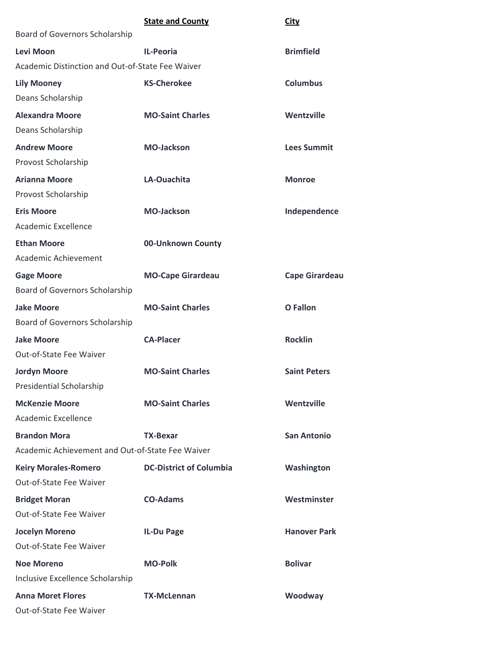|                                                  | <b>State and County</b>        | <b>City</b>           |
|--------------------------------------------------|--------------------------------|-----------------------|
| Board of Governors Scholarship                   |                                |                       |
| Levi Moon                                        | <b>IL-Peoria</b>               | <b>Brimfield</b>      |
| Academic Distinction and Out-of-State Fee Waiver |                                |                       |
| <b>Lily Mooney</b>                               | <b>KS-Cherokee</b>             | <b>Columbus</b>       |
| Deans Scholarship                                |                                |                       |
| <b>Alexandra Moore</b>                           | <b>MO-Saint Charles</b>        | Wentzville            |
| Deans Scholarship                                |                                |                       |
| <b>Andrew Moore</b>                              | <b>MO-Jackson</b>              | <b>Lees Summit</b>    |
| Provost Scholarship                              |                                |                       |
| <b>Arianna Moore</b>                             | LA-Ouachita                    | <b>Monroe</b>         |
| Provost Scholarship                              |                                |                       |
| <b>Eris Moore</b>                                | <b>MO-Jackson</b>              | Independence          |
| Academic Excellence                              |                                |                       |
| <b>Ethan Moore</b>                               | 00-Unknown County              |                       |
| Academic Achievement                             |                                |                       |
| <b>Gage Moore</b>                                | <b>MO-Cape Girardeau</b>       | <b>Cape Girardeau</b> |
| Board of Governors Scholarship                   |                                |                       |
| <b>Jake Moore</b>                                | <b>MO-Saint Charles</b>        | <b>O</b> Fallon       |
| Board of Governors Scholarship                   |                                |                       |
| <b>Jake Moore</b>                                | <b>CA-Placer</b>               | <b>Rocklin</b>        |
| Out-of-State Fee Waiver                          |                                |                       |
| <b>Jordyn Moore</b>                              | <b>MO-Saint Charles</b>        | <b>Saint Peters</b>   |
| <b>Presidential Scholarship</b>                  |                                |                       |
| <b>McKenzie Moore</b>                            | <b>MO-Saint Charles</b>        | Wentzville            |
| Academic Excellence                              |                                |                       |
| <b>Brandon Mora</b>                              | TX-Bexar                       | <b>San Antonio</b>    |
| Academic Achievement and Out-of-State Fee Waiver |                                |                       |
| <b>Keiry Morales-Romero</b>                      | <b>DC-District of Columbia</b> | Washington            |
| Out-of-State Fee Waiver                          |                                |                       |
| <b>Bridget Moran</b>                             | <b>CO-Adams</b>                | Westminster           |
| Out-of-State Fee Waiver                          |                                |                       |
| <b>Jocelyn Moreno</b>                            | IL-Du Page                     | <b>Hanover Park</b>   |
| Out-of-State Fee Waiver                          |                                |                       |
| <b>Noe Moreno</b>                                | <b>MO-Polk</b>                 | <b>Bolivar</b>        |
| Inclusive Excellence Scholarship                 |                                |                       |
| <b>Anna Moret Flores</b>                         | <b>TX-McLennan</b>             | Woodway               |
| Out-of-State Fee Waiver                          |                                |                       |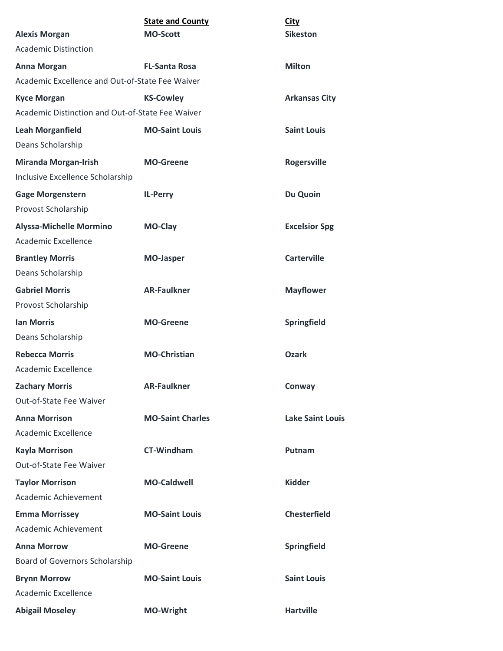| <b>Alexis Morgan</b>                                            | <b>State and County</b><br><b>MO-Scott</b> | <b>City</b><br><b>Sikeston</b> |
|-----------------------------------------------------------------|--------------------------------------------|--------------------------------|
| <b>Academic Distinction</b>                                     |                                            |                                |
| <b>Anna Morgan</b>                                              | <b>FL-Santa Rosa</b>                       | <b>Milton</b>                  |
| Academic Excellence and Out-of-State Fee Waiver                 |                                            |                                |
| <b>Kyce Morgan</b>                                              | <b>KS-Cowley</b>                           | <b>Arkansas City</b>           |
| Academic Distinction and Out-of-State Fee Waiver                |                                            |                                |
| <b>Leah Morganfield</b>                                         | <b>MO-Saint Louis</b>                      | <b>Saint Louis</b>             |
| Deans Scholarship                                               |                                            |                                |
| <b>Miranda Morgan-Irish</b><br>Inclusive Excellence Scholarship | <b>MO-Greene</b>                           | <b>Rogersville</b>             |
| <b>Gage Morgenstern</b><br>Provost Scholarship                  | <b>IL-Perry</b>                            | Du Quoin                       |
| <b>Alyssa-Michelle Mormino</b><br>Academic Excellence           | MO-Clay                                    | <b>Excelsior Spg</b>           |
| <b>Brantley Morris</b>                                          | <b>MO-Jasper</b>                           | <b>Carterville</b>             |
| Deans Scholarship                                               |                                            |                                |
| <b>Gabriel Morris</b><br>Provost Scholarship                    | <b>AR-Faulkner</b>                         | <b>Mayflower</b>               |
| <b>Ian Morris</b>                                               | <b>MO-Greene</b>                           | Springfield                    |
| Deans Scholarship                                               |                                            |                                |
| <b>Rebecca Morris</b>                                           | <b>MO-Christian</b>                        | <b>Ozark</b>                   |
| Academic Excellence                                             |                                            |                                |
| <b>Zachary Morris</b>                                           | <b>AR-Faulkner</b>                         | Conway                         |
| Out-of-State Fee Waiver                                         |                                            |                                |
| <b>Anna Morrison</b><br>Academic Excellence                     | <b>MO-Saint Charles</b>                    | <b>Lake Saint Louis</b>        |
| <b>Kayla Morrison</b>                                           | <b>CT-Windham</b>                          | Putnam                         |
| Out-of-State Fee Waiver                                         |                                            |                                |
| <b>Taylor Morrison</b>                                          | <b>MO-Caldwell</b>                         | <b>Kidder</b>                  |
| Academic Achievement                                            |                                            |                                |
| <b>Emma Morrissey</b>                                           | <b>MO-Saint Louis</b>                      | <b>Chesterfield</b>            |
| Academic Achievement                                            |                                            |                                |
| <b>Anna Morrow</b>                                              | <b>MO-Greene</b>                           | Springfield                    |
| Board of Governors Scholarship                                  |                                            |                                |
| <b>Brynn Morrow</b>                                             | <b>MO-Saint Louis</b>                      | <b>Saint Louis</b>             |
| Academic Excellence                                             |                                            |                                |
| <b>Abigail Moseley</b>                                          | MO-Wright                                  | <b>Hartville</b>               |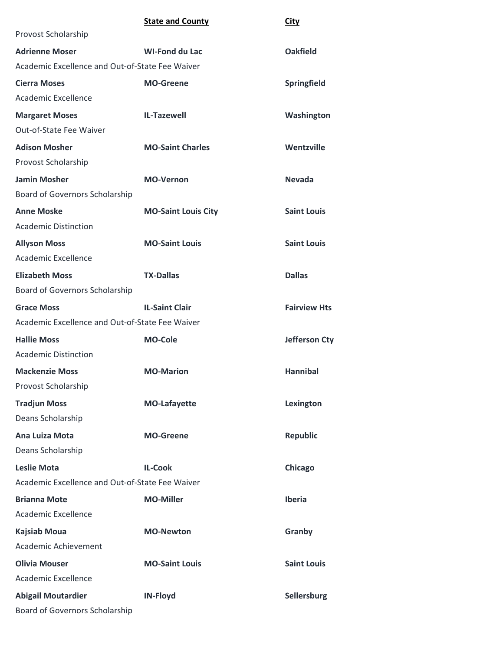|                                                 | <b>State and County</b>    | <b>City</b>          |
|-------------------------------------------------|----------------------------|----------------------|
| Provost Scholarship                             |                            |                      |
| <b>Adrienne Moser</b>                           | <b>WI-Fond du Lac</b>      | <b>Oakfield</b>      |
| Academic Excellence and Out-of-State Fee Waiver |                            |                      |
| <b>Cierra Moses</b>                             | <b>MO-Greene</b>           | Springfield          |
| Academic Excellence                             |                            |                      |
| <b>Margaret Moses</b>                           | <b>IL-Tazewell</b>         | Washington           |
| Out-of-State Fee Waiver                         |                            |                      |
| <b>Adison Mosher</b>                            | <b>MO-Saint Charles</b>    | Wentzville           |
| Provost Scholarship                             |                            |                      |
| <b>Jamin Mosher</b>                             | <b>MO-Vernon</b>           | <b>Nevada</b>        |
| Board of Governors Scholarship                  |                            |                      |
| <b>Anne Moske</b>                               | <b>MO-Saint Louis City</b> | <b>Saint Louis</b>   |
| <b>Academic Distinction</b>                     |                            |                      |
| <b>Allyson Moss</b>                             | <b>MO-Saint Louis</b>      | <b>Saint Louis</b>   |
| Academic Excellence                             |                            |                      |
| <b>Elizabeth Moss</b>                           | <b>TX-Dallas</b>           | <b>Dallas</b>        |
| Board of Governors Scholarship                  |                            |                      |
| <b>Grace Moss</b>                               | <b>IL-Saint Clair</b>      | <b>Fairview Hts</b>  |
| Academic Excellence and Out-of-State Fee Waiver |                            |                      |
| <b>Hallie Moss</b>                              | <b>MO-Cole</b>             | <b>Jefferson Cty</b> |
| <b>Academic Distinction</b>                     |                            |                      |
| <b>Mackenzie Moss</b>                           | <b>MO-Marion</b>           | <b>Hannibal</b>      |
| Provost Scholarship                             |                            |                      |
| <b>Tradjun Moss</b>                             | <b>MO-Lafayette</b>        | Lexington            |
| Deans Scholarship                               |                            |                      |
| Ana Luiza Mota                                  | <b>MO-Greene</b>           | <b>Republic</b>      |
| Deans Scholarship                               |                            |                      |
| <b>Leslie Mota</b>                              | <b>IL-Cook</b>             | Chicago              |
| Academic Excellence and Out-of-State Fee Waiver |                            |                      |
| <b>Brianna Mote</b>                             | <b>MO-Miller</b>           | Iberia               |
| Academic Excellence                             |                            |                      |
| <b>Kajsiab Moua</b>                             | <b>MO-Newton</b>           | Granby               |
| Academic Achievement                            |                            |                      |
| <b>Olivia Mouser</b>                            | <b>MO-Saint Louis</b>      | <b>Saint Louis</b>   |
| <b>Academic Excellence</b>                      |                            |                      |
| <b>Abigail Moutardier</b>                       | <b>IN-Floyd</b>            | Sellersburg          |
| Board of Governors Scholarship                  |                            |                      |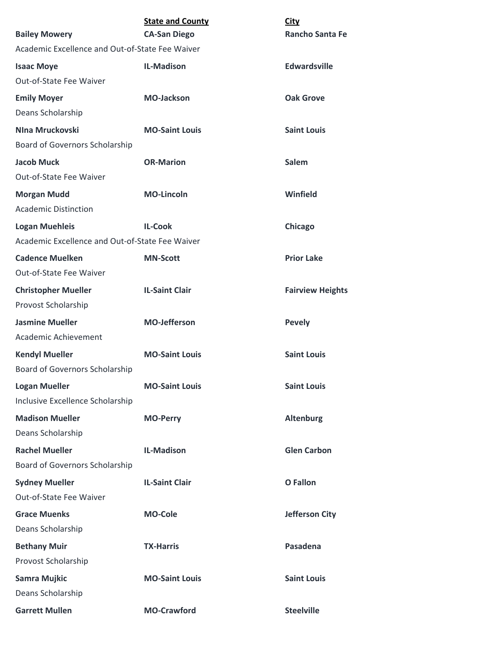| <b>Bailey Mowery</b>                            | <b>State and County</b><br><b>CA-San Diego</b> | <b>City</b><br><b>Rancho Santa Fe</b> |
|-------------------------------------------------|------------------------------------------------|---------------------------------------|
| Academic Excellence and Out-of-State Fee Waiver |                                                |                                       |
| <b>Isaac Moye</b>                               | <b>IL-Madison</b>                              | <b>Edwardsville</b>                   |
| Out-of-State Fee Waiver                         |                                                |                                       |
| <b>Emily Moyer</b>                              | <b>MO-Jackson</b>                              | <b>Oak Grove</b>                      |
| Deans Scholarship                               |                                                |                                       |
| NIna Mruckovski                                 | <b>MO-Saint Louis</b>                          | <b>Saint Louis</b>                    |
| Board of Governors Scholarship                  |                                                |                                       |
| <b>Jacob Muck</b><br>Out-of-State Fee Waiver    | <b>OR-Marion</b>                               | Salem                                 |
| <b>Morgan Mudd</b>                              | <b>MO-Lincoln</b>                              | Winfield                              |
| <b>Academic Distinction</b>                     |                                                |                                       |
| <b>Logan Muehleis</b>                           | <b>IL-Cook</b>                                 | Chicago                               |
| Academic Excellence and Out-of-State Fee Waiver |                                                |                                       |
| <b>Cadence Muelken</b>                          | <b>MN-Scott</b>                                | <b>Prior Lake</b>                     |
| Out-of-State Fee Waiver                         |                                                |                                       |
| <b>Christopher Mueller</b>                      | <b>IL-Saint Clair</b>                          | <b>Fairview Heights</b>               |
| Provost Scholarship                             |                                                |                                       |
| <b>Jasmine Mueller</b>                          | <b>MO-Jefferson</b>                            | <b>Pevely</b>                         |
| Academic Achievement                            |                                                |                                       |
| <b>Kendyl Mueller</b>                           | <b>MO-Saint Louis</b>                          | <b>Saint Louis</b>                    |
| <b>Board of Governors Scholarship</b>           |                                                |                                       |
| <b>Logan Mueller</b>                            | <b>MO-Saint Louis</b>                          | <b>Saint Louis</b>                    |
| Inclusive Excellence Scholarship                |                                                |                                       |
| <b>Madison Mueller</b>                          | <b>MO-Perry</b>                                | <b>Altenburg</b>                      |
| Deans Scholarship                               |                                                |                                       |
| <b>Rachel Mueller</b>                           | <b>IL-Madison</b>                              | <b>Glen Carbon</b>                    |
| Board of Governors Scholarship                  |                                                |                                       |
| <b>Sydney Mueller</b>                           | <b>IL-Saint Clair</b>                          | <b>O</b> Fallon                       |
| Out-of-State Fee Waiver                         |                                                |                                       |
| <b>Grace Muenks</b>                             | <b>MO-Cole</b>                                 | <b>Jefferson City</b>                 |
| Deans Scholarship                               |                                                |                                       |
| <b>Bethany Muir</b>                             | <b>TX-Harris</b>                               | Pasadena                              |
| Provost Scholarship                             |                                                |                                       |
| Samra Mujkic                                    | <b>MO-Saint Louis</b>                          | <b>Saint Louis</b>                    |
| Deans Scholarship                               |                                                |                                       |
| <b>Garrett Mullen</b>                           | <b>MO-Crawford</b>                             | <b>Steelville</b>                     |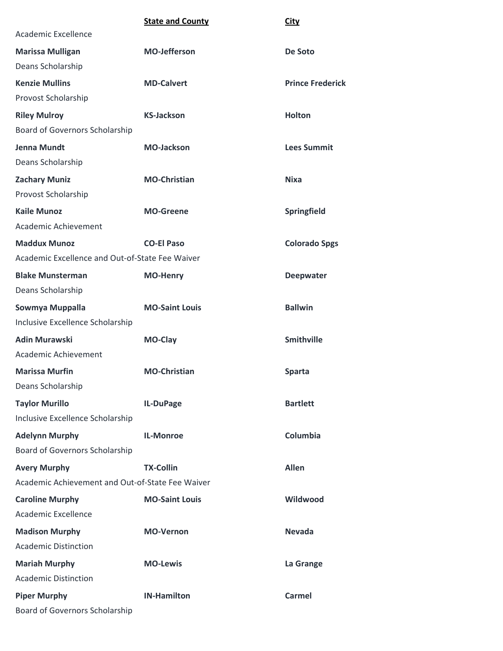|                                                  | <b>State and County</b> | <b>City</b>             |
|--------------------------------------------------|-------------------------|-------------------------|
| Academic Excellence                              |                         |                         |
| <b>Marissa Mulligan</b>                          | <b>MO-Jefferson</b>     | De Soto                 |
| Deans Scholarship                                |                         |                         |
| <b>Kenzie Mullins</b>                            | <b>MD-Calvert</b>       | <b>Prince Frederick</b> |
| Provost Scholarship                              |                         |                         |
| <b>Riley Mulroy</b>                              | <b>KS-Jackson</b>       | <b>Holton</b>           |
| Board of Governors Scholarship                   |                         |                         |
| <b>Jenna Mundt</b>                               | <b>MO-Jackson</b>       | <b>Lees Summit</b>      |
| Deans Scholarship                                |                         |                         |
| <b>Zachary Muniz</b>                             | <b>MO-Christian</b>     | <b>Nixa</b>             |
| Provost Scholarship                              |                         |                         |
| <b>Kaile Munoz</b>                               | <b>MO-Greene</b>        | Springfield             |
| Academic Achievement                             |                         |                         |
| <b>Maddux Munoz</b>                              | <b>CO-El Paso</b>       | <b>Colorado Spgs</b>    |
| Academic Excellence and Out-of-State Fee Waiver  |                         |                         |
| <b>Blake Munsterman</b>                          | <b>MO-Henry</b>         | <b>Deepwater</b>        |
| Deans Scholarship                                |                         |                         |
| Sowmya Muppalla                                  | <b>MO-Saint Louis</b>   | <b>Ballwin</b>          |
| Inclusive Excellence Scholarship                 |                         |                         |
| <b>Adin Murawski</b>                             | MO-Clay                 | <b>Smithville</b>       |
| Academic Achievement                             |                         |                         |
| <b>Marissa Murfin</b>                            | <b>MO-Christian</b>     | <b>Sparta</b>           |
| Deans Scholarship                                |                         |                         |
| <b>Taylor Murillo</b>                            | IL-DuPage               | <b>Bartlett</b>         |
| Inclusive Excellence Scholarship                 |                         |                         |
| <b>Adelynn Murphy</b>                            | <b>IL-Monroe</b>        | Columbia                |
| Board of Governors Scholarship                   |                         |                         |
| <b>Avery Murphy</b>                              | <b>TX-Collin</b>        | <b>Allen</b>            |
| Academic Achievement and Out-of-State Fee Waiver |                         |                         |
| <b>Caroline Murphy</b>                           | <b>MO-Saint Louis</b>   | Wildwood                |
| Academic Excellence                              |                         |                         |
| <b>Madison Murphy</b>                            | <b>MO-Vernon</b>        | <b>Nevada</b>           |
| <b>Academic Distinction</b>                      |                         |                         |
| <b>Mariah Murphy</b>                             | <b>MO-Lewis</b>         | La Grange               |
| <b>Academic Distinction</b>                      |                         |                         |
| <b>Piper Murphy</b>                              | <b>IN-Hamilton</b>      | <b>Carmel</b>           |
| <b>Board of Governors Scholarship</b>            |                         |                         |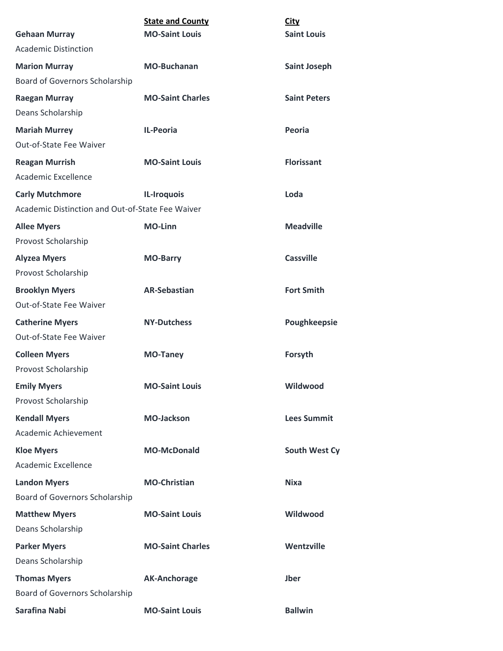|                                                     | <b>State and County</b> | <b>City</b><br><b>Saint Louis</b> |
|-----------------------------------------------------|-------------------------|-----------------------------------|
| <b>Gehaan Murray</b><br><b>Academic Distinction</b> | <b>MO-Saint Louis</b>   |                                   |
|                                                     |                         |                                   |
| <b>Marion Murray</b>                                | <b>MO-Buchanan</b>      | <b>Saint Joseph</b>               |
| Board of Governors Scholarship                      |                         |                                   |
| <b>Raegan Murray</b>                                | <b>MO-Saint Charles</b> | <b>Saint Peters</b>               |
| Deans Scholarship                                   |                         |                                   |
| <b>Mariah Murrey</b>                                | <b>IL-Peoria</b>        | Peoria                            |
| Out-of-State Fee Waiver                             |                         |                                   |
| <b>Reagan Murrish</b>                               | <b>MO-Saint Louis</b>   | <b>Florissant</b>                 |
| <b>Academic Excellence</b>                          |                         |                                   |
| <b>Carly Mutchmore</b>                              | IL-Iroquois             | Loda                              |
| Academic Distinction and Out-of-State Fee Waiver    |                         |                                   |
| <b>Allee Myers</b>                                  | <b>MO-Linn</b>          | <b>Meadville</b>                  |
| Provost Scholarship                                 |                         |                                   |
| <b>Alyzea Myers</b>                                 | <b>MO-Barry</b>         | <b>Cassville</b>                  |
| Provost Scholarship                                 |                         |                                   |
| <b>Brooklyn Myers</b>                               | <b>AR-Sebastian</b>     | <b>Fort Smith</b>                 |
| Out-of-State Fee Waiver                             |                         |                                   |
| <b>Catherine Myers</b>                              | <b>NY-Dutchess</b>      | Poughkeepsie                      |
| Out-of-State Fee Waiver                             |                         |                                   |
| <b>Colleen Myers</b>                                | <b>MO-Taney</b>         | Forsyth                           |
| Provost Scholarship                                 |                         |                                   |
| <b>Emily Myers</b>                                  | <b>MO-Saint Louis</b>   | Wildwood                          |
| Provost Scholarship                                 |                         |                                   |
| <b>Kendall Myers</b>                                | <b>MO-Jackson</b>       | <b>Lees Summit</b>                |
| Academic Achievement                                |                         |                                   |
| <b>Kloe Myers</b>                                   | <b>MO-McDonald</b>      | South West Cy                     |
| Academic Excellence                                 |                         |                                   |
| <b>Landon Myers</b>                                 | <b>MO-Christian</b>     | <b>Nixa</b>                       |
| Board of Governors Scholarship                      |                         |                                   |
| <b>Matthew Myers</b>                                | <b>MO-Saint Louis</b>   | Wildwood                          |
| Deans Scholarship                                   |                         |                                   |
| <b>Parker Myers</b>                                 | <b>MO-Saint Charles</b> | Wentzville                        |
| Deans Scholarship                                   |                         |                                   |
| <b>Thomas Myers</b>                                 | <b>AK-Anchorage</b>     | <b>Jber</b>                       |
| <b>Board of Governors Scholarship</b>               |                         |                                   |
| Sarafina Nabi                                       | <b>MO-Saint Louis</b>   | <b>Ballwin</b>                    |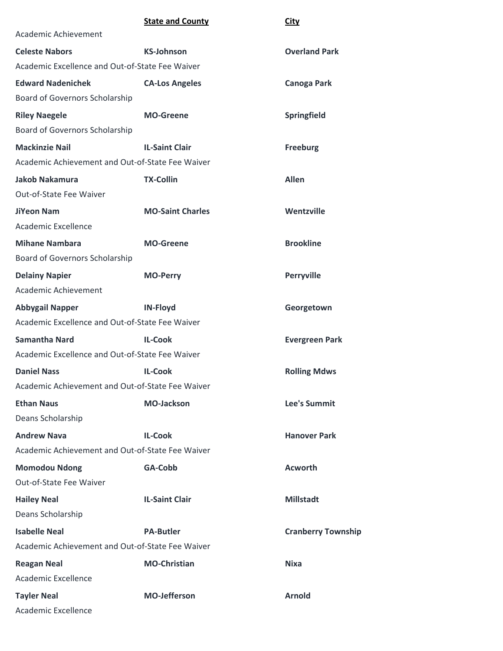|                                                  | <b>State and County</b> | <b>City</b>               |
|--------------------------------------------------|-------------------------|---------------------------|
| Academic Achievement                             |                         |                           |
| <b>Celeste Nabors</b>                            | <b>KS-Johnson</b>       | <b>Overland Park</b>      |
| Academic Excellence and Out-of-State Fee Waiver  |                         |                           |
| <b>Edward Nadenichek</b>                         | <b>CA-Los Angeles</b>   | <b>Canoga Park</b>        |
| Board of Governors Scholarship                   |                         |                           |
| <b>Riley Naegele</b>                             | <b>MO-Greene</b>        | Springfield               |
| Board of Governors Scholarship                   |                         |                           |
| <b>Mackinzie Nail</b>                            | <b>IL-Saint Clair</b>   | <b>Freeburg</b>           |
| Academic Achievement and Out-of-State Fee Waiver |                         |                           |
| <b>Jakob Nakamura</b>                            | <b>TX-Collin</b>        | <b>Allen</b>              |
| Out-of-State Fee Waiver                          |                         |                           |
| <b>JiYeon Nam</b>                                | <b>MO-Saint Charles</b> | Wentzville                |
| Academic Excellence                              |                         |                           |
| <b>Mihane Nambara</b>                            | <b>MO-Greene</b>        | <b>Brookline</b>          |
| Board of Governors Scholarship                   |                         |                           |
| <b>Delainy Napier</b>                            | <b>MO-Perry</b>         | Perryville                |
| Academic Achievement                             |                         |                           |
| <b>Abbygail Napper</b>                           | <b>IN-Floyd</b>         | Georgetown                |
| Academic Excellence and Out-of-State Fee Waiver  |                         |                           |
| <b>Samantha Nard</b>                             | <b>IL-Cook</b>          | <b>Evergreen Park</b>     |
| Academic Excellence and Out-of-State Fee Waiver  |                         |                           |
| <b>Daniel Nass</b>                               | <b>IL-Cook</b>          | <b>Rolling Mdws</b>       |
| Academic Achievement and Out-of-State Fee Waiver |                         |                           |
| <b>Ethan Naus</b>                                | <b>MO-Jackson</b>       | <b>Lee's Summit</b>       |
| Deans Scholarship                                |                         |                           |
| <b>Andrew Nava</b>                               | <b>IL-Cook</b>          | <b>Hanover Park</b>       |
| Academic Achievement and Out-of-State Fee Waiver |                         |                           |
| <b>Momodou Ndong</b>                             | GA-Cobb                 | <b>Acworth</b>            |
| Out-of-State Fee Waiver                          |                         |                           |
| <b>Hailey Neal</b>                               | <b>IL-Saint Clair</b>   | <b>Millstadt</b>          |
| Deans Scholarship                                |                         |                           |
| <b>Isabelle Neal</b>                             | <b>PA-Butler</b>        | <b>Cranberry Township</b> |
| Academic Achievement and Out-of-State Fee Waiver |                         |                           |
| <b>Reagan Neal</b>                               | <b>MO-Christian</b>     | <b>Nixa</b>               |
| Academic Excellence                              |                         |                           |
| <b>Tayler Neal</b>                               | <b>MO-Jefferson</b>     | <b>Arnold</b>             |
| Academic Excellence                              |                         |                           |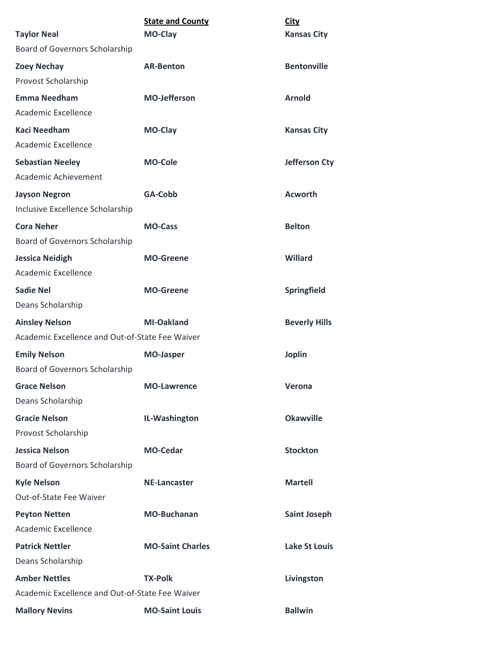| <b>Taylor Neal</b>                              | <b>State and County</b><br><b>MO-Clay</b> | <b>City</b><br><b>Kansas City</b> |
|-------------------------------------------------|-------------------------------------------|-----------------------------------|
| <b>Board of Governors Scholarship</b>           |                                           |                                   |
| <b>Zoey Nechay</b>                              | <b>AR-Benton</b>                          | <b>Bentonville</b>                |
| Provost Scholarship                             |                                           |                                   |
| <b>Emma Needham</b>                             | <b>MO-Jefferson</b>                       | <b>Arnold</b>                     |
| Academic Excellence                             |                                           |                                   |
| <b>Kaci Needham</b>                             | <b>MO-Clay</b>                            | <b>Kansas City</b>                |
| Academic Excellence                             |                                           |                                   |
| <b>Sebastian Neeley</b>                         | <b>MO-Cole</b>                            | <b>Jefferson Cty</b>              |
| Academic Achievement                            |                                           |                                   |
| <b>Jayson Negron</b>                            | GA-Cobb                                   | <b>Acworth</b>                    |
| Inclusive Excellence Scholarship                |                                           |                                   |
| <b>Cora Neher</b>                               | <b>MO-Cass</b>                            | <b>Belton</b>                     |
| Board of Governors Scholarship                  |                                           |                                   |
| <b>Jessica Neidigh</b>                          | <b>MO-Greene</b>                          | Willard                           |
| <b>Academic Excellence</b>                      |                                           |                                   |
| <b>Sadie Nel</b>                                | <b>MO-Greene</b>                          | Springfield                       |
| Deans Scholarship                               |                                           |                                   |
| <b>Ainsley Nelson</b>                           | <b>MI-Oakland</b>                         | <b>Beverly Hills</b>              |
| Academic Excellence and Out-of-State Fee Waiver |                                           |                                   |
| <b>Emily Nelson</b>                             | <b>MO-Jasper</b>                          | <b>Joplin</b>                     |
| Board of Governors Scholarship                  |                                           |                                   |
| <b>Grace Nelson</b>                             | <b>MO-Lawrence</b>                        | Verona                            |
| Deans Scholarship                               |                                           |                                   |
| <b>Gracie Nelson</b>                            | IL-Washington                             | <b>Okawville</b>                  |
| Provost Scholarship                             |                                           |                                   |
| <b>Jessica Nelson</b>                           | <b>MO-Cedar</b>                           | <b>Stockton</b>                   |
| Board of Governors Scholarship                  |                                           |                                   |
| <b>Kyle Nelson</b>                              | <b>NE-Lancaster</b>                       | <b>Martell</b>                    |
| Out-of-State Fee Waiver                         |                                           |                                   |
| <b>Peyton Netten</b>                            | <b>MO-Buchanan</b>                        | <b>Saint Joseph</b>               |
| Academic Excellence                             |                                           |                                   |
| <b>Patrick Nettler</b>                          | <b>MO-Saint Charles</b>                   | <b>Lake St Louis</b>              |
| Deans Scholarship                               |                                           |                                   |
| <b>Amber Nettles</b>                            | <b>TX-Polk</b>                            | Livingston                        |
| Academic Excellence and Out-of-State Fee Waiver |                                           |                                   |
| <b>Mallory Nevins</b>                           | <b>MO-Saint Louis</b>                     | <b>Ballwin</b>                    |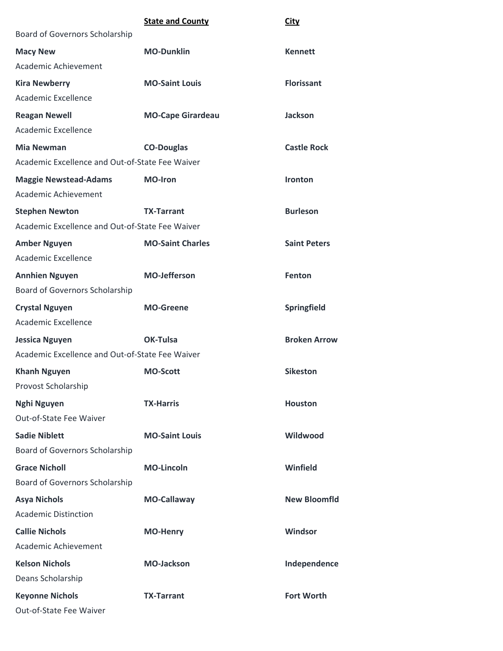|                                                 | <b>State and County</b>  | <b>City</b>         |
|-------------------------------------------------|--------------------------|---------------------|
| Board of Governors Scholarship                  |                          |                     |
| <b>Macy New</b>                                 | <b>MO-Dunklin</b>        | <b>Kennett</b>      |
| Academic Achievement                            |                          |                     |
| <b>Kira Newberry</b>                            | <b>MO-Saint Louis</b>    | <b>Florissant</b>   |
| Academic Excellence                             |                          |                     |
| <b>Reagan Newell</b>                            | <b>MO-Cape Girardeau</b> | <b>Jackson</b>      |
| Academic Excellence                             |                          |                     |
| <b>Mia Newman</b>                               | <b>CO-Douglas</b>        | <b>Castle Rock</b>  |
| Academic Excellence and Out-of-State Fee Waiver |                          |                     |
| <b>Maggie Newstead-Adams</b>                    | <b>MO-Iron</b>           | Ironton             |
| Academic Achievement                            |                          |                     |
| <b>Stephen Newton</b>                           | <b>TX-Tarrant</b>        | <b>Burleson</b>     |
| Academic Excellence and Out-of-State Fee Waiver |                          |                     |
| <b>Amber Nguyen</b>                             | <b>MO-Saint Charles</b>  | <b>Saint Peters</b> |
| Academic Excellence                             |                          |                     |
| <b>Annhien Nguyen</b>                           | <b>MO-Jefferson</b>      | Fenton              |
| Board of Governors Scholarship                  |                          |                     |
| <b>Crystal Nguyen</b>                           | <b>MO-Greene</b>         | Springfield         |
| Academic Excellence                             |                          |                     |
| <b>Jessica Nguyen</b>                           | OK-Tulsa                 | <b>Broken Arrow</b> |
| Academic Excellence and Out-of-State Fee Waiver |                          |                     |
| <b>Khanh Nguyen</b>                             | <b>MO-Scott</b>          | <b>Sikeston</b>     |
| Provost Scholarship                             |                          |                     |
| Nghi Nguyen                                     | <b>TX-Harris</b>         | <b>Houston</b>      |
| Out-of-State Fee Waiver                         |                          |                     |
| <b>Sadie Niblett</b>                            | <b>MO-Saint Louis</b>    | Wildwood            |
| Board of Governors Scholarship                  |                          |                     |
| <b>Grace Nicholl</b>                            | <b>MO-Lincoln</b>        | Winfield            |
| <b>Board of Governors Scholarship</b>           |                          |                     |
| <b>Asya Nichols</b>                             | MO-Callaway              | <b>New Bloomfld</b> |
| <b>Academic Distinction</b>                     |                          |                     |
| <b>Callie Nichols</b>                           | <b>MO-Henry</b>          | Windsor             |
| Academic Achievement                            |                          |                     |
| <b>Kelson Nichols</b>                           | <b>MO-Jackson</b>        | Independence        |
| Deans Scholarship                               |                          |                     |
| <b>Keyonne Nichols</b>                          | <b>TX-Tarrant</b>        | <b>Fort Worth</b>   |
| Out-of-State Fee Waiver                         |                          |                     |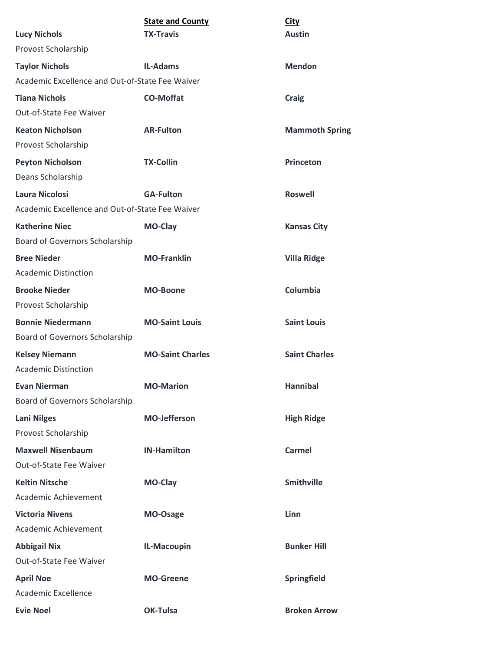|                                                 | <b>State and County</b> | <b>City</b>           |
|-------------------------------------------------|-------------------------|-----------------------|
| <b>Lucy Nichols</b>                             | <b>TX-Travis</b>        | <b>Austin</b>         |
| Provost Scholarship                             |                         |                       |
| <b>Taylor Nichols</b>                           | <b>IL-Adams</b>         | <b>Mendon</b>         |
| Academic Excellence and Out-of-State Fee Waiver |                         |                       |
| <b>Tiana Nichols</b>                            | <b>CO-Moffat</b>        | <b>Craig</b>          |
| Out-of-State Fee Waiver                         |                         |                       |
| <b>Keaton Nicholson</b>                         | <b>AR-Fulton</b>        | <b>Mammoth Spring</b> |
| Provost Scholarship                             |                         |                       |
| <b>Peyton Nicholson</b>                         | <b>TX-Collin</b>        | <b>Princeton</b>      |
| Deans Scholarship                               |                         |                       |
| <b>Laura Nicolosi</b>                           | <b>GA-Fulton</b>        | <b>Roswell</b>        |
| Academic Excellence and Out-of-State Fee Waiver |                         |                       |
| <b>Katherine Niec</b>                           | <b>MO-Clay</b>          | <b>Kansas City</b>    |
| <b>Board of Governors Scholarship</b>           |                         |                       |
| <b>Bree Nieder</b>                              | <b>MO-Franklin</b>      | <b>Villa Ridge</b>    |
| <b>Academic Distinction</b>                     |                         |                       |
| <b>Brooke Nieder</b>                            | <b>MO-Boone</b>         | Columbia              |
| Provost Scholarship                             |                         |                       |
| <b>Bonnie Niedermann</b>                        | <b>MO-Saint Louis</b>   | <b>Saint Louis</b>    |
| Board of Governors Scholarship                  |                         |                       |
| <b>Kelsey Niemann</b>                           | <b>MO-Saint Charles</b> | <b>Saint Charles</b>  |
| <b>Academic Distinction</b>                     |                         |                       |
| <b>Evan Nierman</b>                             | <b>MO-Marion</b>        | <b>Hannibal</b>       |
| Board of Governors Scholarship                  |                         |                       |
| <b>Lani Nilges</b>                              | <b>MO-Jefferson</b>     | <b>High Ridge</b>     |
| Provost Scholarship                             |                         |                       |
| <b>Maxwell Nisenbaum</b>                        | <b>IN-Hamilton</b>      | <b>Carmel</b>         |
| Out-of-State Fee Waiver                         |                         |                       |
| <b>Keltin Nitsche</b>                           | MO-Clay                 | <b>Smithville</b>     |
| Academic Achievement                            |                         |                       |
| <b>Victoria Nivens</b>                          | MO-Osage                | Linn                  |
| Academic Achievement                            |                         |                       |
| <b>Abbigail Nix</b>                             | IL-Macoupin             | <b>Bunker Hill</b>    |
| Out-of-State Fee Waiver                         |                         |                       |
| <b>April Noe</b>                                | <b>MO-Greene</b>        | Springfield           |
| Academic Excellence                             |                         |                       |
| <b>Evie Noel</b>                                | OK-Tulsa                | <b>Broken Arrow</b>   |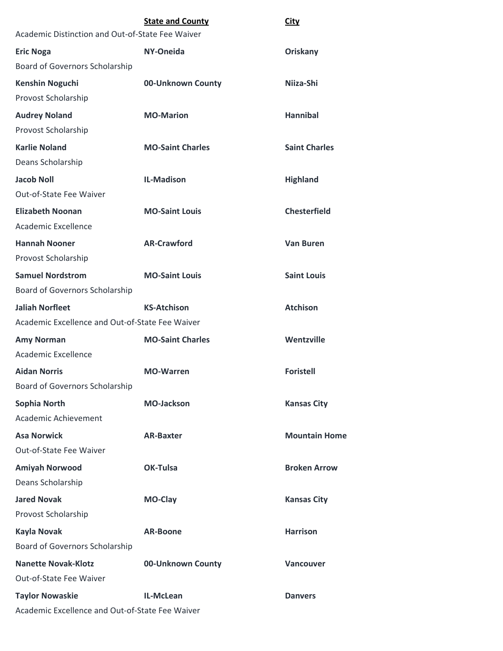|                                                  | <b>State and County</b> | City                 |
|--------------------------------------------------|-------------------------|----------------------|
| Academic Distinction and Out-of-State Fee Waiver |                         |                      |
| <b>Eric Noga</b>                                 | NY-Oneida               | Oriskany             |
| Board of Governors Scholarship                   |                         |                      |
| <b>Kenshin Noguchi</b>                           | 00-Unknown County       | Niiza-Shi            |
| Provost Scholarship                              |                         |                      |
| <b>Audrey Noland</b>                             | <b>MO-Marion</b>        | <b>Hannibal</b>      |
| Provost Scholarship                              |                         |                      |
| <b>Karlie Noland</b>                             | <b>MO-Saint Charles</b> | <b>Saint Charles</b> |
| Deans Scholarship                                |                         |                      |
| <b>Jacob Noll</b>                                | <b>IL-Madison</b>       | <b>Highland</b>      |
| <b>Out-of-State Fee Waiver</b>                   |                         |                      |
| <b>Elizabeth Noonan</b>                          | <b>MO-Saint Louis</b>   | <b>Chesterfield</b>  |
| Academic Excellence                              |                         |                      |
| <b>Hannah Nooner</b>                             | <b>AR-Crawford</b>      | <b>Van Buren</b>     |
| Provost Scholarship                              |                         |                      |
| <b>Samuel Nordstrom</b>                          | <b>MO-Saint Louis</b>   | <b>Saint Louis</b>   |
| Board of Governors Scholarship                   |                         |                      |
| <b>Jaliah Norfleet</b>                           | <b>KS-Atchison</b>      | <b>Atchison</b>      |
| Academic Excellence and Out-of-State Fee Waiver  |                         |                      |
| <b>Amy Norman</b>                                | <b>MO-Saint Charles</b> | Wentzville           |
| Academic Excellence                              |                         |                      |
| <b>Aidan Norris</b>                              | <b>MO-Warren</b>        | <b>Foristell</b>     |
| Board of Governors Scholarship                   |                         |                      |
| Sophia North                                     | <b>MO-Jackson</b>       | <b>Kansas City</b>   |
| Academic Achievement                             |                         |                      |
| <b>Asa Norwick</b>                               | <b>AR-Baxter</b>        | <b>Mountain Home</b> |
| Out-of-State Fee Waiver                          |                         |                      |
| <b>Amiyah Norwood</b>                            | OK-Tulsa                | <b>Broken Arrow</b>  |
| Deans Scholarship                                |                         |                      |
| <b>Jared Novak</b>                               | MO-Clay                 | <b>Kansas City</b>   |
| Provost Scholarship                              |                         |                      |
| <b>Kayla Novak</b>                               | <b>AR-Boone</b>         | <b>Harrison</b>      |
| Board of Governors Scholarship                   |                         |                      |
| <b>Nanette Novak-Klotz</b>                       | 00-Unknown County       | Vancouver            |
| Out-of-State Fee Waiver                          |                         |                      |
| <b>Taylor Nowaskie</b>                           | <b>IL-McLean</b>        | <b>Danvers</b>       |
| Academic Excellence and Out-of-State Fee Waiver  |                         |                      |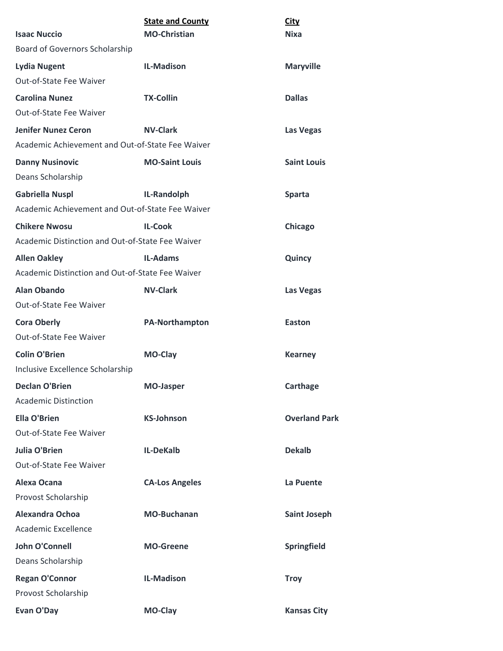| <b>Isaac Nuccio</b>                              | <b>State and County</b><br><b>MO-Christian</b> | City<br><b>Nixa</b>  |
|--------------------------------------------------|------------------------------------------------|----------------------|
| Board of Governors Scholarship                   |                                                |                      |
| <b>Lydia Nugent</b>                              | <b>IL-Madison</b>                              | <b>Maryville</b>     |
| Out-of-State Fee Waiver                          |                                                |                      |
| <b>Carolina Nunez</b>                            | <b>TX-Collin</b>                               | <b>Dallas</b>        |
| Out-of-State Fee Waiver                          |                                                |                      |
| <b>Jenifer Nunez Ceron</b>                       | <b>NV-Clark</b>                                | Las Vegas            |
| Academic Achievement and Out-of-State Fee Waiver |                                                |                      |
| <b>Danny Nusinovic</b>                           | <b>MO-Saint Louis</b>                          | <b>Saint Louis</b>   |
| Deans Scholarship                                |                                                |                      |
| <b>Gabriella Nuspl</b>                           | IL-Randolph                                    | <b>Sparta</b>        |
| Academic Achievement and Out-of-State Fee Waiver |                                                |                      |
| <b>Chikere Nwosu</b>                             | <b>IL-Cook</b>                                 | <b>Chicago</b>       |
| Academic Distinction and Out-of-State Fee Waiver |                                                |                      |
| <b>Allen Oakley</b>                              | <b>IL-Adams</b>                                | Quincy               |
| Academic Distinction and Out-of-State Fee Waiver |                                                |                      |
| <b>Alan Obando</b>                               | <b>NV-Clark</b>                                | Las Vegas            |
| Out-of-State Fee Waiver                          |                                                |                      |
| <b>Cora Oberly</b>                               | <b>PA-Northampton</b>                          | <b>Easton</b>        |
| Out-of-State Fee Waiver                          |                                                |                      |
| <b>Colin O'Brien</b>                             | MO-Clay                                        | <b>Kearney</b>       |
| Inclusive Excellence Scholarship                 |                                                |                      |
| <b>Declan O'Brien</b>                            | <b>MO-Jasper</b>                               | <b>Carthage</b>      |
| <b>Academic Distinction</b>                      |                                                |                      |
| <b>Ella O'Brien</b>                              | <b>KS-Johnson</b>                              | <b>Overland Park</b> |
| Out-of-State Fee Waiver                          |                                                |                      |
| <b>Julia O'Brien</b>                             | IL-DeKalb                                      | <b>Dekalb</b>        |
| Out-of-State Fee Waiver                          |                                                |                      |
| Alexa Ocana                                      | <b>CA-Los Angeles</b>                          | La Puente            |
| Provost Scholarship                              |                                                |                      |
| <b>Alexandra Ochoa</b>                           | <b>MO-Buchanan</b>                             | <b>Saint Joseph</b>  |
| Academic Excellence                              |                                                |                      |
| <b>John O'Connell</b>                            | <b>MO-Greene</b>                               | Springfield          |
| Deans Scholarship                                |                                                |                      |
| <b>Regan O'Connor</b>                            | <b>IL-Madison</b>                              | <b>Troy</b>          |
| Provost Scholarship                              |                                                |                      |
| Evan O'Day                                       | MO-Clay                                        | <b>Kansas City</b>   |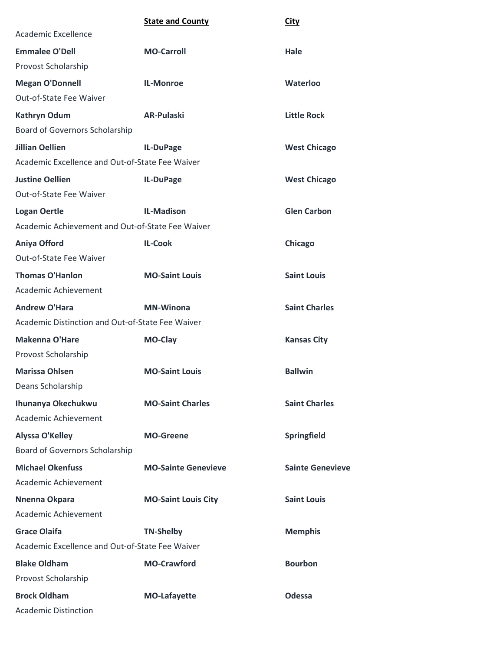|                                                  | <b>State and County</b>    | <b>City</b>             |
|--------------------------------------------------|----------------------------|-------------------------|
| Academic Excellence                              |                            |                         |
| <b>Emmalee O'Dell</b>                            | <b>MO-Carroll</b>          | Hale                    |
| Provost Scholarship                              |                            |                         |
| <b>Megan O'Donnell</b>                           | <b>IL-Monroe</b>           | Waterloo                |
| Out-of-State Fee Waiver                          |                            |                         |
| <b>Kathryn Odum</b>                              | <b>AR-Pulaski</b>          | <b>Little Rock</b>      |
| Board of Governors Scholarship                   |                            |                         |
| <b>Jillian Oellien</b>                           | IL-DuPage                  | <b>West Chicago</b>     |
| Academic Excellence and Out-of-State Fee Waiver  |                            |                         |
| <b>Justine Oellien</b>                           | IL-DuPage                  | <b>West Chicago</b>     |
| Out-of-State Fee Waiver                          |                            |                         |
| <b>Logan Oertle</b>                              | <b>IL-Madison</b>          | <b>Glen Carbon</b>      |
| Academic Achievement and Out-of-State Fee Waiver |                            |                         |
| Aniya Offord                                     | <b>IL-Cook</b>             | Chicago                 |
| Out-of-State Fee Waiver                          |                            |                         |
| <b>Thomas O'Hanlon</b>                           | <b>MO-Saint Louis</b>      | <b>Saint Louis</b>      |
| Academic Achievement                             |                            |                         |
| <b>Andrew O'Hara</b>                             | <b>MN-Winona</b>           | <b>Saint Charles</b>    |
| Academic Distinction and Out-of-State Fee Waiver |                            |                         |
| <b>Makenna O'Hare</b>                            | MO-Clay                    | <b>Kansas City</b>      |
| Provost Scholarship                              |                            |                         |
| <b>Marissa Ohlsen</b>                            | <b>MO-Saint Louis</b>      | <b>Ballwin</b>          |
| Deans Scholarship                                |                            |                         |
| Ihunanya Okechukwu                               | <b>MO-Saint Charles</b>    | <b>Saint Charles</b>    |
| Academic Achievement                             |                            |                         |
| <b>Alyssa O'Kelley</b>                           | <b>MO-Greene</b>           | Springfield             |
| Board of Governors Scholarship                   |                            |                         |
| <b>Michael Okenfuss</b>                          | <b>MO-Sainte Genevieve</b> | <b>Sainte Genevieve</b> |
| Academic Achievement                             |                            |                         |
| Nnenna Okpara                                    | <b>MO-Saint Louis City</b> | <b>Saint Louis</b>      |
| Academic Achievement                             |                            |                         |
| <b>Grace Olaifa</b>                              | <b>TN-Shelby</b>           | <b>Memphis</b>          |
| Academic Excellence and Out-of-State Fee Waiver  |                            |                         |
| <b>Blake Oldham</b>                              | <b>MO-Crawford</b>         | <b>Bourbon</b>          |
| Provost Scholarship                              |                            |                         |
| <b>Brock Oldham</b>                              | <b>MO-Lafayette</b>        | <b>Odessa</b>           |
| <b>Academic Distinction</b>                      |                            |                         |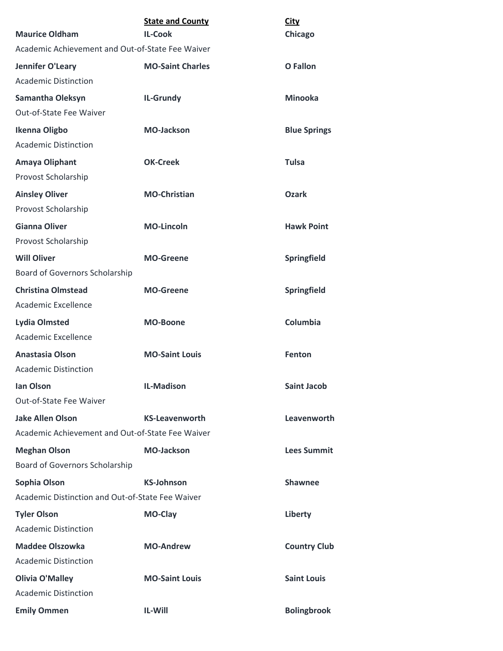| <b>Maurice Oldham</b>                            | <b>State and County</b><br><b>IL-Cook</b> | <b>City</b><br>Chicago |
|--------------------------------------------------|-------------------------------------------|------------------------|
| Academic Achievement and Out-of-State Fee Waiver |                                           |                        |
| Jennifer O'Leary                                 | <b>MO-Saint Charles</b>                   | <b>O</b> Fallon        |
| <b>Academic Distinction</b>                      |                                           |                        |
| Samantha Oleksyn                                 | <b>IL-Grundy</b>                          | <b>Minooka</b>         |
| Out-of-State Fee Waiver                          |                                           |                        |
| Ikenna Oligbo                                    | <b>MO-Jackson</b>                         | <b>Blue Springs</b>    |
| <b>Academic Distinction</b>                      |                                           |                        |
| Amaya Oliphant                                   | <b>OK-Creek</b>                           | <b>Tulsa</b>           |
| Provost Scholarship                              |                                           |                        |
| <b>Ainsley Oliver</b>                            | <b>MO-Christian</b>                       | <b>Ozark</b>           |
| Provost Scholarship                              |                                           |                        |
| <b>Gianna Oliver</b>                             | <b>MO-Lincoln</b>                         | <b>Hawk Point</b>      |
| Provost Scholarship                              |                                           |                        |
| <b>Will Oliver</b>                               | <b>MO-Greene</b>                          | Springfield            |
| Board of Governors Scholarship                   |                                           |                        |
| <b>Christina Olmstead</b>                        | <b>MO-Greene</b>                          | Springfield            |
| Academic Excellence                              |                                           |                        |
| <b>Lydia Olmsted</b>                             | <b>MO-Boone</b>                           | Columbia               |
| Academic Excellence                              |                                           |                        |
| <b>Anastasia Olson</b>                           | <b>MO-Saint Louis</b>                     | <b>Fenton</b>          |
| <b>Academic Distinction</b>                      |                                           |                        |
| <b>Ian Olson</b>                                 | <b>IL-Madison</b>                         | <b>Saint Jacob</b>     |
| Out-of-State Fee Waiver                          |                                           |                        |
| <b>Jake Allen Olson</b>                          | <b>KS-Leavenworth</b>                     | Leavenworth            |
| Academic Achievement and Out-of-State Fee Waiver |                                           |                        |
| <b>Meghan Olson</b>                              | <b>MO-Jackson</b>                         | <b>Lees Summit</b>     |
| Board of Governors Scholarship                   |                                           |                        |
| Sophia Olson                                     | <b>KS-Johnson</b>                         | <b>Shawnee</b>         |
| Academic Distinction and Out-of-State Fee Waiver |                                           |                        |
| <b>Tyler Olson</b>                               | MO-Clay                                   | Liberty                |
| <b>Academic Distinction</b>                      |                                           |                        |
| <b>Maddee Olszowka</b>                           | <b>MO-Andrew</b>                          | <b>Country Club</b>    |
| <b>Academic Distinction</b>                      |                                           |                        |
| <b>Olivia O'Malley</b>                           | <b>MO-Saint Louis</b>                     | <b>Saint Louis</b>     |
| <b>Academic Distinction</b>                      |                                           |                        |
| <b>Emily Ommen</b>                               | <b>IL-Will</b>                            | <b>Bolingbrook</b>     |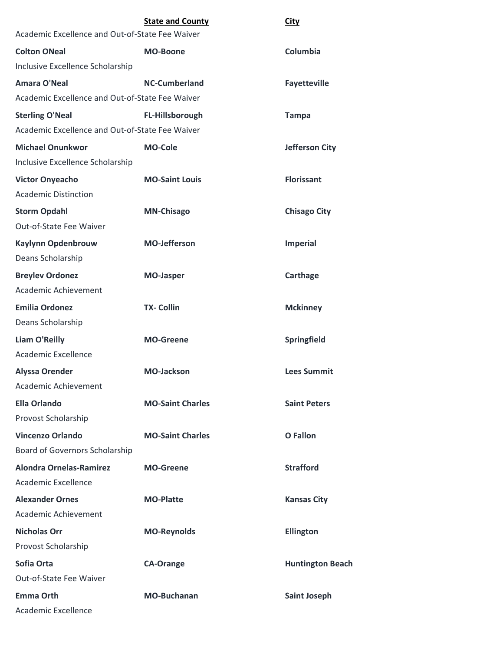|                                                 | <b>State and County</b> | <b>City</b>             |
|-------------------------------------------------|-------------------------|-------------------------|
| Academic Excellence and Out-of-State Fee Waiver |                         |                         |
| <b>Colton ONeal</b>                             | <b>MO-Boone</b>         | Columbia                |
| Inclusive Excellence Scholarship                |                         |                         |
| <b>Amara O'Neal</b>                             | <b>NC-Cumberland</b>    | <b>Fayetteville</b>     |
| Academic Excellence and Out-of-State Fee Waiver |                         |                         |
| <b>Sterling O'Neal</b>                          | FL-Hillsborough         | <b>Tampa</b>            |
| Academic Excellence and Out-of-State Fee Waiver |                         |                         |
| <b>Michael Onunkwor</b>                         | <b>MO-Cole</b>          | <b>Jefferson City</b>   |
| Inclusive Excellence Scholarship                |                         |                         |
| <b>Victor Onyeacho</b>                          | <b>MO-Saint Louis</b>   | <b>Florissant</b>       |
| <b>Academic Distinction</b>                     |                         |                         |
| <b>Storm Opdahl</b>                             | <b>MN-Chisago</b>       | <b>Chisago City</b>     |
| Out-of-State Fee Waiver                         |                         |                         |
| <b>Kaylynn Opdenbrouw</b>                       | <b>MO-Jefferson</b>     | <b>Imperial</b>         |
| Deans Scholarship                               |                         |                         |
| <b>Breylev Ordonez</b>                          | <b>MO-Jasper</b>        | Carthage                |
| Academic Achievement                            |                         |                         |
| <b>Emilia Ordonez</b>                           | <b>TX- Collin</b>       | <b>Mckinney</b>         |
| Deans Scholarship                               |                         |                         |
| <b>Liam O'Reilly</b>                            | <b>MO-Greene</b>        | Springfield             |
| Academic Excellence                             |                         |                         |
| <b>Alyssa Orender</b>                           | <b>MO-Jackson</b>       | <b>Lees Summit</b>      |
| Academic Achievement                            |                         |                         |
| <b>Ella Orlando</b>                             | <b>MO-Saint Charles</b> | <b>Saint Peters</b>     |
| Provost Scholarship                             |                         |                         |
| <b>Vincenzo Orlando</b>                         | <b>MO-Saint Charles</b> | <b>O</b> Fallon         |
| Board of Governors Scholarship                  |                         |                         |
| <b>Alondra Ornelas-Ramirez</b>                  | <b>MO-Greene</b>        | <b>Strafford</b>        |
| Academic Excellence                             |                         |                         |
| <b>Alexander Ornes</b>                          | <b>MO-Platte</b>        | <b>Kansas City</b>      |
| Academic Achievement                            |                         |                         |
| <b>Nicholas Orr</b>                             | <b>MO-Reynolds</b>      | Ellington               |
| Provost Scholarship                             |                         |                         |
| Sofia Orta                                      | <b>CA-Orange</b>        | <b>Huntington Beach</b> |
| Out-of-State Fee Waiver                         |                         |                         |
| <b>Emma Orth</b>                                | <b>MO-Buchanan</b>      | <b>Saint Joseph</b>     |
| Academic Excellence                             |                         |                         |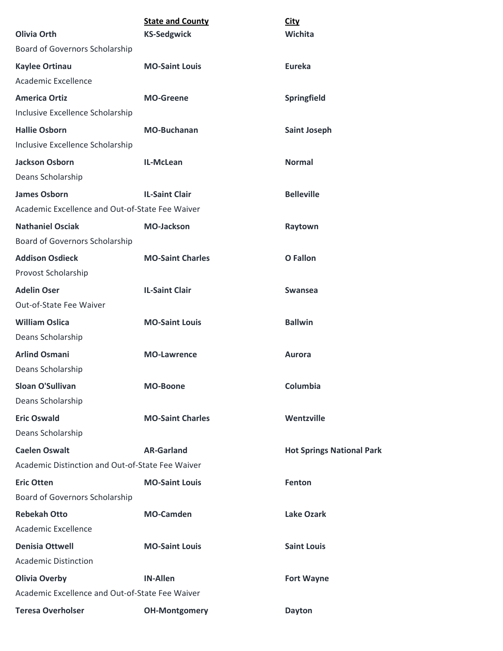| <b>Olivia Orth</b>                               | <b>State and County</b><br><b>KS-Sedgwick</b> | <b>City</b><br>Wichita           |
|--------------------------------------------------|-----------------------------------------------|----------------------------------|
| Board of Governors Scholarship                   |                                               |                                  |
| <b>Kaylee Ortinau</b>                            | <b>MO-Saint Louis</b>                         | Eureka                           |
| Academic Excellence                              |                                               |                                  |
| <b>America Ortiz</b>                             | <b>MO-Greene</b>                              | Springfield                      |
| Inclusive Excellence Scholarship                 |                                               |                                  |
| <b>Hallie Osborn</b>                             | <b>MO-Buchanan</b>                            | <b>Saint Joseph</b>              |
| Inclusive Excellence Scholarship                 |                                               |                                  |
| <b>Jackson Osborn</b>                            | IL-McLean                                     | <b>Normal</b>                    |
| Deans Scholarship                                |                                               |                                  |
| <b>James Osborn</b>                              | <b>IL-Saint Clair</b>                         | <b>Belleville</b>                |
| Academic Excellence and Out-of-State Fee Waiver  |                                               |                                  |
| <b>Nathaniel Osciak</b>                          | <b>MO-Jackson</b>                             | Raytown                          |
| Board of Governors Scholarship                   |                                               |                                  |
| <b>Addison Osdieck</b>                           | <b>MO-Saint Charles</b>                       | <b>O</b> Fallon                  |
| Provost Scholarship                              |                                               |                                  |
| <b>Adelin Oser</b>                               | <b>IL-Saint Clair</b>                         | <b>Swansea</b>                   |
| Out-of-State Fee Waiver                          |                                               |                                  |
| <b>William Oslica</b>                            | <b>MO-Saint Louis</b>                         | <b>Ballwin</b>                   |
| Deans Scholarship                                |                                               |                                  |
| <b>Arlind Osmani</b>                             | <b>MO-Lawrence</b>                            | Aurora                           |
| Deans Scholarship                                |                                               |                                  |
| <b>Sloan O'Sullivan</b>                          | <b>MO-Boone</b>                               | Columbia                         |
| Deans Scholarship                                |                                               |                                  |
| <b>Eric Oswald</b>                               | <b>MO-Saint Charles</b>                       | Wentzville                       |
| Deans Scholarship                                |                                               |                                  |
| <b>Caelen Oswalt</b>                             | <b>AR-Garland</b>                             | <b>Hot Springs National Park</b> |
| Academic Distinction and Out-of-State Fee Waiver |                                               |                                  |
| <b>Eric Otten</b>                                | <b>MO-Saint Louis</b>                         | Fenton                           |
| Board of Governors Scholarship                   |                                               |                                  |
| <b>Rebekah Otto</b>                              | <b>MO-Camden</b>                              | <b>Lake Ozark</b>                |
| Academic Excellence                              |                                               |                                  |
| <b>Denisia Ottwell</b>                           | <b>MO-Saint Louis</b>                         | <b>Saint Louis</b>               |
| <b>Academic Distinction</b>                      |                                               |                                  |
| <b>Olivia Overby</b>                             | <b>IN-Allen</b>                               | <b>Fort Wayne</b>                |
| Academic Excellence and Out-of-State Fee Waiver  |                                               |                                  |
| <b>Teresa Overholser</b>                         | <b>OH-Montgomery</b>                          | <b>Dayton</b>                    |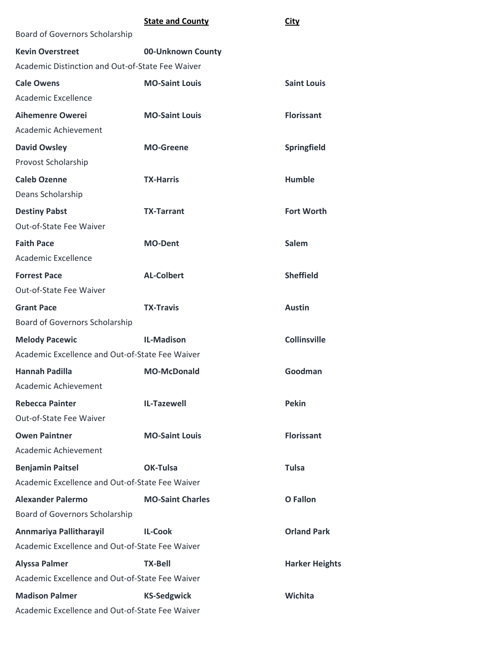|                                                  | <b>State and County</b> | <b>City</b>           |
|--------------------------------------------------|-------------------------|-----------------------|
| Board of Governors Scholarship                   |                         |                       |
| <b>Kevin Overstreet</b>                          | 00-Unknown County       |                       |
| Academic Distinction and Out-of-State Fee Waiver |                         |                       |
| <b>Cale Owens</b>                                | <b>MO-Saint Louis</b>   | <b>Saint Louis</b>    |
| Academic Excellence                              |                         |                       |
| <b>Aihemenre Owerei</b>                          | <b>MO-Saint Louis</b>   | <b>Florissant</b>     |
| Academic Achievement                             |                         |                       |
| <b>David Owsley</b>                              | <b>MO-Greene</b>        | Springfield           |
| Provost Scholarship                              |                         |                       |
| <b>Caleb Ozenne</b>                              | <b>TX-Harris</b>        | <b>Humble</b>         |
| Deans Scholarship                                |                         |                       |
| <b>Destiny Pabst</b>                             | <b>TX-Tarrant</b>       | <b>Fort Worth</b>     |
| Out-of-State Fee Waiver                          |                         |                       |
| <b>Faith Pace</b>                                | <b>MO-Dent</b>          | <b>Salem</b>          |
| Academic Excellence                              |                         |                       |
| <b>Forrest Pace</b>                              | <b>AL-Colbert</b>       | <b>Sheffield</b>      |
| Out-of-State Fee Waiver                          |                         |                       |
| <b>Grant Pace</b>                                | <b>TX-Travis</b>        | <b>Austin</b>         |
| <b>Board of Governors Scholarship</b>            |                         |                       |
| <b>Melody Pacewic</b>                            | <b>IL-Madison</b>       | <b>Collinsville</b>   |
| Academic Excellence and Out-of-State Fee Waiver  |                         |                       |
| <b>Hannah Padilla</b>                            | <b>MO-McDonald</b>      | Goodman               |
| Academic Achievement                             |                         |                       |
| <b>Rebecca Painter</b>                           | <b>IL-Tazewell</b>      | <b>Pekin</b>          |
| Out-of-State Fee Waiver                          |                         |                       |
| <b>Owen Paintner</b>                             | <b>MO-Saint Louis</b>   | <b>Florissant</b>     |
| Academic Achievement                             |                         |                       |
| <b>Benjamin Paitsel</b>                          | OK-Tulsa                | <b>Tulsa</b>          |
| Academic Excellence and Out-of-State Fee Waiver  |                         |                       |
| <b>Alexander Palermo</b>                         | <b>MO-Saint Charles</b> | <b>O</b> Fallon       |
| Board of Governors Scholarship                   |                         |                       |
| Annmariya Pallitharayil                          | <b>IL-Cook</b>          | <b>Orland Park</b>    |
| Academic Excellence and Out-of-State Fee Waiver  |                         |                       |
| <b>Alyssa Palmer</b>                             | <b>TX-Bell</b>          | <b>Harker Heights</b> |
| Academic Excellence and Out-of-State Fee Waiver  |                         |                       |
| <b>Madison Palmer</b>                            | <b>KS-Sedgwick</b>      | Wichita               |
| Academic Excellence and Out-of-State Fee Waiver  |                         |                       |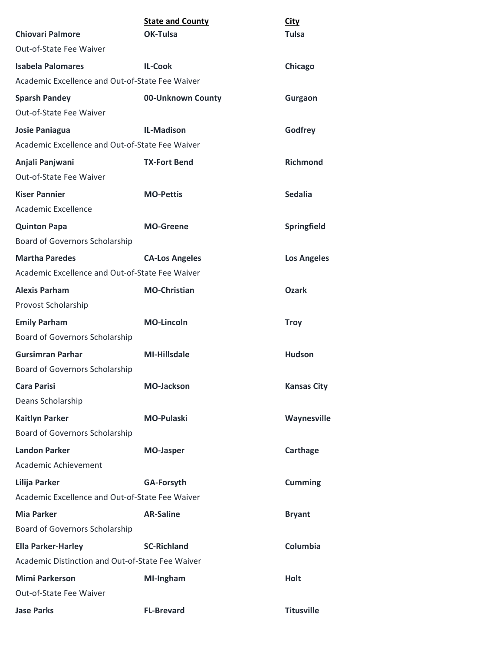|                                                  | <b>State and County</b> | <b>City</b>        |
|--------------------------------------------------|-------------------------|--------------------|
| <b>Chiovari Palmore</b>                          | OK-Tulsa                | <b>Tulsa</b>       |
| Out-of-State Fee Waiver                          |                         |                    |
| <b>Isabela Palomares</b>                         | <b>IL-Cook</b>          | Chicago            |
| Academic Excellence and Out-of-State Fee Waiver  |                         |                    |
| <b>Sparsh Pandey</b>                             | 00-Unknown County       | Gurgaon            |
| Out-of-State Fee Waiver                          |                         |                    |
| <b>Josie Paniagua</b>                            | <b>IL-Madison</b>       | Godfrey            |
| Academic Excellence and Out-of-State Fee Waiver  |                         |                    |
| Anjali Panjwani                                  | <b>TX-Fort Bend</b>     | <b>Richmond</b>    |
| Out-of-State Fee Waiver                          |                         |                    |
| <b>Kiser Pannier</b>                             | <b>MO-Pettis</b>        | <b>Sedalia</b>     |
| Academic Excellence                              |                         |                    |
| <b>Quinton Papa</b>                              | <b>MO-Greene</b>        | Springfield        |
| <b>Board of Governors Scholarship</b>            |                         |                    |
| <b>Martha Paredes</b>                            | <b>CA-Los Angeles</b>   | <b>Los Angeles</b> |
| Academic Excellence and Out-of-State Fee Waiver  |                         |                    |
| <b>Alexis Parham</b>                             | <b>MO-Christian</b>     | <b>Ozark</b>       |
| Provost Scholarship                              |                         |                    |
| <b>Emily Parham</b>                              | <b>MO-Lincoln</b>       | <b>Troy</b>        |
| Board of Governors Scholarship                   |                         |                    |
| <b>Gursimran Parhar</b>                          | <b>MI-Hillsdale</b>     | <b>Hudson</b>      |
| Board of Governors Scholarship                   |                         |                    |
| <b>Cara Parisi</b>                               | <b>MO-Jackson</b>       | <b>Kansas City</b> |
| Deans Scholarship                                |                         |                    |
| <b>Kaitlyn Parker</b>                            | <b>MO-Pulaski</b>       | Waynesville        |
| <b>Board of Governors Scholarship</b>            |                         |                    |
| <b>Landon Parker</b>                             | <b>MO-Jasper</b>        | Carthage           |
| Academic Achievement                             |                         |                    |
| Lilija Parker                                    | <b>GA-Forsyth</b>       | <b>Cumming</b>     |
| Academic Excellence and Out-of-State Fee Waiver  |                         |                    |
| <b>Mia Parker</b>                                | <b>AR-Saline</b>        | <b>Bryant</b>      |
| Board of Governors Scholarship                   |                         |                    |
| <b>Ella Parker-Harley</b>                        | <b>SC-Richland</b>      | Columbia           |
| Academic Distinction and Out-of-State Fee Waiver |                         |                    |
| <b>Mimi Parkerson</b>                            | MI-Ingham               | <b>Holt</b>        |
| Out-of-State Fee Waiver                          |                         |                    |
| <b>Jase Parks</b>                                | <b>FL-Brevard</b>       | <b>Titusville</b>  |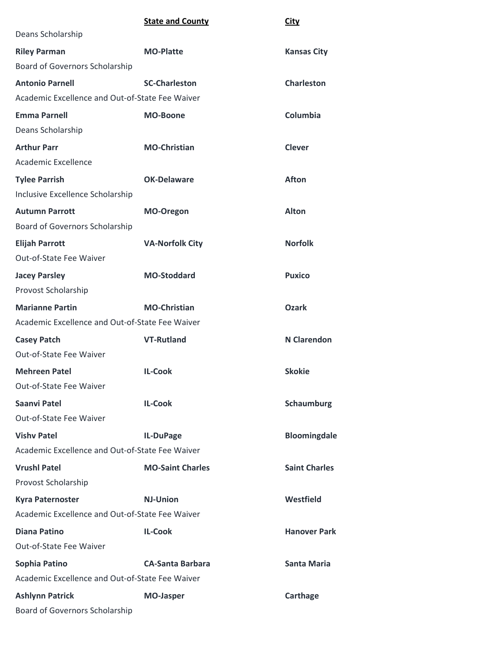|                                                 | <b>State and County</b> | <b>City</b>          |
|-------------------------------------------------|-------------------------|----------------------|
| Deans Scholarship                               |                         |                      |
| <b>Riley Parman</b>                             | <b>MO-Platte</b>        | <b>Kansas City</b>   |
| Board of Governors Scholarship                  |                         |                      |
| <b>Antonio Parnell</b>                          | <b>SC-Charleston</b>    | <b>Charleston</b>    |
| Academic Excellence and Out-of-State Fee Waiver |                         |                      |
| <b>Emma Parnell</b>                             | <b>MO-Boone</b>         | Columbia             |
| Deans Scholarship                               |                         |                      |
| <b>Arthur Parr</b>                              | <b>MO-Christian</b>     | <b>Clever</b>        |
| Academic Excellence                             |                         |                      |
| <b>Tylee Parrish</b>                            | <b>OK-Delaware</b>      | <b>Afton</b>         |
| Inclusive Excellence Scholarship                |                         |                      |
| <b>Autumn Parrott</b>                           | MO-Oregon               | <b>Alton</b>         |
| Board of Governors Scholarship                  |                         |                      |
| <b>Elijah Parrott</b>                           | <b>VA-Norfolk City</b>  | <b>Norfolk</b>       |
| Out-of-State Fee Waiver                         |                         |                      |
| <b>Jacey Parsley</b>                            | <b>MO-Stoddard</b>      | <b>Puxico</b>        |
| Provost Scholarship                             |                         |                      |
| <b>Marianne Partin</b>                          | <b>MO-Christian</b>     | <b>Ozark</b>         |
| Academic Excellence and Out-of-State Fee Waiver |                         |                      |
| <b>Casey Patch</b>                              | <b>VT-Rutland</b>       | <b>N</b> Clarendon   |
| Out-of-State Fee Waiver                         |                         |                      |
| <b>Mehreen Patel</b>                            | <b>IL-Cook</b>          | <b>Skokie</b>        |
| Out-of-State Fee Waiver                         |                         |                      |
| <b>Saanvi Patel</b>                             | <b>IL-Cook</b>          | Schaumburg           |
| Out-of-State Fee Waiver                         |                         |                      |
| <b>Vishy Patel</b>                              | IL-DuPage               | <b>Bloomingdale</b>  |
| Academic Excellence and Out-of-State Fee Waiver |                         |                      |
| <b>Vrushl Patel</b>                             | <b>MO-Saint Charles</b> | <b>Saint Charles</b> |
| Provost Scholarship                             |                         |                      |
| <b>Kyra Paternoster</b>                         | <b>NJ-Union</b>         | Westfield            |
| Academic Excellence and Out-of-State Fee Waiver |                         |                      |
| <b>Diana Patino</b>                             | <b>IL-Cook</b>          | <b>Hanover Park</b>  |
| Out-of-State Fee Waiver                         |                         |                      |
| Sophia Patino                                   | <b>CA-Santa Barbara</b> | <b>Santa Maria</b>   |
| Academic Excellence and Out-of-State Fee Waiver |                         |                      |
| <b>Ashlynn Patrick</b>                          | <b>MO-Jasper</b>        | Carthage             |
| Board of Governors Scholarship                  |                         |                      |
|                                                 |                         |                      |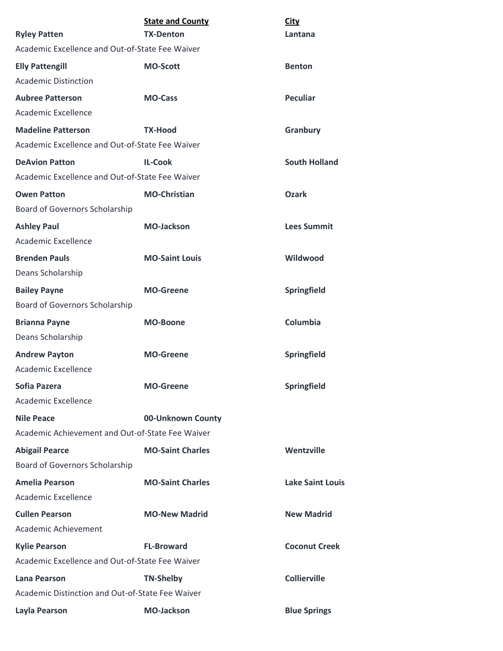| <b>Ryley Patten</b>                              | <b>State and County</b><br><b>TX-Denton</b> | <b>City</b><br>Lantana  |
|--------------------------------------------------|---------------------------------------------|-------------------------|
| Academic Excellence and Out-of-State Fee Waiver  |                                             |                         |
| <b>Elly Pattengill</b>                           | <b>MO-Scott</b>                             | <b>Benton</b>           |
| <b>Academic Distinction</b>                      |                                             |                         |
| <b>Aubree Patterson</b>                          | <b>MO-Cass</b>                              | <b>Peculiar</b>         |
| Academic Excellence                              |                                             |                         |
| <b>Madeline Patterson</b>                        | <b>TX-Hood</b>                              | Granbury                |
| Academic Excellence and Out-of-State Fee Waiver  |                                             |                         |
| <b>DeAvion Patton</b>                            | <b>IL-Cook</b>                              | <b>South Holland</b>    |
| Academic Excellence and Out-of-State Fee Waiver  |                                             |                         |
| <b>Owen Patton</b>                               | <b>MO-Christian</b>                         | <b>Ozark</b>            |
| Board of Governors Scholarship                   |                                             |                         |
| <b>Ashley Paul</b>                               | <b>MO-Jackson</b>                           | <b>Lees Summit</b>      |
| Academic Excellence                              |                                             |                         |
| <b>Brenden Pauls</b>                             | <b>MO-Saint Louis</b>                       | Wildwood                |
| Deans Scholarship                                |                                             |                         |
| <b>Bailey Payne</b>                              | <b>MO-Greene</b>                            | Springfield             |
| Board of Governors Scholarship                   |                                             |                         |
| <b>Brianna Payne</b>                             | <b>MO-Boone</b>                             | Columbia                |
| Deans Scholarship                                |                                             |                         |
| <b>Andrew Payton</b>                             | <b>MO-Greene</b>                            | Springfield             |
| Academic Excellence                              |                                             |                         |
| Sofia Pazera                                     | <b>MO-Greene</b>                            | Springfield             |
| Academic Excellence                              |                                             |                         |
| <b>Nile Peace</b>                                | 00-Unknown County                           |                         |
| Academic Achievement and Out-of-State Fee Waiver |                                             |                         |
| <b>Abigail Pearce</b>                            | <b>MO-Saint Charles</b>                     | Wentzville              |
| Board of Governors Scholarship                   |                                             |                         |
| <b>Amelia Pearson</b>                            | <b>MO-Saint Charles</b>                     | <b>Lake Saint Louis</b> |
| Academic Excellence                              |                                             |                         |
| <b>Cullen Pearson</b>                            | <b>MO-New Madrid</b>                        | <b>New Madrid</b>       |
| Academic Achievement                             |                                             |                         |
| <b>Kylie Pearson</b>                             | <b>FL-Broward</b>                           | <b>Coconut Creek</b>    |
| Academic Excellence and Out-of-State Fee Waiver  |                                             |                         |
| <b>Lana Pearson</b>                              | <b>TN-Shelby</b>                            | <b>Collierville</b>     |
| Academic Distinction and Out-of-State Fee Waiver |                                             |                         |
| Layla Pearson                                    | <b>MO-Jackson</b>                           | <b>Blue Springs</b>     |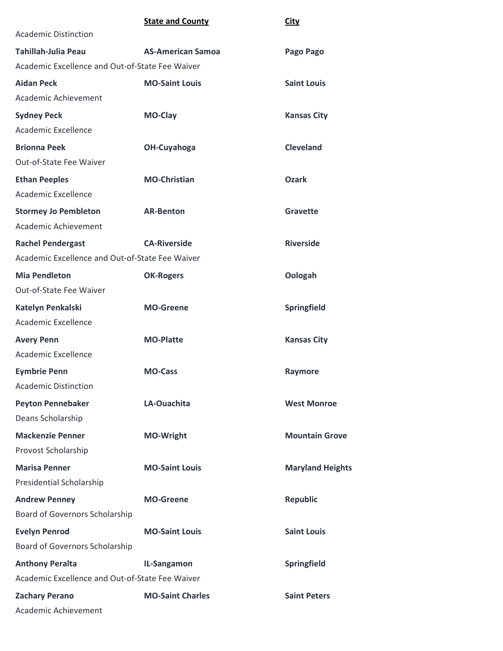|                                                 | <b>State and County</b>  | <b>City</b>             |
|-------------------------------------------------|--------------------------|-------------------------|
| <b>Academic Distinction</b>                     |                          |                         |
| <b>Tahillah-Julia Peau</b>                      | <b>AS-American Samoa</b> | Pago Pago               |
| Academic Excellence and Out-of-State Fee Waiver |                          |                         |
| <b>Aidan Peck</b>                               | <b>MO-Saint Louis</b>    | <b>Saint Louis</b>      |
| Academic Achievement                            |                          |                         |
| <b>Sydney Peck</b>                              | <b>MO-Clay</b>           | <b>Kansas City</b>      |
| Academic Excellence                             |                          |                         |
| <b>Brionna Peek</b>                             | OH-Cuyahoga              | <b>Cleveland</b>        |
| Out-of-State Fee Waiver                         |                          |                         |
| <b>Ethan Peeples</b>                            | <b>MO-Christian</b>      | <b>Ozark</b>            |
| Academic Excellence                             |                          |                         |
| <b>Stormey Jo Pembleton</b>                     | <b>AR-Benton</b>         | Gravette                |
| Academic Achievement                            |                          |                         |
| <b>Rachel Pendergast</b>                        | <b>CA-Riverside</b>      | <b>Riverside</b>        |
| Academic Excellence and Out-of-State Fee Waiver |                          |                         |
| <b>Mia Pendleton</b>                            | <b>OK-Rogers</b>         | Oologah                 |
| Out-of-State Fee Waiver                         |                          |                         |
| Katelyn Penkalski                               | <b>MO-Greene</b>         | Springfield             |
| Academic Excellence                             |                          |                         |
| <b>Avery Penn</b>                               | <b>MO-Platte</b>         | <b>Kansas City</b>      |
| Academic Excellence                             |                          |                         |
| <b>Eymbrie Penn</b>                             | <b>MO-Cass</b>           | Raymore                 |
| <b>Academic Distinction</b>                     |                          |                         |
| <b>Peyton Pennebaker</b>                        | LA-Ouachita              | <b>West Monroe</b>      |
| Deans Scholarship                               |                          |                         |
| <b>Mackenzie Penner</b>                         | <b>MO-Wright</b>         | <b>Mountain Grove</b>   |
| Provost Scholarship                             |                          |                         |
| <b>Marisa Penner</b>                            | <b>MO-Saint Louis</b>    | <b>Maryland Heights</b> |
| Presidential Scholarship                        |                          |                         |
| <b>Andrew Penney</b>                            | <b>MO-Greene</b>         | <b>Republic</b>         |
| Board of Governors Scholarship                  |                          |                         |
| <b>Evelyn Penrod</b>                            | <b>MO-Saint Louis</b>    | <b>Saint Louis</b>      |
| Board of Governors Scholarship                  |                          |                         |
| <b>Anthony Peralta</b>                          | IL-Sangamon              | Springfield             |
| Academic Excellence and Out-of-State Fee Waiver |                          |                         |
| <b>Zachary Perano</b>                           | <b>MO-Saint Charles</b>  | <b>Saint Peters</b>     |
| Academic Achievement                            |                          |                         |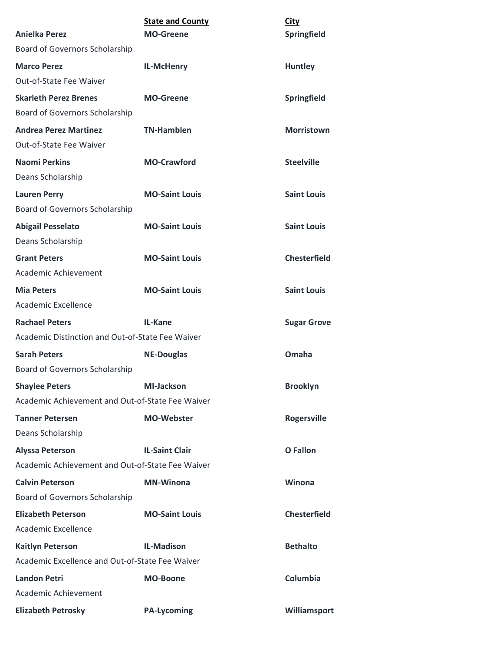| <b>Anielka Perez</b>                             | <b>State and County</b><br><b>MO-Greene</b> | <b>City</b><br>Springfield |
|--------------------------------------------------|---------------------------------------------|----------------------------|
| Board of Governors Scholarship                   |                                             |                            |
| <b>Marco Perez</b>                               | <b>IL-McHenry</b>                           | <b>Huntley</b>             |
| Out-of-State Fee Waiver                          |                                             |                            |
| <b>Skarleth Perez Brenes</b>                     | <b>MO-Greene</b>                            | Springfield                |
| Board of Governors Scholarship                   |                                             |                            |
| <b>Andrea Perez Martinez</b>                     | <b>TN-Hamblen</b>                           | <b>Morristown</b>          |
| Out-of-State Fee Waiver                          |                                             |                            |
| <b>Naomi Perkins</b><br>Deans Scholarship        | <b>MO-Crawford</b>                          | <b>Steelville</b>          |
| <b>Lauren Perry</b>                              | <b>MO-Saint Louis</b>                       | <b>Saint Louis</b>         |
| Board of Governors Scholarship                   |                                             |                            |
| <b>Abigail Pesselato</b><br>Deans Scholarship    | <b>MO-Saint Louis</b>                       | <b>Saint Louis</b>         |
| <b>Grant Peters</b>                              | <b>MO-Saint Louis</b>                       | <b>Chesterfield</b>        |
| Academic Achievement                             |                                             |                            |
| <b>Mia Peters</b>                                | <b>MO-Saint Louis</b>                       | <b>Saint Louis</b>         |
| Academic Excellence                              |                                             |                            |
| <b>Rachael Peters</b>                            | IL-Kane                                     | <b>Sugar Grove</b>         |
| Academic Distinction and Out-of-State Fee Waiver |                                             |                            |
| <b>Sarah Peters</b>                              | <b>NE-Douglas</b>                           | Omaha                      |
| Board of Governors Scholarship                   |                                             |                            |
| <b>Shaylee Peters</b>                            | <b>MI-Jackson</b>                           | <b>Brooklyn</b>            |
| Academic Achievement and Out-of-State Fee Waiver |                                             |                            |
| <b>Tanner Petersen</b>                           | <b>MO-Webster</b>                           | <b>Rogersville</b>         |
| Deans Scholarship                                |                                             |                            |
| <b>Alyssa Peterson</b>                           | <b>IL-Saint Clair</b>                       | <b>O</b> Fallon            |
| Academic Achievement and Out-of-State Fee Waiver |                                             |                            |
| <b>Calvin Peterson</b>                           | <b>MN-Winona</b>                            | Winona                     |
| Board of Governors Scholarship                   |                                             |                            |
| <b>Elizabeth Peterson</b>                        | <b>MO-Saint Louis</b>                       | <b>Chesterfield</b>        |
| Academic Excellence                              |                                             |                            |
| <b>Kaitlyn Peterson</b>                          | <b>IL-Madison</b>                           | <b>Bethalto</b>            |
| Academic Excellence and Out-of-State Fee Waiver  |                                             |                            |
| <b>Landon Petri</b>                              | <b>MO-Boone</b>                             | Columbia                   |
| Academic Achievement                             |                                             |                            |
| <b>Elizabeth Petrosky</b>                        | <b>PA-Lycoming</b>                          | Williamsport               |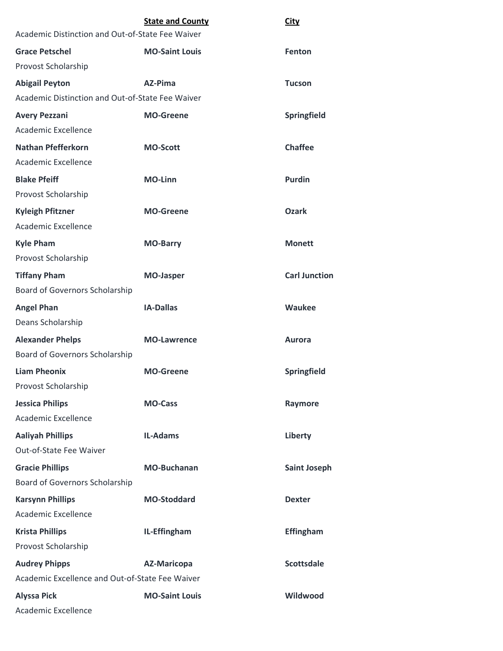|                                                  | <b>State and County</b> | <b>City</b>          |
|--------------------------------------------------|-------------------------|----------------------|
| Academic Distinction and Out-of-State Fee Waiver |                         |                      |
| <b>Grace Petschel</b>                            | <b>MO-Saint Louis</b>   | Fenton               |
| Provost Scholarship                              |                         |                      |
| <b>Abigail Peyton</b>                            | AZ-Pima                 | <b>Tucson</b>        |
| Academic Distinction and Out-of-State Fee Waiver |                         |                      |
| <b>Avery Pezzani</b>                             | <b>MO-Greene</b>        | Springfield          |
| <b>Academic Excellence</b>                       |                         |                      |
| <b>Nathan Pfefferkorn</b>                        | <b>MO-Scott</b>         | <b>Chaffee</b>       |
| Academic Excellence                              |                         |                      |
| <b>Blake Pfeiff</b>                              | <b>MO-Linn</b>          | <b>Purdin</b>        |
| Provost Scholarship                              |                         |                      |
| <b>Kyleigh Pfitzner</b>                          | <b>MO-Greene</b>        | <b>Ozark</b>         |
| <b>Academic Excellence</b>                       |                         |                      |
| <b>Kyle Pham</b>                                 | <b>MO-Barry</b>         | <b>Monett</b>        |
| Provost Scholarship                              |                         |                      |
| <b>Tiffany Pham</b>                              | <b>MO-Jasper</b>        | <b>Carl Junction</b> |
| Board of Governors Scholarship                   |                         |                      |
| <b>Angel Phan</b>                                | <b>IA-Dallas</b>        | <b>Waukee</b>        |
| Deans Scholarship                                |                         |                      |
| <b>Alexander Phelps</b>                          | <b>MO-Lawrence</b>      | <b>Aurora</b>        |
| <b>Board of Governors Scholarship</b>            |                         |                      |
| <b>Liam Pheonix</b>                              | <b>MO-Greene</b>        | Springfield          |
| Provost Scholarship                              |                         |                      |
| <b>Jessica Philips</b>                           | <b>MO-Cass</b>          | Raymore              |
| Academic Excellence                              |                         |                      |
| <b>Aaliyah Phillips</b>                          | <b>IL-Adams</b>         | Liberty              |
| Out-of-State Fee Waiver                          |                         |                      |
| <b>Gracie Phillips</b>                           | <b>MO-Buchanan</b>      | <b>Saint Joseph</b>  |
| Board of Governors Scholarship                   |                         |                      |
| <b>Karsynn Phillips</b>                          | <b>MO-Stoddard</b>      | <b>Dexter</b>        |
| Academic Excellence                              |                         |                      |
| <b>Krista Phillips</b>                           | IL-Effingham            | <b>Effingham</b>     |
| Provost Scholarship                              |                         |                      |
| <b>Audrey Phipps</b>                             | <b>AZ-Maricopa</b>      | <b>Scottsdale</b>    |
| Academic Excellence and Out-of-State Fee Waiver  |                         |                      |
| <b>Alyssa Pick</b>                               | <b>MO-Saint Louis</b>   | Wildwood             |
| Academic Excellence                              |                         |                      |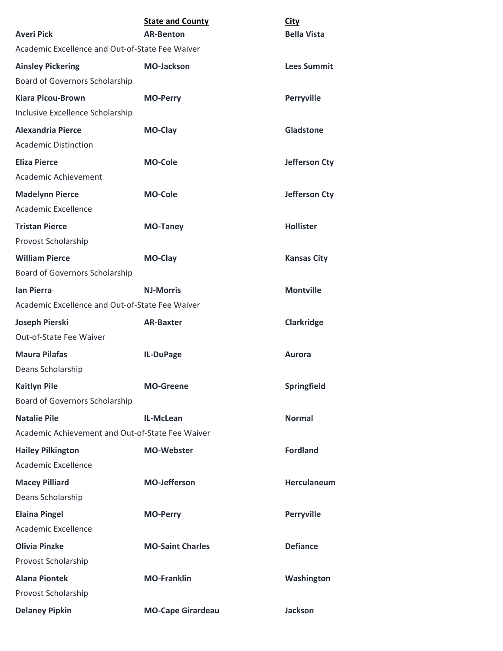| <b>Averi Pick</b>                                                       | <b>State and County</b><br><b>AR-Benton</b> | <b>City</b><br><b>Bella Vista</b> |
|-------------------------------------------------------------------------|---------------------------------------------|-----------------------------------|
| Academic Excellence and Out-of-State Fee Waiver                         |                                             |                                   |
| <b>Ainsley Pickering</b><br>Board of Governors Scholarship              | <b>MO-Jackson</b>                           | <b>Lees Summit</b>                |
| <b>Kiara Picou-Brown</b><br>Inclusive Excellence Scholarship            | <b>MO-Perry</b>                             | Perryville                        |
| <b>Alexandria Pierce</b><br><b>Academic Distinction</b>                 | MO-Clay                                     | Gladstone                         |
| <b>Eliza Pierce</b><br>Academic Achievement                             | <b>MO-Cole</b>                              | <b>Jefferson Cty</b>              |
| <b>Madelynn Pierce</b><br><b>Academic Excellence</b>                    | <b>MO-Cole</b>                              | <b>Jefferson Cty</b>              |
| <b>Tristan Pierce</b><br>Provost Scholarship                            | <b>MO-Taney</b>                             | <b>Hollister</b>                  |
| <b>William Pierce</b><br>Board of Governors Scholarship                 | MO-Clay                                     | <b>Kansas City</b>                |
| <b>lan Pierra</b><br>Academic Excellence and Out-of-State Fee Waiver    | <b>NJ-Morris</b>                            | <b>Montville</b>                  |
| <b>Joseph Pierski</b><br>Out-of-State Fee Waiver                        | <b>AR-Baxter</b>                            | <b>Clarkridge</b>                 |
| <b>Maura Pilafas</b><br>Deans Scholarship                               | IL-DuPage                                   | Aurora                            |
| <b>Kaitlyn Pile</b><br>Board of Governors Scholarship                   | <b>MO-Greene</b>                            | Springfield                       |
| <b>Natalie Pile</b><br>Academic Achievement and Out-of-State Fee Waiver | IL-McLean                                   | <b>Normal</b>                     |
| <b>Hailey Pilkington</b><br>Academic Excellence                         | <b>MO-Webster</b>                           | <b>Fordland</b>                   |
| <b>Macey Pilliard</b><br>Deans Scholarship                              | <b>MO-Jefferson</b>                         | <b>Herculaneum</b>                |
| <b>Elaina Pingel</b><br>Academic Excellence                             | <b>MO-Perry</b>                             | <b>Perryville</b>                 |
| <b>Olivia Pinzke</b><br>Provost Scholarship                             | <b>MO-Saint Charles</b>                     | <b>Defiance</b>                   |
| <b>Alana Piontek</b><br>Provost Scholarship                             | <b>MO-Franklin</b>                          | Washington                        |
| <b>Delaney Pipkin</b>                                                   | <b>MO-Cape Girardeau</b>                    | <b>Jackson</b>                    |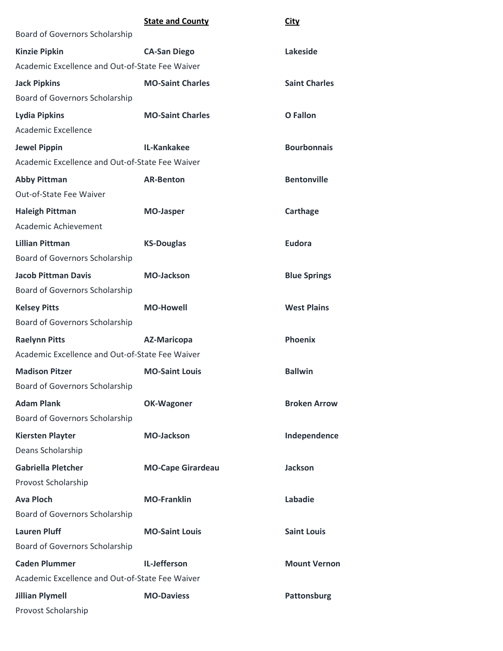|                                                 | <b>State and County</b>  | <b>City</b>          |
|-------------------------------------------------|--------------------------|----------------------|
| Board of Governors Scholarship                  |                          |                      |
| <b>Kinzie Pipkin</b>                            | <b>CA-San Diego</b>      | Lakeside             |
| Academic Excellence and Out-of-State Fee Waiver |                          |                      |
| <b>Jack Pipkins</b>                             | <b>MO-Saint Charles</b>  | <b>Saint Charles</b> |
| Board of Governors Scholarship                  |                          |                      |
| <b>Lydia Pipkins</b>                            | <b>MO-Saint Charles</b>  | <b>O</b> Fallon      |
| Academic Excellence                             |                          |                      |
| <b>Jewel Pippin</b>                             | IL-Kankakee              | <b>Bourbonnais</b>   |
| Academic Excellence and Out-of-State Fee Waiver |                          |                      |
| <b>Abby Pittman</b>                             | <b>AR-Benton</b>         | <b>Bentonville</b>   |
| <b>Out-of-State Fee Waiver</b>                  |                          |                      |
| <b>Haleigh Pittman</b>                          | <b>MO-Jasper</b>         | Carthage             |
| Academic Achievement                            |                          |                      |
| <b>Lillian Pittman</b>                          | <b>KS-Douglas</b>        | <b>Eudora</b>        |
| Board of Governors Scholarship                  |                          |                      |
| <b>Jacob Pittman Davis</b>                      | <b>MO-Jackson</b>        | <b>Blue Springs</b>  |
| Board of Governors Scholarship                  |                          |                      |
| <b>Kelsey Pitts</b>                             | <b>MO-Howell</b>         | <b>West Plains</b>   |
| Board of Governors Scholarship                  |                          |                      |
| <b>Raelynn Pitts</b>                            | <b>AZ-Maricopa</b>       | <b>Phoenix</b>       |
| Academic Excellence and Out-of-State Fee Waiver |                          |                      |
| <b>Madison Pitzer</b>                           | <b>MO-Saint Louis</b>    | <b>Ballwin</b>       |
| Board of Governors Scholarship                  |                          |                      |
| <b>Adam Plank</b>                               | <b>OK-Wagoner</b>        | <b>Broken Arrow</b>  |
| Board of Governors Scholarship                  |                          |                      |
| <b>Kiersten Playter</b>                         | <b>MO-Jackson</b>        | Independence         |
| Deans Scholarship                               |                          |                      |
| <b>Gabriella Pletcher</b>                       | <b>MO-Cape Girardeau</b> | <b>Jackson</b>       |
| Provost Scholarship                             |                          |                      |
| <b>Ava Ploch</b>                                | <b>MO-Franklin</b>       | Labadie              |
| <b>Board of Governors Scholarship</b>           |                          |                      |
| <b>Lauren Pluff</b>                             | <b>MO-Saint Louis</b>    | <b>Saint Louis</b>   |
| Board of Governors Scholarship                  |                          |                      |
| <b>Caden Plummer</b>                            | IL-Jefferson             | <b>Mount Vernon</b>  |
| Academic Excellence and Out-of-State Fee Waiver |                          |                      |
| <b>Jillian Plymell</b>                          | <b>MO-Daviess</b>        | Pattonsburg          |
| Provost Scholarship                             |                          |                      |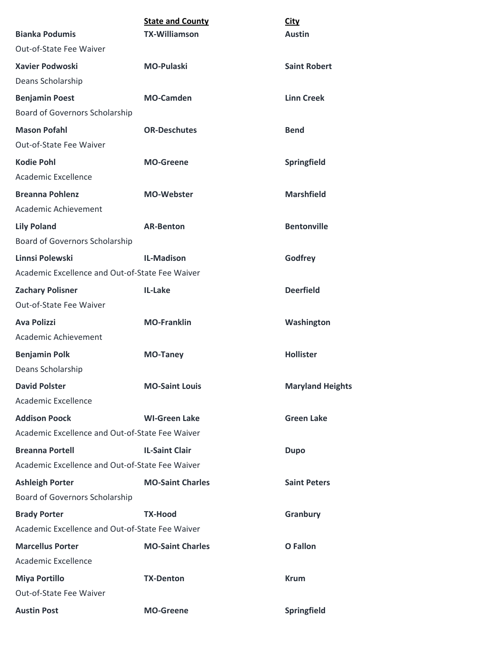|                                                 | <b>State and County</b> | <b>City</b>             |
|-------------------------------------------------|-------------------------|-------------------------|
| <b>Bianka Podumis</b>                           | <b>TX-Williamson</b>    | <b>Austin</b>           |
| Out-of-State Fee Waiver                         |                         |                         |
| <b>Xavier Podwoski</b>                          | <b>MO-Pulaski</b>       | <b>Saint Robert</b>     |
| Deans Scholarship                               |                         |                         |
| <b>Benjamin Poest</b>                           | <b>MO-Camden</b>        | <b>Linn Creek</b>       |
| Board of Governors Scholarship                  |                         |                         |
| <b>Mason Pofahl</b>                             | <b>OR-Deschutes</b>     | <b>Bend</b>             |
| Out-of-State Fee Waiver                         |                         |                         |
| <b>Kodie Pohl</b>                               | <b>MO-Greene</b>        | Springfield             |
| <b>Academic Excellence</b>                      |                         |                         |
| <b>Breanna Pohlenz</b>                          | <b>MO-Webster</b>       | <b>Marshfield</b>       |
| Academic Achievement                            |                         |                         |
| <b>Lily Poland</b>                              | <b>AR-Benton</b>        | <b>Bentonville</b>      |
| Board of Governors Scholarship                  |                         |                         |
| Linnsi Polewski                                 | <b>IL-Madison</b>       | Godfrey                 |
| Academic Excellence and Out-of-State Fee Waiver |                         |                         |
| <b>Zachary Polisner</b>                         | IL-Lake                 | <b>Deerfield</b>        |
| Out-of-State Fee Waiver                         |                         |                         |
| <b>Ava Polizzi</b>                              | <b>MO-Franklin</b>      | Washington              |
| Academic Achievement                            |                         |                         |
| <b>Benjamin Polk</b>                            | <b>MO-Taney</b>         | <b>Hollister</b>        |
| Deans Scholarship                               |                         |                         |
| <b>David Polster</b>                            | <b>MO-Saint Louis</b>   | <b>Maryland Heights</b> |
| Academic Excellence                             |                         |                         |
| <b>Addison Poock</b>                            | <b>WI-Green Lake</b>    | <b>Green Lake</b>       |
| Academic Excellence and Out-of-State Fee Waiver |                         |                         |
| <b>Breanna Portell</b>                          | <b>IL-Saint Clair</b>   | <b>Dupo</b>             |
| Academic Excellence and Out-of-State Fee Waiver |                         |                         |
| <b>Ashleigh Porter</b>                          | <b>MO-Saint Charles</b> | <b>Saint Peters</b>     |
| Board of Governors Scholarship                  |                         |                         |
| <b>Brady Porter</b>                             | <b>TX-Hood</b>          | Granbury                |
| Academic Excellence and Out-of-State Fee Waiver |                         |                         |
| <b>Marcellus Porter</b>                         | <b>MO-Saint Charles</b> | O Fallon                |
| Academic Excellence                             |                         |                         |
| <b>Miya Portillo</b>                            | <b>TX-Denton</b>        | <b>Krum</b>             |
| Out-of-State Fee Waiver                         |                         |                         |
| <b>Austin Post</b>                              | <b>MO-Greene</b>        | Springfield             |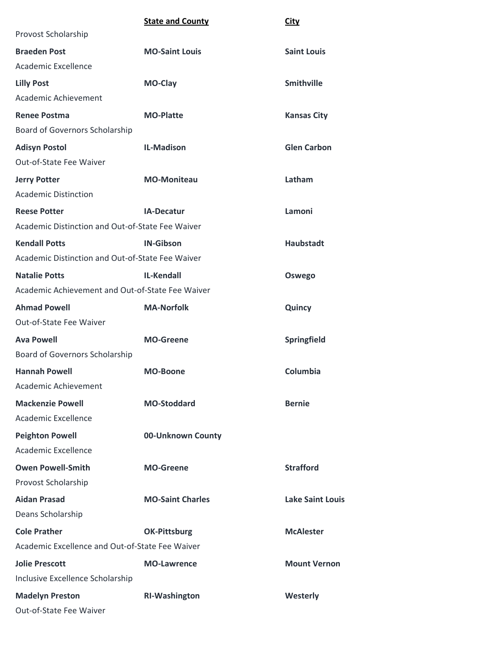|                                                  | <b>State and County</b> | <b>City</b>             |
|--------------------------------------------------|-------------------------|-------------------------|
| Provost Scholarship                              |                         |                         |
| <b>Braeden Post</b>                              | <b>MO-Saint Louis</b>   | <b>Saint Louis</b>      |
| Academic Excellence                              |                         |                         |
| <b>Lilly Post</b>                                | MO-Clay                 | <b>Smithville</b>       |
| Academic Achievement                             |                         |                         |
| <b>Renee Postma</b>                              | <b>MO-Platte</b>        | <b>Kansas City</b>      |
| <b>Board of Governors Scholarship</b>            |                         |                         |
| <b>Adisyn Postol</b>                             | <b>IL-Madison</b>       | <b>Glen Carbon</b>      |
| Out-of-State Fee Waiver                          |                         |                         |
| <b>Jerry Potter</b>                              | <b>MO-Moniteau</b>      | Latham                  |
| <b>Academic Distinction</b>                      |                         |                         |
| <b>Reese Potter</b>                              | <b>IA-Decatur</b>       | Lamoni                  |
| Academic Distinction and Out-of-State Fee Waiver |                         |                         |
| <b>Kendall Potts</b>                             | <b>IN-Gibson</b>        | <b>Haubstadt</b>        |
| Academic Distinction and Out-of-State Fee Waiver |                         |                         |
| <b>Natalie Potts</b>                             | <b>IL-Kendall</b>       | Oswego                  |
| Academic Achievement and Out-of-State Fee Waiver |                         |                         |
| <b>Ahmad Powell</b>                              | <b>MA-Norfolk</b>       | Quincy                  |
| Out-of-State Fee Waiver                          |                         |                         |
| <b>Ava Powell</b>                                | <b>MO-Greene</b>        | Springfield             |
| Board of Governors Scholarship                   |                         |                         |
| <b>Hannah Powell</b>                             | <b>MO-Boone</b>         | Columbia                |
| Academic Achievement                             |                         |                         |
| <b>Mackenzie Powell</b>                          | <b>MO-Stoddard</b>      | <b>Bernie</b>           |
| <b>Academic Excellence</b>                       |                         |                         |
| <b>Peighton Powell</b>                           | 00-Unknown County       |                         |
| Academic Excellence                              |                         |                         |
| <b>Owen Powell-Smith</b>                         | <b>MO-Greene</b>        | <b>Strafford</b>        |
| Provost Scholarship                              |                         |                         |
| <b>Aidan Prasad</b>                              | <b>MO-Saint Charles</b> | <b>Lake Saint Louis</b> |
| Deans Scholarship                                |                         |                         |
| <b>Cole Prather</b>                              | <b>OK-Pittsburg</b>     | <b>McAlester</b>        |
| Academic Excellence and Out-of-State Fee Waiver  |                         |                         |
| <b>Jolie Prescott</b>                            | <b>MO-Lawrence</b>      | <b>Mount Vernon</b>     |
| Inclusive Excellence Scholarship                 |                         |                         |
| <b>Madelyn Preston</b>                           | <b>RI-Washington</b>    | Westerly                |
| Out-of-State Fee Waiver                          |                         |                         |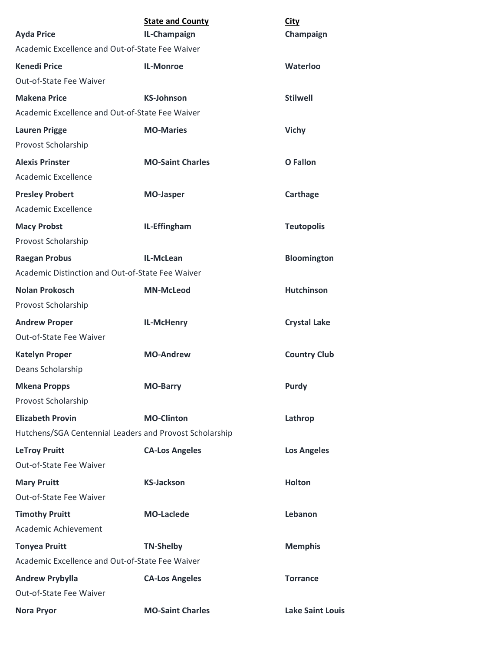| <b>Ayda Price</b>                                       | <b>State and County</b><br>IL-Champaign | <b>City</b><br>Champaign |
|---------------------------------------------------------|-----------------------------------------|--------------------------|
| Academic Excellence and Out-of-State Fee Waiver         |                                         |                          |
| <b>Kenedi Price</b>                                     | <b>IL-Monroe</b>                        | Waterloo                 |
| Out-of-State Fee Waiver                                 |                                         |                          |
| <b>Makena Price</b>                                     | <b>KS-Johnson</b>                       | <b>Stilwell</b>          |
| Academic Excellence and Out-of-State Fee Waiver         |                                         |                          |
| <b>Lauren Prigge</b>                                    | <b>MO-Maries</b>                        | <b>Vichy</b>             |
| Provost Scholarship                                     |                                         |                          |
| <b>Alexis Prinster</b>                                  | <b>MO-Saint Charles</b>                 | <b>O</b> Fallon          |
| Academic Excellence                                     |                                         |                          |
| <b>Presley Probert</b>                                  | <b>MO-Jasper</b>                        | Carthage                 |
| Academic Excellence                                     |                                         |                          |
| <b>Macy Probst</b>                                      | IL-Effingham                            | <b>Teutopolis</b>        |
| Provost Scholarship                                     |                                         |                          |
| <b>Raegan Probus</b>                                    | IL-McLean                               | <b>Bloomington</b>       |
| Academic Distinction and Out-of-State Fee Waiver        |                                         |                          |
| <b>Nolan Prokosch</b>                                   | <b>MN-McLeod</b>                        | <b>Hutchinson</b>        |
| Provost Scholarship                                     |                                         |                          |
| <b>Andrew Proper</b>                                    | IL-McHenry                              | <b>Crystal Lake</b>      |
| Out-of-State Fee Waiver                                 |                                         |                          |
| <b>Katelyn Proper</b>                                   | <b>MO-Andrew</b>                        | <b>Country Club</b>      |
| Deans Scholarship                                       |                                         |                          |
| <b>Mkena Propps</b>                                     | <b>MO-Barry</b>                         | <b>Purdy</b>             |
| Provost Scholarship                                     |                                         |                          |
| <b>Elizabeth Provin</b>                                 | <b>MO-Clinton</b>                       | Lathrop                  |
| Hutchens/SGA Centennial Leaders and Provost Scholarship |                                         |                          |
| <b>LeTroy Pruitt</b>                                    | <b>CA-Los Angeles</b>                   | <b>Los Angeles</b>       |
| Out-of-State Fee Waiver                                 |                                         |                          |
| <b>Mary Pruitt</b>                                      | <b>KS-Jackson</b>                       | <b>Holton</b>            |
| Out-of-State Fee Waiver                                 |                                         |                          |
| <b>Timothy Pruitt</b>                                   | <b>MO-Laclede</b>                       | Lebanon                  |
| Academic Achievement                                    |                                         |                          |
| <b>Tonyea Pruitt</b>                                    | <b>TN-Shelby</b>                        | <b>Memphis</b>           |
| Academic Excellence and Out-of-State Fee Waiver         |                                         |                          |
| <b>Andrew Prybylla</b>                                  | <b>CA-Los Angeles</b>                   | <b>Torrance</b>          |
| Out-of-State Fee Waiver                                 |                                         |                          |
| <b>Nora Pryor</b>                                       | <b>MO-Saint Charles</b>                 | <b>Lake Saint Louis</b>  |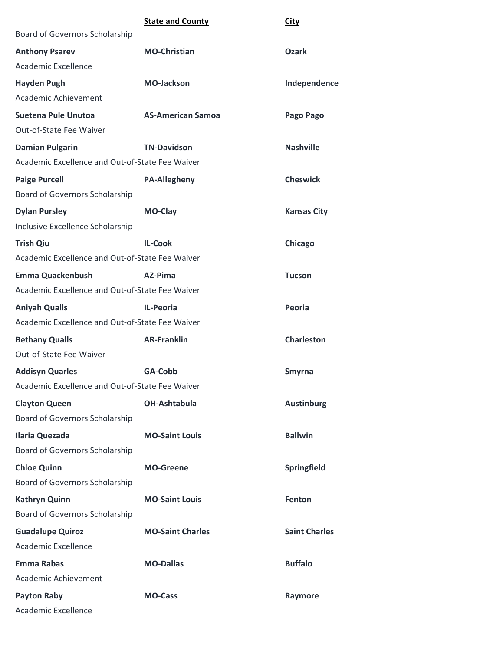|                                                 | <b>State and County</b>  | <b>City</b>          |
|-------------------------------------------------|--------------------------|----------------------|
| Board of Governors Scholarship                  |                          |                      |
| <b>Anthony Psarev</b>                           | <b>MO-Christian</b>      | <b>Ozark</b>         |
| Academic Excellence                             |                          |                      |
| <b>Hayden Pugh</b>                              | <b>MO-Jackson</b>        | Independence         |
| Academic Achievement                            |                          |                      |
| Suetena Pule Unutoa                             | <b>AS-American Samoa</b> | Pago Pago            |
| Out-of-State Fee Waiver                         |                          |                      |
| <b>Damian Pulgarin</b>                          | <b>TN-Davidson</b>       | <b>Nashville</b>     |
| Academic Excellence and Out-of-State Fee Waiver |                          |                      |
| <b>Paige Purcell</b>                            | <b>PA-Allegheny</b>      | <b>Cheswick</b>      |
| Board of Governors Scholarship                  |                          |                      |
| <b>Dylan Pursley</b>                            | <b>MO-Clay</b>           | <b>Kansas City</b>   |
| Inclusive Excellence Scholarship                |                          |                      |
| <b>Trish Qiu</b>                                | <b>IL-Cook</b>           | Chicago              |
| Academic Excellence and Out-of-State Fee Waiver |                          |                      |
| <b>Emma Quackenbush</b>                         | AZ-Pima                  | <b>Tucson</b>        |
| Academic Excellence and Out-of-State Fee Waiver |                          |                      |
| <b>Aniyah Qualls</b>                            | IL-Peoria                | Peoria               |
| Academic Excellence and Out-of-State Fee Waiver |                          |                      |
| <b>Bethany Qualls</b>                           | <b>AR-Franklin</b>       | <b>Charleston</b>    |
| Out-of-State Fee Waiver                         |                          |                      |
| <b>Addisyn Quarles</b>                          | GA-Cobb                  | <b>Smyrna</b>        |
| Academic Excellence and Out-of-State Fee Waiver |                          |                      |
| <b>Clayton Queen</b>                            | <b>OH-Ashtabula</b>      | <b>Austinburg</b>    |
| Board of Governors Scholarship                  |                          |                      |
| <b>Ilaria Quezada</b>                           | <b>MO-Saint Louis</b>    | <b>Ballwin</b>       |
| <b>Board of Governors Scholarship</b>           |                          |                      |
| <b>Chloe Quinn</b>                              | <b>MO-Greene</b>         | Springfield          |
| Board of Governors Scholarship                  |                          |                      |
| <b>Kathryn Quinn</b>                            | <b>MO-Saint Louis</b>    | Fenton               |
| Board of Governors Scholarship                  |                          |                      |
| <b>Guadalupe Quiroz</b>                         | <b>MO-Saint Charles</b>  | <b>Saint Charles</b> |
| Academic Excellence                             |                          |                      |
| <b>Emma Rabas</b>                               | <b>MO-Dallas</b>         | <b>Buffalo</b>       |
| Academic Achievement                            |                          |                      |
| <b>Payton Raby</b>                              | <b>MO-Cass</b>           | Raymore              |
| Academic Excellence                             |                          |                      |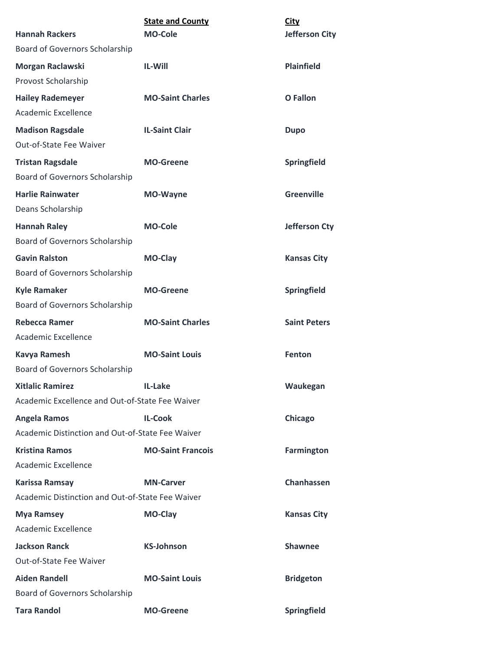| <b>Hannah Rackers</b>                                     | <b>State and County</b><br><b>MO-Cole</b> | <b>City</b><br><b>Jefferson City</b> |
|-----------------------------------------------------------|-------------------------------------------|--------------------------------------|
| Board of Governors Scholarship                            |                                           |                                      |
| Morgan Raclawski<br>Provost Scholarship                   | <b>IL-Will</b>                            | <b>Plainfield</b>                    |
| <b>Hailey Rademeyer</b>                                   | <b>MO-Saint Charles</b>                   | <b>O</b> Fallon                      |
| Academic Excellence                                       |                                           |                                      |
| <b>Madison Ragsdale</b>                                   | <b>IL-Saint Clair</b>                     | <b>Dupo</b>                          |
| Out-of-State Fee Waiver                                   |                                           |                                      |
| <b>Tristan Ragsdale</b><br>Board of Governors Scholarship | <b>MO-Greene</b>                          | Springfield                          |
| <b>Harlie Rainwater</b>                                   | <b>MO-Wayne</b>                           | <b>Greenville</b>                    |
| Deans Scholarship                                         |                                           |                                      |
| <b>Hannah Raley</b>                                       | <b>MO-Cole</b>                            | <b>Jefferson Cty</b>                 |
| Board of Governors Scholarship                            |                                           |                                      |
| <b>Gavin Ralston</b>                                      | MO-Clay                                   | <b>Kansas City</b>                   |
| Board of Governors Scholarship                            |                                           |                                      |
| <b>Kyle Ramaker</b>                                       | <b>MO-Greene</b>                          | Springfield                          |
| Board of Governors Scholarship                            |                                           |                                      |
| <b>Rebecca Ramer</b>                                      | <b>MO-Saint Charles</b>                   | <b>Saint Peters</b>                  |
| <b>Academic Excellence</b>                                |                                           |                                      |
| <b>Kavya Ramesh</b>                                       | <b>MO-Saint Louis</b>                     | <b>Fenton</b>                        |
| Board of Governors Scholarship                            |                                           |                                      |
| <b>Xitlalic Ramirez</b>                                   | IL-Lake                                   | Waukegan                             |
| Academic Excellence and Out-of-State Fee Waiver           |                                           |                                      |
| <b>Angela Ramos</b>                                       | <b>IL-Cook</b>                            | Chicago                              |
| Academic Distinction and Out-of-State Fee Waiver          |                                           |                                      |
| <b>Kristina Ramos</b>                                     | <b>MO-Saint Francois</b>                  | <b>Farmington</b>                    |
| <b>Academic Excellence</b>                                |                                           |                                      |
| <b>Karissa Ramsay</b>                                     | <b>MN-Carver</b>                          | Chanhassen                           |
| Academic Distinction and Out-of-State Fee Waiver          |                                           |                                      |
| <b>Mya Ramsey</b>                                         | <b>MO-Clay</b>                            | <b>Kansas City</b>                   |
| <b>Academic Excellence</b>                                |                                           |                                      |
| <b>Jackson Ranck</b>                                      | <b>KS-Johnson</b>                         | <b>Shawnee</b>                       |
| Out-of-State Fee Waiver                                   |                                           |                                      |
| <b>Aiden Randell</b>                                      | <b>MO-Saint Louis</b>                     | <b>Bridgeton</b>                     |
| Board of Governors Scholarship                            |                                           |                                      |
| <b>Tara Randol</b>                                        | <b>MO-Greene</b>                          | Springfield                          |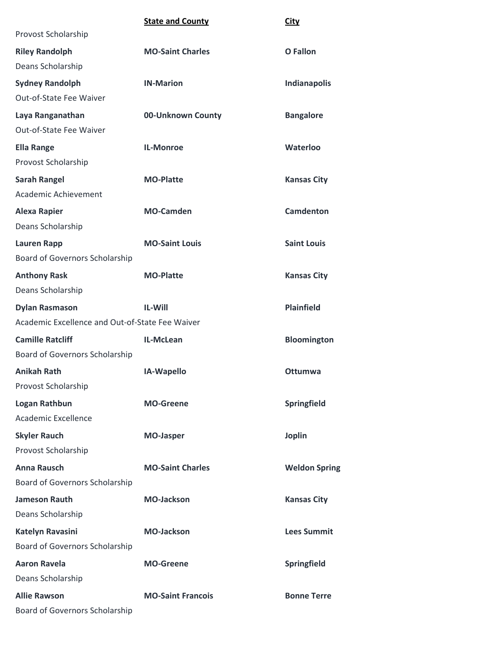|                                                 | <b>State and County</b>  | <b>City</b>          |
|-------------------------------------------------|--------------------------|----------------------|
| Provost Scholarship                             |                          |                      |
| <b>Riley Randolph</b>                           | <b>MO-Saint Charles</b>  | <b>O</b> Fallon      |
| Deans Scholarship                               |                          |                      |
| <b>Sydney Randolph</b>                          | <b>IN-Marion</b>         | Indianapolis         |
| Out-of-State Fee Waiver                         |                          |                      |
| Laya Ranganathan                                | 00-Unknown County        | <b>Bangalore</b>     |
| Out-of-State Fee Waiver                         |                          |                      |
| <b>Ella Range</b>                               | <b>IL-Monroe</b>         | Waterloo             |
| Provost Scholarship                             |                          |                      |
| <b>Sarah Rangel</b>                             | <b>MO-Platte</b>         | <b>Kansas City</b>   |
| Academic Achievement                            |                          |                      |
| <b>Alexa Rapier</b>                             | <b>MO-Camden</b>         | <b>Camdenton</b>     |
| Deans Scholarship                               |                          |                      |
| <b>Lauren Rapp</b>                              | <b>MO-Saint Louis</b>    | <b>Saint Louis</b>   |
| Board of Governors Scholarship                  |                          |                      |
| <b>Anthony Rask</b>                             | <b>MO-Platte</b>         | <b>Kansas City</b>   |
| Deans Scholarship                               |                          |                      |
| <b>Dylan Rasmason</b>                           | <b>IL-Will</b>           | <b>Plainfield</b>    |
| Academic Excellence and Out-of-State Fee Waiver |                          |                      |
| <b>Camille Ratcliff</b>                         | IL-McLean                | Bloomington          |
| Board of Governors Scholarship                  |                          |                      |
| <b>Anikah Rath</b>                              | IA-Wapello               | <b>Ottumwa</b>       |
| Provost Scholarship                             |                          |                      |
| <b>Logan Rathbun</b>                            | <b>MO-Greene</b>         | Springfield          |
| Academic Excellence                             |                          |                      |
| <b>Skyler Rauch</b>                             | <b>MO-Jasper</b>         | <b>Joplin</b>        |
| Provost Scholarship                             |                          |                      |
| <b>Anna Rausch</b>                              | <b>MO-Saint Charles</b>  | <b>Weldon Spring</b> |
| Board of Governors Scholarship                  |                          |                      |
| <b>Jameson Rauth</b>                            | <b>MO-Jackson</b>        | <b>Kansas City</b>   |
| Deans Scholarship                               |                          |                      |
| Katelyn Ravasini                                | <b>MO-Jackson</b>        | <b>Lees Summit</b>   |
| Board of Governors Scholarship                  |                          |                      |
| <b>Aaron Ravela</b>                             | <b>MO-Greene</b>         | Springfield          |
| Deans Scholarship                               |                          |                      |
| <b>Allie Rawson</b>                             | <b>MO-Saint Francois</b> | <b>Bonne Terre</b>   |
| <b>Board of Governors Scholarship</b>           |                          |                      |
|                                                 |                          |                      |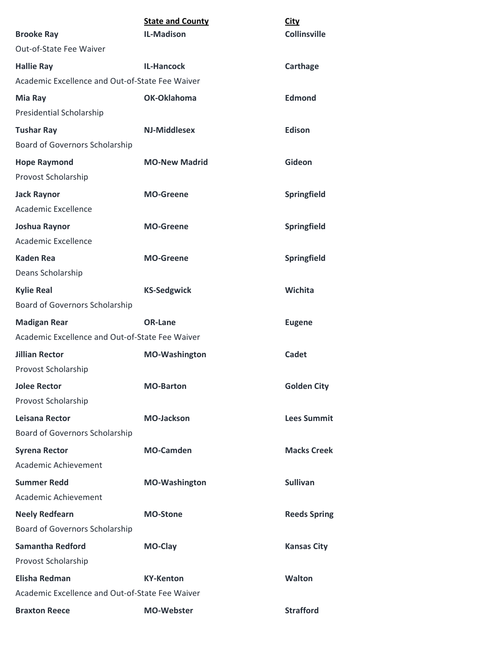| <b>Brooke Ray</b>                               | <b>State and County</b><br><b>IL-Madison</b> | <b>City</b><br><b>Collinsville</b> |
|-------------------------------------------------|----------------------------------------------|------------------------------------|
| Out-of-State Fee Waiver                         |                                              |                                    |
| <b>Hallie Ray</b>                               | <b>IL-Hancock</b>                            | Carthage                           |
| Academic Excellence and Out-of-State Fee Waiver |                                              |                                    |
| Mia Ray                                         | OK-Oklahoma                                  | <b>Edmond</b>                      |
| Presidential Scholarship                        |                                              |                                    |
| <b>Tushar Ray</b>                               | <b>NJ-Middlesex</b>                          | <b>Edison</b>                      |
| <b>Board of Governors Scholarship</b>           |                                              |                                    |
| <b>Hope Raymond</b>                             | <b>MO-New Madrid</b>                         | Gideon                             |
| Provost Scholarship                             |                                              |                                    |
| <b>Jack Raynor</b>                              | <b>MO-Greene</b>                             | Springfield                        |
| Academic Excellence                             |                                              |                                    |
| Joshua Raynor                                   | <b>MO-Greene</b>                             | Springfield                        |
| Academic Excellence                             |                                              |                                    |
| <b>Kaden Rea</b>                                | <b>MO-Greene</b>                             | Springfield                        |
| Deans Scholarship                               |                                              |                                    |
| <b>Kylie Real</b>                               | <b>KS-Sedgwick</b>                           | Wichita                            |
| Board of Governors Scholarship                  |                                              |                                    |
| <b>Madigan Rear</b>                             | <b>OR-Lane</b>                               | <b>Eugene</b>                      |
| Academic Excellence and Out-of-State Fee Waiver |                                              |                                    |
| <b>Jillian Rector</b>                           | <b>MO-Washington</b>                         | Cadet                              |
| Provost Scholarship                             |                                              |                                    |
| <b>Jolee Rector</b>                             | <b>MO-Barton</b>                             | <b>Golden City</b>                 |
| Provost Scholarship                             |                                              |                                    |
| Leisana Rector                                  | <b>MO-Jackson</b>                            | <b>Lees Summit</b>                 |
| Board of Governors Scholarship                  |                                              |                                    |
| <b>Syrena Rector</b>                            | <b>MO-Camden</b>                             | <b>Macks Creek</b>                 |
| Academic Achievement                            |                                              |                                    |
| <b>Summer Redd</b>                              | <b>MO-Washington</b>                         | <b>Sullivan</b>                    |
| Academic Achievement                            |                                              |                                    |
| <b>Neely Redfearn</b>                           | <b>MO-Stone</b>                              | <b>Reeds Spring</b>                |
| Board of Governors Scholarship                  |                                              |                                    |
| <b>Samantha Redford</b>                         | MO-Clay                                      | <b>Kansas City</b>                 |
| Provost Scholarship                             |                                              |                                    |
| <b>Elisha Redman</b>                            | <b>KY-Kenton</b>                             | <b>Walton</b>                      |
| Academic Excellence and Out-of-State Fee Waiver |                                              |                                    |
| <b>Braxton Reece</b>                            | <b>MO-Webster</b>                            | <b>Strafford</b>                   |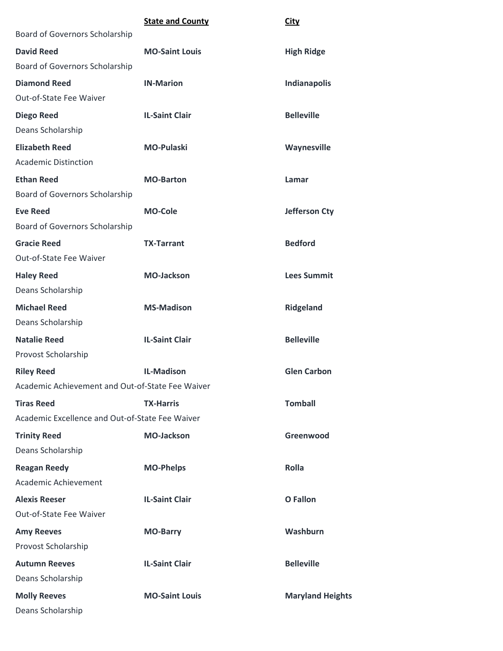|                                                  | <b>State and County</b> | <b>City</b>             |
|--------------------------------------------------|-------------------------|-------------------------|
| Board of Governors Scholarship                   |                         |                         |
| <b>David Reed</b>                                | <b>MO-Saint Louis</b>   | <b>High Ridge</b>       |
| Board of Governors Scholarship                   |                         |                         |
| <b>Diamond Reed</b>                              | <b>IN-Marion</b>        | Indianapolis            |
| Out-of-State Fee Waiver                          |                         |                         |
| <b>Diego Reed</b>                                | <b>IL-Saint Clair</b>   | <b>Belleville</b>       |
| Deans Scholarship                                |                         |                         |
| <b>Elizabeth Reed</b>                            | <b>MO-Pulaski</b>       | Waynesville             |
| <b>Academic Distinction</b>                      |                         |                         |
| <b>Ethan Reed</b>                                | <b>MO-Barton</b>        | Lamar                   |
| Board of Governors Scholarship                   |                         |                         |
| <b>Eve Reed</b>                                  | <b>MO-Cole</b>          | <b>Jefferson Cty</b>    |
| Board of Governors Scholarship                   |                         |                         |
| <b>Gracie Reed</b>                               | <b>TX-Tarrant</b>       | <b>Bedford</b>          |
| <b>Out-of-State Fee Waiver</b>                   |                         |                         |
| <b>Haley Reed</b>                                | <b>MO-Jackson</b>       | <b>Lees Summit</b>      |
| Deans Scholarship                                |                         |                         |
| <b>Michael Reed</b>                              | <b>MS-Madison</b>       | <b>Ridgeland</b>        |
| Deans Scholarship                                |                         |                         |
| <b>Natalie Reed</b>                              | <b>IL-Saint Clair</b>   | <b>Belleville</b>       |
| Provost Scholarship                              |                         |                         |
| <b>Riley Reed</b>                                | <b>IL-Madison</b>       | <b>Glen Carbon</b>      |
| Academic Achievement and Out-of-State Fee Waiver |                         |                         |
| <b>Tiras Reed</b>                                | <b>TX-Harris</b>        | <b>Tomball</b>          |
| Academic Excellence and Out-of-State Fee Waiver  |                         |                         |
| <b>Trinity Reed</b>                              | <b>MO-Jackson</b>       | Greenwood               |
| Deans Scholarship                                |                         |                         |
| <b>Reagan Reedy</b>                              | <b>MO-Phelps</b>        | Rolla                   |
| Academic Achievement                             |                         |                         |
| <b>Alexis Reeser</b>                             | <b>IL-Saint Clair</b>   | <b>O</b> Fallon         |
| Out-of-State Fee Waiver                          |                         |                         |
| <b>Amy Reeves</b>                                | <b>MO-Barry</b>         | <b>Washburn</b>         |
| Provost Scholarship                              |                         |                         |
| <b>Autumn Reeves</b>                             | <b>IL-Saint Clair</b>   | <b>Belleville</b>       |
| Deans Scholarship                                |                         |                         |
| <b>Molly Reeves</b>                              | <b>MO-Saint Louis</b>   | <b>Maryland Heights</b> |
| Deans Scholarship                                |                         |                         |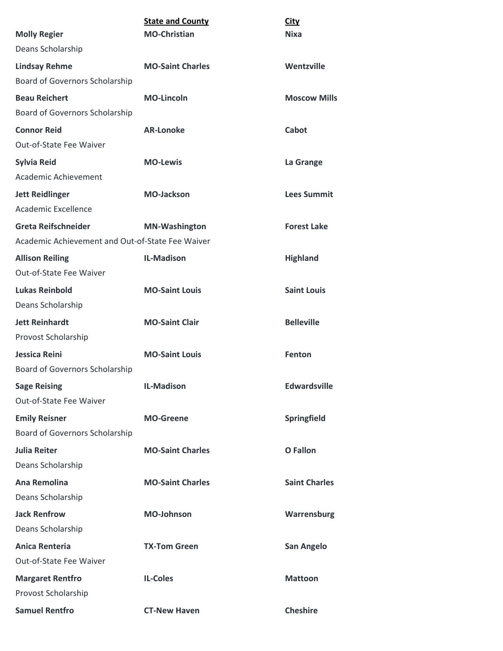| <b>Molly Regier</b>                              | <b>State and County</b><br><b>MO-Christian</b> | <b>City</b><br><b>Nixa</b> |
|--------------------------------------------------|------------------------------------------------|----------------------------|
| Deans Scholarship                                |                                                |                            |
| <b>Lindsay Rehme</b>                             | <b>MO-Saint Charles</b>                        | Wentzville                 |
| Board of Governors Scholarship                   |                                                |                            |
| <b>Beau Reichert</b>                             | <b>MO-Lincoln</b>                              | <b>Moscow Mills</b>        |
| Board of Governors Scholarship                   |                                                |                            |
| <b>Connor Reid</b>                               | <b>AR-Lonoke</b>                               | Cabot                      |
| Out-of-State Fee Waiver                          |                                                |                            |
| <b>Sylvia Reid</b>                               | <b>MO-Lewis</b>                                | La Grange                  |
| Academic Achievement                             |                                                |                            |
| <b>Jett Reidlinger</b>                           | <b>MO-Jackson</b>                              | <b>Lees Summit</b>         |
| Academic Excellence                              |                                                |                            |
| <b>Greta Reifschneider</b>                       | <b>MN-Washington</b>                           | <b>Forest Lake</b>         |
| Academic Achievement and Out-of-State Fee Waiver |                                                |                            |
| <b>Allison Reiling</b>                           | <b>IL-Madison</b>                              | <b>Highland</b>            |
| Out-of-State Fee Waiver                          |                                                |                            |
| <b>Lukas Reinbold</b>                            | <b>MO-Saint Louis</b>                          | <b>Saint Louis</b>         |
| Deans Scholarship                                |                                                |                            |
| <b>Jett Reinhardt</b>                            | <b>MO-Saint Clair</b>                          | <b>Belleville</b>          |
| Provost Scholarship                              |                                                |                            |
| Jessica Reini                                    | <b>MO-Saint Louis</b>                          | Fenton                     |
| Board of Governors Scholarship                   |                                                |                            |
| <b>Sage Reising</b>                              | <b>IL-Madison</b>                              | <b>Edwardsville</b>        |
| Out-of-State Fee Waiver                          |                                                |                            |
| <b>Emily Reisner</b>                             | <b>MO-Greene</b>                               | Springfield                |
| Board of Governors Scholarship                   |                                                |                            |
| <b>Julia Reiter</b>                              | <b>MO-Saint Charles</b>                        | <b>O</b> Fallon            |
| Deans Scholarship                                |                                                |                            |
| <b>Ana Remolina</b>                              | <b>MO-Saint Charles</b>                        | <b>Saint Charles</b>       |
| Deans Scholarship                                |                                                |                            |
| <b>Jack Renfrow</b>                              | <b>MO-Johnson</b>                              | Warrensburg                |
| Deans Scholarship                                |                                                |                            |
| <b>Anica Renteria</b>                            | <b>TX-Tom Green</b>                            | San Angelo                 |
| Out-of-State Fee Waiver                          |                                                |                            |
| <b>Margaret Rentfro</b>                          | <b>IL-Coles</b>                                | <b>Mattoon</b>             |
| Provost Scholarship                              |                                                |                            |
| <b>Samuel Rentfro</b>                            | <b>CT-New Haven</b>                            | <b>Cheshire</b>            |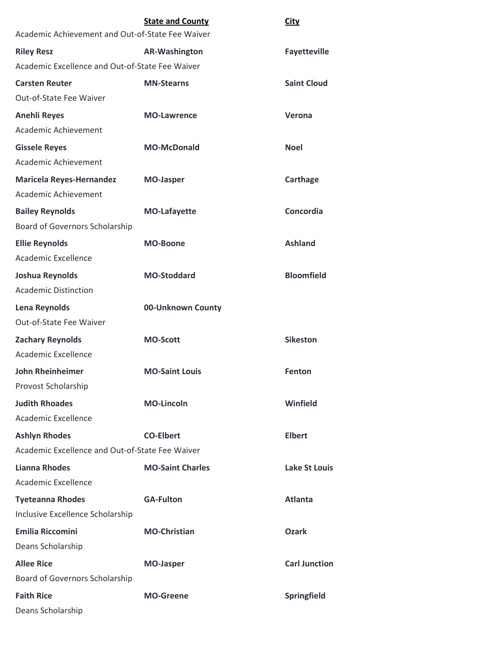|                                                  | <b>State and County</b> | <b>City</b>          |
|--------------------------------------------------|-------------------------|----------------------|
| Academic Achievement and Out-of-State Fee Waiver |                         |                      |
| <b>Riley Resz</b>                                | <b>AR-Washington</b>    | <b>Fayetteville</b>  |
| Academic Excellence and Out-of-State Fee Waiver  |                         |                      |
| <b>Carsten Reuter</b>                            | <b>MN-Stearns</b>       | <b>Saint Cloud</b>   |
| <b>Out-of-State Fee Waiver</b>                   |                         |                      |
| <b>Anehli Reyes</b>                              | <b>MO-Lawrence</b>      | Verona               |
| Academic Achievement                             |                         |                      |
| <b>Gissele Reyes</b>                             | <b>MO-McDonald</b>      | Noel                 |
| Academic Achievement                             |                         |                      |
| <b>Maricela Reyes-Hernandez</b>                  | <b>MO-Jasper</b>        | Carthage             |
| Academic Achievement                             |                         |                      |
| <b>Bailey Reynolds</b>                           | <b>MO-Lafayette</b>     | Concordia            |
| Board of Governors Scholarship                   |                         |                      |
| <b>Ellie Reynolds</b>                            | <b>MO-Boone</b>         | <b>Ashland</b>       |
| <b>Academic Excellence</b>                       |                         |                      |
| Joshua Reynolds                                  | <b>MO-Stoddard</b>      | <b>Bloomfield</b>    |
| <b>Academic Distinction</b>                      |                         |                      |
| Lena Reynolds                                    | 00-Unknown County       |                      |
| Out-of-State Fee Waiver                          |                         |                      |
| <b>Zachary Reynolds</b>                          | <b>MO-Scott</b>         | <b>Sikeston</b>      |
| <b>Academic Excellence</b>                       |                         |                      |
| <b>John Rheinheimer</b>                          | <b>MO-Saint Louis</b>   | <b>Fenton</b>        |
| Provost Scholarship                              |                         |                      |
| <b>Judith Rhoades</b>                            | <b>MO-Lincoln</b>       | Winfield             |
| Academic Excellence                              |                         |                      |
| <b>Ashlyn Rhodes</b>                             | <b>CO-Elbert</b>        | <b>Elbert</b>        |
| Academic Excellence and Out-of-State Fee Waiver  |                         |                      |
| <b>Lianna Rhodes</b>                             | <b>MO-Saint Charles</b> | Lake St Louis        |
| Academic Excellence                              |                         |                      |
| <b>Tyeteanna Rhodes</b>                          | <b>GA-Fulton</b>        | <b>Atlanta</b>       |
| Inclusive Excellence Scholarship                 |                         |                      |
| <b>Emilia Riccomini</b>                          | <b>MO-Christian</b>     | <b>Ozark</b>         |
| Deans Scholarship                                |                         |                      |
| <b>Allee Rice</b>                                | <b>MO-Jasper</b>        | <b>Carl Junction</b> |
| Board of Governors Scholarship                   |                         |                      |
| <b>Faith Rice</b>                                | <b>MO-Greene</b>        | Springfield          |
| Deans Scholarship                                |                         |                      |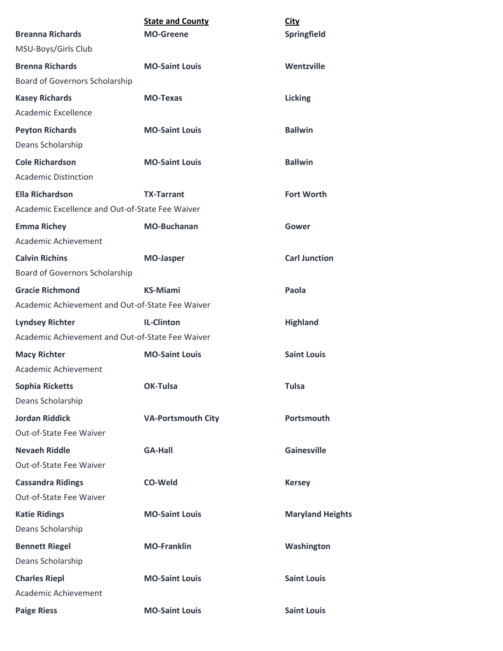|                                                  | <b>State and County</b>   | <b>City</b>             |
|--------------------------------------------------|---------------------------|-------------------------|
| <b>Breanna Richards</b>                          | <b>MO-Greene</b>          | Springfield             |
| MSU-Boys/Girls Club                              |                           |                         |
| <b>Brenna Richards</b>                           | <b>MO-Saint Louis</b>     | Wentzville              |
| Board of Governors Scholarship                   |                           |                         |
| <b>Kasey Richards</b>                            | <b>MO-Texas</b>           | <b>Licking</b>          |
| Academic Excellence                              |                           |                         |
| <b>Peyton Richards</b>                           | <b>MO-Saint Louis</b>     | <b>Ballwin</b>          |
| Deans Scholarship                                |                           |                         |
| <b>Cole Richardson</b>                           | <b>MO-Saint Louis</b>     | <b>Ballwin</b>          |
| <b>Academic Distinction</b>                      |                           |                         |
| <b>Ella Richardson</b>                           | <b>TX-Tarrant</b>         | <b>Fort Worth</b>       |
| Academic Excellence and Out-of-State Fee Waiver  |                           |                         |
| <b>Emma Richey</b>                               | <b>MO-Buchanan</b>        | Gower                   |
| Academic Achievement                             |                           |                         |
| <b>Calvin Richins</b>                            | <b>MO-Jasper</b>          | <b>Carl Junction</b>    |
| Board of Governors Scholarship                   |                           |                         |
| <b>Gracie Richmond</b>                           | <b>KS-Miami</b>           | Paola                   |
| Academic Achievement and Out-of-State Fee Waiver |                           |                         |
| <b>Lyndsey Richter</b>                           | <b>IL-Clinton</b>         | <b>Highland</b>         |
| Academic Achievement and Out-of-State Fee Waiver |                           |                         |
| <b>Macy Richter</b>                              | <b>MO-Saint Louis</b>     | <b>Saint Louis</b>      |
| Academic Achievement                             |                           |                         |
| <b>Sophia Ricketts</b>                           | <b>OK-Tulsa</b>           | <b>Tulsa</b>            |
| Deans Scholarship                                |                           |                         |
| <b>Jordan Riddick</b>                            | <b>VA-Portsmouth City</b> | Portsmouth              |
| Out-of-State Fee Waiver                          |                           |                         |
| <b>Nevaeh Riddle</b>                             | <b>GA-Hall</b>            | <b>Gainesville</b>      |
| <b>Out-of-State Fee Waiver</b>                   |                           |                         |
| <b>Cassandra Ridings</b>                         | <b>CO-Weld</b>            | <b>Kersey</b>           |
| Out-of-State Fee Waiver                          |                           |                         |
| <b>Katie Ridings</b>                             | <b>MO-Saint Louis</b>     | <b>Maryland Heights</b> |
| Deans Scholarship                                |                           |                         |
| <b>Bennett Riegel</b>                            | <b>MO-Franklin</b>        | Washington              |
| Deans Scholarship                                |                           |                         |
| <b>Charles Riepl</b>                             | <b>MO-Saint Louis</b>     | <b>Saint Louis</b>      |
| Academic Achievement                             |                           |                         |
| <b>Paige Riess</b>                               | <b>MO-Saint Louis</b>     | <b>Saint Louis</b>      |
|                                                  |                           |                         |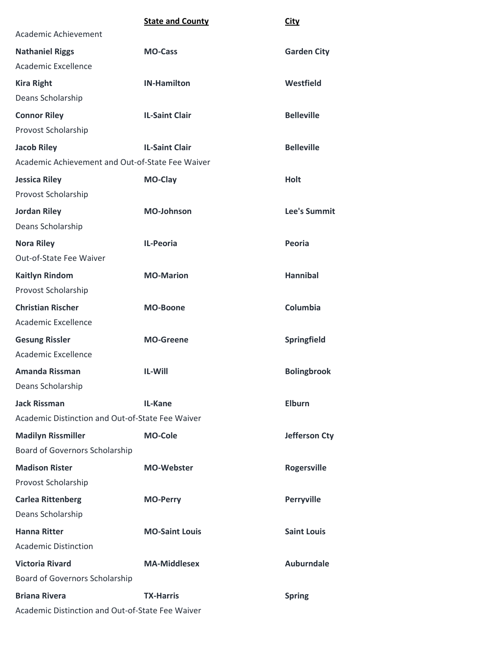|                                                  | <b>State and County</b> | <b>City</b>          |
|--------------------------------------------------|-------------------------|----------------------|
| Academic Achievement                             |                         |                      |
| <b>Nathaniel Riggs</b>                           | <b>MO-Cass</b>          | <b>Garden City</b>   |
| Academic Excellence                              |                         |                      |
| <b>Kira Right</b>                                | <b>IN-Hamilton</b>      | Westfield            |
| Deans Scholarship                                |                         |                      |
| <b>Connor Riley</b>                              | <b>IL-Saint Clair</b>   | <b>Belleville</b>    |
| Provost Scholarship                              |                         |                      |
| <b>Jacob Riley</b>                               | <b>IL-Saint Clair</b>   | <b>Belleville</b>    |
| Academic Achievement and Out-of-State Fee Waiver |                         |                      |
| <b>Jessica Riley</b>                             | <b>MO-Clay</b>          | <b>Holt</b>          |
| Provost Scholarship                              |                         |                      |
| <b>Jordan Riley</b>                              | <b>MO-Johnson</b>       | <b>Lee's Summit</b>  |
| Deans Scholarship                                |                         |                      |
| <b>Nora Riley</b>                                | <b>IL-Peoria</b>        | Peoria               |
| Out-of-State Fee Waiver                          |                         |                      |
| <b>Kaitlyn Rindom</b>                            | <b>MO-Marion</b>        | <b>Hannibal</b>      |
| Provost Scholarship                              |                         |                      |
| <b>Christian Rischer</b>                         | <b>MO-Boone</b>         | Columbia             |
| Academic Excellence                              |                         |                      |
| <b>Gesung Rissler</b>                            | <b>MO-Greene</b>        | Springfield          |
| Academic Excellence                              |                         |                      |
| <b>Amanda Rissman</b>                            | <b>IL-Will</b>          | <b>Bolingbrook</b>   |
| Deans Scholarship                                |                         |                      |
| <b>Jack Rissman</b>                              | <b>IL-Kane</b>          | <b>Elburn</b>        |
| Academic Distinction and Out-of-State Fee Waiver |                         |                      |
| <b>Madilyn Rissmiller</b>                        | <b>MO-Cole</b>          | <b>Jefferson Cty</b> |
| Board of Governors Scholarship                   |                         |                      |
| <b>Madison Rister</b>                            | <b>MO-Webster</b>       | <b>Rogersville</b>   |
| Provost Scholarship                              |                         |                      |
| <b>Carlea Rittenberg</b>                         | <b>MO-Perry</b>         | <b>Perryville</b>    |
| Deans Scholarship                                |                         |                      |
| <b>Hanna Ritter</b>                              | <b>MO-Saint Louis</b>   | <b>Saint Louis</b>   |
| <b>Academic Distinction</b>                      |                         |                      |
| <b>Victoria Rivard</b>                           | <b>MA-Middlesex</b>     | <b>Auburndale</b>    |
| Board of Governors Scholarship                   |                         |                      |
| <b>Briana Rivera</b>                             | <b>TX-Harris</b>        | <b>Spring</b>        |
| Academic Distinction and Out-of-State Fee Waiver |                         |                      |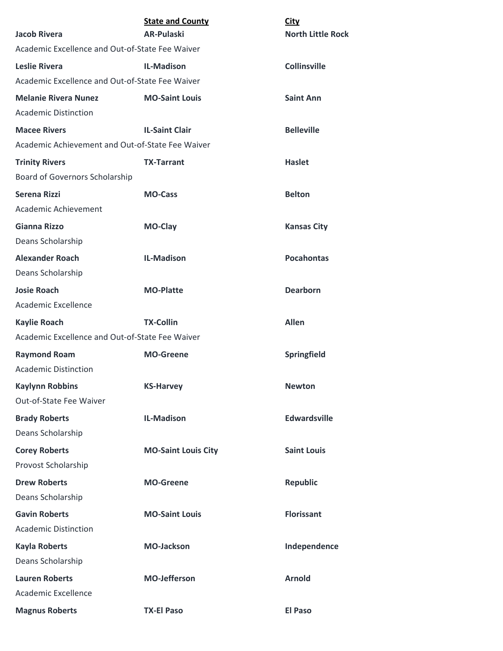| <b>Jacob Rivera</b>                              | <b>State and County</b><br><b>AR-Pulaski</b> | <b>City</b><br><b>North Little Rock</b> |
|--------------------------------------------------|----------------------------------------------|-----------------------------------------|
| Academic Excellence and Out-of-State Fee Waiver  |                                              |                                         |
| <b>Leslie Rivera</b>                             | <b>IL-Madison</b>                            | <b>Collinsville</b>                     |
| Academic Excellence and Out-of-State Fee Waiver  |                                              |                                         |
| <b>Melanie Rivera Nunez</b>                      | <b>MO-Saint Louis</b>                        | <b>Saint Ann</b>                        |
| <b>Academic Distinction</b>                      |                                              |                                         |
| <b>Macee Rivers</b>                              | <b>IL-Saint Clair</b>                        | <b>Belleville</b>                       |
| Academic Achievement and Out-of-State Fee Waiver |                                              |                                         |
| <b>Trinity Rivers</b>                            | <b>TX-Tarrant</b>                            | <b>Haslet</b>                           |
| Board of Governors Scholarship                   |                                              |                                         |
| <b>Serena Rizzi</b>                              | <b>MO-Cass</b>                               | <b>Belton</b>                           |
| Academic Achievement                             |                                              |                                         |
| <b>Gianna Rizzo</b>                              | <b>MO-Clay</b>                               | <b>Kansas City</b>                      |
| Deans Scholarship                                |                                              |                                         |
| <b>Alexander Roach</b>                           | <b>IL-Madison</b>                            | <b>Pocahontas</b>                       |
| Deans Scholarship                                |                                              |                                         |
| <b>Josie Roach</b>                               | <b>MO-Platte</b>                             | <b>Dearborn</b>                         |
| Academic Excellence                              |                                              |                                         |
| <b>Kaylie Roach</b>                              | <b>TX-Collin</b>                             | <b>Allen</b>                            |
| Academic Excellence and Out-of-State Fee Waiver  |                                              |                                         |
| <b>Raymond Roam</b>                              | <b>MO-Greene</b>                             | Springfield                             |
| <b>Academic Distinction</b>                      |                                              |                                         |
| <b>Kaylynn Robbins</b>                           | <b>KS-Harvey</b>                             | <b>Newton</b>                           |
| Out-of-State Fee Waiver                          |                                              |                                         |
| <b>Brady Roberts</b>                             | <b>IL-Madison</b>                            | <b>Edwardsville</b>                     |
| Deans Scholarship                                |                                              |                                         |
| <b>Corey Roberts</b>                             | <b>MO-Saint Louis City</b>                   | <b>Saint Louis</b>                      |
| Provost Scholarship                              |                                              |                                         |
| <b>Drew Roberts</b>                              | <b>MO-Greene</b>                             | <b>Republic</b>                         |
| Deans Scholarship                                |                                              |                                         |
| <b>Gavin Roberts</b>                             | <b>MO-Saint Louis</b>                        | <b>Florissant</b>                       |
| <b>Academic Distinction</b>                      |                                              |                                         |
| <b>Kayla Roberts</b>                             | <b>MO-Jackson</b>                            | Independence                            |
| Deans Scholarship                                |                                              |                                         |
| <b>Lauren Roberts</b>                            | <b>MO-Jefferson</b>                          | <b>Arnold</b>                           |
| Academic Excellence                              |                                              |                                         |
| <b>Magnus Roberts</b>                            | <b>TX-El Paso</b>                            | <b>El Paso</b>                          |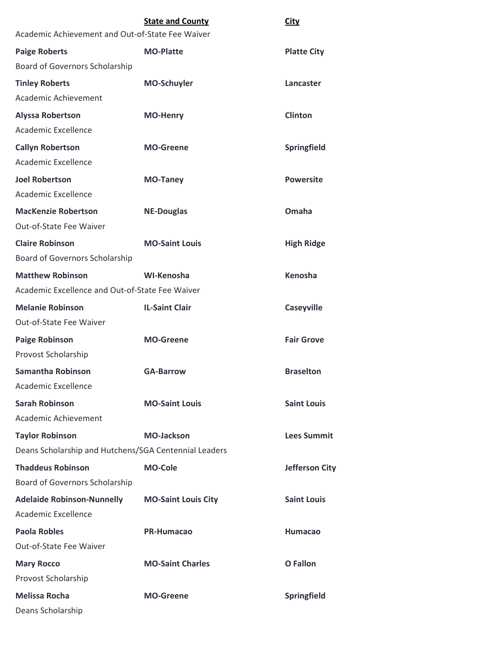| Academic Achievement and Out-of-State Fee Waiver      | <b>State and County</b>    | <b>City</b>           |
|-------------------------------------------------------|----------------------------|-----------------------|
| <b>Paige Roberts</b>                                  | <b>MO-Platte</b>           | <b>Platte City</b>    |
| Board of Governors Scholarship                        |                            |                       |
| <b>Tinley Roberts</b>                                 | <b>MO-Schuyler</b>         | Lancaster             |
| Academic Achievement                                  |                            |                       |
| <b>Alyssa Robertson</b>                               | <b>MO-Henry</b>            | <b>Clinton</b>        |
| <b>Academic Excellence</b>                            |                            |                       |
| <b>Callyn Robertson</b>                               | <b>MO-Greene</b>           | <b>Springfield</b>    |
| Academic Excellence                                   |                            |                       |
| <b>Joel Robertson</b>                                 | <b>MO-Taney</b>            | <b>Powersite</b>      |
| <b>Academic Excellence</b>                            |                            |                       |
| <b>MacKenzie Robertson</b>                            | <b>NE-Douglas</b>          | Omaha                 |
| Out-of-State Fee Waiver                               |                            |                       |
| <b>Claire Robinson</b>                                | <b>MO-Saint Louis</b>      | <b>High Ridge</b>     |
| Board of Governors Scholarship                        |                            |                       |
| <b>Matthew Robinson</b>                               | WI-Kenosha                 | Kenosha               |
| Academic Excellence and Out-of-State Fee Waiver       |                            |                       |
| <b>Melanie Robinson</b>                               | <b>IL-Saint Clair</b>      | <b>Caseyville</b>     |
| Out-of-State Fee Waiver                               |                            |                       |
| <b>Paige Robinson</b>                                 | <b>MO-Greene</b>           | <b>Fair Grove</b>     |
| Provost Scholarship                                   |                            |                       |
| <b>Samantha Robinson</b>                              | <b>GA-Barrow</b>           | <b>Braselton</b>      |
| Academic Excellence                                   |                            |                       |
| <b>Sarah Robinson</b>                                 | <b>MO-Saint Louis</b>      | <b>Saint Louis</b>    |
| Academic Achievement                                  |                            |                       |
| <b>Taylor Robinson</b>                                | <b>MO-Jackson</b>          | <b>Lees Summit</b>    |
| Deans Scholarship and Hutchens/SGA Centennial Leaders |                            |                       |
| <b>Thaddeus Robinson</b>                              | <b>MO-Cole</b>             | <b>Jefferson City</b> |
| Board of Governors Scholarship                        |                            |                       |
| <b>Adelaide Robinson-Nunnelly</b>                     | <b>MO-Saint Louis City</b> | <b>Saint Louis</b>    |
| Academic Excellence                                   |                            |                       |
| <b>Paola Robles</b>                                   | <b>PR-Humacao</b>          | <b>Humacao</b>        |
| Out-of-State Fee Waiver                               |                            |                       |
| <b>Mary Rocco</b>                                     | <b>MO-Saint Charles</b>    | <b>O</b> Fallon       |
| Provost Scholarship                                   |                            |                       |
| <b>Melissa Rocha</b>                                  | <b>MO-Greene</b>           | Springfield           |
| Deans Scholarship                                     |                            |                       |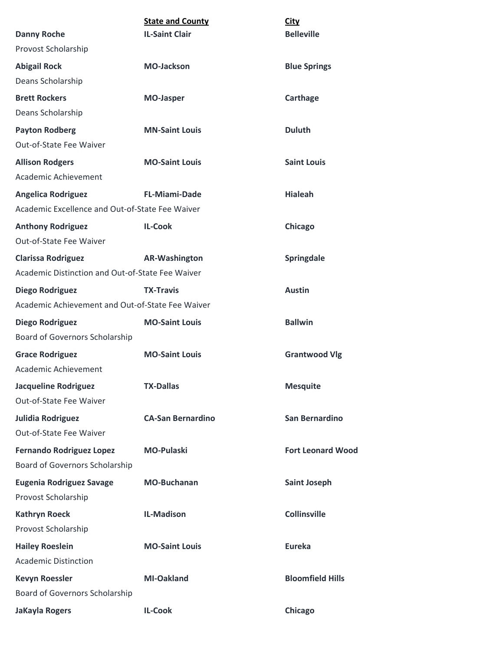|                                                  | <b>State and County</b>  | City                     |
|--------------------------------------------------|--------------------------|--------------------------|
| <b>Danny Roche</b>                               | <b>IL-Saint Clair</b>    | <b>Belleville</b>        |
| Provost Scholarship                              |                          |                          |
| <b>Abigail Rock</b>                              | <b>MO-Jackson</b>        | <b>Blue Springs</b>      |
| Deans Scholarship                                |                          |                          |
| <b>Brett Rockers</b>                             | <b>MO-Jasper</b>         | Carthage                 |
| Deans Scholarship                                |                          |                          |
| <b>Payton Rodberg</b>                            | <b>MN-Saint Louis</b>    | <b>Duluth</b>            |
| <b>Out-of-State Fee Waiver</b>                   |                          |                          |
| <b>Allison Rodgers</b>                           | <b>MO-Saint Louis</b>    | <b>Saint Louis</b>       |
| Academic Achievement                             |                          |                          |
| <b>Angelica Rodriguez</b>                        | <b>FL-Miami-Dade</b>     | <b>Hialeah</b>           |
| Academic Excellence and Out-of-State Fee Waiver  |                          |                          |
| <b>Anthony Rodriguez</b>                         | <b>IL-Cook</b>           | Chicago                  |
| Out-of-State Fee Waiver                          |                          |                          |
| <b>Clarissa Rodriguez</b>                        | <b>AR-Washington</b>     | Springdale               |
| Academic Distinction and Out-of-State Fee Waiver |                          |                          |
| Diego Rodriguez                                  | <b>TX-Travis</b>         | <b>Austin</b>            |
| Academic Achievement and Out-of-State Fee Waiver |                          |                          |
| <b>Diego Rodriguez</b>                           | <b>MO-Saint Louis</b>    | <b>Ballwin</b>           |
| Board of Governors Scholarship                   |                          |                          |
| <b>Grace Rodriguez</b>                           | <b>MO-Saint Louis</b>    | <b>Grantwood Vlg</b>     |
| Academic Achievement                             |                          |                          |
| <b>Jacqueline Rodriguez</b>                      | <b>TX-Dallas</b>         | <b>Mesquite</b>          |
| Out-of-State Fee Waiver                          |                          |                          |
| Julidia Rodriguez                                | <b>CA-San Bernardino</b> | San Bernardino           |
| <b>Out-of-State Fee Waiver</b>                   |                          |                          |
| <b>Fernando Rodriguez Lopez</b>                  | <b>MO-Pulaski</b>        | <b>Fort Leonard Wood</b> |
| Board of Governors Scholarship                   |                          |                          |
| <b>Eugenia Rodriguez Savage</b>                  | <b>MO-Buchanan</b>       | <b>Saint Joseph</b>      |
| Provost Scholarship                              |                          |                          |
| <b>Kathryn Roeck</b>                             | <b>IL-Madison</b>        | <b>Collinsville</b>      |
| Provost Scholarship                              |                          |                          |
| <b>Hailey Roeslein</b>                           | <b>MO-Saint Louis</b>    | <b>Eureka</b>            |
| <b>Academic Distinction</b>                      |                          |                          |
| <b>Kevyn Roessler</b>                            | <b>MI-Oakland</b>        | <b>Bloomfield Hills</b>  |
| Board of Governors Scholarship                   |                          |                          |
| <b>JaKayla Rogers</b>                            | <b>IL-Cook</b>           | Chicago                  |
|                                                  |                          |                          |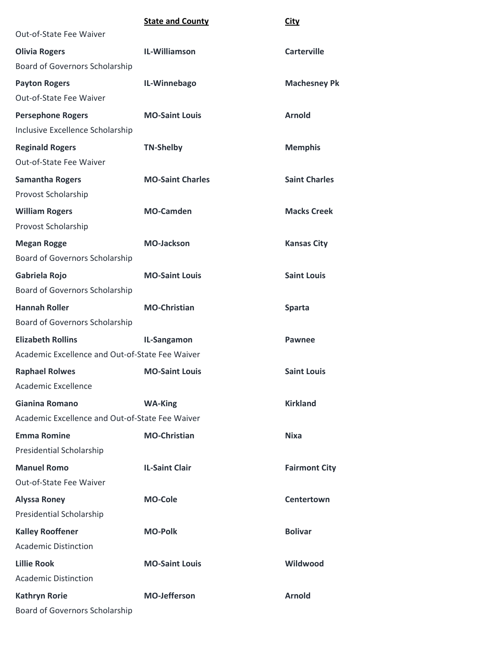|                                                 | <b>State and County</b> | <b>City</b>          |
|-------------------------------------------------|-------------------------|----------------------|
| <b>Out-of-State Fee Waiver</b>                  |                         |                      |
| <b>Olivia Rogers</b>                            | IL-Williamson           | <b>Carterville</b>   |
| Board of Governors Scholarship                  |                         |                      |
| <b>Payton Rogers</b>                            | IL-Winnebago            | <b>Machesney Pk</b>  |
| Out-of-State Fee Waiver                         |                         |                      |
| <b>Persephone Rogers</b>                        | <b>MO-Saint Louis</b>   | <b>Arnold</b>        |
| Inclusive Excellence Scholarship                |                         |                      |
| <b>Reginald Rogers</b>                          | <b>TN-Shelby</b>        | <b>Memphis</b>       |
| Out-of-State Fee Waiver                         |                         |                      |
| <b>Samantha Rogers</b>                          | <b>MO-Saint Charles</b> | <b>Saint Charles</b> |
| Provost Scholarship                             |                         |                      |
| <b>William Rogers</b>                           | <b>MO-Camden</b>        | <b>Macks Creek</b>   |
| Provost Scholarship                             |                         |                      |
| <b>Megan Rogge</b>                              | <b>MO-Jackson</b>       | <b>Kansas City</b>   |
| Board of Governors Scholarship                  |                         |                      |
| Gabriela Rojo                                   | <b>MO-Saint Louis</b>   | <b>Saint Louis</b>   |
| Board of Governors Scholarship                  |                         |                      |
| <b>Hannah Roller</b>                            | <b>MO-Christian</b>     | <b>Sparta</b>        |
| Board of Governors Scholarship                  |                         |                      |
| <b>Elizabeth Rollins</b>                        | IL-Sangamon             | <b>Pawnee</b>        |
| Academic Excellence and Out-of-State Fee Waiver |                         |                      |
| <b>Raphael Rolwes</b>                           | <b>MO-Saint Louis</b>   | <b>Saint Louis</b>   |
| Academic Excellence                             |                         |                      |
| Gianina Romano                                  | <b>WA-King</b>          | <b>Kirkland</b>      |
| Academic Excellence and Out-of-State Fee Waiver |                         |                      |
| <b>Emma Romine</b>                              | <b>MO-Christian</b>     | <b>Nixa</b>          |
| <b>Presidential Scholarship</b>                 |                         |                      |
| <b>Manuel Romo</b>                              | <b>IL-Saint Clair</b>   | <b>Fairmont City</b> |
| Out-of-State Fee Waiver                         |                         |                      |
| <b>Alyssa Roney</b>                             | <b>MO-Cole</b>          | <b>Centertown</b>    |
| Presidential Scholarship                        |                         |                      |
| <b>Kalley Rooffener</b>                         | <b>MO-Polk</b>          | <b>Bolivar</b>       |
| <b>Academic Distinction</b>                     |                         |                      |
| <b>Lillie Rook</b>                              | <b>MO-Saint Louis</b>   | Wildwood             |
| <b>Academic Distinction</b>                     |                         |                      |
| <b>Kathryn Rorie</b>                            | <b>MO-Jefferson</b>     | <b>Arnold</b>        |
| Board of Governors Scholarship                  |                         |                      |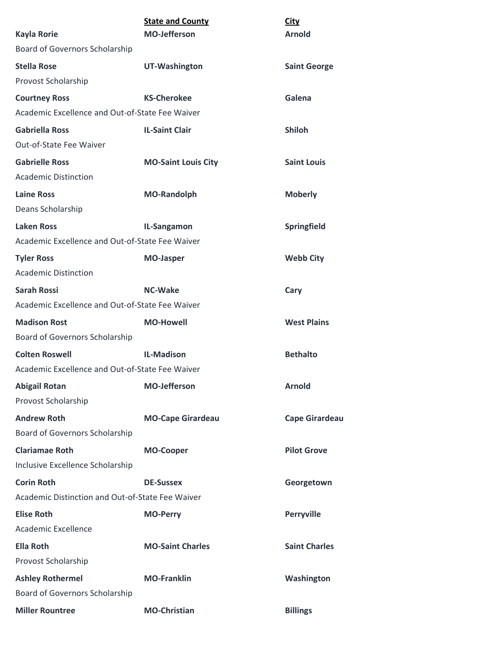|                                                      | <b>State and County</b><br><b>MO-Jefferson</b> | <b>City</b><br><b>Arnold</b> |
|------------------------------------------------------|------------------------------------------------|------------------------------|
| <b>Kayla Rorie</b><br>Board of Governors Scholarship |                                                |                              |
|                                                      |                                                |                              |
| <b>Stella Rose</b>                                   | <b>UT-Washington</b>                           | <b>Saint George</b>          |
| Provost Scholarship                                  |                                                |                              |
| <b>Courtney Ross</b>                                 | <b>KS-Cherokee</b>                             | Galena                       |
| Academic Excellence and Out-of-State Fee Waiver      |                                                |                              |
| <b>Gabriella Ross</b>                                | <b>IL-Saint Clair</b>                          | <b>Shiloh</b>                |
| Out-of-State Fee Waiver                              |                                                |                              |
| <b>Gabrielle Ross</b>                                | <b>MO-Saint Louis City</b>                     | <b>Saint Louis</b>           |
| <b>Academic Distinction</b>                          |                                                |                              |
| <b>Laine Ross</b>                                    | <b>MO-Randolph</b>                             | <b>Moberly</b>               |
| Deans Scholarship                                    |                                                |                              |
| <b>Laken Ross</b>                                    | IL-Sangamon                                    | Springfield                  |
| Academic Excellence and Out-of-State Fee Waiver      |                                                |                              |
| <b>Tyler Ross</b>                                    | <b>MO-Jasper</b>                               | <b>Webb City</b>             |
| <b>Academic Distinction</b>                          |                                                |                              |
| <b>Sarah Rossi</b>                                   | <b>NC-Wake</b>                                 | Cary                         |
| Academic Excellence and Out-of-State Fee Waiver      |                                                |                              |
| <b>Madison Rost</b>                                  | <b>MO-Howell</b>                               | <b>West Plains</b>           |
| Board of Governors Scholarship                       |                                                |                              |
| <b>Colten Roswell</b>                                | <b>IL-Madison</b>                              | <b>Bethalto</b>              |
| Academic Excellence and Out-of-State Fee Waiver      |                                                |                              |
| <b>Abigail Rotan</b>                                 | <b>MO-Jefferson</b>                            | <b>Arnold</b>                |
| Provost Scholarship                                  |                                                |                              |
| <b>Andrew Roth</b>                                   | <b>MO-Cape Girardeau</b>                       | <b>Cape Girardeau</b>        |
| Board of Governors Scholarship                       |                                                |                              |
| <b>Clariamae Roth</b>                                | <b>MO-Cooper</b>                               | <b>Pilot Grove</b>           |
| Inclusive Excellence Scholarship                     |                                                |                              |
| <b>Corin Roth</b>                                    | <b>DE-Sussex</b>                               | Georgetown                   |
| Academic Distinction and Out-of-State Fee Waiver     |                                                |                              |
| <b>Elise Roth</b>                                    | <b>MO-Perry</b>                                | Perryville                   |
| <b>Academic Excellence</b>                           |                                                |                              |
| <b>Ella Roth</b>                                     | <b>MO-Saint Charles</b>                        | <b>Saint Charles</b>         |
| Provost Scholarship                                  |                                                |                              |
| <b>Ashley Rothermel</b>                              | <b>MO-Franklin</b>                             | Washington                   |
| Board of Governors Scholarship                       |                                                |                              |
| <b>Miller Rountree</b>                               | <b>MO-Christian</b>                            | <b>Billings</b>              |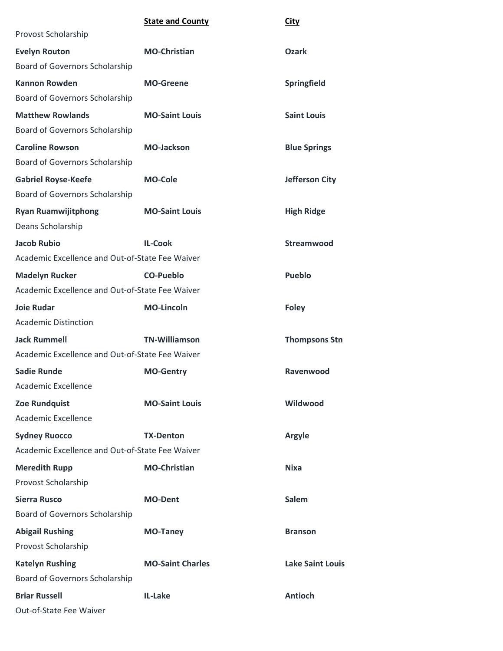|                                                 | <b>State and County</b> | <b>City</b>             |
|-------------------------------------------------|-------------------------|-------------------------|
| Provost Scholarship                             |                         |                         |
| <b>Evelyn Routon</b>                            | <b>MO-Christian</b>     | <b>Ozark</b>            |
| Board of Governors Scholarship                  |                         |                         |
| <b>Kannon Rowden</b>                            | <b>MO-Greene</b>        | Springfield             |
| Board of Governors Scholarship                  |                         |                         |
| <b>Matthew Rowlands</b>                         | <b>MO-Saint Louis</b>   | <b>Saint Louis</b>      |
| Board of Governors Scholarship                  |                         |                         |
| <b>Caroline Rowson</b>                          | <b>MO-Jackson</b>       | <b>Blue Springs</b>     |
| Board of Governors Scholarship                  |                         |                         |
| <b>Gabriel Royse-Keefe</b>                      | <b>MO-Cole</b>          | <b>Jefferson City</b>   |
| Board of Governors Scholarship                  |                         |                         |
| <b>Ryan Ruamwijitphong</b>                      | <b>MO-Saint Louis</b>   | <b>High Ridge</b>       |
| Deans Scholarship                               |                         |                         |
| <b>Jacob Rubio</b>                              | <b>IL-Cook</b>          | Streamwood              |
| Academic Excellence and Out-of-State Fee Waiver |                         |                         |
| <b>Madelyn Rucker</b>                           | CO-Pueblo               | <b>Pueblo</b>           |
| Academic Excellence and Out-of-State Fee Waiver |                         |                         |
| <b>Joie Rudar</b>                               | <b>MO-Lincoln</b>       | <b>Foley</b>            |
| <b>Academic Distinction</b>                     |                         |                         |
| <b>Jack Rummell</b>                             | <b>TN-Williamson</b>    | <b>Thompsons Stn</b>    |
| Academic Excellence and Out-of-State Fee Waiver |                         |                         |
| <b>Sadie Runde</b>                              | <b>MO-Gentry</b>        | Ravenwood               |
| Academic Excellence                             |                         |                         |
| <b>Zoe Rundquist</b>                            | <b>MO-Saint Louis</b>   | Wildwood                |
| <b>Academic Excellence</b>                      |                         |                         |
| <b>Sydney Ruocco</b>                            | <b>TX-Denton</b>        | <b>Argyle</b>           |
| Academic Excellence and Out-of-State Fee Waiver |                         |                         |
| <b>Meredith Rupp</b>                            | <b>MO-Christian</b>     | <b>Nixa</b>             |
| Provost Scholarship                             |                         |                         |
| <b>Sierra Rusco</b>                             | <b>MO-Dent</b>          | <b>Salem</b>            |
| Board of Governors Scholarship                  |                         |                         |
| <b>Abigail Rushing</b>                          | <b>MO-Taney</b>         | <b>Branson</b>          |
| Provost Scholarship                             |                         |                         |
| <b>Katelyn Rushing</b>                          | <b>MO-Saint Charles</b> | <b>Lake Saint Louis</b> |
| Board of Governors Scholarship                  |                         |                         |
| <b>Briar Russell</b>                            | IL-Lake                 | <b>Antioch</b>          |
| Out-of-State Fee Waiver                         |                         |                         |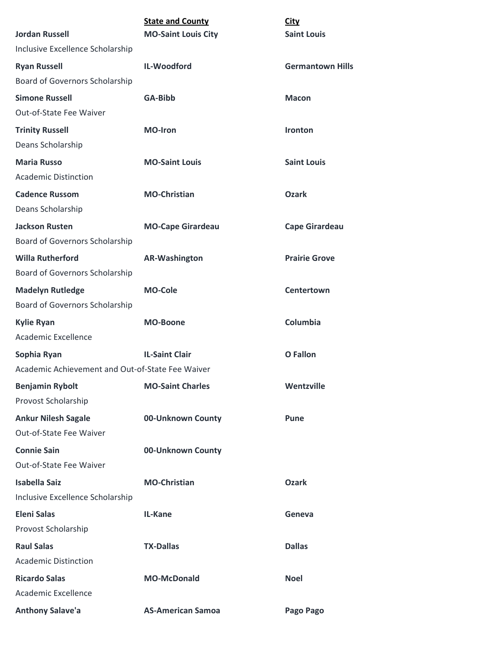| <b>Jordan Russell</b>                            | <b>State and County</b><br><b>MO-Saint Louis City</b> | <b>City</b><br><b>Saint Louis</b> |
|--------------------------------------------------|-------------------------------------------------------|-----------------------------------|
| Inclusive Excellence Scholarship                 |                                                       |                                   |
| <b>Ryan Russell</b>                              | IL-Woodford                                           | <b>Germantown Hills</b>           |
| Board of Governors Scholarship                   |                                                       |                                   |
| <b>Simone Russell</b>                            | GA-Bibb                                               | <b>Macon</b>                      |
| Out-of-State Fee Waiver                          |                                                       |                                   |
| <b>Trinity Russell</b>                           | <b>MO-Iron</b>                                        | Ironton                           |
| Deans Scholarship                                |                                                       |                                   |
| <b>Maria Russo</b>                               | <b>MO-Saint Louis</b>                                 | <b>Saint Louis</b>                |
| <b>Academic Distinction</b>                      |                                                       |                                   |
| <b>Cadence Russom</b>                            | <b>MO-Christian</b>                                   | <b>Ozark</b>                      |
| Deans Scholarship                                |                                                       |                                   |
| <b>Jackson Rusten</b>                            | <b>MO-Cape Girardeau</b>                              | <b>Cape Girardeau</b>             |
| <b>Board of Governors Scholarship</b>            |                                                       |                                   |
| <b>Willa Rutherford</b>                          | <b>AR-Washington</b>                                  | <b>Prairie Grove</b>              |
| Board of Governors Scholarship                   |                                                       |                                   |
| <b>Madelyn Rutledge</b>                          | <b>MO-Cole</b>                                        | Centertown                        |
| Board of Governors Scholarship                   |                                                       |                                   |
| <b>Kylie Ryan</b>                                | <b>MO-Boone</b>                                       | Columbia                          |
| <b>Academic Excellence</b>                       |                                                       |                                   |
| Sophia Ryan                                      | <b>IL-Saint Clair</b>                                 | O Fallon                          |
| Academic Achievement and Out-of-State Fee Waiver |                                                       |                                   |
| <b>Benjamin Rybolt</b>                           | <b>MO-Saint Charles</b>                               | Wentzville                        |
| Provost Scholarship                              |                                                       |                                   |
| <b>Ankur Nilesh Sagale</b>                       | 00-Unknown County                                     | Pune                              |
| Out-of-State Fee Waiver                          |                                                       |                                   |
| <b>Connie Sain</b>                               | 00-Unknown County                                     |                                   |
| Out-of-State Fee Waiver                          |                                                       |                                   |
| Isabella Saiz                                    | <b>MO-Christian</b>                                   | <b>Ozark</b>                      |
| Inclusive Excellence Scholarship                 |                                                       |                                   |
| <b>Eleni Salas</b>                               | IL-Kane                                               | Geneva                            |
| Provost Scholarship                              |                                                       |                                   |
| <b>Raul Salas</b>                                | <b>TX-Dallas</b>                                      | <b>Dallas</b>                     |
| <b>Academic Distinction</b>                      |                                                       |                                   |
| <b>Ricardo Salas</b>                             | <b>MO-McDonald</b>                                    | <b>Noel</b>                       |
| <b>Academic Excellence</b>                       |                                                       |                                   |
| <b>Anthony Salave'a</b>                          | <b>AS-American Samoa</b>                              | Pago Pago                         |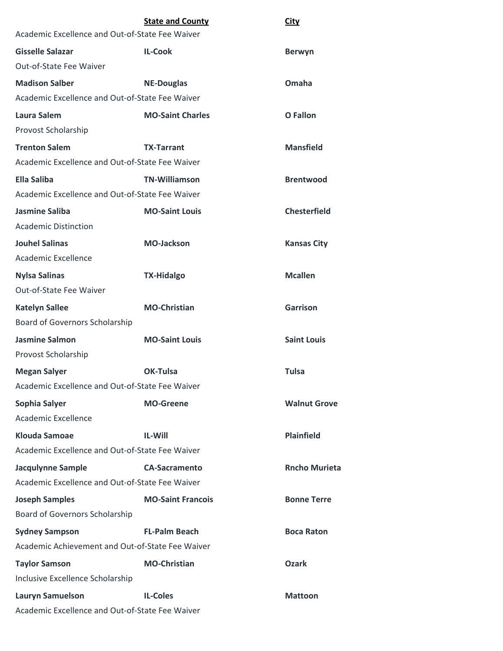|                                                  | <b>State and County</b>  | <u>City</u>          |
|--------------------------------------------------|--------------------------|----------------------|
| Academic Excellence and Out-of-State Fee Waiver  |                          |                      |
| <b>Gisselle Salazar</b>                          | <b>IL-Cook</b>           | <b>Berwyn</b>        |
| Out-of-State Fee Waiver                          |                          |                      |
| <b>Madison Salber</b>                            | <b>NE-Douglas</b>        | Omaha                |
| Academic Excellence and Out-of-State Fee Waiver  |                          |                      |
| Laura Salem                                      | <b>MO-Saint Charles</b>  | <b>O</b> Fallon      |
| Provost Scholarship                              |                          |                      |
| <b>Trenton Salem</b>                             | <b>TX-Tarrant</b>        | <b>Mansfield</b>     |
| Academic Excellence and Out-of-State Fee Waiver  |                          |                      |
| Ella Saliba                                      | <b>TN-Williamson</b>     | <b>Brentwood</b>     |
| Academic Excellence and Out-of-State Fee Waiver  |                          |                      |
| <b>Jasmine Saliba</b>                            | <b>MO-Saint Louis</b>    | <b>Chesterfield</b>  |
| Academic Distinction                             |                          |                      |
| <b>Jouhel Salinas</b>                            | <b>MO-Jackson</b>        | <b>Kansas City</b>   |
| Academic Excellence                              |                          |                      |
| <b>Nylsa Salinas</b>                             | <b>TX-Hidalgo</b>        | <b>Mcallen</b>       |
| Out-of-State Fee Waiver                          |                          |                      |
| <b>Katelyn Sallee</b>                            | <b>MO-Christian</b>      | <b>Garrison</b>      |
| <b>Board of Governors Scholarship</b>            |                          |                      |
| <b>Jasmine Salmon</b>                            | <b>MO-Saint Louis</b>    | <b>Saint Louis</b>   |
| Provost Scholarship                              |                          |                      |
| <b>Megan Salyer</b>                              | OK-Tulsa                 | <b>Tulsa</b>         |
| Academic Excellence and Out-of-State Fee Waiver  |                          |                      |
| Sophia Salyer                                    | <b>MO-Greene</b>         | <b>Walnut Grove</b>  |
| <b>Academic Excellence</b>                       |                          |                      |
| <b>Klouda Samoae</b>                             | <b>IL-Will</b>           | <b>Plainfield</b>    |
| Academic Excellence and Out-of-State Fee Waiver  |                          |                      |
| <b>Jacqulynne Sample</b>                         | <b>CA-Sacramento</b>     | <b>Rncho Murieta</b> |
| Academic Excellence and Out-of-State Fee Waiver  |                          |                      |
| <b>Joseph Samples</b>                            | <b>MO-Saint Francois</b> | <b>Bonne Terre</b>   |
| Board of Governors Scholarship                   |                          |                      |
| <b>Sydney Sampson</b>                            | <b>FL-Palm Beach</b>     | <b>Boca Raton</b>    |
| Academic Achievement and Out-of-State Fee Waiver |                          |                      |
| <b>Taylor Samson</b>                             | <b>MO-Christian</b>      | <b>Ozark</b>         |
| Inclusive Excellence Scholarship                 |                          |                      |
| <b>Lauryn Samuelson</b>                          | <b>IL-Coles</b>          | <b>Mattoon</b>       |
| Academic Excellence and Out-of-State Fee Waiver  |                          |                      |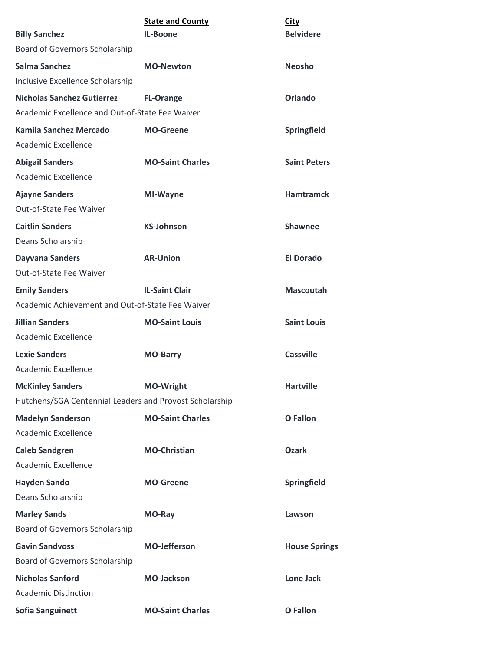| <b>Billy Sanchez</b>                                    | <b>State and County</b><br>IL-Boone | <b>City</b><br><b>Belvidere</b> |
|---------------------------------------------------------|-------------------------------------|---------------------------------|
| Board of Governors Scholarship                          |                                     |                                 |
| <b>Salma Sanchez</b>                                    | <b>MO-Newton</b>                    | <b>Neosho</b>                   |
| Inclusive Excellence Scholarship                        |                                     |                                 |
| <b>Nicholas Sanchez Gutierrez</b>                       | <b>FL-Orange</b>                    | <b>Orlando</b>                  |
| Academic Excellence and Out-of-State Fee Waiver         |                                     |                                 |
| Kamila Sanchez Mercado                                  | <b>MO-Greene</b>                    | Springfield                     |
| <b>Academic Excellence</b>                              |                                     |                                 |
| <b>Abigail Sanders</b><br><b>Academic Excellence</b>    | <b>MO-Saint Charles</b>             | <b>Saint Peters</b>             |
| <b>Ajayne Sanders</b><br>Out-of-State Fee Waiver        | MI-Wayne                            | <b>Hamtramck</b>                |
| <b>Caitlin Sanders</b><br>Deans Scholarship             | <b>KS-Johnson</b>                   | <b>Shawnee</b>                  |
| <b>Dayvana Sanders</b>                                  | <b>AR-Union</b>                     | <b>El Dorado</b>                |
| Out-of-State Fee Waiver                                 |                                     |                                 |
| <b>Emily Sanders</b>                                    | <b>IL-Saint Clair</b>               | <b>Mascoutah</b>                |
| Academic Achievement and Out-of-State Fee Waiver        |                                     |                                 |
| <b>Jillian Sanders</b>                                  | <b>MO-Saint Louis</b>               | <b>Saint Louis</b>              |
| Academic Excellence                                     |                                     |                                 |
| <b>Lexie Sanders</b>                                    | <b>MO-Barry</b>                     | Cassville                       |
| <b>Academic Excellence</b>                              |                                     |                                 |
| <b>McKinley Sanders</b>                                 | <b>MO-Wright</b>                    | <b>Hartville</b>                |
| Hutchens/SGA Centennial Leaders and Provost Scholarship |                                     |                                 |
| <b>Madelyn Sanderson</b><br>Academic Excellence         | <b>MO-Saint Charles</b>             | <b>O</b> Fallon                 |
| <b>Caleb Sandgren</b>                                   | <b>MO-Christian</b>                 | <b>Ozark</b>                    |
| Academic Excellence                                     |                                     |                                 |
| <b>Hayden Sando</b>                                     | <b>MO-Greene</b>                    | Springfield                     |
| Deans Scholarship                                       |                                     |                                 |
| <b>Marley Sands</b>                                     | MO-Ray                              | Lawson                          |
| Board of Governors Scholarship                          |                                     |                                 |
| <b>Gavin Sandvoss</b>                                   | <b>MO-Jefferson</b>                 | <b>House Springs</b>            |
| Board of Governors Scholarship                          |                                     |                                 |
| <b>Nicholas Sanford</b>                                 | <b>MO-Jackson</b>                   | <b>Lone Jack</b>                |
| <b>Academic Distinction</b>                             |                                     |                                 |
| <b>Sofia Sanguinett</b>                                 | <b>MO-Saint Charles</b>             | <b>O</b> Fallon                 |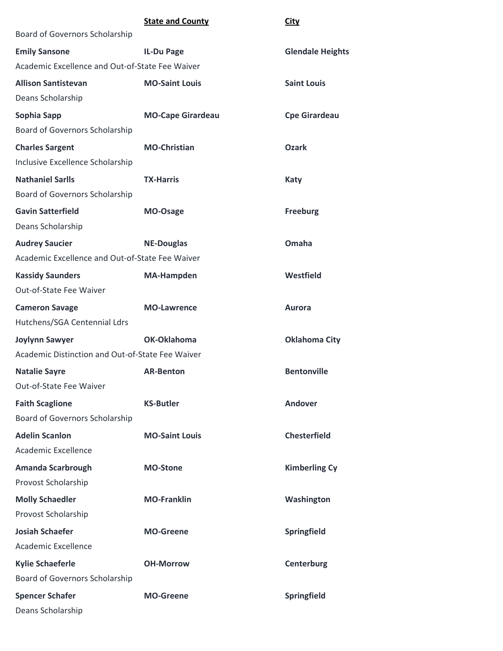|                                                  | <b>State and County</b>  | <b>City</b>             |
|--------------------------------------------------|--------------------------|-------------------------|
| Board of Governors Scholarship                   |                          |                         |
| <b>Emily Sansone</b>                             | <b>IL-Du Page</b>        | <b>Glendale Heights</b> |
| Academic Excellence and Out-of-State Fee Waiver  |                          |                         |
| <b>Allison Santistevan</b>                       | <b>MO-Saint Louis</b>    | <b>Saint Louis</b>      |
| Deans Scholarship                                |                          |                         |
| Sophia Sapp                                      | <b>MO-Cape Girardeau</b> | <b>Cpe Girardeau</b>    |
| Board of Governors Scholarship                   |                          |                         |
| <b>Charles Sargent</b>                           | <b>MO-Christian</b>      | <b>Ozark</b>            |
| Inclusive Excellence Scholarship                 |                          |                         |
| <b>Nathaniel Sarlls</b>                          | <b>TX-Harris</b>         | <b>Katy</b>             |
| Board of Governors Scholarship                   |                          |                         |
| <b>Gavin Satterfield</b>                         | MO-Osage                 | <b>Freeburg</b>         |
| Deans Scholarship                                |                          |                         |
| <b>Audrey Saucier</b>                            | <b>NE-Douglas</b>        | Omaha                   |
| Academic Excellence and Out-of-State Fee Waiver  |                          |                         |
| <b>Kassidy Saunders</b>                          | <b>MA-Hampden</b>        | Westfield               |
| Out-of-State Fee Waiver                          |                          |                         |
| <b>Cameron Savage</b>                            | <b>MO-Lawrence</b>       | <b>Aurora</b>           |
| Hutchens/SGA Centennial Ldrs                     |                          |                         |
| <b>Joylynn Sawyer</b>                            | OK-Oklahoma              | <b>Oklahoma City</b>    |
| Academic Distinction and Out-of-State Fee Waiver |                          |                         |
| <b>Natalie Sayre</b>                             | <b>AR-Benton</b>         | <b>Bentonville</b>      |
| Out-of-State Fee Waiver                          |                          |                         |
| <b>Faith Scaglione</b>                           | <b>KS-Butler</b>         | Andover                 |
| Board of Governors Scholarship                   |                          |                         |
| <b>Adelin Scanlon</b>                            | <b>MO-Saint Louis</b>    | <b>Chesterfield</b>     |
| Academic Excellence                              |                          |                         |
| <b>Amanda Scarbrough</b>                         | <b>MO-Stone</b>          | <b>Kimberling Cy</b>    |
| Provost Scholarship                              |                          |                         |
| <b>Molly Schaedler</b>                           | <b>MO-Franklin</b>       | Washington              |
| Provost Scholarship                              |                          |                         |
| <b>Josiah Schaefer</b>                           | <b>MO-Greene</b>         | Springfield             |
| Academic Excellence                              |                          |                         |
| <b>Kylie Schaeferle</b>                          | <b>OH-Morrow</b>         | Centerburg              |
| <b>Board of Governors Scholarship</b>            |                          |                         |
| <b>Spencer Schafer</b>                           | <b>MO-Greene</b>         | Springfield             |
| Deans Scholarship                                |                          |                         |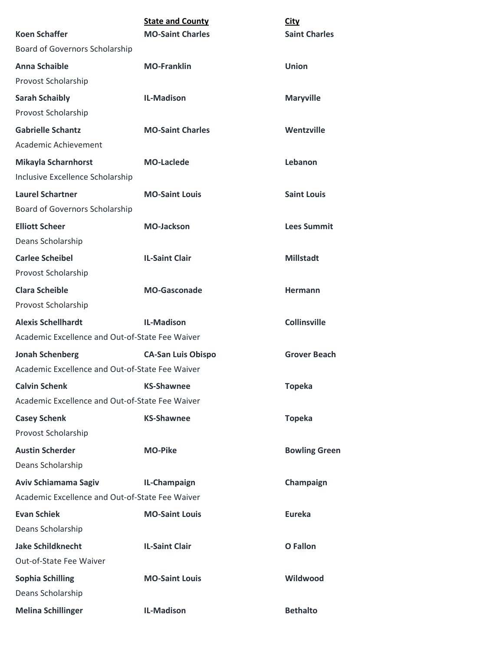|                                                                | <b>State and County</b>   |                                     |
|----------------------------------------------------------------|---------------------------|-------------------------------------|
| <b>Koen Schaffer</b>                                           | <b>MO-Saint Charles</b>   | <b>City</b><br><b>Saint Charles</b> |
| Board of Governors Scholarship                                 |                           |                                     |
| <b>Anna Schaible</b>                                           | <b>MO-Franklin</b>        | <b>Union</b>                        |
| Provost Scholarship                                            |                           |                                     |
| <b>Sarah Schaibly</b>                                          | <b>IL-Madison</b>         | <b>Maryville</b>                    |
| Provost Scholarship                                            |                           |                                     |
| <b>Gabrielle Schantz</b>                                       | <b>MO-Saint Charles</b>   | Wentzville                          |
| Academic Achievement                                           |                           |                                     |
| <b>Mikayla Scharnhorst</b><br>Inclusive Excellence Scholarship | <b>MO-Laclede</b>         | Lebanon                             |
| <b>Laurel Schartner</b><br>Board of Governors Scholarship      | <b>MO-Saint Louis</b>     | <b>Saint Louis</b>                  |
|                                                                | <b>MO-Jackson</b>         |                                     |
| <b>Elliott Scheer</b><br>Deans Scholarship                     |                           | <b>Lees Summit</b>                  |
| <b>Carlee Scheibel</b>                                         | <b>IL-Saint Clair</b>     | <b>Millstadt</b>                    |
| Provost Scholarship                                            |                           |                                     |
| <b>Clara Scheible</b><br>Provost Scholarship                   | <b>MO-Gasconade</b>       | <b>Hermann</b>                      |
| <b>Alexis Schellhardt</b>                                      | <b>IL-Madison</b>         | <b>Collinsville</b>                 |
| Academic Excellence and Out-of-State Fee Waiver                |                           |                                     |
| <b>Jonah Schenberg</b>                                         | <b>CA-San Luis Obispo</b> | <b>Grover Beach</b>                 |
| Academic Excellence and Out-of-State Fee Waiver                |                           |                                     |
| <b>Calvin Schenk</b>                                           | <b>KS-Shawnee</b>         | <b>Topeka</b>                       |
| Academic Excellence and Out-of-State Fee Waiver                |                           |                                     |
| <b>Casey Schenk</b>                                            | <b>KS-Shawnee</b>         | <b>Topeka</b>                       |
| Provost Scholarship                                            |                           |                                     |
| <b>Austin Scherder</b>                                         | <b>MO-Pike</b>            | <b>Bowling Green</b>                |
| Deans Scholarship                                              |                           |                                     |
| Aviv Schiamama Sagiv                                           | IL-Champaign              | Champaign                           |
| Academic Excellence and Out-of-State Fee Waiver                |                           |                                     |
| <b>Evan Schiek</b>                                             | <b>MO-Saint Louis</b>     | <b>Eureka</b>                       |
| Deans Scholarship                                              |                           |                                     |
| <b>Jake Schildknecht</b>                                       | <b>IL-Saint Clair</b>     | <b>O</b> Fallon                     |
| Out-of-State Fee Waiver                                        |                           |                                     |
| <b>Sophia Schilling</b><br>Deans Scholarship                   | <b>MO-Saint Louis</b>     | Wildwood                            |
| <b>Melina Schillinger</b>                                      | <b>IL-Madison</b>         | <b>Bethalto</b>                     |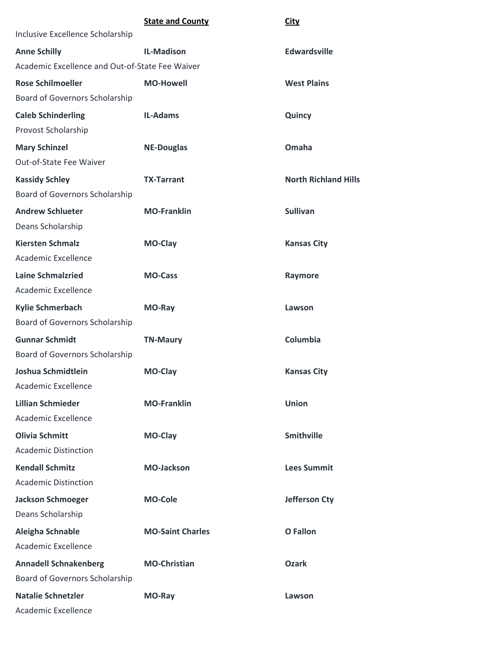|                                                 | <b>State and County</b> | <b>City</b>                 |
|-------------------------------------------------|-------------------------|-----------------------------|
| Inclusive Excellence Scholarship                |                         |                             |
| <b>Anne Schilly</b>                             | <b>IL-Madison</b>       | <b>Edwardsville</b>         |
| Academic Excellence and Out-of-State Fee Waiver |                         |                             |
| <b>Rose Schilmoeller</b>                        | <b>MO-Howell</b>        | <b>West Plains</b>          |
| Board of Governors Scholarship                  |                         |                             |
| <b>Caleb Schinderling</b>                       | <b>IL-Adams</b>         | Quincy                      |
| Provost Scholarship                             |                         |                             |
| <b>Mary Schinzel</b>                            | <b>NE-Douglas</b>       | Omaha                       |
| Out-of-State Fee Waiver                         |                         |                             |
| <b>Kassidy Schley</b>                           | <b>TX-Tarrant</b>       | <b>North Richland Hills</b> |
| Board of Governors Scholarship                  |                         |                             |
| <b>Andrew Schlueter</b>                         | <b>MO-Franklin</b>      | <b>Sullivan</b>             |
| Deans Scholarship                               |                         |                             |
| <b>Kiersten Schmalz</b>                         | MO-Clay                 | <b>Kansas City</b>          |
| Academic Excellence                             |                         |                             |
| <b>Laine Schmalzried</b>                        | <b>MO-Cass</b>          | Raymore                     |
| Academic Excellence                             |                         |                             |
| <b>Kylie Schmerbach</b>                         | MO-Ray                  | Lawson                      |
| Board of Governors Scholarship                  |                         |                             |
| <b>Gunnar Schmidt</b>                           | <b>TN-Maury</b>         | Columbia                    |
| Board of Governors Scholarship                  |                         |                             |
| Joshua Schmidtlein                              | MO-Clay                 | <b>Kansas City</b>          |
| Academic Excellence                             |                         |                             |
| <b>Lillian Schmieder</b>                        | <b>MO-Franklin</b>      | <b>Union</b>                |
| <b>Academic Excellence</b>                      |                         |                             |
| <b>Olivia Schmitt</b>                           | MO-Clay                 | <b>Smithville</b>           |
| <b>Academic Distinction</b>                     |                         |                             |
| <b>Kendall Schmitz</b>                          | <b>MO-Jackson</b>       | <b>Lees Summit</b>          |
| <b>Academic Distinction</b>                     |                         |                             |
| <b>Jackson Schmoeger</b>                        | <b>MO-Cole</b>          | <b>Jefferson Cty</b>        |
| Deans Scholarship                               |                         |                             |
| Aleigha Schnable                                | <b>MO-Saint Charles</b> | <b>O</b> Fallon             |
| Academic Excellence                             |                         |                             |
| <b>Annadell Schnakenberg</b>                    | <b>MO-Christian</b>     | <b>Ozark</b>                |
| Board of Governors Scholarship                  |                         |                             |
| <b>Natalie Schnetzler</b>                       | MO-Ray                  | Lawson                      |
| Academic Excellence                             |                         |                             |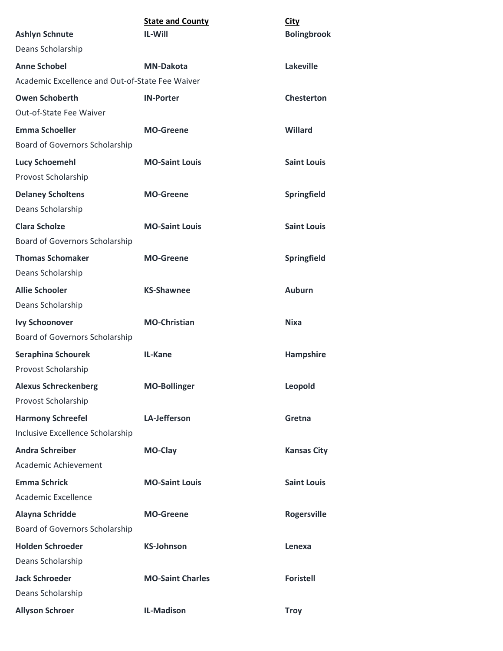|                                                 | <b>State and County</b> | <b>City</b>        |
|-------------------------------------------------|-------------------------|--------------------|
| <b>Ashlyn Schnute</b>                           | <b>IL-Will</b>          | <b>Bolingbrook</b> |
| Deans Scholarship                               |                         |                    |
| <b>Anne Schobel</b>                             | <b>MN-Dakota</b>        | <b>Lakeville</b>   |
| Academic Excellence and Out-of-State Fee Waiver |                         |                    |
| <b>Owen Schoberth</b>                           | <b>IN-Porter</b>        | <b>Chesterton</b>  |
| Out-of-State Fee Waiver                         |                         |                    |
| <b>Emma Schoeller</b>                           | <b>MO-Greene</b>        | Willard            |
| Board of Governors Scholarship                  |                         |                    |
| <b>Lucy Schoemehl</b>                           | <b>MO-Saint Louis</b>   | <b>Saint Louis</b> |
| Provost Scholarship                             |                         |                    |
| <b>Delaney Scholtens</b>                        | <b>MO-Greene</b>        | <b>Springfield</b> |
| Deans Scholarship                               |                         |                    |
| <b>Clara Scholze</b>                            | <b>MO-Saint Louis</b>   | <b>Saint Louis</b> |
| Board of Governors Scholarship                  |                         |                    |
| <b>Thomas Schomaker</b>                         | <b>MO-Greene</b>        | Springfield        |
| Deans Scholarship                               |                         |                    |
| <b>Allie Schooler</b>                           | <b>KS-Shawnee</b>       | <b>Auburn</b>      |
| Deans Scholarship                               |                         |                    |
| <b>Ivy Schoonover</b>                           | <b>MO-Christian</b>     | <b>Nixa</b>        |
| Board of Governors Scholarship                  |                         |                    |
| <b>Seraphina Schourek</b>                       | IL-Kane                 | <b>Hampshire</b>   |
| Provost Scholarship                             |                         |                    |
| <b>Alexus Schreckenberg</b>                     | <b>MO-Bollinger</b>     | Leopold            |
| Provost Scholarship                             |                         |                    |
| <b>Harmony Schreefel</b>                        | <b>LA-Jefferson</b>     | Gretna             |
| Inclusive Excellence Scholarship                |                         |                    |
| <b>Andra Schreiber</b>                          | <b>MO-Clay</b>          | <b>Kansas City</b> |
| Academic Achievement                            |                         |                    |
| <b>Emma Schrick</b>                             | <b>MO-Saint Louis</b>   | <b>Saint Louis</b> |
| Academic Excellence                             |                         |                    |
| Alayna Schridde                                 | <b>MO-Greene</b>        | <b>Rogersville</b> |
| Board of Governors Scholarship                  |                         |                    |
| <b>Holden Schroeder</b>                         | <b>KS-Johnson</b>       | Lenexa             |
| Deans Scholarship                               |                         |                    |
| <b>Jack Schroeder</b>                           | <b>MO-Saint Charles</b> | <b>Foristell</b>   |
| Deans Scholarship                               |                         |                    |
| <b>Allyson Schroer</b>                          | <b>IL-Madison</b>       | <b>Troy</b>        |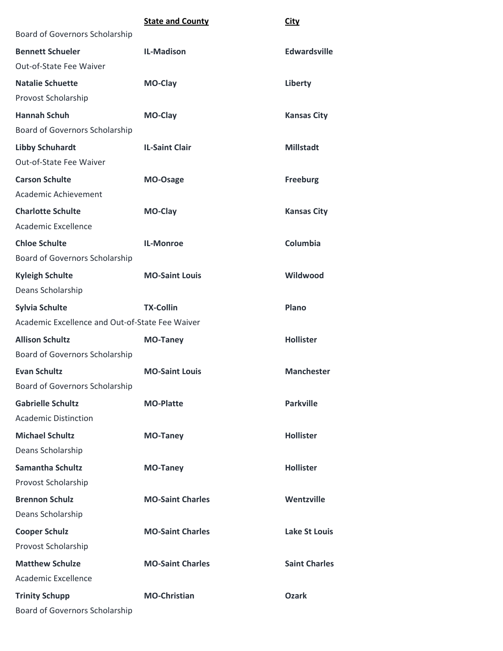|                                                 | <b>State and County</b> | <b>City</b>          |
|-------------------------------------------------|-------------------------|----------------------|
| Board of Governors Scholarship                  |                         |                      |
| <b>Bennett Schueler</b>                         | <b>IL-Madison</b>       | <b>Edwardsville</b>  |
| Out-of-State Fee Waiver                         |                         |                      |
| <b>Natalie Schuette</b>                         | MO-Clay                 | Liberty              |
| Provost Scholarship                             |                         |                      |
| <b>Hannah Schuh</b>                             | MO-Clay                 | <b>Kansas City</b>   |
| Board of Governors Scholarship                  |                         |                      |
| <b>Libby Schuhardt</b>                          | <b>IL-Saint Clair</b>   | <b>Millstadt</b>     |
| Out-of-State Fee Waiver                         |                         |                      |
| <b>Carson Schulte</b>                           | MO-Osage                | <b>Freeburg</b>      |
| Academic Achievement                            |                         |                      |
| <b>Charlotte Schulte</b>                        | MO-Clay                 | <b>Kansas City</b>   |
| <b>Academic Excellence</b>                      |                         |                      |
| <b>Chloe Schulte</b>                            | <b>IL-Monroe</b>        | Columbia             |
| <b>Board of Governors Scholarship</b>           |                         |                      |
| <b>Kyleigh Schulte</b>                          | <b>MO-Saint Louis</b>   | Wildwood             |
| Deans Scholarship                               |                         |                      |
| <b>Sylvia Schulte</b>                           | <b>TX-Collin</b>        | Plano                |
| Academic Excellence and Out-of-State Fee Waiver |                         |                      |
| <b>Allison Schultz</b>                          | <b>MO-Taney</b>         | <b>Hollister</b>     |
| Board of Governors Scholarship                  |                         |                      |
| <b>Evan Schultz</b>                             | <b>MO-Saint Louis</b>   | <b>Manchester</b>    |
| <b>Board of Governors Scholarship</b>           |                         |                      |
| <b>Gabrielle Schultz</b>                        | <b>MO-Platte</b>        | <b>Parkville</b>     |
| <b>Academic Distinction</b>                     |                         |                      |
| <b>Michael Schultz</b>                          | <b>MO-Taney</b>         | <b>Hollister</b>     |
| Deans Scholarship                               |                         |                      |
| <b>Samantha Schultz</b>                         | <b>MO-Taney</b>         | <b>Hollister</b>     |
| Provost Scholarship                             |                         |                      |
| <b>Brennon Schulz</b>                           | <b>MO-Saint Charles</b> | Wentzville           |
| Deans Scholarship                               |                         |                      |
| <b>Cooper Schulz</b>                            | <b>MO-Saint Charles</b> | <b>Lake St Louis</b> |
| Provost Scholarship                             |                         |                      |
| <b>Matthew Schulze</b>                          | <b>MO-Saint Charles</b> | <b>Saint Charles</b> |
| Academic Excellence                             |                         |                      |
| <b>Trinity Schupp</b>                           | <b>MO-Christian</b>     | <b>Ozark</b>         |
| <b>Board of Governors Scholarship</b>           |                         |                      |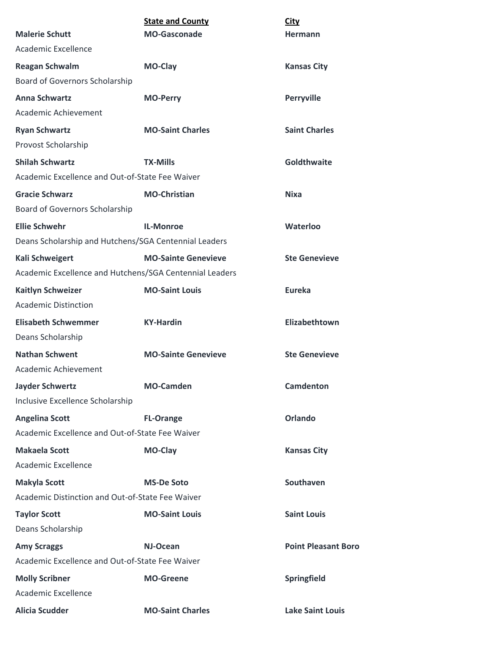|                                                         | <b>State and County</b>    | <b>City</b>                |
|---------------------------------------------------------|----------------------------|----------------------------|
| <b>Malerie Schutt</b>                                   | <b>MO-Gasconade</b>        | <b>Hermann</b>             |
| Academic Excellence                                     |                            |                            |
| <b>Reagan Schwalm</b>                                   | MO-Clay                    | <b>Kansas City</b>         |
| Board of Governors Scholarship                          |                            |                            |
| <b>Anna Schwartz</b>                                    | <b>MO-Perry</b>            | <b>Perryville</b>          |
| Academic Achievement                                    |                            |                            |
| <b>Ryan Schwartz</b>                                    | <b>MO-Saint Charles</b>    | <b>Saint Charles</b>       |
| Provost Scholarship                                     |                            |                            |
| <b>Shilah Schwartz</b>                                  | <b>TX-Mills</b>            | <b>Goldthwaite</b>         |
| Academic Excellence and Out-of-State Fee Waiver         |                            |                            |
| <b>Gracie Schwarz</b>                                   | <b>MO-Christian</b>        | Nixa                       |
| Board of Governors Scholarship                          |                            |                            |
| <b>Ellie Schwehr</b>                                    | <b>IL-Monroe</b>           | Waterloo                   |
| Deans Scholarship and Hutchens/SGA Centennial Leaders   |                            |                            |
| Kali Schweigert                                         | <b>MO-Sainte Genevieve</b> | <b>Ste Genevieve</b>       |
| Academic Excellence and Hutchens/SGA Centennial Leaders |                            |                            |
| <b>Kaitlyn Schweizer</b>                                | <b>MO-Saint Louis</b>      | <b>Eureka</b>              |
| <b>Academic Distinction</b>                             |                            |                            |
| <b>Elisabeth Schwemmer</b>                              | <b>KY-Hardin</b>           | Elizabethtown              |
| Deans Scholarship                                       |                            |                            |
| <b>Nathan Schwent</b>                                   | <b>MO-Sainte Genevieve</b> | <b>Ste Genevieve</b>       |
| Academic Achievement                                    |                            |                            |
| <b>Jayder Schwertz</b>                                  | <b>MO-Camden</b>           | <b>Camdenton</b>           |
| Inclusive Excellence Scholarship                        |                            |                            |
| <b>Angelina Scott</b>                                   | <b>FL-Orange</b>           | <b>Orlando</b>             |
| Academic Excellence and Out-of-State Fee Waiver         |                            |                            |
| <b>Makaela Scott</b>                                    | MO-Clay                    | <b>Kansas City</b>         |
| Academic Excellence                                     |                            |                            |
| <b>Makyla Scott</b>                                     | <b>MS-De Soto</b>          | <b>Southaven</b>           |
| Academic Distinction and Out-of-State Fee Waiver        |                            |                            |
| <b>Taylor Scott</b>                                     | <b>MO-Saint Louis</b>      | <b>Saint Louis</b>         |
| Deans Scholarship                                       |                            |                            |
| <b>Amy Scraggs</b>                                      | NJ-Ocean                   | <b>Point Pleasant Boro</b> |
| Academic Excellence and Out-of-State Fee Waiver         |                            |                            |
| <b>Molly Scribner</b>                                   | <b>MO-Greene</b>           | Springfield                |
| Academic Excellence                                     |                            |                            |
| <b>Alicia Scudder</b>                                   | <b>MO-Saint Charles</b>    | <b>Lake Saint Louis</b>    |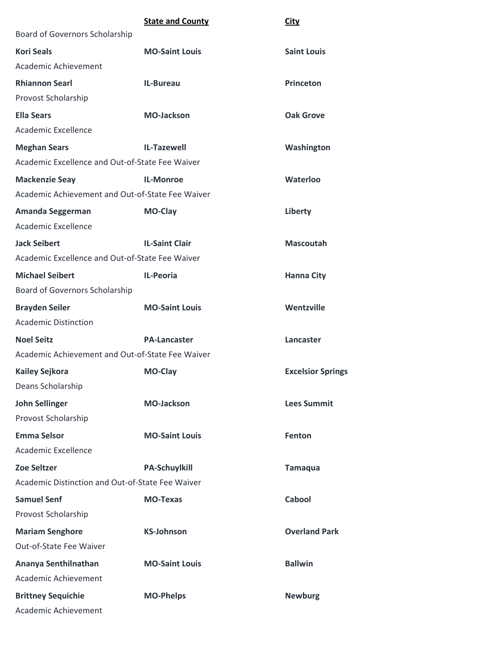|                                                  | <b>State and County</b> | <b>City</b>              |
|--------------------------------------------------|-------------------------|--------------------------|
| Board of Governors Scholarship                   |                         |                          |
| <b>Kori Seals</b>                                | <b>MO-Saint Louis</b>   | <b>Saint Louis</b>       |
| Academic Achievement                             |                         |                          |
| <b>Rhiannon Searl</b>                            | <b>IL-Bureau</b>        | <b>Princeton</b>         |
| Provost Scholarship                              |                         |                          |
| <b>Ella Sears</b>                                | <b>MO-Jackson</b>       | <b>Oak Grove</b>         |
| Academic Excellence                              |                         |                          |
| <b>Meghan Sears</b>                              | <b>IL-Tazewell</b>      | Washington               |
| Academic Excellence and Out-of-State Fee Waiver  |                         |                          |
| <b>Mackenzie Seay</b>                            | <b>IL-Monroe</b>        | Waterloo                 |
| Academic Achievement and Out-of-State Fee Waiver |                         |                          |
| Amanda Seggerman                                 | MO-Clay                 | Liberty                  |
| <b>Academic Excellence</b>                       |                         |                          |
| <b>Jack Seibert</b>                              | <b>IL-Saint Clair</b>   | <b>Mascoutah</b>         |
| Academic Excellence and Out-of-State Fee Waiver  |                         |                          |
| <b>Michael Seibert</b>                           | <b>IL-Peoria</b>        | <b>Hanna City</b>        |
| Board of Governors Scholarship                   |                         |                          |
| <b>Brayden Seiler</b>                            | <b>MO-Saint Louis</b>   | Wentzville               |
| <b>Academic Distinction</b>                      |                         |                          |
| <b>Noel Seitz</b>                                | <b>PA-Lancaster</b>     | Lancaster                |
| Academic Achievement and Out-of-State Fee Waiver |                         |                          |
| <b>Kailey Sejkora</b>                            | <b>MO-Clay</b>          | <b>Excelsior Springs</b> |
| Deans Scholarship                                |                         |                          |
| <b>John Sellinger</b>                            | <b>MO-Jackson</b>       | <b>Lees Summit</b>       |
| Provost Scholarship                              |                         |                          |
| <b>Emma Selsor</b>                               | <b>MO-Saint Louis</b>   | Fenton                   |
| Academic Excellence                              |                         |                          |
| <b>Zoe Seltzer</b>                               | <b>PA-Schuylkill</b>    | <b>Tamaqua</b>           |
| Academic Distinction and Out-of-State Fee Waiver |                         |                          |
| <b>Samuel Senf</b>                               | <b>MO-Texas</b>         | Cabool                   |
| Provost Scholarship                              |                         |                          |
| <b>Mariam Senghore</b>                           | <b>KS-Johnson</b>       | <b>Overland Park</b>     |
| Out-of-State Fee Waiver                          |                         |                          |
| Ananya Senthilnathan                             | <b>MO-Saint Louis</b>   | <b>Ballwin</b>           |
| Academic Achievement                             |                         |                          |
| <b>Brittney Sequichie</b>                        | <b>MO-Phelps</b>        | <b>Newburg</b>           |
| Academic Achievement                             |                         |                          |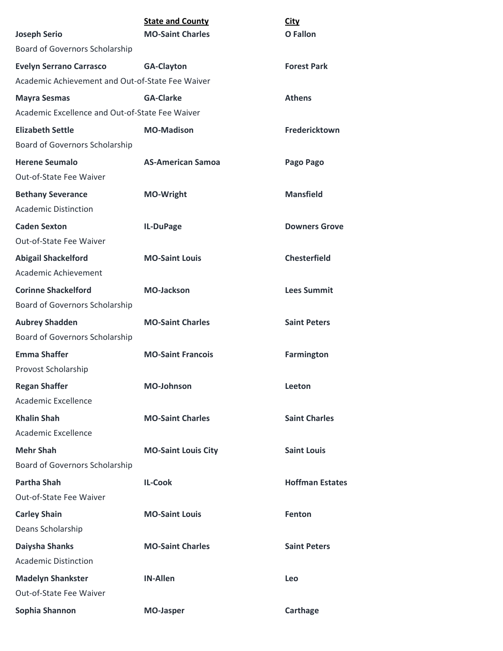|                                                              | <b>State and County</b>    | <b>City</b>            |
|--------------------------------------------------------------|----------------------------|------------------------|
| <b>Joseph Serio</b>                                          | <b>MO-Saint Charles</b>    | O Fallon               |
| Board of Governors Scholarship                               |                            |                        |
| <b>Evelyn Serrano Carrasco</b>                               | <b>GA-Clayton</b>          | <b>Forest Park</b>     |
| Academic Achievement and Out-of-State Fee Waiver             |                            |                        |
| <b>Mayra Sesmas</b>                                          | <b>GA-Clarke</b>           | <b>Athens</b>          |
| Academic Excellence and Out-of-State Fee Waiver              |                            |                        |
| <b>Elizabeth Settle</b>                                      | <b>MO-Madison</b>          | Fredericktown          |
| Board of Governors Scholarship                               |                            |                        |
| <b>Herene Seumalo</b><br>Out-of-State Fee Waiver             | <b>AS-American Samoa</b>   | Pago Pago              |
| <b>Bethany Severance</b><br><b>Academic Distinction</b>      | <b>MO-Wright</b>           | <b>Mansfield</b>       |
| <b>Caden Sexton</b><br>Out-of-State Fee Waiver               | IL-DuPage                  | <b>Downers Grove</b>   |
| <b>Abigail Shackelford</b><br>Academic Achievement           | <b>MO-Saint Louis</b>      | <b>Chesterfield</b>    |
| <b>Corinne Shackelford</b><br>Board of Governors Scholarship | <b>MO-Jackson</b>          | <b>Lees Summit</b>     |
| <b>Aubrey Shadden</b><br>Board of Governors Scholarship      | <b>MO-Saint Charles</b>    | <b>Saint Peters</b>    |
| <b>Emma Shaffer</b><br>Provost Scholarship                   | <b>MO-Saint Francois</b>   | <b>Farmington</b>      |
| <b>Regan Shaffer</b><br>Academic Excellence                  | <b>MO-Johnson</b>          | Leeton                 |
| <b>Khalin Shah</b><br>Academic Excellence                    | <b>MO-Saint Charles</b>    | <b>Saint Charles</b>   |
| <b>Mehr Shah</b><br>Board of Governors Scholarship           | <b>MO-Saint Louis City</b> | <b>Saint Louis</b>     |
| <b>Partha Shah</b><br>Out-of-State Fee Waiver                | <b>IL-Cook</b>             | <b>Hoffman Estates</b> |
| <b>Carley Shain</b>                                          | <b>MO-Saint Louis</b>      | Fenton                 |
| Deans Scholarship                                            |                            |                        |
| Daiysha Shanks                                               | <b>MO-Saint Charles</b>    | <b>Saint Peters</b>    |
| <b>Academic Distinction</b>                                  |                            |                        |
| <b>Madelyn Shankster</b>                                     | <b>IN-Allen</b>            | Leo                    |
| Out-of-State Fee Waiver                                      |                            |                        |
| Sophia Shannon                                               | <b>MO-Jasper</b>           | Carthage               |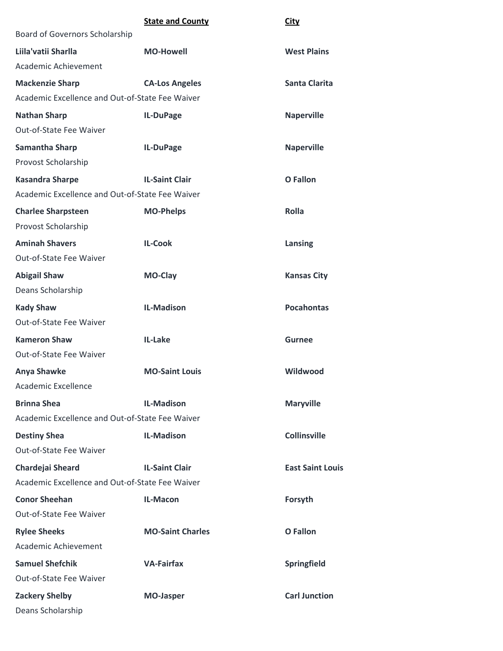|                                                 | <b>State and County</b> | <b>City</b>             |
|-------------------------------------------------|-------------------------|-------------------------|
| Board of Governors Scholarship                  |                         |                         |
| Liila'vatii Sharlla                             | <b>MO-Howell</b>        | <b>West Plains</b>      |
| Academic Achievement                            |                         |                         |
| <b>Mackenzie Sharp</b>                          | <b>CA-Los Angeles</b>   | <b>Santa Clarita</b>    |
| Academic Excellence and Out-of-State Fee Waiver |                         |                         |
| <b>Nathan Sharp</b>                             | IL-DuPage               | <b>Naperville</b>       |
| Out-of-State Fee Waiver                         |                         |                         |
| <b>Samantha Sharp</b>                           | IL-DuPage               | <b>Naperville</b>       |
| Provost Scholarship                             |                         |                         |
| <b>Kasandra Sharpe</b>                          | <b>IL-Saint Clair</b>   | <b>O</b> Fallon         |
| Academic Excellence and Out-of-State Fee Waiver |                         |                         |
| <b>Charlee Sharpsteen</b>                       | <b>MO-Phelps</b>        | <b>Rolla</b>            |
| Provost Scholarship                             |                         |                         |
| <b>Aminah Shavers</b>                           | <b>IL-Cook</b>          | Lansing                 |
| Out-of-State Fee Waiver                         |                         |                         |
| <b>Abigail Shaw</b>                             | <b>MO-Clay</b>          | <b>Kansas City</b>      |
| Deans Scholarship                               |                         |                         |
| <b>Kady Shaw</b>                                | <b>IL-Madison</b>       | <b>Pocahontas</b>       |
| Out-of-State Fee Waiver                         |                         |                         |
| <b>Kameron Shaw</b>                             | IL-Lake                 | Gurnee                  |
| Out-of-State Fee Waiver                         |                         |                         |
| <b>Anya Shawke</b>                              | <b>MO-Saint Louis</b>   | Wildwood                |
| <b>Academic Excellence</b>                      |                         |                         |
| <b>Brinna Shea</b>                              | <b>IL-Madison</b>       | <b>Maryville</b>        |
| Academic Excellence and Out-of-State Fee Waiver |                         |                         |
| <b>Destiny Shea</b>                             | <b>IL-Madison</b>       | <b>Collinsville</b>     |
| Out-of-State Fee Waiver                         |                         |                         |
| Chardejai Sheard                                | <b>IL-Saint Clair</b>   | <b>East Saint Louis</b> |
| Academic Excellence and Out-of-State Fee Waiver |                         |                         |
| <b>Conor Sheehan</b>                            | IL-Macon                | Forsyth                 |
| Out-of-State Fee Waiver                         |                         |                         |
| <b>Rylee Sheeks</b>                             | <b>MO-Saint Charles</b> | <b>O</b> Fallon         |
| Academic Achievement                            |                         |                         |
| <b>Samuel Shefchik</b>                          | <b>VA-Fairfax</b>       | Springfield             |
| Out-of-State Fee Waiver                         |                         |                         |
| <b>Zackery Shelby</b>                           | <b>MO-Jasper</b>        | <b>Carl Junction</b>    |
| Deans Scholarship                               |                         |                         |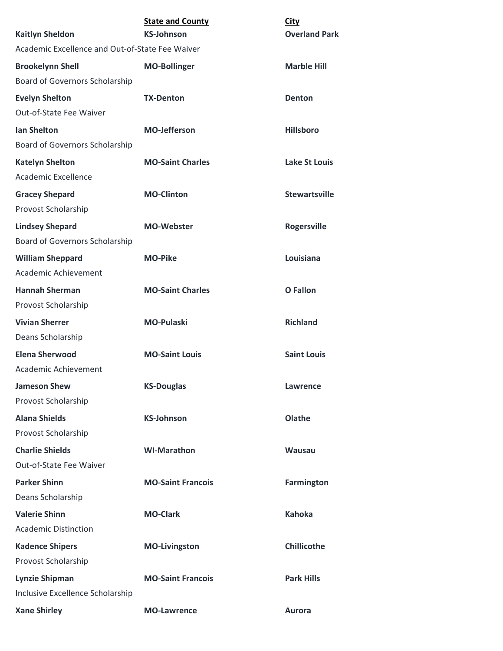|                                                 | <b>State and County</b>  | <b>City</b>          |
|-------------------------------------------------|--------------------------|----------------------|
| <b>Kaitlyn Sheldon</b>                          | <b>KS-Johnson</b>        | <b>Overland Park</b> |
| Academic Excellence and Out-of-State Fee Waiver |                          |                      |
| <b>Brookelynn Shell</b>                         | <b>MO-Bollinger</b>      | <b>Marble Hill</b>   |
| Board of Governors Scholarship                  |                          |                      |
| <b>Evelyn Shelton</b>                           | <b>TX-Denton</b>         | Denton               |
| Out-of-State Fee Waiver                         |                          |                      |
| <b>Ian Shelton</b>                              | <b>MO-Jefferson</b>      | <b>Hillsboro</b>     |
| Board of Governors Scholarship                  |                          |                      |
| <b>Katelyn Shelton</b>                          | <b>MO-Saint Charles</b>  | <b>Lake St Louis</b> |
| Academic Excellence                             |                          |                      |
| <b>Gracey Shepard</b>                           | <b>MO-Clinton</b>        | <b>Stewartsville</b> |
| Provost Scholarship                             |                          |                      |
| <b>Lindsey Shepard</b>                          | <b>MO-Webster</b>        | <b>Rogersville</b>   |
| Board of Governors Scholarship                  |                          |                      |
| <b>William Sheppard</b>                         | <b>MO-Pike</b>           | Louisiana            |
| Academic Achievement                            |                          |                      |
| <b>Hannah Sherman</b>                           | <b>MO-Saint Charles</b>  | <b>O</b> Fallon      |
| Provost Scholarship                             |                          |                      |
| <b>Vivian Sherrer</b>                           | <b>MO-Pulaski</b>        | <b>Richland</b>      |
| Deans Scholarship                               |                          |                      |
| <b>Elena Sherwood</b>                           | <b>MO-Saint Louis</b>    | <b>Saint Louis</b>   |
| Academic Achievement                            |                          |                      |
| <b>Jameson Shew</b>                             | <b>KS-Douglas</b>        | Lawrence             |
| Provost Scholarship                             |                          |                      |
| <b>Alana Shields</b>                            | <b>KS-Johnson</b>        | Olathe               |
| Provost Scholarship                             |                          |                      |
| <b>Charlie Shields</b>                          | <b>WI-Marathon</b>       | <b>Wausau</b>        |
| Out-of-State Fee Waiver                         |                          |                      |
| <b>Parker Shinn</b>                             | <b>MO-Saint Francois</b> | <b>Farmington</b>    |
| Deans Scholarship                               |                          |                      |
| <b>Valerie Shinn</b>                            | <b>MO-Clark</b>          | <b>Kahoka</b>        |
| <b>Academic Distinction</b>                     |                          |                      |
| <b>Kadence Shipers</b>                          | <b>MO-Livingston</b>     | <b>Chillicothe</b>   |
| Provost Scholarship                             |                          |                      |
| <b>Lynzie Shipman</b>                           | <b>MO-Saint Francois</b> | <b>Park Hills</b>    |
| Inclusive Excellence Scholarship                |                          |                      |
| <b>Xane Shirley</b>                             | <b>MO-Lawrence</b>       | <b>Aurora</b>        |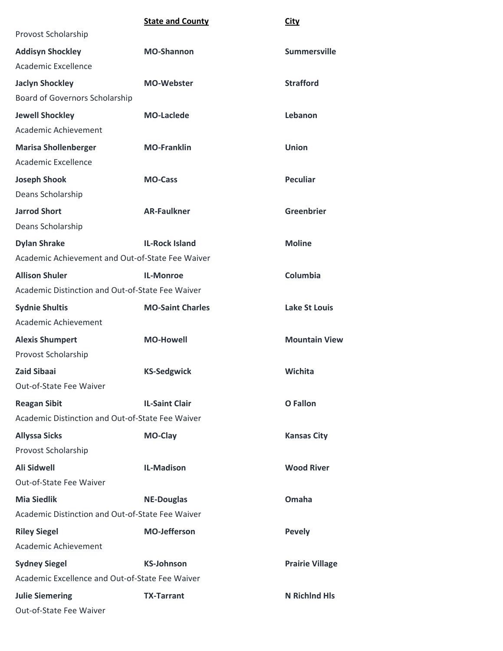|                                                  | <b>State and County</b> | <b>City</b>            |
|--------------------------------------------------|-------------------------|------------------------|
| Provost Scholarship                              |                         |                        |
| <b>Addisyn Shockley</b>                          | <b>MO-Shannon</b>       | <b>Summersville</b>    |
| Academic Excellence                              |                         |                        |
| <b>Jaclyn Shockley</b>                           | <b>MO-Webster</b>       | <b>Strafford</b>       |
| Board of Governors Scholarship                   |                         |                        |
| <b>Jewell Shockley</b>                           | <b>MO-Laclede</b>       | Lebanon                |
| Academic Achievement                             |                         |                        |
| <b>Marisa Shollenberger</b>                      | <b>MO-Franklin</b>      | <b>Union</b>           |
| Academic Excellence                              |                         |                        |
| <b>Joseph Shook</b>                              | <b>MO-Cass</b>          | <b>Peculiar</b>        |
| Deans Scholarship                                |                         |                        |
| <b>Jarrod Short</b>                              | <b>AR-Faulkner</b>      | <b>Greenbrier</b>      |
| Deans Scholarship                                |                         |                        |
| <b>Dylan Shrake</b>                              | <b>IL-Rock Island</b>   | <b>Moline</b>          |
| Academic Achievement and Out-of-State Fee Waiver |                         |                        |
| <b>Allison Shuler</b>                            | <b>IL-Monroe</b>        | Columbia               |
| Academic Distinction and Out-of-State Fee Waiver |                         |                        |
| <b>Sydnie Shultis</b>                            | <b>MO-Saint Charles</b> | <b>Lake St Louis</b>   |
| Academic Achievement                             |                         |                        |
| <b>Alexis Shumpert</b>                           | <b>MO-Howell</b>        | <b>Mountain View</b>   |
| Provost Scholarship                              |                         |                        |
| <b>Zaid Sibaai</b>                               | <b>KS-Sedgwick</b>      | Wichita                |
| Out-of-State Fee Waiver                          |                         |                        |
| <b>Reagan Sibit</b>                              | <b>IL-Saint Clair</b>   | <b>O</b> Fallon        |
| Academic Distinction and Out-of-State Fee Waiver |                         |                        |
| <b>Allyssa Sicks</b>                             | MO-Clay                 | <b>Kansas City</b>     |
| Provost Scholarship                              |                         |                        |
| <b>Ali Sidwell</b>                               | <b>IL-Madison</b>       | <b>Wood River</b>      |
| <b>Out-of-State Fee Waiver</b>                   |                         |                        |
| <b>Mia Siedlik</b>                               | <b>NE-Douglas</b>       | Omaha                  |
| Academic Distinction and Out-of-State Fee Waiver |                         |                        |
| <b>Riley Siegel</b>                              | <b>MO-Jefferson</b>     | <b>Pevely</b>          |
| Academic Achievement                             |                         |                        |
| <b>Sydney Siegel</b>                             | <b>KS-Johnson</b>       | <b>Prairie Village</b> |
| Academic Excellence and Out-of-State Fee Waiver  |                         |                        |
| <b>Julie Siemering</b>                           | <b>TX-Tarrant</b>       | <b>N</b> Richlnd Hls   |
| Out-of-State Fee Waiver                          |                         |                        |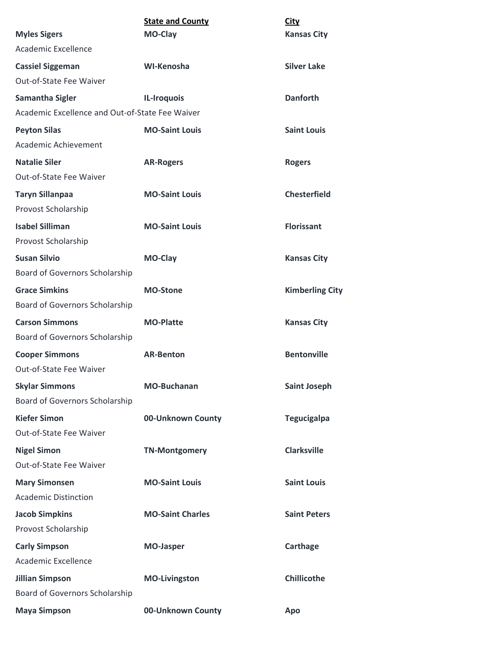| <b>Myles Sigers</b>                             | <b>State and County</b><br>MO-Clay | <b>City</b><br><b>Kansas City</b> |
|-------------------------------------------------|------------------------------------|-----------------------------------|
| <b>Academic Excellence</b>                      |                                    |                                   |
| <b>Cassiel Siggeman</b>                         | WI-Kenosha                         | <b>Silver Lake</b>                |
| Out-of-State Fee Waiver                         |                                    |                                   |
| <b>Samantha Sigler</b>                          | IL-Iroquois                        | <b>Danforth</b>                   |
| Academic Excellence and Out-of-State Fee Waiver |                                    |                                   |
| <b>Peyton Silas</b>                             | <b>MO-Saint Louis</b>              | <b>Saint Louis</b>                |
| Academic Achievement                            |                                    |                                   |
| <b>Natalie Siler</b>                            | <b>AR-Rogers</b>                   | <b>Rogers</b>                     |
| <b>Out-of-State Fee Waiver</b>                  |                                    |                                   |
| <b>Taryn Sillanpaa</b>                          | <b>MO-Saint Louis</b>              | <b>Chesterfield</b>               |
| Provost Scholarship                             |                                    |                                   |
| <b>Isabel Silliman</b>                          | <b>MO-Saint Louis</b>              | <b>Florissant</b>                 |
| Provost Scholarship                             |                                    |                                   |
| <b>Susan Silvio</b>                             | MO-Clay                            | <b>Kansas City</b>                |
| Board of Governors Scholarship                  |                                    |                                   |
| <b>Grace Simkins</b>                            | <b>MO-Stone</b>                    | <b>Kimberling City</b>            |
| Board of Governors Scholarship                  |                                    |                                   |
| <b>Carson Simmons</b>                           | <b>MO-Platte</b>                   | <b>Kansas City</b>                |
| Board of Governors Scholarship                  |                                    |                                   |
| <b>Cooper Simmons</b>                           | <b>AR-Benton</b>                   | <b>Bentonville</b>                |
| Out-of-State Fee Waiver                         |                                    |                                   |
| <b>Skylar Simmons</b>                           | <b>MO-Buchanan</b>                 | <b>Saint Joseph</b>               |
| Board of Governors Scholarship                  |                                    |                                   |
| <b>Kiefer Simon</b>                             | 00-Unknown County                  | <b>Tegucigalpa</b>                |
| Out-of-State Fee Waiver                         |                                    |                                   |
| <b>Nigel Simon</b>                              | <b>TN-Montgomery</b>               | <b>Clarksville</b>                |
| Out-of-State Fee Waiver                         |                                    |                                   |
| <b>Mary Simonsen</b>                            | <b>MO-Saint Louis</b>              | <b>Saint Louis</b>                |
| <b>Academic Distinction</b>                     |                                    |                                   |
| <b>Jacob Simpkins</b>                           | <b>MO-Saint Charles</b>            | <b>Saint Peters</b>               |
| Provost Scholarship                             |                                    |                                   |
| <b>Carly Simpson</b>                            | <b>MO-Jasper</b>                   | Carthage                          |
| Academic Excellence                             |                                    |                                   |
| <b>Jillian Simpson</b>                          | <b>MO-Livingston</b>               | <b>Chillicothe</b>                |
| Board of Governors Scholarship                  |                                    |                                   |
| <b>Maya Simpson</b>                             | 00-Unknown County                  | Apo                               |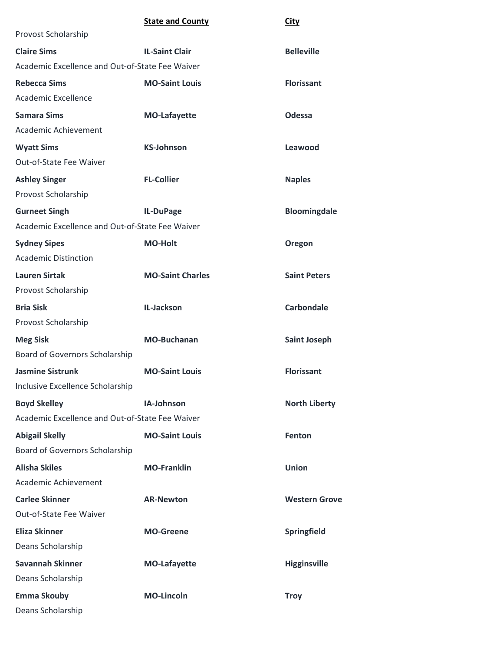|                                                 | <b>State and County</b> | <b>City</b>          |
|-------------------------------------------------|-------------------------|----------------------|
| Provost Scholarship                             |                         |                      |
| <b>Claire Sims</b>                              | <b>IL-Saint Clair</b>   | <b>Belleville</b>    |
| Academic Excellence and Out-of-State Fee Waiver |                         |                      |
| <b>Rebecca Sims</b>                             | <b>MO-Saint Louis</b>   | <b>Florissant</b>    |
| Academic Excellence                             |                         |                      |
| <b>Samara Sims</b>                              | <b>MO-Lafayette</b>     | <b>Odessa</b>        |
| Academic Achievement                            |                         |                      |
| <b>Wyatt Sims</b>                               | <b>KS-Johnson</b>       | Leawood              |
| Out-of-State Fee Waiver                         |                         |                      |
| <b>Ashley Singer</b>                            | <b>FL-Collier</b>       | <b>Naples</b>        |
| Provost Scholarship                             |                         |                      |
| <b>Gurneet Singh</b>                            | IL-DuPage               | <b>Bloomingdale</b>  |
| Academic Excellence and Out-of-State Fee Waiver |                         |                      |
| <b>Sydney Sipes</b>                             | <b>MO-Holt</b>          | Oregon               |
| <b>Academic Distinction</b>                     |                         |                      |
| <b>Lauren Sirtak</b>                            | <b>MO-Saint Charles</b> | <b>Saint Peters</b>  |
| Provost Scholarship                             |                         |                      |
| <b>Bria Sisk</b>                                | IL-Jackson              | <b>Carbondale</b>    |
| Provost Scholarship                             |                         |                      |
| <b>Meg Sisk</b>                                 | <b>MO-Buchanan</b>      | <b>Saint Joseph</b>  |
| Board of Governors Scholarship                  |                         |                      |
| <b>Jasmine Sistrunk</b>                         | <b>MO-Saint Louis</b>   | <b>Florissant</b>    |
| Inclusive Excellence Scholarship                |                         |                      |
| <b>Boyd Skelley</b>                             | IA-Johnson              | <b>North Liberty</b> |
| Academic Excellence and Out-of-State Fee Waiver |                         |                      |
| <b>Abigail Skelly</b>                           | <b>MO-Saint Louis</b>   | Fenton               |
| Board of Governors Scholarship                  |                         |                      |
| <b>Alisha Skiles</b>                            | <b>MO-Franklin</b>      | <b>Union</b>         |
| Academic Achievement                            |                         |                      |
| <b>Carlee Skinner</b>                           | <b>AR-Newton</b>        | <b>Western Grove</b> |
| Out-of-State Fee Waiver                         |                         |                      |
| <b>Eliza Skinner</b>                            | <b>MO-Greene</b>        | Springfield          |
| Deans Scholarship                               |                         |                      |
| <b>Savannah Skinner</b>                         | <b>MO-Lafayette</b>     | <b>Higginsville</b>  |
| Deans Scholarship                               |                         |                      |
| <b>Emma Skouby</b>                              | <b>MO-Lincoln</b>       | <b>Troy</b>          |
| Deans Scholarship                               |                         |                      |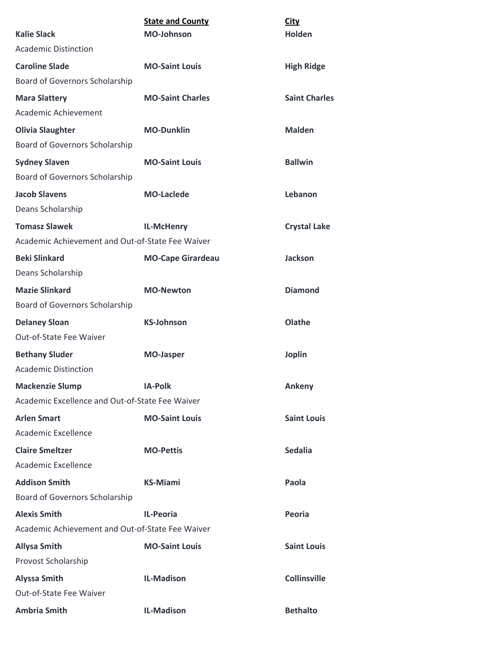|                                                  | <b>State and County</b>  | City                 |
|--------------------------------------------------|--------------------------|----------------------|
| <b>Kalie Slack</b>                               | <b>MO-Johnson</b>        | Holden               |
| <b>Academic Distinction</b>                      |                          |                      |
| <b>Caroline Slade</b>                            | <b>MO-Saint Louis</b>    | <b>High Ridge</b>    |
| <b>Board of Governors Scholarship</b>            |                          |                      |
| <b>Mara Slattery</b>                             | <b>MO-Saint Charles</b>  | <b>Saint Charles</b> |
| Academic Achievement                             |                          |                      |
| <b>Olivia Slaughter</b>                          | <b>MO-Dunklin</b>        | <b>Malden</b>        |
| <b>Board of Governors Scholarship</b>            |                          |                      |
| <b>Sydney Slaven</b>                             | <b>MO-Saint Louis</b>    | <b>Ballwin</b>       |
| <b>Board of Governors Scholarship</b>            |                          |                      |
| <b>Jacob Slavens</b>                             | <b>MO-Laclede</b>        | Lebanon              |
| Deans Scholarship                                |                          |                      |
| <b>Tomasz Slawek</b>                             | IL-McHenry               | <b>Crystal Lake</b>  |
| Academic Achievement and Out-of-State Fee Waiver |                          |                      |
| <b>Beki Slinkard</b>                             | <b>MO-Cape Girardeau</b> | <b>Jackson</b>       |
| Deans Scholarship                                |                          |                      |
| <b>Mazie Slinkard</b>                            | <b>MO-Newton</b>         | <b>Diamond</b>       |
| Board of Governors Scholarship                   |                          |                      |
| <b>Delaney Sloan</b>                             | <b>KS-Johnson</b>        | Olathe               |
| Out-of-State Fee Waiver                          |                          |                      |
| <b>Bethany Sluder</b>                            | <b>MO-Jasper</b>         | <b>Joplin</b>        |
| <b>Academic Distinction</b>                      |                          |                      |
| <b>Mackenzie Slump</b>                           | <b>IA-Polk</b>           | Ankeny               |
| Academic Excellence and Out-of-State Fee Waiver  |                          |                      |
| <b>Arlen Smart</b>                               | <b>MO-Saint Louis</b>    | <b>Saint Louis</b>   |
| Academic Excellence                              |                          |                      |
| <b>Claire Smeltzer</b>                           | <b>MO-Pettis</b>         | <b>Sedalia</b>       |
| Academic Excellence                              |                          |                      |
| <b>Addison Smith</b>                             | <b>KS-Miami</b>          | Paola                |
| Board of Governors Scholarship                   |                          |                      |
| <b>Alexis Smith</b>                              | <b>IL-Peoria</b>         | Peoria               |
| Academic Achievement and Out-of-State Fee Waiver |                          |                      |
| <b>Allysa Smith</b>                              | <b>MO-Saint Louis</b>    | <b>Saint Louis</b>   |
| Provost Scholarship                              |                          |                      |
| <b>Alyssa Smith</b>                              | <b>IL-Madison</b>        | <b>Collinsville</b>  |
| Out-of-State Fee Waiver                          |                          |                      |
| <b>Ambria Smith</b>                              | <b>IL-Madison</b>        | <b>Bethalto</b>      |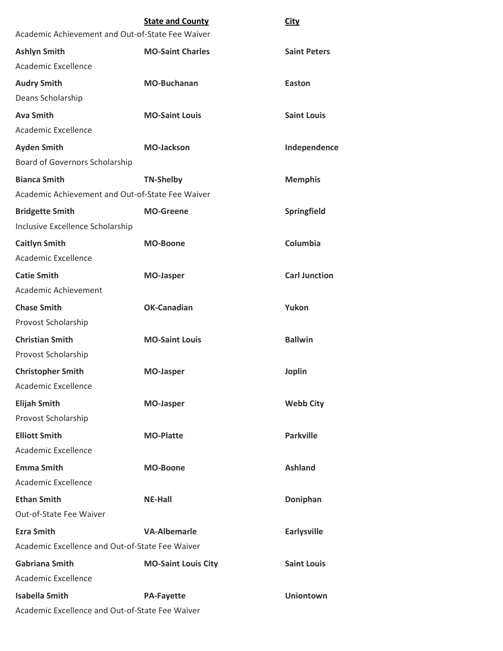|                                                  | <b>State and County</b>    | <b>City</b>          |
|--------------------------------------------------|----------------------------|----------------------|
| Academic Achievement and Out-of-State Fee Waiver |                            |                      |
| <b>Ashlyn Smith</b>                              | <b>MO-Saint Charles</b>    | <b>Saint Peters</b>  |
| Academic Excellence                              |                            |                      |
| <b>Audry Smith</b>                               | <b>MO-Buchanan</b>         | Easton               |
| Deans Scholarship                                |                            |                      |
| <b>Ava Smith</b>                                 | <b>MO-Saint Louis</b>      | <b>Saint Louis</b>   |
| Academic Excellence                              |                            |                      |
| <b>Ayden Smith</b>                               | <b>MO-Jackson</b>          | Independence         |
| Board of Governors Scholarship                   |                            |                      |
| <b>Bianca Smith</b>                              | <b>TN-Shelby</b>           | <b>Memphis</b>       |
| Academic Achievement and Out-of-State Fee Waiver |                            |                      |
| <b>Bridgette Smith</b>                           | <b>MO-Greene</b>           | Springfield          |
| Inclusive Excellence Scholarship                 |                            |                      |
| <b>Caitlyn Smith</b>                             | <b>MO-Boone</b>            | Columbia             |
| Academic Excellence                              |                            |                      |
| <b>Catie Smith</b>                               | <b>MO-Jasper</b>           | <b>Carl Junction</b> |
| Academic Achievement                             |                            |                      |
| <b>Chase Smith</b>                               | <b>OK-Canadian</b>         | Yukon                |
| Provost Scholarship                              |                            |                      |
| <b>Christian Smith</b>                           | <b>MO-Saint Louis</b>      | <b>Ballwin</b>       |
| Provost Scholarship                              |                            |                      |
| <b>Christopher Smith</b>                         | <b>MO-Jasper</b>           | <b>Joplin</b>        |
| <b>Academic Excellence</b>                       |                            |                      |
| <b>Elijah Smith</b>                              | <b>MO-Jasper</b>           | <b>Webb City</b>     |
| Provost Scholarship                              |                            |                      |
| <b>Elliott Smith</b>                             | <b>MO-Platte</b>           | <b>Parkville</b>     |
| Academic Excellence                              |                            |                      |
| <b>Emma Smith</b>                                | <b>MO-Boone</b>            | <b>Ashland</b>       |
| Academic Excellence                              |                            |                      |
| <b>Ethan Smith</b>                               | <b>NE-Hall</b>             | Doniphan             |
| Out-of-State Fee Waiver                          |                            |                      |
| <b>Ezra Smith</b>                                | <b>VA-Albemarle</b>        | <b>Earlysville</b>   |
| Academic Excellence and Out-of-State Fee Waiver  |                            |                      |
| <b>Gabriana Smith</b>                            | <b>MO-Saint Louis City</b> | <b>Saint Louis</b>   |
| Academic Excellence                              |                            |                      |
| <b>Isabella Smith</b>                            | <b>PA-Fayette</b>          | <b>Uniontown</b>     |
| Academic Excellence and Out-of-State Fee Waiver  |                            |                      |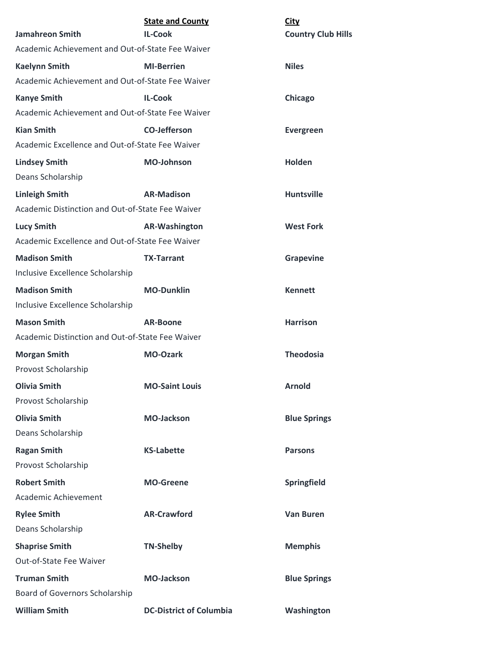| <b>Jamahreon Smith</b>                           | <b>State and County</b><br><b>IL-Cook</b> | <b>City</b><br><b>Country Club Hills</b> |
|--------------------------------------------------|-------------------------------------------|------------------------------------------|
| Academic Achievement and Out-of-State Fee Waiver |                                           |                                          |
| <b>Kaelynn Smith</b>                             | <b>MI-Berrien</b>                         | <b>Niles</b>                             |
| Academic Achievement and Out-of-State Fee Waiver |                                           |                                          |
| <b>Kanye Smith</b>                               | <b>IL-Cook</b>                            | Chicago                                  |
| Academic Achievement and Out-of-State Fee Waiver |                                           |                                          |
| <b>Kian Smith</b>                                | <b>CO-Jefferson</b>                       | <b>Evergreen</b>                         |
| Academic Excellence and Out-of-State Fee Waiver  |                                           |                                          |
| <b>Lindsey Smith</b>                             | <b>MO-Johnson</b>                         | Holden                                   |
| Deans Scholarship                                |                                           |                                          |
| <b>Linleigh Smith</b>                            | <b>AR-Madison</b>                         | <b>Huntsville</b>                        |
| Academic Distinction and Out-of-State Fee Waiver |                                           |                                          |
| <b>Lucy Smith</b>                                | <b>AR-Washington</b>                      | <b>West Fork</b>                         |
| Academic Excellence and Out-of-State Fee Waiver  |                                           |                                          |
| <b>Madison Smith</b>                             | <b>TX-Tarrant</b>                         | <b>Grapevine</b>                         |
| Inclusive Excellence Scholarship                 |                                           |                                          |
| <b>Madison Smith</b>                             | <b>MO-Dunklin</b>                         | <b>Kennett</b>                           |
| Inclusive Excellence Scholarship                 |                                           |                                          |
| <b>Mason Smith</b>                               | <b>AR-Boone</b>                           | <b>Harrison</b>                          |
| Academic Distinction and Out-of-State Fee Waiver |                                           |                                          |
| <b>Morgan Smith</b>                              | <b>MO-Ozark</b>                           | <b>Theodosia</b>                         |
| Provost Scholarship                              |                                           |                                          |
| <b>Olivia Smith</b>                              | <b>MO-Saint Louis</b>                     | <b>Arnold</b>                            |
| Provost Scholarship                              |                                           |                                          |
| <b>Olivia Smith</b>                              | <b>MO-Jackson</b>                         | <b>Blue Springs</b>                      |
| Deans Scholarship                                |                                           |                                          |
| <b>Ragan Smith</b>                               | <b>KS-Labette</b>                         | <b>Parsons</b>                           |
| Provost Scholarship                              |                                           |                                          |
| <b>Robert Smith</b>                              | <b>MO-Greene</b>                          | Springfield                              |
| Academic Achievement                             |                                           |                                          |
| <b>Rylee Smith</b>                               | <b>AR-Crawford</b>                        | <b>Van Buren</b>                         |
| Deans Scholarship                                |                                           |                                          |
| <b>Shaprise Smith</b>                            | <b>TN-Shelby</b>                          | <b>Memphis</b>                           |
| Out-of-State Fee Waiver                          |                                           |                                          |
| <b>Truman Smith</b>                              | <b>MO-Jackson</b>                         | <b>Blue Springs</b>                      |
| Board of Governors Scholarship                   |                                           |                                          |
| <b>William Smith</b>                             | <b>DC-District of Columbia</b>            | Washington                               |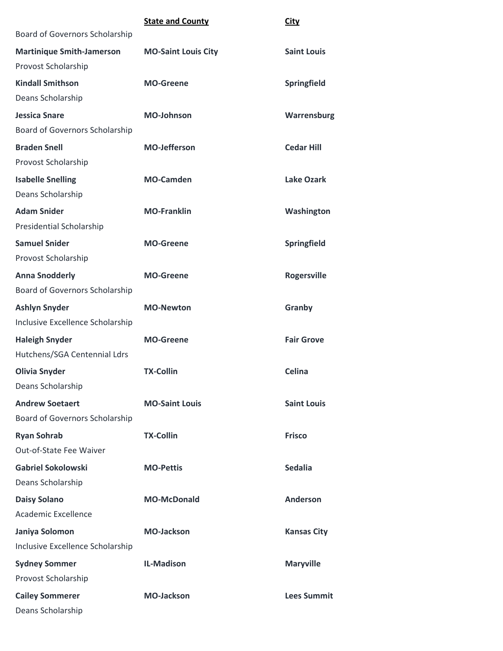|                                                         | <b>State and County</b>    | <b>City</b>        |
|---------------------------------------------------------|----------------------------|--------------------|
| Board of Governors Scholarship                          |                            |                    |
| <b>Martinique Smith-Jamerson</b><br>Provost Scholarship | <b>MO-Saint Louis City</b> | <b>Saint Louis</b> |
| <b>Kindall Smithson</b>                                 | <b>MO-Greene</b>           | Springfield        |
| Deans Scholarship                                       |                            |                    |
| <b>Jessica Snare</b>                                    | MO-Johnson                 | Warrensburg        |
| Board of Governors Scholarship                          |                            |                    |
| <b>Braden Snell</b>                                     | <b>MO-Jefferson</b>        | <b>Cedar Hill</b>  |
| Provost Scholarship                                     |                            |                    |
| <b>Isabelle Snelling</b>                                | <b>MO-Camden</b>           | <b>Lake Ozark</b>  |
| Deans Scholarship                                       |                            |                    |
| <b>Adam Snider</b>                                      | <b>MO-Franklin</b>         | Washington         |
| <b>Presidential Scholarship</b>                         |                            |                    |
| <b>Samuel Snider</b>                                    | <b>MO-Greene</b>           | Springfield        |
| Provost Scholarship                                     |                            |                    |
| <b>Anna Snodderly</b>                                   | <b>MO-Greene</b>           | <b>Rogersville</b> |
| Board of Governors Scholarship                          |                            |                    |
| <b>Ashlyn Snyder</b>                                    | <b>MO-Newton</b>           | Granby             |
| Inclusive Excellence Scholarship                        |                            |                    |
| <b>Haleigh Snyder</b>                                   | <b>MO-Greene</b>           | <b>Fair Grove</b>  |
| Hutchens/SGA Centennial Ldrs                            |                            |                    |
| <b>Olivia Snyder</b>                                    | <b>TX-Collin</b>           | <b>Celina</b>      |
| Deans Scholarship                                       |                            |                    |
| <b>Andrew Soetaert</b>                                  | <b>MO-Saint Louis</b>      | <b>Saint Louis</b> |
| Board of Governors Scholarship                          |                            |                    |
| <b>Ryan Sohrab</b>                                      | <b>TX-Collin</b>           | <b>Frisco</b>      |
| Out-of-State Fee Waiver                                 |                            |                    |
| <b>Gabriel Sokolowski</b>                               | <b>MO-Pettis</b>           | <b>Sedalia</b>     |
| Deans Scholarship                                       |                            |                    |
| <b>Daisy Solano</b>                                     | <b>MO-McDonald</b>         | Anderson           |
| Academic Excellence                                     |                            |                    |
| Janiya Solomon                                          | <b>MO-Jackson</b>          | <b>Kansas City</b> |
| Inclusive Excellence Scholarship                        |                            |                    |
| <b>Sydney Sommer</b>                                    | <b>IL-Madison</b>          | <b>Maryville</b>   |
| Provost Scholarship                                     |                            |                    |
| <b>Cailey Sommerer</b>                                  | <b>MO-Jackson</b>          | <b>Lees Summit</b> |
| Deans Scholarship                                       |                            |                    |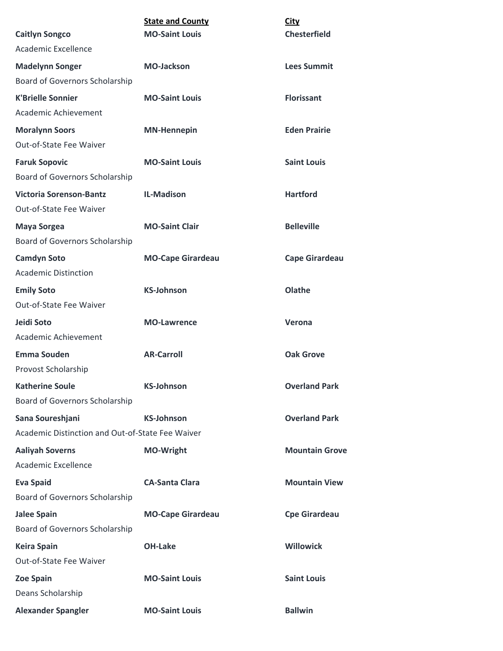|                                                     | <b>State and County</b>  | <b>City</b>           |
|-----------------------------------------------------|--------------------------|-----------------------|
| <b>Caitlyn Songco</b><br><b>Academic Excellence</b> | <b>MO-Saint Louis</b>    | <b>Chesterfield</b>   |
|                                                     |                          |                       |
| <b>Madelynn Songer</b>                              | <b>MO-Jackson</b>        | <b>Lees Summit</b>    |
| Board of Governors Scholarship                      |                          |                       |
| <b>K'Brielle Sonnier</b>                            | <b>MO-Saint Louis</b>    | <b>Florissant</b>     |
| Academic Achievement                                |                          |                       |
| <b>Moralynn Soors</b>                               | <b>MN-Hennepin</b>       | <b>Eden Prairie</b>   |
| <b>Out-of-State Fee Waiver</b>                      |                          |                       |
| <b>Faruk Sopovic</b>                                | <b>MO-Saint Louis</b>    | <b>Saint Louis</b>    |
| <b>Board of Governors Scholarship</b>               |                          |                       |
| <b>Victoria Sorenson-Bantz</b>                      | <b>IL-Madison</b>        | <b>Hartford</b>       |
| Out-of-State Fee Waiver                             |                          |                       |
| <b>Maya Sorgea</b>                                  | <b>MO-Saint Clair</b>    | <b>Belleville</b>     |
| Board of Governors Scholarship                      |                          |                       |
| <b>Camdyn Soto</b>                                  | <b>MO-Cape Girardeau</b> | <b>Cape Girardeau</b> |
| <b>Academic Distinction</b>                         |                          |                       |
| <b>Emily Soto</b>                                   | <b>KS-Johnson</b>        | Olathe                |
| Out-of-State Fee Waiver                             |                          |                       |
| Jeidi Soto                                          | <b>MO-Lawrence</b>       | Verona                |
| Academic Achievement                                |                          |                       |
| <b>Emma Souden</b>                                  | <b>AR-Carroll</b>        | <b>Oak Grove</b>      |
| Provost Scholarship                                 |                          |                       |
| <b>Katherine Soule</b>                              | <b>KS-Johnson</b>        | <b>Overland Park</b>  |
| Board of Governors Scholarship                      |                          |                       |
| Sana Soureshjani                                    | <b>KS-Johnson</b>        | <b>Overland Park</b>  |
| Academic Distinction and Out-of-State Fee Waiver    |                          |                       |
| <b>Aaliyah Soverns</b>                              | <b>MO-Wright</b>         | <b>Mountain Grove</b> |
| Academic Excellence                                 |                          |                       |
| <b>Eva Spaid</b>                                    | <b>CA-Santa Clara</b>    | <b>Mountain View</b>  |
| Board of Governors Scholarship                      |                          |                       |
| <b>Jalee Spain</b>                                  | <b>MO-Cape Girardeau</b> | <b>Cpe Girardeau</b>  |
| Board of Governors Scholarship                      |                          |                       |
| <b>Keira Spain</b>                                  | <b>OH-Lake</b>           | <b>Willowick</b>      |
| Out-of-State Fee Waiver                             |                          |                       |
| <b>Zoe Spain</b>                                    | <b>MO-Saint Louis</b>    | <b>Saint Louis</b>    |
| Deans Scholarship                                   |                          |                       |
| <b>Alexander Spangler</b>                           | <b>MO-Saint Louis</b>    | <b>Ballwin</b>        |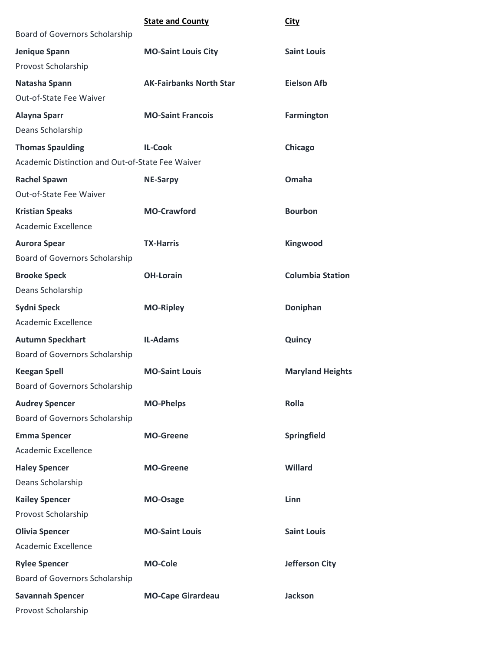|                                                                                  | <b>State and County</b>        | <b>City</b>             |
|----------------------------------------------------------------------------------|--------------------------------|-------------------------|
| Board of Governors Scholarship                                                   |                                |                         |
| Jenique Spann<br>Provost Scholarship                                             | <b>MO-Saint Louis City</b>     | <b>Saint Louis</b>      |
| Natasha Spann<br>Out-of-State Fee Waiver                                         | <b>AK-Fairbanks North Star</b> | <b>Eielson Afb</b>      |
| <b>Alayna Sparr</b><br>Deans Scholarship                                         | <b>MO-Saint Francois</b>       | <b>Farmington</b>       |
| <b>Thomas Spaulding</b>                                                          | <b>IL-Cook</b>                 | Chicago                 |
| Academic Distinction and Out-of-State Fee Waiver                                 |                                |                         |
| <b>Rachel Spawn</b><br>Out-of-State Fee Waiver                                   | <b>NE-Sarpy</b>                | Omaha                   |
| <b>Kristian Speaks</b><br><b>Academic Excellence</b>                             | <b>MO-Crawford</b>             | <b>Bourbon</b>          |
| <b>Aurora Spear</b><br>Board of Governors Scholarship                            | <b>TX-Harris</b>               | Kingwood                |
| <b>Brooke Speck</b><br>Deans Scholarship                                         | <b>OH-Lorain</b>               | <b>Columbia Station</b> |
| <b>Sydni Speck</b>                                                               | <b>MO-Ripley</b>               | Doniphan                |
| Academic Excellence                                                              |                                |                         |
| <b>Autumn Speckhart</b><br>Board of Governors Scholarship                        | <b>IL-Adams</b>                | Quincy                  |
| <b>Keegan Spell</b><br>Board of Governors Scholarship                            | <b>MO-Saint Louis</b>          | <b>Maryland Heights</b> |
| <b>Audrey Spencer</b><br>Board of Governors Scholarship                          | <b>MO-Phelps</b>               | Rolla                   |
| <b>Emma Spencer</b><br><b>Academic Excellence</b>                                | <b>MO-Greene</b>               | Springfield             |
| <b>Haley Spencer</b><br>Deans Scholarship                                        | <b>MO-Greene</b>               | Willard                 |
| <b>Kailey Spencer</b><br>Provost Scholarship                                     | MO-Osage                       | Linn                    |
| <b>Olivia Spencer</b><br><b>Academic Excellence</b>                              | <b>MO-Saint Louis</b>          | <b>Saint Louis</b>      |
| <b>Rylee Spencer</b>                                                             | <b>MO-Cole</b>                 | <b>Jefferson City</b>   |
| Board of Governors Scholarship<br><b>Savannah Spencer</b><br>Provost Scholarship | <b>MO-Cape Girardeau</b>       | <b>Jackson</b>          |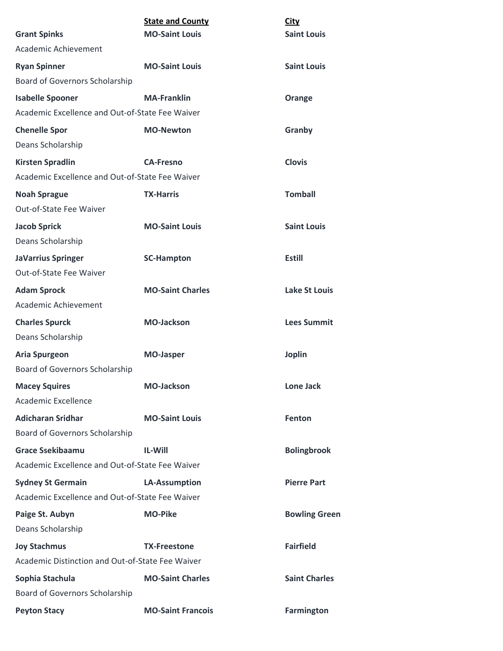|                                                  | <b>State and County</b>  | <b>City</b>          |
|--------------------------------------------------|--------------------------|----------------------|
| <b>Grant Spinks</b>                              | <b>MO-Saint Louis</b>    | <b>Saint Louis</b>   |
| Academic Achievement                             |                          |                      |
| <b>Ryan Spinner</b>                              | <b>MO-Saint Louis</b>    | <b>Saint Louis</b>   |
| Board of Governors Scholarship                   |                          |                      |
| <b>Isabelle Spooner</b>                          | <b>MA-Franklin</b>       | Orange               |
| Academic Excellence and Out-of-State Fee Waiver  |                          |                      |
| <b>Chenelle Spor</b>                             | <b>MO-Newton</b>         | Granby               |
| Deans Scholarship                                |                          |                      |
| <b>Kirsten Spradlin</b>                          | <b>CA-Fresno</b>         | <b>Clovis</b>        |
| Academic Excellence and Out-of-State Fee Waiver  |                          |                      |
| <b>Noah Sprague</b>                              | <b>TX-Harris</b>         | <b>Tomball</b>       |
| Out-of-State Fee Waiver                          |                          |                      |
| <b>Jacob Sprick</b>                              | <b>MO-Saint Louis</b>    | <b>Saint Louis</b>   |
| Deans Scholarship                                |                          |                      |
| <b>JaVarrius Springer</b>                        | <b>SC-Hampton</b>        | <b>Estill</b>        |
| Out-of-State Fee Waiver                          |                          |                      |
| <b>Adam Sprock</b>                               | <b>MO-Saint Charles</b>  | <b>Lake St Louis</b> |
| Academic Achievement                             |                          |                      |
| <b>Charles Spurck</b>                            | <b>MO-Jackson</b>        | <b>Lees Summit</b>   |
| Deans Scholarship                                |                          |                      |
| <b>Aria Spurgeon</b>                             | <b>MO-Jasper</b>         | <b>Joplin</b>        |
| Board of Governors Scholarship                   |                          |                      |
| <b>Macey Squires</b>                             | <b>MO-Jackson</b>        | <b>Lone Jack</b>     |
| Academic Excellence                              |                          |                      |
| <b>Adicharan Sridhar</b>                         | <b>MO-Saint Louis</b>    | <b>Fenton</b>        |
| Board of Governors Scholarship                   |                          |                      |
| <b>Grace Ssekibaamu</b>                          | IL-Will                  | <b>Bolingbrook</b>   |
| Academic Excellence and Out-of-State Fee Waiver  |                          |                      |
| <b>Sydney St Germain</b>                         | <b>LA-Assumption</b>     | <b>Pierre Part</b>   |
| Academic Excellence and Out-of-State Fee Waiver  |                          |                      |
| Paige St. Aubyn                                  | <b>MO-Pike</b>           | <b>Bowling Green</b> |
| Deans Scholarship                                |                          |                      |
| <b>Joy Stachmus</b>                              | <b>TX-Freestone</b>      | <b>Fairfield</b>     |
| Academic Distinction and Out-of-State Fee Waiver |                          |                      |
| Sophia Stachula                                  | <b>MO-Saint Charles</b>  | <b>Saint Charles</b> |
| Board of Governors Scholarship                   |                          |                      |
| <b>Peyton Stacy</b>                              | <b>MO-Saint Francois</b> | <b>Farmington</b>    |
|                                                  |                          |                      |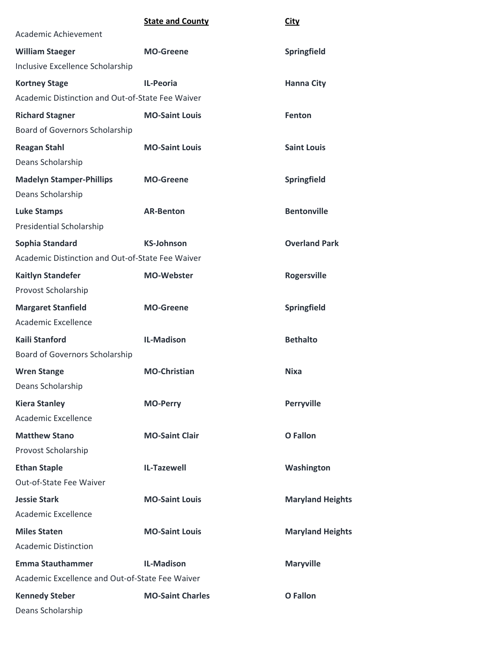|                                                      | <b>State and County</b> | <b>City</b>             |
|------------------------------------------------------|-------------------------|-------------------------|
| Academic Achievement                                 |                         |                         |
| <b>William Staeger</b>                               | <b>MO-Greene</b>        | Springfield             |
| Inclusive Excellence Scholarship                     |                         |                         |
| <b>Kortney Stage</b>                                 | <b>IL-Peoria</b>        | <b>Hanna City</b>       |
| Academic Distinction and Out-of-State Fee Waiver     |                         |                         |
| <b>Richard Stagner</b>                               | <b>MO-Saint Louis</b>   | Fenton                  |
| Board of Governors Scholarship                       |                         |                         |
| <b>Reagan Stahl</b>                                  | <b>MO-Saint Louis</b>   | <b>Saint Louis</b>      |
| Deans Scholarship                                    |                         |                         |
| <b>Madelyn Stamper-Phillips</b><br>Deans Scholarship | <b>MO-Greene</b>        | Springfield             |
| <b>Luke Stamps</b>                                   | <b>AR-Benton</b>        | <b>Bentonville</b>      |
| Presidential Scholarship                             |                         |                         |
| Sophia Standard                                      | <b>KS-Johnson</b>       | <b>Overland Park</b>    |
| Academic Distinction and Out-of-State Fee Waiver     |                         |                         |
| <b>Kaitlyn Standefer</b>                             | <b>MO-Webster</b>       | <b>Rogersville</b>      |
| Provost Scholarship                                  |                         |                         |
| <b>Margaret Stanfield</b>                            | <b>MO-Greene</b>        | Springfield             |
| Academic Excellence                                  |                         |                         |
| <b>Kaili Stanford</b>                                | <b>IL-Madison</b>       | <b>Bethalto</b>         |
| Board of Governors Scholarship                       |                         |                         |
| <b>Wren Stange</b>                                   | <b>MO-Christian</b>     | <b>Nixa</b>             |
| Deans Scholarship                                    |                         |                         |
| <b>Kiera Stanley</b>                                 | <b>MO-Perry</b>         | <b>Perryville</b>       |
| Academic Excellence                                  |                         |                         |
| <b>Matthew Stano</b>                                 | <b>MO-Saint Clair</b>   | <b>O</b> Fallon         |
| Provost Scholarship                                  |                         |                         |
| <b>Ethan Staple</b>                                  | <b>IL-Tazewell</b>      | Washington              |
| Out-of-State Fee Waiver                              |                         |                         |
| <b>Jessie Stark</b>                                  | <b>MO-Saint Louis</b>   | <b>Maryland Heights</b> |
| Academic Excellence                                  |                         |                         |
| <b>Miles Staten</b>                                  | <b>MO-Saint Louis</b>   | <b>Maryland Heights</b> |
| <b>Academic Distinction</b>                          |                         |                         |
| <b>Emma Stauthammer</b>                              | <b>IL-Madison</b>       | <b>Maryville</b>        |
| Academic Excellence and Out-of-State Fee Waiver      |                         |                         |
| <b>Kennedy Steber</b>                                | <b>MO-Saint Charles</b> | <b>O</b> Fallon         |
| Deans Scholarship                                    |                         |                         |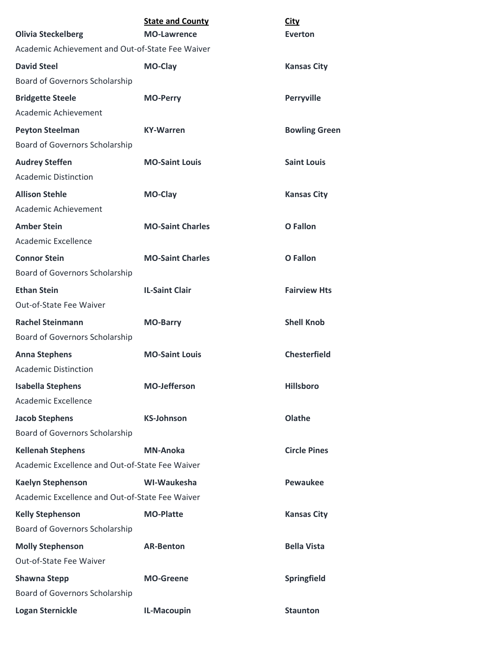| <b>Olivia Steckelberg</b>                            | <b>State and County</b><br><b>MO-Lawrence</b> | <b>City</b><br><b>Everton</b> |
|------------------------------------------------------|-----------------------------------------------|-------------------------------|
| Academic Achievement and Out-of-State Fee Waiver     |                                               |                               |
| <b>David Steel</b>                                   | <b>MO-Clay</b>                                | <b>Kansas City</b>            |
| Board of Governors Scholarship                       |                                               |                               |
| <b>Bridgette Steele</b>                              | <b>MO-Perry</b>                               | <b>Perryville</b>             |
| Academic Achievement                                 |                                               |                               |
| <b>Peyton Steelman</b>                               | <b>KY-Warren</b>                              | <b>Bowling Green</b>          |
| Board of Governors Scholarship                       |                                               |                               |
| <b>Audrey Steffen</b><br><b>Academic Distinction</b> | <b>MO-Saint Louis</b>                         | <b>Saint Louis</b>            |
| <b>Allison Stehle</b>                                | <b>MO-Clay</b>                                | <b>Kansas City</b>            |
| Academic Achievement                                 |                                               |                               |
| <b>Amber Stein</b>                                   | <b>MO-Saint Charles</b>                       | <b>O</b> Fallon               |
| Academic Excellence                                  |                                               |                               |
| <b>Connor Stein</b>                                  | <b>MO-Saint Charles</b>                       | <b>O</b> Fallon               |
| Board of Governors Scholarship                       |                                               |                               |
| <b>Ethan Stein</b>                                   | <b>IL-Saint Clair</b>                         | <b>Fairview Hts</b>           |
| <b>Out-of-State Fee Waiver</b>                       |                                               |                               |
| <b>Rachel Steinmann</b>                              | <b>MO-Barry</b>                               | <b>Shell Knob</b>             |
| Board of Governors Scholarship                       |                                               |                               |
| <b>Anna Stephens</b>                                 | <b>MO-Saint Louis</b>                         | <b>Chesterfield</b>           |
| <b>Academic Distinction</b>                          |                                               |                               |
| <b>Isabella Stephens</b>                             | <b>MO-Jefferson</b>                           | <b>Hillsboro</b>              |
| <b>Academic Excellence</b>                           |                                               |                               |
| <b>Jacob Stephens</b>                                | <b>KS-Johnson</b>                             | Olathe                        |
| Board of Governors Scholarship                       |                                               |                               |
| <b>Kellenah Stephens</b>                             | <b>MN-Anoka</b>                               | <b>Circle Pines</b>           |
| Academic Excellence and Out-of-State Fee Waiver      |                                               |                               |
| <b>Kaelyn Stephenson</b>                             | WI-Waukesha                                   | <b>Pewaukee</b>               |
| Academic Excellence and Out-of-State Fee Waiver      |                                               |                               |
| <b>Kelly Stephenson</b>                              | <b>MO-Platte</b>                              | <b>Kansas City</b>            |
| Board of Governors Scholarship                       |                                               |                               |
| <b>Molly Stephenson</b>                              | <b>AR-Benton</b>                              | <b>Bella Vista</b>            |
| Out-of-State Fee Waiver                              |                                               |                               |
| <b>Shawna Stepp</b>                                  | <b>MO-Greene</b>                              | Springfield                   |
| Board of Governors Scholarship                       |                                               |                               |
| <b>Logan Sternickle</b>                              | IL-Macoupin                                   | <b>Staunton</b>               |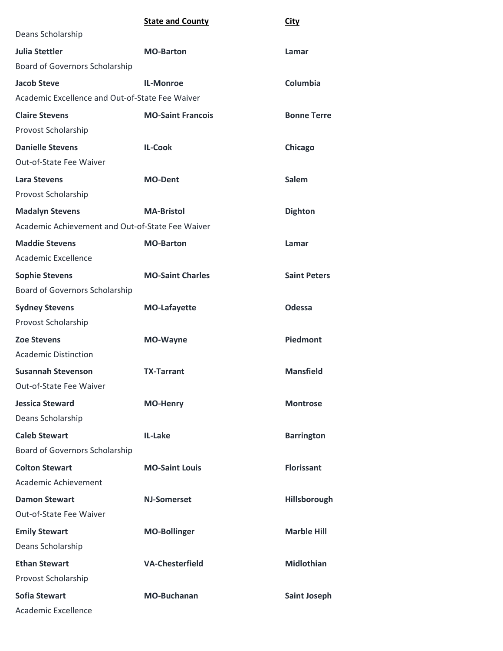|                                                  | <b>State and County</b>  | <b>City</b>         |
|--------------------------------------------------|--------------------------|---------------------|
| Deans Scholarship                                |                          |                     |
| <b>Julia Stettler</b>                            | <b>MO-Barton</b>         | Lamar               |
| Board of Governors Scholarship                   |                          |                     |
| <b>Jacob Steve</b>                               | <b>IL-Monroe</b>         | Columbia            |
| Academic Excellence and Out-of-State Fee Waiver  |                          |                     |
| <b>Claire Stevens</b>                            | <b>MO-Saint Francois</b> | <b>Bonne Terre</b>  |
| Provost Scholarship                              |                          |                     |
| <b>Danielle Stevens</b>                          | <b>IL-Cook</b>           | Chicago             |
| <b>Out-of-State Fee Waiver</b>                   |                          |                     |
| <b>Lara Stevens</b>                              | <b>MO-Dent</b>           | Salem               |
| Provost Scholarship                              |                          |                     |
| <b>Madalyn Stevens</b>                           | <b>MA-Bristol</b>        | <b>Dighton</b>      |
| Academic Achievement and Out-of-State Fee Waiver |                          |                     |
| <b>Maddie Stevens</b>                            | <b>MO-Barton</b>         | Lamar               |
| <b>Academic Excellence</b>                       |                          |                     |
| <b>Sophie Stevens</b>                            | <b>MO-Saint Charles</b>  | <b>Saint Peters</b> |
| <b>Board of Governors Scholarship</b>            |                          |                     |
| <b>Sydney Stevens</b>                            | <b>MO-Lafayette</b>      | Odessa              |
| Provost Scholarship                              |                          |                     |
| <b>Zoe Stevens</b>                               | <b>MO-Wayne</b>          | Piedmont            |
| <b>Academic Distinction</b>                      |                          |                     |
| <b>Susannah Stevenson</b>                        | <b>TX-Tarrant</b>        | <b>Mansfield</b>    |
| Out-of-State Fee Waiver                          |                          |                     |
| <b>Jessica Steward</b>                           | <b>MO-Henry</b>          | <b>Montrose</b>     |
| Deans Scholarship                                |                          |                     |
| <b>Caleb Stewart</b>                             | IL-Lake                  | <b>Barrington</b>   |
| Board of Governors Scholarship                   |                          |                     |
| <b>Colton Stewart</b>                            | <b>MO-Saint Louis</b>    | <b>Florissant</b>   |
| Academic Achievement                             |                          |                     |
| <b>Damon Stewart</b>                             | <b>NJ-Somerset</b>       | Hillsborough        |
| <b>Out-of-State Fee Waiver</b>                   |                          |                     |
| <b>Emily Stewart</b>                             | <b>MO-Bollinger</b>      | <b>Marble Hill</b>  |
| Deans Scholarship                                |                          |                     |
| <b>Ethan Stewart</b>                             | <b>VA-Chesterfield</b>   | <b>Midlothian</b>   |
| Provost Scholarship                              |                          |                     |
| <b>Sofia Stewart</b>                             | <b>MO-Buchanan</b>       | <b>Saint Joseph</b> |
| Academic Excellence                              |                          |                     |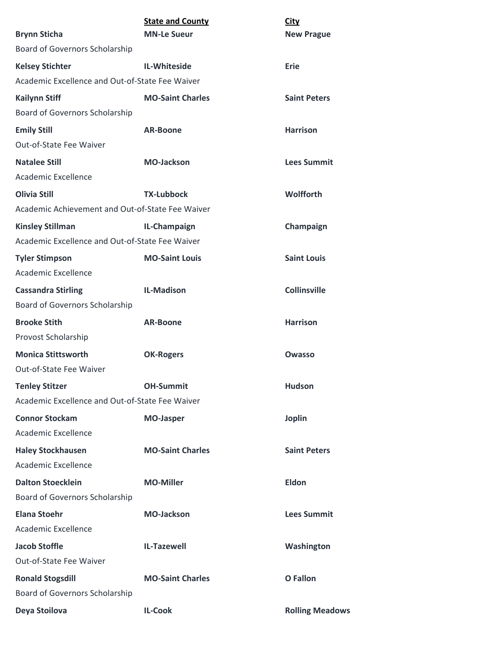| <b>Brynn Sticha</b>                              | <b>State and County</b><br><b>MN-Le Sueur</b> | <b>City</b><br><b>New Prague</b> |
|--------------------------------------------------|-----------------------------------------------|----------------------------------|
| Board of Governors Scholarship                   |                                               |                                  |
| <b>Kelsey Stichter</b>                           | <b>IL-Whiteside</b>                           | Erie                             |
| Academic Excellence and Out-of-State Fee Waiver  |                                               |                                  |
| <b>Kailynn Stiff</b>                             | <b>MO-Saint Charles</b>                       | <b>Saint Peters</b>              |
| Board of Governors Scholarship                   |                                               |                                  |
| <b>Emily Still</b>                               | <b>AR-Boone</b>                               | <b>Harrison</b>                  |
| Out-of-State Fee Waiver                          |                                               |                                  |
| <b>Natalee Still</b>                             | <b>MO-Jackson</b>                             | <b>Lees Summit</b>               |
| Academic Excellence                              |                                               |                                  |
| <b>Olivia Still</b>                              | <b>TX-Lubbock</b>                             | <b>Wolfforth</b>                 |
| Academic Achievement and Out-of-State Fee Waiver |                                               |                                  |
| <b>Kinsley Stillman</b>                          | IL-Champaign                                  | Champaign                        |
| Academic Excellence and Out-of-State Fee Waiver  |                                               |                                  |
| <b>Tyler Stimpson</b>                            | <b>MO-Saint Louis</b>                         | <b>Saint Louis</b>               |
| Academic Excellence                              |                                               |                                  |
| <b>Cassandra Stirling</b>                        | <b>IL-Madison</b>                             | <b>Collinsville</b>              |
| Board of Governors Scholarship                   |                                               |                                  |
| <b>Brooke Stith</b>                              | <b>AR-Boone</b>                               | <b>Harrison</b>                  |
| Provost Scholarship                              |                                               |                                  |
| <b>Monica Stittsworth</b>                        | <b>OK-Rogers</b>                              | Owasso                           |
| Out-of-State Fee Waiver                          |                                               |                                  |
| <b>Tenley Stitzer</b>                            | <b>OH-Summit</b>                              | <b>Hudson</b>                    |
| Academic Excellence and Out-of-State Fee Waiver  |                                               |                                  |
| <b>Connor Stockam</b>                            | <b>MO-Jasper</b>                              | <b>Joplin</b>                    |
| <b>Academic Excellence</b>                       |                                               |                                  |
| <b>Haley Stockhausen</b>                         | <b>MO-Saint Charles</b>                       | <b>Saint Peters</b>              |
| <b>Academic Excellence</b>                       |                                               |                                  |
| <b>Dalton Stoecklein</b>                         | <b>MO-Miller</b>                              | Eldon                            |
| Board of Governors Scholarship                   |                                               |                                  |
| <b>Elana Stoehr</b>                              | <b>MO-Jackson</b>                             | <b>Lees Summit</b>               |
| <b>Academic Excellence</b>                       |                                               |                                  |
| <b>Jacob Stoffle</b>                             | <b>IL-Tazewell</b>                            | Washington                       |
| Out-of-State Fee Waiver                          |                                               |                                  |
| <b>Ronald Stogsdill</b>                          | <b>MO-Saint Charles</b>                       | <b>O</b> Fallon                  |
| Board of Governors Scholarship                   |                                               |                                  |
| Deya Stoilova                                    | <b>IL-Cook</b>                                | <b>Rolling Meadows</b>           |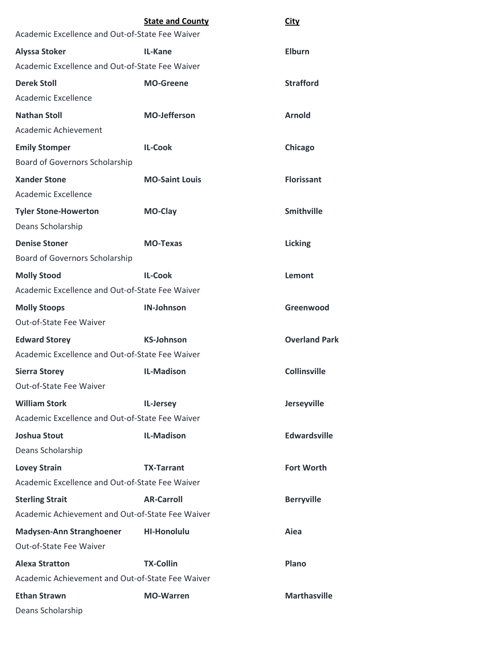|                                                  | <b>State and County</b> | <b>City</b>          |
|--------------------------------------------------|-------------------------|----------------------|
| Academic Excellence and Out-of-State Fee Waiver  |                         |                      |
| <b>Alyssa Stoker</b>                             | IL-Kane                 | <b>Elburn</b>        |
| Academic Excellence and Out-of-State Fee Waiver  |                         |                      |
| <b>Derek Stoll</b>                               | <b>MO-Greene</b>        | <b>Strafford</b>     |
| Academic Excellence                              |                         |                      |
| <b>Nathan Stoll</b>                              | <b>MO-Jefferson</b>     | <b>Arnold</b>        |
| Academic Achievement                             |                         |                      |
| <b>Emily Stomper</b>                             | <b>IL-Cook</b>          | Chicago              |
| Board of Governors Scholarship                   |                         |                      |
| <b>Xander Stone</b>                              | <b>MO-Saint Louis</b>   | <b>Florissant</b>    |
| Academic Excellence                              |                         |                      |
| <b>Tyler Stone-Howerton</b>                      | MO-Clay                 | <b>Smithville</b>    |
| Deans Scholarship                                |                         |                      |
| <b>Denise Stoner</b>                             | <b>MO-Texas</b>         | <b>Licking</b>       |
| Board of Governors Scholarship                   |                         |                      |
| <b>Molly Stood</b>                               | <b>IL-Cook</b>          | Lemont               |
| Academic Excellence and Out-of-State Fee Waiver  |                         |                      |
| <b>Molly Stoops</b>                              | <b>IN-Johnson</b>       | Greenwood            |
| Out-of-State Fee Waiver                          |                         |                      |
| <b>Edward Storey</b>                             | <b>KS-Johnson</b>       | <b>Overland Park</b> |
| Academic Excellence and Out-of-State Fee Waiver  |                         |                      |
| <b>Sierra Storey</b>                             | <b>IL-Madison</b>       | <b>Collinsville</b>  |
| Out-of-State Fee Waiver                          |                         |                      |
| <b>William Stork</b>                             | IL-Jersey               | Jerseyville          |
| Academic Excellence and Out-of-State Fee Waiver  |                         |                      |
| <b>Joshua Stout</b>                              | <b>IL-Madison</b>       | <b>Edwardsville</b>  |
| Deans Scholarship                                |                         |                      |
| <b>Lovey Strain</b>                              | <b>TX-Tarrant</b>       | <b>Fort Worth</b>    |
| Academic Excellence and Out-of-State Fee Waiver  |                         |                      |
| <b>Sterling Strait</b>                           | <b>AR-Carroll</b>       | <b>Berryville</b>    |
| Academic Achievement and Out-of-State Fee Waiver |                         |                      |
| Madysen-Ann Stranghoener                         | <b>HI-Honolulu</b>      | Aiea                 |
| Out-of-State Fee Waiver                          |                         |                      |
| <b>Alexa Stratton</b>                            | <b>TX-Collin</b>        | Plano                |
| Academic Achievement and Out-of-State Fee Waiver |                         |                      |
| <b>Ethan Strawn</b>                              | <b>MO-Warren</b>        | <b>Marthasville</b>  |
| Deans Scholarship                                |                         |                      |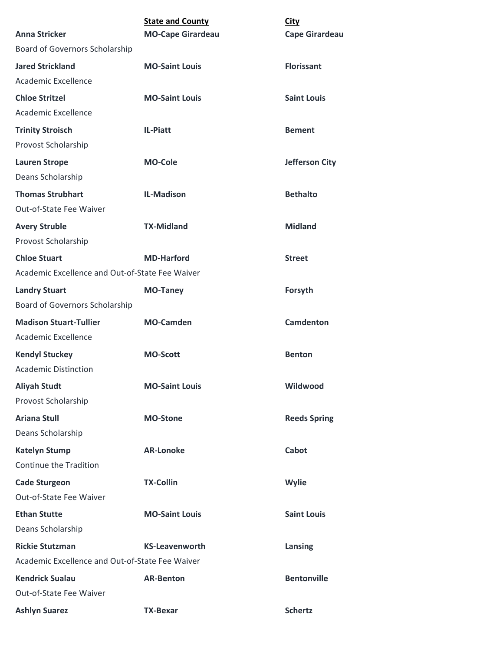|                                                 | <b>State and County</b>  | <b>City</b>           |
|-------------------------------------------------|--------------------------|-----------------------|
| <b>Anna Stricker</b>                            | <b>MO-Cape Girardeau</b> | <b>Cape Girardeau</b> |
| Board of Governors Scholarship                  |                          |                       |
| <b>Jared Strickland</b>                         | <b>MO-Saint Louis</b>    | <b>Florissant</b>     |
| Academic Excellence                             |                          |                       |
| <b>Chloe Stritzel</b>                           | <b>MO-Saint Louis</b>    | <b>Saint Louis</b>    |
| Academic Excellence                             |                          |                       |
| <b>Trinity Stroisch</b>                         | IL-Piatt                 | <b>Bement</b>         |
| Provost Scholarship                             |                          |                       |
| <b>Lauren Strope</b>                            | <b>MO-Cole</b>           | <b>Jefferson City</b> |
| Deans Scholarship                               |                          |                       |
| <b>Thomas Strubhart</b>                         | <b>IL-Madison</b>        | <b>Bethalto</b>       |
| Out-of-State Fee Waiver                         |                          |                       |
| <b>Avery Struble</b>                            | <b>TX-Midland</b>        | <b>Midland</b>        |
| Provost Scholarship                             |                          |                       |
| <b>Chloe Stuart</b>                             | <b>MD-Harford</b>        | <b>Street</b>         |
| Academic Excellence and Out-of-State Fee Waiver |                          |                       |
| <b>Landry Stuart</b>                            | <b>MO-Taney</b>          | Forsyth               |
| Board of Governors Scholarship                  |                          |                       |
| <b>Madison Stuart-Tullier</b>                   | <b>MO-Camden</b>         | <b>Camdenton</b>      |
| Academic Excellence                             |                          |                       |
| <b>Kendyl Stuckey</b>                           | <b>MO-Scott</b>          | <b>Benton</b>         |
| <b>Academic Distinction</b>                     |                          |                       |
| <b>Aliyah Studt</b>                             | <b>MO-Saint Louis</b>    | Wildwood              |
| Provost Scholarship                             |                          |                       |
| <b>Ariana Stull</b>                             | <b>MO-Stone</b>          | <b>Reeds Spring</b>   |
| Deans Scholarship                               |                          |                       |
| <b>Katelyn Stump</b>                            | <b>AR-Lonoke</b>         | Cabot                 |
| Continue the Tradition                          |                          |                       |
| <b>Cade Sturgeon</b>                            | <b>TX-Collin</b>         | Wylie                 |
| Out-of-State Fee Waiver                         |                          |                       |
| <b>Ethan Stutte</b>                             | <b>MO-Saint Louis</b>    | <b>Saint Louis</b>    |
| Deans Scholarship                               |                          |                       |
| <b>Rickie Stutzman</b>                          | <b>KS-Leavenworth</b>    | Lansing               |
| Academic Excellence and Out-of-State Fee Waiver |                          |                       |
| <b>Kendrick Sualau</b>                          | <b>AR-Benton</b>         | <b>Bentonville</b>    |
| Out-of-State Fee Waiver                         |                          |                       |
| <b>Ashlyn Suarez</b>                            | <b>TX-Bexar</b>          | <b>Schertz</b>        |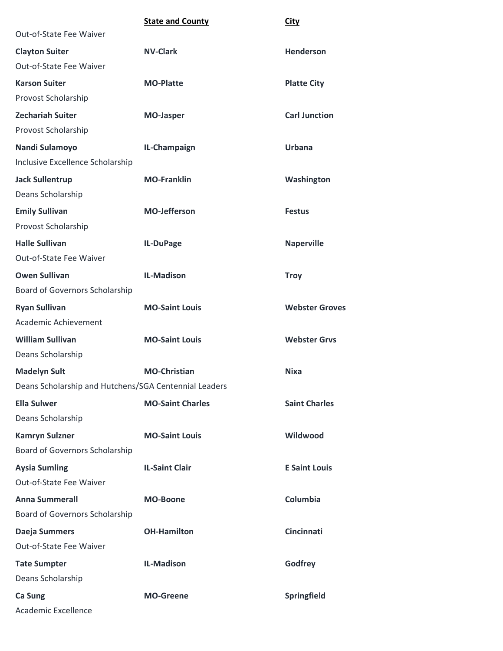|                                                       | <b>State and County</b> | <b>City</b>           |
|-------------------------------------------------------|-------------------------|-----------------------|
| Out-of-State Fee Waiver                               |                         |                       |
| <b>Clayton Suiter</b>                                 | <b>NV-Clark</b>         | <b>Henderson</b>      |
| Out-of-State Fee Waiver                               |                         |                       |
| <b>Karson Suiter</b>                                  | <b>MO-Platte</b>        | <b>Platte City</b>    |
| Provost Scholarship                                   |                         |                       |
| <b>Zechariah Suiter</b>                               | <b>MO-Jasper</b>        | <b>Carl Junction</b>  |
| Provost Scholarship                                   |                         |                       |
| Nandi Sulamoyo                                        | IL-Champaign            | <b>Urbana</b>         |
| Inclusive Excellence Scholarship                      |                         |                       |
| <b>Jack Sullentrup</b>                                | <b>MO-Franklin</b>      | Washington            |
| Deans Scholarship                                     |                         |                       |
| <b>Emily Sullivan</b>                                 | <b>MO-Jefferson</b>     | <b>Festus</b>         |
| Provost Scholarship                                   |                         |                       |
| <b>Halle Sullivan</b>                                 | IL-DuPage               | <b>Naperville</b>     |
| Out-of-State Fee Waiver                               |                         |                       |
| <b>Owen Sullivan</b>                                  | <b>IL-Madison</b>       | <b>Troy</b>           |
| Board of Governors Scholarship                        |                         |                       |
| <b>Ryan Sullivan</b>                                  | <b>MO-Saint Louis</b>   | <b>Webster Groves</b> |
| Academic Achievement                                  |                         |                       |
| <b>William Sullivan</b>                               | <b>MO-Saint Louis</b>   | <b>Webster Grvs</b>   |
| Deans Scholarship                                     |                         |                       |
| <b>Madelyn Sult</b>                                   | <b>MO-Christian</b>     | <b>Nixa</b>           |
| Deans Scholarship and Hutchens/SGA Centennial Leaders |                         |                       |
| <b>Ella Sulwer</b>                                    | <b>MO-Saint Charles</b> | <b>Saint Charles</b>  |
| Deans Scholarship                                     |                         |                       |
| <b>Kamryn Sulzner</b>                                 | <b>MO-Saint Louis</b>   | Wildwood              |
| Board of Governors Scholarship                        |                         |                       |
| <b>Aysia Sumling</b>                                  | <b>IL-Saint Clair</b>   | <b>E Saint Louis</b>  |
| Out-of-State Fee Waiver                               |                         |                       |
| <b>Anna Summerall</b>                                 | <b>MO-Boone</b>         | Columbia              |
| Board of Governors Scholarship                        |                         |                       |
| Daeja Summers                                         | <b>OH-Hamilton</b>      | <b>Cincinnati</b>     |
| Out-of-State Fee Waiver                               |                         |                       |
| <b>Tate Sumpter</b>                                   | <b>IL-Madison</b>       | Godfrey               |
| Deans Scholarship                                     |                         |                       |
| Ca Sung                                               | <b>MO-Greene</b>        | Springfield           |
| Academic Excellence                                   |                         |                       |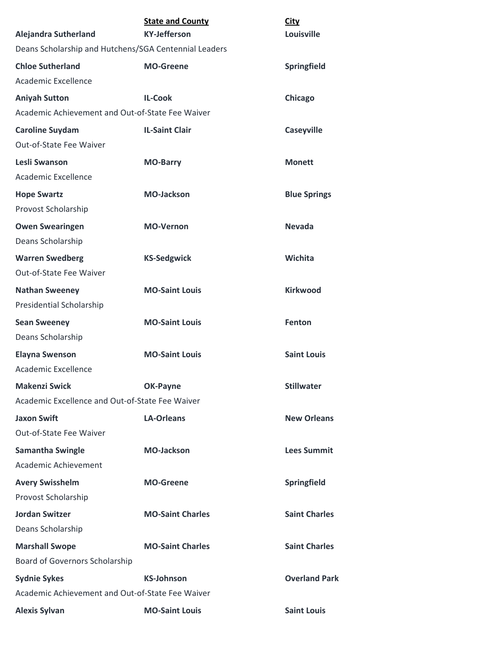| <b>Alejandra Sutherland</b>                           | <b>State and County</b><br><b>KY-Jefferson</b> | <b>City</b><br>Louisville |
|-------------------------------------------------------|------------------------------------------------|---------------------------|
| Deans Scholarship and Hutchens/SGA Centennial Leaders |                                                |                           |
| <b>Chloe Sutherland</b><br>Academic Excellence        | <b>MO-Greene</b>                               | <b>Springfield</b>        |
| <b>Aniyah Sutton</b>                                  | <b>IL-Cook</b>                                 | Chicago                   |
| Academic Achievement and Out-of-State Fee Waiver      |                                                |                           |
| <b>Caroline Suydam</b>                                | <b>IL-Saint Clair</b>                          | <b>Caseyville</b>         |
| Out-of-State Fee Waiver                               |                                                |                           |
| Lesli Swanson<br>Academic Excellence                  | <b>MO-Barry</b>                                | <b>Monett</b>             |
| <b>Hope Swartz</b>                                    | <b>MO-Jackson</b>                              | <b>Blue Springs</b>       |
| Provost Scholarship                                   |                                                |                           |
| <b>Owen Swearingen</b><br>Deans Scholarship           | <b>MO-Vernon</b>                               | <b>Nevada</b>             |
| <b>Warren Swedberg</b>                                | <b>KS-Sedgwick</b>                             | Wichita                   |
| Out-of-State Fee Waiver                               |                                                |                           |
| <b>Nathan Sweeney</b><br>Presidential Scholarship     | <b>MO-Saint Louis</b>                          | <b>Kirkwood</b>           |
| <b>Sean Sweeney</b>                                   | <b>MO-Saint Louis</b>                          | <b>Fenton</b>             |
| Deans Scholarship                                     |                                                |                           |
| <b>Elayna Swenson</b>                                 | <b>MO-Saint Louis</b>                          | <b>Saint Louis</b>        |
| Academic Excellence                                   |                                                |                           |
| <b>Makenzi Swick</b>                                  | OK-Payne                                       | <b>Stillwater</b>         |
| Academic Excellence and Out-of-State Fee Waiver       |                                                |                           |
| <b>Jaxon Swift</b><br>Out-of-State Fee Waiver         | <b>LA-Orleans</b>                              | <b>New Orleans</b>        |
| <b>Samantha Swingle</b>                               | <b>MO-Jackson</b>                              | <b>Lees Summit</b>        |
| Academic Achievement                                  |                                                |                           |
| <b>Avery Swisshelm</b><br>Provost Scholarship         | <b>MO-Greene</b>                               | Springfield               |
| <b>Jordan Switzer</b>                                 | <b>MO-Saint Charles</b>                        | <b>Saint Charles</b>      |
| Deans Scholarship                                     |                                                |                           |
| <b>Marshall Swope</b>                                 | <b>MO-Saint Charles</b>                        | <b>Saint Charles</b>      |
| Board of Governors Scholarship                        |                                                |                           |
| <b>Sydnie Sykes</b>                                   | <b>KS-Johnson</b>                              | <b>Overland Park</b>      |
| Academic Achievement and Out-of-State Fee Waiver      |                                                |                           |
| <b>Alexis Sylvan</b>                                  | <b>MO-Saint Louis</b>                          | <b>Saint Louis</b>        |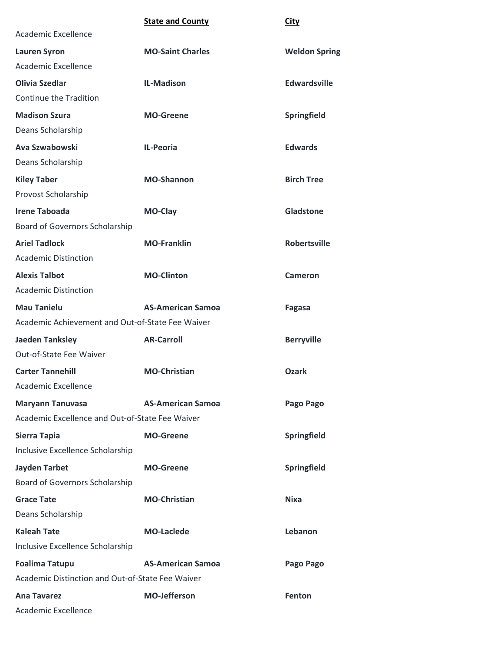|                                                  | <b>State and County</b>  | <b>City</b>          |
|--------------------------------------------------|--------------------------|----------------------|
| Academic Excellence                              |                          |                      |
| <b>Lauren Syron</b>                              | <b>MO-Saint Charles</b>  | <b>Weldon Spring</b> |
| Academic Excellence                              |                          |                      |
| <b>Olivia Szedlar</b>                            | <b>IL-Madison</b>        | <b>Edwardsville</b>  |
| Continue the Tradition                           |                          |                      |
| <b>Madison Szura</b>                             | <b>MO-Greene</b>         | Springfield          |
| Deans Scholarship                                |                          |                      |
| Ava Szwabowski                                   | <b>IL-Peoria</b>         | <b>Edwards</b>       |
| Deans Scholarship                                |                          |                      |
| <b>Kiley Taber</b>                               | <b>MO-Shannon</b>        | <b>Birch Tree</b>    |
| Provost Scholarship                              |                          |                      |
| <b>Irene Taboada</b>                             | MO-Clay                  | Gladstone            |
| Board of Governors Scholarship                   |                          |                      |
| <b>Ariel Tadlock</b>                             | <b>MO-Franklin</b>       | <b>Robertsville</b>  |
| <b>Academic Distinction</b>                      |                          |                      |
| <b>Alexis Talbot</b>                             | <b>MO-Clinton</b>        | <b>Cameron</b>       |
| <b>Academic Distinction</b>                      |                          |                      |
| <b>Mau Tanielu</b>                               | <b>AS-American Samoa</b> | Fagasa               |
| Academic Achievement and Out-of-State Fee Waiver |                          |                      |
| <b>Jaeden Tanksley</b>                           | <b>AR-Carroll</b>        | <b>Berryville</b>    |
| Out-of-State Fee Waiver                          |                          |                      |
| <b>Carter Tannehill</b>                          | <b>MO-Christian</b>      | Ozark                |
| <b>Academic Excellence</b>                       |                          |                      |
| <b>Maryann Tanuvasa</b>                          | <b>AS-American Samoa</b> | Pago Pago            |
| Academic Excellence and Out-of-State Fee Waiver  |                          |                      |
| Sierra Tapia                                     | <b>MO-Greene</b>         | Springfield          |
| Inclusive Excellence Scholarship                 |                          |                      |
| <b>Jayden Tarbet</b>                             | <b>MO-Greene</b>         | Springfield          |
| Board of Governors Scholarship                   |                          |                      |
| <b>Grace Tate</b>                                | <b>MO-Christian</b>      | <b>Nixa</b>          |
| Deans Scholarship                                |                          |                      |
| <b>Kaleah Tate</b>                               | <b>MO-Laclede</b>        | Lebanon              |
| Inclusive Excellence Scholarship                 |                          |                      |
| <b>Foalima Tatupu</b>                            | <b>AS-American Samoa</b> | Pago Pago            |
| Academic Distinction and Out-of-State Fee Waiver |                          |                      |
| <b>Ana Tavarez</b>                               | <b>MO-Jefferson</b>      | Fenton               |
| Academic Excellence                              |                          |                      |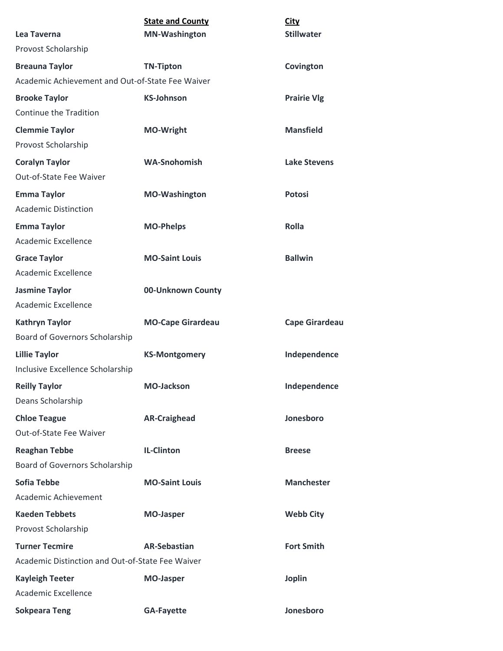| Lea Taverna                                                               | <b>State and County</b><br><b>MN-Washington</b> | <b>City</b><br><b>Stillwater</b> |
|---------------------------------------------------------------------------|-------------------------------------------------|----------------------------------|
| Provost Scholarship                                                       |                                                 |                                  |
| <b>Breauna Taylor</b>                                                     | <b>TN-Tipton</b>                                | Covington                        |
| Academic Achievement and Out-of-State Fee Waiver                          |                                                 |                                  |
| <b>Brooke Taylor</b>                                                      | <b>KS-Johnson</b>                               | <b>Prairie Vlg</b>               |
| Continue the Tradition                                                    |                                                 |                                  |
| <b>Clemmie Taylor</b>                                                     | <b>MO-Wright</b>                                | <b>Mansfield</b>                 |
| Provost Scholarship                                                       |                                                 |                                  |
| <b>Coralyn Taylor</b><br>Out-of-State Fee Waiver                          | <b>WA-Snohomish</b>                             | <b>Lake Stevens</b>              |
| <b>Emma Taylor</b><br><b>Academic Distinction</b>                         | <b>MO-Washington</b>                            | <b>Potosi</b>                    |
| <b>Emma Taylor</b><br>Academic Excellence                                 | <b>MO-Phelps</b>                                | Rolla                            |
| <b>Grace Taylor</b><br>Academic Excellence                                | <b>MO-Saint Louis</b>                           | <b>Ballwin</b>                   |
| <b>Jasmine Taylor</b><br>Academic Excellence                              | 00-Unknown County                               |                                  |
| <b>Kathryn Taylor</b><br>Board of Governors Scholarship                   | <b>MO-Cape Girardeau</b>                        | <b>Cape Girardeau</b>            |
| <b>Lillie Taylor</b><br>Inclusive Excellence Scholarship                  | <b>KS-Montgomery</b>                            | Independence                     |
| <b>Reilly Taylor</b><br>Deans Scholarship                                 | <b>MO-Jackson</b>                               | Independence                     |
| <b>Chloe Teague</b><br>Out-of-State Fee Waiver                            | <b>AR-Craighead</b>                             | Jonesboro                        |
| <b>Reaghan Tebbe</b><br>Board of Governors Scholarship                    | <b>IL-Clinton</b>                               | <b>Breese</b>                    |
| <b>Sofia Tebbe</b><br>Academic Achievement                                | <b>MO-Saint Louis</b>                           | <b>Manchester</b>                |
| <b>Kaeden Tebbets</b><br>Provost Scholarship                              | <b>MO-Jasper</b>                                | <b>Webb City</b>                 |
| <b>Turner Tecmire</b><br>Academic Distinction and Out-of-State Fee Waiver | <b>AR-Sebastian</b>                             | <b>Fort Smith</b>                |
| <b>Kayleigh Teeter</b>                                                    | <b>MO-Jasper</b>                                | <b>Joplin</b>                    |
| Academic Excellence                                                       |                                                 |                                  |
| <b>Sokpeara Teng</b>                                                      | <b>GA-Fayette</b>                               | Jonesboro                        |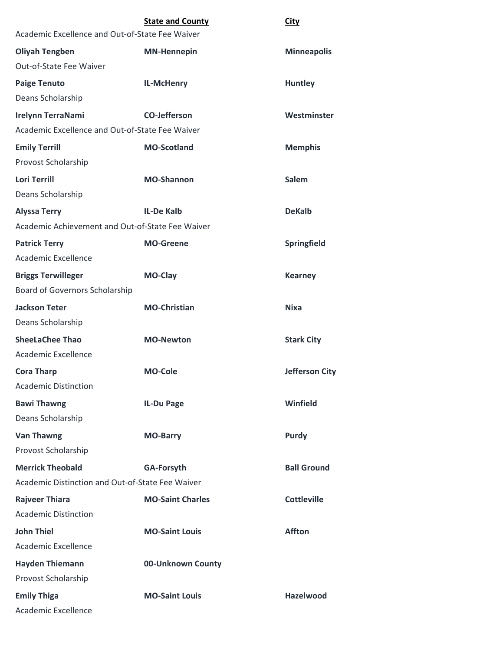|                                                  | <b>State and County</b> | City                  |
|--------------------------------------------------|-------------------------|-----------------------|
| Academic Excellence and Out-of-State Fee Waiver  |                         |                       |
| <b>Oliyah Tengben</b>                            | <b>MN-Hennepin</b>      | <b>Minneapolis</b>    |
| Out-of-State Fee Waiver                          |                         |                       |
| <b>Paige Tenuto</b>                              | <b>IL-McHenry</b>       | <b>Huntley</b>        |
| Deans Scholarship                                |                         |                       |
| <b>Irelynn TerraNami</b>                         | <b>CO-Jefferson</b>     | Westminster           |
| Academic Excellence and Out-of-State Fee Waiver  |                         |                       |
| <b>Emily Terrill</b>                             | <b>MO-Scotland</b>      | <b>Memphis</b>        |
| Provost Scholarship                              |                         |                       |
| <b>Lori Terrill</b>                              | <b>MO-Shannon</b>       | <b>Salem</b>          |
| Deans Scholarship                                |                         |                       |
| <b>Alyssa Terry</b>                              | <b>IL-De Kalb</b>       | <b>DeKalb</b>         |
| Academic Achievement and Out-of-State Fee Waiver |                         |                       |
| <b>Patrick Terry</b>                             | <b>MO-Greene</b>        | Springfield           |
| Academic Excellence                              |                         |                       |
| <b>Briggs Terwilleger</b>                        | <b>MO-Clay</b>          | <b>Kearney</b>        |
| Board of Governors Scholarship                   |                         |                       |
| <b>Jackson Teter</b>                             | <b>MO-Christian</b>     | <b>Nixa</b>           |
| Deans Scholarship                                |                         |                       |
| <b>SheeLaChee Thao</b>                           | <b>MO-Newton</b>        | <b>Stark City</b>     |
| Academic Excellence                              |                         |                       |
| <b>Cora Tharp</b>                                | <b>MO-Cole</b>          | <b>Jefferson City</b> |
| <b>Academic Distinction</b>                      |                         |                       |
| <b>Bawi Thawng</b>                               | IL-Du Page              | <b>Winfield</b>       |
| Deans Scholarship                                |                         |                       |
| <b>Van Thawng</b>                                | <b>MO-Barry</b>         | Purdy                 |
| Provost Scholarship                              |                         |                       |
| <b>Merrick Theobald</b>                          | <b>GA-Forsyth</b>       | <b>Ball Ground</b>    |
| Academic Distinction and Out-of-State Fee Waiver |                         |                       |
| <b>Rajveer Thiara</b>                            | <b>MO-Saint Charles</b> | <b>Cottleville</b>    |
| <b>Academic Distinction</b>                      |                         |                       |
| <b>John Thiel</b>                                | <b>MO-Saint Louis</b>   | <b>Affton</b>         |
| Academic Excellence                              |                         |                       |
| <b>Hayden Thiemann</b>                           | 00-Unknown County       |                       |
| Provost Scholarship                              |                         |                       |
| <b>Emily Thiga</b>                               | <b>MO-Saint Louis</b>   | <b>Hazelwood</b>      |
| Academic Excellence                              |                         |                       |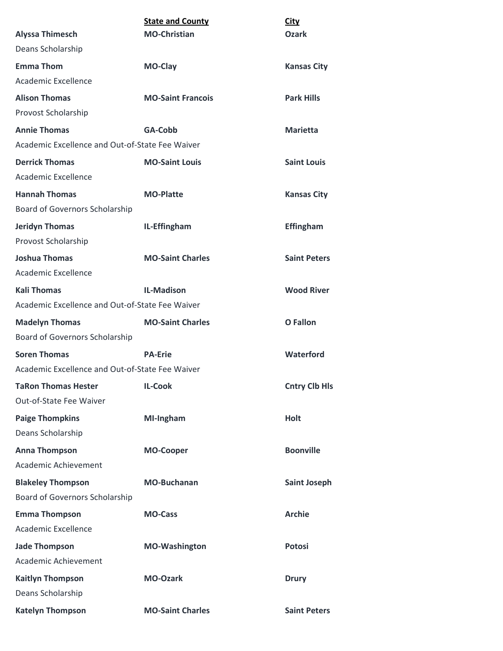|                                                 | <b>State and County</b>  | <b>City</b>          |
|-------------------------------------------------|--------------------------|----------------------|
| <b>Alyssa Thimesch</b>                          | <b>MO-Christian</b>      | Ozark                |
| Deans Scholarship                               |                          |                      |
| <b>Emma Thom</b>                                | MO-Clay                  | <b>Kansas City</b>   |
| Academic Excellence                             |                          |                      |
| <b>Alison Thomas</b>                            | <b>MO-Saint Francois</b> | <b>Park Hills</b>    |
| Provost Scholarship                             |                          |                      |
| <b>Annie Thomas</b>                             | GA-Cobb                  | <b>Marietta</b>      |
| Academic Excellence and Out-of-State Fee Waiver |                          |                      |
| <b>Derrick Thomas</b>                           | <b>MO-Saint Louis</b>    | <b>Saint Louis</b>   |
| Academic Excellence                             |                          |                      |
| <b>Hannah Thomas</b>                            | <b>MO-Platte</b>         | <b>Kansas City</b>   |
| Board of Governors Scholarship                  |                          |                      |
| <b>Jeridyn Thomas</b>                           | IL-Effingham             | <b>Effingham</b>     |
| Provost Scholarship                             |                          |                      |
| <b>Joshua Thomas</b>                            | <b>MO-Saint Charles</b>  | <b>Saint Peters</b>  |
| Academic Excellence                             |                          |                      |
| <b>Kali Thomas</b>                              | <b>IL-Madison</b>        | <b>Wood River</b>    |
| Academic Excellence and Out-of-State Fee Waiver |                          |                      |
| <b>Madelyn Thomas</b>                           | <b>MO-Saint Charles</b>  | <b>O</b> Fallon      |
| Board of Governors Scholarship                  |                          |                      |
| <b>Soren Thomas</b>                             | <b>PA-Erie</b>           | Waterford            |
| Academic Excellence and Out-of-State Fee Waiver |                          |                      |
| <b>TaRon Thomas Hester</b>                      | <b>IL-Cook</b>           | <b>Cntry Clb Hls</b> |
| Out-of-State Fee Waiver                         |                          |                      |
| <b>Paige Thompkins</b>                          | MI-Ingham                | <b>Holt</b>          |
| Deans Scholarship                               |                          |                      |
| <b>Anna Thompson</b>                            | <b>MO-Cooper</b>         | <b>Boonville</b>     |
| Academic Achievement                            |                          |                      |
| <b>Blakeley Thompson</b>                        | <b>MO-Buchanan</b>       | <b>Saint Joseph</b>  |
| Board of Governors Scholarship                  |                          |                      |
| <b>Emma Thompson</b>                            | <b>MO-Cass</b>           | <b>Archie</b>        |
| Academic Excellence                             |                          |                      |
| <b>Jade Thompson</b>                            | <b>MO-Washington</b>     | <b>Potosi</b>        |
| Academic Achievement                            |                          |                      |
| <b>Kaitlyn Thompson</b>                         | <b>MO-Ozark</b>          | <b>Drury</b>         |
| Deans Scholarship                               |                          |                      |
| <b>Katelyn Thompson</b>                         | <b>MO-Saint Charles</b>  | <b>Saint Peters</b>  |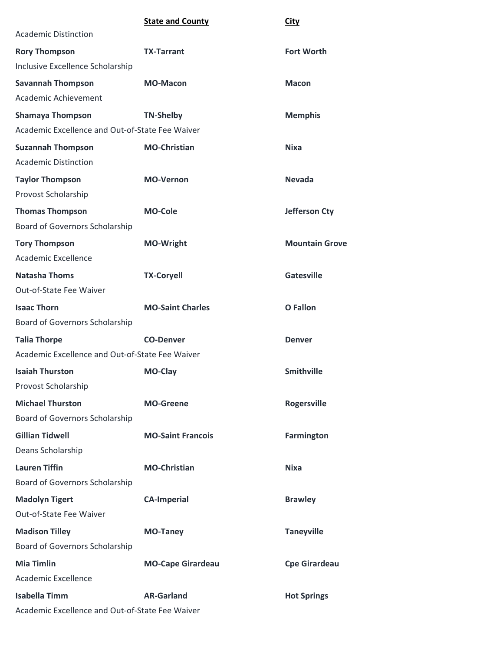|                                                 | <b>State and County</b>  | <b>City</b>           |
|-------------------------------------------------|--------------------------|-----------------------|
| <b>Academic Distinction</b>                     |                          |                       |
| <b>Rory Thompson</b>                            | <b>TX-Tarrant</b>        | <b>Fort Worth</b>     |
| Inclusive Excellence Scholarship                |                          |                       |
| <b>Savannah Thompson</b>                        | <b>MO-Macon</b>          | <b>Macon</b>          |
| Academic Achievement                            |                          |                       |
| <b>Shamaya Thompson</b>                         | <b>TN-Shelby</b>         | <b>Memphis</b>        |
| Academic Excellence and Out-of-State Fee Waiver |                          |                       |
| <b>Suzannah Thompson</b>                        | <b>MO-Christian</b>      | <b>Nixa</b>           |
| <b>Academic Distinction</b>                     |                          |                       |
| <b>Taylor Thompson</b>                          | <b>MO-Vernon</b>         | <b>Nevada</b>         |
| Provost Scholarship                             |                          |                       |
| <b>Thomas Thompson</b>                          | <b>MO-Cole</b>           | <b>Jefferson Cty</b>  |
| Board of Governors Scholarship                  |                          |                       |
| <b>Tory Thompson</b>                            | <b>MO-Wright</b>         | <b>Mountain Grove</b> |
| Academic Excellence                             |                          |                       |
| <b>Natasha Thoms</b>                            | <b>TX-Coryell</b>        | <b>Gatesville</b>     |
| Out-of-State Fee Waiver                         |                          |                       |
| <b>Isaac Thorn</b>                              | <b>MO-Saint Charles</b>  | O Fallon              |
| Board of Governors Scholarship                  |                          |                       |
| <b>Talia Thorpe</b>                             | <b>CO-Denver</b>         | <b>Denver</b>         |
| Academic Excellence and Out-of-State Fee Waiver |                          |                       |
| <b>Isaiah Thurston</b>                          | <b>MO-Clay</b>           | <b>Smithville</b>     |
| Provost Scholarship                             |                          |                       |
| <b>Michael Thurston</b>                         | <b>MO-Greene</b>         | <b>Rogersville</b>    |
| Board of Governors Scholarship                  |                          |                       |
| <b>Gillian Tidwell</b>                          | <b>MO-Saint Francois</b> | <b>Farmington</b>     |
| Deans Scholarship                               |                          |                       |
| <b>Lauren Tiffin</b>                            | <b>MO-Christian</b>      | Nixa                  |
| Board of Governors Scholarship                  |                          |                       |
| <b>Madolyn Tigert</b>                           | <b>CA-Imperial</b>       | <b>Brawley</b>        |
| Out-of-State Fee Waiver                         |                          |                       |
| <b>Madison Tilley</b>                           | <b>MO-Taney</b>          | <b>Taneyville</b>     |
| Board of Governors Scholarship                  |                          |                       |
| <b>Mia Timlin</b>                               | <b>MO-Cape Girardeau</b> | <b>Cpe Girardeau</b>  |
| Academic Excellence                             |                          |                       |
| <b>Isabella Timm</b>                            | <b>AR-Garland</b>        | <b>Hot Springs</b>    |
| Academic Excellence and Out-of-State Fee Waiver |                          |                       |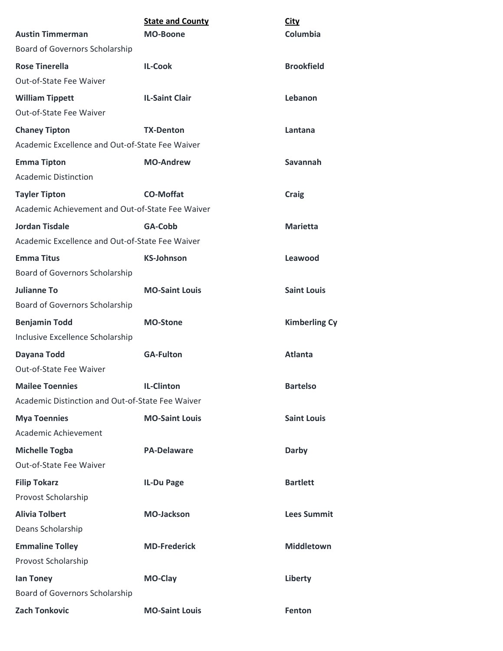| <b>Austin Timmerman</b>                          | <b>State and County</b><br><b>MO-Boone</b> | <b>City</b><br>Columbia |
|--------------------------------------------------|--------------------------------------------|-------------------------|
| Board of Governors Scholarship                   |                                            |                         |
| <b>Rose Tinerella</b>                            | <b>IL-Cook</b>                             | <b>Brookfield</b>       |
| Out-of-State Fee Waiver                          |                                            |                         |
| <b>William Tippett</b>                           | <b>IL-Saint Clair</b>                      | Lebanon                 |
| Out-of-State Fee Waiver                          |                                            |                         |
| <b>Chaney Tipton</b>                             | <b>TX-Denton</b>                           | Lantana                 |
| Academic Excellence and Out-of-State Fee Waiver  |                                            |                         |
| <b>Emma Tipton</b>                               | <b>MO-Andrew</b>                           | Savannah                |
| <b>Academic Distinction</b>                      |                                            |                         |
| <b>Tayler Tipton</b>                             | <b>CO-Moffat</b>                           | <b>Craig</b>            |
| Academic Achievement and Out-of-State Fee Waiver |                                            |                         |
| <b>Jordan Tisdale</b>                            | GA-Cobb                                    | <b>Marietta</b>         |
| Academic Excellence and Out-of-State Fee Waiver  |                                            |                         |
| <b>Emma Titus</b>                                | <b>KS-Johnson</b>                          | Leawood                 |
| Board of Governors Scholarship                   |                                            |                         |
| <b>Julianne To</b>                               | <b>MO-Saint Louis</b>                      | <b>Saint Louis</b>      |
| Board of Governors Scholarship                   |                                            |                         |
| <b>Benjamin Todd</b>                             | <b>MO-Stone</b>                            | <b>Kimberling Cy</b>    |
| Inclusive Excellence Scholarship                 |                                            |                         |
| Dayana Todd                                      | <b>GA-Fulton</b>                           | Atlanta                 |
| Out-of-State Fee Waiver                          |                                            |                         |
| <b>Mailee Toennies</b>                           | <b>IL-Clinton</b>                          | <b>Bartelso</b>         |
| Academic Distinction and Out-of-State Fee Waiver |                                            |                         |
| <b>Mya Toennies</b>                              | <b>MO-Saint Louis</b>                      | <b>Saint Louis</b>      |
| Academic Achievement                             |                                            |                         |
| <b>Michelle Togba</b>                            | <b>PA-Delaware</b>                         | Darby                   |
| Out-of-State Fee Waiver                          |                                            |                         |
| <b>Filip Tokarz</b>                              | IL-Du Page                                 | <b>Bartlett</b>         |
| Provost Scholarship                              |                                            |                         |
| <b>Alivia Tolbert</b>                            | <b>MO-Jackson</b>                          | <b>Lees Summit</b>      |
| Deans Scholarship                                |                                            |                         |
| <b>Emmaline Tolley</b>                           | <b>MD-Frederick</b>                        | <b>Middletown</b>       |
| Provost Scholarship                              |                                            |                         |
| lan Toney                                        | MO-Clay                                    | Liberty                 |
| Board of Governors Scholarship                   |                                            |                         |
| <b>Zach Tonkovic</b>                             | <b>MO-Saint Louis</b>                      | Fenton                  |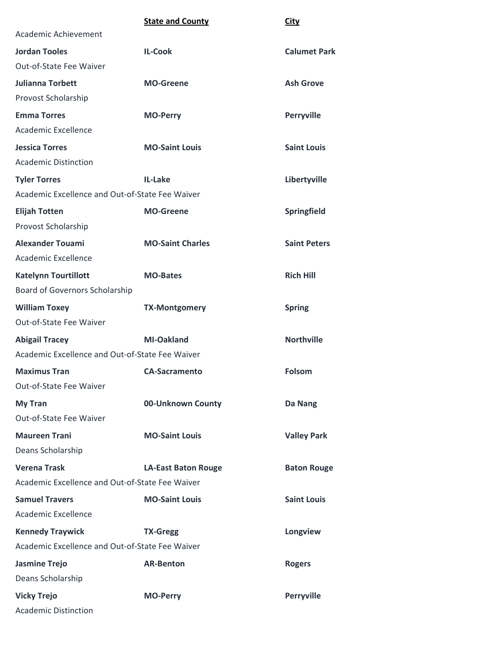|                                                 | <b>State and County</b>    | City                |
|-------------------------------------------------|----------------------------|---------------------|
| Academic Achievement                            |                            |                     |
| <b>Jordan Tooles</b>                            | <b>IL-Cook</b>             | <b>Calumet Park</b> |
| Out-of-State Fee Waiver                         |                            |                     |
| <b>Julianna Torbett</b>                         | <b>MO-Greene</b>           | <b>Ash Grove</b>    |
| Provost Scholarship                             |                            |                     |
| <b>Emma Torres</b>                              | <b>MO-Perry</b>            | Perryville          |
| Academic Excellence                             |                            |                     |
| <b>Jessica Torres</b>                           | <b>MO-Saint Louis</b>      | <b>Saint Louis</b>  |
| <b>Academic Distinction</b>                     |                            |                     |
| <b>Tyler Torres</b>                             | IL-Lake                    | Libertyville        |
| Academic Excellence and Out-of-State Fee Waiver |                            |                     |
| <b>Elijah Totten</b>                            | <b>MO-Greene</b>           | Springfield         |
| Provost Scholarship                             |                            |                     |
| <b>Alexander Touami</b>                         | <b>MO-Saint Charles</b>    | <b>Saint Peters</b> |
| Academic Excellence                             |                            |                     |
| <b>Katelynn Tourtillott</b>                     | <b>MO-Bates</b>            | <b>Rich Hill</b>    |
| Board of Governors Scholarship                  |                            |                     |
| <b>William Toxey</b>                            | <b>TX-Montgomery</b>       | <b>Spring</b>       |
| Out-of-State Fee Waiver                         |                            |                     |
| <b>Abigail Tracey</b>                           | <b>MI-Oakland</b>          | <b>Northville</b>   |
| Academic Excellence and Out-of-State Fee Waiver |                            |                     |
| <b>Maximus Tran</b>                             | <b>CA-Sacramento</b>       | <b>Folsom</b>       |
| Out-of-State Fee Waiver                         |                            |                     |
| <b>My Tran</b>                                  | 00-Unknown County          | Da Nang             |
| Out-of-State Fee Waiver                         |                            |                     |
| <b>Maureen Trani</b>                            | <b>MO-Saint Louis</b>      | <b>Valley Park</b>  |
| Deans Scholarship                               |                            |                     |
| <b>Verena Trask</b>                             | <b>LA-East Baton Rouge</b> | <b>Baton Rouge</b>  |
| Academic Excellence and Out-of-State Fee Waiver |                            |                     |
| <b>Samuel Travers</b>                           | <b>MO-Saint Louis</b>      | <b>Saint Louis</b>  |
| Academic Excellence                             |                            |                     |
| <b>Kennedy Traywick</b>                         | <b>TX-Gregg</b>            | Longview            |
| Academic Excellence and Out-of-State Fee Waiver |                            |                     |
| <b>Jasmine Trejo</b>                            | <b>AR-Benton</b>           | <b>Rogers</b>       |
| Deans Scholarship                               |                            |                     |
| <b>Vicky Trejo</b>                              | <b>MO-Perry</b>            | <b>Perryville</b>   |
| <b>Academic Distinction</b>                     |                            |                     |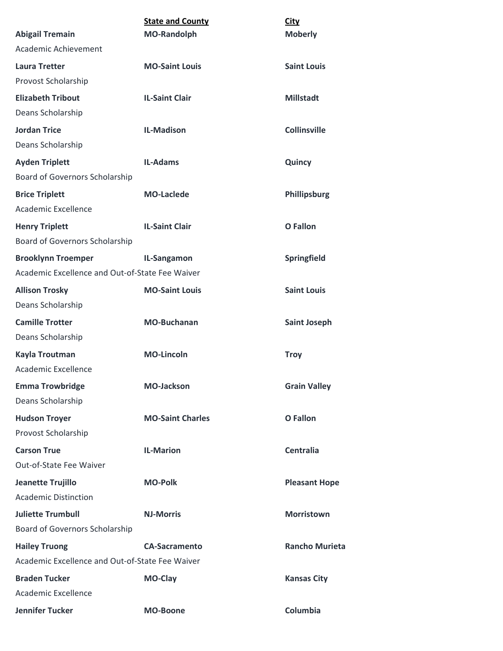|                                                 | <b>State and County</b> | <b>City</b>           |
|-------------------------------------------------|-------------------------|-----------------------|
| <b>Abigail Tremain</b>                          | <b>MO-Randolph</b>      | <b>Moberly</b>        |
| Academic Achievement                            |                         |                       |
| <b>Laura Tretter</b>                            | <b>MO-Saint Louis</b>   | <b>Saint Louis</b>    |
| Provost Scholarship                             |                         |                       |
| <b>Elizabeth Tribout</b>                        | <b>IL-Saint Clair</b>   | <b>Millstadt</b>      |
| Deans Scholarship                               |                         |                       |
| <b>Jordan Trice</b>                             | <b>IL-Madison</b>       | <b>Collinsville</b>   |
| Deans Scholarship                               |                         |                       |
| <b>Ayden Triplett</b>                           | <b>IL-Adams</b>         | Quincy                |
| Board of Governors Scholarship                  |                         |                       |
| <b>Brice Triplett</b>                           | <b>MO-Laclede</b>       | Phillipsburg          |
| Academic Excellence                             |                         |                       |
| <b>Henry Triplett</b>                           | <b>IL-Saint Clair</b>   | <b>O</b> Fallon       |
| Board of Governors Scholarship                  |                         |                       |
| <b>Brooklynn Troemper</b>                       | IL-Sangamon             | Springfield           |
| Academic Excellence and Out-of-State Fee Waiver |                         |                       |
| <b>Allison Trosky</b>                           | <b>MO-Saint Louis</b>   | <b>Saint Louis</b>    |
| Deans Scholarship                               |                         |                       |
| <b>Camille Trotter</b>                          | <b>MO-Buchanan</b>      | <b>Saint Joseph</b>   |
| Deans Scholarship                               |                         |                       |
| Kayla Troutman                                  | <b>MO-Lincoln</b>       | <b>Troy</b>           |
| Academic Excellence                             |                         |                       |
| <b>Emma Trowbridge</b>                          | <b>MO-Jackson</b>       | <b>Grain Valley</b>   |
| Deans Scholarship                               |                         |                       |
| <b>Hudson Troyer</b>                            | <b>MO-Saint Charles</b> | <b>O</b> Fallon       |
| Provost Scholarship                             |                         |                       |
| <b>Carson True</b>                              | <b>IL-Marion</b>        | <b>Centralia</b>      |
| Out-of-State Fee Waiver                         |                         |                       |
| Jeanette Trujillo                               | <b>MO-Polk</b>          | <b>Pleasant Hope</b>  |
| <b>Academic Distinction</b>                     |                         |                       |
| <b>Juliette Trumbull</b>                        | <b>NJ-Morris</b>        | <b>Morristown</b>     |
| Board of Governors Scholarship                  |                         |                       |
| <b>Hailey Truong</b>                            | <b>CA-Sacramento</b>    | <b>Rancho Murieta</b> |
| Academic Excellence and Out-of-State Fee Waiver |                         |                       |
| <b>Braden Tucker</b>                            | MO-Clay                 | <b>Kansas City</b>    |
| Academic Excellence                             |                         |                       |
| <b>Jennifer Tucker</b>                          | <b>MO-Boone</b>         | Columbia              |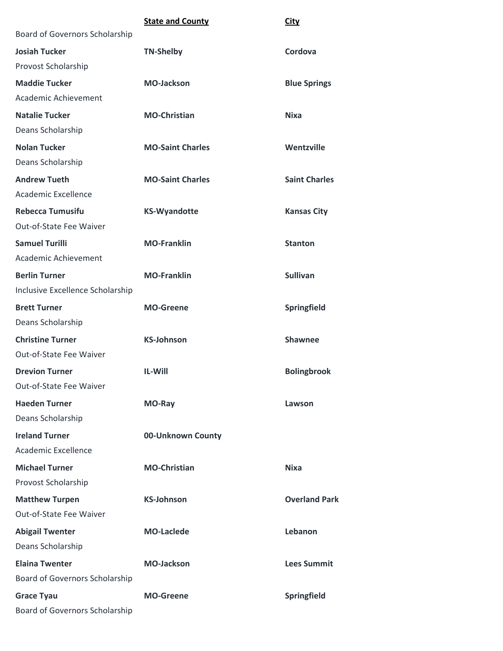|                                       | <b>State and County</b> | <b>City</b>          |
|---------------------------------------|-------------------------|----------------------|
| Board of Governors Scholarship        |                         |                      |
| <b>Josiah Tucker</b>                  | <b>TN-Shelby</b>        | Cordova              |
| Provost Scholarship                   |                         |                      |
| <b>Maddie Tucker</b>                  | <b>MO-Jackson</b>       | <b>Blue Springs</b>  |
| Academic Achievement                  |                         |                      |
| <b>Natalie Tucker</b>                 | <b>MO-Christian</b>     | <b>Nixa</b>          |
| Deans Scholarship                     |                         |                      |
| <b>Nolan Tucker</b>                   | <b>MO-Saint Charles</b> | Wentzville           |
| Deans Scholarship                     |                         |                      |
| <b>Andrew Tueth</b>                   | <b>MO-Saint Charles</b> | <b>Saint Charles</b> |
| Academic Excellence                   |                         |                      |
| <b>Rebecca Tumusifu</b>               | <b>KS-Wyandotte</b>     | <b>Kansas City</b>   |
| Out-of-State Fee Waiver               |                         |                      |
| <b>Samuel Turilli</b>                 | <b>MO-Franklin</b>      | <b>Stanton</b>       |
| Academic Achievement                  |                         |                      |
| <b>Berlin Turner</b>                  | <b>MO-Franklin</b>      | <b>Sullivan</b>      |
| Inclusive Excellence Scholarship      |                         |                      |
| <b>Brett Turner</b>                   | <b>MO-Greene</b>        | Springfield          |
| Deans Scholarship                     |                         |                      |
| <b>Christine Turner</b>               | <b>KS-Johnson</b>       | <b>Shawnee</b>       |
| Out-of-State Fee Waiver               |                         |                      |
| <b>Drevion Turner</b>                 | <b>IL-Will</b>          | <b>Bolingbrook</b>   |
| Out-of-State Fee Waiver               |                         |                      |
| <b>Haeden Turner</b>                  | MO-Ray                  | Lawson               |
| Deans Scholarship                     |                         |                      |
| <b>Ireland Turner</b>                 | 00-Unknown County       |                      |
| Academic Excellence                   |                         |                      |
| <b>Michael Turner</b>                 | <b>MO-Christian</b>     | <b>Nixa</b>          |
| Provost Scholarship                   |                         |                      |
| <b>Matthew Turpen</b>                 | <b>KS-Johnson</b>       | <b>Overland Park</b> |
| Out-of-State Fee Waiver               |                         |                      |
| <b>Abigail Twenter</b>                | <b>MO-Laclede</b>       | Lebanon              |
| Deans Scholarship                     |                         |                      |
| <b>Elaina Twenter</b>                 | <b>MO-Jackson</b>       | <b>Lees Summit</b>   |
| Board of Governors Scholarship        |                         |                      |
| <b>Grace Tyau</b>                     | <b>MO-Greene</b>        | Springfield          |
| <b>Board of Governors Scholarship</b> |                         |                      |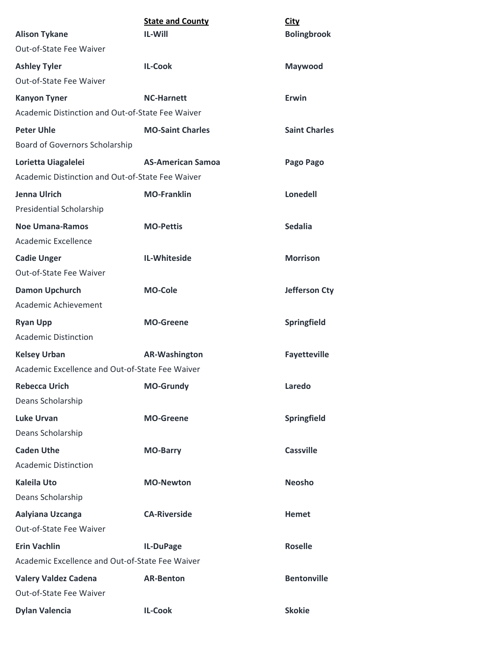| <b>Alison Tykane</b>                                                    | <b>State and County</b><br><b>IL-Will</b> | City<br><b>Bolingbrook</b> |
|-------------------------------------------------------------------------|-------------------------------------------|----------------------------|
| Out-of-State Fee Waiver                                                 |                                           |                            |
| <b>Ashley Tyler</b>                                                     | <b>IL-Cook</b>                            |                            |
| Out-of-State Fee Waiver                                                 |                                           | Maywood                    |
|                                                                         | <b>NC-Harnett</b>                         | <b>Erwin</b>               |
| <b>Kanyon Tyner</b><br>Academic Distinction and Out-of-State Fee Waiver |                                           |                            |
|                                                                         | <b>MO-Saint Charles</b>                   | <b>Saint Charles</b>       |
| <b>Peter Uhle</b><br>Board of Governors Scholarship                     |                                           |                            |
|                                                                         |                                           |                            |
| Lorietta Uiagalelei<br>Academic Distinction and Out-of-State Fee Waiver | <b>AS-American Samoa</b>                  | Pago Pago                  |
|                                                                         |                                           |                            |
| Jenna Ulrich                                                            | <b>MO-Franklin</b>                        | <b>Lonedell</b>            |
| Presidential Scholarship                                                |                                           |                            |
| <b>Noe Umana-Ramos</b><br>Academic Excellence                           | <b>MO-Pettis</b>                          | <b>Sedalia</b>             |
| <b>Cadie Unger</b>                                                      | IL-Whiteside                              | <b>Morrison</b>            |
| <b>Out-of-State Fee Waiver</b>                                          |                                           |                            |
| <b>Damon Upchurch</b>                                                   | <b>MO-Cole</b>                            | Jefferson Cty              |
| Academic Achievement                                                    |                                           |                            |
| <b>Ryan Upp</b>                                                         | <b>MO-Greene</b>                          | <b>Springfield</b>         |
| <b>Academic Distinction</b>                                             |                                           |                            |
| <b>Kelsey Urban</b>                                                     | <b>AR-Washington</b>                      | <b>Fayetteville</b>        |
| Academic Excellence and Out-of-State Fee Waiver                         |                                           |                            |
| <b>Rebecca Urich</b>                                                    | <b>MO-Grundy</b>                          | Laredo                     |
| Deans Scholarship                                                       |                                           |                            |
| <b>Luke Urvan</b>                                                       | <b>MO-Greene</b>                          | Springfield                |
| Deans Scholarship                                                       |                                           |                            |
| <b>Caden Uthe</b>                                                       | <b>MO-Barry</b>                           | <b>Cassville</b>           |
| <b>Academic Distinction</b>                                             |                                           |                            |
| <b>Kaleila Uto</b>                                                      | <b>MO-Newton</b>                          | <b>Neosho</b>              |
| Deans Scholarship                                                       |                                           |                            |
| Aalyiana Uzcanga                                                        | <b>CA-Riverside</b>                       | <b>Hemet</b>               |
| Out-of-State Fee Waiver                                                 |                                           |                            |
| <b>Erin Vachlin</b>                                                     | IL-DuPage                                 | <b>Roselle</b>             |
| Academic Excellence and Out-of-State Fee Waiver                         |                                           |                            |
| <b>Valery Valdez Cadena</b>                                             | <b>AR-Benton</b>                          | <b>Bentonville</b>         |
| Out-of-State Fee Waiver                                                 |                                           |                            |
| <b>Dylan Valencia</b>                                                   | <b>IL-Cook</b>                            | <b>Skokie</b>              |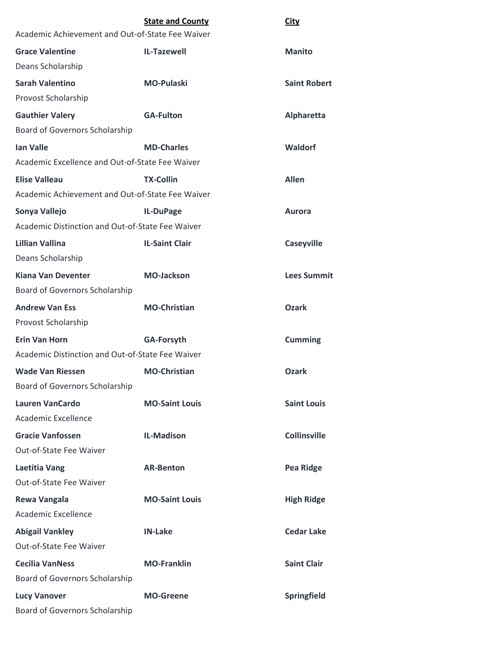|                                                  | <b>State and County</b> | <b>City</b>         |
|--------------------------------------------------|-------------------------|---------------------|
| Academic Achievement and Out-of-State Fee Waiver |                         |                     |
| <b>Grace Valentine</b>                           | <b>IL-Tazewell</b>      | <b>Manito</b>       |
| Deans Scholarship                                |                         |                     |
| Sarah Valentino                                  | <b>MO-Pulaski</b>       | <b>Saint Robert</b> |
| Provost Scholarship                              |                         |                     |
| <b>Gauthier Valery</b>                           | <b>GA-Fulton</b>        | Alpharetta          |
| <b>Board of Governors Scholarship</b>            |                         |                     |
| <b>Ian Valle</b>                                 | <b>MD-Charles</b>       | Waldorf             |
| Academic Excellence and Out-of-State Fee Waiver  |                         |                     |
| <b>Elise Valleau</b>                             | <b>TX-Collin</b>        | <b>Allen</b>        |
| Academic Achievement and Out-of-State Fee Waiver |                         |                     |
| Sonya Vallejo                                    | IL-DuPage               | <b>Aurora</b>       |
| Academic Distinction and Out-of-State Fee Waiver |                         |                     |
| Lillian Vallina                                  | <b>IL-Saint Clair</b>   | <b>Caseyville</b>   |
| Deans Scholarship                                |                         |                     |
| <b>Kiana Van Deventer</b>                        | <b>MO-Jackson</b>       | <b>Lees Summit</b>  |
| <b>Board of Governors Scholarship</b>            |                         |                     |
| <b>Andrew Van Ess</b>                            | <b>MO-Christian</b>     | <b>Ozark</b>        |
| Provost Scholarship                              |                         |                     |
| <b>Erin Van Horn</b>                             | <b>GA-Forsyth</b>       | <b>Cumming</b>      |
| Academic Distinction and Out-of-State Fee Waiver |                         |                     |
| <b>Wade Van Riessen</b>                          | <b>MO-Christian</b>     | <b>Ozark</b>        |
| <b>Board of Governors Scholarship</b>            |                         |                     |
| <b>Lauren VanCardo</b>                           | <b>MO-Saint Louis</b>   | <b>Saint Louis</b>  |
| <b>Academic Excellence</b>                       |                         |                     |
| <b>Gracie Vanfossen</b>                          | <b>IL-Madison</b>       | <b>Collinsville</b> |
| Out-of-State Fee Waiver                          |                         |                     |
| <b>Laetitia Vang</b>                             | <b>AR-Benton</b>        | <b>Pea Ridge</b>    |
| Out-of-State Fee Waiver                          |                         |                     |
| <b>Rewa Vangala</b>                              | <b>MO-Saint Louis</b>   | <b>High Ridge</b>   |
| <b>Academic Excellence</b>                       |                         |                     |
| <b>Abigail Vankley</b>                           | <b>IN-Lake</b>          | <b>Cedar Lake</b>   |
| Out-of-State Fee Waiver                          |                         |                     |
| <b>Cecilia VanNess</b>                           | <b>MO-Franklin</b>      | <b>Saint Clair</b>  |
| <b>Board of Governors Scholarship</b>            |                         |                     |
| <b>Lucy Vanover</b>                              | <b>MO-Greene</b>        | Springfield         |
| Board of Governors Scholarship                   |                         |                     |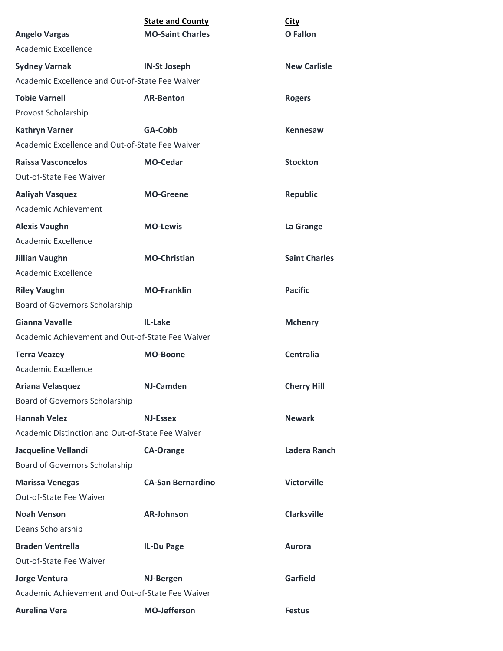|                                                       | <b>State and County</b>  | <b>City</b>          |
|-------------------------------------------------------|--------------------------|----------------------|
| <b>Angelo Vargas</b>                                  | <b>MO-Saint Charles</b>  | O Fallon             |
| Academic Excellence                                   |                          |                      |
| <b>Sydney Varnak</b>                                  | <b>IN-St Joseph</b>      | <b>New Carlisle</b>  |
| Academic Excellence and Out-of-State Fee Waiver       |                          |                      |
| <b>Tobie Varnell</b>                                  | <b>AR-Benton</b>         | <b>Rogers</b>        |
| Provost Scholarship                                   |                          |                      |
| <b>Kathryn Varner</b>                                 | GA-Cobb                  | <b>Kennesaw</b>      |
| Academic Excellence and Out-of-State Fee Waiver       |                          |                      |
| <b>Raissa Vasconcelos</b><br>Out-of-State Fee Waiver  | <b>MO-Cedar</b>          | <b>Stockton</b>      |
| <b>Aaliyah Vasquez</b><br>Academic Achievement        | <b>MO-Greene</b>         | <b>Republic</b>      |
| <b>Alexis Vaughn</b><br>Academic Excellence           | <b>MO-Lewis</b>          | La Grange            |
| <b>Jillian Vaughn</b>                                 | <b>MO-Christian</b>      | <b>Saint Charles</b> |
| <b>Academic Excellence</b>                            |                          |                      |
| <b>Riley Vaughn</b><br>Board of Governors Scholarship | <b>MO-Franklin</b>       | <b>Pacific</b>       |
| <b>Gianna Vavalle</b>                                 | IL-Lake                  | <b>Mchenry</b>       |
| Academic Achievement and Out-of-State Fee Waiver      |                          |                      |
| <b>Terra Veazey</b>                                   | <b>MO-Boone</b>          | <b>Centralia</b>     |
| Academic Excellence                                   |                          |                      |
| <b>Ariana Velasquez</b>                               | <b>NJ-Camden</b>         | <b>Cherry Hill</b>   |
| Board of Governors Scholarship                        |                          |                      |
| <b>Hannah Velez</b>                                   | <b>NJ-Essex</b>          | <b>Newark</b>        |
| Academic Distinction and Out-of-State Fee Waiver      |                          |                      |
| Jacqueline Vellandi                                   | <b>CA-Orange</b>         | Ladera Ranch         |
| Board of Governors Scholarship                        |                          |                      |
| <b>Marissa Venegas</b>                                | <b>CA-San Bernardino</b> | <b>Victorville</b>   |
| Out-of-State Fee Waiver                               |                          |                      |
| <b>Noah Venson</b>                                    | <b>AR-Johnson</b>        | <b>Clarksville</b>   |
| Deans Scholarship                                     |                          |                      |
| <b>Braden Ventrella</b>                               | <b>IL-Du Page</b>        | <b>Aurora</b>        |
| Out-of-State Fee Waiver                               |                          |                      |
| <b>Jorge Ventura</b>                                  | <b>NJ-Bergen</b>         | <b>Garfield</b>      |
| Academic Achievement and Out-of-State Fee Waiver      |                          |                      |
| <b>Aurelina Vera</b>                                  | <b>MO-Jefferson</b>      | <b>Festus</b>        |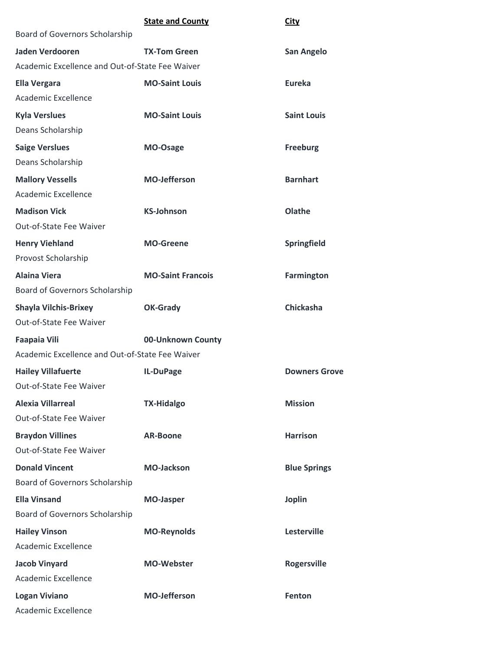|                                                 | <b>State and County</b>  | <b>City</b>          |
|-------------------------------------------------|--------------------------|----------------------|
| Board of Governors Scholarship                  |                          |                      |
| <b>Jaden Verdooren</b>                          | <b>TX-Tom Green</b>      | San Angelo           |
| Academic Excellence and Out-of-State Fee Waiver |                          |                      |
| <b>Ella Vergara</b>                             | <b>MO-Saint Louis</b>    | <b>Eureka</b>        |
| Academic Excellence                             |                          |                      |
| <b>Kyla Verslues</b>                            | <b>MO-Saint Louis</b>    | <b>Saint Louis</b>   |
| Deans Scholarship                               |                          |                      |
| <b>Saige Verslues</b>                           | MO-Osage                 | <b>Freeburg</b>      |
| Deans Scholarship                               |                          |                      |
| <b>Mallory Vessells</b>                         | <b>MO-Jefferson</b>      | <b>Barnhart</b>      |
| Academic Excellence                             |                          |                      |
| <b>Madison Vick</b>                             | <b>KS-Johnson</b>        | Olathe               |
| Out-of-State Fee Waiver                         |                          |                      |
| <b>Henry Viehland</b>                           | <b>MO-Greene</b>         | Springfield          |
| Provost Scholarship                             |                          |                      |
| <b>Alaina Viera</b>                             | <b>MO-Saint Francois</b> | <b>Farmington</b>    |
| Board of Governors Scholarship                  |                          |                      |
| <b>Shayla Vilchis-Brixey</b>                    | <b>OK-Grady</b>          | <b>Chickasha</b>     |
| Out-of-State Fee Waiver                         |                          |                      |
| <b>Faapaia Vili</b>                             | 00-Unknown County        |                      |
| Academic Excellence and Out-of-State Fee Waiver |                          |                      |
| <b>Hailey Villafuerte</b>                       | IL-DuPage                | <b>Downers Grove</b> |
| Out-of-State Fee Waiver                         |                          |                      |
| <b>Alexia Villarreal</b>                        | <b>TX-Hidalgo</b>        | <b>Mission</b>       |
| Out-of-State Fee Waiver                         |                          |                      |
| <b>Braydon Villines</b>                         | <b>AR-Boone</b>          | <b>Harrison</b>      |
| Out-of-State Fee Waiver                         |                          |                      |
| <b>Donald Vincent</b>                           | <b>MO-Jackson</b>        | <b>Blue Springs</b>  |
| Board of Governors Scholarship                  |                          |                      |
| <b>Ella Vinsand</b>                             | <b>MO-Jasper</b>         | <b>Joplin</b>        |
| Board of Governors Scholarship                  |                          |                      |
| <b>Hailey Vinson</b>                            | <b>MO-Reynolds</b>       | Lesterville          |
| <b>Academic Excellence</b>                      |                          |                      |
| <b>Jacob Vinyard</b>                            | <b>MO-Webster</b>        | <b>Rogersville</b>   |
| Academic Excellence                             |                          |                      |
| <b>Logan Viviano</b>                            | <b>MO-Jefferson</b>      | Fenton               |
| Academic Excellence                             |                          |                      |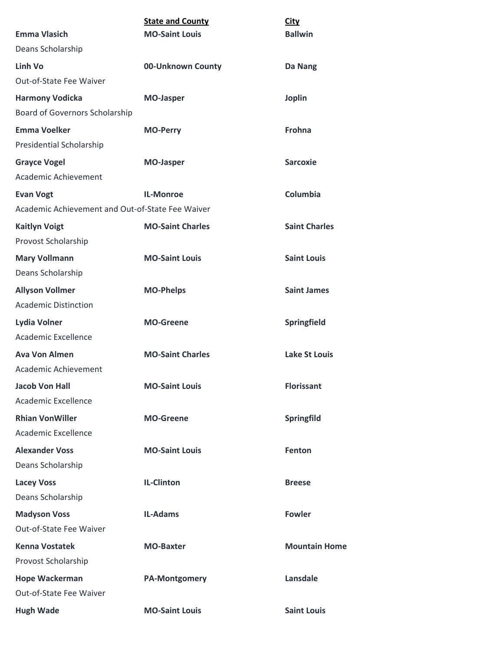|                                                  | <b>State and County</b> | <b>City</b>          |
|--------------------------------------------------|-------------------------|----------------------|
| <b>Emma Vlasich</b>                              | <b>MO-Saint Louis</b>   | <b>Ballwin</b>       |
| Deans Scholarship                                |                         |                      |
| Linh Vo                                          | 00-Unknown County       | Da Nang              |
| Out-of-State Fee Waiver                          |                         |                      |
| <b>Harmony Vodicka</b>                           | <b>MO-Jasper</b>        | <b>Joplin</b>        |
| Board of Governors Scholarship                   |                         |                      |
| <b>Emma Voelker</b>                              | <b>MO-Perry</b>         | Frohna               |
| Presidential Scholarship                         |                         |                      |
| <b>Grayce Vogel</b>                              | <b>MO-Jasper</b>        | <b>Sarcoxie</b>      |
| Academic Achievement                             |                         |                      |
| <b>Evan Vogt</b>                                 | <b>IL-Monroe</b>        | Columbia             |
| Academic Achievement and Out-of-State Fee Waiver |                         |                      |
| <b>Kaitlyn Voigt</b>                             | <b>MO-Saint Charles</b> | <b>Saint Charles</b> |
| Provost Scholarship                              |                         |                      |
| <b>Mary Vollmann</b>                             | <b>MO-Saint Louis</b>   | <b>Saint Louis</b>   |
| Deans Scholarship                                |                         |                      |
| <b>Allyson Vollmer</b>                           | <b>MO-Phelps</b>        | <b>Saint James</b>   |
| <b>Academic Distinction</b>                      |                         |                      |
| Lydia Volner                                     | <b>MO-Greene</b>        | Springfield          |
| Academic Excellence                              |                         |                      |
| <b>Ava Von Almen</b>                             | <b>MO-Saint Charles</b> | <b>Lake St Louis</b> |
| Academic Achievement                             |                         |                      |
| <b>Jacob Von Hall</b>                            | <b>MO-Saint Louis</b>   | <b>Florissant</b>    |
| Academic Excellence                              |                         |                      |
| <b>Rhian VonWiller</b>                           | <b>MO-Greene</b>        | Springfild           |
| <b>Academic Excellence</b>                       |                         |                      |
| <b>Alexander Voss</b>                            | <b>MO-Saint Louis</b>   | Fenton               |
| Deans Scholarship                                |                         |                      |
| <b>Lacey Voss</b>                                | <b>IL-Clinton</b>       | <b>Breese</b>        |
| Deans Scholarship                                |                         |                      |
| <b>Madyson Voss</b>                              | <b>IL-Adams</b>         | <b>Fowler</b>        |
| Out-of-State Fee Waiver                          |                         |                      |
| <b>Kenna Vostatek</b>                            | <b>MO-Baxter</b>        | <b>Mountain Home</b> |
| Provost Scholarship                              |                         |                      |
| <b>Hope Wackerman</b>                            | <b>PA-Montgomery</b>    | Lansdale             |
| Out-of-State Fee Waiver                          |                         |                      |
| <b>Hugh Wade</b>                                 | <b>MO-Saint Louis</b>   | <b>Saint Louis</b>   |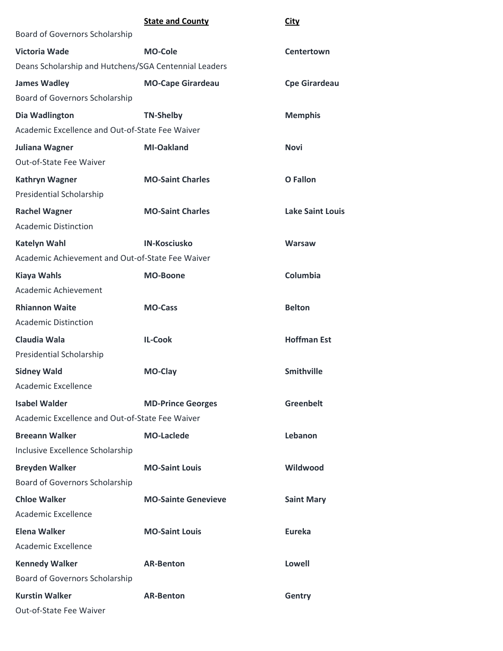|                                                       | <b>State and County</b>    | City                    |
|-------------------------------------------------------|----------------------------|-------------------------|
| Board of Governors Scholarship                        |                            |                         |
| <b>Victoria Wade</b>                                  | <b>MO-Cole</b>             | Centertown              |
| Deans Scholarship and Hutchens/SGA Centennial Leaders |                            |                         |
| <b>James Wadley</b>                                   | <b>MO-Cape Girardeau</b>   | <b>Cpe Girardeau</b>    |
| Board of Governors Scholarship                        |                            |                         |
| Dia Wadlington                                        | <b>TN-Shelby</b>           | <b>Memphis</b>          |
| Academic Excellence and Out-of-State Fee Waiver       |                            |                         |
| <b>Juliana Wagner</b>                                 | <b>MI-Oakland</b>          | <b>Novi</b>             |
| Out-of-State Fee Waiver                               |                            |                         |
| <b>Kathryn Wagner</b>                                 | <b>MO-Saint Charles</b>    | <b>O</b> Fallon         |
| Presidential Scholarship                              |                            |                         |
| <b>Rachel Wagner</b>                                  | <b>MO-Saint Charles</b>    | <b>Lake Saint Louis</b> |
| <b>Academic Distinction</b>                           |                            |                         |
| <b>Katelyn Wahl</b>                                   | <b>IN-Kosciusko</b>        | <b>Warsaw</b>           |
| Academic Achievement and Out-of-State Fee Waiver      |                            |                         |
| <b>Kiaya Wahls</b>                                    | <b>MO-Boone</b>            | Columbia                |
| Academic Achievement                                  |                            |                         |
| <b>Rhiannon Waite</b>                                 | <b>MO-Cass</b>             | <b>Belton</b>           |
| <b>Academic Distinction</b>                           |                            |                         |
| Claudia Wala                                          | <b>IL-Cook</b>             | <b>Hoffman Est</b>      |
| Presidential Scholarship                              |                            |                         |
| <b>Sidney Wald</b>                                    | MO-Clay                    | <b>Smithville</b>       |
| <b>Academic Excellence</b>                            |                            |                         |
| <b>Isabel Walder</b>                                  | <b>MD-Prince Georges</b>   | <b>Greenbelt</b>        |
| Academic Excellence and Out-of-State Fee Waiver       |                            |                         |
| <b>Breeann Walker</b>                                 | <b>MO-Laclede</b>          | Lebanon                 |
| Inclusive Excellence Scholarship                      |                            |                         |
| <b>Breyden Walker</b>                                 | <b>MO-Saint Louis</b>      | Wildwood                |
| Board of Governors Scholarship                        |                            |                         |
| <b>Chloe Walker</b>                                   | <b>MO-Sainte Genevieve</b> | <b>Saint Mary</b>       |
| Academic Excellence                                   |                            |                         |
| <b>Elena Walker</b>                                   | <b>MO-Saint Louis</b>      | <b>Eureka</b>           |
| <b>Academic Excellence</b>                            |                            |                         |
| <b>Kennedy Walker</b>                                 | <b>AR-Benton</b>           | <b>Lowell</b>           |
| Board of Governors Scholarship                        |                            |                         |
| <b>Kurstin Walker</b>                                 | <b>AR-Benton</b>           | <b>Gentry</b>           |
| Out-of-State Fee Waiver                               |                            |                         |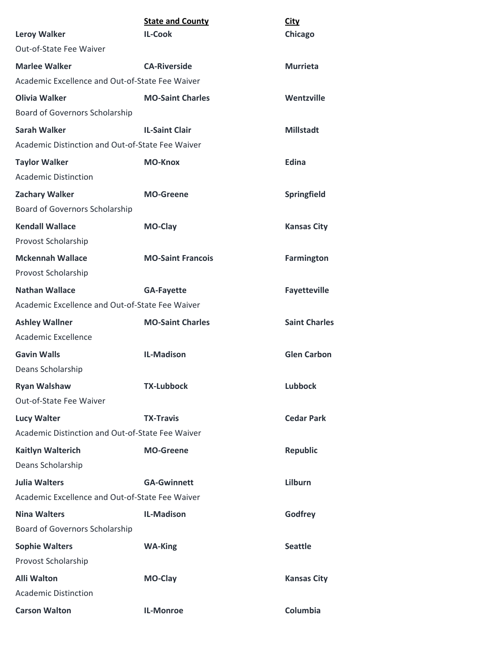|                                                  | <b>State and County</b>  | <b>City</b>          |
|--------------------------------------------------|--------------------------|----------------------|
| <b>Leroy Walker</b>                              | <b>IL-Cook</b>           | Chicago              |
| Out-of-State Fee Waiver                          |                          |                      |
| <b>Marlee Walker</b>                             | <b>CA-Riverside</b>      | <b>Murrieta</b>      |
| Academic Excellence and Out-of-State Fee Waiver  |                          |                      |
| <b>Olivia Walker</b>                             | <b>MO-Saint Charles</b>  | Wentzville           |
| Board of Governors Scholarship                   |                          |                      |
| <b>Sarah Walker</b>                              | <b>IL-Saint Clair</b>    | <b>Millstadt</b>     |
| Academic Distinction and Out-of-State Fee Waiver |                          |                      |
| <b>Taylor Walker</b>                             | <b>MO-Knox</b>           | Edina                |
| <b>Academic Distinction</b>                      |                          |                      |
| <b>Zachary Walker</b>                            | <b>MO-Greene</b>         | Springfield          |
| Board of Governors Scholarship                   |                          |                      |
| <b>Kendall Wallace</b>                           | MO-Clay                  | <b>Kansas City</b>   |
| Provost Scholarship                              |                          |                      |
| <b>Mckennah Wallace</b>                          | <b>MO-Saint Francois</b> | <b>Farmington</b>    |
| Provost Scholarship                              |                          |                      |
| <b>Nathan Wallace</b>                            | <b>GA-Fayette</b>        | <b>Fayetteville</b>  |
| Academic Excellence and Out-of-State Fee Waiver  |                          |                      |
| <b>Ashley Wallner</b>                            | <b>MO-Saint Charles</b>  | <b>Saint Charles</b> |
| Academic Excellence                              |                          |                      |
| <b>Gavin Walls</b>                               | <b>IL-Madison</b>        | <b>Glen Carbon</b>   |
| Deans Scholarship                                |                          |                      |
| <b>Ryan Walshaw</b>                              | <b>TX-Lubbock</b>        | <b>Lubbock</b>       |
| Out-of-State Fee Waiver                          |                          |                      |
| <b>Lucy Walter</b>                               | <b>TX-Travis</b>         | <b>Cedar Park</b>    |
| Academic Distinction and Out-of-State Fee Waiver |                          |                      |
| <b>Kaitlyn Walterich</b>                         | <b>MO-Greene</b>         | <b>Republic</b>      |
| Deans Scholarship                                |                          |                      |
| <b>Julia Walters</b>                             | <b>GA-Gwinnett</b>       | Lilburn              |
| Academic Excellence and Out-of-State Fee Waiver  |                          |                      |
| <b>Nina Walters</b>                              | <b>IL-Madison</b>        | Godfrey              |
| Board of Governors Scholarship                   |                          |                      |
| <b>Sophie Walters</b>                            | <b>WA-King</b>           | <b>Seattle</b>       |
| Provost Scholarship                              |                          |                      |
| <b>Alli Walton</b>                               | MO-Clay                  | <b>Kansas City</b>   |
| <b>Academic Distinction</b>                      |                          |                      |
| <b>Carson Walton</b>                             | IL-Monroe                | Columbia             |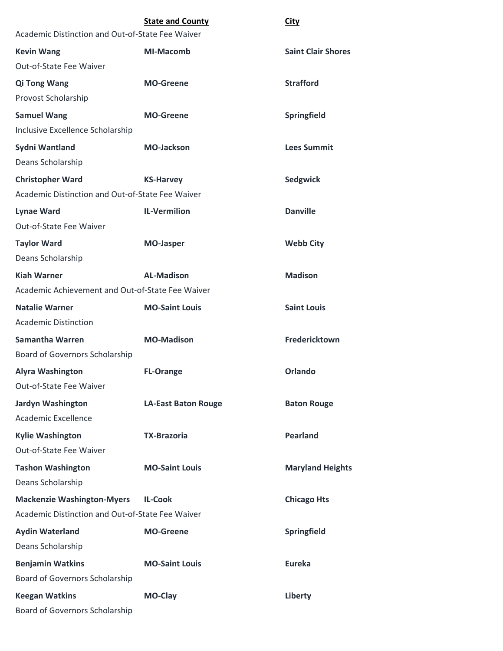|                                                  | <b>State and County</b>    | <b>City</b>               |
|--------------------------------------------------|----------------------------|---------------------------|
| Academic Distinction and Out-of-State Fee Waiver |                            |                           |
| <b>Kevin Wang</b>                                | <b>MI-Macomb</b>           | <b>Saint Clair Shores</b> |
| Out-of-State Fee Waiver                          |                            |                           |
| <b>Qi Tong Wang</b>                              | <b>MO-Greene</b>           | <b>Strafford</b>          |
| Provost Scholarship                              |                            |                           |
| <b>Samuel Wang</b>                               | <b>MO-Greene</b>           | Springfield               |
| Inclusive Excellence Scholarship                 |                            |                           |
| Sydni Wantland                                   | <b>MO-Jackson</b>          | <b>Lees Summit</b>        |
| Deans Scholarship                                |                            |                           |
| <b>Christopher Ward</b>                          | <b>KS-Harvey</b>           | Sedgwick                  |
| Academic Distinction and Out-of-State Fee Waiver |                            |                           |
| <b>Lynae Ward</b>                                | <b>IL-Vermilion</b>        | <b>Danville</b>           |
| Out-of-State Fee Waiver                          |                            |                           |
| <b>Taylor Ward</b>                               | <b>MO-Jasper</b>           | <b>Webb City</b>          |
| Deans Scholarship                                |                            |                           |
| <b>Kiah Warner</b>                               | <b>AL-Madison</b>          | <b>Madison</b>            |
| Academic Achievement and Out-of-State Fee Waiver |                            |                           |
| <b>Natalie Warner</b>                            | <b>MO-Saint Louis</b>      | <b>Saint Louis</b>        |
| <b>Academic Distinction</b>                      |                            |                           |
| <b>Samantha Warren</b>                           | <b>MO-Madison</b>          | Fredericktown             |
| Board of Governors Scholarship                   |                            |                           |
| <b>Alyra Washington</b>                          | <b>FL-Orange</b>           | <b>Orlando</b>            |
| Out-of-State Fee Waiver                          |                            |                           |
| <b>Jardyn Washington</b>                         | <b>LA-East Baton Rouge</b> | <b>Baton Rouge</b>        |
| Academic Excellence                              |                            |                           |
| <b>Kylie Washington</b>                          | <b>TX-Brazoria</b>         | <b>Pearland</b>           |
| Out-of-State Fee Waiver                          |                            |                           |
| <b>Tashon Washington</b>                         | <b>MO-Saint Louis</b>      | <b>Maryland Heights</b>   |
| Deans Scholarship                                |                            |                           |
| <b>Mackenzie Washington-Myers</b>                | <b>IL-Cook</b>             | <b>Chicago Hts</b>        |
| Academic Distinction and Out-of-State Fee Waiver |                            |                           |
| <b>Aydin Waterland</b>                           | <b>MO-Greene</b>           | Springfield               |
| Deans Scholarship                                |                            |                           |
| <b>Benjamin Watkins</b>                          | <b>MO-Saint Louis</b>      | <b>Eureka</b>             |
| Board of Governors Scholarship                   |                            |                           |
| <b>Keegan Watkins</b>                            | MO-Clay                    | Liberty                   |
| <b>Board of Governors Scholarship</b>            |                            |                           |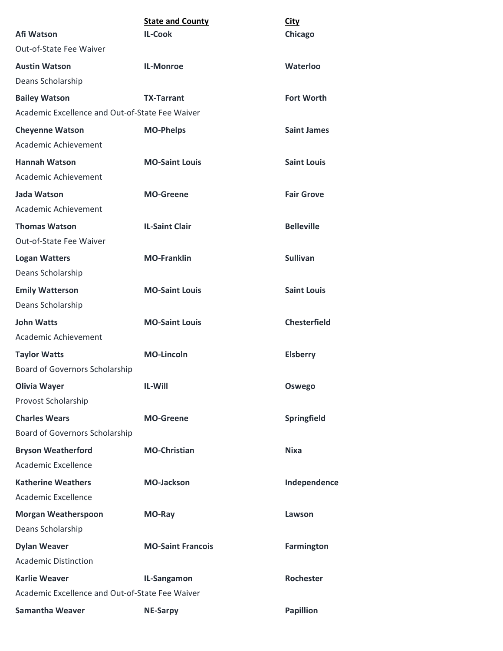| Afi Watson                                      | <b>State and County</b><br><b>IL-Cook</b> | City<br>Chicago     |
|-------------------------------------------------|-------------------------------------------|---------------------|
| <b>Out-of-State Fee Waiver</b>                  |                                           |                     |
| <b>Austin Watson</b>                            | <b>IL-Monroe</b>                          | Waterloo            |
| Deans Scholarship                               |                                           |                     |
| <b>Bailey Watson</b>                            | <b>TX-Tarrant</b>                         | <b>Fort Worth</b>   |
| Academic Excellence and Out-of-State Fee Waiver |                                           |                     |
| <b>Cheyenne Watson</b>                          | <b>MO-Phelps</b>                          | <b>Saint James</b>  |
| Academic Achievement                            |                                           |                     |
| <b>Hannah Watson</b>                            | <b>MO-Saint Louis</b>                     | <b>Saint Louis</b>  |
| Academic Achievement                            |                                           |                     |
| Jada Watson                                     | <b>MO-Greene</b>                          | <b>Fair Grove</b>   |
| Academic Achievement                            |                                           |                     |
| <b>Thomas Watson</b><br>Out-of-State Fee Waiver | <b>IL-Saint Clair</b>                     | <b>Belleville</b>   |
| <b>Logan Watters</b>                            | <b>MO-Franklin</b>                        | <b>Sullivan</b>     |
| Deans Scholarship                               |                                           |                     |
| <b>Emily Watterson</b>                          | <b>MO-Saint Louis</b>                     | <b>Saint Louis</b>  |
| Deans Scholarship                               |                                           |                     |
| <b>John Watts</b>                               | <b>MO-Saint Louis</b>                     | <b>Chesterfield</b> |
| Academic Achievement                            |                                           |                     |
| <b>Taylor Watts</b>                             | <b>MO-Lincoln</b>                         | <b>Elsberry</b>     |
| Board of Governors Scholarship                  |                                           |                     |
| <b>Olivia Wayer</b>                             | IL-Will                                   | Oswego              |
| Provost Scholarship                             |                                           |                     |
| <b>Charles Wears</b>                            | <b>MO-Greene</b>                          | Springfield         |
| Board of Governors Scholarship                  |                                           |                     |
| <b>Bryson Weatherford</b>                       | <b>MO-Christian</b>                       | <b>Nixa</b>         |
| Academic Excellence                             |                                           |                     |
| <b>Katherine Weathers</b>                       | <b>MO-Jackson</b>                         | Independence        |
| Academic Excellence                             |                                           |                     |
| <b>Morgan Weatherspoon</b>                      | MO-Ray                                    | Lawson              |
| Deans Scholarship                               |                                           |                     |
| <b>Dylan Weaver</b>                             | <b>MO-Saint Francois</b>                  | <b>Farmington</b>   |
| <b>Academic Distinction</b>                     |                                           |                     |
| <b>Karlie Weaver</b>                            | IL-Sangamon                               | Rochester           |
| Academic Excellence and Out-of-State Fee Waiver |                                           |                     |
| <b>Samantha Weaver</b>                          | <b>NE-Sarpy</b>                           | <b>Papillion</b>    |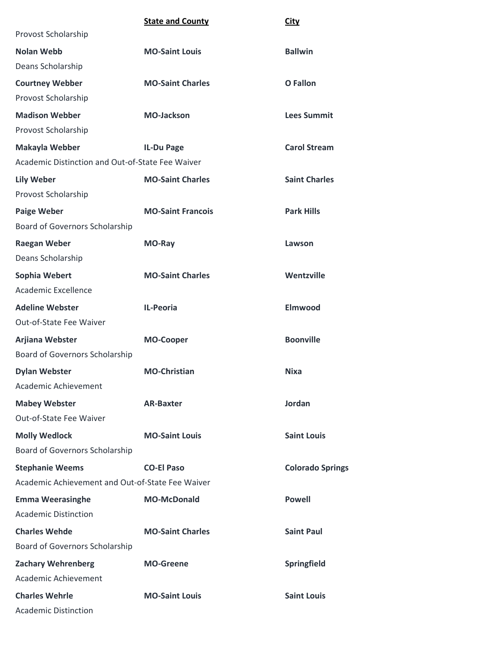|                                                  | <b>State and County</b>  | <b>City</b>             |
|--------------------------------------------------|--------------------------|-------------------------|
| Provost Scholarship                              |                          |                         |
| <b>Nolan Webb</b>                                | <b>MO-Saint Louis</b>    | <b>Ballwin</b>          |
| Deans Scholarship                                |                          |                         |
| <b>Courtney Webber</b>                           | <b>MO-Saint Charles</b>  | <b>O</b> Fallon         |
| Provost Scholarship                              |                          |                         |
| <b>Madison Webber</b>                            | <b>MO-Jackson</b>        | <b>Lees Summit</b>      |
| Provost Scholarship                              |                          |                         |
| Makayla Webber                                   | <b>IL-Du Page</b>        | <b>Carol Stream</b>     |
| Academic Distinction and Out-of-State Fee Waiver |                          |                         |
| <b>Lily Weber</b>                                | <b>MO-Saint Charles</b>  | <b>Saint Charles</b>    |
| Provost Scholarship                              |                          |                         |
| <b>Paige Weber</b>                               | <b>MO-Saint Francois</b> | <b>Park Hills</b>       |
| Board of Governors Scholarship                   |                          |                         |
| <b>Raegan Weber</b>                              | MO-Ray                   | Lawson                  |
| Deans Scholarship                                |                          |                         |
| Sophia Webert                                    | <b>MO-Saint Charles</b>  | Wentzville              |
| Academic Excellence                              |                          |                         |
| <b>Adeline Webster</b>                           | IL-Peoria                | <b>Elmwood</b>          |
| Out-of-State Fee Waiver                          |                          |                         |
| Arjiana Webster                                  | <b>MO-Cooper</b>         | <b>Boonville</b>        |
| Board of Governors Scholarship                   |                          |                         |
| <b>Dylan Webster</b>                             | <b>MO-Christian</b>      | <b>Nixa</b>             |
| Academic Achievement                             |                          |                         |
| <b>Mabey Webster</b>                             | <b>AR-Baxter</b>         | Jordan                  |
| Out-of-State Fee Waiver                          |                          |                         |
| <b>Molly Wedlock</b>                             | <b>MO-Saint Louis</b>    | <b>Saint Louis</b>      |
| Board of Governors Scholarship                   |                          |                         |
| <b>Stephanie Weems</b>                           | <b>CO-El Paso</b>        | <b>Colorado Springs</b> |
| Academic Achievement and Out-of-State Fee Waiver |                          |                         |
| <b>Emma Weerasinghe</b>                          | <b>MO-McDonald</b>       | <b>Powell</b>           |
| <b>Academic Distinction</b>                      |                          |                         |
| <b>Charles Wehde</b>                             | <b>MO-Saint Charles</b>  | <b>Saint Paul</b>       |
| Board of Governors Scholarship                   |                          |                         |
| <b>Zachary Wehrenberg</b>                        | <b>MO-Greene</b>         | Springfield             |
| Academic Achievement                             |                          |                         |
| <b>Charles Wehrle</b>                            | <b>MO-Saint Louis</b>    | <b>Saint Louis</b>      |
| <b>Academic Distinction</b>                      |                          |                         |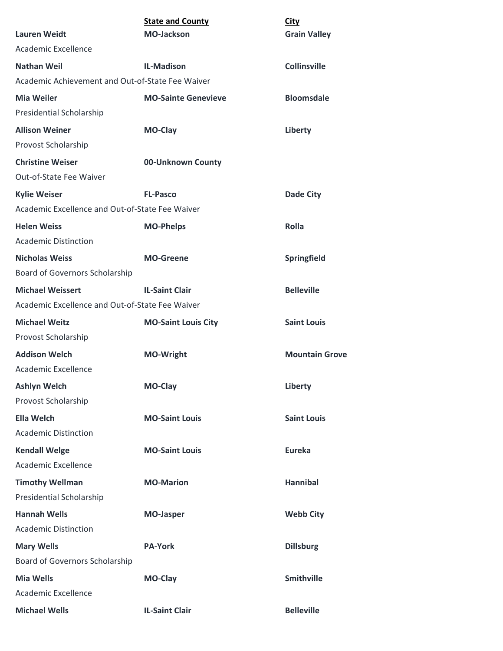| <b>Lauren Weidt</b>                                                    | <b>State and County</b><br><b>MO-Jackson</b> | <b>City</b>           |
|------------------------------------------------------------------------|----------------------------------------------|-----------------------|
| Academic Excellence                                                    |                                              | <b>Grain Valley</b>   |
|                                                                        |                                              |                       |
| <b>Nathan Weil</b><br>Academic Achievement and Out-of-State Fee Waiver | <b>IL-Madison</b>                            | <b>Collinsville</b>   |
|                                                                        |                                              |                       |
| <b>Mia Weiler</b>                                                      | <b>MO-Sainte Genevieve</b>                   | <b>Bloomsdale</b>     |
| Presidential Scholarship                                               |                                              |                       |
| <b>Allison Weiner</b>                                                  | <b>MO-Clay</b>                               | Liberty               |
| Provost Scholarship                                                    |                                              |                       |
| <b>Christine Weiser</b>                                                | 00-Unknown County                            |                       |
| Out-of-State Fee Waiver                                                |                                              |                       |
| <b>Kylie Weiser</b>                                                    | <b>FL-Pasco</b>                              | <b>Dade City</b>      |
| Academic Excellence and Out-of-State Fee Waiver                        |                                              |                       |
| <b>Helen Weiss</b>                                                     | <b>MO-Phelps</b>                             | <b>Rolla</b>          |
| <b>Academic Distinction</b>                                            |                                              |                       |
| <b>Nicholas Weiss</b>                                                  | <b>MO-Greene</b>                             | Springfield           |
| Board of Governors Scholarship                                         |                                              |                       |
| <b>Michael Weissert</b>                                                | <b>IL-Saint Clair</b>                        | <b>Belleville</b>     |
| Academic Excellence and Out-of-State Fee Waiver                        |                                              |                       |
| <b>Michael Weitz</b>                                                   | <b>MO-Saint Louis City</b>                   | <b>Saint Louis</b>    |
| Provost Scholarship                                                    |                                              |                       |
| <b>Addison Welch</b>                                                   | <b>MO-Wright</b>                             | <b>Mountain Grove</b> |
| <b>Academic Excellence</b>                                             |                                              |                       |
| <b>Ashlyn Welch</b>                                                    | MO-Clay                                      | Liberty               |
| Provost Scholarship                                                    |                                              |                       |
| <b>Ella Welch</b>                                                      | <b>MO-Saint Louis</b>                        | <b>Saint Louis</b>    |
| <b>Academic Distinction</b>                                            |                                              |                       |
| <b>Kendall Welge</b>                                                   | <b>MO-Saint Louis</b>                        | <b>Eureka</b>         |
| Academic Excellence                                                    |                                              |                       |
| <b>Timothy Wellman</b>                                                 | <b>MO-Marion</b>                             | <b>Hannibal</b>       |
| Presidential Scholarship                                               |                                              |                       |
| <b>Hannah Wells</b>                                                    | <b>MO-Jasper</b>                             | <b>Webb City</b>      |
| <b>Academic Distinction</b>                                            |                                              |                       |
| <b>Mary Wells</b>                                                      | <b>PA-York</b>                               | <b>Dillsburg</b>      |
| Board of Governors Scholarship                                         |                                              |                       |
| <b>Mia Wells</b>                                                       | MO-Clay                                      | <b>Smithville</b>     |
| Academic Excellence                                                    |                                              |                       |
| <b>Michael Wells</b>                                                   | <b>IL-Saint Clair</b>                        | <b>Belleville</b>     |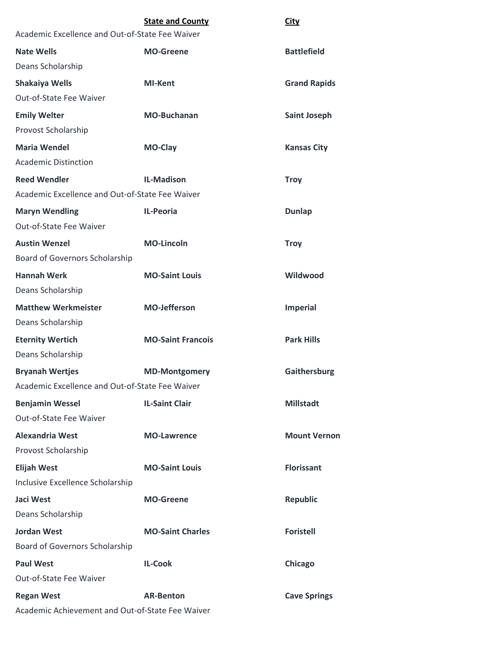|                                                  | <b>State and County</b>  | <b>City</b>         |
|--------------------------------------------------|--------------------------|---------------------|
| Academic Excellence and Out-of-State Fee Waiver  |                          |                     |
| <b>Nate Wells</b>                                | <b>MO-Greene</b>         | <b>Battlefield</b>  |
| Deans Scholarship                                |                          |                     |
| <b>Shakaiya Wells</b>                            | <b>MI-Kent</b>           | <b>Grand Rapids</b> |
| <b>Out-of-State Fee Waiver</b>                   |                          |                     |
| <b>Emily Welter</b>                              | <b>MO-Buchanan</b>       | <b>Saint Joseph</b> |
| Provost Scholarship                              |                          |                     |
| <b>Maria Wendel</b>                              | MO-Clay                  | <b>Kansas City</b>  |
| <b>Academic Distinction</b>                      |                          |                     |
| <b>Reed Wendler</b>                              | <b>IL-Madison</b>        | <b>Troy</b>         |
| Academic Excellence and Out-of-State Fee Waiver  |                          |                     |
| <b>Maryn Wendling</b>                            | <b>IL-Peoria</b>         | <b>Dunlap</b>       |
| <b>Out-of-State Fee Waiver</b>                   |                          |                     |
| <b>Austin Wenzel</b>                             | <b>MO-Lincoln</b>        | <b>Troy</b>         |
| <b>Board of Governors Scholarship</b>            |                          |                     |
| <b>Hannah Werk</b>                               | <b>MO-Saint Louis</b>    | Wildwood            |
| Deans Scholarship                                |                          |                     |
| <b>Matthew Werkmeister</b>                       | <b>MO-Jefferson</b>      | <b>Imperial</b>     |
| Deans Scholarship                                |                          |                     |
| <b>Eternity Wertich</b>                          | <b>MO-Saint Francois</b> | <b>Park Hills</b>   |
| Deans Scholarship                                |                          |                     |
| <b>Bryanah Wertjes</b>                           | <b>MD-Montgomery</b>     | Gaithersburg        |
| Academic Excellence and Out-of-State Fee Waiver  |                          |                     |
| <b>Benjamin Wessel</b>                           | <b>IL-Saint Clair</b>    | <b>Millstadt</b>    |
| Out-of-State Fee Waiver                          |                          |                     |
| <b>Alexandria West</b>                           | <b>MO-Lawrence</b>       | <b>Mount Vernon</b> |
| Provost Scholarship                              |                          |                     |
| <b>Elijah West</b>                               | <b>MO-Saint Louis</b>    | <b>Florissant</b>   |
| Inclusive Excellence Scholarship                 |                          |                     |
| Jaci West                                        | <b>MO-Greene</b>         | <b>Republic</b>     |
| Deans Scholarship                                |                          |                     |
| <b>Jordan West</b>                               | <b>MO-Saint Charles</b>  | <b>Foristell</b>    |
| Board of Governors Scholarship                   |                          |                     |
| <b>Paul West</b>                                 | <b>IL-Cook</b>           | Chicago             |
| Out-of-State Fee Waiver                          |                          |                     |
| <b>Regan West</b>                                | <b>AR-Benton</b>         | <b>Cave Springs</b> |
| Academic Achievement and Out-of-State Fee Waiver |                          |                     |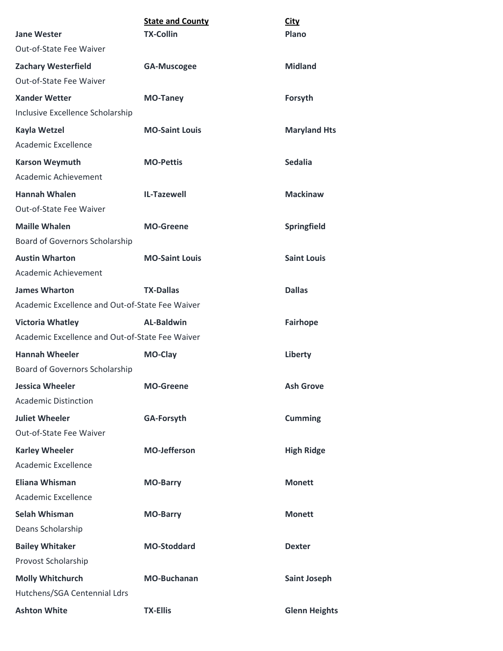| <b>Jane Wester</b>                              | <b>State and County</b><br><b>TX-Collin</b> | <b>City</b><br>Plano |
|-------------------------------------------------|---------------------------------------------|----------------------|
| <b>Out-of-State Fee Waiver</b>                  |                                             |                      |
| <b>Zachary Westerfield</b>                      | <b>GA-Muscogee</b>                          | <b>Midland</b>       |
| Out-of-State Fee Waiver                         |                                             |                      |
| <b>Xander Wetter</b>                            | <b>MO-Taney</b>                             | Forsyth              |
| Inclusive Excellence Scholarship                |                                             |                      |
| <b>Kayla Wetzel</b>                             | <b>MO-Saint Louis</b>                       | <b>Maryland Hts</b>  |
| Academic Excellence                             |                                             |                      |
| <b>Karson Weymuth</b>                           | <b>MO-Pettis</b>                            | <b>Sedalia</b>       |
| Academic Achievement                            |                                             |                      |
| <b>Hannah Whalen</b>                            | <b>IL-Tazewell</b>                          | <b>Mackinaw</b>      |
| Out-of-State Fee Waiver                         |                                             |                      |
| <b>Maille Whalen</b>                            | <b>MO-Greene</b>                            | <b>Springfield</b>   |
| Board of Governors Scholarship                  |                                             |                      |
| <b>Austin Wharton</b>                           | <b>MO-Saint Louis</b>                       | <b>Saint Louis</b>   |
| Academic Achievement                            |                                             |                      |
| <b>James Wharton</b>                            | <b>TX-Dallas</b>                            | <b>Dallas</b>        |
| Academic Excellence and Out-of-State Fee Waiver |                                             |                      |
| <b>Victoria Whatley</b>                         | <b>AL-Baldwin</b>                           | <b>Fairhope</b>      |
| Academic Excellence and Out-of-State Fee Waiver |                                             |                      |
| <b>Hannah Wheeler</b>                           | MO-Clay                                     | Liberty              |
| <b>Board of Governors Scholarship</b>           |                                             |                      |
| <b>Jessica Wheeler</b>                          | <b>MO-Greene</b>                            | <b>Ash Grove</b>     |
| <b>Academic Distinction</b>                     |                                             |                      |
| <b>Juliet Wheeler</b>                           | <b>GA-Forsyth</b>                           | <b>Cumming</b>       |
| Out-of-State Fee Waiver                         |                                             |                      |
| <b>Karley Wheeler</b>                           | <b>MO-Jefferson</b>                         | <b>High Ridge</b>    |
| Academic Excellence                             |                                             |                      |
| <b>Eliana Whisman</b>                           | <b>MO-Barry</b>                             | <b>Monett</b>        |
| Academic Excellence                             |                                             |                      |
| <b>Selah Whisman</b>                            | <b>MO-Barry</b>                             | <b>Monett</b>        |
| Deans Scholarship                               |                                             |                      |
| <b>Bailey Whitaker</b>                          | <b>MO-Stoddard</b>                          | <b>Dexter</b>        |
| Provost Scholarship                             |                                             |                      |
| <b>Molly Whitchurch</b>                         | <b>MO-Buchanan</b>                          | <b>Saint Joseph</b>  |
| Hutchens/SGA Centennial Ldrs                    |                                             |                      |
| <b>Ashton White</b>                             | <b>TX-Ellis</b>                             | <b>Glenn Heights</b> |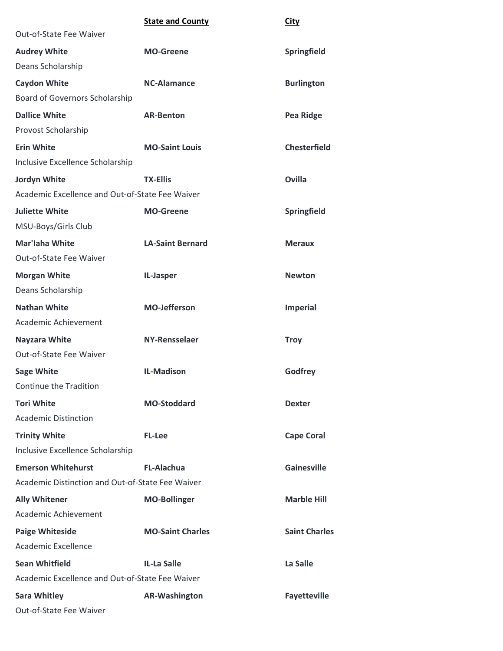|                                                  | <b>State and County</b> | <b>City</b>          |
|--------------------------------------------------|-------------------------|----------------------|
| Out-of-State Fee Waiver                          |                         |                      |
| <b>Audrey White</b>                              | <b>MO-Greene</b>        | Springfield          |
| Deans Scholarship                                |                         |                      |
| <b>Caydon White</b>                              | <b>NC-Alamance</b>      | <b>Burlington</b>    |
| Board of Governors Scholarship                   |                         |                      |
| <b>Dallice White</b>                             | <b>AR-Benton</b>        | <b>Pea Ridge</b>     |
| Provost Scholarship                              |                         |                      |
| <b>Erin White</b>                                | <b>MO-Saint Louis</b>   | <b>Chesterfield</b>  |
| Inclusive Excellence Scholarship                 |                         |                      |
| Jordyn White                                     | <b>TX-Ellis</b>         | <b>Ovilla</b>        |
| Academic Excellence and Out-of-State Fee Waiver  |                         |                      |
| <b>Juliette White</b>                            | <b>MO-Greene</b>        | Springfield          |
| MSU-Boys/Girls Club                              |                         |                      |
| <b>Mar'laha White</b>                            | <b>LA-Saint Bernard</b> | <b>Meraux</b>        |
| Out-of-State Fee Waiver                          |                         |                      |
| <b>Morgan White</b>                              | IL-Jasper               | <b>Newton</b>        |
| Deans Scholarship                                |                         |                      |
| <b>Nathan White</b>                              | <b>MO-Jefferson</b>     | <b>Imperial</b>      |
| Academic Achievement                             |                         |                      |
| <b>Nayzara White</b>                             | <b>NY-Rensselaer</b>    | <b>Troy</b>          |
| Out-of-State Fee Waiver                          |                         |                      |
| <b>Sage White</b>                                | <b>IL-Madison</b>       | Godfrey              |
| Continue the Tradition                           |                         |                      |
| <b>Tori White</b>                                | <b>MO-Stoddard</b>      | <b>Dexter</b>        |
| <b>Academic Distinction</b>                      |                         |                      |
| <b>Trinity White</b>                             | <b>FL-Lee</b>           | <b>Cape Coral</b>    |
| Inclusive Excellence Scholarship                 |                         |                      |
| <b>Emerson Whitehurst</b>                        | <b>FL-Alachua</b>       | <b>Gainesville</b>   |
| Academic Distinction and Out-of-State Fee Waiver |                         |                      |
| <b>Ally Whitener</b>                             | <b>MO-Bollinger</b>     | <b>Marble Hill</b>   |
| Academic Achievement                             |                         |                      |
| <b>Paige Whiteside</b>                           | <b>MO-Saint Charles</b> | <b>Saint Charles</b> |
| Academic Excellence                              |                         |                      |
| <b>Sean Whitfield</b>                            | <b>IL-La Salle</b>      | La Salle             |
| Academic Excellence and Out-of-State Fee Waiver  |                         |                      |
| <b>Sara Whitley</b>                              | <b>AR-Washington</b>    | <b>Fayetteville</b>  |
| Out-of-State Fee Waiver                          |                         |                      |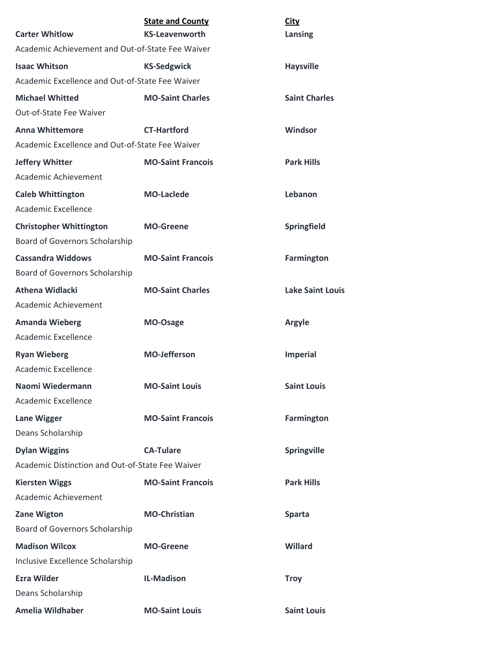| <b>Carter Whitlow</b>                                             | <b>State and County</b><br><b>KS-Leavenworth</b> | <b>City</b><br>Lansing  |
|-------------------------------------------------------------------|--------------------------------------------------|-------------------------|
| Academic Achievement and Out-of-State Fee Waiver                  |                                                  |                         |
| <b>Isaac Whitson</b>                                              | <b>KS-Sedgwick</b>                               | <b>Haysville</b>        |
| Academic Excellence and Out-of-State Fee Waiver                   |                                                  |                         |
| <b>Michael Whitted</b>                                            | <b>MO-Saint Charles</b>                          | <b>Saint Charles</b>    |
| Out-of-State Fee Waiver                                           |                                                  |                         |
| <b>Anna Whittemore</b>                                            | <b>CT-Hartford</b>                               | Windsor                 |
| Academic Excellence and Out-of-State Fee Waiver                   |                                                  |                         |
| <b>Jeffery Whitter</b><br>Academic Achievement                    | <b>MO-Saint Francois</b>                         | <b>Park Hills</b>       |
| <b>Caleb Whittington</b><br>Academic Excellence                   | <b>MO-Laclede</b>                                | Lebanon                 |
| <b>Christopher Whittington</b><br>Board of Governors Scholarship  | <b>MO-Greene</b>                                 | Springfield             |
| <b>Cassandra Widdows</b><br><b>Board of Governors Scholarship</b> | <b>MO-Saint Francois</b>                         | <b>Farmington</b>       |
| <b>Athena Widlacki</b><br>Academic Achievement                    | <b>MO-Saint Charles</b>                          | <b>Lake Saint Louis</b> |
| <b>Amanda Wieberg</b><br>Academic Excellence                      | MO-Osage                                         | <b>Argyle</b>           |
| <b>Ryan Wieberg</b><br>Academic Excellence                        | <b>MO-Jefferson</b>                              | <b>Imperial</b>         |
| Naomi Wiedermann<br>Academic Excellence                           | <b>MO-Saint Louis</b>                            | <b>Saint Louis</b>      |
| <b>Lane Wigger</b><br>Deans Scholarship                           | <b>MO-Saint Francois</b>                         | <b>Farmington</b>       |
| <b>Dylan Wiggins</b>                                              | <b>CA-Tulare</b>                                 | Springville             |
| Academic Distinction and Out-of-State Fee Waiver                  |                                                  |                         |
| <b>Kiersten Wiggs</b>                                             | <b>MO-Saint Francois</b>                         | <b>Park Hills</b>       |
| Academic Achievement                                              |                                                  |                         |
| <b>Zane Wigton</b>                                                | <b>MO-Christian</b>                              | <b>Sparta</b>           |
| Board of Governors Scholarship                                    |                                                  |                         |
| <b>Madison Wilcox</b>                                             | <b>MO-Greene</b>                                 | Willard                 |
| Inclusive Excellence Scholarship                                  |                                                  |                         |
| <b>Ezra Wilder</b>                                                | <b>IL-Madison</b>                                | <b>Troy</b>             |
| Deans Scholarship                                                 |                                                  |                         |
| Amelia Wildhaber                                                  | <b>MO-Saint Louis</b>                            | <b>Saint Louis</b>      |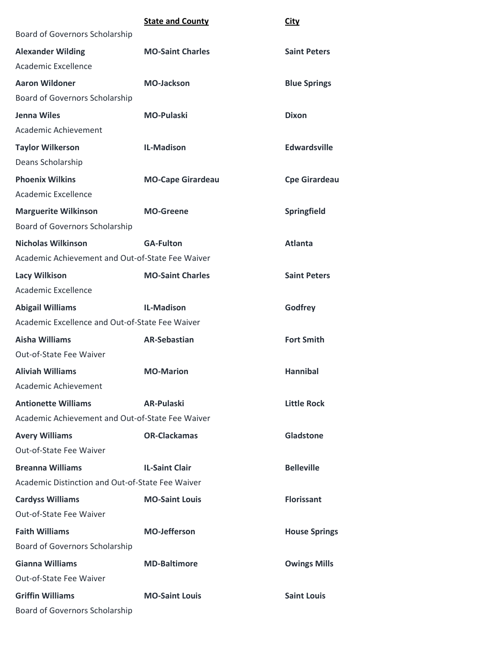|                                                  | <b>State and County</b>  | <b>City</b>          |
|--------------------------------------------------|--------------------------|----------------------|
| Board of Governors Scholarship                   |                          |                      |
| <b>Alexander Wilding</b>                         | <b>MO-Saint Charles</b>  | <b>Saint Peters</b>  |
| Academic Excellence                              |                          |                      |
| <b>Aaron Wildoner</b>                            | <b>MO-Jackson</b>        | <b>Blue Springs</b>  |
| Board of Governors Scholarship                   |                          |                      |
| <b>Jenna Wiles</b>                               | <b>MO-Pulaski</b>        | <b>Dixon</b>         |
| Academic Achievement                             |                          |                      |
| <b>Taylor Wilkerson</b>                          | <b>IL-Madison</b>        | <b>Edwardsville</b>  |
| Deans Scholarship                                |                          |                      |
| <b>Phoenix Wilkins</b>                           | <b>MO-Cape Girardeau</b> | <b>Cpe Girardeau</b> |
| Academic Excellence                              |                          |                      |
| <b>Marguerite Wilkinson</b>                      | <b>MO-Greene</b>         | Springfield          |
| Board of Governors Scholarship                   |                          |                      |
| <b>Nicholas Wilkinson</b>                        | <b>GA-Fulton</b>         | <b>Atlanta</b>       |
| Academic Achievement and Out-of-State Fee Waiver |                          |                      |
| <b>Lacy Wilkison</b>                             | <b>MO-Saint Charles</b>  | <b>Saint Peters</b>  |
| <b>Academic Excellence</b>                       |                          |                      |
| <b>Abigail Williams</b>                          | <b>IL-Madison</b>        | Godfrey              |
| Academic Excellence and Out-of-State Fee Waiver  |                          |                      |
| <b>Aisha Williams</b>                            | <b>AR-Sebastian</b>      | <b>Fort Smith</b>    |
| Out-of-State Fee Waiver                          |                          |                      |
| <b>Aliviah Williams</b>                          | <b>MO-Marion</b>         | <b>Hannibal</b>      |
| Academic Achievement                             |                          |                      |
| <b>Antionette Williams</b>                       | <b>AR-Pulaski</b>        | <b>Little Rock</b>   |
| Academic Achievement and Out-of-State Fee Waiver |                          |                      |
| <b>Avery Williams</b>                            | <b>OR-Clackamas</b>      | Gladstone            |
| Out-of-State Fee Waiver                          |                          |                      |
| <b>Breanna Williams</b>                          | <b>IL-Saint Clair</b>    | <b>Belleville</b>    |
| Academic Distinction and Out-of-State Fee Waiver |                          |                      |
| <b>Cardyss Williams</b>                          | <b>MO-Saint Louis</b>    | <b>Florissant</b>    |
| Out-of-State Fee Waiver                          |                          |                      |
| <b>Faith Williams</b>                            | <b>MO-Jefferson</b>      | <b>House Springs</b> |
| Board of Governors Scholarship                   |                          |                      |
| <b>Gianna Williams</b>                           | <b>MD-Baltimore</b>      | <b>Owings Mills</b>  |
| Out-of-State Fee Waiver                          |                          |                      |
| <b>Griffin Williams</b>                          | <b>MO-Saint Louis</b>    | <b>Saint Louis</b>   |
| Board of Governors Scholarship                   |                          |                      |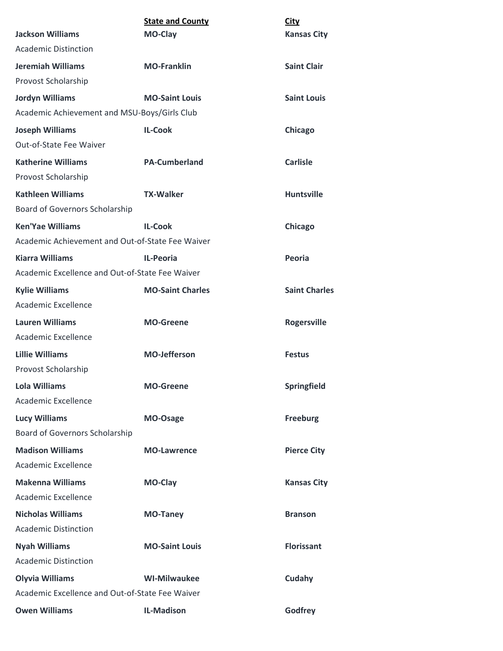| <b>Jackson Williams</b>                          | <b>State and County</b><br>MO-Clay | <b>City</b><br><b>Kansas City</b> |
|--------------------------------------------------|------------------------------------|-----------------------------------|
| <b>Academic Distinction</b>                      |                                    |                                   |
| <b>Jeremiah Williams</b>                         | <b>MO-Franklin</b>                 | <b>Saint Clair</b>                |
| Provost Scholarship                              |                                    |                                   |
| <b>Jordyn Williams</b>                           | <b>MO-Saint Louis</b>              | <b>Saint Louis</b>                |
| Academic Achievement and MSU-Boys/Girls Club     |                                    |                                   |
| <b>Joseph Williams</b>                           | <b>IL-Cook</b>                     | Chicago                           |
| Out-of-State Fee Waiver                          |                                    |                                   |
| <b>Katherine Williams</b>                        | <b>PA-Cumberland</b>               | <b>Carlisle</b>                   |
| Provost Scholarship                              |                                    |                                   |
| <b>Kathleen Williams</b>                         | <b>TX-Walker</b>                   | <b>Huntsville</b>                 |
| Board of Governors Scholarship                   |                                    |                                   |
| <b>Ken'Yae Williams</b>                          | <b>IL-Cook</b>                     | Chicago                           |
| Academic Achievement and Out-of-State Fee Waiver |                                    |                                   |
| <b>Kiarra Williams</b>                           | <b>IL-Peoria</b>                   | Peoria                            |
| Academic Excellence and Out-of-State Fee Waiver  |                                    |                                   |
| <b>Kylie Williams</b>                            | <b>MO-Saint Charles</b>            | <b>Saint Charles</b>              |
| Academic Excellence                              |                                    |                                   |
| <b>Lauren Williams</b>                           | <b>MO-Greene</b>                   | <b>Rogersville</b>                |
| Academic Excellence                              |                                    |                                   |
| <b>Lillie Williams</b>                           | <b>MO-Jefferson</b>                | <b>Festus</b>                     |
| Provost Scholarship                              |                                    |                                   |
| <b>Lola Williams</b>                             | <b>MO-Greene</b>                   | Springfield                       |
| Academic Excellence                              |                                    |                                   |
| <b>Lucy Williams</b>                             | MO-Osage                           | <b>Freeburg</b>                   |
| Board of Governors Scholarship                   |                                    |                                   |
| <b>Madison Williams</b>                          | <b>MO-Lawrence</b>                 | <b>Pierce City</b>                |
| Academic Excellence                              |                                    |                                   |
| <b>Makenna Williams</b>                          | MO-Clay                            | <b>Kansas City</b>                |
| Academic Excellence                              |                                    |                                   |
| <b>Nicholas Williams</b>                         | <b>MO-Taney</b>                    | <b>Branson</b>                    |
| <b>Academic Distinction</b>                      |                                    |                                   |
| <b>Nyah Williams</b>                             | <b>MO-Saint Louis</b>              | <b>Florissant</b>                 |
| <b>Academic Distinction</b>                      |                                    |                                   |
| <b>Olyvia Williams</b>                           | <b>WI-Milwaukee</b>                | Cudahy                            |
| Academic Excellence and Out-of-State Fee Waiver  |                                    |                                   |
| <b>Owen Williams</b>                             | <b>IL-Madison</b>                  | Godfrey                           |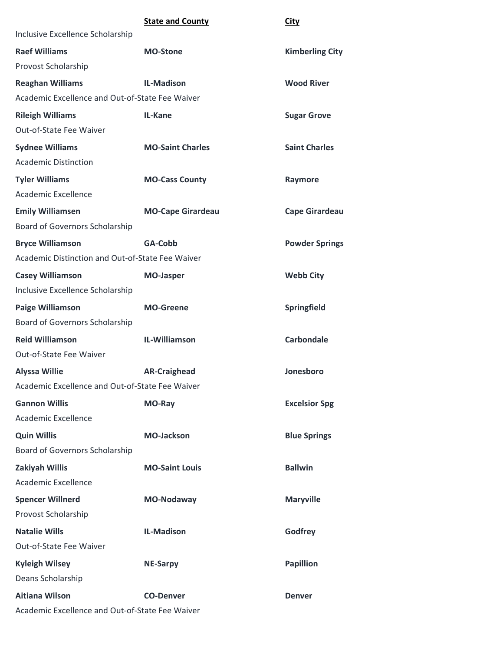|                                                  | <b>State and County</b>  | <b>City</b>            |
|--------------------------------------------------|--------------------------|------------------------|
| Inclusive Excellence Scholarship                 |                          |                        |
| <b>Raef Williams</b>                             | <b>MO-Stone</b>          | <b>Kimberling City</b> |
| Provost Scholarship                              |                          |                        |
| <b>Reaghan Williams</b>                          | <b>IL-Madison</b>        | <b>Wood River</b>      |
| Academic Excellence and Out-of-State Fee Waiver  |                          |                        |
| <b>Rileigh Williams</b>                          | IL-Kane                  | <b>Sugar Grove</b>     |
| Out-of-State Fee Waiver                          |                          |                        |
| <b>Sydnee Williams</b>                           | <b>MO-Saint Charles</b>  | <b>Saint Charles</b>   |
| <b>Academic Distinction</b>                      |                          |                        |
| <b>Tyler Williams</b>                            | <b>MO-Cass County</b>    | Raymore                |
| Academic Excellence                              |                          |                        |
| <b>Emily Williamsen</b>                          | <b>MO-Cape Girardeau</b> | <b>Cape Girardeau</b>  |
| Board of Governors Scholarship                   |                          |                        |
| <b>Bryce Williamson</b>                          | GA-Cobb                  | <b>Powder Springs</b>  |
| Academic Distinction and Out-of-State Fee Waiver |                          |                        |
| <b>Casey Williamson</b>                          | <b>MO-Jasper</b>         | <b>Webb City</b>       |
| Inclusive Excellence Scholarship                 |                          |                        |
| <b>Paige Williamson</b>                          | <b>MO-Greene</b>         | Springfield            |
| Board of Governors Scholarship                   |                          |                        |
| <b>Reid Williamson</b>                           | IL-Williamson            | <b>Carbondale</b>      |
| Out-of-State Fee Waiver                          |                          |                        |
| <b>Alyssa Willie</b>                             | <b>AR-Craighead</b>      | Jonesboro              |
| Academic Excellence and Out-of-State Fee Waiver  |                          |                        |
| <b>Gannon Willis</b>                             | MO-Ray                   | <b>Excelsior Spg</b>   |
| Academic Excellence                              |                          |                        |
| <b>Quin Willis</b>                               | <b>MO-Jackson</b>        | <b>Blue Springs</b>    |
| Board of Governors Scholarship                   |                          |                        |
| Zakiyah Willis                                   | <b>MO-Saint Louis</b>    | <b>Ballwin</b>         |
| Academic Excellence                              |                          |                        |
| <b>Spencer Willnerd</b>                          | MO-Nodaway               | <b>Maryville</b>       |
| Provost Scholarship                              |                          |                        |
| <b>Natalie Wills</b>                             | <b>IL-Madison</b>        | Godfrey                |
| Out-of-State Fee Waiver                          |                          |                        |
| <b>Kyleigh Wilsey</b>                            | <b>NE-Sarpy</b>          | <b>Papillion</b>       |
| Deans Scholarship                                |                          |                        |
| <b>Aitiana Wilson</b>                            | <b>CO-Denver</b>         | <b>Denver</b>          |
| Academic Excellence and Out-of-State Fee Waiver  |                          |                        |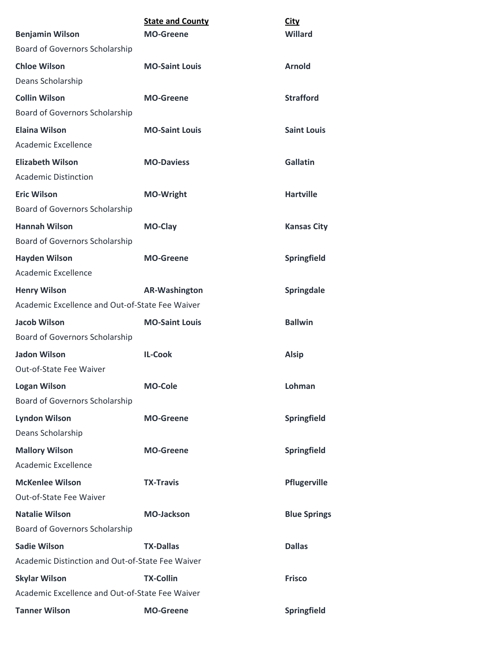|                                                          | <b>State and County</b><br><b>MO-Greene</b> | <b>City</b><br><b>Willard</b> |
|----------------------------------------------------------|---------------------------------------------|-------------------------------|
| <b>Benjamin Wilson</b><br>Board of Governors Scholarship |                                             |                               |
|                                                          |                                             |                               |
| <b>Chloe Wilson</b>                                      | <b>MO-Saint Louis</b>                       | <b>Arnold</b>                 |
| Deans Scholarship                                        |                                             |                               |
| <b>Collin Wilson</b>                                     | <b>MO-Greene</b>                            | <b>Strafford</b>              |
| Board of Governors Scholarship                           |                                             |                               |
| <b>Elaina Wilson</b>                                     | <b>MO-Saint Louis</b>                       | <b>Saint Louis</b>            |
| <b>Academic Excellence</b>                               |                                             |                               |
| <b>Elizabeth Wilson</b>                                  | <b>MO-Daviess</b>                           | <b>Gallatin</b>               |
| <b>Academic Distinction</b>                              |                                             |                               |
| <b>Eric Wilson</b>                                       | <b>MO-Wright</b>                            | <b>Hartville</b>              |
| Board of Governors Scholarship                           |                                             |                               |
| <b>Hannah Wilson</b>                                     | <b>MO-Clay</b>                              | <b>Kansas City</b>            |
| Board of Governors Scholarship                           |                                             |                               |
| <b>Hayden Wilson</b>                                     | <b>MO-Greene</b>                            | Springfield                   |
| <b>Academic Excellence</b>                               |                                             |                               |
| <b>Henry Wilson</b>                                      | <b>AR-Washington</b>                        | Springdale                    |
| Academic Excellence and Out-of-State Fee Waiver          |                                             |                               |
| <b>Jacob Wilson</b>                                      | <b>MO-Saint Louis</b>                       | <b>Ballwin</b>                |
| Board of Governors Scholarship                           |                                             |                               |
| <b>Jadon Wilson</b>                                      | <b>IL-Cook</b>                              | <b>Alsip</b>                  |
| Out-of-State Fee Waiver                                  |                                             |                               |
| <b>Logan Wilson</b>                                      | <b>MO-Cole</b>                              | Lohman                        |
| Board of Governors Scholarship                           |                                             |                               |
| <b>Lyndon Wilson</b>                                     | <b>MO-Greene</b>                            | Springfield                   |
| Deans Scholarship                                        |                                             |                               |
| <b>Mallory Wilson</b>                                    | <b>MO-Greene</b>                            | Springfield                   |
| Academic Excellence                                      |                                             |                               |
| <b>McKenlee Wilson</b>                                   | <b>TX-Travis</b>                            | Pflugerville                  |
| Out-of-State Fee Waiver                                  |                                             |                               |
| <b>Natalie Wilson</b>                                    | <b>MO-Jackson</b>                           | <b>Blue Springs</b>           |
| Board of Governors Scholarship                           |                                             |                               |
| <b>Sadie Wilson</b>                                      | <b>TX-Dallas</b>                            | <b>Dallas</b>                 |
| Academic Distinction and Out-of-State Fee Waiver         |                                             |                               |
| <b>Skylar Wilson</b>                                     | <b>TX-Collin</b>                            | <b>Frisco</b>                 |
| Academic Excellence and Out-of-State Fee Waiver          |                                             |                               |
| <b>Tanner Wilson</b>                                     | <b>MO-Greene</b>                            | Springfield                   |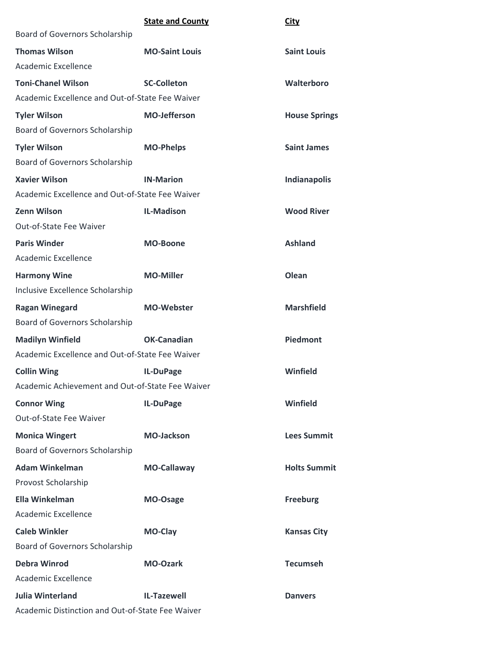|                                                  | <b>State and County</b> | <b>City</b>          |
|--------------------------------------------------|-------------------------|----------------------|
| Board of Governors Scholarship                   |                         |                      |
| <b>Thomas Wilson</b>                             | <b>MO-Saint Louis</b>   | <b>Saint Louis</b>   |
| <b>Academic Excellence</b>                       |                         |                      |
| <b>Toni-Chanel Wilson</b>                        | <b>SC-Colleton</b>      | Walterboro           |
| Academic Excellence and Out-of-State Fee Waiver  |                         |                      |
| <b>Tyler Wilson</b>                              | <b>MO-Jefferson</b>     | <b>House Springs</b> |
| Board of Governors Scholarship                   |                         |                      |
| <b>Tyler Wilson</b>                              | <b>MO-Phelps</b>        | <b>Saint James</b>   |
| Board of Governors Scholarship                   |                         |                      |
| <b>Xavier Wilson</b>                             | <b>IN-Marion</b>        | Indianapolis         |
| Academic Excellence and Out-of-State Fee Waiver  |                         |                      |
| <b>Zenn Wilson</b>                               | <b>IL-Madison</b>       | <b>Wood River</b>    |
| Out-of-State Fee Waiver                          |                         |                      |
| <b>Paris Winder</b>                              | <b>MO-Boone</b>         | <b>Ashland</b>       |
| Academic Excellence                              |                         |                      |
| <b>Harmony Wine</b>                              | <b>MO-Miller</b>        | Olean                |
| Inclusive Excellence Scholarship                 |                         |                      |
| <b>Ragan Winegard</b>                            | <b>MO-Webster</b>       | <b>Marshfield</b>    |
| Board of Governors Scholarship                   |                         |                      |
| <b>Madilyn Winfield</b>                          | <b>OK-Canadian</b>      | <b>Piedmont</b>      |
| Academic Excellence and Out-of-State Fee Waiver  |                         |                      |
| <b>Collin Wing</b>                               | IL-DuPage               | Winfield             |
| Academic Achievement and Out-of-State Fee Waiver |                         |                      |
| <b>Connor Wing</b>                               | IL-DuPage               | Winfield             |
| Out-of-State Fee Waiver                          |                         |                      |
| <b>Monica Wingert</b>                            | <b>MO-Jackson</b>       | <b>Lees Summit</b>   |
| Board of Governors Scholarship                   |                         |                      |
| <b>Adam Winkelman</b>                            | <b>MO-Callaway</b>      | <b>Holts Summit</b>  |
| Provost Scholarship                              |                         |                      |
| <b>Ella Winkelman</b>                            | MO-Osage                | <b>Freeburg</b>      |
| <b>Academic Excellence</b>                       |                         |                      |
| <b>Caleb Winkler</b>                             | MO-Clay                 | <b>Kansas City</b>   |
| Board of Governors Scholarship                   |                         |                      |
| <b>Debra Winrod</b>                              | <b>MO-Ozark</b>         | <b>Tecumseh</b>      |
| <b>Academic Excellence</b>                       |                         |                      |
| <b>Julia Winterland</b>                          | <b>IL-Tazewell</b>      | <b>Danvers</b>       |
| Academic Distinction and Out-of-State Fee Waiver |                         |                      |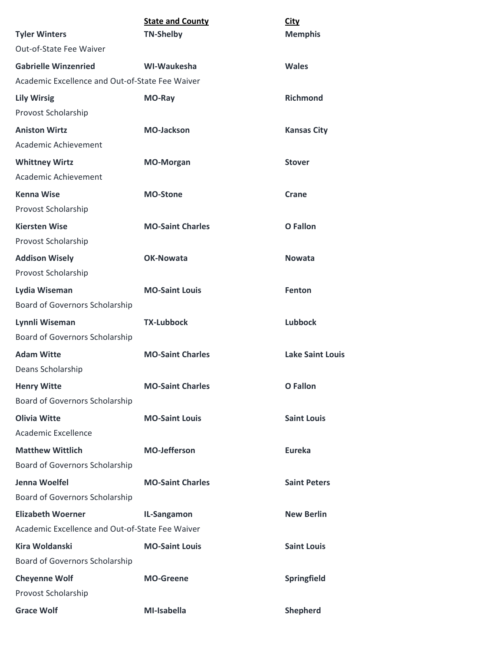|                                                 | <b>State and County</b> | <b>City</b>             |
|-------------------------------------------------|-------------------------|-------------------------|
| <b>Tyler Winters</b>                            | <b>TN-Shelby</b>        | <b>Memphis</b>          |
| Out-of-State Fee Waiver                         |                         |                         |
| <b>Gabrielle Winzenried</b>                     | WI-Waukesha             | <b>Wales</b>            |
| Academic Excellence and Out-of-State Fee Waiver |                         |                         |
| <b>Lily Wirsig</b>                              | MO-Ray                  | <b>Richmond</b>         |
| Provost Scholarship                             |                         |                         |
| <b>Aniston Wirtz</b>                            | <b>MO-Jackson</b>       | <b>Kansas City</b>      |
| Academic Achievement                            |                         |                         |
| <b>Whittney Wirtz</b>                           | <b>MO-Morgan</b>        | <b>Stover</b>           |
| Academic Achievement                            |                         |                         |
| <b>Kenna Wise</b>                               | <b>MO-Stone</b>         | Crane                   |
| Provost Scholarship                             |                         |                         |
| <b>Kiersten Wise</b>                            | <b>MO-Saint Charles</b> | <b>O</b> Fallon         |
| Provost Scholarship                             |                         |                         |
| <b>Addison Wisely</b>                           | <b>OK-Nowata</b>        | <b>Nowata</b>           |
| Provost Scholarship                             |                         |                         |
| Lydia Wiseman                                   | <b>MO-Saint Louis</b>   | Fenton                  |
| Board of Governors Scholarship                  |                         |                         |
| Lynnli Wiseman                                  | <b>TX-Lubbock</b>       | <b>Lubbock</b>          |
| Board of Governors Scholarship                  |                         |                         |
| <b>Adam Witte</b>                               | <b>MO-Saint Charles</b> | <b>Lake Saint Louis</b> |
| Deans Scholarship                               |                         |                         |
| <b>Henry Witte</b>                              | <b>MO-Saint Charles</b> | <b>O</b> Fallon         |
| Board of Governors Scholarship                  |                         |                         |
| <b>Olivia Witte</b>                             | <b>MO-Saint Louis</b>   | <b>Saint Louis</b>      |
| <b>Academic Excellence</b>                      |                         |                         |
| <b>Matthew Wittlich</b>                         | <b>MO-Jefferson</b>     | <b>Eureka</b>           |
| Board of Governors Scholarship                  |                         |                         |
| Jenna Woelfel                                   | <b>MO-Saint Charles</b> | <b>Saint Peters</b>     |
| <b>Board of Governors Scholarship</b>           |                         |                         |
| <b>Elizabeth Woerner</b>                        | IL-Sangamon             | <b>New Berlin</b>       |
| Academic Excellence and Out-of-State Fee Waiver |                         |                         |
| <b>Kira Woldanski</b>                           | <b>MO-Saint Louis</b>   | <b>Saint Louis</b>      |
| Board of Governors Scholarship                  |                         |                         |
| <b>Cheyenne Wolf</b>                            | <b>MO-Greene</b>        | Springfield             |
| Provost Scholarship                             |                         |                         |
| <b>Grace Wolf</b>                               | MI-Isabella             | <b>Shepherd</b>         |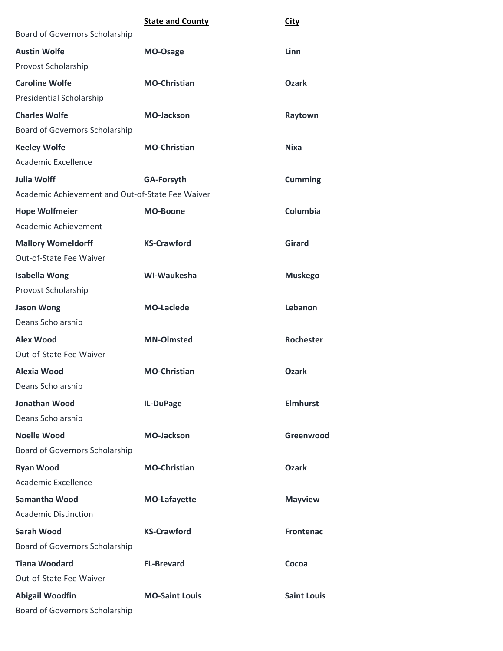|                                                  | <b>State and County</b> | <b>City</b>        |
|--------------------------------------------------|-------------------------|--------------------|
| Board of Governors Scholarship                   |                         |                    |
| <b>Austin Wolfe</b>                              | MO-Osage                | Linn               |
| Provost Scholarship                              |                         |                    |
| <b>Caroline Wolfe</b>                            | <b>MO-Christian</b>     | <b>Ozark</b>       |
| Presidential Scholarship                         |                         |                    |
| <b>Charles Wolfe</b>                             | <b>MO-Jackson</b>       | Raytown            |
| Board of Governors Scholarship                   |                         |                    |
| <b>Keeley Wolfe</b>                              | <b>MO-Christian</b>     | <b>Nixa</b>        |
| Academic Excellence                              |                         |                    |
| <b>Julia Wolff</b>                               | <b>GA-Forsyth</b>       | <b>Cumming</b>     |
| Academic Achievement and Out-of-State Fee Waiver |                         |                    |
| <b>Hope Wolfmeier</b>                            | <b>MO-Boone</b>         | Columbia           |
| Academic Achievement                             |                         |                    |
| <b>Mallory Womeldorff</b>                        | <b>KS-Crawford</b>      | <b>Girard</b>      |
| Out-of-State Fee Waiver                          |                         |                    |
| <b>Isabella Wong</b>                             | WI-Waukesha             | <b>Muskego</b>     |
| Provost Scholarship                              |                         |                    |
| <b>Jason Wong</b>                                | <b>MO-Laclede</b>       | Lebanon            |
| Deans Scholarship                                |                         |                    |
| <b>Alex Wood</b>                                 | <b>MN-Olmsted</b>       | <b>Rochester</b>   |
| Out-of-State Fee Waiver                          |                         |                    |
| Alexia Wood                                      | <b>MO-Christian</b>     | <b>Ozark</b>       |
| Deans Scholarship                                |                         |                    |
| <b>Jonathan Wood</b>                             | IL-DuPage               | <b>Elmhurst</b>    |
| Deans Scholarship                                |                         |                    |
| <b>Noelle Wood</b>                               | <b>MO-Jackson</b>       | Greenwood          |
| Board of Governors Scholarship                   |                         |                    |
| <b>Ryan Wood</b>                                 | <b>MO-Christian</b>     | <b>Ozark</b>       |
| Academic Excellence                              |                         |                    |
| Samantha Wood                                    | <b>MO-Lafayette</b>     | <b>Mayview</b>     |
| <b>Academic Distinction</b>                      |                         |                    |
| <b>Sarah Wood</b>                                | <b>KS-Crawford</b>      | <b>Frontenac</b>   |
| Board of Governors Scholarship                   |                         |                    |
| <b>Tiana Woodard</b>                             | <b>FL-Brevard</b>       | Cocoa              |
| Out-of-State Fee Waiver                          |                         |                    |
| <b>Abigail Woodfin</b>                           | <b>MO-Saint Louis</b>   | <b>Saint Louis</b> |
| Board of Governors Scholarship                   |                         |                    |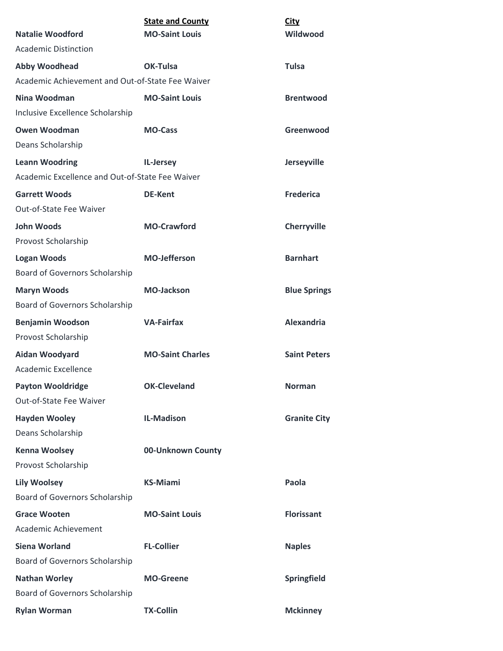|                                                  | <b>State and County</b> | <b>City</b>         |
|--------------------------------------------------|-------------------------|---------------------|
| Natalie Woodford                                 | <b>MO-Saint Louis</b>   | Wildwood            |
| <b>Academic Distinction</b>                      |                         |                     |
| <b>Abby Woodhead</b>                             | OK-Tulsa                | <b>Tulsa</b>        |
| Academic Achievement and Out-of-State Fee Waiver |                         |                     |
| Nina Woodman                                     | <b>MO-Saint Louis</b>   | <b>Brentwood</b>    |
| Inclusive Excellence Scholarship                 |                         |                     |
| <b>Owen Woodman</b>                              | <b>MO-Cass</b>          | Greenwood           |
| Deans Scholarship                                |                         |                     |
| <b>Leann Woodring</b>                            | IL-Jersey               | Jerseyville         |
| Academic Excellence and Out-of-State Fee Waiver  |                         |                     |
| <b>Garrett Woods</b>                             | <b>DE-Kent</b>          | <b>Frederica</b>    |
| Out-of-State Fee Waiver                          |                         |                     |
| <b>John Woods</b>                                | <b>MO-Crawford</b>      | Cherryville         |
| Provost Scholarship                              |                         |                     |
| <b>Logan Woods</b>                               | <b>MO-Jefferson</b>     | <b>Barnhart</b>     |
| Board of Governors Scholarship                   |                         |                     |
| <b>Maryn Woods</b>                               | <b>MO-Jackson</b>       | <b>Blue Springs</b> |
| Board of Governors Scholarship                   |                         |                     |
| <b>Benjamin Woodson</b>                          | <b>VA-Fairfax</b>       | <b>Alexandria</b>   |
| Provost Scholarship                              |                         |                     |
| Aidan Woodyard                                   | <b>MO-Saint Charles</b> | <b>Saint Peters</b> |
| Academic Excellence                              |                         |                     |
| <b>Payton Wooldridge</b>                         | <b>OK-Cleveland</b>     | <b>Norman</b>       |
| Out-of-State Fee Waiver                          |                         |                     |
| <b>Hayden Wooley</b>                             | <b>IL-Madison</b>       | <b>Granite City</b> |
| Deans Scholarship                                |                         |                     |
| <b>Kenna Woolsey</b>                             | 00-Unknown County       |                     |
| Provost Scholarship                              |                         |                     |
| <b>Lily Woolsey</b>                              | <b>KS-Miami</b>         | Paola               |
| Board of Governors Scholarship                   |                         |                     |
| <b>Grace Wooten</b>                              | <b>MO-Saint Louis</b>   | <b>Florissant</b>   |
| Academic Achievement                             |                         |                     |
| <b>Siena Worland</b>                             | <b>FL-Collier</b>       | <b>Naples</b>       |
| Board of Governors Scholarship                   |                         |                     |
| <b>Nathan Worley</b>                             | <b>MO-Greene</b>        | Springfield         |
| Board of Governors Scholarship                   |                         |                     |
| <b>Rylan Worman</b>                              | <b>TX-Collin</b>        | <b>Mckinney</b>     |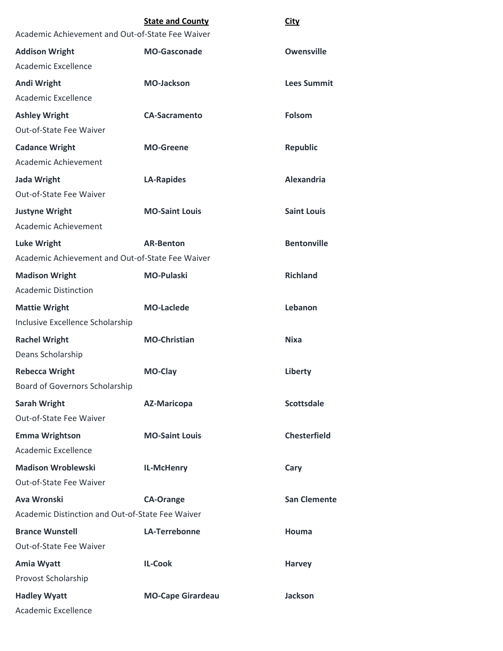|                                                  | <b>State and County</b>  | <b>City</b>         |
|--------------------------------------------------|--------------------------|---------------------|
| Academic Achievement and Out-of-State Fee Waiver |                          |                     |
| <b>Addison Wright</b>                            | <b>MO-Gasconade</b>      | <b>Owensville</b>   |
| <b>Academic Excellence</b>                       |                          |                     |
| <b>Andi Wright</b>                               | <b>MO-Jackson</b>        | <b>Lees Summit</b>  |
| <b>Academic Excellence</b>                       |                          |                     |
| <b>Ashley Wright</b>                             | <b>CA-Sacramento</b>     | <b>Folsom</b>       |
| Out-of-State Fee Waiver                          |                          |                     |
| <b>Cadance Wright</b>                            | <b>MO-Greene</b>         | <b>Republic</b>     |
| Academic Achievement                             |                          |                     |
| <b>Jada Wright</b>                               | <b>LA-Rapides</b>        | <b>Alexandria</b>   |
| Out-of-State Fee Waiver                          |                          |                     |
| <b>Justyne Wright</b>                            | <b>MO-Saint Louis</b>    | <b>Saint Louis</b>  |
| Academic Achievement                             |                          |                     |
| <b>Luke Wright</b>                               | <b>AR-Benton</b>         | <b>Bentonville</b>  |
| Academic Achievement and Out-of-State Fee Waiver |                          |                     |
| <b>Madison Wright</b>                            | <b>MO-Pulaski</b>        | <b>Richland</b>     |
| <b>Academic Distinction</b>                      |                          |                     |
| <b>Mattie Wright</b>                             | <b>MO-Laclede</b>        | Lebanon             |
| Inclusive Excellence Scholarship                 |                          |                     |
| <b>Rachel Wright</b>                             | <b>MO-Christian</b>      | <b>Nixa</b>         |
| Deans Scholarship                                |                          |                     |
| <b>Rebecca Wright</b>                            | <b>MO-Clay</b>           | Liberty             |
| Board of Governors Scholarship                   |                          |                     |
| <b>Sarah Wright</b>                              | <b>AZ-Maricopa</b>       | <b>Scottsdale</b>   |
| Out-of-State Fee Waiver                          |                          |                     |
| <b>Emma Wrightson</b>                            | <b>MO-Saint Louis</b>    | <b>Chesterfield</b> |
| Academic Excellence                              |                          |                     |
| <b>Madison Wroblewski</b>                        | IL-McHenry               | Cary                |
| Out-of-State Fee Waiver                          |                          |                     |
| Ava Wronski                                      | <b>CA-Orange</b>         | <b>San Clemente</b> |
| Academic Distinction and Out-of-State Fee Waiver |                          |                     |
| <b>Brance Wunstell</b>                           | <b>LA-Terrebonne</b>     | Houma               |
| Out-of-State Fee Waiver                          |                          |                     |
| <b>Amia Wyatt</b>                                | <b>IL-Cook</b>           | <b>Harvey</b>       |
| Provost Scholarship                              |                          |                     |
| <b>Hadley Wyatt</b>                              | <b>MO-Cape Girardeau</b> | <b>Jackson</b>      |
| Academic Excellence                              |                          |                     |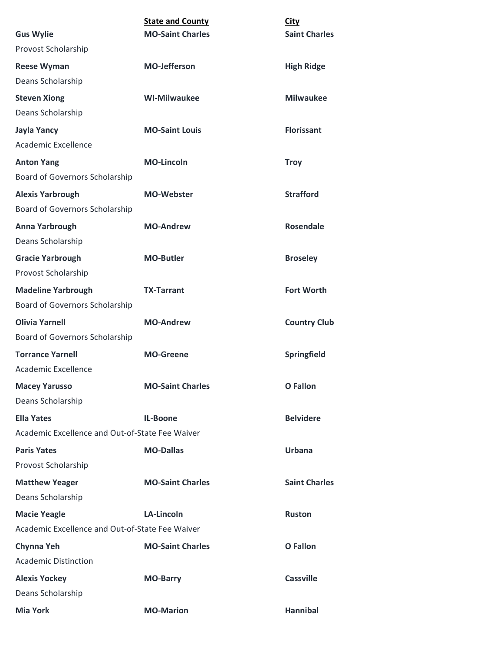| <b>Gus Wylie</b>                                | <b>State and County</b><br><b>MO-Saint Charles</b> | <b>City</b><br><b>Saint Charles</b> |
|-------------------------------------------------|----------------------------------------------------|-------------------------------------|
| Provost Scholarship                             |                                                    |                                     |
| <b>Reese Wyman</b>                              | <b>MO-Jefferson</b>                                | <b>High Ridge</b>                   |
| Deans Scholarship                               |                                                    |                                     |
| <b>Steven Xiong</b>                             | <b>WI-Milwaukee</b>                                | <b>Milwaukee</b>                    |
| Deans Scholarship                               |                                                    |                                     |
| <b>Jayla Yancy</b>                              | <b>MO-Saint Louis</b>                              | <b>Florissant</b>                   |
| Academic Excellence                             |                                                    |                                     |
| <b>Anton Yang</b>                               | <b>MO-Lincoln</b>                                  | <b>Troy</b>                         |
| Board of Governors Scholarship                  |                                                    |                                     |
| <b>Alexis Yarbrough</b>                         | <b>MO-Webster</b>                                  | <b>Strafford</b>                    |
| Board of Governors Scholarship                  |                                                    |                                     |
| Anna Yarbrough                                  | <b>MO-Andrew</b>                                   | Rosendale                           |
| Deans Scholarship                               |                                                    |                                     |
| <b>Gracie Yarbrough</b>                         | <b>MO-Butler</b>                                   | <b>Broseley</b>                     |
| Provost Scholarship                             |                                                    |                                     |
| <b>Madeline Yarbrough</b>                       | <b>TX-Tarrant</b>                                  | <b>Fort Worth</b>                   |
| Board of Governors Scholarship                  |                                                    |                                     |
| <b>Olivia Yarnell</b>                           | <b>MO-Andrew</b>                                   | <b>Country Club</b>                 |
| Board of Governors Scholarship                  |                                                    |                                     |
| <b>Torrance Yarnell</b>                         | <b>MO-Greene</b>                                   | Springfield                         |
| Academic Excellence                             |                                                    |                                     |
| <b>Macey Yarusso</b>                            | <b>MO-Saint Charles</b>                            | <b>O</b> Fallon                     |
| Deans Scholarship                               |                                                    |                                     |
| <b>Ella Yates</b>                               | <b>IL-Boone</b>                                    | <b>Belvidere</b>                    |
| Academic Excellence and Out-of-State Fee Waiver |                                                    |                                     |
| <b>Paris Yates</b>                              | <b>MO-Dallas</b>                                   | <b>Urbana</b>                       |
| Provost Scholarship                             |                                                    |                                     |
| <b>Matthew Yeager</b>                           | <b>MO-Saint Charles</b>                            | <b>Saint Charles</b>                |
| Deans Scholarship                               |                                                    |                                     |
| <b>Macie Yeagle</b>                             | <b>LA-Lincoln</b>                                  | <b>Ruston</b>                       |
| Academic Excellence and Out-of-State Fee Waiver |                                                    |                                     |
| Chynna Yeh                                      | <b>MO-Saint Charles</b>                            | <b>O</b> Fallon                     |
| <b>Academic Distinction</b>                     |                                                    |                                     |
| <b>Alexis Yockey</b>                            | <b>MO-Barry</b>                                    | <b>Cassville</b>                    |
| Deans Scholarship                               |                                                    |                                     |
| <b>Mia York</b>                                 | <b>MO-Marion</b>                                   | <b>Hannibal</b>                     |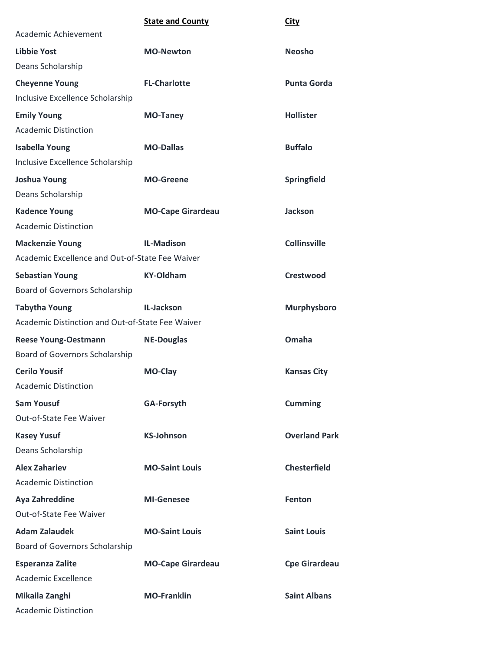|                                                  | <b>State and County</b>  | <b>City</b>          |
|--------------------------------------------------|--------------------------|----------------------|
| Academic Achievement                             |                          |                      |
| <b>Libbie Yost</b>                               | <b>MO-Newton</b>         | <b>Neosho</b>        |
| Deans Scholarship                                |                          |                      |
| <b>Cheyenne Young</b>                            | <b>FL-Charlotte</b>      | <b>Punta Gorda</b>   |
| Inclusive Excellence Scholarship                 |                          |                      |
| <b>Emily Young</b>                               | <b>MO-Taney</b>          | <b>Hollister</b>     |
| <b>Academic Distinction</b>                      |                          |                      |
| <b>Isabella Young</b>                            | <b>MO-Dallas</b>         | <b>Buffalo</b>       |
| Inclusive Excellence Scholarship                 |                          |                      |
| <b>Joshua Young</b>                              | <b>MO-Greene</b>         | <b>Springfield</b>   |
| Deans Scholarship                                |                          |                      |
| <b>Kadence Young</b>                             | <b>MO-Cape Girardeau</b> | <b>Jackson</b>       |
| <b>Academic Distinction</b>                      |                          |                      |
| <b>Mackenzie Young</b>                           | <b>IL-Madison</b>        | <b>Collinsville</b>  |
| Academic Excellence and Out-of-State Fee Waiver  |                          |                      |
| <b>Sebastian Young</b>                           | <b>KY-Oldham</b>         | Crestwood            |
| Board of Governors Scholarship                   |                          |                      |
| <b>Tabytha Young</b>                             | IL-Jackson               | <b>Murphysboro</b>   |
| Academic Distinction and Out-of-State Fee Waiver |                          |                      |
| <b>Reese Young-Oestmann</b>                      | <b>NE-Douglas</b>        | Omaha                |
| Board of Governors Scholarship                   |                          |                      |
| <b>Cerilo Yousif</b>                             | <b>MO-Clay</b>           | <b>Kansas City</b>   |
| <b>Academic Distinction</b>                      |                          |                      |
| <b>Sam Yousuf</b>                                | GA-Forsyth               | <b>Cumming</b>       |
| Out-of-State Fee Waiver                          |                          |                      |
| <b>Kasey Yusuf</b>                               | <b>KS-Johnson</b>        | <b>Overland Park</b> |
| Deans Scholarship                                |                          |                      |
| <b>Alex Zahariev</b>                             | <b>MO-Saint Louis</b>    | <b>Chesterfield</b>  |
| <b>Academic Distinction</b>                      |                          |                      |
| Aya Zahreddine                                   | <b>MI-Genesee</b>        | <b>Fenton</b>        |
| Out-of-State Fee Waiver                          |                          |                      |
| <b>Adam Zalaudek</b>                             | <b>MO-Saint Louis</b>    | <b>Saint Louis</b>   |
| Board of Governors Scholarship                   |                          |                      |
| <b>Esperanza Zalite</b>                          | <b>MO-Cape Girardeau</b> | <b>Cpe Girardeau</b> |
| <b>Academic Excellence</b>                       |                          |                      |
| Mikaila Zanghi                                   | <b>MO-Franklin</b>       | <b>Saint Albans</b>  |
| <b>Academic Distinction</b>                      |                          |                      |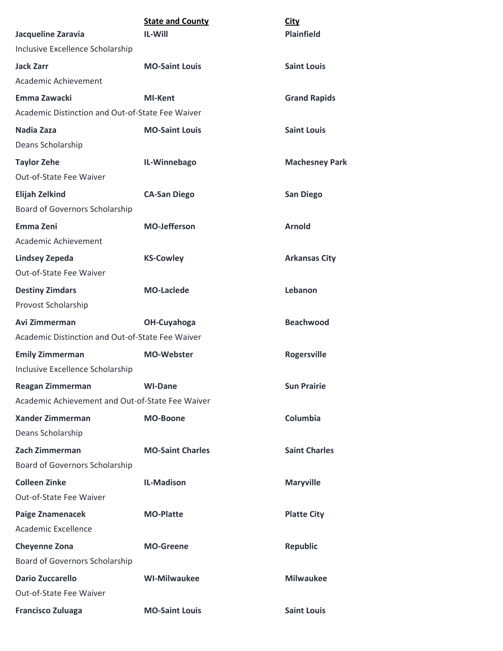| Jacqueline Zaravia                               | <b>State and County</b><br><b>IL-Will</b> | <b>City</b><br><b>Plainfield</b> |
|--------------------------------------------------|-------------------------------------------|----------------------------------|
| Inclusive Excellence Scholarship                 |                                           |                                  |
| <b>Jack Zarr</b>                                 | <b>MO-Saint Louis</b>                     | <b>Saint Louis</b>               |
| Academic Achievement                             |                                           |                                  |
| Emma Zawacki                                     | <b>MI-Kent</b>                            | <b>Grand Rapids</b>              |
| Academic Distinction and Out-of-State Fee Waiver |                                           |                                  |
| Nadia Zaza                                       | <b>MO-Saint Louis</b>                     | <b>Saint Louis</b>               |
| Deans Scholarship                                |                                           |                                  |
| <b>Taylor Zehe</b>                               | IL-Winnebago                              | <b>Machesney Park</b>            |
| Out-of-State Fee Waiver                          |                                           |                                  |
| <b>Elijah Zelkind</b>                            | <b>CA-San Diego</b>                       | <b>San Diego</b>                 |
| Board of Governors Scholarship                   |                                           |                                  |
| <b>Emma Zeni</b>                                 | <b>MO-Jefferson</b>                       | <b>Arnold</b>                    |
| Academic Achievement                             |                                           |                                  |
| <b>Lindsey Zepeda</b>                            | <b>KS-Cowley</b>                          | <b>Arkansas City</b>             |
| Out-of-State Fee Waiver                          |                                           |                                  |
| <b>Destiny Zimdars</b>                           | <b>MO-Laclede</b>                         | Lebanon                          |
| Provost Scholarship                              |                                           |                                  |
| Avi Zimmerman                                    | OH-Cuyahoga                               | <b>Beachwood</b>                 |
| Academic Distinction and Out-of-State Fee Waiver |                                           |                                  |
| <b>Emily Zimmerman</b>                           | <b>MO-Webster</b>                         | <b>Rogersville</b>               |
| Inclusive Excellence Scholarship                 |                                           |                                  |
| <b>Reagan Zimmerman</b>                          | <b>WI-Dane</b>                            | <b>Sun Prairie</b>               |
| Academic Achievement and Out-of-State Fee Waiver |                                           |                                  |
| <b>Xander Zimmerman</b><br>Deans Scholarship     | <b>MO-Boone</b>                           | Columbia                         |
| Zach Zimmerman                                   | <b>MO-Saint Charles</b>                   | <b>Saint Charles</b>             |
| Board of Governors Scholarship                   |                                           |                                  |
| <b>Colleen Zinke</b>                             | <b>IL-Madison</b>                         | <b>Maryville</b>                 |
| Out-of-State Fee Waiver                          |                                           |                                  |
| <b>Paige Znamenacek</b>                          | <b>MO-Platte</b>                          | <b>Platte City</b>               |
| Academic Excellence                              |                                           |                                  |
| <b>Cheyenne Zona</b>                             | <b>MO-Greene</b>                          | <b>Republic</b>                  |
| Board of Governors Scholarship                   |                                           |                                  |
| <b>Dario Zuccarello</b>                          | <b>WI-Milwaukee</b>                       | <b>Milwaukee</b>                 |
| Out-of-State Fee Waiver                          |                                           |                                  |
| <b>Francisco Zuluaga</b>                         | <b>MO-Saint Louis</b>                     | <b>Saint Louis</b>               |